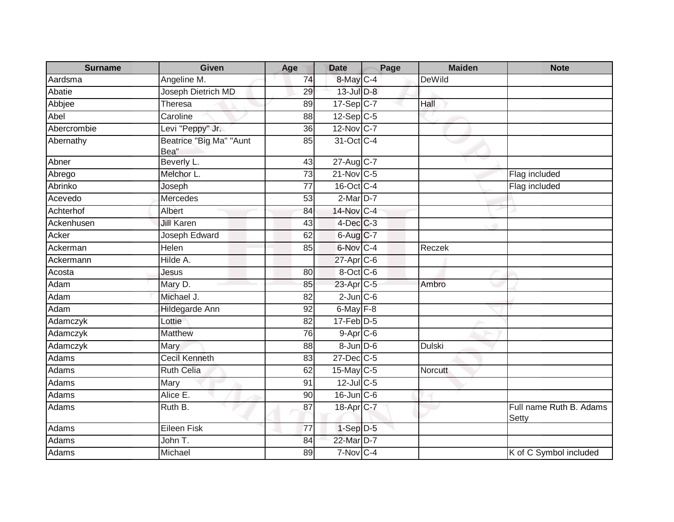| <b>Surname</b> | <b>Given</b>                    | Age             | <b>Date</b>            | Page | <b>Maiden</b> | <b>Note</b>                      |
|----------------|---------------------------------|-----------------|------------------------|------|---------------|----------------------------------|
| Aardsma        | Angeline M.                     | 74              | 8-May C-4              |      | <b>DeWild</b> |                                  |
| Abatie         | Joseph Dietrich MD              | 29              | $13$ -Jul $D-8$        |      |               |                                  |
| Abbjee         | Theresa                         | 89              | 17-Sep C-7             |      | Hall          |                                  |
| Abel           | Caroline                        | 88              | $12-Sep C-5$           |      |               |                                  |
| Abercrombie    | Levi "Peppy" Jr.                | 36              | 12-Nov C-7             |      |               |                                  |
| Abernathy      | Beatrice "Big Ma" "Aunt<br>Bea" | 85              | 31-Oct C-4             |      |               |                                  |
| Abner          | Beverly L.                      | $\overline{43}$ | 27-Aug C-7             |      |               |                                  |
| Abrego         | Melchor L.                      | 73              | $21$ -Nov $C-5$        |      |               | Flag included                    |
| Abrinko        | Joseph                          | $\overline{77}$ | 16-Oct C-4             |      |               | Flag included                    |
| Acevedo        | <b>Mercedes</b>                 | 53              | $2$ -Mar $D-7$         |      |               |                                  |
| Achterhof      | Albert                          | 84              | 14-Nov C-4             |      |               |                                  |
| Ackenhusen     | <b>Jill Karen</b>               | 43              | $4$ -Dec $C-3$         |      |               |                                  |
| Acker          | Joseph Edward                   | 62              | $6$ -Aug $C$ -7        |      |               |                                  |
| Ackerman       | Helen                           | 85              | 6-Nov C-4              |      | Reczek        |                                  |
| Ackermann      | Hilde A.                        |                 | 27-Apr <sub>C-6</sub>  |      |               |                                  |
| Acosta         | Jesus                           | 80              | 8-Oct C-6              |      |               |                                  |
| Adam           | Mary D.                         | 85              | 23-Apr <sub>IC-5</sub> |      | Ambro         |                                  |
| Adam           | Michael J.                      | 82              | $2$ -Jun $C$ -6        |      |               |                                  |
| Adam           | <b>Hildegarde Ann</b>           | 92              | $6$ -May $F-8$         |      |               |                                  |
| Adamczyk       | Lottie                          | 82              | $17$ -Feb $D-5$        |      |               |                                  |
| Adamczyk       | <b>Matthew</b>                  | 76              | $9-Apr$ $C-6$          |      |               |                                  |
| Adamczyk       | Mary                            | 88              | $8 - Jun$ $D-6$        |      | <b>Dulski</b> |                                  |
| Adams          | Cecil Kenneth                   | 83              | 27-Dec C-5             |      |               |                                  |
| Adams          | <b>Ruth Celia</b>               | 62              | 15-May C-5             |      | Norcutt       |                                  |
| Adams          | Mary                            | 91              | $12$ -Jul C-5          |      |               |                                  |
| Adams          | Alice E.                        | 90              | $16$ -Jun $C$ -6       |      |               |                                  |
| Adams          | Ruth B.                         | 87              | 18-Apr C-7             |      |               | Full name Ruth B. Adams<br>Setty |
| Adams          | <b>Eileen Fisk</b>              | 77              | 1-Sep D-5              |      |               |                                  |
| Adams          | John T.                         | 84              | 22-Mar D-7             |      |               |                                  |
| Adams          | Michael                         | 89              | 7-Nov C-4              |      |               | K of C Symbol included           |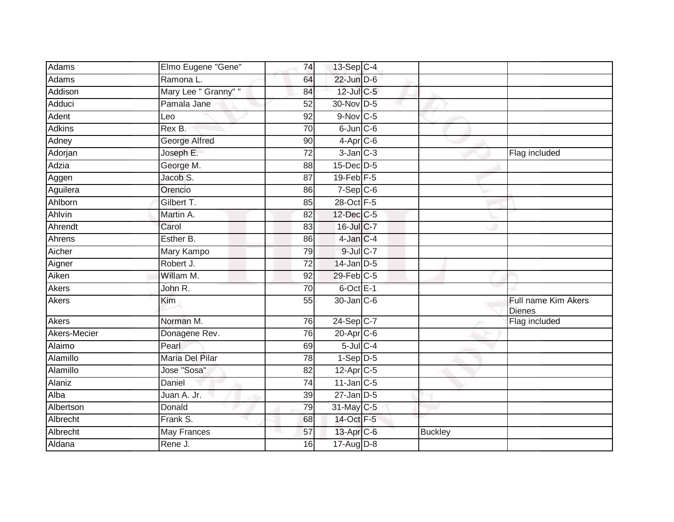| Adams         | Elmo Eugene "Gene"   | 74              | 13-Sep C-4             |                |                                      |
|---------------|----------------------|-----------------|------------------------|----------------|--------------------------------------|
| Adams         | Ramona L.            | 64              | 22-Jun D-6             |                |                                      |
| Addison       | Mary Lee " Granny" " | 84              | 12-Jul C-5             |                |                                      |
| Adduci        | Pamala Jane          | 52              | 30-Nov D-5             |                |                                      |
| Adent         | Leo                  | $\overline{92}$ | $9-Nov$ C-5            |                |                                      |
| <b>Adkins</b> | Rex B.               | 70              | $6$ -Jun $C$ -6        |                |                                      |
| Adney         | <b>George Alfred</b> | 90              | $4-Apr$ C-6            |                |                                      |
| Adorjan       | Joseph E.            | $\overline{72}$ | $3$ -Jan $C-3$         |                | Flag included                        |
| Adzia         | George M.            | 88              | 15-Dec D-5             |                |                                      |
| Aggen         | Jacob S.             | $\overline{87}$ | 19-Feb <sup></sup> F-5 |                |                                      |
| Aguilera      | Orencio              | 86              | $7-Sep$ $C-6$          |                |                                      |
| Ahlborn       | Gilbert T.           | 85              | 28-Oct F-5             |                |                                      |
| Ahlvin        | Martin A.            | 82              | 12-Dec C-5             |                |                                      |
| Ahrendt       | Carol                | 83              | 16-Jul C-7             |                |                                      |
| Ahrens        | Esther B.            | 86              | 4-Jan C-4              |                |                                      |
| Aicher        | Mary Kampo           | 79              | $9$ -Jul $C$ -7        |                |                                      |
| Aigner        | Robert J.            | $\overline{72}$ | 14-Jan D-5             |                |                                      |
| Aiken         | Willam M.            | 92              | 29-Feb C-5             |                |                                      |
| Akers         | John R.              | 70              | 6-Oct E-1              |                |                                      |
| Akers         | Kim                  | 55              | 30-Jan C-6             |                | Full name Kim Akers<br><b>Dienes</b> |
| <b>Akers</b>  | Norman M.            | 76              | $24-Sep C-7$           |                | Flag included                        |
| Akers-Mecier  | Donagene Rev.        | 76              | $20$ -Apr $C$ -6       |                |                                      |
| Alaimo        | Pearl                | 69              | $5$ -Jul $C$ -4        |                |                                      |
| Alamillo      | Maria Del Pilar      | 78              | $1-Sep$ D-5            |                |                                      |
| Alamillo      | Jose "Sosa"          | $\overline{82}$ | 12-Apr C-5             |                |                                      |
| Alaniz        | Daniel               | 74              | $11$ -Jan $C-5$        |                |                                      |
| Alba          | Juan A. Jr.          | 39              | $27$ -Jan $D-5$        |                |                                      |
| Albertson     | Donald               | 79              | 31-May C-5             |                |                                      |
| Albrecht      | Frank S.             | 68              | 14-Oct F-5             |                |                                      |
| Albrecht      | May Frances          | 57              | 13-Apr C-6             | <b>Buckley</b> |                                      |
| Aldana        | Rene J.              | 16              | 17-Aug D-8             |                |                                      |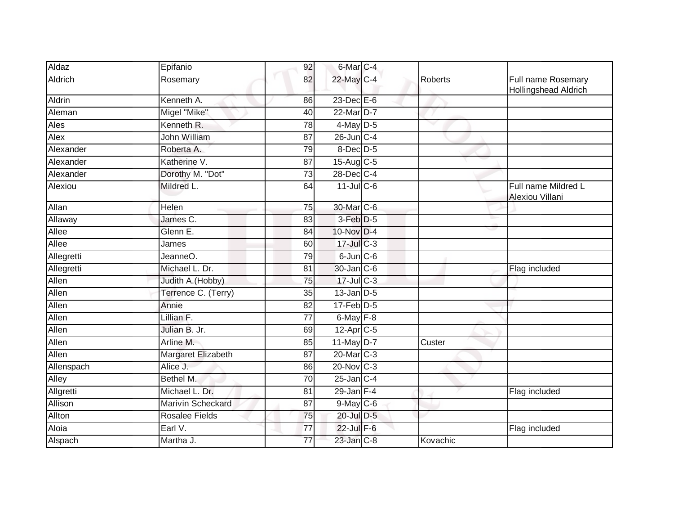| Aldaz      | Epifanio              | 92              | 6-Mar <sub>C-4</sub>  |                |                                            |
|------------|-----------------------|-----------------|-----------------------|----------------|--------------------------------------------|
| Aldrich    | Rosemary              | 82              | 22-May C-4            | <b>Roberts</b> | Full name Rosemary<br>Hollingshead Aldrich |
| Aldrin     | Kenneth A.            | 86              | $23$ -Dec $E-6$       |                |                                            |
| Aleman     | Migel "Mike"          | 40              | 22-Mar D-7            |                |                                            |
| Ales       | Kenneth R.            | 78              | $4$ -May D-5          |                |                                            |
| Alex       | John William          | 87              | 26-Jun C-4            |                |                                            |
| Alexander  | Roberta A.            | 79              | $8$ -Dec $D$ -5       |                |                                            |
| Alexander  | Katherine V.          | 87              | 15-Aug C-5            |                |                                            |
| Alexander  | Dorothy M. "Dot"      | 73              | 28-Dec C-4            |                |                                            |
| Alexiou    | Mildred L.            | 64              | $11$ -Jul C-6         |                | Full name Mildred L<br>Alexiou Villani     |
| Allan      | Helen                 | 75              | 30-Mar C-6            |                |                                            |
| Allaway    | James C.              | 83              | $3-Feb$ D-5           |                |                                            |
| Allee      | Glenn E.              | 84              | 10-Nov D-4            |                |                                            |
| Allee      | James                 | 60              | $17$ -Jul $C-3$       |                |                                            |
| Allegretti | JeanneO.              | 79              | $6$ -Jun $C$ -6       |                |                                            |
| Allegretti | Michael L. Dr.        | 81              | 30-Jan C-6            |                | Flag included                              |
| Allen      | Judith A. (Hobby)     | 75              | $17 -$ Jul C-3        |                |                                            |
| Allen      | Terrence C. (Terry)   | 35              | $13$ -Jan $D-5$       |                |                                            |
| Allen      | Annie                 | 82              | $17$ -Feb $ D-5$      |                |                                            |
| Allen      | Lillian F.            | $\overline{77}$ | $6$ -May $F-8$        |                |                                            |
| Allen      | Julian B. Jr.         | 69              | 12-Apr <sub>C-5</sub> |                |                                            |
| Allen      | Arline M.             | 85              | $11$ -May $D-7$       | Custer         |                                            |
| Allen      | Margaret Elizabeth    | 87              | 20-Mar C-3            |                |                                            |
| Allenspach | Alice J.              | 86              | $20$ -Nov $ C-3 $     |                |                                            |
| Alley      | Bethel M.             | 70              | $25$ -Jan $C-4$       |                |                                            |
| Allgretti  | Michael L. Dr.        | 81              | $29$ -Jan $F-4$       |                | Flag included                              |
| Allison    | Marivin Scheckard     | 87              | $9$ -May C-6          |                |                                            |
| Allton     | <b>Rosalee Fields</b> | 75              | 20-Jul D-5            |                |                                            |
| Aloia      | Earl V.               | 77              | 22-Jul F-6            |                | Flag included                              |
| Alspach    | Martha J.             | 77              | 23-Jan C-8            | Kovachic       |                                            |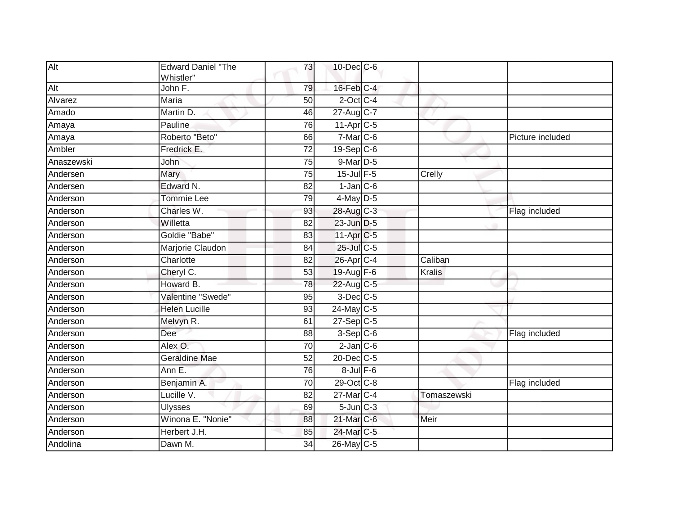| Alt        | <b>Edward Daniel "The</b><br>Whistler" | 73              | 10-Dec C-6                |               |                  |
|------------|----------------------------------------|-----------------|---------------------------|---------------|------------------|
| Alt        | John F.                                | 79              | $16$ -Feb $C-4$           |               |                  |
| Alvarez    | <b>Maria</b>                           | 50              | $2$ -Oct C-4              |               |                  |
| Amado      | Martin D.                              | 46              | $27 - \overline{Aug}$ C-7 |               |                  |
| Amaya      | Pauline                                | 76              | 11-Apr C-5                |               |                  |
| Amaya      | Roberto "Beto"                         | 66              | $7-Mar$ C-6               |               | Picture included |
| Ambler     | Fredrick E.                            | 72              | $19-Sep$ <sub>C-6</sub>   |               |                  |
| Anaszewski | John                                   | $\overline{75}$ | $9$ -Mar $D-5$            |               |                  |
| Andersen   | Mary                                   | $\overline{75}$ | $15$ -Jul $F-5$           | Crelly        |                  |
| Andersen   | Edward N.                              | 82              | $1$ -Jan $C$ -6           |               |                  |
| Anderson   | Tommie Lee                             | 79              | $4$ -May D-5              |               |                  |
| Anderson   | Charles W.                             | 93              | 28-Aug C-3                |               | Flag included    |
| Anderson   | Willetta                               | 82              | 23-Jun D-5                |               |                  |
| Anderson   | Goldie "Babe"                          | 83              | 11-Apr C-5                |               |                  |
| Anderson   | Marjorie Claudon                       | 84              | 25-Jul C-5                |               |                  |
| Anderson   | Charlotte                              | 82              | 26-Apr C-4                | Caliban       |                  |
| Anderson   | Cheryl C.                              | 53              | 19-Aug $F-6$              | <b>Kralis</b> |                  |
| Anderson   | Howard B.                              | 78              | 22-Aug C-5                |               |                  |
| Anderson   | Valentine "Swede"                      | 95              | $3$ -Dec $C$ -5           |               |                  |
| Anderson   | <b>Helen Lucille</b>                   | 93              | 24-May C-5                |               |                  |
| Anderson   | Melvyn R.                              | 61              | 27-Sep C-5                |               |                  |
| Anderson   | Dee                                    | 88              | $3-Sep C-6$               |               | Flag included    |
| Anderson   | Alex O.                                | 70              | $2$ -Jan $C$ -6           |               |                  |
| Anderson   | <b>Geraldine Mae</b>                   | 52              | 20-Dec C-5                |               |                  |
| Anderson   | Ann E.                                 | 76              | $8$ -Jul $F$ -6           |               |                  |
| Anderson   | Benjamin A.                            | 70              | 29-Oct C-8                |               | Flag included    |
| Anderson   | Lucille V.                             | 82              | 27-Mar C-4                | Tomaszewski   |                  |
| Anderson   | <b>Ulysses</b>                         | 69              | $5$ -Jun $C-3$            |               |                  |
| Anderson   | Winona E. "Nonie"                      | 88              | 21-Mar C-6                | Meir          |                  |
| Anderson   | Herbert J.H.                           | 85              | 24-Mar C-5                |               |                  |
| Andolina   | Dawn M.                                | 34              | 26-May C-5                |               |                  |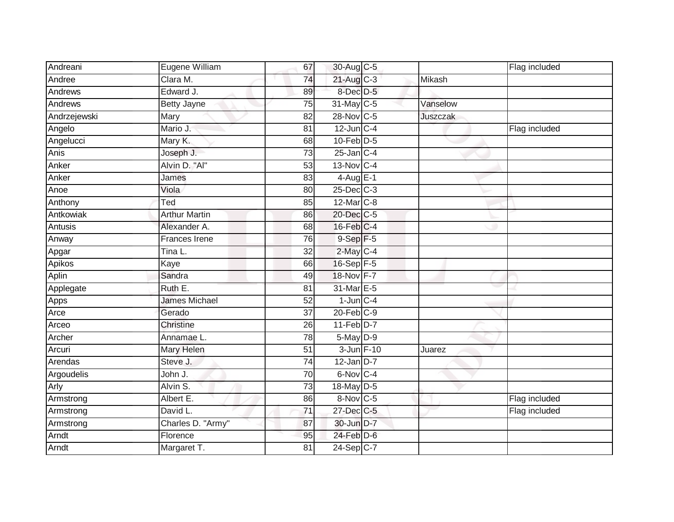| Andreani       | Eugene William       | 67              | 30-Aug C-5      |          | Flag included |
|----------------|----------------------|-----------------|-----------------|----------|---------------|
| Andree         | Clara M.             | 74              | $21$ -Aug $C-3$ | Mikash   |               |
| Andrews        | Edward J.            | 89              | 8-Dec D-5       |          |               |
| Andrews        | <b>Betty Jayne</b>   | 75              | 31-May C-5      | Vanselow |               |
| Andrzejewski   | Mary                 | $\overline{82}$ | 28-Nov C-5      | Juszczak |               |
| Angelo         | Mario J.             | 81              | $12$ -Jun $C-4$ |          | Flag included |
| Angelucci      | Mary K.              | 68              | $10$ -Feb $D-5$ |          |               |
| Anis           | Joseph J.            | 73              | $25$ -Jan C-4   |          |               |
| Anker          | Alvin D. "Al"        | 53              | 13-Nov C-4      |          |               |
| Anker          | James                | 83              | $4-AugE-1$      |          |               |
| Anoe           | Viola                | 80              | $25$ -Dec $C-3$ |          |               |
| Anthony        | Ted                  | $\overline{85}$ | $12$ -Mar $C-8$ |          |               |
| Antkowiak      | <b>Arthur Martin</b> | 86              | 20-Dec C-5      |          |               |
| <b>Antusis</b> | Alexander A.         | 68              | $16$ -Feb $C-4$ |          |               |
| Anway          | <b>Frances Irene</b> | 76              | $9-Sep$ F-5     |          |               |
| Apgar          | Tina L.              | 32              | 2-May C-4       |          |               |
| Apikos         | Kaye                 | 66              | $16-Sep$ F-5    |          |               |
| Aplin          | Sandra               | 49              | 18-Nov F-7      |          |               |
| Applegate      | Ruth E.              | 81              | 31-Mar E-5      |          |               |
| Apps           | <b>James Michael</b> | 52              | $1$ -Jun $C-4$  |          |               |
| Arce           | Gerado               | 37              | $20$ -Feb $C-9$ |          |               |
| Arceo          | Christine            | $\overline{26}$ | $11-Feb$ D-7    |          |               |
| Archer         | Annamae L.           | 78              | 5-May D-9       |          |               |
| Arcuri         | Mary Helen           | 51              | 3-Jun F-10      | Juarez   |               |
| Arendas        | Steve J.             | 74              | $12$ -Jan $D-7$ |          |               |
| Argoudelis     | John J.              | $\overline{70}$ | 6-Nov C-4       |          |               |
| Arly           | Alvin S.             | 73              | 18-May D-5      |          |               |
| Armstrong      | Albert E.            | 86              | 8-Nov C-5       |          | Flag included |
| Armstrong      | David L.             | $\overline{71}$ | 27-Dec C-5      |          | Flag included |
| Armstrong      | Charles D. "Army"    | 87              | 30-Jun D-7      |          |               |
| Arndt          | Florence             | 95              | 24-Feb D-6      |          |               |
| Arndt          | Margaret T.          | 81              | 24-Sep C-7      |          |               |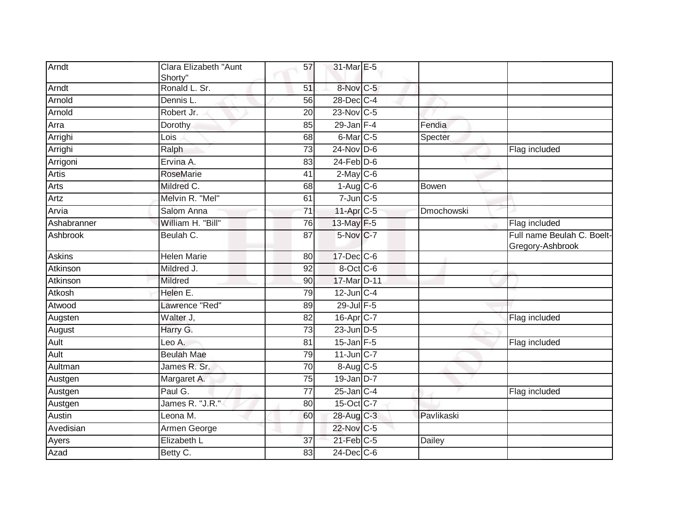| Arndt        | Clara Elizabeth "Aunt<br>Shorty" | 57              | 31-Mar E-5           |               |                                                |
|--------------|----------------------------------|-----------------|----------------------|---------------|------------------------------------------------|
| Arndt        | Ronald L. Sr.                    | 51              | 8-Nov C-5            |               |                                                |
| Arnold       | Dennis L.                        | $\overline{56}$ | 28-Dec C-4           |               |                                                |
| Arnold       | Robert Jr.                       | 20              | 23-Nov C-5           |               |                                                |
| Arra         | Dorothy                          | 85              | $29$ -Jan F-4        | Fendia        |                                                |
| Arrighi      | Lois                             | 68              | 6-Mar <sub>C-5</sub> | Specter       |                                                |
| Arrighi      | Ralph                            | 73              | $24$ -Nov D-6        |               | Flag included                                  |
| Arrigoni     | Ervina A.                        | 83              | $24$ -Feb $D-6$      |               |                                                |
| <b>Artis</b> | <b>RoseMarie</b>                 | 41              | $2$ -May C-6         |               |                                                |
| <b>Arts</b>  | Mildred C.                       | 68              | $1-Aug$ $C-6$        | Bowen         |                                                |
| Artz         | Melvin R. "Mel"                  | 61              | $7$ -Jun $C$ -5      |               |                                                |
| Arvia        | Salom Anna                       | 71              | 11-Apr C-5           | Dmochowski    |                                                |
| Ashabranner  | William H. "Bill"                | $\overline{76}$ | 13-May F-5           |               | Flag included                                  |
| Ashbrook     | Beulah C.                        | 87              | 5-Nov C-7            |               | Full name Beulah C. Boelt-<br>Gregory-Ashbrook |
| Askins       | <b>Helen Marie</b>               | 80              | 17-Dec C-6           |               |                                                |
| Atkinson     | Mildred J.                       | 92              | 8-Oct C-6            |               |                                                |
| Atkinson     | Mildred                          | 90              | 17-Mar D-11          |               |                                                |
| Atkosh       | Helen E.                         | 79              | $12$ -Jun C-4        |               |                                                |
| Atwood       | Lawrence "Red"                   | 89              | 29-Jul F-5           |               |                                                |
| Augsten      | Walter J,                        | 82              | 16-Apr C-7           |               | Flag included                                  |
| August       | Harry G.                         | 73              | $23$ -Jun $D-5$      |               |                                                |
| Ault         | Leo A.                           | 81              | $15$ -Jan F-5        |               | Flag included                                  |
| Ault         | <b>Beulah Mae</b>                | 79              | $11$ -Jun $C-7$      |               |                                                |
| Aultman      | James R. Sr.                     | 70              | 8-Aug C-5            |               |                                                |
| Austgen      | Margaret A.                      | $\overline{75}$ | $19$ -Jan $D-7$      |               |                                                |
| Austgen      | Paul G.                          | 77              | $25$ -Jan $C-4$      |               | Flag included                                  |
| Austgen      | James R. "J.R."                  | 80              | 15-Oct C-7           |               |                                                |
| Austin       | Leona M.                         | 60              | 28-Aug C-3           | Pavlikaski    |                                                |
| Avedisian    | Armen George                     |                 | 22-Nov C-5           |               |                                                |
| Ayers        | Elizabeth L                      | $\overline{37}$ | 21-Feb C-5           | <b>Dailey</b> |                                                |
| Azad         | Betty C.                         | 83              | $24$ -Dec $C$ -6     |               |                                                |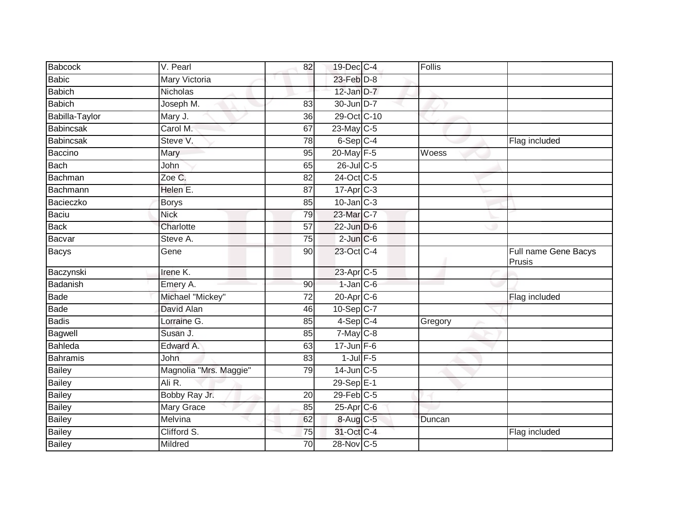| <b>Babcock</b>   | V. Pearl               | 82              | 19-Dec C-4       | Follis  |                                |
|------------------|------------------------|-----------------|------------------|---------|--------------------------------|
| Babic            | Mary Victoria          |                 | $23$ -Feb $D-8$  |         |                                |
| <b>Babich</b>    | Nicholas               |                 | $12$ -Jan D-7    |         |                                |
| <b>Babich</b>    | Joseph M.              | 83              | 30-Jun D-7       |         |                                |
| Babilla-Taylor   | Mary J.                | 36              | 29-Oct C-10      |         |                                |
| <b>Babincsak</b> | Carol M.               | 67              | $23$ -May C-5    |         |                                |
| Babincsak        | Steve V.               | 78              | $6-Sep$ C-4      |         | Flag included                  |
| Baccino          | Mary                   | 95              | 20-May F-5       | Woess   |                                |
| Bach             | John                   | 65              | 26-Jul C-5       |         |                                |
| Bachman          | Zoe C.                 | 82              | 24-Oct C-5       |         |                                |
| Bachmann         | Helen E.               | 87              | $17$ -Apr $C-3$  |         |                                |
| Bacieczko        | <b>Borys</b>           | 85              | $10$ -Jan $C-3$  |         |                                |
| Baciu            | <b>Nick</b>            | 79              | 23-Mar C-7       |         |                                |
| <b>Back</b>      | Charlotte              | 57              | 22-Jun D-6       |         |                                |
| Bacvar           | Steve A.               | 75              | $2$ -Jun $C$ -6  |         |                                |
| Bacys            | Gene                   | 90              | 23-Oct C-4       |         | Full name Gene Bacys<br>Prusis |
| Baczynski        | Irene K.               |                 | 23-Apr C-5       |         |                                |
| Badanish         | Emery A.               | 90              | $1$ -Jan $C$ -6  |         |                                |
| Bade             | Michael "Mickey"       | $\overline{72}$ | $20$ -Apr $C$ -6 |         | Flag included                  |
| Bade             | David Alan             | 46              | $10-Sep$ $C-7$   |         |                                |
| <b>Badis</b>     | Lorraine G.            | 85              | $4-Sep$ C-4      | Gregory |                                |
| Bagwell          | Susan J.               | 85              | $7$ -May $C$ -8  |         |                                |
| Bahleda          | Edward A.              | 63              | $17$ -Jun F-6    |         |                                |
| <b>Bahramis</b>  | John                   | 83              | $1$ -Jul $F-5$   |         |                                |
| <b>Bailey</b>    | Magnolia "Mrs. Maggie" | 79              | $14$ -Jun $C-5$  |         |                                |
| <b>Bailey</b>    | Ali R.                 |                 | 29-Sep E-1       |         |                                |
| Bailey           | Bobby Ray Jr.          | 20              | $29$ -Feb $C-5$  |         |                                |
| <b>Bailey</b>    | <b>Mary Grace</b>      | 85              | 25-Apr C-6       |         |                                |
| Bailey           | Melvina                | 62              | 8-Aug C-5        | Duncan  |                                |
| Bailey           | Clifford S.            | 75              | 31-Oct C-4       |         | Flag included                  |
| <b>Bailey</b>    | Mildred                | 70              | 28-Nov C-5       |         |                                |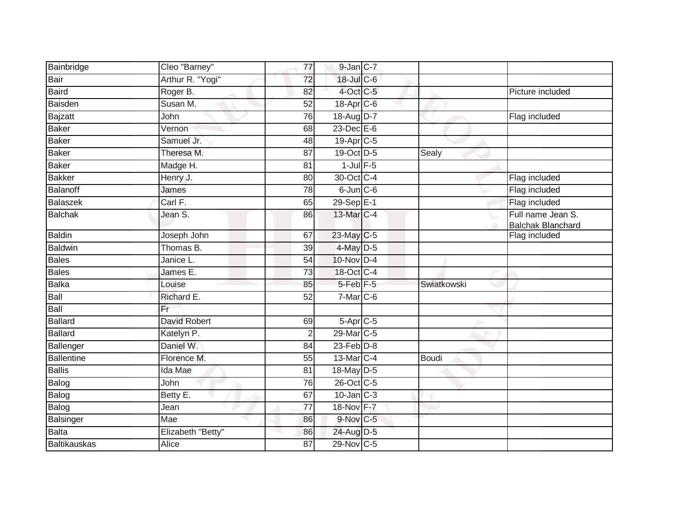| Bainbridge          | Cleo "Barney"       | 77              | $9$ -Jan $C$ -7       |              |                                               |
|---------------------|---------------------|-----------------|-----------------------|--------------|-----------------------------------------------|
| Bair                | Arthur R. "Yogi"    | $\overline{72}$ | 18-Jul C-6            |              |                                               |
| <b>Baird</b>        | Roger B.            | 82              | 4-Oct C-5             |              | Picture included                              |
| Baisden             | Susan M.            | 52              | 18-Apr <sub>C-6</sub> |              |                                               |
| Bajzatt             | John                | $\overline{76}$ | 18-Aug D-7            |              | Flag included                                 |
| <b>Baker</b>        | Vernon              | 68              | 23-Dec E-6            |              |                                               |
| <b>Baker</b>        | Samuel Jr.          | 48              | 19-Apr <sub>C-5</sub> |              |                                               |
| <b>Baker</b>        | Theresa M.          | 87              | 19-Oct D-5            | Sealy        |                                               |
| <b>Baker</b>        | Madge H.            | 81              | $1$ -Jul $F-5$        |              |                                               |
| <b>Bakker</b>       | Henry J.            | 80              | 30-Oct C-4            |              | Flag included                                 |
| Balanoff            | James               | 78              | $6$ -Jun $C$ -6       |              | Flag included                                 |
| <b>Balaszek</b>     | Carl F.             | 65              | 29-Sep E-1            |              | Flag included                                 |
| Balchak             | Jean S.             | 86              | 13-Mar C-4            |              | Full name Jean S.<br><b>Balchak Blanchard</b> |
| <b>Baldin</b>       | Joseph John         | 67              | 23-May C-5            |              | Flag included                                 |
| <b>Baldwin</b>      | Thomas B.           | $\overline{39}$ | 4-May D-5             |              |                                               |
| <b>Bales</b>        | Janice L.           | 54              | 10-Nov D-4            |              |                                               |
| <b>Bales</b>        | James E.            | 73              | 18-Oct C-4            |              |                                               |
| Balka               | Louise              | 85              | $5$ -Feb $F-5$        | Swiatkowski  |                                               |
| Ball                | Richard E.          | $\overline{52}$ | $7-Mar$ C-6           |              |                                               |
| Ball                | Fr                  |                 |                       |              |                                               |
| Ballard             | <b>David Robert</b> | 69              | $5 -$ Apr $C - 5$     |              |                                               |
| <b>Ballard</b>      | Katelyn P.          | $\overline{2}$  | 29-Mar <sub>C-5</sub> |              |                                               |
| Ballenger           | Daniel W.           | 84              | $23$ -Feb $D-8$       |              |                                               |
| <b>Ballentine</b>   | Florence M.         | 55              | 13-Mar C-4            | <b>Boudi</b> |                                               |
| <b>Ballis</b>       | Ida Mae             | $\overline{81}$ | 18-May D-5            |              |                                               |
| Balog               | John                | 76              | 26-Oct C-5            |              |                                               |
| Balog               | Betty E.            | 67              | $10$ -Jan $C-3$       |              |                                               |
| Balog               | Jean                | $\overline{77}$ | 18-Nov F-7            |              |                                               |
| Balsinger           | Mae                 | 86              | 9-Nov C-5             |              |                                               |
| Balta               | Elizabeth "Betty"   | 86              | 24-Aug D-5            |              |                                               |
| <b>Baltikauskas</b> | Alice               | 87              | 29-Nov C-5            |              |                                               |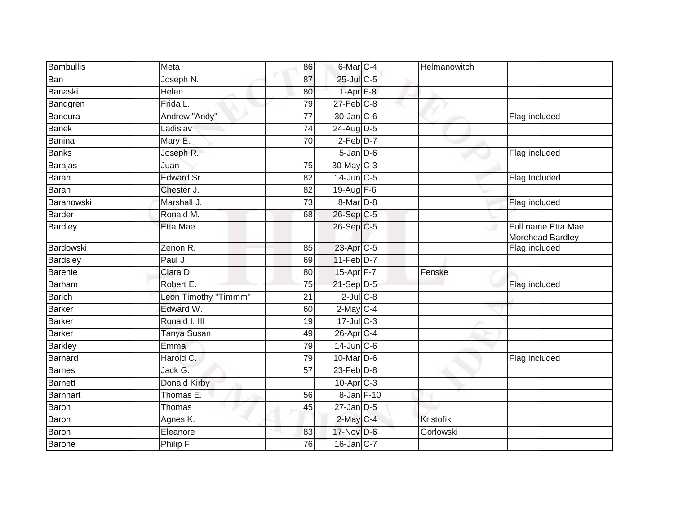| Bambullis       | Meta                 | 86              | 6-Mar <sub>C-4</sub>  | Helmanowitch |                                                |
|-----------------|----------------------|-----------------|-----------------------|--------------|------------------------------------------------|
| Ban             | Joseph N.            | 87              | 25-Jul C-5            |              |                                                |
| Banaski         | Helen                | 80              | $1-AprF-8$            |              |                                                |
| Bandgren        | $Frida$ L.           | 79              | $27$ -Feb $ C-8$      |              |                                                |
| <b>Bandura</b>  | Andrew "Andy"        | $\overline{77}$ | 30-Jan C-6            |              | Flag included                                  |
| <b>Banek</b>    | Ladislav             | 74              | 24-Aug D-5            |              |                                                |
| <b>Banina</b>   | Mary E.              | 70              | $2-Feb$ D-7           |              |                                                |
| <b>Banks</b>    | Joseph R.            |                 | $5$ -Jan $D$ -6       |              | Flag included                                  |
| Barajas         | Juan                 | 75              | 30-May C-3            |              |                                                |
| Baran           | Edward Sr.           | 82              | $14$ -Jun $C-5$       |              | Flag Included                                  |
| Baran           | Chester J.           | 82              | 19-Aug F-6            |              |                                                |
| Baranowski      | Marshall J.          | 73              | 8-Mar D-8             |              | Flag included                                  |
| <b>Barder</b>   | Ronald M.            | 68              | 26-Sep C-5            |              |                                                |
| <b>Bardley</b>  | Etta Mae             |                 | 26-Sep C-5            |              | Full name Etta Mae<br>الات<br>Morehead Bardley |
| Bardowski       | Zenon R.             | 85              | 23-Apr C-5            |              | Flag included                                  |
| <b>Bardsley</b> | Paul J.              | 69              | $11-Feb$ D-7          |              |                                                |
| <b>Barenie</b>  | Clara D.             | 80              | 15-Apr F-7            | Fenske       |                                                |
| <b>Barham</b>   | Robert E.            | 75              | 21-Sep D-5            |              | Flag included                                  |
| <b>Barich</b>   | Leon Timothy "Timmm" | 21              | $2$ -Jul $C$ -8       |              |                                                |
| <b>Barker</b>   | Edward W.            | 60              | $2$ -May C-4          |              |                                                |
| <b>Barker</b>   | Ronald I. III        | 19              | $17 -$ Jul $C - 3$    |              |                                                |
| <b>Barker</b>   | Tanya Susan          | 49              | 26-Apr <sub>C-4</sub> |              |                                                |
| <b>Barkley</b>  | Emma                 | 79              | $14$ -Jun $C$ -6      |              |                                                |
| <b>Barnard</b>  | Harold C.            | 79              | 10-Mar D-6            |              | Flag included                                  |
| <b>Barnes</b>   | Jack G.              | $\overline{57}$ | $23$ -Feb $D-8$       |              |                                                |
| <b>Barnett</b>  | <b>Donald Kirby</b>  |                 | $10-Apr$ $C-3$        |              |                                                |
| <b>Barnhart</b> | Thomas E.            | 56              | 8-Jan F-10            |              |                                                |
| Baron           | Thomas               | 45              | $27$ -Jan $D-5$       |              |                                                |
| Baron           | Agnes K.             |                 | $2$ -May $C-4$        | Kristofik    |                                                |
| Baron           | Eleanore             | 83              | 17-Nov D-6            | Gorlowski    |                                                |
| Barone          | Philip F.            | 76              | $16$ -Jan $ C-7 $     |              |                                                |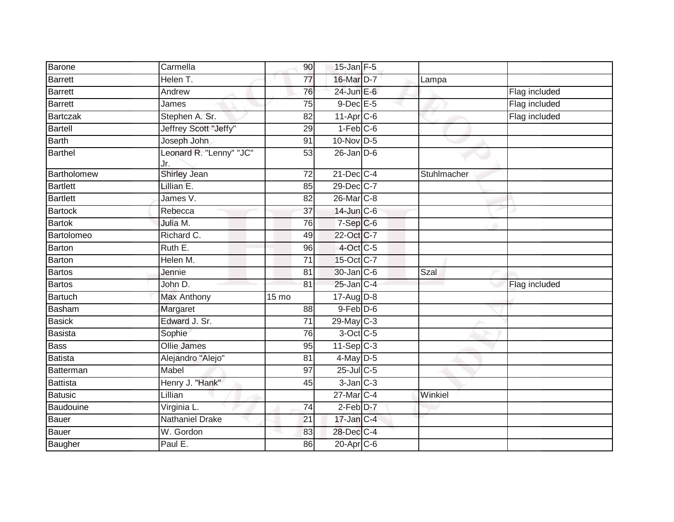| Barone          | Carmella                       | 90              | $15$ -Jan $F-5$        |             |               |
|-----------------|--------------------------------|-----------------|------------------------|-------------|---------------|
| <b>Barrett</b>  | Helen T.                       | $\overline{77}$ | 16-Mar D-7             | Lampa       |               |
| <b>Barrett</b>  | Andrew                         | 76              | 24-Jun E-6             |             | Flag included |
| <b>Barrett</b>  | James                          | 75              | $9$ -Dec $E$ -5        |             | Flag included |
| Bartczak        | Stephen A. Sr.                 | 82              | 11-Apr C-6             |             | Flag included |
| <b>Bartell</b>  | Jeffrey Scott "Jeffy"          | 29              | $1-Feb$ <sub>C-6</sub> |             |               |
| <b>Barth</b>    | Joseph John                    | 91              | 10-Nov D-5             |             |               |
| <b>Barthel</b>  | Leonard R. "Lenny" "JC"<br>Jr. | $\overline{53}$ | $26$ -Jan $D-6$        |             |               |
| Bartholomew     | <b>Shirley Jean</b>            | 72              | $21$ -Dec $C-4$        | Stuhlmacher |               |
| <b>Bartlett</b> | Lillian E.                     | 85              | 29-Dec C-7             |             |               |
| <b>Bartlett</b> | James V.                       | 82              | 26-Mar C-8             |             |               |
| <b>Bartock</b>  | Rebecca                        | 37              | 14-Jun C-6             |             |               |
| <b>Bartok</b>   | Julia M.                       | 76              | $7-Sep C-6$            |             |               |
| Bartolomeo      | Richard C.                     | 49              | 22-Oct C-7             |             |               |
| Barton          | Ruth E.                        | 96              | $4$ -Oct C-5           |             |               |
| <b>Barton</b>   | Helen M.                       | $\overline{71}$ | 15-Oct C-7             |             |               |
| <b>Bartos</b>   | Jennie                         | 81              | 30-Jan C-6             | Szal        |               |
| <b>Bartos</b>   | John D.                        | 81              | $25$ -Jan $C-4$        |             | Flag included |
| <b>Bartuch</b>  | <b>Max Anthony</b>             | 15 mo           | $17$ -AugD-8           |             |               |
| <b>Basham</b>   | Margaret                       | $\overline{88}$ | $9$ -Feb $D$ -6        |             |               |
| <b>Basick</b>   | Edward J. Sr.                  | 71              | 29-May C-3             |             |               |
| <b>Basista</b>  | Sophie                         | 76              | $3-Oct$ $C-5$          |             |               |
| <b>Bass</b>     | <b>Ollie James</b>             | 95              | $11-Sep$ C-3           |             |               |
| Batista         | Alejandro "Alejo"              | 81              | 4-May D-5              |             |               |
| Batterman       | Mabel                          | $\overline{97}$ | $25$ -Jul C-5          |             |               |
| <b>Battista</b> | Henry J. "Hank"                | 45              | $3$ -Jan $C-3$         |             |               |
| <b>Batusic</b>  | Lillian                        |                 | 27-Mar C-4             | Winkiel     |               |
| Baudouine       | Virginia L.                    | 74              | 2-Feb D-7              |             |               |
| <b>Bauer</b>    | <b>Nathaniel Drake</b>         | 21              | 17-Jan C-4             |             |               |
| Bauer           | W. Gordon                      | 83              | 28-Dec C-4             |             |               |
| Baugher         | Paul E.                        | 86              | 20-Apr <sub>C-6</sub>  |             |               |
|                 |                                |                 |                        |             |               |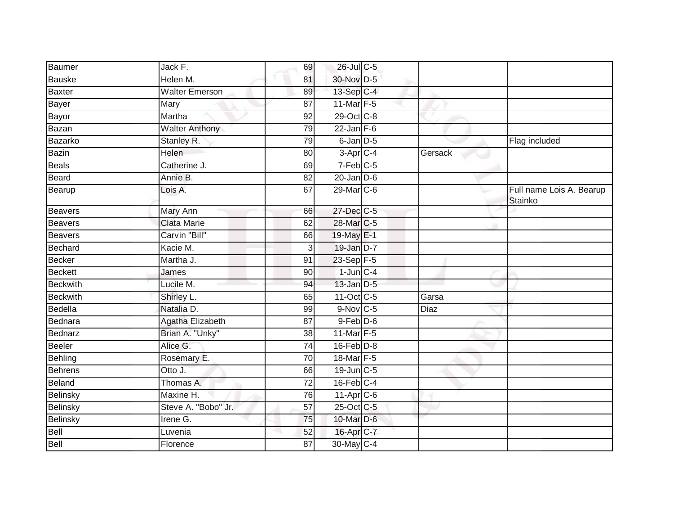| Baumer          | Jack F.                | 69              | 26-Jul C-5              |             |                                     |
|-----------------|------------------------|-----------------|-------------------------|-------------|-------------------------------------|
| <b>Bauske</b>   | Helen M.               | 81              | 30-Nov D-5              |             |                                     |
| <b>Baxter</b>   | <b>Walter Emerson</b>  | 89              | 13-Sep C-4              |             |                                     |
| Bayer           | Mary                   | 87              | 11-Mar $F-5$            |             |                                     |
| Bayor           | Martha                 | $\overline{92}$ | 29-Oct C-8              |             |                                     |
| Bazan           | <b>Walter Anthony</b>  | 79              | $22$ -Jan F-6           |             |                                     |
| Bazarko         | Stanley R.             | 79              | 6-Jan D-5               |             | Flag included                       |
| <b>Bazin</b>    | Helen                  | 80              | $3-Apr$ <sub>C-4</sub>  | Gersack     |                                     |
| <b>Beals</b>    | Catherine J.           | 69              | $7-Feb$ <sub>C-5</sub>  |             |                                     |
| Beard           | Annie B.               | $\overline{82}$ | $20$ -Jan $D-6$         |             |                                     |
| Bearup          | Lois A.                | 67              | 29-Mar C-6              |             | Full name Lois A. Bearup<br>Stainko |
| <b>Beavers</b>  | Mary Ann               | 66              | 27-Dec C-5              |             |                                     |
| <b>Beavers</b>  | <b>Clata Marie</b>     | 62              | 28-Mar C-5              |             |                                     |
| <b>Beavers</b>  | Carvin "Bill"          | 66              | 19-May E-1              |             |                                     |
| Bechard         | Kacie M.               | 3               | 19-Jan D-7              |             |                                     |
| <b>Becker</b>   | Martha J.              | 91              | 23-Sep F-5              |             |                                     |
| <b>Beckett</b>  | James                  | 90              | $1$ -Jun $C-4$          |             |                                     |
| <b>Beckwith</b> | Lucile M.              | 94              | $13$ -Jan $D-5$         |             |                                     |
| <b>Beckwith</b> | Shirley L.             | 65              | $11-Oct$ <sub>C-5</sub> | Garsa       |                                     |
| Bedella         | Natalia D.             | 99              | 9-Nov C-5               | <b>Diaz</b> |                                     |
| Bednara         | Agatha Elizabeth       | 87              | $9$ -Feb $D$ -6         |             |                                     |
| <b>Bednarz</b>  | Brian A. "Unky"        | 38              | 11-Mar $F-5$            |             |                                     |
| <b>Beeler</b>   | Alice G.               | 74              | $16$ -Feb $D-8$         |             |                                     |
| Behling         | Rosemary E.            | 70              | 18-Mar F-5              |             |                                     |
| <b>Behrens</b>  | Otto J.                | 66              | 19-Jun C-5              |             |                                     |
| Beland          | Thomas A.              | $\overline{72}$ | $16$ -Feb $C-4$         |             |                                     |
| Belinsky        | Maxine H.              | 76              | $11$ -Apr $C$ -6        |             |                                     |
| Belinsky        | Steve A. "Bobo" Jr.    | 57              | 25-Oct C-5              |             |                                     |
| Belinsky        | Irene $\overline{G}$ . | 75              | 10-Mar D-6              |             |                                     |
| Bell            | Luvenia                | 52              | 16-Apr C-7              |             |                                     |
| Bell            | Florence               | 87              | 30-May C-4              |             |                                     |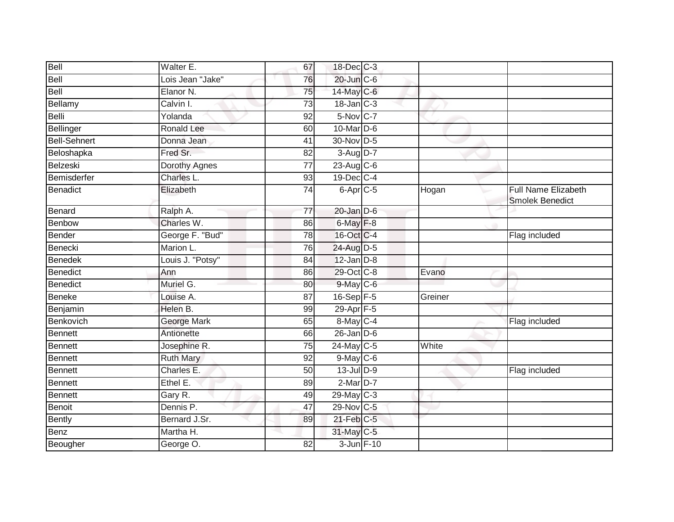| Bell                | Walter E.         | 67              | 18-Dec C-3                  |         |                                                      |
|---------------------|-------------------|-----------------|-----------------------------|---------|------------------------------------------------------|
| Bell                | Lois Jean "Jake"  | 76              | 20-Jun C-6                  |         |                                                      |
| Bell                | Elanor N.         | 75              | 14-May C-6                  |         |                                                      |
| Bellamy             | Calvin I.         | 73              | $18$ -Jan $\overline{C}$ -3 |         |                                                      |
| Belli               | Yolanda           | $\overline{92}$ | $5-Nov$ <sub>C-7</sub>      |         |                                                      |
| Bellinger           | <b>Ronald Lee</b> | 60              | 10-Mar D-6                  |         |                                                      |
| <b>Bell-Sehnert</b> | Donna Jean        | 41              | 30-Nov D-5                  |         |                                                      |
| Beloshapka          | Fred Sr.          | 82              | 3-Aug D-7                   |         |                                                      |
| Belzeski            | Dorothy Agnes     | 77              | 23-Aug C-6                  |         |                                                      |
| Bemisderfer         | Charles L.        | 93              | 19-Dec C-4                  |         |                                                      |
| Benadict            | Elizabeth         | 74              | $6-Apr$ <sub>C-5</sub>      | Hogan   | <b>Full Name Elizabeth</b><br><b>Smolek Benedict</b> |
| Benard              | Ralph A.          | $\overline{77}$ | $20$ -Jan $D-6$             |         |                                                      |
| <b>Benbow</b>       | Charles W.        | 86              | 6-May F-8                   |         |                                                      |
| Bender              | George F. "Bud"   | 78              | 16-Oct C-4                  |         | Flag included                                        |
| Benecki             | Marion L.         | 76              | 24-Aug D-5                  |         |                                                      |
| Benedek             | Louis J. "Potsy"  | 84              | $12$ -Jan $D-8$             |         |                                                      |
| Benedict            | Ann               | 86              | 29-Oct C-8                  | Evano   |                                                      |
| Benedict            | Muriel G.         | 80              | 9-May C-6                   |         |                                                      |
| Beneke              | Louise A.         | 87              | $16 - Sep$ $F-5$            | Greiner |                                                      |
| Benjamin            | Helen B.          | 99              | 29-Apr F-5                  |         |                                                      |
| Benkovich           | George Mark       | 65              | 8-May C-4                   |         | Flag included                                        |
| <b>Bennett</b>      | Antionette        | 66              | $26$ -Jan $D-6$             |         |                                                      |
| <b>Bennett</b>      | Josephine R.      | 75              | 24-May C-5                  | White   |                                                      |
| Bennett             | <b>Ruth Mary</b>  | 92              | 9-May C-6                   |         |                                                      |
| Bennett             | Charles E.        | 50              | $13$ -Jul $D-9$             |         | Flag included                                        |
| Bennett             | Ethel E.          | 89              | $2-MarD-7$                  |         |                                                      |
| Bennett             | Gary R.           | 49              | $29$ -May C-3               |         |                                                      |
| Benoit              | Dennis P.         | 47              | 29-Nov C-5                  |         |                                                      |
| Bently              | Bernard J.Sr.     | 89              | 21-Feb C-5                  |         |                                                      |
| <b>Benz</b>         | Martha H.         |                 | 31-May C-5                  |         |                                                      |
| Beougher            | George O.         | 82              | 3-Jun F-10                  |         |                                                      |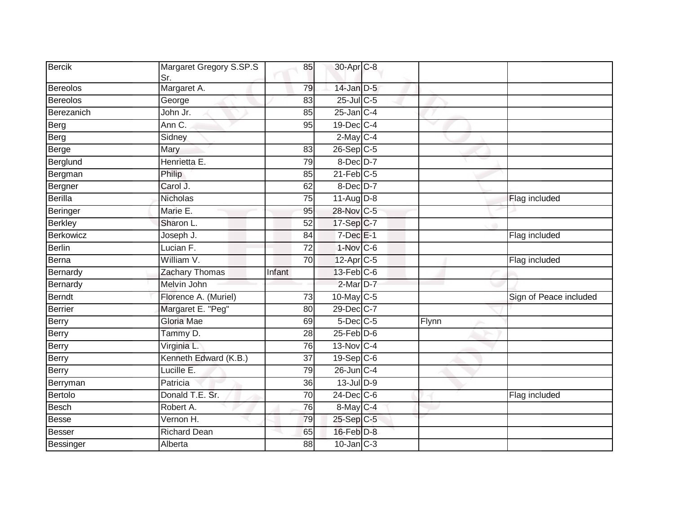| <b>Bercik</b>   | Margaret Gregory S.SP.S<br>Sr. | 85              | 30-Apr C-8            |       |                        |
|-----------------|--------------------------------|-----------------|-----------------------|-------|------------------------|
| Bereolos        | Margaret A.                    | 79              | $14$ -Jan $D-5$       |       |                        |
| <b>Bereolos</b> | George                         | 83              | $25$ -Jul C-5         |       |                        |
| Berezanich      | John Jr.                       | 85              | $25$ -Jan $C-4$       |       |                        |
| Berg            | Ann C.                         | 95              | 19-Dec C-4            |       |                        |
| Berg            | Sidney                         |                 | $2$ -May C-4          |       |                        |
| Berge           | Mary                           | 83              | $26-Sep$ C-5          |       |                        |
| Berglund        | Henrietta E.                   | 79              | $8$ -Dec $D-7$        |       |                        |
| Bergman         | Philip                         | 85              | $21$ -Feb $C-5$       |       |                        |
| Bergner         | Carol J.                       | 62              | $8$ -Dec $D-7$        |       |                        |
| Berilla         | <b>Nicholas</b>                | 75              | $11-Aug$ D-8          |       | Flag included          |
| Beringer        | Marie E.                       | 95              | 28-Nov C-5            |       |                        |
| <b>Berkley</b>  | Sharon L.                      | 52              | 17-Sep C-7            |       |                        |
| Berkowicz       | Joseph J.                      | 84              | $7$ -Dec $E-1$        |       | Flag included          |
| <b>Berlin</b>   | Lucian F.                      | $\overline{72}$ | 1-Nov C-6             |       |                        |
| Berna           | William V.                     | 70              | 12-Apr <sub>C-5</sub> |       | Flag included          |
| Bernardy        | Zachary Thomas                 | Infant          | $13$ -Feb $C$ -6      |       |                        |
| Bernardy        | Melvin John                    |                 | 2-Mar D-7             |       |                        |
| <b>Berndt</b>   | Florence A. (Muriel)           | 73              | $10$ -May C-5         |       | Sign of Peace included |
| <b>Berrier</b>  | Margaret E. "Peg"              | 80              | 29-Dec C-7            |       |                        |
| <b>Berry</b>    | Gloria Mae                     | 69              | $5$ -Dec $C$ -5       | Flynn |                        |
| Berry           | Tammy D.                       | 28              | $25$ -Feb $D-6$       |       |                        |
| Berry           | Virginia L.                    | 76              | 13-Nov C-4            |       |                        |
| <b>Berry</b>    | Kenneth Edward (K.B.)          | 37              | $19-Sep C-6$          |       |                        |
| Berry           | Lucille E.                     | 79              | 26-Jun C-4            |       |                        |
| Berryman        | Patricia                       | 36              | $13$ -Jul $D-9$       |       |                        |
| Bertolo         | Donald T.E. Sr.                | 70              | 24-Dec C-6            |       | Flag included          |
| <b>Besch</b>    | Robert A.                      | 76              | $8$ -May $C$ -4       |       |                        |
| <b>Besse</b>    | Vernon H.                      | 79              | 25-Sep C-5            |       |                        |
| <b>Besser</b>   | <b>Richard Dean</b>            | 65              | $16$ -Feb $D-8$       |       |                        |
| Bessinger       | Alberta                        | 88              | $10$ -Jan $C-3$       |       |                        |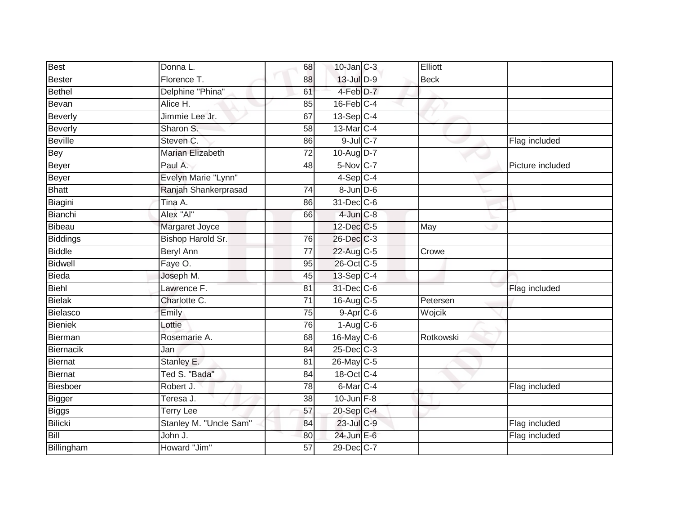| <b>Best</b>     | Donna L.                | 68              | $10$ -Jan $C-3$                     | Elliott     |                  |
|-----------------|-------------------------|-----------------|-------------------------------------|-------------|------------------|
| Bester          | Florence T.             | 88              | $13$ -Jul $D-9$                     | <b>Beck</b> |                  |
| Bethel          | Delphine "Phina"        | 61              | 4-Feb D-7                           |             |                  |
| Bevan           | Alice H.                | 85              | $16$ -Feb $C-4$                     |             |                  |
| Beverly         | Jimmie Lee Jr.          | 67              | $13-Sep C-4$                        |             |                  |
| <b>Beverly</b>  | Sharon S.               | 58              | 13-Mar C-4                          |             |                  |
| <b>Beville</b>  | Steven C.               | 86              | $9$ -Jul $C$ -7                     |             | Flag included    |
| Bey             | <b>Marian Elizabeth</b> | $\overline{72}$ | 10-Aug D-7                          |             |                  |
| Beyer           | Paul A.                 | 48              | 5-Nov C-7                           |             | Picture included |
| Beyer           | Evelyn Marie "Lynn"     |                 | $4-Sep$ <sub><math>C-4</math></sub> |             |                  |
| <b>Bhatt</b>    | Ranjah Shankerprasad    | 74              | $8$ -Jun $D$ -6                     |             |                  |
| Biagini         | Tina A.                 | 86              | 31-Dec C-6                          |             |                  |
| Bianchi         | Alex "Al"               | 66              | $4$ -Jun $C-8$                      |             |                  |
| Bibeau          | Margaret Joyce          |                 | 12-Dec C-5                          | May         |                  |
| <b>Biddings</b> | Bishop Harold Sr.       | 76              | 26-Dec C-3                          |             |                  |
| <b>Biddle</b>   | <b>Beryl Ann</b>        | $\overline{77}$ | 22-Aug C-5                          | Crowe       |                  |
| Bidwell         | Faye O.                 | 95              | 26-Oct C-5                          |             |                  |
| <b>Bieda</b>    | Joseph M.               | 45              | $13-Sep$ C-4                        |             |                  |
| Biehl           | Lawrence F.             | 81              | 31-Dec C-6                          |             | Flag included    |
| Bielak          | Charlotte C.            | $\overline{71}$ | 16-Aug C-5                          | Petersen    |                  |
| Bielasco        | Emily                   | 75              | $9 - Apr$ $C - 6$                   | Wojcik      |                  |
| Bieniek         | Lottie                  | 76              | $1-Aug$ C-6                         |             |                  |
| Bierman         | Rosemarie A.            | 68              | 16-May C-6                          | Rotkowski   |                  |
| Biernacik       | Jan                     | 84              | $25$ -Dec $C$ -3                    |             |                  |
| <b>Biernat</b>  | Stanley E.              | 81              | 26-May C-5                          |             |                  |
| Biernat         | Ted S. "Bada"           | 84              | 18-Oct C-4                          |             |                  |
| Biesboer        | Robert J.               | $\overline{78}$ | 6-Mar C-4                           |             | Flag included    |
| Bigger          | Teresa J.               | 38              | $10$ -Jun $F-8$                     |             |                  |
| <b>Biggs</b>    | <b>Terry Lee</b>        | 57              | 20-Sep C-4                          |             |                  |
| Bilicki         | Stanley M. "Uncle Sam"  | 84              | 23-Jul C-9                          |             | Flag included    |
| Bill            | John J.                 | 80              | $24$ -Jun $E-6$                     |             | Flag included    |
| Billingham      | Howard "Jim"            | 57              | 29-Dec C-7                          |             |                  |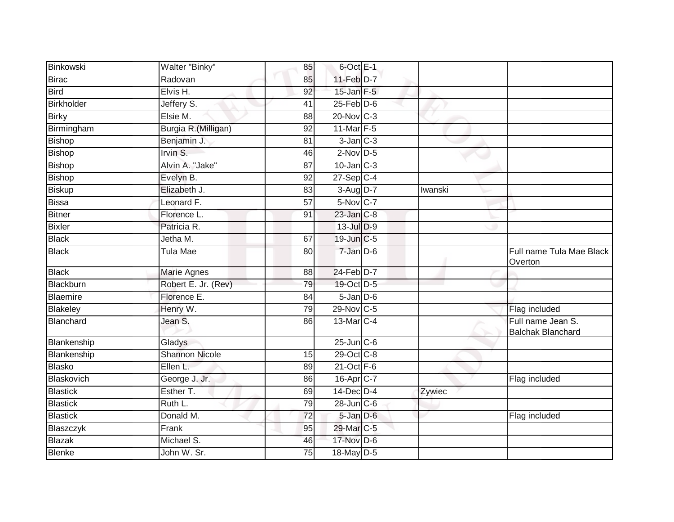| Binkowski         | Walter "Binky"        | 85              | $6$ -Oct $E-1$    |         |                                               |
|-------------------|-----------------------|-----------------|-------------------|---------|-----------------------------------------------|
| <b>Birac</b>      | Radovan               | 85              | $11-Feb$ D-7      |         |                                               |
| <b>Bird</b>       | Elvis H.              | $\overline{92}$ | $15$ -Jan $F-5$   |         |                                               |
| <b>Birkholder</b> | Jeffery S.            | 41              | $25$ -Feb $D-6$   |         |                                               |
| <b>Birky</b>      | Elsie M.              | $\overline{88}$ | $20$ -Nov $ C-3 $ |         |                                               |
| Birmingham        | Burgia R. (Milligan)  | 92              | 11-Mar F-5        |         |                                               |
| Bishop            | Benjamin J.           | 81              | $3$ -Jan $C-3$    |         |                                               |
| <b>Bishop</b>     | Irvin $S$ .           | 46              | $2$ -Nov $D-5$    |         |                                               |
| Bishop            | Alvin A. "Jake"       | 87              | $10$ -Jan $C-3$   |         |                                               |
| <b>Bishop</b>     | Evelyn B.             | 92              | $27$ -Sep C-4     |         |                                               |
| <b>Biskup</b>     | Elizabeth J.          | 83              | $3-Aug$ $D-7$     | Iwanski |                                               |
| <b>Bissa</b>      | Leonard F.            | 57              | 5-Nov C-7         |         |                                               |
| <b>Bitner</b>     | Florence L.           | 91              | 23-Jan C-8        |         |                                               |
| <b>Bixler</b>     | Patricia R.           |                 | 13-Jul D-9        |         |                                               |
| <b>Black</b>      | Jetha M.              | 67              | 19-Jun C-5        |         |                                               |
| <b>Black</b>      | <b>Tula Mae</b>       | 80              | 7-Jan D-6         |         | Full name Tula Mae Black<br>Overton           |
| <b>Black</b>      | <b>Marie Agnes</b>    | 88              | 24-Feb D-7        |         |                                               |
| Blackburn         | Robert E. Jr. (Rev)   | 79              | 19-Oct D-5        |         |                                               |
| Blaemire          | Florence E.           | 84              | $5$ -Jan $D$ -6   |         |                                               |
| Blakeley          | Henry W.              | 79              | 29-Nov C-5        |         | Flag included                                 |
| Blanchard         | Jean S.               | 86              | 13-Mar C-4        |         | Full name Jean S.<br><b>Balchak Blanchard</b> |
| Blankenship       | Gladys                |                 | $25$ -Jun $C$ -6  |         |                                               |
| Blankenship       | <b>Shannon Nicole</b> | 15              | 29-Oct C-8        |         |                                               |
| <b>Blasko</b>     | Ellen L.              | 89              | $21$ -Oct F-6     |         |                                               |
| Blaskovich        | George J. Jr.         | 86              | 16-Apr C-7        |         | Flag included                                 |
| <b>Blastick</b>   | Esther T.             | 69              | $14$ -Dec $D-4$   | Zywiec  |                                               |
| <b>Blastick</b>   | Ruth L.               | 79              | 28-Jun C-6        |         |                                               |
| <b>Blastick</b>   | Donald M.             | 72              | $5 - Jan$ $D-6$   |         | Flag included                                 |
| Blaszczyk         | $\overline{F}$ rank   | 95              | 29-Mar C-5        |         |                                               |
| <b>Blazak</b>     | Michael S.            | 46              | 17-Nov D-6        |         |                                               |
| <b>Blenke</b>     | John W. Sr.           | 75              | $18$ -May D-5     |         |                                               |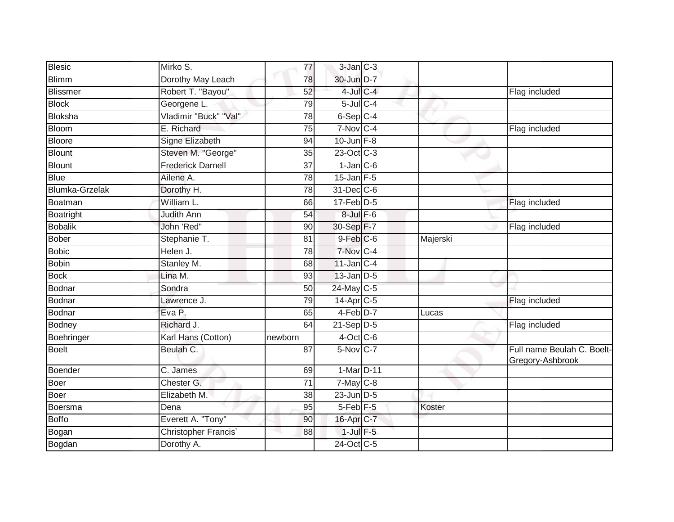| <b>Blesic</b>         | Mirko S.                 | 77              | $3$ -Jan $C-3$              |          |                                                |
|-----------------------|--------------------------|-----------------|-----------------------------|----------|------------------------------------------------|
| <b>Blimm</b>          | Dorothy May Leach        | 78              | 30-Jun D-7                  |          |                                                |
| Blissmer              | Robert T. "Bayou"        | 52              | $4$ -Jul $C-4$              |          | Flag included                                  |
| <b>Block</b>          | Georgene L.              | 79              | $5$ -Jul $C$ -4             |          |                                                |
| Bloksha               | Vladimir "Buck" "Val"    | 78              | 6-Sep C-4                   |          |                                                |
| <b>Bloom</b>          | E. Richard               | 75              | $7-Nov$ C-4                 |          | Flag included                                  |
| Bloore                | Signe Elizabeth          | 94              | $10$ -Jun $F-8$             |          |                                                |
| <b>Blount</b>         | Steven M. "George"       | 35              | 23-Oct C-3                  |          |                                                |
| Blount                | <b>Frederick Darnell</b> | 37              | $1-Jan$ $C-6$               |          |                                                |
| <b>Blue</b>           | Ailene A.                | $\overline{78}$ | $15$ -Jan $F-5$             |          |                                                |
| <b>Blumka-Grzelak</b> | Dorothy H.               | $\overline{78}$ | 31-Dec C-6                  |          |                                                |
| Boatman               | William L.               | 66              | $17$ -Feb $\overline{D}$ -5 |          | Flag included                                  |
| Boatright             | Judith Ann               | 54              | $8$ -Jul $F$ -6             |          |                                                |
| <b>Bobalik</b>        | John 'Red"               | 90              | 30-Sep F-7                  |          | Flag included                                  |
| Bober                 | Stephanie T.             | 81              | $9$ -Feb $C$ -6             | Majerski |                                                |
| <b>Bobic</b>          | Helen J.                 | 78              | 7-Nov C-4                   |          |                                                |
| <b>Bobin</b>          | Stanley M.               | 68              | $11$ -Jan $C-4$             |          |                                                |
| <b>Bock</b>           | Lina M.                  | 93              | $13$ -Jan $D-5$             |          |                                                |
| Bodnar                | Sondra                   | 50              | 24-May C-5                  |          |                                                |
| Bodnar                | Lawrence J.              | 79              | $14$ -Apr $C$ -5            |          | Flag included                                  |
| Bodnar                | Eva P.                   | 65              | $4-Feb D-7$                 | Lucas    |                                                |
| Bodney                | Richard J.               | 64              | $21-Sep$ D-5                |          | Flag included                                  |
| Boehringer            | Karl Hans (Cotton)       | newborn         | $4$ -Oct C-6                |          |                                                |
| <b>Boelt</b>          | Beulah C.                | 87              | $5-Nov$ C-7                 |          | Full name Beulah C. Boelt-<br>Gregory-Ashbrook |
| Boender               | C. James                 | 69              | 1-Mar D-11                  |          |                                                |
| Boer                  | Chester G.               | 71              | $7$ -May $C$ -8             |          |                                                |
| Boer                  | Elizabeth M.             | 38              | $23$ -Jun $D-5$             |          |                                                |
| Boersma               | Dena                     | 95              | 5-Feb <sup>F-5</sup>        | Koster   |                                                |
| Boffo                 | Everett A. "Tony"        | 90              | 16-Apr C-7                  |          |                                                |
| Bogan                 | Christopher Francis'     | 88              | $1$ -Jul $F-5$              |          |                                                |
| Bogdan                | Dorothy A.               |                 | 24-Oct C-5                  |          |                                                |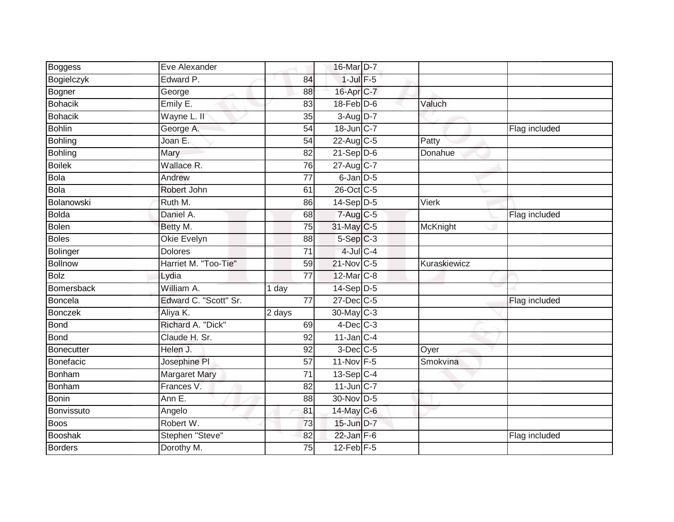| Boggess         | Eve Alexander         |                 | 16-Mar D-7         |              |               |
|-----------------|-----------------------|-----------------|--------------------|--------------|---------------|
| Bogielczyk      | Edward P.             | 84              | $1$ -Jul $F-5$     |              |               |
| Bogner          | George                | 88              | 16-Apr C-7         |              |               |
| Bohacik         | Emily E.              | 83              | $18$ -Feb $D-6$    | Valuch       |               |
| <b>Bohacik</b>  | Wayne L. II           | 35              | 3-Aug D-7          |              |               |
| Bohlin          | George A.             | 54              | 18-Jun C-7         |              | Flag included |
| <b>Bohling</b>  | Joan E.               | 54              | 22-Aug C-5         | Patty        |               |
| <b>Bohling</b>  | Mary                  | 82              | $21-Sep$ D-6       | Donahue      |               |
| <b>Boilek</b>   | Wallace R.            | 76              | 27-Aug C-7         |              |               |
| Bola            | Andrew                | $\overline{77}$ | $6$ -Jan $D-5$     |              |               |
| Bola            | Robert John           | 61              | 26-Oct C-5         |              |               |
| Bolanowski      | Ruth M.               | 86              | $14-Sep$ D-5       | Vierk        |               |
| <b>Bolda</b>    | Daniel A.             | 68              | 7-Aug C-5          |              | Flag included |
| Bolen           | Betty M.              | 75              | 31-May C-5         | McKnight     |               |
| <b>Boles</b>    | Okie Evelyn           | 88              | $5-Sep$ $C-3$      |              |               |
| <b>Bolinger</b> | <b>Dolores</b>        | $\overline{71}$ | 4-Jul C-4          |              |               |
| <b>Bollnow</b>  | Harriet M. "Too-Tie"  | 59              | 21-Nov C-5         | Kuraskiewicz |               |
| <b>Bolz</b>     | Lydia                 | $\overline{77}$ | 12-Mar C-8         |              |               |
| Bomersback      | William A.            | 1 day           | 14-Sep D-5         |              |               |
| Boncela         | Edward C. "Scott" Sr. | $\overline{77}$ | 27-Dec C-5         |              | Flag included |
| <b>Bonczek</b>  | Aliya K.              | 2 days          | 30-May C-3         |              |               |
| <b>Bond</b>     | Richard A. "Dick"     | 69              | $4$ -Dec $C-3$     |              |               |
| Bond            | Claude H. Sr.         | 92              | $11$ -Jan C-4      |              |               |
| Bonecutter      | Helen J.              | 92              | $3$ -Dec $C$ -5    | Oyer         |               |
| Bonefacic       | Josephine PI          | 57              | 11-Nov F-5         | Smokvina     |               |
| Bonham          | <b>Margaret Mary</b>  | $\overline{71}$ | $13-\text{Sep}C-4$ |              |               |
| Bonham          | Frances V.            | 82              | $11$ -Jun $C-7$    |              |               |
| Bonin           | Ann E.                | 88              | 30-Nov D-5         |              |               |
| Bonvissuto      | Angelo                | 81              | 14-May C-6         |              |               |
| <b>Boos</b>     | Robert W.             | 73              | 15-Jun D-7         |              |               |
| Booshak         | Stephen "Steve"       | 82              | $22$ -Jan F-6      |              | Flag included |
| <b>Borders</b>  | Dorothy M.            | 75              | $12$ -Feb $F-5$    |              |               |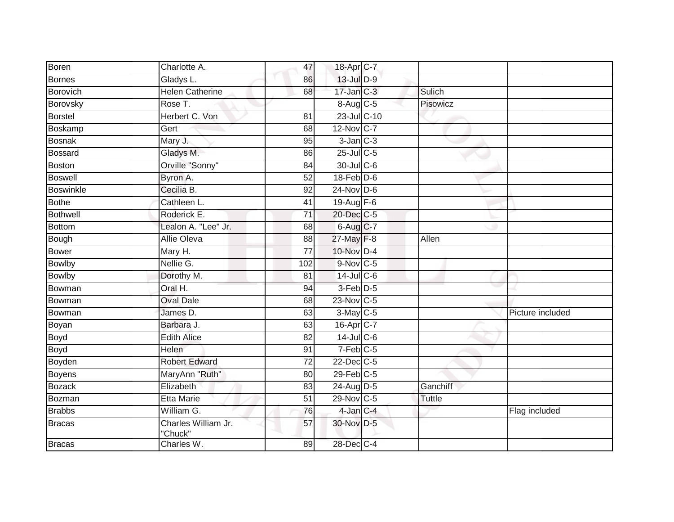| Boren            | Charlotte A.                   | 47              | 18-Apr C-7                |               |                  |
|------------------|--------------------------------|-----------------|---------------------------|---------------|------------------|
| Bornes           | Gladys L.                      | 86              | 13-Jul D-9                |               |                  |
| Borovich         | <b>Helen Catherine</b>         | 68              | $17 - Jan$ <sub>C-3</sub> | Sulich        |                  |
| Borovsky         | Rose T.                        |                 | 8-Aug C-5                 | Pisowicz      |                  |
| <b>Borstel</b>   | Herbert C. Von                 | $\overline{81}$ | 23-Jul C-10               |               |                  |
| Boskamp          | Gert                           | 68              | 12-Nov C-7                |               |                  |
| <b>Bosnak</b>    | Mary J.                        | 95              | $3$ -Jan $C-3$            |               |                  |
| Bossard          | Gladys M.                      | 86              | 25-Jul C-5                |               |                  |
| Boston           | Orville "Sonny"                | 84              | 30-Jul C-6                |               |                  |
| <b>Boswell</b>   | Byron A.                       | 52              | $18$ -Feb $D-6$           |               |                  |
| <b>Boswinkle</b> | Cecilia B.                     | 92              | $24$ -Nov D-6             |               |                  |
| <b>Bothe</b>     | Cathleen L.                    | 41              | 19-Aug $F-6$              |               |                  |
| <b>Bothwell</b>  | Roderick E.                    | 71              | 20-Dec C-5                |               |                  |
| <b>Bottom</b>    | Lealon A. "Lee" Jr.            | 68              | 6-Aug C-7                 |               |                  |
| Bough            | <b>Allie Oleva</b>             | $\overline{88}$ | 27-May F-8                | Allen         |                  |
| Bower            | Mary H.                        | $\overline{77}$ | 10-Nov D-4                |               |                  |
| <b>Bowlby</b>    | Nellie G.                      | 102             | $9-Nov$ C-5               |               |                  |
| <b>Bowlby</b>    | Dorothy M.                     | 81              | $14$ -JulC-6              |               |                  |
| Bowman           | Oral H.                        | 94              | 3-Feb D-5                 |               |                  |
| Bowman           | <b>Oval Dale</b>               | 68              | $23$ -Nov C-5             |               |                  |
| Bowman           | James D.                       | 63              | $3$ -May C-5              |               | Picture included |
| Boyan            | Barbara J.                     | 63              | 16-Apr C-7                |               |                  |
| Boyd             | <b>Edith Alice</b>             | 82              | 14-Jul C-6                |               |                  |
| <b>Boyd</b>      | Helen                          | 91              | $7-Feb$ C-5               |               |                  |
| Boyden           | <b>Robert Edward</b>           | 72              | $22$ -Dec $C-5$           |               |                  |
| Boyens           | MaryAnn "Ruth"                 | 80              | $29$ -Feb $ C-5 $         |               |                  |
| <b>Bozack</b>    | Elizabeth                      | 83              | 24-Aug D-5                | Ganchiff      |                  |
| Bozman           | <b>Etta Marie</b>              | 51              | 29-Nov C-5                | <b>Tuttle</b> |                  |
| <b>Brabbs</b>    | William G.                     | 76              | $4$ -Jan $C-4$            |               | Flag included    |
| <b>Bracas</b>    | Charles William Jr.<br>"Chuck" | 57              | 30-Nov D-5                |               |                  |
| <b>Bracas</b>    | Charles W.                     | 89              | 28-Dec C-4                |               |                  |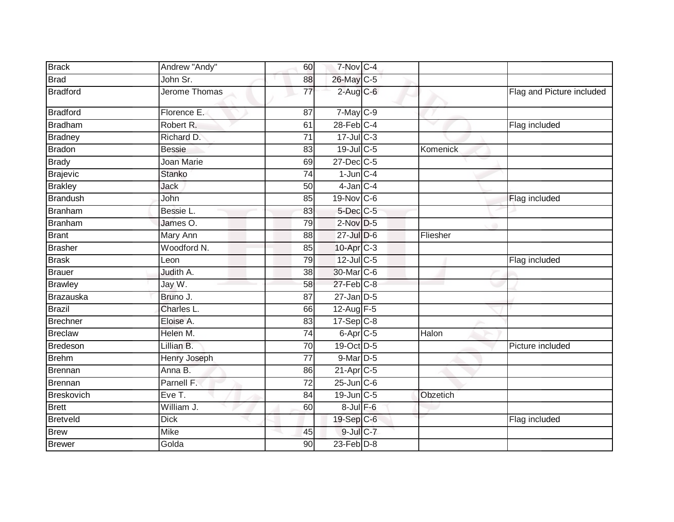| <b>Brack</b>    | Andrew "Andy" | 60 | 7-Nov C-4               |          |                           |
|-----------------|---------------|----|-------------------------|----------|---------------------------|
| <b>Brad</b>     | John Sr.      | 88 | 26-May C-5              |          |                           |
| <b>Bradford</b> | Jerome Thomas | 77 | $2$ -Aug $C$ -6         |          | Flag and Picture included |
| <b>Bradford</b> | Florence E.   | 87 | $7$ -May $C$ -9         |          |                           |
| <b>Bradham</b>  | Robert R.     | 61 | $28$ -Feb $C-4$         |          | Flag included             |
| <b>Bradney</b>  | Richard D.    | 71 | $17 -$ Jul C-3          |          |                           |
| <b>Bradon</b>   | <b>Bessie</b> | 83 | 19-Jul C-5              | Komenick |                           |
| <b>Brady</b>    | Joan Marie    | 69 | 27-Dec C-5              |          |                           |
| <b>Brajevic</b> | <b>Stanko</b> | 74 | $1$ -Jun $C-4$          |          |                           |
| <b>Brakley</b>  | <b>Jack</b>   | 50 | $4$ -Jan $C-4$          |          |                           |
| Brandush        | John          | 85 | $19-Nov$ <sub>C-6</sub> |          | Flag included             |
| Branham         | Bessie L.     | 83 | $5$ -Dec $C$ -5         |          |                           |
| Branham         | James O.      | 79 | $2$ -Nov $D-5$          |          |                           |
| <b>Brant</b>    | Mary Ann      | 88 | $27 -$ Jul $D-6$        | Fliesher |                           |
| <b>Brasher</b>  | Woodford N.   | 85 | 10-Apr C-3              |          |                           |
| <b>Brask</b>    | Leon          | 79 | $12$ -Jul C-5           |          | Flag included             |
| <b>Brauer</b>   | Judith A.     | 38 | 30-Mar C-6              |          |                           |
| <b>Brawley</b>  | Jay W.        | 58 | $27$ -Feb $C-8$         |          |                           |
| Brazauska       | Bruno J.      | 87 | $27$ -Jan $D-5$         |          |                           |
| <b>Brazil</b>   | Charles L.    | 66 | 12-Aug F-5              |          |                           |
| <b>Brechner</b> | Eloise A.     | 83 | $17-Sep$ C-8            |          |                           |
| <b>Breclaw</b>  | Helen M.      | 74 | 6-Apr <sub>C-5</sub>    | Halon    |                           |
| Bredeson        | Lillian B.    | 70 | 19-Oct D-5              |          | Picture included          |
| <b>Brehm</b>    | Henry Joseph  | 77 | 9-Mar D-5               |          |                           |
| Brennan         | Anna B.       | 86 | 21-Apr C-5              |          |                           |
| <b>Brennan</b>  | Parnell F.    | 72 | $25$ -Jun $C$ -6        |          |                           |
| Breskovich      | Eve T.        | 84 | 19-Jun C-5              | Obzetich |                           |
| <b>Brett</b>    | William J.    | 60 | $8$ -Jul $F$ -6         |          |                           |
| <b>Bretveld</b> | <b>Dick</b>   |    | 19-Sep C-6              |          | Flag included             |
| <b>Brew</b>     | Mike          | 45 | $9$ -Jul $C$ -7         |          |                           |
| <b>Brewer</b>   | Golda         | 90 | $23$ -Feb $D-8$         |          |                           |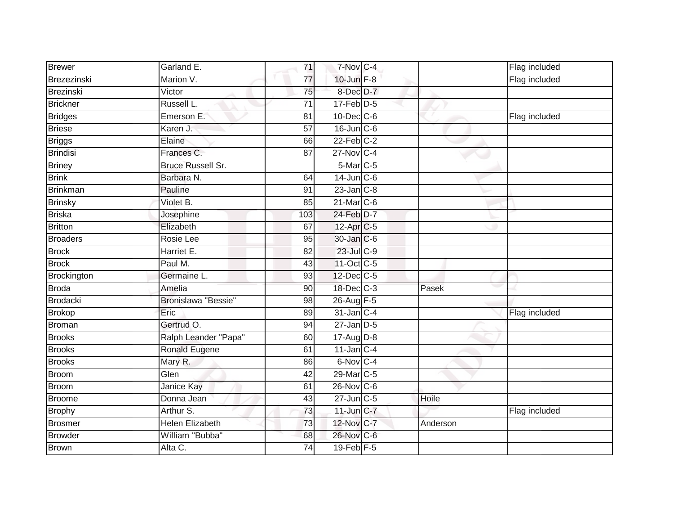| <b>Brewer</b>   | Garland E.               | 71              | 7-Nov C-4             |          | Flag included |
|-----------------|--------------------------|-----------------|-----------------------|----------|---------------|
| Brezezinski     | Marion V.                | 77              | $10$ -Jun $F-8$       |          | Flag included |
| Brezinski       | Victor                   | $\overline{75}$ | 8-Dec D-7             |          |               |
| Brickner        | Russell L.               | 71              | $17$ -Feb $D-5$       |          |               |
| <b>Bridges</b>  | Emerson E.               | 81              | $10$ -Dec $C$ -6      |          | Flag included |
| <b>Briese</b>   | Karen J.                 | 57              | $16$ -Jun $C$ -6      |          |               |
| <b>Briggs</b>   | Elaine                   | 66              | $22$ -Feb $C-2$       |          |               |
| Brindisi        | Frances C.               | 87              | 27-Nov C-4            |          |               |
| <b>Briney</b>   | <b>Bruce Russell Sr.</b> |                 | 5-Mar C-5             |          |               |
| <b>Brink</b>    | Barbara N.               | 64              | $14$ -Jun C-6         |          |               |
| Brinkman        | Pauline                  | 91              | $23$ -Jan $C-8$       |          |               |
| <b>Brinsky</b>  | Violet B.                | 85              | $21$ -Mar $C-6$       |          |               |
| <b>Briska</b>   | Josephine                | 103             | 24-Feb D-7            |          |               |
| <b>Britton</b>  | Elizabeth                | 67              | 12-Apr <sub>C-5</sub> |          |               |
| <b>Broaders</b> | Rosie Lee                | 95              | 30-Jan C-6            |          |               |
| <b>Brock</b>    | Harriet E.               | $\overline{82}$ | 23-Jul C-9            |          |               |
| <b>Brock</b>    | Paul M.                  | 43              | 11-Oct C-5            |          |               |
| Brockington     | Germaine L.              | 93              | 12-Dec C-5            |          |               |
| <b>Broda</b>    | Amelia                   | 90              | 18-Dec C-3            | Pasek    |               |
| Brodacki        | Bronislawa "Bessie"      | 98              | 26-Aug F-5            |          |               |
| <b>Brokop</b>   | Eric                     | 89              | 31-Jan C-4            |          | Flag included |
| <b>Broman</b>   | Gertrud O.               | 94              | $27$ -Jan $D-5$       |          |               |
| <b>Brooks</b>   | Ralph Leander "Papa"     | 60              | 17-Aug D-8            |          |               |
| <b>Brooks</b>   | Ronald Eugene            | 61              | $11$ -Jan C-4         |          |               |
| <b>Brooks</b>   | Mary R.                  | 86              | 6-Nov C-4             |          |               |
| Broom           | Glen                     | 42              | 29-Mar C-5            |          |               |
| Broom           | <b>Janice Kay</b>        | 61              | 26-Nov C-6            |          |               |
| Broome          | Donna Jean               | 43              | 27-Jun C-5            | Hoile    |               |
| <b>Brophy</b>   | Arthur S.                | 73              | $11$ -Jun $C-7$       |          | Flag included |
| Brosmer         | <b>Helen Elizabeth</b>   | 73              | 12-Nov C-7            | Anderson |               |
| <b>Browder</b>  | William "Bubba"          | 68              | 26-Nov C-6            |          |               |
| Brown           | Alta C.                  | 74              | $19$ -Feb $F-5$       |          |               |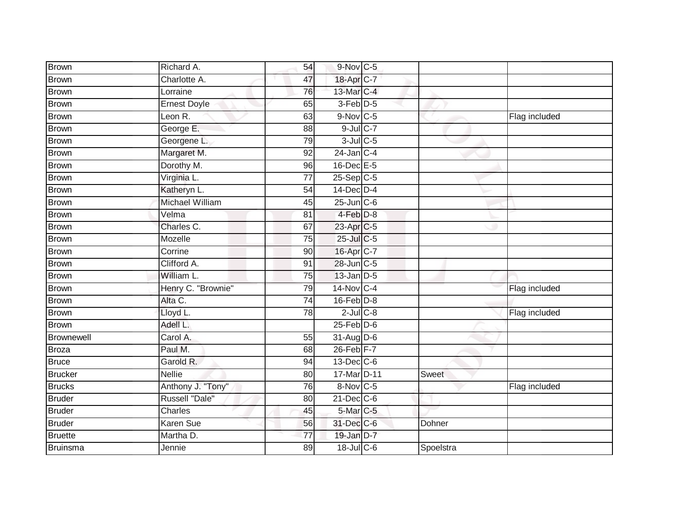| Brown           | Richard A.             | 54              | $9-Nov$ C-5       |           |               |
|-----------------|------------------------|-----------------|-------------------|-----------|---------------|
| Brown           | Charlotte A.           | 47              | 18-Apr C-7        |           |               |
| <b>Brown</b>    | Lorraine               | 76              | 13-Mar C-4        |           |               |
| <b>Brown</b>    | <b>Ernest Doyle</b>    | 65              | 3-Feb D-5         |           |               |
| <b>Brown</b>    | Leon R.                | 63              | $9-Nov$ C-5       |           | Flag included |
| <b>Brown</b>    | George E.              | 88              | $9$ -Jul $C$ -7   |           |               |
| <b>Brown</b>    | Georgene L.            | 79              | $3$ -Jul $C$ -5   |           |               |
| <b>Brown</b>    | Margaret M.            | 92              | $24$ -Jan C-4     |           |               |
| <b>Brown</b>    | Dorothy M.             | 96              | $16$ -Dec $E - 5$ |           |               |
| <b>Brown</b>    | Virginia L.            | 77              | $25-Sep$ C-5      |           |               |
| <b>Brown</b>    | Katheryn L.            | 54              | 14-Dec D-4        |           |               |
| <b>Brown</b>    | <b>Michael William</b> | 45              | $25$ -Jun $C$ -6  |           |               |
| <b>Brown</b>    | Velma                  | 81              | $4$ -Feb $D-8$    |           |               |
| Brown           | Charles C.             | 67              | 23-Apr C-5        |           |               |
| <b>Brown</b>    | Mozelle                | $\overline{75}$ | 25-Jul C-5        |           |               |
| <b>Brown</b>    | Corrine                | 90              | 16-Apr C-7        |           |               |
| <b>Brown</b>    | Clifford A.            | $\overline{91}$ | 28-Jun C-5        |           |               |
| <b>Brown</b>    | William L.             | 75              | $13$ -Jan $D-5$   |           |               |
| <b>Brown</b>    | Henry C. "Brownie"     | 79              | 14-Nov C-4        |           | Flag included |
| <b>Brown</b>    | Alta C.                | $\overline{74}$ | $16$ -Feb $D-8$   |           |               |
| <b>Brown</b>    | Lloyd L.               | 78              | $2$ -Jul $C$ -8   |           | Flag included |
| Brown           | Adell L.               |                 | $25$ -Feb $D-6$   |           |               |
| Brownewell      | Carol A.               | 55              | 31-Aug D-6        |           |               |
| <b>Broza</b>    | Paul M.                | 68              | $26$ -Feb $F-7$   |           |               |
| <b>Bruce</b>    | Garold R.              | 94              | $13$ -Dec $ C$ -6 |           |               |
| <b>Brucker</b>  | <b>Nellie</b>          | 80              | 17-Mar D-11       | Sweet     |               |
| <b>Brucks</b>   | Anthony J. "Tony"      | 76              | 8-Nov C-5         |           | Flag included |
| <b>Bruder</b>   | Russell "Dale"         | 80              | $21$ -Dec $C$ -6  |           |               |
| <b>Bruder</b>   | <b>Charles</b>         | 45              | 5-Mar C-5         |           |               |
| <b>Bruder</b>   | Karen Sue              | 56              | 31-Dec C-6        | Dohner    |               |
| <b>Bruette</b>  | Martha D.              | $\overline{77}$ | 19-Jan D-7        |           |               |
| <b>Bruinsma</b> | Jennie                 | 89              | 18-Jul C-6        | Spoelstra |               |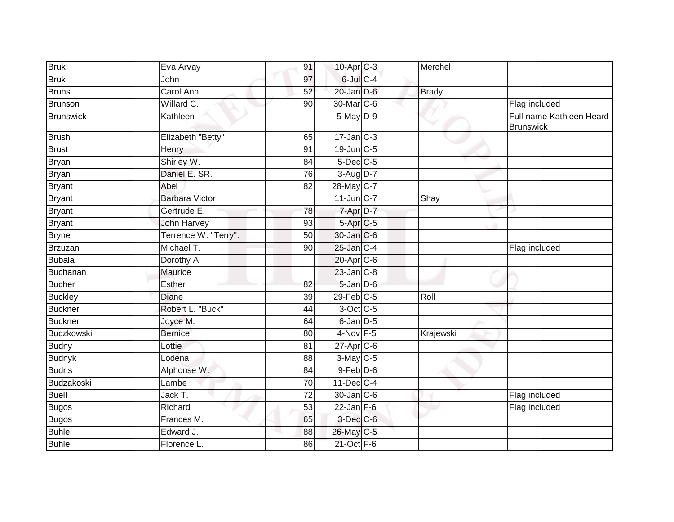| <b>Bruk</b>       | Eva Arvay             | 91              | 10-Apr <sub>C-3</sub>     | Merchel      |                                              |
|-------------------|-----------------------|-----------------|---------------------------|--------------|----------------------------------------------|
| <b>Bruk</b>       | John                  | 97              | $6$ -Jul $C$ -4           |              |                                              |
| <b>Bruns</b>      | <b>Carol Ann</b>      | 52              | $20$ -Jan $D-6$           | <b>Brady</b> |                                              |
| <b>Brunson</b>    | Willard C.            | 90              | 30-Mar <sub>IC-6</sub>    |              | Flag included                                |
| Brunswick         | Kathleen              |                 | $5$ -May $D-9$            |              | Full name Kathleen Heard<br><b>Brunswick</b> |
| <b>Brush</b>      | Elizabeth "Betty"     | 65              | $17 - Jan$ <sub>C-3</sub> |              |                                              |
| Brust             | Henry                 | 91              | 19-Jun C-5                |              |                                              |
| <b>Bryan</b>      | Shirley W.            | 84              | 5-Dec C-5                 |              |                                              |
| <b>Bryan</b>      | Daniel E. SR.         | 76              | 3-Aug D-7                 |              |                                              |
| <b>Bryant</b>     | Abel                  | 82              | 28-May C-7                |              |                                              |
| <b>Bryant</b>     | <b>Barbara Victor</b> |                 | $11$ -Jun $C-7$           | Shay         |                                              |
| <b>Bryant</b>     | Gertrude E.           | 78              | $7 - Apr$ $D-7$           |              |                                              |
| <b>Bryant</b>     | <b>John Harvey</b>    | 93              | 5-Apr C-5                 |              |                                              |
| <b>Bryne</b>      | Terrence W. "Terry":  | 50              | 30-Jan C-6                |              |                                              |
| Brzuzan           | Michael T.            | 90              | 25-Jan C-4                |              | Flag included                                |
| <b>Bubala</b>     | Dorothy A.            |                 | $20$ -Apr $C$ -6          |              |                                              |
| Buchanan          | Maurice               |                 | $23$ -Jan $C-8$           |              |                                              |
| <b>Bucher</b>     | Esther                | 82              | $5$ -Jan $D$ -6           |              |                                              |
| <b>Buckley</b>    | <b>Diane</b>          | 39              | $29$ -Feb $ C-5$          | Roll         |                                              |
| <b>Buckner</b>    | Robert L. "Buck"      | 44              | 3-Oct C-5                 |              |                                              |
| <b>Buckner</b>    | Joyce M.              | 64              | 6-Jan D-5                 |              |                                              |
| <b>Buczkowski</b> | <b>Bernice</b>        | 80              | $4$ -Nov $F-5$            | Krajewski    |                                              |
| <b>Budny</b>      | Lottie                | 81              | $27$ -Apr $C$ -6          |              |                                              |
| <b>Budnyk</b>     | Lodena                | 88              | 3-May C-5                 |              |                                              |
| <b>Budris</b>     | Alphonse W.           | 84              | $9$ -Feb $D$ -6           |              |                                              |
| Budzakoski        | Lambe                 | $\overline{70}$ | $11$ -Dec $C-4$           |              |                                              |
| <b>Buell</b>      | Jack T.               | $\overline{72}$ | 30-Jan C-6                |              | Flag included                                |
| <b>Bugos</b>      | Richard               | 53              | $22$ -Jan F-6             |              | Flag included                                |
| <b>Bugos</b>      | Frances M.            | 65              | 3-Dec C-6                 |              |                                              |
| <b>Buhle</b>      | Edward J.             | 88              | 26-May C-5                |              |                                              |
| <b>Buhle</b>      | Florence L.           | 86              | $21$ -Oct $F-6$           |              |                                              |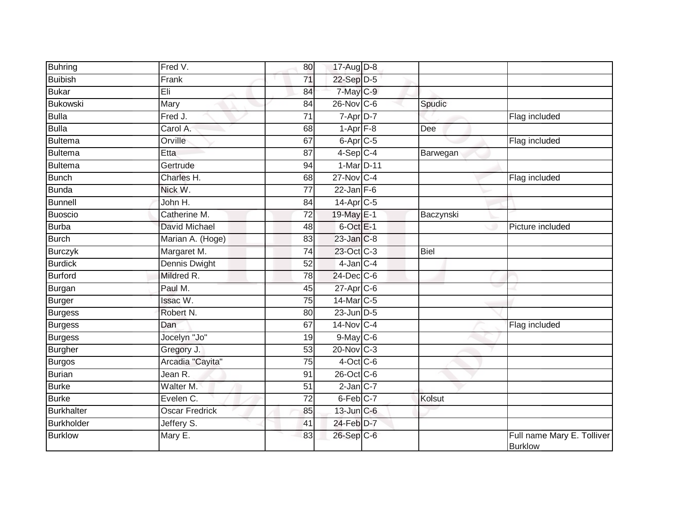| <b>Buhring</b>    | Fred V.              | 80              | 17-Aug D-8               |             |                                              |
|-------------------|----------------------|-----------------|--------------------------|-------------|----------------------------------------------|
| <b>Buibish</b>    | Frank                | $\overline{71}$ | $22-Sep$ D-5             |             |                                              |
| <b>Bukar</b>      | Eli                  | 84              | 7-May C-9                |             |                                              |
| <b>Bukowski</b>   | Mary                 | 84              | $26$ -Nov $ C-6 $        | Spudic      |                                              |
| <b>Bulla</b>      | Fred J.              | $\overline{71}$ | $7 - \overline{Apr}$ D-7 |             | Flag included                                |
| <b>Bulla</b>      | Carol A.             | 68              | $1-Apr$ $F-8$            | <b>Dee</b>  |                                              |
| <b>Bultema</b>    | Orville              | 67              | $6$ -Apr $C$ -5          |             | Flag included                                |
| <b>Bultema</b>    | <b>Etta</b>          | 87              | $4-Sep$ C-4              | Barwegan    |                                              |
| <b>Bultema</b>    | Gertrude             | 94              | 1-Mar D-11               |             |                                              |
| <b>Bunch</b>      | Charles H.           | 68              | 27-Nov C-4               |             | Flag included                                |
| <b>Bunda</b>      | Nick W.              | 77              | $22$ -Jan F-6            |             |                                              |
| <b>Bunnell</b>    | John H.              | 84              | $14$ -Apr $C$ -5         |             |                                              |
| <b>Buoscio</b>    | Catherine M.         | 72              | 19-May E-1               | Baczynski   |                                              |
| <b>Burba</b>      | <b>David Michael</b> | 48              | $6$ -Oct $E-1$           |             | Picture included                             |
| <b>Burch</b>      | Marian A. (Hoge)     | 83              | 23-Jan C-8               |             |                                              |
| <b>Burczyk</b>    | Margaret M.          | 74              | 23-Oct C-3               | <b>Biel</b> |                                              |
| <b>Burdick</b>    | <b>Dennis Dwight</b> | 52              | $4$ -Jan $C-4$           |             |                                              |
| <b>Burford</b>    | Mildred R.           | 78              | 24-Dec C-6               |             |                                              |
| Burgan            | Paul M.              | 45              | 27-Apr C-6               |             |                                              |
| Burger            | Issac W.             | $\overline{75}$ | 14-Mar C-5               |             |                                              |
| <b>Burgess</b>    | Robert N.            | 80              | $23$ -Jun $D-5$          |             |                                              |
| <b>Burgess</b>    | Dan                  | 67              | 14-Nov C-4               |             | Flag included                                |
| <b>Burgess</b>    | Jocelyn "Jo"         | 19              | $9$ -May $C$ -6          |             |                                              |
| <b>Burgher</b>    | Gregory J.           | 53              | $20$ -Nov $C-3$          |             |                                              |
| Burgos            | Arcadia "Cayita"     | 75              | $4$ -Oct C-6             |             |                                              |
| Burian            | Jean R.              | 91              | 26-Oct C-6               |             |                                              |
| <b>Burke</b>      | Walter M.            | $\overline{51}$ | $2$ -Jan $C-7$           |             |                                              |
| <b>Burke</b>      | Evelen C.            | 72              | $6$ -Feb $C$ -7          | Kolsut      |                                              |
| <b>Burkhalter</b> | Oscar Fredrick       | 85              | 13-Jun C-6               |             |                                              |
| <b>Burkholder</b> | Jeffery S.           | 41              | 24-Feb D-7               |             |                                              |
| <b>Burklow</b>    | Mary E.              | 83              | 26-Sep C-6               |             | Full name Mary E. Tolliver<br><b>Burklow</b> |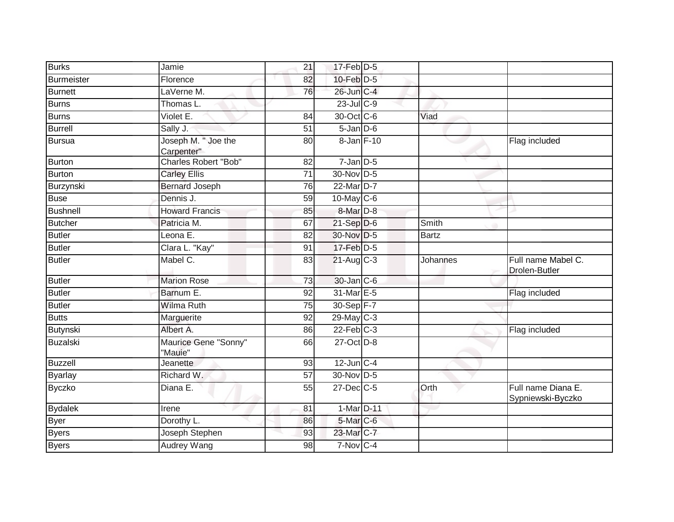| <b>Burks</b>      | Jamie                             | 21              | $17$ -Feb $D-5$      |              |                                         |
|-------------------|-----------------------------------|-----------------|----------------------|--------------|-----------------------------------------|
| <b>Burmeister</b> | Florence                          | 82              | 10-Feb D-5           |              |                                         |
| <b>Burnett</b>    | LaVerne M.                        | 76              | 26-Jun C-4           |              |                                         |
| <b>Burns</b>      | Thomas L.                         |                 | $23$ -Jul C-9        |              |                                         |
| <b>Burns</b>      | Violet E.                         | 84              | 30-Oct C-6           | Viad         |                                         |
| <b>Burrell</b>    | Sally J.                          | 51              | $5$ -Jan $D$ -6      |              |                                         |
| <b>Bursua</b>     | Joseph M. " Joe the<br>Carpenter" | 80              | 8-Jan F-10           |              | Flag included                           |
| <b>Burton</b>     | Charles Robert "Bob"              | 82              | $7$ -Jan $D$ -5      |              |                                         |
| <b>Burton</b>     | <b>Carley Ellis</b>               | 71              | $30$ -Nov D-5        |              |                                         |
| Burzynski         | <b>Bernard Joseph</b>             | 76              | 22-Mar D-7           |              |                                         |
| <b>Buse</b>       | Dennis J.                         | 59              | $10$ -May C-6        |              |                                         |
| <b>Bushnell</b>   | <b>Howard Francis</b>             | 85              | 8-Mar <sub>D-8</sub> |              |                                         |
| <b>Butcher</b>    | Patricia M.                       | 67              | $21-Sep$ D-6         | Smith        |                                         |
| <b>Butler</b>     | Leona E.                          | 82              | 30-Nov D-5           | <b>Bartz</b> |                                         |
| <b>Butler</b>     | Clara L. "Kay"                    | 91              | 17-Feb D-5           |              |                                         |
| <b>Butler</b>     | Mabel C.                          | 83              | $21-Aug$ C-3         | Johannes     | Full name Mabel C.<br>Drolen-Butler     |
| <b>Butler</b>     | <b>Marion Rose</b>                | 73              | 30-Jan C-6           |              |                                         |
| <b>Butler</b>     | Barnum E.                         | 92              | 31-Mar E-5           |              | Flag included                           |
| <b>Butler</b>     | <b>Wilma Ruth</b>                 | 75              | 30-Sep F-7           |              |                                         |
| <b>Butts</b>      | Marguerite                        | $\overline{92}$ | 29-May C-3           |              |                                         |
| Butynski          | Albert A.                         | 86              | $22$ -Feb $C-3$      |              | Flag included                           |
| <b>Buzalski</b>   | Maurice Gene "Sonny"<br>"Mauie"   | 66              | 27-Oct D-8           |              |                                         |
| <b>Buzzell</b>    | Jeanette                          | 93              | $12$ -Jun $C-4$      |              |                                         |
| <b>Byarlay</b>    | Richard W.                        | 57              | 30-Nov D-5           |              |                                         |
| <b>Byczko</b>     | Diana E.                          | 55              | $27$ -Dec $C$ -5     | Orth         | Full name Diana E.<br>Sypniewski-Byczko |
| <b>Bydalek</b>    | Irene                             | 81              | 1-Mar D-11           |              |                                         |
| <b>Byer</b>       | Dorothy L.                        | 86              | 5-Mar C-6            |              |                                         |
| <b>Byers</b>      | Joseph Stephen                    | 93              | 23-Mar C-7           |              |                                         |
| <b>Byers</b>      | Audrey Wang                       | 98              | $7-Nov$ $C-4$        |              |                                         |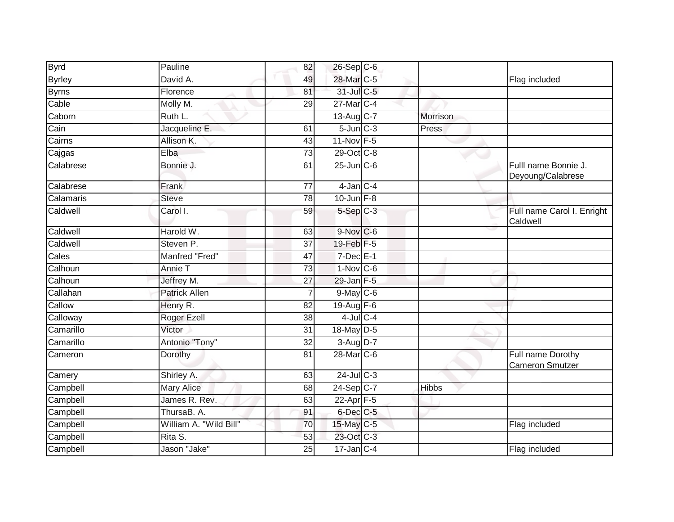| <b>Byrd</b>   | Pauline                | 82              | 26-Sep C-6                |              |                                           |
|---------------|------------------------|-----------------|---------------------------|--------------|-------------------------------------------|
| <b>Byrley</b> | David A.               | 49              | 28-Mar C-5                |              | Flag included                             |
| <b>Byrns</b>  | Florence               | 81              | 31-Jul C-5                |              |                                           |
| Cable         | Molly M.               | 29              | 27-Mar C-4                |              |                                           |
| Caborn        | Ruth L.                |                 | 13-Aug C-7                | Morrison     |                                           |
| Cain          | Jacqueline E.          | 61              | $5$ -Jun $C-3$            | Press        |                                           |
| Cairns        | Allison K.             | 43              | 11-Nov F-5                |              |                                           |
| Cajgas        | Elba                   | 73              | 29-Oct C-8                |              |                                           |
| Calabrese     | Bonnie J.              | 61              | $25$ -Jun $C$ -6          |              | Fulll name Bonnie J.<br>Deyoung/Calabrese |
| Calabrese     | Frank                  | 77              | $4$ -Jan $C-4$            |              |                                           |
| Calamaris     | <b>Steve</b>           | $\overline{78}$ | 10-Jun $F-8$              |              |                                           |
| Caldwell      | Carol I.               | 59              | $5-Sep$ $C-3$             |              | Full name Carol I. Enright<br>Caldwell    |
| Caldwell      | Harold W.              | 63              | $9-Nov$ C-6               |              |                                           |
| Caldwell      | Steven P.              | 37              | 19-Feb F-5                |              |                                           |
| Cales         | Manfred "Fred"         | 47              | $7$ -Dec $E-1$            |              |                                           |
| Calhoun       | Annie T                | 73              | $1-Nov$ C-6               |              |                                           |
| Calhoun       | Jeffrey M.             | 27              | $29$ -Jan $F-5$           |              |                                           |
| Callahan      | <b>Patrick Allen</b>   | 7               | 9-May C-6                 |              |                                           |
| Callow        | Henry R.               | 82              | $19$ -Aug F-6             |              |                                           |
| Calloway      | Roger Ezell            | $\overline{38}$ | $4$ -Jul $C$ -4           |              |                                           |
| Camarillo     | Victor                 | 31              | 18-May D-5                |              |                                           |
| Camarillo     | Antonio "Tony"         | 32              | $3-Aug$ $D-7$             |              |                                           |
| Cameron       | Dorothy                | 81              | 28-Mar C-6                |              | Full name Dorothy<br>Cameron Smutzer      |
| Camery        | Shirley A.             | 63              | $24$ -Jul C-3             |              |                                           |
| Campbell      | <b>Mary Alice</b>      | 68              | 24-Sep C-7                | <b>Hibbs</b> |                                           |
| Campbell      | James R. Rev.          | 63              | 22-Apr F-5                |              |                                           |
| Campbell      | ThursaB. A.            | 91              | 6-Dec C-5                 |              |                                           |
| Campbell      | William A. "Wild Bill" | 70              | 15-May C-5                |              | Flag included                             |
| Campbell      | Rita S.                | 53              | 23-Oct C-3                |              |                                           |
| Campbell      | Jason "Jake"           | $\overline{25}$ | $17 - Jan$ <sub>C-4</sub> |              | Flag included                             |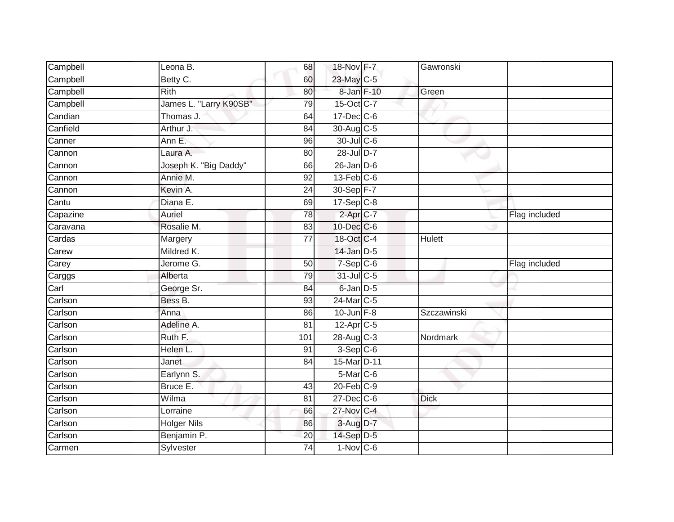| Campbell                                                              | Leona B.                 | 68                    | 18-Nov F-7                | Gawronski     |               |
|-----------------------------------------------------------------------|--------------------------|-----------------------|---------------------------|---------------|---------------|
| Campbell                                                              | Betty C.                 | 60                    | 23-May C-5                |               |               |
| Campbell                                                              | <b>Rith</b>              | 80                    | 8-Jan F-10                | Green         |               |
| Campbell                                                              | James L. "Larry K90SB"   | 79                    | 15-Oct C-7                |               |               |
| Candian                                                               | Thomas J.                | 64                    | $17 - Dec$ $C - 6$        |               |               |
| Canfield                                                              | Arthur J.                | 84                    | 30-Aug C-5                |               |               |
| Canner                                                                | Ann E.                   | 96                    | 30-Jul C-6                |               |               |
| Cannon                                                                | Laura A.                 | 80                    | 28-Jul D-7                |               |               |
| Cannon                                                                | Joseph K. "Big Daddy"    | 66                    | $26$ -Jan $D-6$           |               |               |
| Cannon                                                                | Annie M.                 | 92                    | $13$ -Feb $ C$ -6         |               |               |
| Cannon                                                                | Kevin A.                 | 24                    | 30-Sep F-7                |               |               |
| Cantu                                                                 | Diana E.                 | 69                    | $17-Sep$ <sub>C-8</sub>   |               |               |
| Capazine                                                              | Auriel                   | 78                    | 2-Apr <sub>C-7</sub>      |               | Flag included |
| Caravana                                                              | Rosalie M.               | 83                    | 10-Dec C-6                |               |               |
| Cardas                                                                | Margery                  | $\overline{77}$       | 18-Oct C-4                | <b>Hulett</b> |               |
| Carew                                                                 | Mildred K.               |                       | $14$ -Jan $D-5$           |               |               |
|                                                                       |                          |                       |                           |               |               |
| Carey                                                                 | Jerome G.                | 50                    | $7-Sep C-6$               |               | Flag included |
|                                                                       | Alberta                  | 79                    | 31-Jul C-5                |               |               |
|                                                                       | George Sr.               | 84                    | 6-Jan D-5                 |               |               |
|                                                                       | Bess B.                  | 93                    | 24-Mar C-5                |               |               |
|                                                                       | Anna                     | 86                    | $10$ -Jun $F-8$           | Szczawinski   |               |
|                                                                       | Adeline A.               | 81                    | $12$ -Apr $C$ -5          |               |               |
|                                                                       | Ruth F.                  | 101                   | $28$ -Aug C-3             | Nordmark      |               |
| Carggs<br>Carl<br>Carlson<br>Carlson<br>Carlson<br>Carlson<br>Carlson | Helen L.                 | 91                    | $3-Sep$ $C-6$             |               |               |
|                                                                       | Janet                    | 84                    | 15-Mar D-11               |               |               |
|                                                                       | Earlynn S.               |                       | 5-Mar C-6                 |               |               |
|                                                                       | Bruce E.                 | 43                    | $20$ -Feb $C-9$           |               |               |
| Carlson<br>Carlson<br>Carlson<br>Carlson                              | Wilma                    | 81                    | $27$ -Dec $C$ -6          | <b>Dick</b>   |               |
| Carlson                                                               | Lorraine                 | 66                    | $27$ -Nov C-4             |               |               |
| Carlson                                                               | <b>Holger Nils</b>       | 86                    | 3-Aug D-7                 |               |               |
| Carlson<br>Carmen                                                     | Benjamin P.<br>Sylvester | 20<br>$\overline{74}$ | 14-Sep D-5<br>$1-Nov$ C-6 |               |               |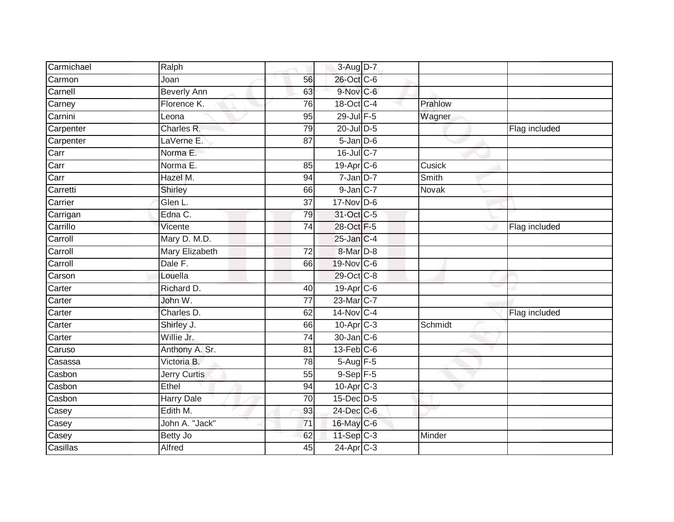| Carmichael | Ralph               |                 | 3-Aug D-7             |         |               |
|------------|---------------------|-----------------|-----------------------|---------|---------------|
| Carmon     | Joan                | 56              | 26-Oct C-6            |         |               |
| Carnell    | <b>Beverly Ann</b>  | 63              | 9-Nov C-6             |         |               |
| Carney     | Florence K.         | 76              | 18-Oct C-4            | Prahlow |               |
| Carnini    | Leona               | 95              | 29-Jul F-5            | Wagner  |               |
| Carpenter  | Charles R.          | 79              | 20-Jul D-5            |         | Flag included |
| Carpenter  | LaVerne E.          | 87              | $5 - Jan$ $D-6$       |         |               |
| Carr       | Norma E.            |                 | 16-Jul C-7            |         |               |
| Carr       | Norma E.            | 85              | 19-Apr C-6            | Cusick  |               |
| Carr       | Hazel M.            | 94              | $7 - Jan$ $D-7$       | Smith   |               |
| Carretti   | Shirley             | 66              | 9-Jan C-7             | Novak   |               |
| Carrier    | Glen L.             | 37              | $17$ -Nov D-6         |         |               |
| Carrigan   | Edna C.             | 79              | 31-Oct C-5            |         |               |
| Carrillo   | Vicente             | 74              | 28-Oct F-5            |         | Flag included |
| Carroll    | Mary D. M.D.        |                 | 25-Jan C-4            |         |               |
| Carroll    | Mary Elizabeth      | 72              | 8-Mar D-8             |         |               |
| Carroll    | Dale F.             | 66              | 19-Nov C-6            |         |               |
| Carson     | Louella             |                 | 29-Oct C-8            |         |               |
| Carter     | Richard D.          | 40              | 19-Apr C-6            |         |               |
| Carter     | John W.             | $\overline{77}$ | 23-Mar C-7            |         |               |
| Carter     | Charles D.          | 62              | 14-Nov C-4            |         | Flag included |
| Carter     | Shirley J.          | 66              | 10-Apr C-3            | Schmidt |               |
| Carter     | Willie Jr.          | 74              | 30-Jan C-6            |         |               |
| Caruso     | Anthony A. Sr.      | 81              | $13$ -Feb $C$ -6      |         |               |
| Casassa    | Victoria B.         | 78              | 5-Aug F-5             |         |               |
| Casbon     | <b>Jerry Curtis</b> | 55              | $9-Sep$ F-5           |         |               |
| Casbon     | Ethel               | 94              | 10-Apr C-3            |         |               |
| Casbon     | <b>Harry Dale</b>   | 70              | 15-Dec D-5            |         |               |
| Casey      | Edith M.            | 93              | 24-Dec C-6            |         |               |
| Casey      | John A. "Jack"      | 71              | 16-May C-6            |         |               |
| Casey      | Betty Jo            | 62              | $11-Sep$ C-3          | Minder  |               |
| Casillas   | Alfred              | 45              | 24-Apr <sub>C-3</sub> |         |               |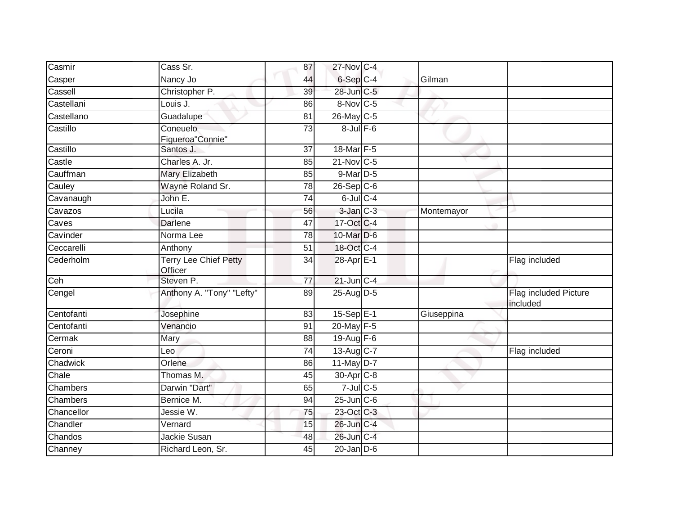| Casmir     | Cass Sr.                                | 87              | 27-Nov C-4            |            |                                   |
|------------|-----------------------------------------|-----------------|-----------------------|------------|-----------------------------------|
| Casper     | Nancy Jo                                | 44              | 6-Sep C-4             | Gilman     |                                   |
| Cassell    | Christopher P.                          | 39              | 28-Jun C-5            |            |                                   |
| Castellani | Louis J.                                | 86              | 8-Nov C-5             |            |                                   |
| Castellano | Guadalupe                               | 81              | 26-May C-5            |            |                                   |
| Castillo   | Coneuelo<br>Figueroa"Connie"            | $\overline{73}$ | $8$ -Jul $F$ -6       |            |                                   |
| Castillo   | Santos J.                               | $\overline{37}$ | 18-Mar F-5            |            |                                   |
| Castle     | Charles A. Jr.                          | 85              | 21-Nov C-5            |            |                                   |
| Cauffman   | Mary Elizabeth                          | 85              | 9-Mar D-5             |            |                                   |
| Cauley     | Wayne Roland Sr.                        | 78              | $26-Sep$ $C-6$        |            |                                   |
| Cavanaugh  | John E.                                 | 74              | $6$ -Jul $C$ -4       |            |                                   |
| Cavazos    | Lucila                                  | 56              | $3$ -Jan $C-3$        | Montemayor |                                   |
| Caves      | <b>Darlene</b>                          | $\overline{47}$ | 17-Oct C-4            |            |                                   |
| Cavinder   | Norma Lee                               | 78              | 10-Mar D-6            |            |                                   |
| Ceccarelli | Anthony                                 | 51              | 18-Oct C-4            |            |                                   |
| Cederholm  | <b>Terry Lee Chief Petty</b><br>Officer | 34              | 28-Apr E-1            |            | Flag included                     |
| Ceh        | Steven P.                               | $\overline{77}$ | $21$ -Jun $C-4$       |            |                                   |
| Cengel     | Anthony A. "Tony" "Lefty"               | 89              | $25$ -Aug D-5         |            | Flag included Picture<br>included |
| Centofanti | Josephine                               | 83              | $15-Sep$ E-1          | Giuseppina |                                   |
| Centofanti | Venancio                                | $\overline{91}$ | 20-May F-5            |            |                                   |
| Cermak     | Mary                                    | 88              | $19-Aug$ F-6          |            |                                   |
| Ceroni     | Leo                                     | 74              | $13-Aug$ C-7          |            | Flag included                     |
| Chadwick   | Orlene                                  | 86              | 11-May D-7            |            |                                   |
| Chale      | Thomas M.                               | 45              | 30-Apr <sub>C-8</sub> |            |                                   |
| Chambers   | Darwin "Dart"                           | 65              | $7$ -Jul C-5          |            |                                   |
| Chambers   | Bernice M.                              | 94              | $25$ -Jun $C$ -6      |            |                                   |
| Chancellor | Jessie W.                               | 75              | 23-Oct C-3            |            |                                   |
| Chandler   | Vernard                                 | 15              | 26-Jun C-4            |            |                                   |
| Chandos    | Jackie Susan                            | 48              | 26-Jun C-4            |            |                                   |
| Channey    | Richard Leon, Sr.                       | $\overline{45}$ | $20$ -Jan $D-6$       |            |                                   |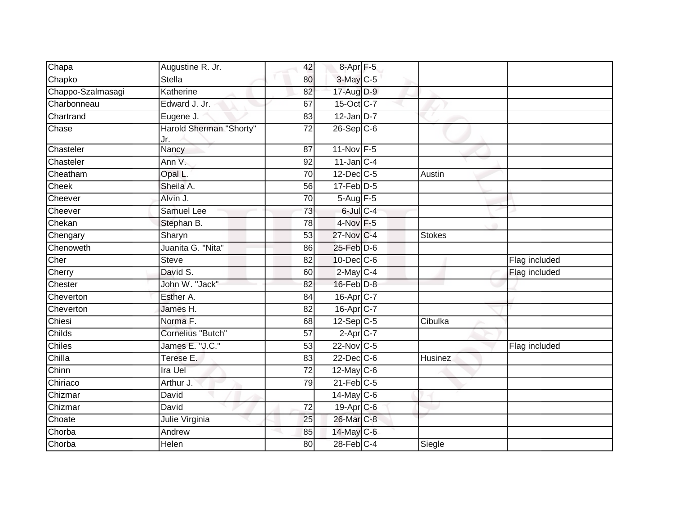| Chapa             | Augustine R. Jr.               | 42              | $8-Apr$ F-5      |               |               |
|-------------------|--------------------------------|-----------------|------------------|---------------|---------------|
| Chapko            | <b>Stella</b>                  | 80              | $3$ -May $C$ -5  |               |               |
| Chappo-Szalmasagi | Katherine                      | 82              | 17-Aug D-9       |               |               |
| Charbonneau       | Edward J. Jr.                  | 67              | 15-Oct C-7       |               |               |
| Chartrand         | Eugene J.                      | 83              | $12$ -Jan D-7    |               |               |
| Chase             | Harold Sherman "Shorty"<br>Jr. | 72              | $26-Sep C-6$     |               |               |
| Chasteler         | Nancy                          | $\overline{87}$ | 11-Nov F-5       |               |               |
| Chasteler         | Ann V.                         | 92              | $11$ -Jan C-4    |               |               |
| Cheatham          | Opal L.                        | 70              | 12-Dec C-5       | Austin        |               |
| Cheek             | Sheila A.                      | 56              | $17$ -Feb $D-5$  |               |               |
| Cheever           | Alvin J.                       | 70              | $5-Aug$ F-5      |               |               |
| Cheever           | Samuel Lee                     | $\overline{73}$ | $6$ -Jul $C-4$   |               |               |
| Chekan            | Stephan B.                     | 78              | $4$ -Nov $F-5$   |               |               |
| Chengary          | Sharyn                         | 53              | 27-Nov C-4       | <b>Stokes</b> |               |
| Chenoweth         | Juanita G. "Nita"              | 86              | 25-Feb D-6       |               |               |
| Cher              | <b>Steve</b>                   | 82              | $10$ -Dec $C$ -6 |               | Flag included |
| Cherry            | David S.                       | 60              | $2$ -May $C-4$   |               | Flag included |
| Chester           | John W. "Jack"                 | 82              | $16$ -Feb $D-8$  |               |               |
| Cheverton         | Esther A.                      | 84              | 16-Apr C-7       |               |               |
| Cheverton         | James H.                       | 82              | 16-Apr C-7       |               |               |
| Chiesi            | Norma <sub>F.</sub>            | 68              | $12-Sep$ C-5     | Cibulka       |               |
| Childs            | Cornelius "Butch"              | 57              | $2-Apr$ C-7      |               |               |
| Chiles            | James E. "J.C."                | $\overline{53}$ | 22-Nov C-5       |               | Flag included |
| Chilla            | Terese E.                      | 83              | $22$ -Dec $C-6$  | Husinez       |               |
| Chinn             | Ira Uel                        | $\overline{72}$ | $12$ -May C-6    |               |               |
| Chiriaco          | Arthur J.                      | 79              | $21$ -Feb $C-5$  |               |               |
| Chizmar           | David                          |                 | $14$ -May C-6    |               |               |
| Chizmar           | David                          | $\overline{72}$ | 19-Apr C-6       |               |               |
| Choate            | Julie Virginia                 | 25              | 26-Mar C-8       |               |               |
| Chorba            | Andrew                         | 85              | 14-May C-6       |               |               |
| Chorba            | Helen                          | 80              | $28$ -Feb $C-4$  | Siegle        |               |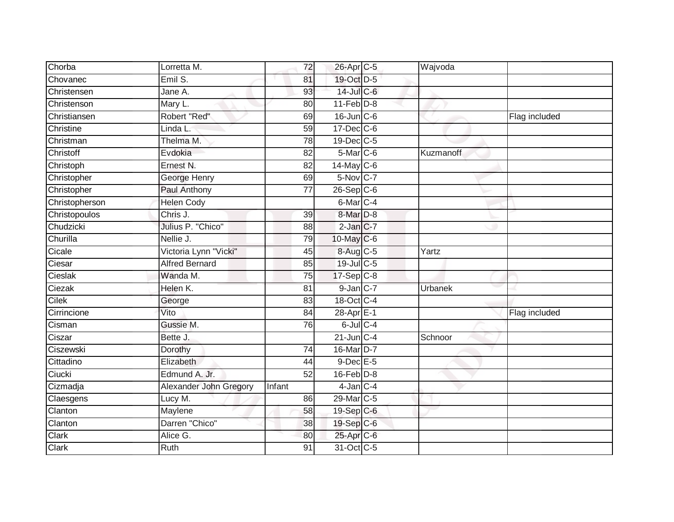| Chorba         | Lorretta M.            | 72              | 26-Apr C-5             | Wajvoda   |               |
|----------------|------------------------|-----------------|------------------------|-----------|---------------|
| Chovanec       | Emil S.                | 81              | 19-Oct D-5             |           |               |
| Christensen    | Jane A.                | 93              | 14-Jul C-6             |           |               |
| Christenson    | Mary L.                | 80              | $11-Feb$ D-8           |           |               |
| Christiansen   | Robert "Red"           | 69              | $16$ -Jun $C$ -6       |           | Flag included |
| Christine      | Linda L                | 59              | 17-Dec C-6             |           |               |
| Christman      | Thelma M.              | $\overline{78}$ | 19-Dec C-5             |           |               |
| Christoff      | Evdokia                | 82              | $5$ -Mar $C$ -6        | Kuzmanoff |               |
| Christoph      | Ernest N.              | 82              | 14-May C-6             |           |               |
| Christopher    | George Henry           | 69              | 5-Nov C-7              |           |               |
| Christopher    | Paul Anthony           | 77              | $26-Sep$ $C-6$         |           |               |
| Christopherson | <b>Helen Cody</b>      |                 | 6-Mar C-4              |           |               |
| Christopoulos  | Chris J.               | 39              | 8-Mar <sub>D-8</sub>   |           |               |
| Chudzicki      | Julius P. "Chico"      | 88              | $2$ -Jan $C-7$         |           |               |
| Churilla       | Nellie J.              | 79              | 10-May C-6             |           |               |
| Cicale         | Victoria Lynn "Vicki"  | 45              | 8-Aug C-5              | Yartz     |               |
| Ciesar         | <b>Alfred Bernard</b>  | 85              | 19-Jul C-5             |           |               |
| Cieslak        | Wanda M.               | 75              | 17-Sep C-8             |           |               |
| Ciezak         | Helen K.               | 81              | 9-Jan C-7              | Urbanek   |               |
| Cilek          | George                 | 83              | 18-Oct C-4             |           |               |
| Cirrincione    | Vito                   | 84              | $28-AprE-1$            |           | Flag included |
| Cisman         | Gussie M.              | 76              | $6$ -Jul $C$ -4        |           |               |
| Ciszar         | Bette J.               |                 | $21$ -Jun $C-4$        | Schnoor   |               |
| Ciszewski      | Dorothy                | $\overline{74}$ | 16-Mar D-7             |           |               |
| Cittadino      | Elizabeth              | 44              | $9$ -Dec $E - 5$       |           |               |
| Ciucki         | Edmund A. Jr.          | 52              | $16$ -Feb $D-8$        |           |               |
| Cizmadja       | Alexander John Gregory | Infant          | $4$ -Jan $C-4$         |           |               |
| Claesgens      | Lucy M.                | 86              | 29-Mar <sub>IC-5</sub> |           |               |
| Clanton        | Maylene                | 58              | 19-Sep C-6             |           |               |
| Clanton        | Darren "Chico"         | 38              | 19-Sep C-6             |           |               |
| Clark          | Alice G.               | 80              | 25-Apr <sub>C-6</sub>  |           |               |
| Clark          | <b>Ruth</b>            | 91              | 31-Oct C-5             |           |               |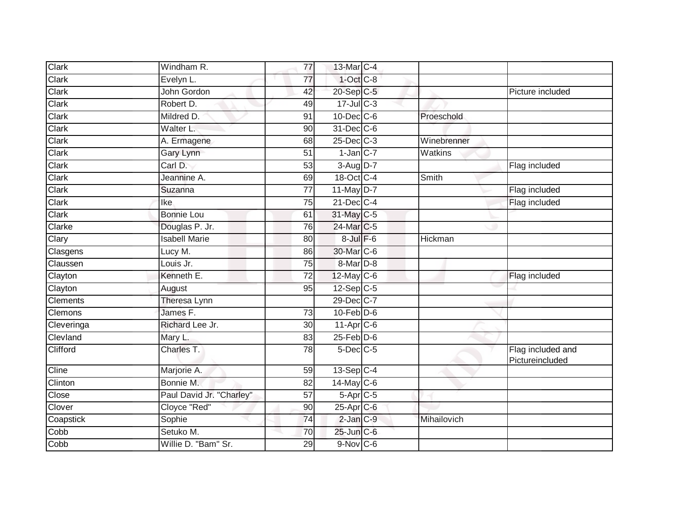| Clark                     | Windham R.               | 77              | 13-Mar C-4       |             |                                      |
|---------------------------|--------------------------|-----------------|------------------|-------------|--------------------------------------|
| Clark                     | Evelyn L.                | 77              | $1-Oct$ $C-8$    |             |                                      |
| Clark                     | John Gordon              | 42              | 20-Sep C-5       |             | Picture included                     |
| Clark                     | Robert D.                | 49              | $17 -$ JulC-3    |             |                                      |
| <b>Clark</b>              | Mildred D.               | 91              | 10-Dec C-6       | Proeschold  |                                      |
| Clark                     | Walter L.                | 90              | 31-Dec C-6       |             |                                      |
| Clark                     | A. Ermagene              | 68              | 25-Dec C-3       | Winebrenner |                                      |
| Clark                     | Gary Lynn                | 51              | $1$ -Jan $C-7$   | Watkins     |                                      |
| $\overline{\text{Clark}}$ | Carl D.                  | 53              | $3-Aug$ $D-7$    |             | Flag included                        |
| Clark                     | Jeannine A.              | 69              | 18-Oct C-4       | Smith       |                                      |
| Clark                     | Suzanna                  | $\overline{77}$ | $11$ -May $D-7$  |             | Flag included                        |
| Clark                     | Ike                      | 75              | $21$ -Dec $C$ -4 |             | Flag included                        |
| Clark                     | <b>Bonnie Lou</b>        | 61              | 31-May C-5       |             |                                      |
| Clarke                    | Douglas P. Jr.           | 76              | 24-Mar C-5       |             |                                      |
| Clary                     | <b>Isabell Marie</b>     | 80              | $8$ -Jul $F-6$   | Hickman     |                                      |
| Clasgens                  | Lucy M.                  | 86              | 30-Mar C-6       |             |                                      |
| Claussen                  | Louis Jr.                | 75              | $8-Mar$ D-8      |             |                                      |
| Clayton                   | Kenneth E.               | $\overline{72}$ | 12-May C-6       |             | Flag included                        |
| Clayton                   | August                   | 95              | $12-Sep$ C-5     |             |                                      |
| <b>Clements</b>           | Theresa Lynn             |                 | 29-Dec C-7       |             |                                      |
| Clemons                   | James F.                 | 73              | $10$ -Feb $D$ -6 |             |                                      |
| Cleveringa                | Richard Lee Jr.          | 30              | 11-Apr C-6       |             |                                      |
| Clevland                  | Mary L.                  | 83              | $25$ -Feb $D-6$  |             |                                      |
| Clifford                  | Charles T.               | 78              | $5$ -Dec $C$ -5  |             | Flag included and<br>Pictureincluded |
| Cline                     | Marjorie A.              | 59              | $13-Sep$ C-4     |             |                                      |
| Clinton                   | Bonnie M.                | 82              | $14$ -May C-6    |             |                                      |
| Close                     | Paul David Jr. "Charley" | 57              | $5-Apr$ $C-5$    |             |                                      |
| Clover                    | Cloyce "Red"             | 90              | 25-Apr C-6       |             |                                      |
| Coapstick                 | Sophie                   | $\overline{74}$ | $2$ -Jan $C-9$   | Mihailovich |                                      |
| Cobb                      | Setuko M.                | 70              | 25-Jun C-6       |             |                                      |
| Cobb                      | Willie D. "Bam" Sr.      | 29              | $9-Nov$ C-6      |             |                                      |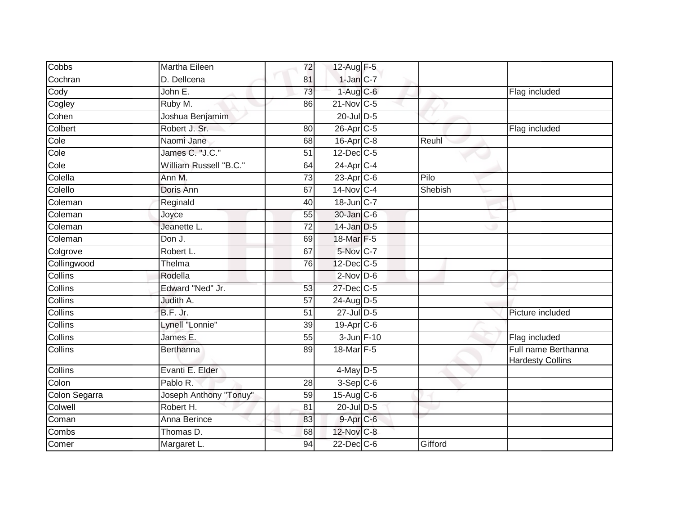| Cobbs          | Martha Eileen          | 72              | $12$ -Aug F-5     |         |                                                |
|----------------|------------------------|-----------------|-------------------|---------|------------------------------------------------|
| Cochran        | D. Dellcena            | 81              | $1$ -Jan $C-7$    |         |                                                |
| Cody           | John E.                | 73              | $1-Aug$ $C-6$     |         | Flag included                                  |
| Cogley         | Ruby M.                | 86              | 21-Nov C-5        |         |                                                |
| Cohen          | Joshua Benjamim        |                 | $20$ -Jul $D-5$   |         |                                                |
| Colbert        | Robert J. Sr.          | 80              | 26-Apr C-5        |         | Flag included                                  |
| Cole           | Naomi Jane             | 68              | $16$ -Apr $C$ -8  | Reuhl   |                                                |
| Cole           | James C. "J.C."        | 51              | $12$ -Dec $C-5$   |         |                                                |
| Cole           | William Russell "B.C." | 64              | $24-AprC-4$       |         |                                                |
| Colella        | Ann M.                 | $\overline{73}$ | 23-Apr C-6        | Pilo    |                                                |
| Colello        | Doris Ann              | 67              | 14-Nov C-4        | Shebish |                                                |
| Coleman        | Reginald               | 40              | $18$ -Jun $ C-7 $ |         |                                                |
| Coleman        | Joyce                  | 55              | 30-Jan C-6        |         |                                                |
| Coleman        | Jeanette L.            | 72              | 14-Jan D-5        |         |                                                |
| Coleman        | Don J.                 | 69              | 18-Mar F-5        |         |                                                |
| Colgrove       | Robert L.              | 67              | 5-Nov C-7         |         |                                                |
| Collingwood    | Thelma                 | 76              | 12-Dec C-5        |         |                                                |
| <b>Collins</b> | Rodella                |                 | $2$ -Nov $D$ -6   |         |                                                |
| Collins        | Edward "Ned" Jr.       | 53              | 27-Dec C-5        |         |                                                |
| Collins        | Judith A.              | 57              | 24-Aug D-5        |         |                                                |
| Collins        | B.F. Jr.               | 51              | $27$ -Jul $D-5$   |         | Picture included                               |
| Collins        | Lynell "Lonnie"        | 39              | $19-Apr$ $C-6$    |         |                                                |
| Collins        | James E.               | 55              | 3-Jun F-10        |         | Flag included                                  |
| Collins        | <b>Berthanna</b>       | 89              | 18-Mar F-5        |         | Full name Berthanna<br><b>Hardesty Collins</b> |
| Collins        | Evanti E. Elder        |                 | $4$ -May $D-5$    |         |                                                |
| Colon          | Pablo R.               | 28              | $3-Sep$ $C-6$     |         |                                                |
| Colon Segarra  | Joseph Anthony "Tonuy" | 59              | 15-Aug C-6        |         |                                                |
| Colwell        | Robert H.              | 81              | 20-Jul D-5        |         |                                                |
| Coman          | Anna Berince           | 83              | 9-Apr C-6         |         |                                                |
| Combs          | Thomas D.              | 68              | 12-Nov C-8        |         |                                                |
| Comer          | Margaret L.            | 94              | $22$ -Dec $C$ -6  | Gifford |                                                |
|                |                        |                 |                   |         |                                                |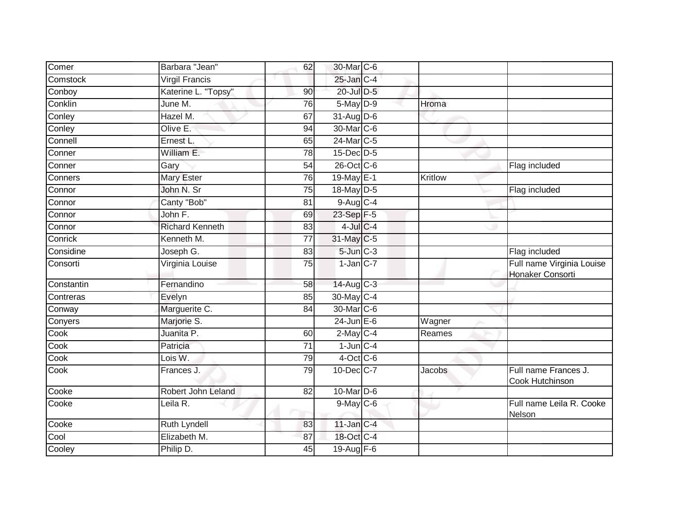| Comer      | Barbara "Jean"         | 62              | 30-Mar C-6             |                |                                               |
|------------|------------------------|-----------------|------------------------|----------------|-----------------------------------------------|
| Comstock   | <b>Virgil Francis</b>  |                 | 25-Jan C-4             |                |                                               |
| Conboy     | Katerine L. "Topsy"    | 90              | $20$ -Jul $D-5$        |                |                                               |
| Conklin    | June M.                | 76              | $5$ -May $D-9$         | Hroma          |                                               |
| Conley     | Hazel M.               | 67              | 31-Aug D-6             |                |                                               |
| Conley     | Olive E:               | 94              | 30-Mar C-6             |                |                                               |
| Connell    | Ernest L.              | 65              | 24-Mar <sub>IC-5</sub> |                |                                               |
| Conner     | William E.             | 78              | 15-Dec D-5             |                |                                               |
| Conner     | Gary                   | 54              | 26-Oct C-6             |                | Flag included                                 |
| Conners    | <b>Mary Ester</b>      | $\overline{76}$ | 19-May E-1             | <b>Kritlow</b> |                                               |
| Connor     | John N. Sr             | 75              | 18-May D-5             |                | Flag included                                 |
| Connor     | Canty "Bob"            | 81              | $9-Aug$ <sub>C-4</sub> |                |                                               |
| Connor     | John F.                | 69              | 23-Sep F-5             |                |                                               |
| Connor     | <b>Richard Kenneth</b> | 83              | $4$ -Jul $C$ -4        |                |                                               |
| Conrick    | Kenneth M.             | $\overline{77}$ | 31-May C-5             |                |                                               |
| Considine  | Joseph G.              | 83              | $5$ -Jun $C-3$         |                | Flag included                                 |
| Consorti   | Virginia Louise        | 75              | $1$ -Jan $C$ -7        |                | Full name Virginia Louise<br>Honaker Consorti |
| Constantin | Fernandino             | 58              | $14$ -Aug C-3          |                |                                               |
| Contreras  | Evelyn                 | 85              | 30-May C-4             |                |                                               |
| Conway     | Marguerite C.          | 84              | 30-Mar C-6             |                |                                               |
| Conyers    | Marjorie S.            |                 | $24$ -Jun $E-6$        | Wagner         |                                               |
| Cook       | Juanita P.             | 60              | $2$ -May C-4           | Reames         |                                               |
| Cook       | Patricia               | 71              | $1$ -Jun $C-4$         |                |                                               |
| Cook       | Lois W.                | 79              | $4$ -Oct C-6           |                |                                               |
| Cook       | Frances J.             | 79              | 10-Dec C-7             | Jacobs         | Full name Frances J.<br>Cook Hutchinson       |
| Cooke      | Robert John Leland     | 82              | 10-Mar D-6             |                |                                               |
| Cooke      | Leila R.               |                 | $9$ -May $C$ -6        |                | Full name Leila R. Cooke<br>Nelson            |
| Cooke      | <b>Ruth Lyndell</b>    | 83              | $11$ -Jan C-4          |                |                                               |
| Cool       | Elizabeth M.           | 87              | 18-Oct C-4             |                |                                               |
| Cooley     | Philip D.              | 45              | 19-Aug F-6             |                |                                               |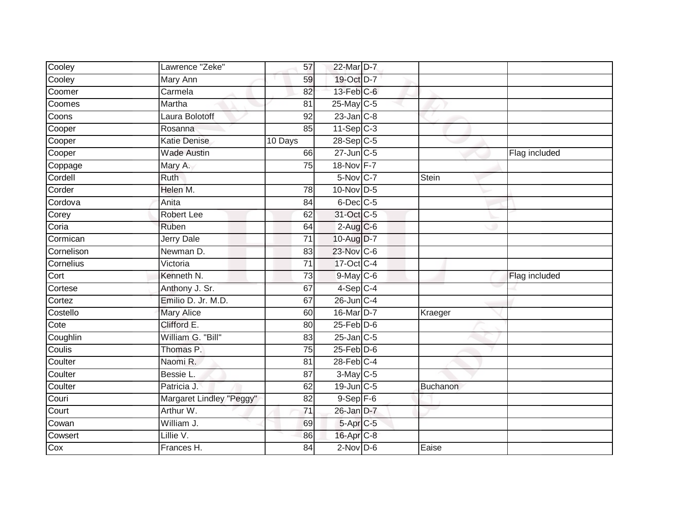| Cooley     | Lawrence "Zeke"          | 57              | 22-Mar D-7      |                 |               |
|------------|--------------------------|-----------------|-----------------|-----------------|---------------|
| Cooley     | Mary Ann                 | 59              | 19-Oct D-7      |                 |               |
| Coomer     | Carmela                  | $\overline{82}$ | 13-Feb C-6      |                 |               |
| Coomes     | Martha                   | 81              | 25-May C-5      |                 |               |
| Coons      | Laura Bolotoff           | $\overline{92}$ | $23$ -Jan $C-8$ |                 |               |
| Cooper     | Rosanna                  | 85              | $11-Sep$ $C-3$  |                 |               |
| Cooper     | <b>Katie Denise</b>      | 10 Days         | 28-Sep C-5      |                 |               |
| Cooper     | <b>Wade Austin</b>       | 66              | 27-Jun C-5      |                 | Flag included |
| Coppage    | Mary A.                  | 75              | 18-Nov F-7      |                 |               |
| Cordell    | Ruth                     |                 | 5-Nov C-7       | Stein           |               |
| Corder     | Helen M.                 | 78              | $10$ -Nov D-5   |                 |               |
| Cordova    | Anita                    | $\overline{84}$ | $6$ -Dec $C$ -5 |                 |               |
| Corey      | Robert Lee               | 62              | 31-Oct C-5      |                 |               |
| Coria      | Ruben                    | 64              | $2-Aug$ C-6     |                 |               |
| Cormican   | <b>Jerry Dale</b>        | $\overline{71}$ | 10-Aug D-7      |                 |               |
| Cornelison | Newman D.                | 83              | 23-Nov C-6      |                 |               |
| Cornelius  | Victoria                 | $\overline{71}$ | 17-Oct C-4      |                 |               |
| Cort       | Kenneth N.               | 73              | $9$ -May $C$ -6 |                 | Flag included |
| Cortese    | Anthony J. Sr.           | 67              | $4-Sep$ C-4     |                 |               |
| Cortez     | Emilio D. Jr. M.D.       | 67              | 26-Jun C-4      |                 |               |
| Costello   | <b>Mary Alice</b>        | 60              | 16-Mar D-7      | Kraeger         |               |
| Cote       | Clifford E.              | 80              | $25$ -Feb $D-6$ |                 |               |
| Coughlin   | William G. "Bill"        | 83              | $25$ -Jan C-5   |                 |               |
| Coulis     | Thomas P.                | 75              | $25$ -Feb $D-6$ |                 |               |
| Coulter    | Naomi R.                 | 81              | $28$ -Feb $C-4$ |                 |               |
| Coulter    | Bessie L.                | 87              | 3-May C-5       |                 |               |
| Coulter    | Patricia J.              | 62              | 19-Jun C-5      | <b>Buchanon</b> |               |
| Couri      | Margaret Lindley "Peggy" | 82              | $9-Sep$ $F-6$   |                 |               |
| Court      | Arthur W.                | $\overline{71}$ | 26-Jan D-7      |                 |               |
| Cowan      | William J.               | 69              | 5-Apr C-5       |                 |               |
| Cowsert    | Lillie V.                | 86              | 16-Apr C-8      |                 |               |
| Cox        | Frances H.               | 84              | $2$ -Nov D-6    | Eaise           |               |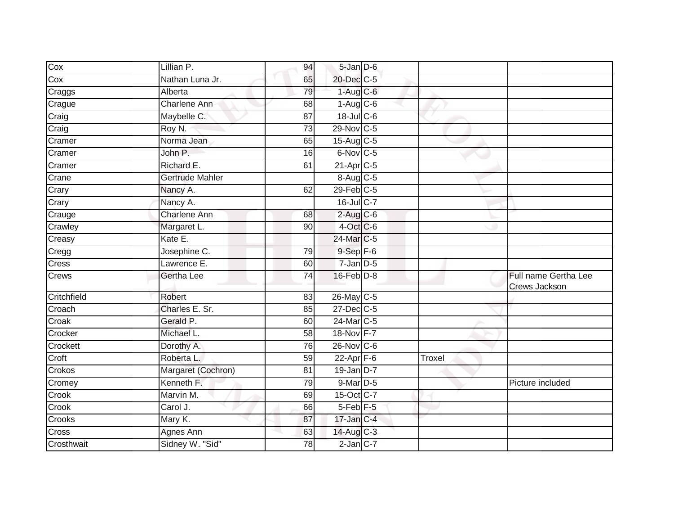| Cox         | Lillian P.             | 94              | 5-Jan D-6               |        |                                       |
|-------------|------------------------|-----------------|-------------------------|--------|---------------------------------------|
| Cox         | Nathan Luna Jr.        | 65              | 20-Dec C-5              |        |                                       |
| Craggs      | Alberta                | 79              | $1-Aug$ $C-6$           |        |                                       |
| Crague      | Charlene Ann           | 68              | $1-Aug$ $C-6$           |        |                                       |
| Craig       | Maybelle C.            | $\overline{87}$ | $18$ -Jul C-6           |        |                                       |
| Craig       | Roy N.                 | $\overline{73}$ | 29-Nov C-5              |        |                                       |
| Cramer      | Norma Jean             | 65              | 15-Aug C-5              |        |                                       |
| Cramer      | John P.                | 16              | $6$ -Nov $C$ -5         |        |                                       |
| Cramer      | Richard E.             | 61              | $21-Apr$ <sub>C-5</sub> |        |                                       |
| Crane       | <b>Gertrude Mahler</b> |                 | 8-Aug C-5               |        |                                       |
| Crary       | Nancy A.               | 62              | $29$ -Feb $C-5$         |        |                                       |
| Crary       | Nancy A.               |                 | 16-Jul C-7              |        |                                       |
| Crauge      | <b>Charlene Ann</b>    | 68              | $2$ -Aug $C$ -6         |        |                                       |
| Crawley     | Margaret L.            | 90              | $4$ -Oct C-6            |        |                                       |
| Creasy      | Kate E.                |                 | 24-Mar C-5              |        |                                       |
| Cregg       | Josephine C.           | 79              | $9-Sep$ $F-6$           |        |                                       |
| Cress       | Lawrence E.            | 60              | $7 - Jan$ $D-5$         |        |                                       |
| Crews       | Gertha Lee             | $\overline{74}$ | $16$ -Feb $D-8$         |        | Full name Gertha Lee<br>Crews Jackson |
| Critchfield | Robert                 | 83              | 26-May C-5              |        |                                       |
| Croach      | Charles E. Sr.         | 85              | $27 - Dec$ C-5          |        |                                       |
| Croak       | Gerald P.              | 60              | 24-Mar C-5              |        |                                       |
| Crocker     | Michael L.             | 58              | 18-Nov F-7              |        |                                       |
| Crockett    | Dorothy A.             | 76              | $26$ -Nov $ C-6 $       |        |                                       |
| Croft       | Roberta L.             | 59              | $22$ -Apr $F-6$         | Troxel |                                       |
| Crokos      | Margaret (Cochron)     | 81              | $19$ -Jan D-7           |        |                                       |
| Cromey      | Kenneth F.             | 79              | 9-Mar D-5               |        | Picture included                      |
| Crook       | Marvin M.              | 69              | 15-Oct C-7              |        |                                       |
| Crook       | Carol J.               | 66              | 5-Feb <sup>F-5</sup>    |        |                                       |
| Crooks      | Mary K.                | 87              | $17$ -Jan $C-4$         |        |                                       |
| Cross       | Agnes Ann              | 63              | 14-Aug C-3              |        |                                       |
| Crosthwait  | Sidney W. "Sid"        | 78              | $2$ -Jan $C-7$          |        |                                       |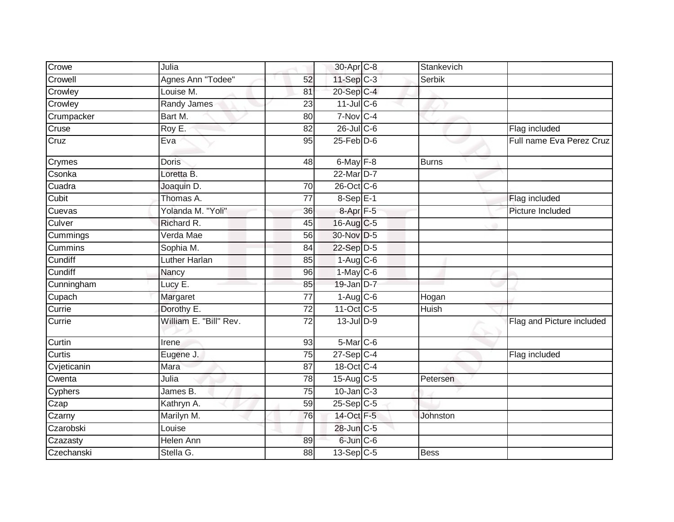| $11-Sep$ C-3<br>Agnes Ann "Todee"<br>Crowell<br>52<br>Serbik<br>20-Sep C-4<br>Crowley<br>Louise M.<br>81<br>$11$ -Jul C-6<br>Crowley<br>Randy James<br>23<br>$7-Nov$ <sub>C-4</sub><br>Crumpacker<br>Bart M.<br>$\overline{80}$<br>$26$ -Jul C-6<br>Cruse<br>Roy E.<br>Flag included<br>82<br>$25$ -Feb $D-6$<br>Cruz<br>95<br>Eva<br>$6$ -May $F-8$<br><b>Doris</b><br>$\overline{48}$<br><b>Burns</b><br>Crymes<br>22-Mar D-7<br>Csonka<br>Loretta B.<br>Cuadra<br>26-Oct C-6<br>Joaquin D.<br>70<br>$8-SepE-1$<br>Cubit<br>Thomas A.<br>Flag included<br>77<br>Yolanda M. "Yoli"<br>Cuevas<br>$8 - Apr$ $F - 5$<br>36<br>Picture Included<br>Richard R.<br>Culver<br>16-Aug C-5<br>45<br>Verda Mae<br>30-Nov D-5<br>56<br>Cummings<br>Sophia M.<br>22-Sep D-5<br>Cummins<br>84<br>Luther Harlan<br>Cundiff<br>85<br>$1-Aug$ $C-6$<br>Cundiff<br>1-May C-6<br>Nancy<br>96<br>19-Jan D-7<br>Cunningham<br>Lucy E.<br>85<br>$\overline{77}$<br>$1-Aug$ $C-6$<br>Cupach<br>Margaret<br>Hogan<br>Dorothy E.<br>11-Oct C-5<br>Currie<br>$\overline{72}$<br><b>Huish</b><br>William E. "Bill" Rev.<br>$13$ -Jul $D-9$<br>$\overline{72}$<br>Currie<br>$5-Mar$ C-6<br>Curtin<br>93<br>Irene<br>Curtis<br>$27-Sep$ C-4<br>75<br>Flag included<br>Eugene J.<br>18-Oct C-4<br>Cvjeticanin<br>Mara<br>87<br>15-Aug C-5<br>Julia<br>$\overline{78}$<br>Cwenta<br>Petersen<br>$10$ -Jan $C-3$<br>Cyphers<br>James B.<br>75<br>59<br>$25-SepC-5$<br>Czap<br>Kathryn A.<br>14-Oct F-5<br>Marilyn M.<br>76<br>Czarny<br>Johnston<br>28-Jun C-5<br>Czarobski<br>Louise<br>6-Jun C-6<br><b>Helen Ann</b><br>Czazasty<br>89<br>Czechanski<br>Stella G.<br>$13-Sep$ C-5<br>88<br><b>Bess</b> | Crowe | Julia | 30-Apr C-8 | Stankevich |                           |
|----------------------------------------------------------------------------------------------------------------------------------------------------------------------------------------------------------------------------------------------------------------------------------------------------------------------------------------------------------------------------------------------------------------------------------------------------------------------------------------------------------------------------------------------------------------------------------------------------------------------------------------------------------------------------------------------------------------------------------------------------------------------------------------------------------------------------------------------------------------------------------------------------------------------------------------------------------------------------------------------------------------------------------------------------------------------------------------------------------------------------------------------------------------------------------------------------------------------------------------------------------------------------------------------------------------------------------------------------------------------------------------------------------------------------------------------------------------------------------------------------------------------------------------------------------------------------------------------------------------------------------------------------------------------------|-------|-------|------------|------------|---------------------------|
|                                                                                                                                                                                                                                                                                                                                                                                                                                                                                                                                                                                                                                                                                                                                                                                                                                                                                                                                                                                                                                                                                                                                                                                                                                                                                                                                                                                                                                                                                                                                                                                                                                                                            |       |       |            |            |                           |
|                                                                                                                                                                                                                                                                                                                                                                                                                                                                                                                                                                                                                                                                                                                                                                                                                                                                                                                                                                                                                                                                                                                                                                                                                                                                                                                                                                                                                                                                                                                                                                                                                                                                            |       |       |            |            |                           |
|                                                                                                                                                                                                                                                                                                                                                                                                                                                                                                                                                                                                                                                                                                                                                                                                                                                                                                                                                                                                                                                                                                                                                                                                                                                                                                                                                                                                                                                                                                                                                                                                                                                                            |       |       |            |            |                           |
|                                                                                                                                                                                                                                                                                                                                                                                                                                                                                                                                                                                                                                                                                                                                                                                                                                                                                                                                                                                                                                                                                                                                                                                                                                                                                                                                                                                                                                                                                                                                                                                                                                                                            |       |       |            |            |                           |
|                                                                                                                                                                                                                                                                                                                                                                                                                                                                                                                                                                                                                                                                                                                                                                                                                                                                                                                                                                                                                                                                                                                                                                                                                                                                                                                                                                                                                                                                                                                                                                                                                                                                            |       |       |            |            |                           |
|                                                                                                                                                                                                                                                                                                                                                                                                                                                                                                                                                                                                                                                                                                                                                                                                                                                                                                                                                                                                                                                                                                                                                                                                                                                                                                                                                                                                                                                                                                                                                                                                                                                                            |       |       |            |            | Full name Eva Perez Cruz  |
|                                                                                                                                                                                                                                                                                                                                                                                                                                                                                                                                                                                                                                                                                                                                                                                                                                                                                                                                                                                                                                                                                                                                                                                                                                                                                                                                                                                                                                                                                                                                                                                                                                                                            |       |       |            |            |                           |
|                                                                                                                                                                                                                                                                                                                                                                                                                                                                                                                                                                                                                                                                                                                                                                                                                                                                                                                                                                                                                                                                                                                                                                                                                                                                                                                                                                                                                                                                                                                                                                                                                                                                            |       |       |            |            |                           |
|                                                                                                                                                                                                                                                                                                                                                                                                                                                                                                                                                                                                                                                                                                                                                                                                                                                                                                                                                                                                                                                                                                                                                                                                                                                                                                                                                                                                                                                                                                                                                                                                                                                                            |       |       |            |            |                           |
|                                                                                                                                                                                                                                                                                                                                                                                                                                                                                                                                                                                                                                                                                                                                                                                                                                                                                                                                                                                                                                                                                                                                                                                                                                                                                                                                                                                                                                                                                                                                                                                                                                                                            |       |       |            |            |                           |
|                                                                                                                                                                                                                                                                                                                                                                                                                                                                                                                                                                                                                                                                                                                                                                                                                                                                                                                                                                                                                                                                                                                                                                                                                                                                                                                                                                                                                                                                                                                                                                                                                                                                            |       |       |            |            |                           |
|                                                                                                                                                                                                                                                                                                                                                                                                                                                                                                                                                                                                                                                                                                                                                                                                                                                                                                                                                                                                                                                                                                                                                                                                                                                                                                                                                                                                                                                                                                                                                                                                                                                                            |       |       |            |            |                           |
|                                                                                                                                                                                                                                                                                                                                                                                                                                                                                                                                                                                                                                                                                                                                                                                                                                                                                                                                                                                                                                                                                                                                                                                                                                                                                                                                                                                                                                                                                                                                                                                                                                                                            |       |       |            |            |                           |
|                                                                                                                                                                                                                                                                                                                                                                                                                                                                                                                                                                                                                                                                                                                                                                                                                                                                                                                                                                                                                                                                                                                                                                                                                                                                                                                                                                                                                                                                                                                                                                                                                                                                            |       |       |            |            |                           |
|                                                                                                                                                                                                                                                                                                                                                                                                                                                                                                                                                                                                                                                                                                                                                                                                                                                                                                                                                                                                                                                                                                                                                                                                                                                                                                                                                                                                                                                                                                                                                                                                                                                                            |       |       |            |            |                           |
|                                                                                                                                                                                                                                                                                                                                                                                                                                                                                                                                                                                                                                                                                                                                                                                                                                                                                                                                                                                                                                                                                                                                                                                                                                                                                                                                                                                                                                                                                                                                                                                                                                                                            |       |       |            |            |                           |
|                                                                                                                                                                                                                                                                                                                                                                                                                                                                                                                                                                                                                                                                                                                                                                                                                                                                                                                                                                                                                                                                                                                                                                                                                                                                                                                                                                                                                                                                                                                                                                                                                                                                            |       |       |            |            |                           |
|                                                                                                                                                                                                                                                                                                                                                                                                                                                                                                                                                                                                                                                                                                                                                                                                                                                                                                                                                                                                                                                                                                                                                                                                                                                                                                                                                                                                                                                                                                                                                                                                                                                                            |       |       |            |            |                           |
|                                                                                                                                                                                                                                                                                                                                                                                                                                                                                                                                                                                                                                                                                                                                                                                                                                                                                                                                                                                                                                                                                                                                                                                                                                                                                                                                                                                                                                                                                                                                                                                                                                                                            |       |       |            |            |                           |
|                                                                                                                                                                                                                                                                                                                                                                                                                                                                                                                                                                                                                                                                                                                                                                                                                                                                                                                                                                                                                                                                                                                                                                                                                                                                                                                                                                                                                                                                                                                                                                                                                                                                            |       |       |            |            | Flag and Picture included |
|                                                                                                                                                                                                                                                                                                                                                                                                                                                                                                                                                                                                                                                                                                                                                                                                                                                                                                                                                                                                                                                                                                                                                                                                                                                                                                                                                                                                                                                                                                                                                                                                                                                                            |       |       |            |            |                           |
|                                                                                                                                                                                                                                                                                                                                                                                                                                                                                                                                                                                                                                                                                                                                                                                                                                                                                                                                                                                                                                                                                                                                                                                                                                                                                                                                                                                                                                                                                                                                                                                                                                                                            |       |       |            |            |                           |
|                                                                                                                                                                                                                                                                                                                                                                                                                                                                                                                                                                                                                                                                                                                                                                                                                                                                                                                                                                                                                                                                                                                                                                                                                                                                                                                                                                                                                                                                                                                                                                                                                                                                            |       |       |            |            |                           |
|                                                                                                                                                                                                                                                                                                                                                                                                                                                                                                                                                                                                                                                                                                                                                                                                                                                                                                                                                                                                                                                                                                                                                                                                                                                                                                                                                                                                                                                                                                                                                                                                                                                                            |       |       |            |            |                           |
|                                                                                                                                                                                                                                                                                                                                                                                                                                                                                                                                                                                                                                                                                                                                                                                                                                                                                                                                                                                                                                                                                                                                                                                                                                                                                                                                                                                                                                                                                                                                                                                                                                                                            |       |       |            |            |                           |
|                                                                                                                                                                                                                                                                                                                                                                                                                                                                                                                                                                                                                                                                                                                                                                                                                                                                                                                                                                                                                                                                                                                                                                                                                                                                                                                                                                                                                                                                                                                                                                                                                                                                            |       |       |            |            |                           |
|                                                                                                                                                                                                                                                                                                                                                                                                                                                                                                                                                                                                                                                                                                                                                                                                                                                                                                                                                                                                                                                                                                                                                                                                                                                                                                                                                                                                                                                                                                                                                                                                                                                                            |       |       |            |            |                           |
|                                                                                                                                                                                                                                                                                                                                                                                                                                                                                                                                                                                                                                                                                                                                                                                                                                                                                                                                                                                                                                                                                                                                                                                                                                                                                                                                                                                                                                                                                                                                                                                                                                                                            |       |       |            |            |                           |
|                                                                                                                                                                                                                                                                                                                                                                                                                                                                                                                                                                                                                                                                                                                                                                                                                                                                                                                                                                                                                                                                                                                                                                                                                                                                                                                                                                                                                                                                                                                                                                                                                                                                            |       |       |            |            |                           |
|                                                                                                                                                                                                                                                                                                                                                                                                                                                                                                                                                                                                                                                                                                                                                                                                                                                                                                                                                                                                                                                                                                                                                                                                                                                                                                                                                                                                                                                                                                                                                                                                                                                                            |       |       |            |            |                           |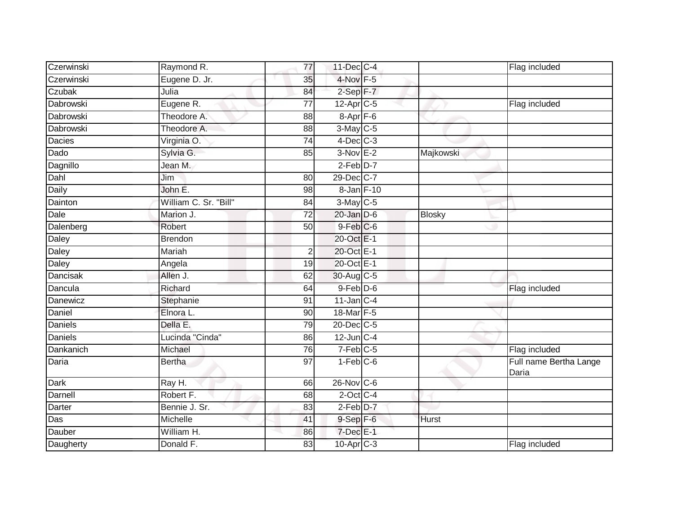| Czerwinski     | Raymond R.            | 77              | 11-Dec C-4           |               | Flag included                   |
|----------------|-----------------------|-----------------|----------------------|---------------|---------------------------------|
| Czerwinski     | Eugene D. Jr.         | 35              | $4$ -Nov $F-5$       |               |                                 |
| Czubak         | Julia                 | 84              | 2-Sep F-7            |               |                                 |
| Dabrowski      | Eugene R.             | 77              | $12$ -Apr $C$ -5     |               | Flag included                   |
| Dabrowski      | Theodore A.           | 88              | 8-Apr <sub>F-6</sub> |               |                                 |
| Dabrowski      | Theodore A.           | 88              | 3-May C-5            |               |                                 |
| Dacies         | Virginia O.           | 74              | $4$ -Dec $C$ -3      |               |                                 |
| Dado           | Sylvia G.             | 85              | $3-Nov$ E-2          | Majkowski     |                                 |
| Dagnillo       | Jean M.               |                 | $2$ -Feb $D-7$       |               |                                 |
| Dahl           | Jim                   | 80              | 29-Dec C-7           |               |                                 |
| Daily          | John E.               | 98              | 8-Jan F-10           |               |                                 |
| Dainton        | William C. Sr. "Bill" | 84              | 3-May C-5            |               |                                 |
| Dale           | Marion J.             | 72              | $20$ -Jan $D-6$      | <b>Blosky</b> |                                 |
| Dalenberg      | Robert                | 50              | $9$ -Feb $C$ -6      |               |                                 |
| Daley          | <b>Brendon</b>        |                 | 20-Oct E-1           |               |                                 |
| Daley          | Mariah                | $\overline{2}$  | 20-Oct E-1           |               |                                 |
| <b>Daley</b>   | Angela                | 19              | 20-Oct E-1           |               |                                 |
| Dancisak       | Allen J.              | 62              | 30-Aug C-5           |               |                                 |
| Dancula        | Richard               | 64              | $9$ -Feb $D$ -6      |               | Flag included                   |
| Danewicz       | Stephanie             | 91              | $11$ -Jan C-4        |               |                                 |
| Daniel         | Elnora L.             | 90              | $18$ -Mar F-5        |               |                                 |
| <b>Daniels</b> | Della E.              | 79              | 20-Dec C-5           |               |                                 |
| <b>Daniels</b> | Lucinda "Cinda"       | 86              | $12$ -Jun $C-4$      |               |                                 |
| Dankanich      | Michael               | 76              | $7-Feb$ $C-5$        |               | Flag included                   |
| Daria          | <b>Bertha</b>         | $\overline{97}$ | $1-Feb$ $C-6$        |               | Full name Bertha Lange<br>Daria |
| Dark           | Ray H.                | 66              | $26$ -Nov $ C-6 $    |               |                                 |
| Darnell        | Robert F.             | 68              | $2$ -Oct C-4         |               |                                 |
| Darter         | Bennie J. Sr.         | 83              | 2-Feb D-7            |               |                                 |
| Das            | Michelle              | 41              | $9-Sep$ $F-6$        | Hurst         |                                 |
| Dauber         | William H.            | 86              | $7$ -Dec $E-1$       |               |                                 |
| Daugherty      | Donald F.             | 83              | $10$ -Apr $C-3$      |               | Flag included                   |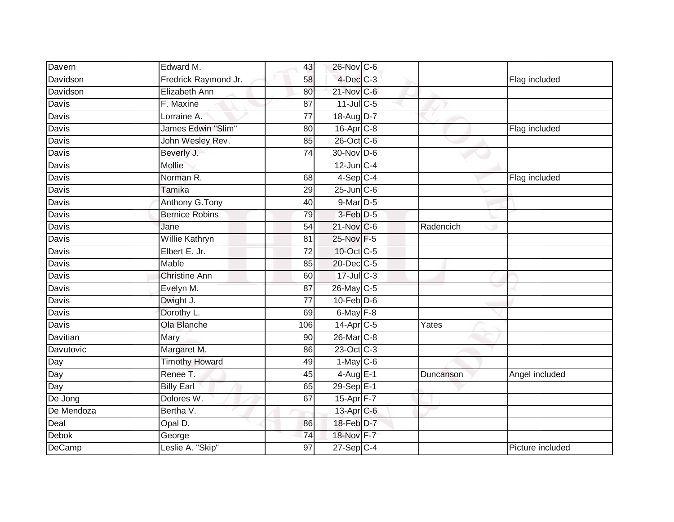| Davern       | Edward M.             | 43              | 26-Nov C-6            |           |                  |
|--------------|-----------------------|-----------------|-----------------------|-----------|------------------|
| Davidson     | Fredrick Raymond Jr.  | 58              | $4$ -Dec $C-3$        |           | Flag included    |
| Davidson     | <b>Elizabeth Ann</b>  | 80              | 21-Nov C-6            |           |                  |
| Davis        | F. Maxine             | 87              | $11$ -Jul C-5         |           |                  |
| <b>Davis</b> | Lorraine A.           | $\overline{77}$ | 18-Aug D-7            |           |                  |
| Davis        | James Edwin "Slim"    | 80              | 16-Apr <sub>C-8</sub> |           | Flag included    |
| Davis        | John Wesley Rev.      | 85              | 26-Oct C-6            |           |                  |
| Davis        | Beverly J.            | 74              | 30-Nov D-6            |           |                  |
| Davis        | Mollie                |                 | $12$ -Jun $C-4$       |           |                  |
| Davis        | Norman R.             | 68              | $4-Sep C-4$           |           | Flag included    |
| Davis        | Tamika                | 29              | $25$ -Jun $C$ -6      |           |                  |
| Davis        | Anthony G. Tony       | 40              | 9-Mar D-5             |           |                  |
| Davis        | <b>Bernice Robins</b> | 79              | 3-Feb D-5             |           |                  |
| Davis        | Jane                  | 54              | 21-Nov C-6            | Radencich |                  |
| Davis        | Willie Kathryn        | 81              | 25-Nov F-5            |           |                  |
| Davis        | Elbert E. Jr.         | 72              | 10-Oct C-5            |           |                  |
| Davis        | <b>Mable</b>          | 85              | 20-Dec C-5            |           |                  |
| Davis        | <b>Christine Ann</b>  | 60              | 17-Jul C-3            |           |                  |
| Davis        | Evelyn M.             | 87              | 26-May C-5            |           |                  |
| <b>Davis</b> | Dwight J.             | $\overline{77}$ | $10$ -Feb $D-6$       |           |                  |
| Davis        | Dorothy L.            | 69              | $6$ -May $F-8$        |           |                  |
| Davis        | Ola Blanche           | 106             | 14-Apr C-5            | Yates     |                  |
| Davitian     | Mary                  | 90              | 26-Mar C-8            |           |                  |
| Davutovic    | Margaret M.           | 86              | 23-Oct C-3            |           |                  |
| Day          | <b>Timothy Howard</b> | 49              | $1-May$ C-6           |           |                  |
| Day          | Renee T.              | 45              | $4-Aug$ E-1           | Duncanson | Angel included   |
| Day          | <b>Billy Earl</b>     | 65              | 29-Sep E-1            |           |                  |
| De Jong      | Dolores W.            | 67              | 15-Apr F-7            |           |                  |
| De Mendoza   | Bertha V.             |                 | 13-Apr C-6            |           |                  |
| Deal         | Opal D.               | 86              | 18-Feb D-7            |           |                  |
| Debok        | George                | 74              | 18-Nov F-7            |           |                  |
| DeCamp       | Leslie A. "Skip"      | $\overline{97}$ | $27-Sep$ C-4          |           | Picture included |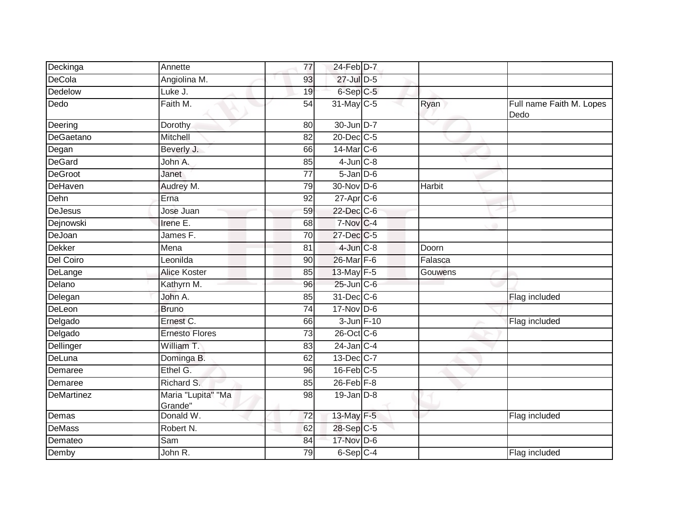| Deckinga          | Annette                       | 77              | 24-Feb D-7       |               |                                  |
|-------------------|-------------------------------|-----------------|------------------|---------------|----------------------------------|
| DeCola            | Angiolina M.                  | 93              | 27-Jul D-5       |               |                                  |
| Dedelow           | Luke J.                       | 19              | $6-Sep$ $C-5$    |               |                                  |
| Dedo              | Faith M.                      | 54              | 31-May C-5       | Ryan          | Full name Faith M. Lopes<br>Dedo |
| Deering           | Dorothy                       | 80              | 30-Jun D-7       |               |                                  |
| DeGaetano         | Mitchell                      | 82              | 20-Dec C-5       |               |                                  |
| Degan             | Beverly J.                    | 66              | $14$ -Mar $C$ -6 |               |                                  |
| DeGard            | John A.                       | 85              | $4$ -Jun $C-8$   |               |                                  |
| <b>DeGroot</b>    | Janet                         | 77              | $5$ -Jan $D$ -6  |               |                                  |
| DeHaven           | Audrey M.                     | 79              | 30-Nov D-6       | <b>Harbit</b> |                                  |
| Dehn              | Erna                          | 92              | $27$ -Apr $C$ -6 |               |                                  |
| <b>DeJesus</b>    | Jose Juan                     | 59              | 22-Dec C-6       |               |                                  |
| Dejnowski         | Irene E.                      | 68              | 7-Nov C-4        |               |                                  |
| DeJoan            | James F.                      | 70              | 27-Dec C-5       |               |                                  |
| <b>Dekker</b>     | Mena                          | 81              | $4$ -Jun $C-8$   | Doorn         |                                  |
| <b>Del Coiro</b>  | Leonilda                      | 90              | 26-Mar F-6       | Falasca       |                                  |
| DeLange           | <b>Alice Koster</b>           | 85              | 13-May F-5       | Gouwens       |                                  |
| Delano            | Kathyrn M.                    | 96              | 25-Jun C-6       |               |                                  |
| Delegan           | John A.                       | 85              | 31-Dec C-6       |               | Flag included                    |
| DeLeon            | <b>Bruno</b>                  | $\overline{74}$ | 17-Nov D-6       |               |                                  |
| Delgado           | Ernest C.                     | 66              | 3-Jun F-10       |               | Flag included                    |
| Delgado           | <b>Ernesto Flores</b>         | $\overline{73}$ | 26-Oct C-6       |               |                                  |
| Dellinger         | William T.                    | 83              | $24$ -Jan $C-4$  |               |                                  |
| DeLuna            | Dominga B.                    | 62              | 13-Dec C-7       |               |                                  |
| Demaree           | Ethel G.                      | 96              | $16$ -Feb $C-5$  |               |                                  |
| Demaree           | Richard S.                    | 85              | $26$ -Feb $F-8$  |               |                                  |
| <b>DeMartinez</b> | Maria "Lupita" "Ma<br>Grande" | 98              | $19$ -Jan $D-8$  |               |                                  |
| Demas             | Donald W.                     | 72              | 13-May F-5       |               | Flag included                    |
| <b>DeMass</b>     | Robert N.                     | 62              | 28-Sep C-5       |               |                                  |
| Demateo           | Sam                           | 84              | 17-Nov D-6       |               |                                  |
| Demby             | John R.                       | 79              | 6-Sep C-4        |               | Flag included                    |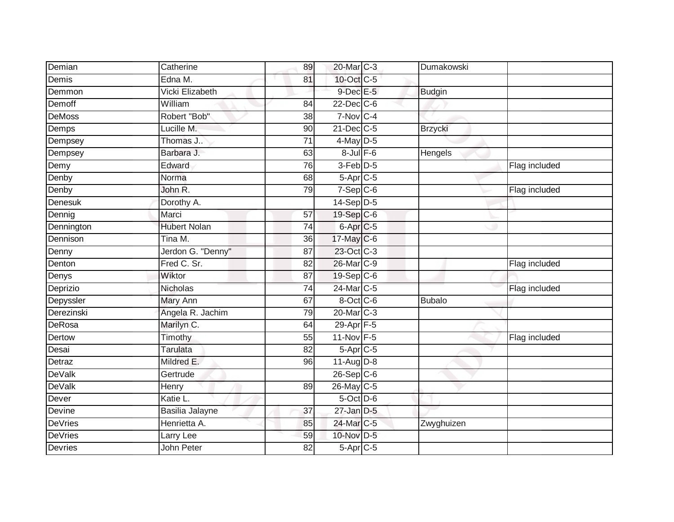| Demian         | Catherine           | 89              | 20-Mar C-3             | Dumakowski     |               |
|----------------|---------------------|-----------------|------------------------|----------------|---------------|
| Demis          | Edna M.             | 81              | 10-Oct C-5             |                |               |
| Demmon         | Vicki Elizabeth     |                 | 9-Dec E-5              | <b>Budgin</b>  |               |
| Demoff         | William             | 84              | 22-Dec C-6             |                |               |
| <b>DeMoss</b>  | Robert "Bob"        | $\overline{38}$ | $7-Nov$ <sub>C-4</sub> |                |               |
| Demps          | Lucille M.          | 90              | $21$ -Dec $C-5$        | <b>Brzycki</b> |               |
| Dempsey        | Thomas J            | $\overline{71}$ | $4$ -May D-5           |                |               |
| Dempsey        | Barbara J.          | 63              | $8$ -Jul $F$ -6        | Hengels        |               |
| Demy           | Edward              | 76              | 3-Feb D-5              |                | Flag included |
| Denby          | Norma               | 68              | 5-Apr C-5              |                |               |
| Denby          | John R.             | 79              | $7-Sep$ <sub>C-6</sub> |                | Flag included |
| Denesuk        | Dorothy A.          |                 | 14-Sep D-5             |                |               |
| Dennig         | Marci               | 57              | 19-Sep C-6             |                |               |
| Dennington     | <b>Hubert Nolan</b> | 74              | 6-Apr <sub>C-5</sub>   |                |               |
| Dennison       | Tina M.             | $\overline{36}$ | 17-May C-6             |                |               |
| Denny          | Jerdon G. "Denny"   | 87              | 23-Oct C-3             |                |               |
| Denton         | Fred C. Sr.         | 82              | 26-Mar C-9             |                | Flag included |
| Denys          | Wiktor              | 87              | 19-Sep C-6             |                |               |
| Deprizio       | Nicholas            | 74              | 24-Mar C-5             |                | Flag included |
| Depyssler      | <b>Mary Ann</b>     | 67              | 8-Oct C-6              | <b>Bubalo</b>  |               |
| Derezinski     | Angela R. Jachim    | 79              | 20-Mar C-3             |                |               |
| <b>DeRosa</b>  | Marilyn C.          | 64              | 29-Apr F-5             |                |               |
| Dertow         | Timothy             | 55              | 11-Nov F-5             |                | Flag included |
| Desai          | Tarulata            | 82              | 5-Apr C-5              |                |               |
| Detraz         | Mildred E.          | 96              | $11-Auq$ D-8           |                |               |
| <b>DeValk</b>  | Gertrude            |                 | $26-Sep$ C-6           |                |               |
| <b>DeValk</b>  | Henry               | 89              | 26-May C-5             |                |               |
| Dever          | Katie L.            |                 | 5-Oct D-6              |                |               |
| Devine         | Basilia Jalayne     | 37              | $27$ -Jan $D-5$        |                |               |
| <b>DeVries</b> | Henrietta A.        | 85              | 24-Mar C-5             | Zwyghuizen     |               |
| <b>DeVries</b> | Larry Lee           | 59              | 10-Nov D-5             |                |               |
| <b>Devries</b> | John Peter          | 82              | 5-Apr C-5              |                |               |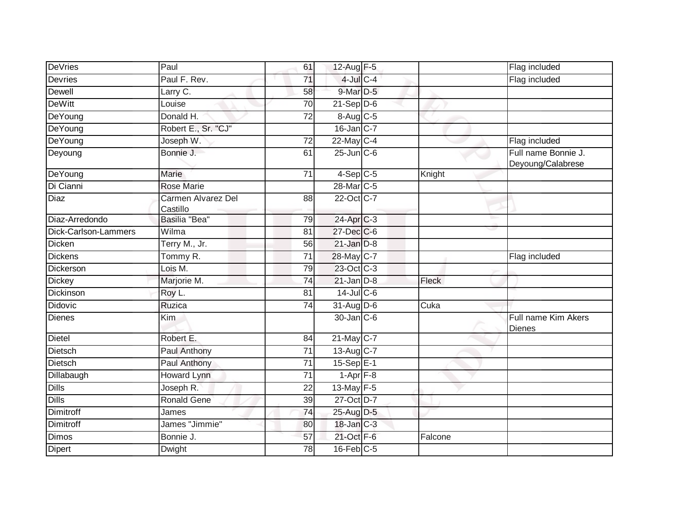| DeVries              | Paul                           | 61              | 12-Aug F-5                        |         | Flag included                            |
|----------------------|--------------------------------|-----------------|-----------------------------------|---------|------------------------------------------|
| <b>Devries</b>       | Paul F. Rev.                   | 71              | 4-Jul C-4                         |         | Flag included                            |
| <b>Dewell</b>        | Larry C.                       | 58              | 9-Mar D-5                         |         |                                          |
| <b>DeWitt</b>        | Louise                         | 70              | $21-Sep D-6$                      |         |                                          |
| DeYoung              | Donald H.                      | $\overline{72}$ | 8-Aug C-5                         |         |                                          |
| DeYoung              | Robert E., Sr. "CJ"            |                 | $16$ -Jan $C-7$                   |         |                                          |
| DeYoung              | Joseph W.                      | 72              | $22$ -May C-4                     |         | Flag included                            |
| Deyoung              | Bonnie J.                      | 61              | $25$ -Jun $C$ -6                  |         | Full name Bonnie J.<br>Deyoung/Calabrese |
| DeYoung              | Marie                          | 71              | $4-Sep$ $C-5$                     | Knight  |                                          |
| Di Cianni            | <b>Rose Marie</b>              |                 | 28-Mar C-5                        |         |                                          |
| <b>Diaz</b>          | Carmen Alvarez Del<br>Castillo | 88              | 22-Oct C-7                        |         |                                          |
| Diaz-Arredondo       | Basilia "Bea"                  | 79              | $24$ -Apr $C-3$                   |         |                                          |
| Dick-Carlson-Lammers | Wilma                          | 81              | 27-Dec C-6                        |         |                                          |
| <b>Dicken</b>        | Terry M., Jr.                  | 56              | $21$ -Jan $D-8$                   |         |                                          |
| <b>Dickens</b>       | Tommy R.                       | $\overline{71}$ | 28-May C-7                        |         | Flag included                            |
| Dickerson            | Lois M.                        | 79              | 23-Oct C-3                        |         |                                          |
| <b>Dickey</b>        | Marjorie M.                    | 74              | $21$ -Jan $D-8$                   | Fleck   |                                          |
| Dickinson            | Roy L.                         | $\overline{81}$ | 14-Jul C-6                        |         |                                          |
| Didovic              | Ruzica                         | 74              | $31-Aug$ D-6                      | Cuka    |                                          |
| <b>Dienes</b>        | Kim                            |                 | 30-Jan C-6                        |         | Full name Kim Akers<br><b>Dienes</b>     |
| Dietel               | Robert E.                      | 84              | 21-May C-7                        |         |                                          |
| Dietsch              | Paul Anthony                   | $\overline{71}$ | 13-Aug C-7                        |         |                                          |
| <b>Dietsch</b>       | <b>Paul Anthony</b>            | $\overline{71}$ | $15-SepE-1$                       |         |                                          |
| Dillabaugh           | <b>Howard Lynn</b>             | $\overline{71}$ | $1 - \text{Apr}$ $\overline{F-8}$ |         |                                          |
| <b>Dills</b>         | Joseph R.                      | 22              | $13$ -May $F-5$                   |         |                                          |
| <b>Dills</b>         | <b>Ronald Gene</b>             | 39              | 27-Oct D-7                        |         |                                          |
| <b>Dimitroff</b>     | James                          | 74              | 25-Aug D-5                        |         |                                          |
| <b>Dimitroff</b>     | James "Jimmie"                 | 80              | 18-Jan C-3                        |         |                                          |
| <b>Dimos</b>         | Bonnie J.                      | 57              | 21-Oct F-6                        | Falcone |                                          |
| <b>Dipert</b>        | <b>Dwight</b>                  | $\overline{78}$ | $16$ -Feb $C$ -5                  |         |                                          |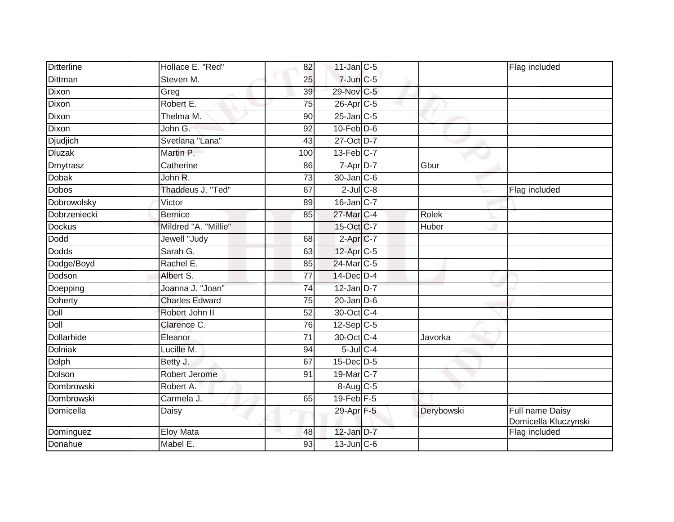| <b>Ditterline</b> | Hollace E. "Red"      | 82  | $11$ -Jan $C-5$       |            | Flag included                           |
|-------------------|-----------------------|-----|-----------------------|------------|-----------------------------------------|
| Dittman           | Steven M.             | 25  | $7$ -Jun $C$ -5       |            |                                         |
| Dixon             | Greg                  | 39  | 29-Nov C-5            |            |                                         |
| Dixon             | Robert E.             | 75  | 26-Apr <sub>C-5</sub> |            |                                         |
| Dixon             | Thelma M.             | 90  | $25$ -Jan $C$ -5      |            |                                         |
| Dixon             | John G:               | 92  | $10$ -Feb $D-6$       |            |                                         |
| Djudjich          | Svetlana "Lana"       | 43  | 27-Oct D-7            |            |                                         |
| <b>Dluzak</b>     | Martin P.             | 100 | $13$ -Feb $C-7$       |            |                                         |
| Dmytrasz          | Catherine             | 86  | 7-Apr D-7             | Gbur       |                                         |
| <b>Dobak</b>      | John R.               | 73  | 30-Jan C-6            |            |                                         |
| <b>Dobos</b>      | Thaddeus J. "Ted"     | 67  | $2$ -Jul $C$ -8       |            | Flag included                           |
| Dobrowolsky       | Victor                | 89  | 16-Jan C-7            |            |                                         |
| Dobrzeniecki      | <b>Bernice</b>        | 85  | 27-Mar C-4            | Rolek      |                                         |
| <b>Dockus</b>     | Mildred "A. "Millie"  |     | 15-Oct C-7            | Huber      |                                         |
| <b>Dodd</b>       | Jewell "Judy          | 68  | 2-Apr C-7             |            |                                         |
| <b>Dodds</b>      | Sarah G.              | 63  | 12-Apr C-5            |            |                                         |
| Dodge/Boyd        | Rachel E.             | 85  | 24-Mar C-5            |            |                                         |
| Dodson            | Albert S.             | 77  | 14-Dec D-4            |            |                                         |
| Doepping          | Joanna J. "Joan"      | 74  | $12$ -Jan D-7         |            |                                         |
| Doherty           | <b>Charles Edward</b> | 75  | $20$ -Jan $D-6$       |            |                                         |
| Doll              | Robert John II        | 52  | 30-Oct C-4            |            |                                         |
| Doll              | Clarence C.           | 76  | $12-Sep C-5$          |            |                                         |
| <b>Dollarhide</b> | Eleanor               | 71  | 30-Oct C-4            | Javorka    |                                         |
| Dolniak           | Lucille M.            | 94  | $5$ -Jul $C$ -4       |            |                                         |
| Dolph             | Betty J.              | 67  | $15$ -Dec $D-5$       |            |                                         |
| Dolson            | Robert Jerome         | 91  | 19-Mar C-7            |            |                                         |
| Dombrowski        | Robert A.             |     | 8-Aug C-5             |            |                                         |
| Dombrowski        | Carmela J.            | 65  | $19$ -Feb $F-5$       |            |                                         |
| Domicella         | Daisy                 |     | 29-Apr F-5            | Derybowski | Full name Daisy<br>Domicella Kluczynski |
| Dominguez         | <b>Eloy Mata</b>      | 48  | 12-Jan D-7            |            | Flag included                           |
| Donahue           | Mabel E.              | 93  | $13$ -Jun $C$ -6      |            |                                         |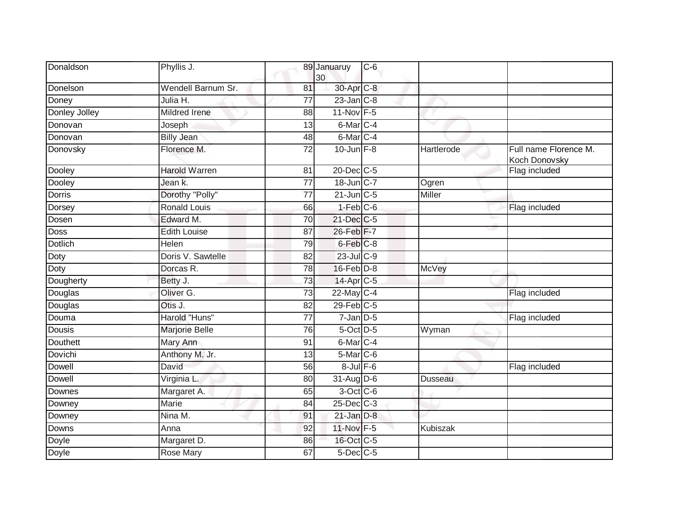| Donaldson       | Phyllis J.           |                 | 89 Januaruy<br>30     | $C-6$ |                 |                                        |
|-----------------|----------------------|-----------------|-----------------------|-------|-----------------|----------------------------------------|
| Donelson        | Wendell Barnum Sr.   | 81              | 30-Apr C-8            |       |                 |                                        |
| Doney           | Julia H.             | $\overline{77}$ | $23$ -Jan $C-8$       |       |                 |                                        |
| Donley Jolley   | Mildred Irene        | 88              | 11-Nov F-5            |       |                 |                                        |
| Donovan         | Joseph               | 13              | 6-Mar <sub>IC-4</sub> |       | w               |                                        |
| Donovan         | <b>Billy Jean</b>    | 48              | 6-Mar <sub>IC-4</sub> |       |                 |                                        |
| Donovsky        | Florence M.          | 72              | $10$ -Jun $F-8$       |       | Hartlerode      | Full name Florence M.<br>Koch Donovsky |
| Dooley          | <b>Harold Warren</b> | 81              | 20-Dec C-5            |       |                 | Flag included                          |
| Dooley          | Jean k.              | $\overline{77}$ | 18-Jun C-7            |       | Ogren           |                                        |
| Dorris          | Dorothy "Polly"      | 77              | $21$ -Jun $C-5$       |       | Miller          |                                        |
| Dorsey          | <b>Ronald Louis</b>  | 66              | $1-Feb$ $C-6$         |       |                 | Flag included                          |
| Dosen           | Edward M.            | 70              | 21-Dec C-5            |       |                 |                                        |
| <b>Doss</b>     | <b>Edith Louise</b>  | 87              | 26-Feb F-7            |       |                 |                                        |
| <b>Dotlich</b>  | Helen                | 79              | 6-Feb <sup>C-8</sup>  |       |                 |                                        |
| Doty            | Doris V. Sawtelle    | 82              | $23$ -Jul C-9         |       |                 |                                        |
| Doty            | Dorcas R.            | 78              | $16$ -Feb $D-8$       |       | McVey           |                                        |
| Dougherty       | Betty J.             | 73              | 14-Apr C-5            |       |                 |                                        |
| Douglas         | Oliver G.            | 73              | 22-May C-4            |       |                 | Flag included                          |
| Douglas         | Otis J.              | 82              | $29$ -Feb $C-5$       |       |                 |                                        |
| Douma           | Harold "Huns"        | $\overline{77}$ | $7$ -Jan $D-5$        |       |                 | Flag included                          |
| <b>Dousis</b>   | Marjorie Belle       | 76              | 5-Oct D-5             |       | Wyman           |                                        |
| <b>Douthett</b> | Mary Ann             | 91              | 6-Mar <sub>C-4</sub>  |       |                 |                                        |
| Dovichi         | Anthony M. Jr.       | 13              | 5-Mar C-6             |       |                 |                                        |
| Dowell          | David                | 56              | $8$ -Jul $F$ -6       |       |                 | Flag included                          |
| <b>Dowell</b>   | Virginia L.          | 80              | $31-Aug$ D-6          |       | Dusseau         |                                        |
| Downes          | Margaret A.          | 65              | $3$ -Oct C-6          |       |                 |                                        |
| Downey          | <b>Marie</b>         | 84              | 25-Dec C-3            |       |                 |                                        |
| Downey          | Nina M.              | 91              | $21$ -Jan $D-8$       |       |                 |                                        |
| Downs           | Anna                 | 92              | 11-Nov F-5            |       | <b>Kubiszak</b> |                                        |
| Doyle           | Margaret D.          | 86              | 16-Oct C-5            |       |                 |                                        |
| Doyle           | Rose Mary            | 67              | $5$ -Dec $C$ -5       |       |                 |                                        |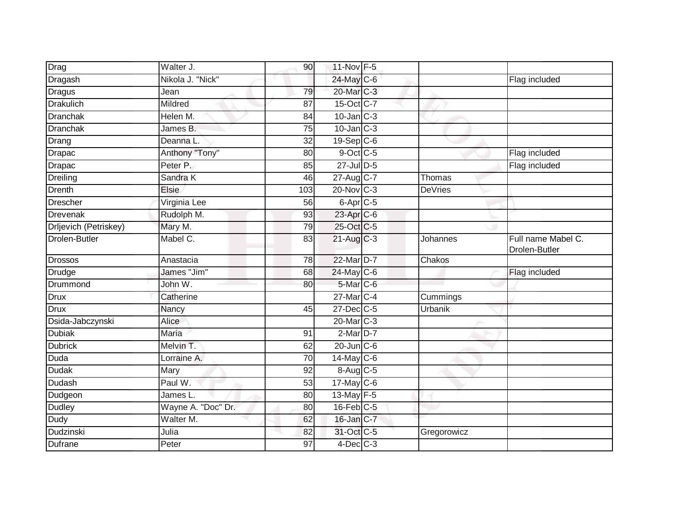| Drag                  | Walter J.                       | 90 <sup>°</sup> | 11-Nov F-5             |                |                                     |
|-----------------------|---------------------------------|-----------------|------------------------|----------------|-------------------------------------|
| Dragash               | Nikola J. "Nick"                |                 | 24-May C-6             |                | Flag included                       |
| <b>Dragus</b>         | Jean                            | 79              | 20-Mar C-3             |                |                                     |
| <b>Drakulich</b>      | Mildred                         | 87              | 15-Oct C-7             |                |                                     |
| <b>Dranchak</b>       | Helen M.                        | 84              | $10$ -Jan $C-3$        |                |                                     |
| Dranchak              | James B.                        | 75              | $10$ -Jan $C-3$        |                |                                     |
| Drang                 | Deanna L                        | 32              | $19-Sep C-6$           |                |                                     |
| Drapac                | Anthony "Tony"                  | 80              | $9$ -Oct C-5           |                | Flag included                       |
| Drapac                | Peter P.                        | 85              | 27-Jul D-5             |                | Flag included                       |
| Dreiling              | Sandra K                        | 46              | 27-Aug C-7             | Thomas         |                                     |
| Drenth                | Elsie                           | 103             | $20$ -Nov $ C-3 $      | <b>DeVries</b> |                                     |
| <b>Drescher</b>       | Virginia Lee                    | 56              | 6-Apr <sub>C-5</sub>   |                |                                     |
| Drevenak              | Rudolph M.                      | 93              | $23$ -Apr $C-6$        |                |                                     |
| Drljevich (Petriskey) | Mary M.                         | 79              | 25-Oct C-5             |                |                                     |
| <b>Drolen-Butler</b>  | Mabel C.                        | 83              | $21-Aug$ $C-3$         | Johannes       | Full name Mabel C.<br>Drolen-Butler |
| <b>Drossos</b>        | Anastacia                       | 78              | 22-Mar D-7             | Chakos         |                                     |
| Drudge                | James "Jim"                     | 68              | $24$ -May C-6          |                | Flag included                       |
| Drummond              | John W.                         | 80              | 5-Mar C-6              |                |                                     |
| Drux                  | Catherine                       |                 | 27-Mar <sub>IC-4</sub> | Cummings       |                                     |
| Drux                  | Nancy                           | 45              | $27$ -Dec $C-5$        | Urbanik        |                                     |
| Dsida-Jabczynski      | Alice                           |                 | 20-Mar C-3             |                |                                     |
| <b>Dubiak</b>         | Maria                           | 91              | 2-Mar D-7              |                |                                     |
| <b>Dubrick</b>        | Melvin T.                       | 62              | 20-Jun C-6             |                |                                     |
| Duda                  | Lorraine A.                     | 70              | $14$ -May C-6          |                |                                     |
| <b>Dudak</b>          | Mary                            | 92              | $8-Aug$ <sub>C-5</sub> |                |                                     |
| Dudash                | Paul W.                         | 53              | $17$ -May C-6          |                |                                     |
| Dudgeon               | James $\overline{\mathsf{L}}$ . | 80              | 13-May F-5             |                |                                     |
| <b>Dudley</b>         | Wayne A. "Doc" Dr.              | 80              | 16-Feb C-5             |                |                                     |
| Dudy                  | Walter M.                       | 62              | 16-Jan C-7             |                |                                     |
| Dudzinski             | Julia                           | 82              | 31-Oct C-5             | Gregorowicz    |                                     |
| Dufrane               | Peter                           | 97              | $4$ -Dec $C$ -3        |                |                                     |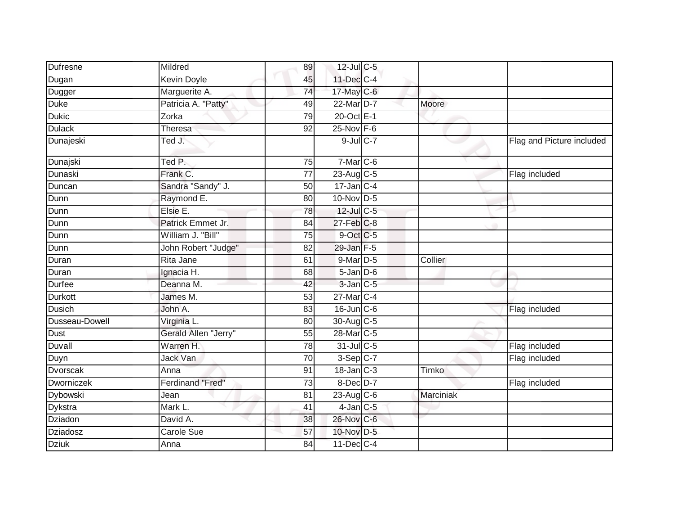| <b>Dufresne</b> | Mildred                 | 89              | 12-Jul C-5             |           |                           |
|-----------------|-------------------------|-----------------|------------------------|-----------|---------------------------|
| Dugan           | <b>Kevin Doyle</b>      | 45              | 11-Dec C-4             |           |                           |
| Dugger          | Marguerite A.           | 74              | 17-May C-6             |           |                           |
| <b>Duke</b>     | Patricia A. "Patty"     | 49              | 22-Mar D-7             | Moore     |                           |
| <b>Dukic</b>    | Zorka                   | 79              | 20-Oct E-1             |           |                           |
| <b>Dulack</b>   | <b>Theresa</b>          | 92              | $25$ -Nov $F-6$        |           |                           |
| Dunajeski       | Ted J.                  |                 | $9$ -Jul $C$ -7        |           | Flag and Picture included |
| Dunajski        | Ted P.                  | $\overline{75}$ | $7-Mar$ C-6            |           |                           |
| Dunaski         | Frank C.                | 77              | 23-Aug C-5             |           | Flag included             |
| Duncan          | Sandra "Sandy" J.       | 50              | $17$ -Jan C-4          |           |                           |
| Dunn            | Raymond E.              | 80              | 10-Nov D-5             |           |                           |
| Dunn            | Elsie E.                | $\overline{78}$ | 12-Jul C-5             |           |                           |
| Dunn            | Patrick Emmet Jr.       | 84              | $27$ -Feb $C-8$        |           |                           |
| Dunn            | William J. "Bill"       | 75              | 9-Oct C-5              |           |                           |
| Dunn            | John Robert "Judge"     | 82              | 29-Jan F-5             |           |                           |
| Duran           | Rita Jane               | 61              | $9$ -Mar $D-5$         | Collier   |                           |
| Duran           | Ignacia H.              | 68              | $5$ -Jan $D$ -6        |           |                           |
| <b>Durfee</b>   | Deanna M.               | 42              | $3$ -Jan $C$ -5        |           |                           |
| <b>Durkott</b>  | James M.                | 53              | 27-Mar <sub>IC-4</sub> |           |                           |
| <b>Dusich</b>   | John A.                 | 83              | $16$ -Jun $C$ -6       |           | Flag included             |
| Dusseau-Dowell  | Virginia L.             | 80              | 30-Aug C-5             |           |                           |
| Dust            | Gerald Allen "Jerry"    | 55              | 28-Mar <sub>C-5</sub>  |           |                           |
| Duvall          | Warren H.               | 78              | 31-Jul C-5             |           | Flag included             |
| Duyn            | Jack Van                | 70              | $3-Sep$ C-7            |           | Flag included             |
| <b>Dvorscak</b> | Anna                    | 91              | $18 - Jan$ $C-3$       | Timko     |                           |
| Dworniczek      | <b>Ferdinand "Fred"</b> | 73              | 8-Dec D-7              |           | Flag included             |
| <b>Dybowski</b> | Jean                    | 81              | $23$ -Aug C-6          | Marciniak |                           |
| Dykstra         | Mark L.                 | 41              | $4$ -Jan $ C-5 $       |           |                           |
| Dziadon         | David A.                | 38              | 26-Nov C-6             |           |                           |
| Dziadosz        | Carole Sue              | 57              | 10-Nov D-5             |           |                           |
| <b>Dziuk</b>    | Anna                    | 84              | 11-Dec C-4             |           |                           |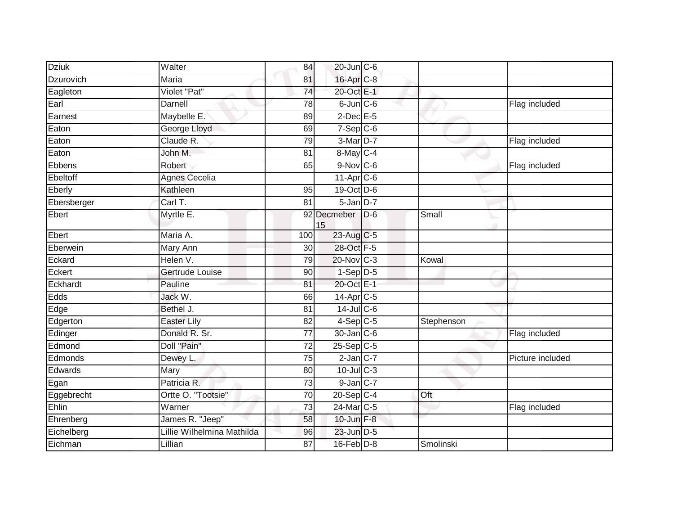| Flag included<br>Flag included |
|--------------------------------|
|                                |
|                                |
|                                |
|                                |
|                                |
|                                |
|                                |
|                                |
| Flag included                  |
|                                |
|                                |
|                                |
| Small                          |
|                                |
|                                |
| Kowal                          |
|                                |
|                                |
|                                |
|                                |
| Stephenson                     |
| Flag included                  |
|                                |
| Picture included               |
|                                |
|                                |
| Oft                            |
| Flag included                  |
|                                |
|                                |
| Smolinski                      |
|                                |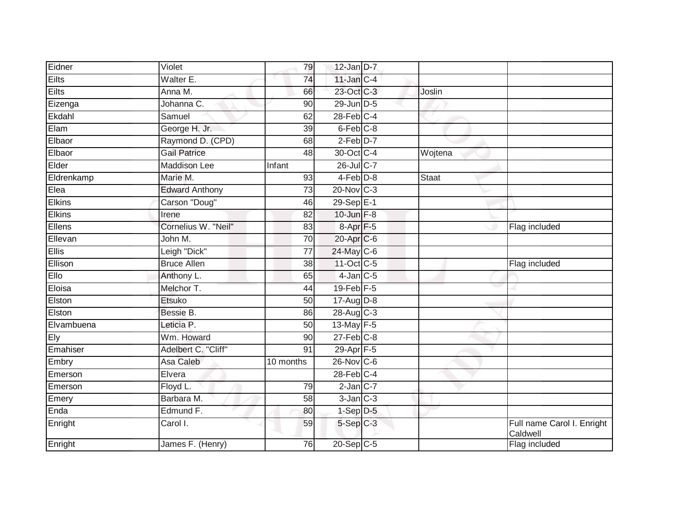| Eidner        | Violet                | 79              | $12$ -Jan $D-7$      |         |                                        |
|---------------|-----------------------|-----------------|----------------------|---------|----------------------------------------|
| <b>Eilts</b>  | Walter E.             | 74              | $11$ -Jan $C-4$      |         |                                        |
| <b>Eilts</b>  | Anna M.               | 66              | 23-Oct C-3           | Joslin  |                                        |
| Eizenga       | Johanna C.            | 90              | 29-Jun D-5           |         |                                        |
| Ekdahl        | Samuel                | 62              | $28$ -Feb $C-4$      |         |                                        |
| Elam          | George H. Jr.         | 39              | 6-Feb C-8            |         |                                        |
| Elbaor        | Raymond D. (CPD)      | 68              | $2-Feb$ $D-7$        |         |                                        |
| Elbaor        | <b>Gail Patrice</b>   | 48              | 30-Oct C-4           | Wojtena |                                        |
| Elder         | <b>Maddison Lee</b>   | Infant          | 26-Jul C-7           |         |                                        |
| Eldrenkamp    | Marie M.              | 93              | $4-Feb$ D-8          | Staat   |                                        |
| Elea          | <b>Edward Anthony</b> | 73              | $20$ -Nov $C-3$      |         |                                        |
| Elkins        | Carson "Doug"         | 46              | 29-Sep E-1           |         |                                        |
| <b>Elkins</b> | Irene                 | 82              | 10-Jun F-8           |         |                                        |
| Ellens        | Cornelius W. "Neil"   | 83              | 8-Apr <sub>F-5</sub> |         | Flag included                          |
| Ellevan       | John M.               | 70              | 20-Apr C-6           |         |                                        |
| <b>Ellis</b>  | Leigh "Dick"          | $\overline{77}$ | 24-May C-6           |         |                                        |
| Ellison       | <b>Bruce Allen</b>    | $\overline{38}$ | 11-Oct C-5           |         | Flag included                          |
| Ello          | Anthony L.            | 65              | $4$ -Jan $C$ -5      |         |                                        |
| Eloisa        | Melchor T.            | 44              | 19-Feb F-5           |         |                                        |
| Elston        | <b>Etsuko</b>         | 50              | 17-Aug D-8           |         |                                        |
| Elston        | Bessie B.             | 86              | 28-Aug C-3           |         |                                        |
| Elvambuena    | Leticia P.            | $\overline{50}$ | 13-May F-5           |         |                                        |
| Ely           | Wm. Howard            | 90              | $27$ -Feb $C-8$      |         |                                        |
| Emahiser      | Adelbert C. "Cliff"   | 91              | 29-Apr F-5           |         |                                        |
| Embry         | Asa Caleb             | 10 months       | $26$ -Nov $ C-6 $    |         |                                        |
| Emerson       | Elvera                |                 | $28$ -Feb $C-4$      |         |                                        |
| Emerson       | Floyd L.              | 79              | $2$ -Jan $C-7$       |         |                                        |
| Emery         | Barbara M.            | 58              | $3-Jan$ $C-3$        |         |                                        |
| Enda          | Edmund F.             | 80              | $1-Sep$ D-5          |         |                                        |
| Enright       | Carol I.              | 59              | 5-Sep C-3            |         | Full name Carol I. Enright<br>Caldwell |
| Enright       | James F. (Henry)      | 76              | 20-Sep C-5           |         | Flag included                          |
|               |                       |                 |                      |         |                                        |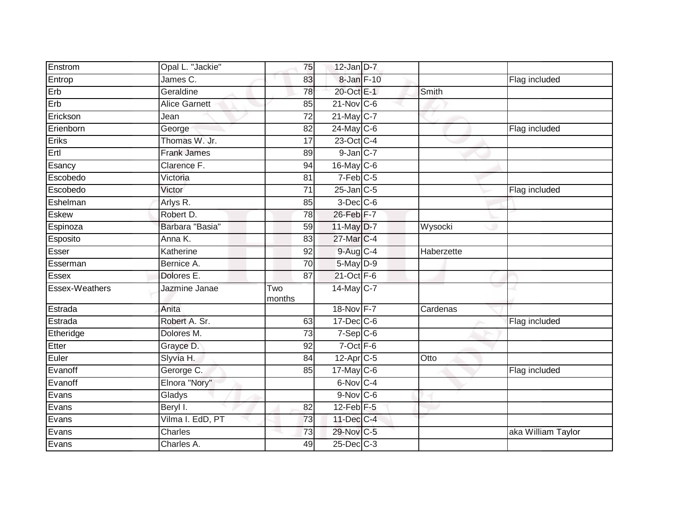| Enstrom        | Opal L. "Jackie"     | 75              | $12$ -Jan $D-7$      |            |                    |
|----------------|----------------------|-----------------|----------------------|------------|--------------------|
| Entrop         | James C.             | 83              | 8-Jan F-10           |            | Flag included      |
| Erb            | Geraldine            | 78              | 20-Oct E-1           | Smith      |                    |
| Erb            | <b>Alice Garnett</b> | 85              | $21$ -Nov $ C-6 $    |            |                    |
| Erickson       | Jean                 | $\overline{72}$ | $21$ -May C-7        |            |                    |
| Erienborn      | George               | 82              | 24-May C-6           |            | Flag included      |
| Eriks          | Thomas W. Jr.        | 17              | 23-Oct C-4           |            |                    |
| Ertl           | <b>Frank James</b>   | 89              | $9$ -Jan $C-7$       |            |                    |
| Esancy         | Clarence F.          | 94              | $16$ -May C-6        |            |                    |
| Escobedo       | Victoria             | 81              | $7-Feb$ C-5          |            |                    |
| Escobedo       | Victor               | 71              | $25$ -Jan $C$ -5     |            | Flag included      |
| Eshelman       | Arlys R.             | 85              | 3-Dec <sup>C-6</sup> |            |                    |
| <b>Eskew</b>   | Robert D.            | 78              | 26-Feb F-7           |            |                    |
| Espinoza       | Barbara "Basia"      | 59              | 11-May D-7           | Wysocki    |                    |
| Esposito       | Anna K.              | 83              | 27-Mar C-4           |            |                    |
| Esser          | Katherine            | 92              | 9-Aug C-4            | Haberzette |                    |
| Esserman       | Bernice A.           | $\overline{70}$ | 5-May D-9            |            |                    |
| Essex          | Dolores E.           | 87              | 21-Oct F-6           |            |                    |
| Essex-Weathers | Jazmine Janae        | Two<br>months   | 14-May C-7           |            |                    |
| Estrada        | Anita                |                 | 18-Nov F-7           | Cardenas   |                    |
| Estrada        | Robert A. Sr.        | 63              | $17$ -Dec $C$ -6     |            | Flag included      |
| Etheridge      | Dolores M.           | 73              | $7-Sep C-6$          |            |                    |
| Etter          | Grayce D.            | 92              | $7-Oct$ $F-6$        |            |                    |
| Euler          | Slyvia H.            | 84              | $12-AprC-5$          | Otto       |                    |
| Evanoff        | Gerorge C.           | 85              | $17$ -May C-6        |            | Flag included      |
| Evanoff        | Elnora "Nory"        |                 | 6-Nov C-4            |            |                    |
| Evans          | Gladys               |                 | $9-Nov$ C-6          |            |                    |
| Evans          | Beryl I.             | 82              | $12$ -Feb $F-5$      |            |                    |
| Evans          | Vilma I. EdD, PT     | 73              | 11-Dec C-4           |            |                    |
| Evans          | Charles              | 73              | 29-Nov C-5           |            | aka William Taylor |
| Evans          | Charles A.           | 49              | $25$ -Dec $C$ -3     |            |                    |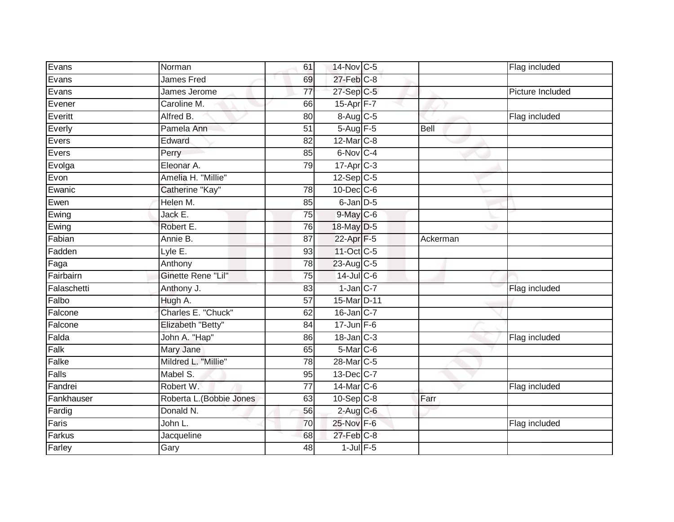| Evans       | Norman                   | 61              | 14-Nov C-5            |             | Flag included           |
|-------------|--------------------------|-----------------|-----------------------|-------------|-------------------------|
| Evans       | <b>James Fred</b>        | 69              | $27$ -Feb $C-8$       |             |                         |
| Evans       | James Jerome             | $\overline{77}$ | 27-Sep C-5            |             | <b>Picture Included</b> |
| Evener      | Caroline M.              | 66              | $15-Apr$ F-7          |             |                         |
| Everitt     | Alfred B.                | $\overline{80}$ | 8-Aug C-5             |             | Flag included           |
| Everly      | Pamela Ann               | 51              | 5-Aug F-5             | <b>Bell</b> |                         |
| Evers       | Edward                   | 82              | 12-Mar C-8            |             |                         |
| Evers       | Perry                    | 85              | 6-Nov C-4             |             |                         |
| Evolga      | Eleonar A.               | 79              | $17 - Apr$ $C-3$      |             |                         |
| Evon        | Amelia H. "Millie"       |                 | $12-Sep$ C-5          |             |                         |
| Ewanic      | Catherine "Kay"          | 78              | $10$ -Dec $C$ -6      |             |                         |
| Ewen        | Helen M.                 | 85              | 6-Jan D-5             |             |                         |
| Ewing       | Jack E.                  | 75              | $9$ -May $C$ -6       |             |                         |
| Ewing       | Robert E.                | 76              | 18-May D-5            |             |                         |
| Fabian      | Annie B.                 | $\overline{87}$ | 22-Apr F-5            | Ackerman    |                         |
| Fadden      | Lyle E.                  | 93              | 11-Oct C-5            |             |                         |
| Faga        | Anthony                  | 78              | 23-Aug C-5            |             |                         |
| Fairbairn   | Ginette Rene "Lil"       | 75              | $14$ -Jul $C$ -6      |             |                         |
| Falaschetti | Anthony J.               | 83              | $1-Jan$ $C-7$         |             | Flag included           |
| Falbo       | Hugh A.                  | 57              | 15-Mar D-11           |             |                         |
| Falcone     | Charles E. "Chuck"       | 62              | 16-Jan C-7            |             |                         |
| Falcone     | Elizabeth "Betty"        | 84              | $17 - Jun$ F-6        |             |                         |
| Falda       | John A. "Hap"            | 86              | $18$ -Jan $C-3$       |             | Flag included           |
| Falk        | Mary Jane                | 65              | 5-Mar C-6             |             |                         |
| Falke       | Mildred L. "Millie"      | 78              | 28-Mar <sub>C-5</sub> |             |                         |
| Falls       | Mabel S.                 | 95              | 13-Dec C-7            |             |                         |
| Fandrei     | Robert W.                | $\overline{77}$ | 14-Mar C-6            |             | Flag included           |
| Fankhauser  | Roberta L. (Bobbie Jones | 63              | $10-Sep$ C-8          | Farr        |                         |
| Fardig      | Donald N.                | 56              | $2-Aug$ C-6           |             |                         |
| Faris       | John L.                  | 70              | 25-Nov F-6            |             | Flag included           |
| Farkus      | Jacqueline               | 68              | $27$ -Feb $C-8$       |             |                         |
| Farley      | Gary                     | 48              | $1$ -Jul $F-5$        |             |                         |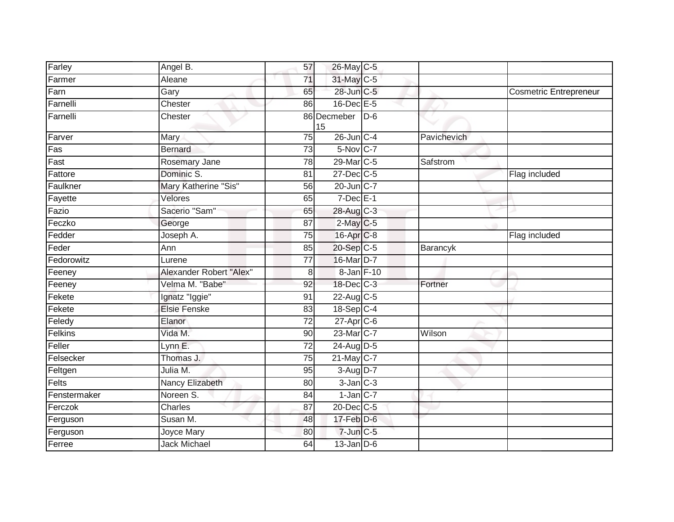| Farley                     | Angel B.                | 57              | 26-May C-5              |       |             |                               |
|----------------------------|-------------------------|-----------------|-------------------------|-------|-------------|-------------------------------|
| Farmer                     | Aleane                  | $\overline{71}$ | 31-May C-5              |       |             |                               |
| Farn                       | Gary                    | 65              | 28-Jun C-5              |       |             | <b>Cosmetric Entrepreneur</b> |
| Farnelli                   | Chester                 | 86              | $16$ -Dec $E$ -5        |       |             |                               |
| Farnelli                   | Chester                 |                 | 86 Decmeber<br>15       | $D-6$ |             |                               |
| Farver                     | Mary                    | $\overline{75}$ | $26$ -Jun $C-4$         |       | Pavichevich |                               |
| Fas                        | <b>Bernard</b>          | 73              | 5-Nov C-7               |       |             |                               |
| $\overline{\mathsf{Fast}}$ | Rosemary Jane           | 78              | 29-Mar C-5              |       | Safstrom    |                               |
| Fattore                    | Dominic S.              | 81              | 27-Dec C-5              |       |             | Flag included                 |
| Faulkner                   | Mary Katherine "Sis"    | 56              | 20-Jun C-7              |       |             |                               |
| Fayette                    | Velores                 | 65              | $7$ -Dec $E-1$          |       |             |                               |
| Fazio                      | Sacerio "Sam"           | 65              | 28-Aug C-3              |       |             |                               |
| Feczko                     | George                  | 87              | $2$ -May C-5            |       |             |                               |
| Fedder                     | Joseph A.               | 75              | 16-Apr C-8              |       |             | Flag included                 |
| Feder                      | Ann                     | 85              | 20-Sep C-5              |       | Barancyk    |                               |
| Fedorowitz                 | Lurene                  | 77              | 16-Mar D-7              |       |             |                               |
| Feeney                     | Alexander Robert "Alex" | 8               | 8-Jan F-10              |       |             |                               |
| Feeney                     | Velma M. "Babe"         | 92              | 18-Dec C-3              |       | Fortner     |                               |
| Fekete                     | Ignatz "Iggie"          | 91              | 22-Aug C-5              |       |             |                               |
| Fekete                     | <b>Elsie Fenske</b>     | $\overline{83}$ | 18-Sep C-4              |       |             |                               |
| Feledy                     | Elanor                  | 72              | $27-Apr$ <sub>C-6</sub> |       |             |                               |
| Felkins                    | Vida M.                 | 90              | 23-Mar C-7              |       | Wilson      |                               |
| Feller                     | Lynn E.                 | 72              | 24-Aug D-5              |       |             |                               |
| Felsecker                  | Thomas J.               | 75              | 21-May C-7              |       |             |                               |
| Feltgen                    | Julia M.                | 95              | 3-Aug D-7               |       |             |                               |
| Felts                      | Nancy Elizabeth         | 80              | $3$ -Jan $C-3$          |       |             |                               |
| Fenstermaker               | Noreen S.               | 84              | $1$ -Jan $C$ -7         |       |             |                               |
| Ferczok                    | Charles                 | 87              | 20-Dec C-5              |       |             |                               |
| Ferguson                   | Susan M.                | 48              | 17-Feb D-6              |       |             |                               |
| Ferguson                   | Joyce Mary              | 80              | 7-Jun C-5               |       |             |                               |
| Ferree                     | <b>Jack Michael</b>     | 64              | $13$ -Jan $D-6$         |       |             |                               |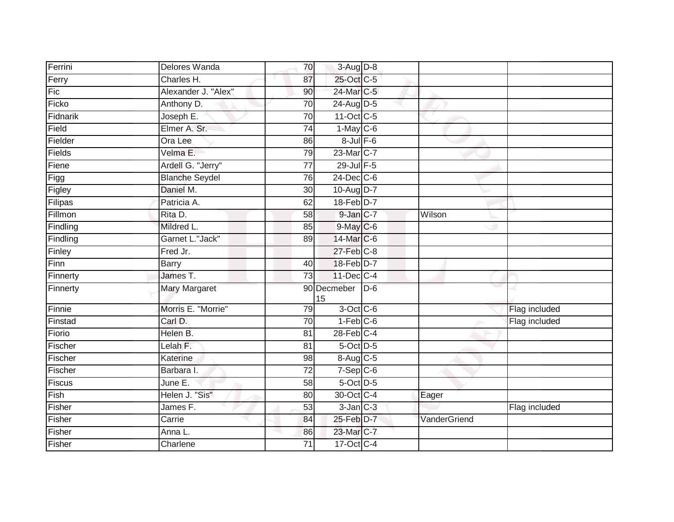| Ferrini  | Delores Wanda         | 70              | $3-Aug$ $D-8$     |       |              |               |
|----------|-----------------------|-----------------|-------------------|-------|--------------|---------------|
| Ferry    | Charles H.            | 87              | 25-Oct C-5        |       |              |               |
| Fic      | Alexander J. "Alex"   | 90              | 24-Mar C-5        |       |              |               |
| Ficko    | Anthony D.            | 70              | $24$ -Aug D-5     |       |              |               |
| Fidnarik | Joseph E.             | 70              | 11-Oct C-5        |       |              |               |
| Field    | Elmer A. Sr.          | 74              | $1-May$ C-6       |       |              |               |
| Fielder  | Ora Lee               | 86              | $8$ -Jul $F$ -6   |       |              |               |
| Fields   | Velma E.              | 79              | 23-Mar C-7        |       |              |               |
| Fiene    | Ardell G. "Jerry"     | 77              | $29$ -Jul $F-5$   |       |              |               |
| Figg     | <b>Blanche Seydel</b> | 76              | $24$ -Dec $C-6$   |       |              |               |
| Figley   | Daniel M.             | 30              | 10-Aug D-7        |       |              |               |
| Filipas  | Patricia A.           | 62              | 18-Feb D-7        |       |              |               |
| Fillmon  | Rita D.               | 58              | $9$ -Jan $C-7$    |       | Wilson       |               |
| Findling | Mildred L.            | 85              | 9-May C-6         |       |              |               |
| Findling | Garnet L."Jack"       | 89              | 14-Mar C-6        |       |              |               |
| Finley   | Fred Jr.              |                 | $27$ -Feb $C-8$   |       |              |               |
| Finn     | <b>Barry</b>          | 40              | 18-Feb D-7        |       |              |               |
| Finnerty | James T.              | 73              | $11$ -Dec $C$ -4  |       |              |               |
| Finnerty | <b>Mary Margaret</b>  |                 | 90 Decmeber<br>15 | $D-6$ |              |               |
| Finnie   | Morris E. "Morrie"    | 79              | 3-Oct C-6         |       |              | Flag included |
| Finstad  | Carl D.               | 70              | $1-Feb$ $C-6$     |       |              | Flag included |
| Fiorio   | Helen B.              | 81              | $28$ -Feb $C-4$   |       |              |               |
| Fischer  | Lelah F.              | 81              | 5-Oct D-5         |       |              |               |
| Fischer  | Katerine              | 98              | 8-Aug C-5         |       |              |               |
| Fischer  | Barbara I.            | $\overline{72}$ | $7-Sep$ $C-6$     |       |              |               |
| Fiscus   | June $E$ .            | 58              | 5-Oct D-5         |       |              |               |
| Fish     | Helen J. "Sis"        | 80              | 30-Oct C-4        |       | Eager        |               |
| Fisher   | James F.              | 53              | $3$ -Jan $C-3$    |       |              | Flag included |
| Fisher   | Carrie                | 84              | 25-Feb D-7        |       | VanderGriend |               |
| Fisher   | Anna L.               | 86              | 23-Mar C-7        |       |              |               |
| Fisher   | Charlene              | 71              | 17-Oct C-4        |       |              |               |
|          |                       |                 |                   |       |              |               |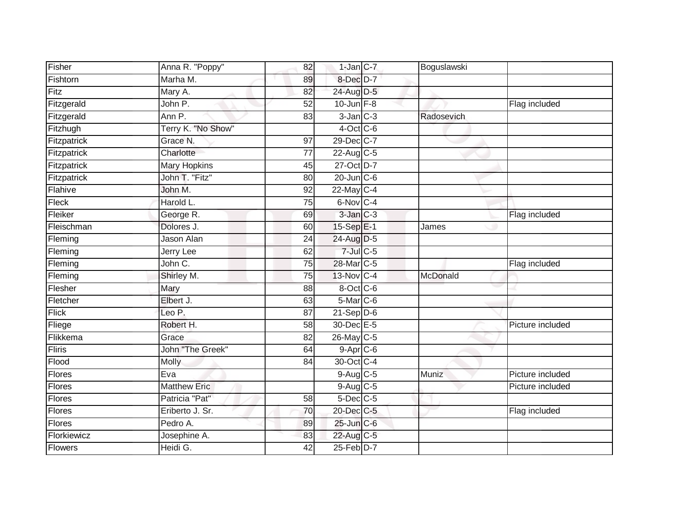| Fisher         | Anna R. "Poppy"         | 82              | $1$ -Jan $C$ -7  | Boguslawski |                  |
|----------------|-------------------------|-----------------|------------------|-------------|------------------|
| Fishtorn       | Marha M.                | 89              | 8-Dec D-7        |             |                  |
| Fitz           | Mary A.                 | 82              | 24-Aug D-5       |             |                  |
| Fitzgerald     | John P.                 | 52              | $10$ -Jun $F-8$  |             | Flag included    |
| Fitzgerald     | Ann P.                  | 83              | $3$ -Jan $C-3$   | Radosevich  |                  |
| Fitzhugh       | Terry K. "No Show"      |                 | $4$ -Oct C-6     |             |                  |
| Fitzpatrick    | Grace N.                | 97              | 29-Dec C-7       |             |                  |
| Fitzpatrick    | Charlotte               | 77              | 22-Aug C-5       |             |                  |
| Fitzpatrick    | <b>Mary Hopkins</b>     | 45              | 27-Oct D-7       |             |                  |
| Fitzpatrick    | John T. "Fitz"          | 80              | $20 - Jun$ $C-6$ |             |                  |
| Flahive        | John M.                 | 92              | 22-May C-4       |             |                  |
| Fleck          | Harold L.               | $\overline{75}$ | 6-Nov C-4        |             |                  |
| Fleiker        | George R.               | 69              | $3-Jan$ $C-3$    |             | Flag included    |
| Fleischman     | Dolores J.              | 60              | 15-Sep E-1       | James       |                  |
| Fleming        | Jason Alan              | 24              | 24-Aug D-5       |             |                  |
| Fleming        | <b>Jerry Lee</b>        | 62              | $7$ -Jul $C$ -5  |             |                  |
| Fleming        | John C.                 | $\overline{75}$ | 28-Mar C-5       |             | Flag included    |
| Fleming        | Shirley M.              | 75              | $13$ -Nov C-4    | McDonald    |                  |
| Flesher        | Mary                    | 88              | 8-Oct C-6        |             |                  |
| Fletcher       | Elbert J.               | 63              | $5$ -Mar $C$ -6  |             |                  |
| <b>Flick</b>   | Leo P.                  | 87              | $21-Sep D-6$     |             |                  |
| Fliege         | Robert H.               | 58              | 30-Dec E-5       |             | Picture included |
| Flikkema       | Grace                   | 82              | 26-May C-5       |             |                  |
| Fliris         | <b>John "The Greek"</b> | 64              | $9-Apr$ $C-6$    |             |                  |
| Flood          | Molly                   | 84              | 30-Oct C-4       |             |                  |
| Flores         | Eva                     |                 | $9-Aug$ $C-5$    | Muniz       | Picture included |
| Flores         | <b>Matthew Eric</b>     |                 | $9-Aug$ $C-5$    |             | Picture included |
| <b>Flores</b>  | Patricia "Pat"          | 58              | $5$ -Dec $C$ -5  |             |                  |
| <b>Flores</b>  | Eriberto J. Sr.         | 70              | 20-Dec C-5       |             | Flag included    |
| Flores         | Pedro A.                | 89              | 25-Jun C-6       |             |                  |
| Florkiewicz    | Josephine A.            | 83              | 22-Aug C-5       |             |                  |
| <b>Flowers</b> | Heidi G.                | 42              | $25$ -Feb $D-7$  |             |                  |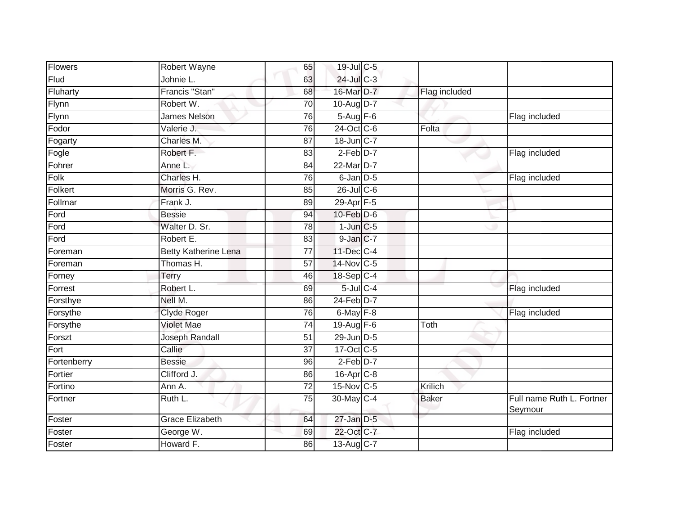| <b>Flowers</b> | Robert Wayne                | 65              | 19-Jul C-5      |               |                                      |
|----------------|-----------------------------|-----------------|-----------------|---------------|--------------------------------------|
| Flud           | Johnie L.                   | 63              | 24-Jul C-3      |               |                                      |
| Fluharty       | Francis "Stan"              | 68              | 16-Mar D-7      | Flag included |                                      |
| Flynn          | Robert W.                   | 70              | 10-Aug $D-7$    |               |                                      |
| Flynn          | <b>James Nelson</b>         | 76              | $5-Aug$ F-6     |               | Flag included                        |
| Fodor          | Valerie J.                  | 76              | 24-Oct C-6      | Folta         |                                      |
| Fogarty        | Charles M.                  | 87              | 18-Jun C-7      |               |                                      |
| Fogle          | Robert F.                   | 83              | $2-Feb$ D-7     |               | Flag included                        |
| Fohrer         | Anne L.                     | 84              | 22-Mar D-7      |               |                                      |
| Folk           | Charles H.                  | $\overline{76}$ | 6-Jan D-5       |               | Flag included                        |
| Folkert        | Morris G. Rev.              | 85              | $26$ -Jul C-6   |               |                                      |
| Follmar        | Frank J.                    | 89              | 29-Apr F-5      |               |                                      |
| Ford           | <b>Bessie</b>               | 94              | $10$ -Feb $D-6$ |               |                                      |
| Ford           | Walter D. Sr.               | 78              | $1$ -Jun $C$ -5 |               |                                      |
| Ford           | Robert E.                   | 83              | 9-Jan C-7       |               |                                      |
| Foreman        | <b>Betty Katherine Lena</b> | 77              | 11-Dec C-4      |               |                                      |
| Foreman        | Thomas H.                   | $\overline{57}$ | 14-Nov C-5      |               |                                      |
| Forney         | Terry                       | 46              | 18-Sep C-4      |               |                                      |
| Forrest        | Robert L.                   | 69              | $5$ -Jul $C$ -4 |               | Flag included                        |
| Forsthye       | Nell M.                     | 86              | 24-Feb D-7      |               |                                      |
| Forsythe       | <b>Clyde Roger</b>          | 76              | 6-May $F-8$     |               | Flag included                        |
| Forsythe       | <b>Violet Mae</b>           | $\overline{74}$ | 19-Aug F-6      | Toth          |                                      |
| Forszt         | Joseph Randall              | 51              | 29-Jun D-5      |               |                                      |
| Fort           | Callie                      | $\overline{37}$ | 17-Oct C-5      |               |                                      |
| Fortenberry    | <b>Bessie</b>               | 96              | $2-Feb$ D-7     |               |                                      |
| Fortier        | Clifford J.                 | 86              | 16-Apr C-8      |               |                                      |
| Fortino        | Ann A.                      | $\overline{72}$ | 15-Nov C-5      | Krilich       |                                      |
| Fortner        | Ruth L.                     | 75              | 30-May C-4      | <b>Baker</b>  | Full name Ruth L. Fortner<br>Seymour |
| Foster         | <b>Grace Elizabeth</b>      | 64              | $27$ -Jan $D-5$ |               |                                      |
| Foster         | George W.                   | 69              | 22-Oct C-7      |               | Flag included                        |
| Foster         | Howard F.                   | 86              | 13-Aug C-7      |               |                                      |
|                |                             |                 |                 |               |                                      |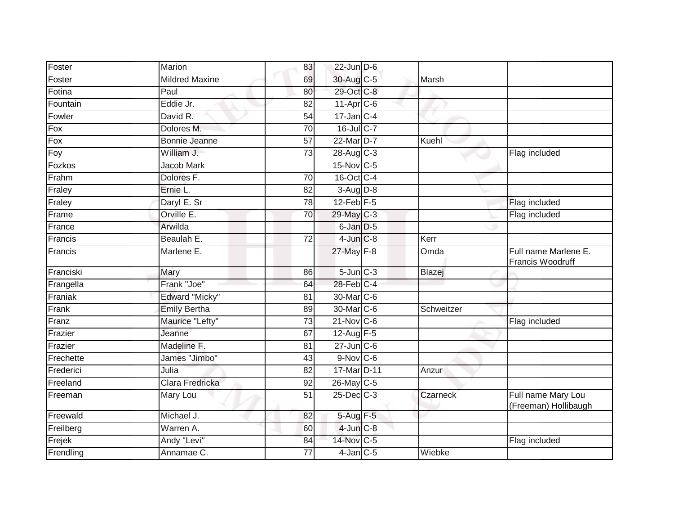| Foster    | Marion                | 83              | $22$ -Jun $D-6$           |                 |                                            |
|-----------|-----------------------|-----------------|---------------------------|-----------------|--------------------------------------------|
| Foster    | <b>Mildred Maxine</b> | 69              | 30-Aug C-5                | Marsh           |                                            |
| Fotina    | Paul                  | 80              | 29-Oct C-8                |                 |                                            |
| Fountain  | Eddie Jr.             | 82              | 11-Apr C-6                |                 |                                            |
| Fowler    | David R.              | $\overline{54}$ | $17 - Jan$ <sub>C-4</sub> |                 |                                            |
| Fox       | Dolores M.            | $\overline{70}$ | 16-Jul C-7                |                 |                                            |
| Fox       | <b>Bonnie Jeanne</b>  | 57              | 22-Mar D-7                | Kuehl           |                                            |
| Foy       | William J.            | $\overline{73}$ | 28-Aug C-3                |                 | Flag included                              |
| Fozkos    | <b>Jacob Mark</b>     |                 | 15-Nov C-5                |                 |                                            |
| Frahm     | Dolores F.            | $\overline{70}$ | 16-Oct C-4                |                 |                                            |
| Fraley    | Ernie L.              | 82              | $3-Aug$ $D-8$             |                 |                                            |
| Fraley    | Daryl E. Sr           | 78              | $12$ -Feb $F-5$           |                 | Flag included                              |
| Frame     | Orville E.            | 70              | 29-May C-3                |                 | Flag included                              |
| France    | Arwilda               |                 | 6-Jan D-5                 |                 |                                            |
| Francis   | Beaulah E.            | $\overline{72}$ | $4$ -Jun $C-8$            | Kerr            |                                            |
| Francis   | Marlene E.            |                 | 27-May F-8                | Omda            | Full name Marlene E.<br>Francis Woodruff   |
| Franciski | Mary                  | 86              | $5 - Jun$ $C - 3$         | Blazej          |                                            |
| Frangella | Frank "Joe"           | 64              | 28-Feb C-4                |                 |                                            |
| Franiak   | Edward "Micky"        | 81              | 30-Mar C-6                |                 |                                            |
| Frank     | <b>Emily Bertha</b>   | 89              | 30-Mar C-6                | Schweitzer      |                                            |
| Franz     | Maurice "Lefty"       | $\overline{73}$ | $21$ -Nov $C-6$           |                 | Flag included                              |
| Frazier   | Jeanne                | 67              | 12-Aug F-5                |                 |                                            |
| Frazier   | Madeline F.           | 81              | $27$ -Jun $C$ -6          |                 |                                            |
| Frechette | James "Jimbo"         | 43              | $9-Nov$ $C-6$             |                 |                                            |
| Frederici | Julia                 | 82              | 17-Mar D-11               | Anzur           |                                            |
| Freeland  | Clara Fredricka       | 92              | 26-May C-5                |                 |                                            |
| Freeman   | Mary Lou              | 51              | 25-Dec C-3                | <b>Czarneck</b> | Full name Mary Lou<br>(Freeman) Hollibaugh |
| Freewald  | Michael J.            | 82              | 5-Aug F-5                 |                 |                                            |
| Freilberg | Warren A.             | 60              | $4$ -Jun $C-8$            |                 |                                            |
| Frejek    | Andy "Levi"           | 84              | 14-Nov C-5                |                 | Flag included                              |
| Frendling | Annamae C.            | 77              | $4$ -Jan $C$ -5           | Wiebke          |                                            |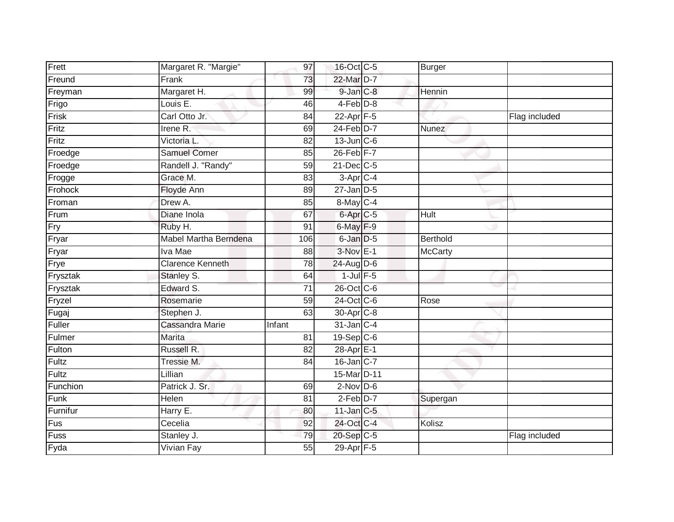| Frett    | Margaret R. "Margie"    | 97              | 16-Oct C-5              | Burger         |               |
|----------|-------------------------|-----------------|-------------------------|----------------|---------------|
| Freund   | Frank                   | 73              | 22-Mar D-7              |                |               |
| Freyman  | Margaret H.             | 99              | 9-Jan C-8               | Hennin         |               |
| Frigo    | Louis E.                | 46              | $4-Feb$ $D-8$           |                |               |
| Frisk    | Carl Otto Jr.           | $\overline{84}$ | $22-Apr$ F-5            |                | Flag included |
| Fritz    | Irene R.                | 69              | 24-Feb D-7              | Nunez          |               |
| Fritz    | Victoria L.             | 82              | $13$ -Jun $C$ -6        |                |               |
| Froedge  | <b>Samuel Comer</b>     | 85              | $26$ -Feb $F-7$         |                |               |
| Froedge  | Randell J. "Randy"      | 59              | 21-Dec C-5              |                |               |
| Frogge   | Grace M.                | 83              | $3-AprC-4$              |                |               |
| Frohock  | Floyde Ann              | 89              | $27$ -Jan $D-5$         |                |               |
| Froman   | Drew A.                 | 85              | 8-May C-4               |                |               |
| Frum     | Diane Inola             | 67              | 6-Apr <sub>C-5</sub>    | Hult           |               |
| Fry      | Ruby H.                 | 91              | 6-May F-9               |                |               |
| Fryar    | Mabel Martha Berndena   | 106             | 6-Jan D-5               | Berthold       |               |
| Fryar    | Iva Mae                 | 88              | $3-Nov$ $E-1$           | <b>McCarty</b> |               |
| Frye     | <b>Clarence Kenneth</b> | 78              | 24-Aug D-6              |                |               |
| Frysztak | Stanley S.              | 64              | $1$ -Jul $F-5$          |                |               |
| Frysztak | Edward S.               | 71              | 26-Oct C-6              |                |               |
| Fryzel   | Rosemarie               | 59              | 24-Oct C-6              | Rose           |               |
| Fugaj    | Stephen J.              | 63              | 30-Apr <sub>C-8</sub>   |                |               |
| Fuller   | Cassandra Marie         | Infant          | 31-Jan C-4              |                |               |
| Fulmer   | <b>Marita</b>           | 81              | $19-Sep$ <sub>C-6</sub> |                |               |
| Fulton   | Russell R.              | 82              | 28-Apr E-1              |                |               |
| Fultz    | Tressie M.              | 84              | $16$ -Jan $ C-7 $       |                |               |
| Fultz    | Lillian                 |                 | 15-Mar D-11             |                |               |
| Funchion | Patrick J. Sr.          | 69              | $2$ -Nov D-6            |                |               |
| Funk     | Helen                   | 81              | $2-Feb D-7$             | Supergan       |               |
| Furnifur | Harry E.                | 80              | $11$ -Jan $C-5$         |                |               |
| Fus      | Cecelia                 | 92              | 24-Oct C-4              | Kolisz         |               |
| Fuss     | Stanley J.              | 79              | 20-Sep C-5              |                | Flag included |
| Fyda     | Vivian Fay              | $\overline{55}$ | 29-Apr F-5              |                |               |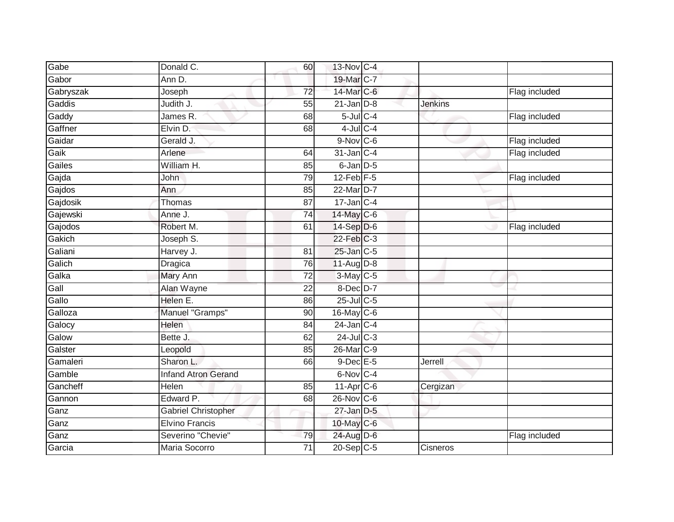| Gabe      | Donald C.                  | 60              | 13-Nov C-4      |                |               |
|-----------|----------------------------|-----------------|-----------------|----------------|---------------|
| Gabor     | Ann D.                     |                 | 19-Mar C-7      |                |               |
| Gabryszak | Joseph                     | $\overline{72}$ | 14-Mar C-6      |                | Flag included |
| Gaddis    | Judith J.                  | 55              | $21$ -Jan $D-8$ | <b>Jenkins</b> |               |
| Gaddy     | James R.                   | 68              | $5$ -Jul $C$ -4 |                | Flag included |
| Gaffner   | Elvin D.                   | 68              | $4$ -Jul $C-4$  |                |               |
| Gaidar    | Gerald J.                  |                 | $9-Nov$ C-6     |                | Flag included |
| Gaik      | Arlene                     | 64              | $31$ -Jan $C-4$ |                | Flag included |
| Gailes    | William H.                 | 85              | 6-Jan D-5       |                |               |
| Gajda     | John                       | 79              | $12$ -Feb $F-5$ |                | Flag included |
| Gajdos    | Ann                        | 85              | 22-Mar D-7      |                |               |
| Gajdosik  | Thomas                     | $\overline{87}$ | $17$ -Jan C-4   |                |               |
| Gajewski  | Anne J.                    | 74              | 14-May C-6      |                |               |
| Gajodos   | Robert M.                  | 61              | 14-Sep D-6      |                | Flag included |
| Gakich    | Joseph S.                  |                 | $22$ -Feb $C-3$ |                |               |
| Galiani   | Harvey J.                  | 81              | 25-Jan C-5      |                |               |
| Galich    | Dragica                    | 76              | 11-Aug D-8      |                |               |
| Galka     | <b>Mary Ann</b>            | 72              | 3-May C-5       |                |               |
| Gall      | Alan Wayne                 | 22              | 8-Dec D-7       |                |               |
| Gallo     | Helen E.                   | 86              | $25$ -Jul C-5   |                |               |
| Galloza   | Manuel "Gramps"            | 90              | 16-May C-6      |                |               |
| Galocy    | Helen                      | 84              | $24$ -Jan C-4   |                |               |
| Galow     | Bette J.                   | 62              | $24$ -Jul C-3   |                |               |
| Galster   | Leopold                    | 85              | 26-Mar C-9      |                |               |
| Gamaleri  | Sharon L.                  | 66              | 9-Dec E-5       | Jerrell        |               |
| Gamble    | <b>Infand Atron Gerand</b> |                 | 6-Nov C-4       |                |               |
| Gancheff  | Helen                      | 85              | 11-Apr C-6      | Cergizan       |               |
| Gannon    | Edward P.                  | 68              | 26-Nov C-6      |                |               |
| Ganz      | <b>Gabriel Christopher</b> |                 | $27$ -Jan $D-5$ |                |               |
| Ganz      | <b>Elvino Francis</b>      |                 | 10-May C-6      |                |               |
| Ganz      | Severino "Chevie"          | 79              | 24-Aug D-6      |                | Flag included |
| Garcia    | Maria Socorro              | $\overline{71}$ | $20-Sep$ C-5    | Cisneros       |               |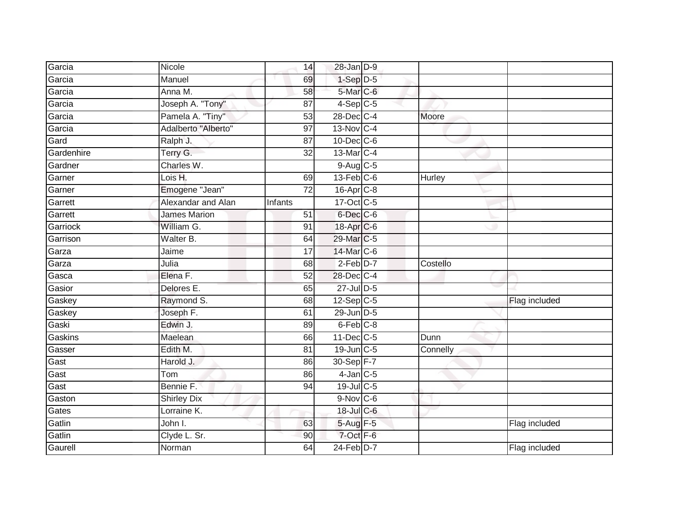| Garcia     | Nicole              | 14              | 28-Jan D-9              |          |               |
|------------|---------------------|-----------------|-------------------------|----------|---------------|
| Garcia     | Manuel              | 69              | $1-Sep$ D-5             |          |               |
| Garcia     | Anna M.             | 58              | 5-Mar C-6               |          |               |
| Garcia     | Joseph A. "Tony"    | 87              | $4-Sep$ C-5             |          |               |
| Garcia     | Pamela A. "Tiny"    | $\overline{53}$ | 28-Dec C-4              | Moore    |               |
| Garcia     | Adalberto "Alberto" | 97              | $13-Nov$ <sub>C-4</sub> |          |               |
| Gard       | Ralph J.            | 87              | 10-Dec C-6              |          |               |
| Gardenhire | Terry G.            | $\overline{32}$ | 13-Mar C-4              |          |               |
| Gardner    | Charles W.          |                 | $9-Aug$ $C-5$           |          |               |
| Garner     | Lois H.             | 69              | $13$ -Feb $C$ -6        | Hurley   |               |
| Garner     | Emogene "Jean"      | 72              | $16$ -Apr $C$ -8        |          |               |
| Garrett    | Alexandar and Alan  | Infants         | 17-Oct C-5              |          |               |
| Garrett    | <b>James Marion</b> | 51              | 6-Dec <sub>C-6</sub>    |          |               |
| Garriock   | William G.          | 91              | 18-Apr C-6              |          |               |
| Garrison   | Walter B.           | 64              | 29-Mar C-5              |          |               |
| Garza      | Jaime               | 17              | 14-Mar C-6              |          |               |
| Garza      | Julia               | 68              | $2-Feb$ $D-7$           | Costello |               |
| Gasca      | Elena F.            | 52              | 28-Dec C-4              |          |               |
| Gasior     | Delores E.          | 65              | 27-Jul D-5              |          |               |
| Gaskey     | Raymond S.          | 68              | $12-Sep$ C-5            |          | Flag included |
| Gaskey     | Joseph F.           | 61              | 29-Jun D-5              |          |               |
| Gaski      | Edwin J.            | 89              | $6$ -Feb $C-8$          |          |               |
| Gaskins    | Maelean             | 66              | 11-Dec C-5              | Dunn     |               |
| Gasser     | Edith M.            | 81              | 19-Jun C-5              | Connelly |               |
| Gast       | Harold J.           | 86              | 30-Sep F-7              |          |               |
| Gast       | Tom                 | 86              | $4$ -Jan $C$ -5         |          |               |
| Gast       | Bennie F.           | 94              | 19-Jul C-5              |          |               |
| Gaston     | <b>Shirley Dix</b>  |                 | $9-Nov$ C-6             |          |               |
| Gates      | Lorraine K.         |                 | 18-Jul C-6              |          |               |
| Gatlin     | John I.             | 63              | $5-Aug$ F-5             |          | Flag included |
| Gatlin     | Clyde L. Sr.        | 90              | 7-Oct F-6               |          |               |
| Gaurell    | Norman              | 64              | $24$ -Feb $D-7$         |          | Flag included |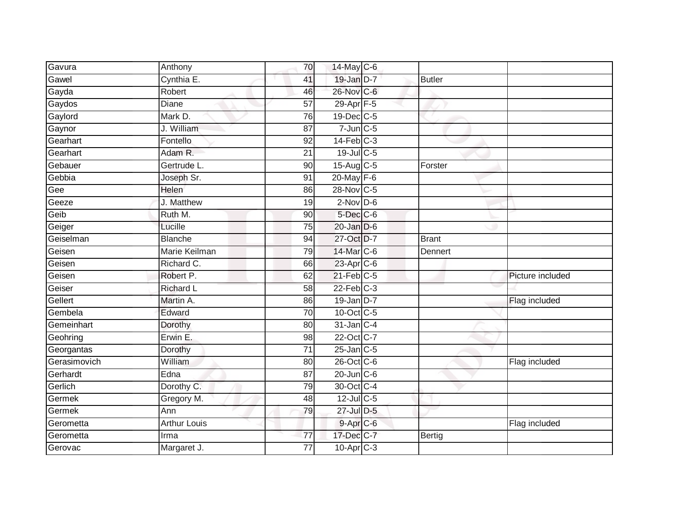| Gavura       | Anthony             | 70              | $14$ -May C-6     |               |                  |
|--------------|---------------------|-----------------|-------------------|---------------|------------------|
| Gawel        | Cynthia E.          | 41              | 19-Jan D-7        | <b>Butler</b> |                  |
| Gayda        | Robert              | 46              | 26-Nov C-6        |               |                  |
| Gaydos       | Diane               | 57              | 29-Apr F-5        |               |                  |
| Gaylord      | Mark D.             | 76              | 19-Dec C-5        |               |                  |
| Gaynor       | J. William          | 87              | $7$ -Jun $C$ -5   |               |                  |
| Gearhart     | Fontello            | 92              | $14$ -Feb $C-3$   |               |                  |
| Gearhart     | Adam R.             | 21              | 19-Jul C-5        |               |                  |
| Gebauer      | Gertrude L.         | 90              | 15-Aug C-5        | Forster       |                  |
| Gebbia       | Joseph Sr.          | 91              | 20-May F-6        |               |                  |
| Gee          | Helen               | 86              | 28-Nov C-5        |               |                  |
| Geeze        | J. Matthew          | 19              | $2-Nov$ D-6       |               |                  |
| Geib         | Ruth M.             | 90              | 5-Dec C-6         |               |                  |
| Geiger       | Lucille             | 75              | $20$ -Jan $D-6$   |               |                  |
| Geiselman    | <b>Blanche</b>      | 94              | 27-Oct D-7        | <b>Brant</b>  |                  |
| Geisen       | Marie Keilman       | $\overline{79}$ | 14-Mar C-6        | Dennert       |                  |
| Geisen       | Richard C.          | 66              | 23-Apr C-6        |               |                  |
| Geisen       | Robert P.           | 62              | $21$ -Feb $C-5$   |               | Picture included |
| Geiser       | <b>Richard L</b>    | 58              | $22$ -Feb $C-3$   |               |                  |
| Gellert      | Martin A.           | 86              | 19-Jan D-7        |               | Flag included    |
| Gembela      | Edward              | 70              | 10-Oct C-5        |               |                  |
| Gemeinhart   | Dorothy             | $\overline{80}$ | 31-Jan C-4        |               |                  |
| Geohring     | Erwin E.            | 98              | 22-Oct C-7        |               |                  |
| Georgantas   | Dorothy             | 71              | $25$ -Jan $C$ -5  |               |                  |
| Gerasimovich | William             | 80              | 26-Oct C-6        |               | Flag included    |
| Gerhardt     | Edna                | 87              | $20$ -Jun $C - 6$ |               |                  |
| Gerlich      | Dorothy C.          | $\overline{79}$ | 30-Oct C-4        |               |                  |
| Germek       | Gregory M.          | 48              | 12-Jul C-5        |               |                  |
| Germek       | Ann                 | 79              | 27-Jul D-5        |               |                  |
| Gerometta    | <b>Arthur Louis</b> |                 | $9 - Apr$ $C - 6$ |               | Flag included    |
| Gerometta    | Irma                | 77              | 17-Dec C-7        | Bertig        |                  |
| Gerovac      | Margaret J.         | $\overline{77}$ | $10$ -Apr $C-3$   |               |                  |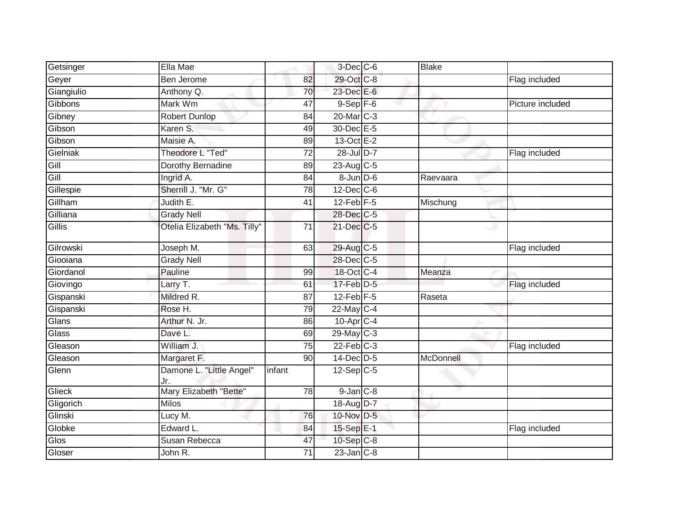| Getsinger  | Ella Mae                        |                 | $3$ -Dec $C$ -6        | <b>Blake</b> |                  |
|------------|---------------------------------|-----------------|------------------------|--------------|------------------|
| Geyer      | Ben Jerome                      | 82              | 29-Oct C-8             |              | Flag included    |
| Giangiulio | Anthony Q.                      | 70              | 23-Dec E-6             |              |                  |
| Gibbons    | Mark Wm                         | 47              | $9-$ Sep $F-6$         |              | Picture included |
| Gibney     | <b>Robert Dunlop</b>            | $\overline{84}$ | 20-Mar <sub>IC-3</sub> |              |                  |
| Gibson     | Karen S.                        | 49              | 30-Dec E-5             |              |                  |
| Gibson     | Maisie A.                       | 89              | 13-Oct E-2             |              |                  |
| Gielniak   | Theodore L "Ted"                | 72              | 28-Jul D-7             |              | Flag included    |
| Gill       | <b>Dorothy Bernadine</b>        | 89              | 23-Aug C-5             |              |                  |
| Gill       | Ingrid A.                       | 84              | $8 - Jun$ $D-6$        | Raevaara     |                  |
| Gillespie  | Sherrill J. "Mr. G"             | 78              | $12$ -Dec $ C$ -6      |              |                  |
| Gillham    | Judith E.                       | 41              | $12$ -Feb $F-5$        | Mischung     |                  |
| Gilliana   | <b>Grady Nell</b>               |                 | 28-Dec C-5             |              |                  |
| Gillis     | Otelia Elizabeth "Ms. Tilly"    | 71              | 21-Dec C-5             | - 19         |                  |
| Gilrowski  | Joseph M.                       | 63              | 29-Aug C-5             |              | Flag included    |
| Giooiana   | <b>Grady Nell</b>               |                 | 28-Dec C-5             |              |                  |
| Giordanol  | Pauline                         | 99              | 18-Oct C-4             | Meanza       |                  |
| Giovingo   | Larry T.                        | 61              | 17-Feb D-5             |              | Flag included    |
| Gispanski  | Mildred R.                      | 87              | $12$ -Feb $F-5$        | Raseta       |                  |
| Gispanski  | Rose H.                         | 79              | 22-May C-4             |              |                  |
| Glans      | Arthur N. Jr.                   | 86              | 10-Apr C-4             |              |                  |
| Glass      | Dave L.                         | 69              | 29-May C-3             |              |                  |
| Gleason    | William J.                      | 75              | $22$ -Feb $C-3$        |              | Flag included    |
| Gleason    | Margaret F.                     | 90              | 14-Dec D-5             | McDonnell    |                  |
| Glenn      | Damone L. "Little Angel"<br>Jr. | infant          | $12-Sep$ C-5           |              |                  |
| Glieck     | Mary Elizabeth "Bette"          | 78              | $9$ -Jan $C$ -8        |              |                  |
| Gligorich  | <b>Milos</b>                    |                 | 18-Aug D-7             |              |                  |
| Glinski    | Lucy M.                         | 76              | 10-Nov D-5             |              |                  |
| Globke     | Edward L.                       | 84              | 15-Sep E-1             |              | Flag included    |
| Glos       | Susan Rebecca                   | 47              | 10-Sep C-8             |              |                  |
| Gloser     | John R.                         | 71              | $23$ -Jan $C-8$        |              |                  |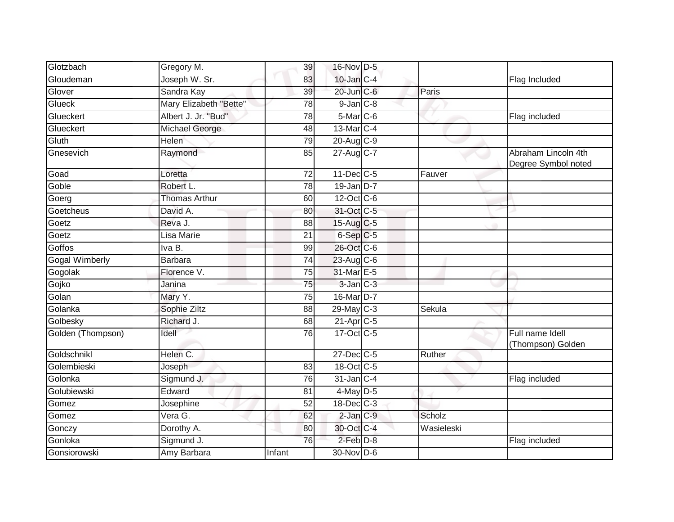| Glotzbach             | Gregory M.             | 39              | 16-Nov D-5              |            |                                            |
|-----------------------|------------------------|-----------------|-------------------------|------------|--------------------------------------------|
| Gloudeman             | Joseph W. Sr.          | 83              | $10$ -Jan $C-4$         |            | Flag Included                              |
| Glover                | Sandra Kay             | 39              | 20-Jun C-6              | Paris      |                                            |
| Glueck                | Mary Elizabeth "Bette" | 78              | $9$ -Jan $C$ -8         |            |                                            |
| Glueckert             | Albert J. Jr. "Bud"    | 78              | 5-Mar C-6               |            | Flag included                              |
| Glueckert             | Michael George         | 48              | 13-Mar C-4              |            |                                            |
| Gluth                 | Helen                  | 79              | 20-Aug C-9              |            |                                            |
| Gnesevich             | Raymond                | 85              | 27-Aug C-7              |            | Abraham Lincoln 4th<br>Degree Symbol noted |
| Goad                  | Loretta                | 72              | 11-Dec C-5              | Fauver     |                                            |
| Goble                 | Robert L.              | 78              | $19$ -Jan D-7           |            |                                            |
| Goerg                 | <b>Thomas Arthur</b>   | 60              | 12-Oct C-6              |            |                                            |
| Goetcheus             | David A.               | 80              | 31-Oct C-5              |            |                                            |
| Goetz                 | Reva J.                | 88              | 15-Aug C-5              |            |                                            |
| Goetz                 | Lisa Marie             | 21              | $6-Sep$ $C-5$           |            |                                            |
| Goffos                | Iva B.                 | 99              | 26-Oct C-6              |            |                                            |
| <b>Gogal Wimberly</b> | <b>Barbara</b>         | 74              | $23$ -Aug C-6           |            |                                            |
| Gogolak               | Florence V.            | 75              | 31-Mar E-5              |            |                                            |
| Gojko                 | Janina                 | 75              | $3$ -Jan $C-3$          |            |                                            |
| Golan                 | Mary Y.                | 75              | 16-Mar D-7              |            |                                            |
| Golanka               | Sophie Ziltz           | $\overline{88}$ | $29$ -May C-3           | Sekula     |                                            |
| Golbesky              | Richard J.             | 68              | $21-Apr$ <sub>C-5</sub> |            |                                            |
| Golden (Thompson)     | Idell                  | 76              | 17-Oct C-5              |            | Full name Idell<br>(Thompson) Golden       |
| Goldschnikl           | Helen C.               |                 | 27-Dec C-5              | Ruther     |                                            |
| Golembieski           | Joseph                 | 83              | 18-Oct C-5              |            |                                            |
| Golonka               | Sigmund J.             | 76              | 31-Jan C-4              |            | Flag included                              |
| Golubiewski           | Edward                 | 81              | 4-May D-5               |            |                                            |
| Gomez                 | Josephine              | $\overline{52}$ | 18-Dec C-3              |            |                                            |
| Gomez                 | VeraG.                 | 62              | $2$ -Jan $C-9$          | Scholz     |                                            |
| Gonczy                | Dorothy A.             | 80              | 30-Oct C-4              | Wasieleski |                                            |
| Gonloka               | Sigmund J.             | $\overline{76}$ | $2$ -Feb $D-8$          |            | Flag included                              |
| Gonsiorowski          | Amy Barbara            | Infant          | $30$ -Nov D-6           |            |                                            |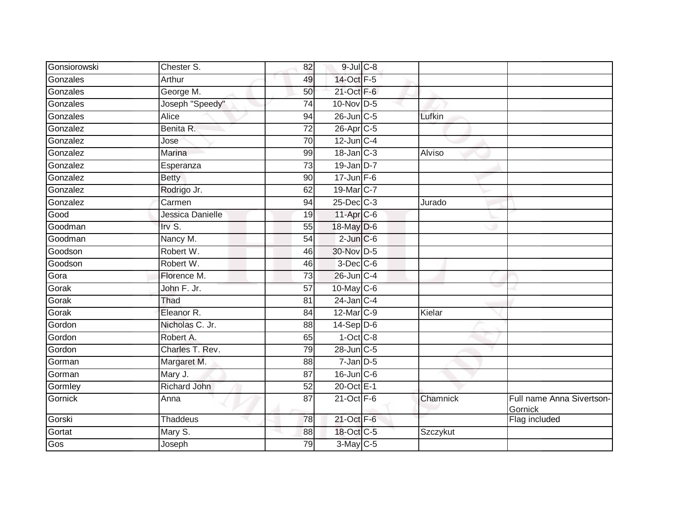| Gonsiorowski | Chester S.       | 82              | $9$ -Jul $C$ -8         |          |                                      |
|--------------|------------------|-----------------|-------------------------|----------|--------------------------------------|
| Gonzales     | Arthur           | 49              | 14-Oct F-5              |          |                                      |
| Gonzales     | George M.        | 50              | 21-Oct F-6              |          |                                      |
| Gonzales     | Joseph "Speedy"  | 74              | $10$ -Nov D-5           |          |                                      |
| Gonzales     | <b>Alice</b>     | $\overline{94}$ | 26-Jun C-5              | Lufkin   |                                      |
| Gonzalez     | Benita R.        | 72              | 26-Apr C-5              |          |                                      |
| Gonzalez     | Jose             | 70              | $12$ -Jun $C-4$         |          |                                      |
| Gonzalez     | Marina           | 99              | $18$ -Jan $C-3$         | Alviso   |                                      |
| Gonzalez     | Esperanza        | 73              | $19$ -Jan D-7           |          |                                      |
| Gonzalez     | <b>Betty</b>     | 90              | $17 - Jun$ F-6          |          |                                      |
| Gonzalez     | Rodrigo Jr.      | 62              | 19-Mar C-7              |          |                                      |
| Gonzalez     | Carmen           | 94              | $25$ -Dec $C-3$         | Jurado   |                                      |
| Good         | Jessica Danielle | 19              | $11-Apr$ <sub>C-6</sub> |          |                                      |
| Goodman      | Irv $S$ .        | 55              | 18-May D-6              |          |                                      |
| Goodman      | Nancy M.         | $\overline{54}$ | $2$ -Jun $C$ -6         |          |                                      |
| Goodson      | Robert W.        | 46              | 30-Nov D-5              |          |                                      |
| Goodson      | Robert W.        | 46              | $3$ -Dec $C$ -6         |          |                                      |
| Gora         | Florence M.      | 73              | 26-Jun C-4              |          |                                      |
| Gorak        | John F. Jr.      | 57              | $10$ -May C-6           |          |                                      |
| Gorak        | Thad             | 81              | $24$ -Jan $C-4$         |          |                                      |
| Gorak        | Eleanor R.       | 84              | $12$ -Mar $ C-9 $       | Kielar   |                                      |
| Gordon       | Nicholas C. Jr.  | 88              | $14-Sep D-6$            |          |                                      |
| Gordon       | Robert A.        | 65              | $1-Oct$ $C-8$           |          |                                      |
| Gordon       | Charles T. Rev.  | 79              | 28-Jun C-5              |          |                                      |
| Gorman       | Margaret M.      | 88              | $7 - Jan$ $D-5$         |          |                                      |
| Gorman       | Mary J.          | 87              | 16-Jun C-6              |          |                                      |
| Gormley      | Richard John     | $\overline{52}$ | 20-Oct E-1              |          |                                      |
| Gornick      | Anna             | 87              | $21$ -Oct $F-6$         | Chamnick | Full name Anna Sivertson-<br>Gornick |
| Gorski       | <b>Thaddeus</b>  | 78              | 21-Oct F-6              |          | Flag included                        |
| Gortat       | Mary S.          | 88              | 18-Oct C-5              | Szczykut |                                      |
| Gos          | Joseph           | 79              | $3-May$ C-5             |          |                                      |
|              |                  |                 |                         |          |                                      |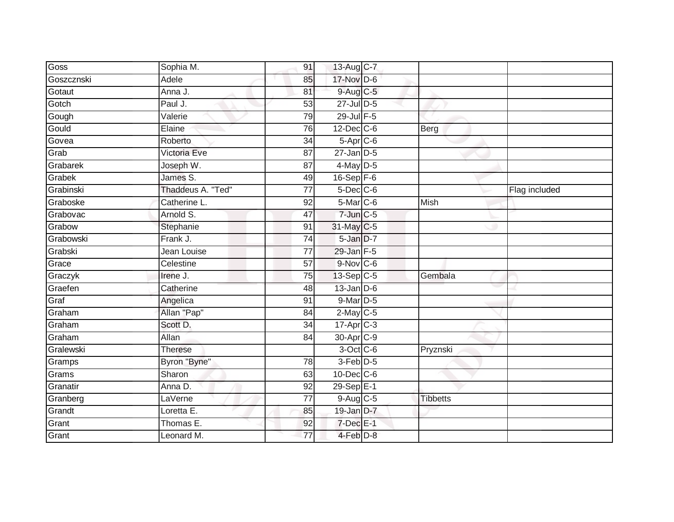| Goss       | Sophia M.         | 91              | 13-Aug C-7             |                 |               |
|------------|-------------------|-----------------|------------------------|-----------------|---------------|
| Goszcznski | Adele             | 85              | 17-Nov D-6             |                 |               |
| Gotaut     | Anna J.           | 81              | $9-Aug$ $C-5$          |                 |               |
| Gotch      | Paul J.           | 53              | 27-Jul D-5             |                 |               |
| Gough      | Valerie           | 79              | $29$ -Jul $F-5$        |                 |               |
| Gould      | Elaine            | 76              | $12$ -Dec $C$ -6       | Berg            |               |
| Govea      | Roberto           | 34              | $5-Apr$ <sub>C-6</sub> |                 |               |
| Grab       | Victoria Eve      | 87              | $27$ -Jan $D-5$        |                 |               |
| Grabarek   | Joseph W.         | 87              | 4-May D-5              |                 |               |
| Grabek     | James S.          | 49              | $16-Sep$ F-6           |                 |               |
| Grabinski  | Thaddeus A. "Ted" | 77              | $5$ -Dec $C$ -6        |                 | Flag included |
| Graboske   | Catherine L.      | 92              | 5-Mar C-6              | <b>Mish</b>     |               |
| Grabovac   | Arnold S.         | 47              | $7$ -Jun $C$ -5        |                 |               |
| Grabow     | Stephanie         | 91              | 31-May C-5             |                 |               |
| Grabowski  | Frank J.          | 74              | 5-Jan D-7              |                 |               |
| Grabski    | Jean Louise       | 77              | 29-Jan F-5             |                 |               |
| Grace      | Celestine         | 57              | 9-Nov C-6              |                 |               |
| Graczyk    | Irene J.          | 75              | $13-Sep C-5$           | Gembala         |               |
| Graefen    | Catherine         | 48              | $13$ -Jan $D-6$        |                 |               |
| Graf       | Angelica          | 91              | $9$ -Mar $D-5$         |                 |               |
| Graham     | Allan "Pap"       | 84              | $2$ -May C-5           |                 |               |
| Graham     | Scott D.          | $\overline{34}$ | 17-Apr C-3             |                 |               |
| Graham     | Allan             | 84              | 30-Apr C-9             |                 |               |
| Gralewski  | <b>Therese</b>    |                 | 3-Oct C-6              | Pryznski        |               |
| Gramps     | Byron "Byne"      | $\overline{78}$ | 3-Feb D-5              |                 |               |
| Grams      | Sharon            | 63              | $10$ -Dec $C$ -6       |                 |               |
| Granatir   | Anna D.           | 92              | 29-Sep E-1             |                 |               |
| Granberg   | LaVerne           | $\overline{77}$ | $9$ -Aug $C$ -5        | <b>Tibbetts</b> |               |
| Grandt     | Loretta E.        | 85              | 19-Jan D-7             |                 |               |
| Grant      | Thomas E.         | 92              | $7$ -Dec $E-1$         |                 |               |
| Grant      | Leonard M.        | 77              | 4-Feb D-8              |                 |               |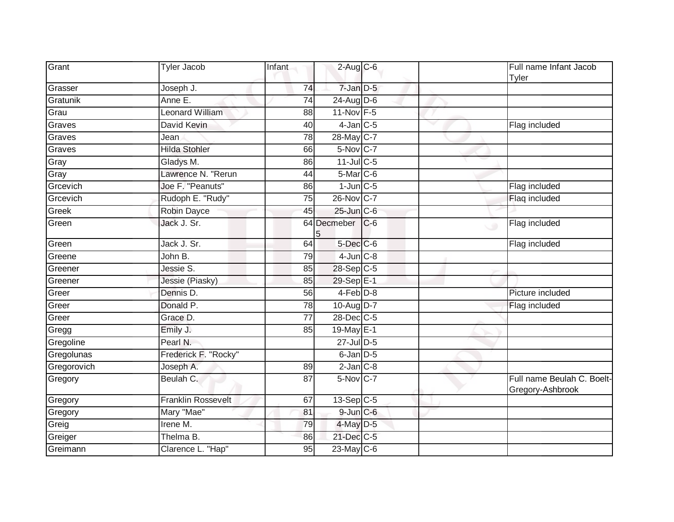| Grant           | <b>Tyler Jacob</b>        | Infant          | $2$ -Aug $C$ -6        |       |   | Full name Infant Jacob<br>Tyler                |
|-----------------|---------------------------|-----------------|------------------------|-------|---|------------------------------------------------|
| Grasser         | Joseph J.                 | 74              | $7$ -Jan $D-5$         |       |   |                                                |
| <b>Gratunik</b> | Anne E.                   | 74              | $24$ -Aug D-6          |       |   |                                                |
| Grau            | Leonard William           | 88              | 11-Nov F-5             |       |   |                                                |
| Graves          | David Kevin               | 40              | $4$ -Jan $C$ -5        |       | w | Flag included                                  |
| Graves          | Jean                      | 78              | 28-May C-7             |       |   |                                                |
| Graves          | <b>Hilda Stohler</b>      | 66              | $5-Nov$ <sub>C-7</sub> |       |   |                                                |
| Gray            | Gladys M.                 | 86              | 11-Jul C-5             |       |   |                                                |
| Gray            | Lawrence N. "Rerun        | 44              | 5-Mar C-6              |       |   |                                                |
| Grcevich        | Joe F. "Peanuts"          | 86              | $1$ -Jun $C$ -5        |       |   | Flag included                                  |
| Grcevich        | Rudoph E. "Rudy"          | 75              | 26-Nov C-7             |       |   | Flaq included                                  |
| Greek           | Robin Dayce               | 45              | $25$ -Jun $C$ -6       |       |   |                                                |
| Green           | Jack J. Sr.               |                 | 64 Decmeber<br>5       | $C-6$ |   | Flag included<br>ی                             |
| Green           | Jack J. Sr.               | 64              | $5$ -Dec $C$ -6        |       |   | Flag included                                  |
| Greene          | John B.                   | 79              | $4$ -Jun $C-8$         |       |   |                                                |
| Greener         | Jessie S.                 | 85              | 28-Sep C-5             |       |   |                                                |
| Greener         | Jessie (Piasky)           | 85              | 29-Sep E-1             |       |   |                                                |
| Greer           | Dennis D.                 | 56              | $4$ -Feb $D-8$         |       |   | Picture included                               |
| Greer           | Donald P.                 | 78              | 10-Aug D-7             |       |   | Flag included                                  |
| Greer           | Grace D.                  | $\overline{77}$ | 28-Dec C-5             |       |   |                                                |
| Gregg           | Emily J.                  | 85              | 19-May E-1             |       |   |                                                |
| Gregoline       | Pearl N.                  |                 | 27-Jul D-5             |       |   |                                                |
| Gregolunas      | Frederick F. "Rocky"      |                 | $6$ -Jan $D-5$         |       |   |                                                |
| Gregorovich     | Joseph A.                 | 89              | $2$ -Jan $C-8$         |       |   |                                                |
| Gregory         | Beulah C.                 | $\overline{87}$ | $5-Nov$ C-7            |       |   | Full name Beulah C. Boelt-<br>Gregory-Ashbrook |
| Gregory         | <b>Franklin Rossevelt</b> | 67              | $13-Sep C-5$           |       |   |                                                |
| Gregory         | Mary "Mae"                | 81              | $9$ -Jun $C$ -6        |       |   |                                                |
| Greig           | Irene M.                  | 79              | 4-May D-5              |       |   |                                                |
| Greiger         | Thelma B.                 | 86              | 21-Dec C-5             |       |   |                                                |
| Greimann        | Clarence L. "Hap"         | $\overline{95}$ | 23-May C-6             |       |   |                                                |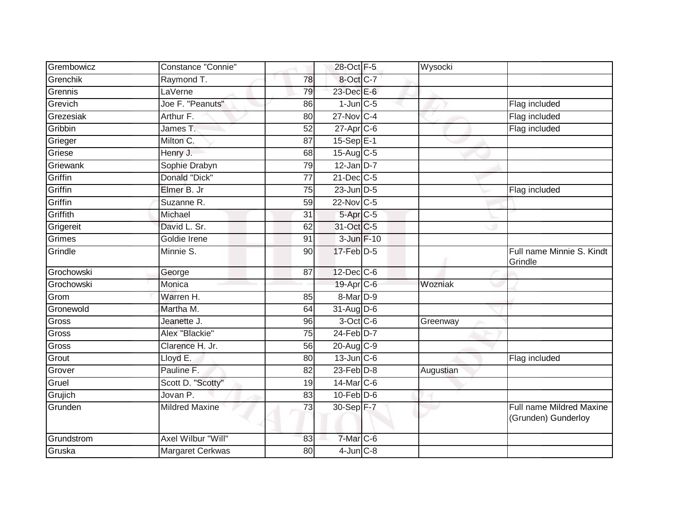| Grembowicz | Constance "Connie"    |    | 28-Oct F-5              | Wysocki   |                                                 |
|------------|-----------------------|----|-------------------------|-----------|-------------------------------------------------|
| Grenchik   | Raymond T.            | 78 | 8-Oct C-7               |           |                                                 |
| Grennis    | LaVerne               | 79 | 23-Dec E-6              |           |                                                 |
| Grevich    | Joe F. "Peanuts"      | 86 | $1$ -Jun $C$ -5         |           | Flag included                                   |
| Grezesiak  | Arthur F.             | 80 | 27-Nov C-4              |           | Flag included                                   |
| Gribbin    | James T.              | 52 | $27$ -Apr $C$ -6        |           | Flag included                                   |
| Grieger    | Milton C.             | 87 | $15 - SepE-1$           |           |                                                 |
| Griese     | Henry J.              | 68 | $15-Aug$ <sub>C-5</sub> |           |                                                 |
| Griewank   | Sophie Drabyn         | 79 | $12$ -Jan D-7           |           |                                                 |
| Griffin    | Donald "Dick"         | 77 | 21-Dec C-5              |           |                                                 |
| Griffin    | Elmer B. Jr           | 75 | $23$ -Jun $D-5$         |           | Flag included                                   |
| Griffin    | Suzanne R.            | 59 | $22$ -Nov C-5           |           |                                                 |
| Griffith   | Michael               | 31 | 5-Apr <sub>C-5</sub>    |           |                                                 |
| Grigereit  | David L. Sr.          | 62 | 31-Oct C-5              |           |                                                 |
| Grimes     | Goldie Irene          | 91 | 3-Jun F-10              |           |                                                 |
| Grindle    | Minnie S.             | 90 | 17-Feb D-5              |           | Full name Minnie S. Kindt<br>Grindle            |
| Grochowski | George                | 87 | 12-Dec C-6              |           |                                                 |
| Grochowski | Monica                |    | 19-Apr C-6              | Wozniak   |                                                 |
| Grom       | Warren H.             | 85 | 8-Mar D-9               |           |                                                 |
| Gronewold  | Martha M.             | 64 | $31-Aug$ D-6            |           |                                                 |
| Gross      | Jeanette J.           | 96 | $3$ -Oct C-6            | Greenway  |                                                 |
| Gross      | Alex "Blackie"        | 75 | $24$ -Feb $D-7$         |           |                                                 |
| Gross      | Clarence H. Jr.       | 56 | $20$ -Aug $C-9$         |           |                                                 |
| Grout      | Lloyd E.              | 80 | $13$ -Jun $C - 6$       |           | Flag included                                   |
| Grover     | Pauline F.            | 82 | $23$ -Feb $D-8$         | Augustian |                                                 |
| Gruel      | Scott D. "Scotty"     | 19 | 14-Mar C-6              |           |                                                 |
| Grujich    | Jovan P.              | 83 | $10$ -Feb $D-6$         |           |                                                 |
| Grunden    | <b>Mildred Maxine</b> | 73 | 30-Sep F-7              |           | Full name Mildred Maxine<br>(Grunden) Gunderloy |
| Grundstrom | Axel Wilbur "Will"    | 83 | 7-Mar C-6               |           |                                                 |
| Gruska     | Margaret Cerkwas      | 80 | $4$ -Jun $C-8$          |           |                                                 |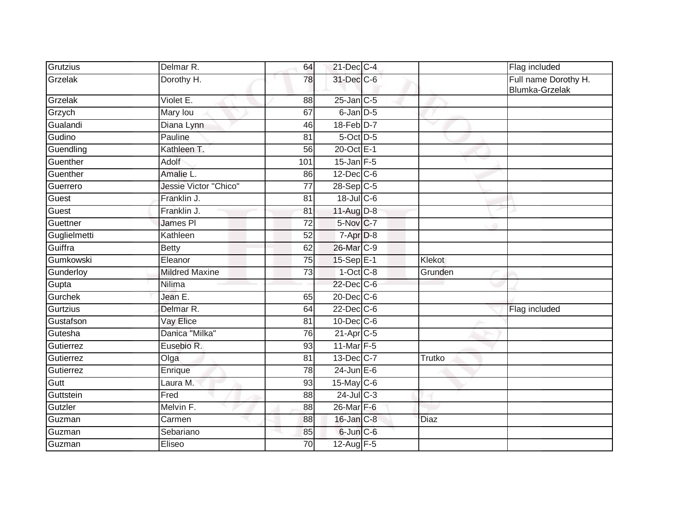| Grutzius     | Delmar R.                    | 64              | 21-Dec C-4       |               | Flag included                          |
|--------------|------------------------------|-----------------|------------------|---------------|----------------------------------------|
| Grzelak      | Dorothy H.                   | 78              | 31-Dec C-6       |               | Full name Dorothy H.<br>Blumka-Grzelak |
| Grzelak      | Violet E.                    | 88              | $25$ -Jan $C$ -5 |               |                                        |
| Grzych       | Mary lou                     | 67              | 6-Jan D-5        |               |                                        |
| Gualandi     | Diana Lynn                   | 46              | 18-Feb D-7       |               |                                        |
| Gudino       | Pauline                      | 81              | 5-Oct D-5        |               |                                        |
| Guendling    | Kathleen T.                  | 56              | 20-Oct E-1       |               |                                        |
| Guenther     | Adolf                        | 101             | $15$ -Jan $F-5$  |               |                                        |
| Guenther     | Amalie L.                    | 86              | $12$ -Dec $C-6$  |               |                                        |
| Guerrero     | <b>Jessie Victor "Chico"</b> | 77              | $28-Sep$ C-5     |               |                                        |
| Guest        | Franklin J.                  | 81              | $18$ -Jul C-6    |               |                                        |
| Guest        | Franklin J.                  | 81              | 11-Aug D-8       |               |                                        |
| Guettner     | James PI                     | 72              | 5-Nov C-7        |               |                                        |
| Guglielmetti | Kathleen                     | 52              | 7-Apr D-8        |               |                                        |
| Guiffra      | <b>Betty</b>                 | 62              | 26-Mar C-9       |               |                                        |
| Gumkowski    | Eleanor                      | 75              | 15-Sep E-1       | <b>Klekot</b> |                                        |
| Gunderloy    | <b>Mildred Maxine</b>        | 73              | $1-Oct$ $C-8$    | Grunden       |                                        |
| Gupta        | Nilima                       |                 | 22-Dec C-6       |               |                                        |
| Gurchek      | Jean E.                      | 65              | 20-Dec C-6       |               |                                        |
| Gurtzius     | Delmar R.                    | 64              | 22-Dec C-6       |               | Flag included                          |
| Gustafson    | Vay Elice                    | 81              | $10$ -Dec $C$ -6 |               |                                        |
| Gutesha      | Danica "Milka"               | 76              | $21-Apr$ $C-5$   |               |                                        |
| Gutierrez    | Eusebio R.                   | 93              | 11-Mar F-5       |               |                                        |
| Gutierrez    | Olga                         | 81              | 13-Dec C-7       | Trutko        |                                        |
| Gutierrez    | Enrique                      | $\overline{78}$ | $24$ -Jun E-6    |               |                                        |
| Gutt         | Laura M.                     | 93              | 15-May C-6       |               |                                        |
| Guttstein    | Fred                         | 88              | 24-Jul C-3       |               |                                        |
| Gutzler      | Melvin F.                    | 88              | 26-Mar F-6       |               |                                        |
| Guzman       | Carmen                       | 88              | 16-Jan C-8       | <b>Diaz</b>   |                                        |
| Guzman       | Sebariano                    | 85              | 6-Jun C-6        |               |                                        |
| Guzman       | Eliseo                       | 70              | 12-Aug F-5       |               |                                        |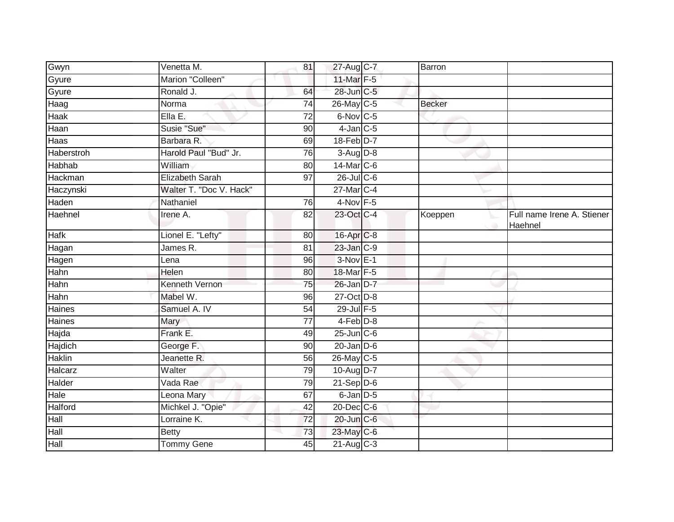| Gwyn           | Venetta M.              | 81              | 27-Aug C-7       | Barron        |                                       |
|----------------|-------------------------|-----------------|------------------|---------------|---------------------------------------|
| Gyure          | Marion "Colleen"        |                 | 11-Mar F-5       |               |                                       |
| Gyure          | Ronald J.               | 64              | 28-Jun C-5       |               |                                       |
| Haag           | Norma                   | 74              | $26$ -May C-5    | <b>Becker</b> |                                       |
| <b>Haak</b>    | Ella E.                 | $\overline{72}$ | 6-Nov C-5        |               |                                       |
| Haan           | Susie "Sue"             | 90              | $4$ -Jan $C$ -5  |               |                                       |
| Haas           | Barbara R.              | 69              | 18-Feb D-7       |               |                                       |
| Haberstroh     | Harold Paul "Bud" Jr.   | 76              | $3-Aug$ $D-8$    |               |                                       |
| Habhab         | William                 | 80              | 14-Mar C-6       |               |                                       |
| <b>Hackman</b> | <b>Elizabeth Sarah</b>  | $\overline{97}$ | $26$ -Jul C-6    |               |                                       |
| Haczynski      | Walter T. "Doc V. Hack" |                 | 27-Mar C-4       |               |                                       |
| Haden          | Nathaniel               | 76              | $4-Nov$ F-5      |               |                                       |
| Haehnel        | Irene A.                | 82              | 23-Oct C-4       | Koeppen       | Full name Irene A. Stiener<br>Haehnel |
| Hafk           | Lionel E. "Lefty"       | 80              | 16-Apr C-8       |               |                                       |
| Hagan          | James R.                | $\overline{81}$ | 23-Jan C-9       |               |                                       |
| Hagen          | Lena                    | 96              | $3-Nov$ E-1      |               |                                       |
| Hahn           | Helen                   | 80              | 18-Mar F-5       |               |                                       |
| Hahn           | Kenneth Vernon          | 75              | 26-Jan D-7       |               |                                       |
| Hahn           | Mabel W.                | 96              | 27-Oct D-8       |               |                                       |
| Haines         | Samuel A. IV            | 54              | 29-Jul F-5       |               |                                       |
| Haines         | Mary                    | 77              | $4-Feb$ $D-8$    |               |                                       |
| Hajda          | Frank E.                | 49              | $25$ -Jun $C$ -6 |               |                                       |
| Hajdich        | George F.               | 90              | $20$ -Jan $D-6$  |               |                                       |
| <b>Haklin</b>  | Jeanette R.             | 56              | 26-May C-5       |               |                                       |
| Halcarz        | Walter                  | 79              | 10-Aug D-7       |               |                                       |
| Halder         | Vada Rae                | 79              | $21-Sep D-6$     |               |                                       |
| Hale           | Leona Mary              | 67              | 6-Jan D-5        |               |                                       |
| Halford        | Michkel J. "Opie"       | 42              | 20-Dec C-6       |               |                                       |
| Hall           | Lorraine K.             | $\overline{72}$ | 20-Jun C-6       |               |                                       |
| Hall           | <b>Betty</b>            | 73              | 23-May C-6       |               |                                       |
| Hall           | <b>Tommy Gene</b>       | 45              | 21-Aug C-3       |               |                                       |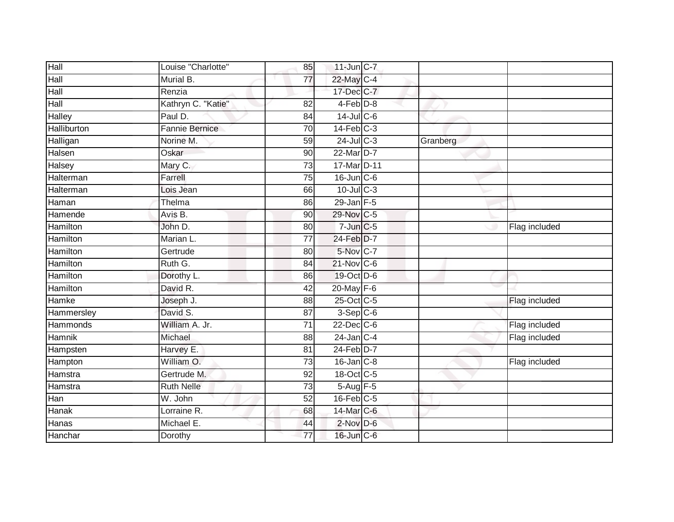| Hall            | Louise "Charlotte"    | 85              | $11$ -Jun $C-7$ |          |               |
|-----------------|-----------------------|-----------------|-----------------|----------|---------------|
| Hall            | Murial B.             | $\overline{77}$ | 22-May C-4      |          |               |
| Hall            | Renzia                |                 | 17-Dec C-7      |          |               |
| Hall            | Kathryn C. "Katie"    | 82              | 4-Feb D-8       |          |               |
| Halley          | Paul D.               | 84              | $14$ -Jul C-6   |          |               |
| Halliburton     | <b>Fannie Bernice</b> | 70              | $14$ -Feb $C-3$ |          |               |
| Halligan        | Norine M.             | 59              | $24$ -Jul C-3   | Granberg |               |
| Halsen          | Oskar                 | 90              | 22-Mar D-7      |          |               |
| Halsey          | Mary C.               | 73              | 17-Mar D-11     |          |               |
| Halterman       | Farrell               | $\overline{75}$ | 16-Jun C-6      |          |               |
| Halterman       | Lois Jean             | 66              | $10$ -Jul $C-3$ |          |               |
| Haman           | Thelma                | 86              | $29$ -Jan F-5   |          |               |
| Hamende         | Avis B.               | 90              | 29-Nov C-5      |          |               |
| Hamilton        | John D.               | 80              | $7$ -Jun $C$ -5 |          | Flag included |
| <b>Hamilton</b> | Marian L.             | $\overline{77}$ | 24-Feb D-7      |          |               |
| Hamilton        | Gertrude              | 80              | 5-Nov C-7       |          |               |
| Hamilton        | Ruth G.               | 84              | 21-Nov C-6      |          |               |
| Hamilton        | Dorothy L.            | 86              | 19-Oct D-6      |          |               |
| Hamilton        | David R.              | 42              | 20-May F-6      |          |               |
| Hamke           | Joseph J.             | 88              | 25-Oct C-5      |          | Flag included |
| Hammersley      | David S.              | 87              | $3-Sep$ C-6     |          |               |
| Hammonds        | William A. Jr.        | $\overline{71}$ | 22-Dec C-6      |          | Flag included |
| <b>Hamnik</b>   | Michael               | 88              | $24$ -Jan C-4   |          | Flag included |
| Hampsten        | Harvey E.             | 81              | $24$ -Feb $D-7$ |          |               |
| Hampton         | William O.            | 73              | $16$ -Jan $C-8$ |          | Flag included |
| Hamstra         | Gertrude M.           | 92              | 18-Oct C-5      |          |               |
| Hamstra         | <b>Ruth Nelle</b>     | 73              | 5-Aug F-5       |          |               |
| Han             | W. John               | 52              | $16$ -Feb $C-5$ |          |               |
| Hanak           | Lorraine R.           | 68              | 14-Mar C-6      |          |               |
| Hanas           | Michael E.            | 44              | $2$ -Nov $D-6$  |          |               |
| Hanchar         | Dorothy               | $\overline{77}$ | 16-Jun C-6      |          |               |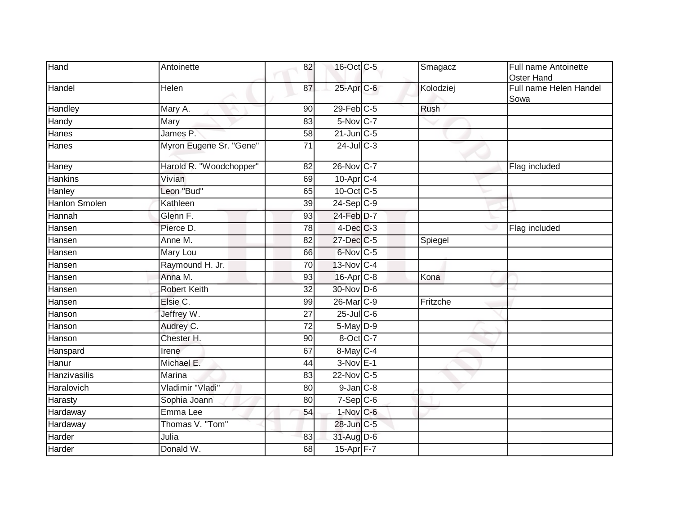| Hand                 | Antoinette              | 82              | 16-Oct C-5              | Smagacz     | Full name Antoinette<br>Oster Hand |
|----------------------|-------------------------|-----------------|-------------------------|-------------|------------------------------------|
| Handel               | Helen                   | 87              | 25-Apr C-6              | Kolodziej   | Full name Helen Handel<br>Sowa     |
| Handley              | Mary A.                 | $\overline{90}$ | $29$ -Feb $C-5$         | <b>Rush</b> |                                    |
| Handy                | Mary                    | 83              | $5-Nov$ <sub>C-7</sub>  |             |                                    |
| Hanes                | James P.                | 58              | $21$ -Jun $C-5$         |             |                                    |
| Hanes                | Myron Eugene Sr. "Gene" | $\overline{71}$ | $24$ -Jul $C-3$         |             |                                    |
| Haney                | Harold R. "Woodchopper" | 82              | 26-Nov C-7              |             | Flag included                      |
| <b>Hankins</b>       | Vivian                  | 69              | $10-Apr$ <sub>C-4</sub> |             |                                    |
| Hanley               | Leon "Bud"              | 65              | 10-Oct C-5              |             |                                    |
| <b>Hanlon Smolen</b> | Kathleen                | $\overline{39}$ | $24-Sep C-9$            |             |                                    |
| Hannah               | Glenn F.                | 93              | 24-Feb D-7              |             |                                    |
| Hansen               | Pierce D.               | 78              | $4$ -Dec $C$ -3         |             | Flag included                      |
| Hansen               | Anne M.                 | 82              | 27-Dec C-5              | Spiegel     |                                    |
| Hansen               | Mary Lou                | 66              | 6-Nov C-5               |             |                                    |
| Hansen               | Raymound H. Jr.         | $\overline{70}$ | 13-Nov C-4              |             |                                    |
| Hansen               | Anna M.                 | $\overline{93}$ | 16-Apr C-8              | Kona        |                                    |
| Hansen               | <b>Robert Keith</b>     | 32              | 30-Nov D-6              |             |                                    |
| Hansen               | Elsie C.                | 99              | 26-Mar C-9              | Fritzche    |                                    |
| Hanson               | Jeffrey W.              | $\overline{27}$ | $25$ -Jul $C$ -6        |             |                                    |
| Hanson               | Audrey C.               | 72              | 5-May D-9               |             |                                    |
| Hanson               | Chester H.              | 90              | 8-Oct C-7               |             |                                    |
| Hanspard             | Irene                   | 67              | $8$ -May $C-4$          |             |                                    |
| Hanur                | Michael E.              | 44              | $3-Nov$ E-1             |             |                                    |
| Hanzivasilis         | Marina                  | 83              | 22-Nov C-5              |             |                                    |
| Haralovich           | Vladimir "Vladi"        | 80              | $9$ -Jan $C-8$          |             |                                    |
| Harasty              | Sophia Joann            | 80              | $7-Sep$ $C-6$           |             |                                    |
| Hardaway             | Emma Lee                | 54              | 1-Nov C-6               |             |                                    |
| Hardaway             | Thomas V. "Tom"         |                 | 28-Jun C-5              |             |                                    |
| Harder               | Julia                   | 83              | 31-Aug D-6              |             |                                    |
| Harder               | Donald W.               | 68              | 15-Apr F-7              |             |                                    |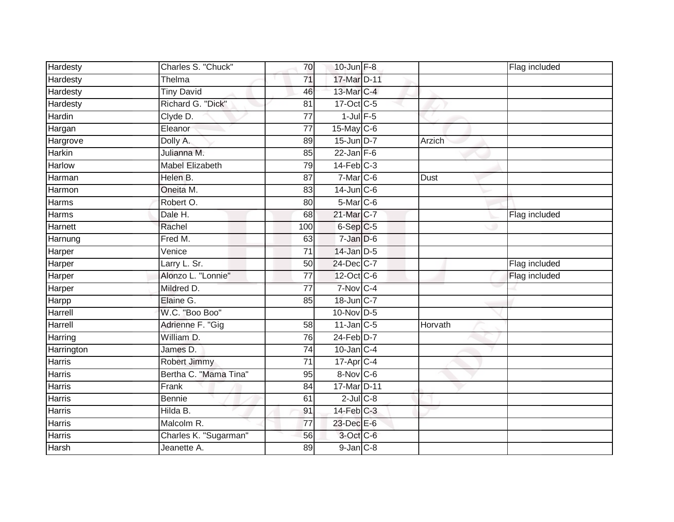| Hardesty      | Charles S. "Chuck"     | 70              | $10$ -Jun $F-8$        |             | Flag included |
|---------------|------------------------|-----------------|------------------------|-------------|---------------|
| Hardesty      | Thelma                 | 71              | 17-Mar D-11            |             |               |
| Hardesty      | <b>Tiny David</b>      | 46              | 13-Mar C-4             |             |               |
| Hardesty      | Richard G. "Dick"      | 81              | $17-Oct$ $C-5$         |             |               |
| Hardin        | Clyde D.               | $\overline{77}$ | $1$ -Jul $F-5$         |             |               |
| Hargan        | Eleanor                | $\overline{77}$ | 15-May C-6             |             |               |
| Hargrove      | Dolly A.               | 89              | 15-Jun D-7             | Arzich      |               |
| <b>Harkin</b> | Julianna M.            | 85              | $22$ -Jan F-6          |             |               |
| <b>Harlow</b> | <b>Mabel Elizabeth</b> | 79              | $14$ -Feb $C-3$        |             |               |
| Harman        | Helen B.               | 87              | $7-Mar$ <sub>C-6</sub> | <b>Dust</b> |               |
| Harmon        | Oneita M.              | 83              | $14$ -Jun $C$ -6       |             |               |
| Harms         | Robert O.              | 80              | 5-Mar C-6              |             |               |
| Harms         | Dale H.                | 68              | 21-Mar C-7             |             | Flag included |
| Harnett       | Rachel                 | 100             | $6-Sep$ $C-5$          |             |               |
| Harnung       | Fred M.                | 63              | $7 - Jan$ $D-6$        |             |               |
| Harper        | Venice                 | 71              | $14$ -Jan $D-5$        |             |               |
| Harper        | Larry L. Sr.           | 50              | 24-Dec C-7             |             | Flag included |
| Harper        | Alonzo L. "Lonnie"     | $\overline{77}$ | 12-Oct C-6             |             | Flag included |
| Harper        | Mildred D.             | $\overline{77}$ | $7-Nov$ C-4            |             |               |
| Harpp         | Elaine G.              | 85              | 18-Jun C-7             |             |               |
| Harrell       | W.C. "Boo Boo"         |                 | 10-Nov D-5             |             |               |
| Harrell       | Adrienne F. "Gig       | 58              | $11$ -Jan $C-5$        | Horvath     |               |
| Harring       | William D.             | 76              | $24$ -Feb $D-7$        |             |               |
| Harrington    | James D.               | 74              | $10$ -Jan $C-4$        |             |               |
| Harris        | Robert Jimmy           | 71              | $17$ -Apr $C-4$        |             |               |
| Harris        | Bertha C. "Mama Tina"  | 95              | 8-Nov C-6              |             |               |
| <b>Harris</b> | Frank                  | 84              | 17-Mar D-11            |             |               |
| Harris        | Bennie                 | 61              | $2$ -Jul $C$ -8        |             |               |
| Harris        | Hilda B.               | 91              | 14-Feb C-3             |             |               |
| Harris        | Malcolm R.             | 77              | 23-Dec E-6             |             |               |
| Harris        | Charles K. "Sugarman"  | 56              | 3-Oct C-6              |             |               |
| Harsh         | Jeanette A.            | 89              | $9$ -Jan $C-8$         |             |               |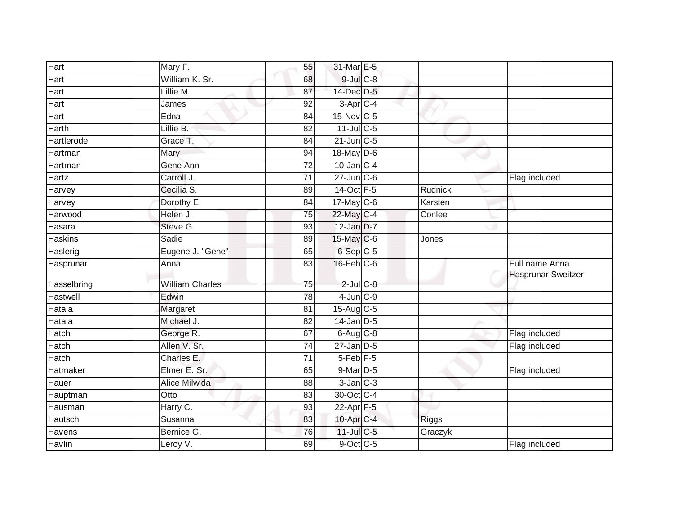| Hart           | Mary F.                | 55              | 31-Mar E-5             |         |                                             |
|----------------|------------------------|-----------------|------------------------|---------|---------------------------------------------|
| Hart           | William K. Sr.         | 68              | $9$ -Jul $C$ -8        |         |                                             |
| Hart           | Lillie M.              | 87              | 14-Dec D-5             |         |                                             |
| Hart           | James                  | 92              | $3-Apr$ <sub>C-4</sub> |         |                                             |
| Hart           | Edna                   | $\overline{84}$ | 15-Nov C-5             |         |                                             |
| Harth          | Lillie B.              | 82              | $11$ -Jul C-5          |         |                                             |
| Hartlerode     | Grace T.               | 84              | $21$ -Jun $C-5$        |         |                                             |
| Hartman        | Mary                   | 94              | 18-May D-6             |         |                                             |
| Hartman        | Gene Ann               | 72              | $10$ -Jan $C-4$        |         |                                             |
| Hartz          | Carroll J.             | $\overline{71}$ | $27$ -Jun $C$ -6       |         | Flag included                               |
| Harvey         | Cecilia S.             | 89              | 14-Oct F-5             | Rudnick |                                             |
| Harvey         | Dorothy E.             | 84              | $17$ -May C-6          | Karsten |                                             |
| Harwood        | Helen J.               | 75              | 22-May C-4             | Conlee  |                                             |
| Hasara         | Steve G.               | 93              | 12-Jan D-7             |         |                                             |
| <b>Haskins</b> | Sadie                  | 89              | 15-May C-6             | Jones   |                                             |
| Haslerig       | Eugene J. "Gene"       | 65              | 6-Sep C-5              |         |                                             |
| Hasprunar      | Anna                   | 83              | $16$ -Feb $C$ -6       |         | Full name Anna<br><b>Hasprunar Sweitzer</b> |
| Hasselbring    | <b>William Charles</b> | $\overline{75}$ | $2$ -Jul $C$ -8        |         |                                             |
| Hastwell       | Edwin                  | 78              | $4$ -Jun $C-9$         |         |                                             |
| Hatala         | Margaret               | 81              | 15-Aug C-5             |         |                                             |
| Hatala         | Michael J.             | 82              | $14$ -Jan D-5          |         |                                             |
| Hatch          | George R.              | 67              | $6$ -Aug $C$ -8        |         | Flag included                               |
| Hatch          | Allen V. Sr.           | 74              | $27$ -Jan D-5          |         | Flag included                               |
| Hatch          | Charles E.             | 71              | 5-Feb <sup>F-5</sup>   |         |                                             |
| Hatmaker       | Elmer E. Sr.           | 65              | $9$ -Mar $D-5$         |         | Flag included                               |
| Hauer          | <b>Alice Milwida</b>   | 88              | $3$ -Jan $C-3$         |         |                                             |
| Hauptman       | $\overline{O}t$ to     | 83              | 30-Oct C-4             |         |                                             |
| Hausman        | Harry C.               | 93              | 22-Apr F-5             |         |                                             |
| Hautsch        | Susanna                | 83              | 10-Apr C-4             | Riggs   |                                             |
| Havens         | Bernice G.             | 76              | $11$ -Jul C-5          | Graczyk |                                             |
| Havlin         | Leroy V.               | 69              | 9-Oct C-5              |         | Flag included                               |
|                |                        |                 |                        |         |                                             |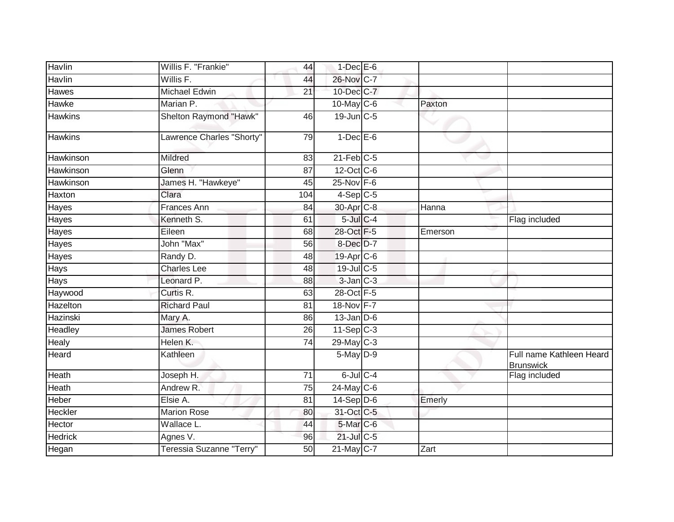| Havlin         | Willis F. "Frankie"       | 44              | $1$ -Dec E-6           |         |                                              |
|----------------|---------------------------|-----------------|------------------------|---------|----------------------------------------------|
| Havlin         | Willis F.                 | 44              | 26-Nov C-7             |         |                                              |
| <b>Hawes</b>   | <b>Michael Edwin</b>      | $\overline{21}$ | 10-Dec C-7             |         |                                              |
| Hawke          | Marian P.                 |                 | $10$ -May C-6          | Paxton  |                                              |
| <b>Hawkins</b> | Shelton Raymond "Hawk"    | 46              | 19-Jun C-5             |         |                                              |
| <b>Hawkins</b> | Lawrence Charles "Shorty" | 79              | $1-Dec$ E-6            |         |                                              |
| Hawkinson      | Mildred                   | 83              | $21$ -Feb $C-5$        |         |                                              |
| Hawkinson      | Glenn                     | $\overline{87}$ | 12-Oct C-6             |         |                                              |
| Hawkinson      | James H. "Hawkeye"        | 45              | 25-Nov F-6             |         |                                              |
| Haxton         | Clara                     | 104             | $4-Sep C-5$            |         |                                              |
| Hayes          | <b>Frances Ann</b>        | 84              | 30-Apr <sub>C-8</sub>  | Hanna   |                                              |
| Hayes          | Kenneth S.                | 61              | $5$ -Jul $C$ -4        |         | Flag included                                |
| <b>Hayes</b>   | Eileen                    | 68              | 28-Oct F-5             | Emerson |                                              |
| Hayes          | John "Max"                | 56              | 8-Dec D-7              |         |                                              |
| Hayes          | Randy D.                  | 48              | 19-Apr <sub>IC-6</sub> |         |                                              |
| Hays           | <b>Charles Lee</b>        | 48              | 19-Jul C-5             |         |                                              |
| <b>Hays</b>    | Leonard P.                | 88              | $3$ -Jan $C-3$         |         |                                              |
| Haywood        | Curtis R.                 | 63              | 28-Oct F-5             |         |                                              |
| Hazelton       | <b>Richard Paul</b>       | 81              | 18-Nov F-7             |         |                                              |
| Hazinski       | Mary A.                   | 86              | $13$ -Jan $D-6$        |         |                                              |
| Headley        | <b>James Robert</b>       | 26              | $11-Sep$ C-3           |         |                                              |
| <b>Healy</b>   | Helen K.                  | 74              | $29$ -May C-3          |         |                                              |
| Heard          | Kathleen                  |                 | $5$ -May $D-9$         |         | Full name Kathleen Heard<br><b>Brunswick</b> |
| Heath          | Joseph H.                 | 71              | $6$ -Jul $C$ -4        |         | Flag included                                |
| Heath          | Andrew R.                 | 75              | 24-May C-6             |         |                                              |
| Heber          | Elsie A.                  | 81              | $14-Sep D-6$           | Emerly  |                                              |
| Heckler        | <b>Marion Rose</b>        | 80              | 31-Oct C-5             |         |                                              |
| Hector         | Wallace L.                | 44              | 5-Mar C-6              |         |                                              |
| <b>Hedrick</b> | Agnes V.                  | 96              | $21$ -Jul C-5          |         |                                              |
| Hegan          | Teressia Suzanne "Terry"  | 50              | 21-May C-7             | Zart    |                                              |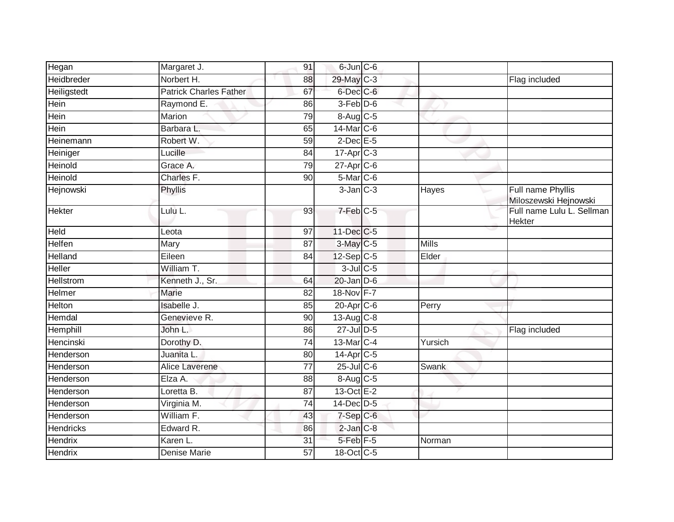| Hegan            | Margaret J.                   | 91              | 6-Jun C-6               |         |                                            |
|------------------|-------------------------------|-----------------|-------------------------|---------|--------------------------------------------|
| Heidbreder       | Norbert H.                    | 88              | 29-May C-3              |         | Flag included                              |
| Heiligstedt      | <b>Patrick Charles Father</b> | 67              | 6-Dec C-6               |         |                                            |
| Hein             | Raymond E.                    | 86              | 3-Feb D-6               |         |                                            |
| <b>Hein</b>      | Marion                        | 79              | 8-Aug C-5               |         |                                            |
| Hein             | Barbara L.                    | 65              | 14-Mar C-6              |         |                                            |
| Heinemann        | Robert W.                     | 59              | $2$ -Dec $E$ -5         |         |                                            |
| Heiniger         | Lucille                       | 84              | $17$ -Apr $C-3$         |         |                                            |
| Heinold          | Grace A.                      | 79              | $27$ -Apr $C$ -6        |         |                                            |
| Heinold          | Charles F.                    | 90              | 5-Mar <sub>C-6</sub>    |         |                                            |
| Hejnowski        | Phyllis                       |                 | $3$ -Jan $C-3$          | Hayes   | Full name Phyllis<br>Miloszewski Hejnowski |
| Hekter           | Lulu L.                       | 93              | $7-Feb$ $C-5$           |         | Full name Lulu L. Sellman<br><b>Hekter</b> |
| <b>Held</b>      | Leota                         | $\overline{97}$ | 11-Dec C-5              |         |                                            |
| Helfen           | Mary                          | 87              | $3$ -May C-5            | Mills   |                                            |
| Helland          | Eileen                        | 84              | $12-Sep$ C-5            | Elder   |                                            |
| Heller           | William T.                    |                 | $3$ -Jul $C$ -5         |         |                                            |
| Hellstrom        | Kenneth J., Sr.               | 64              | $20$ -Jan $D-6$         |         |                                            |
| Helmer           | <b>Marie</b>                  | 82              | 18-Nov F-7              |         |                                            |
| Helton           | Isabelle J.                   | 85              | 20-Apr C-6              | Perry   |                                            |
| Hemdal           | Genevieve R.                  | 90              | $13-Aug$ <sub>C-8</sub> |         |                                            |
| Hemphill         | John L.                       | 86              | 27-Jul D-5              |         | Flag included                              |
| Hencinski        | Dorothy D.                    | 74              | 13-Mar C-4              | Yursich |                                            |
| Henderson        | Juanita L.                    | 80              | 14-Apr C-5              |         |                                            |
| Henderson        | Alice Laverene                | 77              | $25$ -Jul C-6           | Swank   |                                            |
| Henderson        | Elza A.                       | 88              | 8-Aug C-5               |         |                                            |
| Henderson        | Loretta B.                    | 87              | $13-Oct$ E-2            |         |                                            |
| Henderson        | Virginia M.                   | 74              | 14-Dec D-5              |         |                                            |
| Henderson        | William F.                    | 43              | $7-Sep$ $C-6$           |         |                                            |
| <b>Hendricks</b> | Edward R.                     | 86              | $2$ -Jan $C-8$          |         |                                            |
| <b>Hendrix</b>   | Karen L.                      | 31              | $5$ -Feb $F-5$          | Norman  |                                            |
| Hendrix          | Denise Marie                  | 57              | 18-Oct C-5              |         |                                            |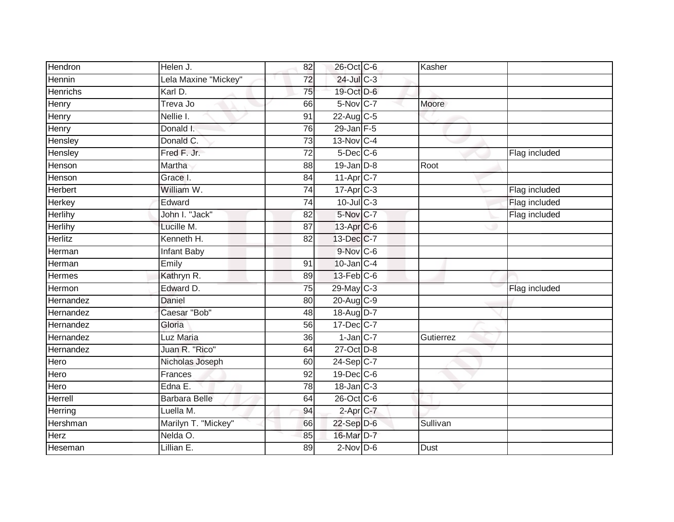| Hendron         | Helen J.             | 82              | 26-Oct C-6              | Kasher      |               |
|-----------------|----------------------|-----------------|-------------------------|-------------|---------------|
| Hennin          | Lela Maxine "Mickey" | 72              | $24$ -Jul C-3           |             |               |
| <b>Henrichs</b> | Karl D.              | 75              | 19-Oct D-6              |             |               |
| Henry           | Treva Jo             | 66              | 5-Nov C-7               | Moore       |               |
| Henry           | Nellie I.            | 91              | 22-Aug C-5              |             |               |
| Henry           | Donald I.            | 76              | $29$ -Jan F-5           |             |               |
| Hensley         | Donald C.            | $\overline{73}$ | 13-Nov C-4              |             |               |
| Hensley         | Fred F. Jr.          | 72              | $5$ -Dec $C$ -6         |             | Flag included |
| Henson          | Martha               | 88              | $19$ -Jan $D-8$         | Root        |               |
| Henson          | Grace I.             | 84              | $11-Apr$ $C-7$          |             |               |
| Herbert         | William W.           | 74              | $17-Apr$ <sub>C-3</sub> |             | Flag included |
| Herkey          | Edward               | 74              | $10$ -Jul C-3           |             | Flag included |
| Herlihy         | John I. "Jack"       | 82              | 5-Nov C-7               |             | Flag included |
| Herlihy         | Lucille M.           | 87              | 13-Apr C-6              |             |               |
| <b>Herlitz</b>  | Kenneth H.           | 82              | 13-Dec C-7              |             |               |
| Herman          | Infant Baby          |                 | $9-Nov$ C-6             |             |               |
| Herman          | Emily                | 91              | $10$ -Jan $C-4$         |             |               |
| Hermes          | Kathryn R.           | 89              | 13-Feb C-6              |             |               |
| Hermon          | Edward D.            | 75              | 29-May C-3              |             | Flag included |
| Hernandez       | <b>Daniel</b>        | $\overline{80}$ | 20-Aug C-9              |             |               |
| Hernandez       | Caesar "Bob"         | 48              | 18-Aug D-7              |             |               |
| Hernandez       | Gloria               | 56              | 17-Dec C-7              |             |               |
| Hernandez       | Luz Maria            | 36              | $1$ -Jan $C-7$          | Gutierrez   |               |
| Hernandez       | Juan R. "Rico"       | 64              | 27-Oct D-8              |             |               |
| Hero            | Nicholas Joseph      | 60              | 24-Sep C-7              |             |               |
| Hero            | Frances              | 92              | 19-Dec C-6              |             |               |
| Hero            | Edna E.              | 78              | $18$ -Jan $C-3$         |             |               |
| Herrell         | Barbara Belle        | 64              | 26-Oct C-6              |             |               |
| Herring         | Luella M.            | 94              | 2-Apr C-7               |             |               |
| Hershman        | Marilyn T. "Mickey"  | 66              | 22-Sep D-6              | Sullivan    |               |
| Herz            | Nelda O.             | 85              | 16-Mar D-7              |             |               |
| Heseman         | Lillian E.           | 89              | $2$ -Nov $D-6$          | <b>Dust</b> |               |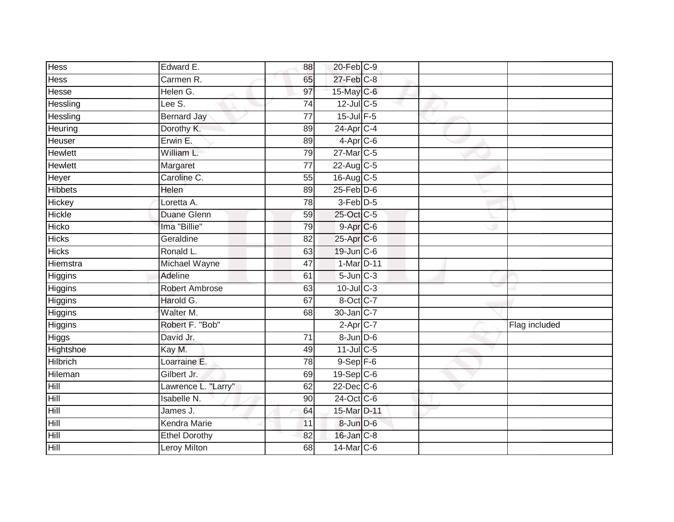| <b>Hess</b>    | Edward E.             | 88              | 20-Feb C-9              |  |               |
|----------------|-----------------------|-----------------|-------------------------|--|---------------|
| Hess           | Carmen R.             | 65              | $27$ -Feb $C-8$         |  |               |
| Hesse          | Helen G.              | 97              | 15-May C-6              |  |               |
| Hessling       | Lee S.                | 74              | 12-Jul C-5              |  |               |
| Hessling       | <b>Bernard Jay</b>    | $\overline{77}$ | 15-Jul F-5              |  |               |
| Heuring        | Dorothy K.            | 89              | 24-Apr C-4              |  |               |
| Heuser         | Erwin E.              | 89              | $4-Apr$ C-6             |  |               |
| <b>Hewlett</b> | William L.            | 79              | 27-Mar C-5              |  |               |
| Hewlett        | Margaret              | $\overline{77}$ | 22-Aug C-5              |  |               |
| Heyer          | Caroline C.           | 55              | 16-Aug C-5              |  |               |
| <b>Hibbets</b> | Helen                 | 89              | $25$ -Feb $D-6$         |  |               |
| Hickey         | Loretta A.            | 78              | 3-Feb D-5               |  |               |
| Hickle         | Duane Glenn           | 59              | 25-Oct C-5              |  |               |
| Hicko          | Ima "Billie"          | 79              | 9-Apr C-6               |  |               |
| <b>Hicks</b>   | Geraldine             | 82              | 25-Apr C-6              |  |               |
| <b>Hicks</b>   | Ronald L.             | 63              | 19-Jun C-6              |  |               |
| Hiemstra       | Michael Wayne         | 47              | 1-Mar D-11              |  |               |
| Higgins        | Adeline               | 61              | $5 - Jun$ $C - 3$       |  |               |
| Higgins        | <b>Robert Ambrose</b> | 63              | $10$ -Jul $C-3$         |  |               |
| <b>Higgins</b> | Harold G.             | 67              | 8-Oct C-7               |  |               |
| Higgins        | Walter M.             | 68              | 30-Jan C-7              |  |               |
| Higgins        | Robert F. "Bob"       |                 | $2-Apr$ C-7             |  | Flag included |
| Higgs          | David Jr.             | 71              | $8 - Jun$ $D-6$         |  |               |
| Hightshoe      | Kay M.                | 49              | $11$ -Jul C-5           |  |               |
| Hilbrich       | Loarraine E.          | 78              | $9-$ Sep $F-6$          |  |               |
| Hileman        | Gilbert Jr.           | 69              | $19-Sep$ <sub>C-6</sub> |  |               |
| Hill           | Lawrence L. "Larry"   | 62              | $22$ -Dec $C$ -6        |  |               |
| Hill           | Isabelle N.           | 90              | 24-Oct C-6              |  |               |
| Hill           | James J.              | 64              | 15-Mar D-11             |  |               |
| Hill           | Kendra Marie          | 11              | 8-Jun D-6               |  |               |
| Hill           | <b>Ethel Dorothy</b>  | 82              | 16-Jan C-8              |  |               |
| Hill           | <b>Leroy Milton</b>   | $\overline{68}$ | 14-Mar C-6              |  |               |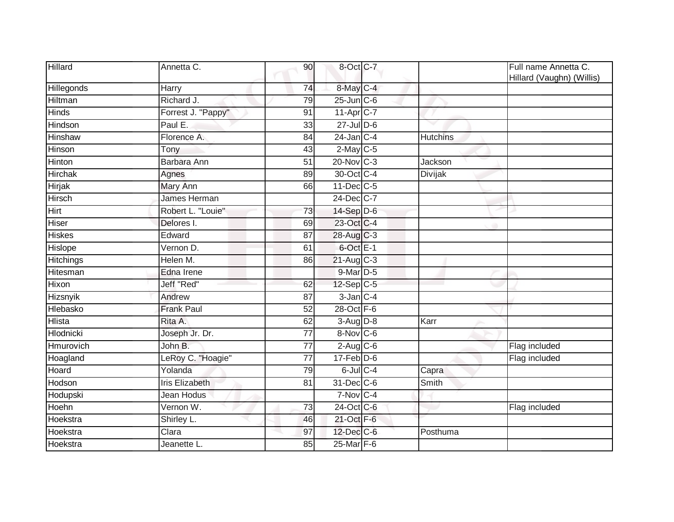| Hillard        | Annetta C.            | 90              | 8-Oct C-7        |                 | Full name Annetta C.<br>Hillard (Vaughn) (Willis) |
|----------------|-----------------------|-----------------|------------------|-----------------|---------------------------------------------------|
| Hillegonds     | Harry                 | 74              | 8-May C-4        |                 |                                                   |
| Hiltman        | Richard J.            | 79              | $25$ -Jun $C$ -6 |                 |                                                   |
| <b>Hinds</b>   | Forrest J. "Pappy"    | 91              | $11-AprC-7$      |                 |                                                   |
| Hindson        | Paul E.               | 33              | $27$ -Jul $D-6$  |                 |                                                   |
| Hinshaw        | Florence A.           | 84              | $24$ -Jan $C-4$  | <b>Hutchins</b> |                                                   |
| Hinson         | Tony                  | 43              | $2$ -May C-5     |                 |                                                   |
| Hinton         | Barbara Ann           | $\overline{51}$ | 20-Nov C-3       | Jackson         |                                                   |
| <b>Hirchak</b> | Agnes                 | 89              | 30-Oct C-4       | Divijak         |                                                   |
| <b>Hirjak</b>  | Mary Ann              | 66              | 11-Dec C-5       |                 |                                                   |
| Hirsch         | James Herman          |                 | 24-Dec C-7       |                 |                                                   |
| Hirt           | Robert L. "Louie"     | 73              | $14-Sep$ D-6     |                 |                                                   |
| Hiser          | Delores I.            | 69              | 23-Oct C-4       |                 |                                                   |
| <b>Hiskes</b>  | Edward                | 87              | 28-Aug C-3       |                 |                                                   |
| Hislope        | Vernon D.             | 61              | 6-Oct E-1        |                 |                                                   |
| Hitchings      | Helen M.              | 86              | $21-Aug$ $C-3$   |                 |                                                   |
| Hitesman       | Edna Irene            |                 | 9-Mar D-5        |                 |                                                   |
| Hixon          | Jeff "Red"            | 62              | 12-Sep C-5       |                 |                                                   |
| Hizsnyik       | Andrew                | 87              | $3$ -Jan $C-4$   |                 |                                                   |
| Hlebasko       | <b>Frank Paul</b>     | 52              | 28-Oct F-6       |                 |                                                   |
| <b>Hlista</b>  | Rita A.               | 62              | $3-Aug$ $D-8$    | Karr            |                                                   |
| Hlodnicki      | Joseph Jr. Dr.        | $\overline{77}$ | 8-Nov C-6        |                 |                                                   |
| Hmurovich      | John B.               | $\overline{77}$ | $2$ -Aug $C$ -6  |                 | Flag included                                     |
| Hoagland       | LeRoy C. "Hoagie"     | 77              | $17$ -Feb $D-6$  |                 | Flag included                                     |
| Hoard          | Yolanda               | 79              | $6$ -Jul $C$ -4  | Capra           |                                                   |
| Hodson         | <b>Iris Elizabeth</b> | 81              | 31-Dec C-6       | Smith           |                                                   |
| Hodupski       | Jean Hodus            |                 | 7-Nov C-4        |                 |                                                   |
| Hoehn          | Vernon W.             | 73              | 24-Oct C-6       |                 | Flag included                                     |
| Hoekstra       | Shirley L.            | 46              | 21-Oct F-6       |                 |                                                   |
| Hoekstra       | Clara                 | 97              | 12-Dec C-6       | Posthuma        |                                                   |
| Hoekstra       | Jeanette L.           | 85              | 25-Mar F-6       |                 |                                                   |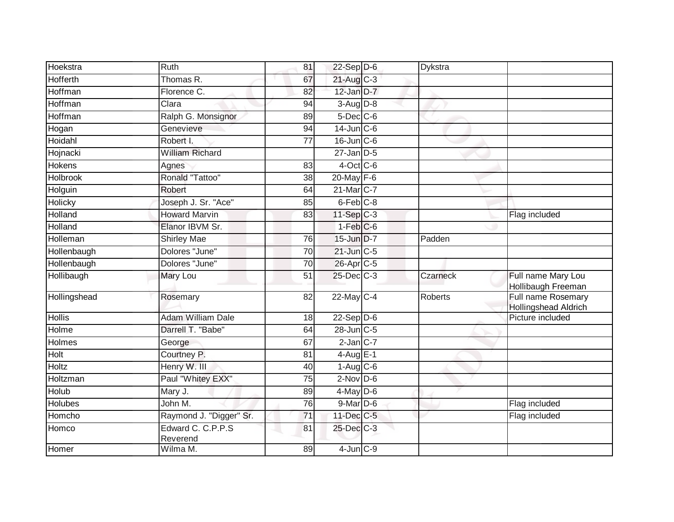| Hoekstra        | Ruth                          | 81 | $22-Sep$ D-6           | Dykstra  |                                                   |
|-----------------|-------------------------------|----|------------------------|----------|---------------------------------------------------|
| Hofferth        | Thomas R.                     | 67 | 21-Aug C-3             |          |                                                   |
| Hoffman         | Florence C.                   | 82 | 12-Jan D-7             |          |                                                   |
| Hoffman         | Clara                         | 94 | $3-Aug$ $D-8$          |          |                                                   |
| Hoffman         | Ralph G. Monsignor            | 89 | $5$ -Dec $C$ -6        |          |                                                   |
| Hogan           | Genevieve                     | 94 | $14$ -Jun $C$ -6       |          |                                                   |
| Hoidahl         | Robert I.                     | 77 | $16$ -Jun $C$ -6       |          |                                                   |
| Hojnacki        | <b>William Richard</b>        |    | $27$ -Jan $D-5$        |          |                                                   |
| <b>Hokens</b>   | Agnes                         | 83 | $4$ -Oct C-6           |          |                                                   |
| <b>Holbrook</b> | Ronald "Tattoo"               | 38 | $20$ -May F-6          |          |                                                   |
| Holguin         | Robert                        | 64 | 21-Mar C-7             |          |                                                   |
| Holicky         | Joseph J. Sr. "Ace"           | 85 | $6$ -Feb $C-8$         |          |                                                   |
| Holland         | <b>Howard Marvin</b>          | 83 | $11-Sep$ C-3           |          | Flag included                                     |
| Holland         | Elanor IBVM Sr.               |    | $1-Feb$ <sub>C-6</sub> |          |                                                   |
| Holleman        | <b>Shirley Mae</b>            | 76 | 15-Jun D-7             | Padden   |                                                   |
| Hollenbaugh     | Dolores "June"                | 70 | 21-Jun C-5             |          |                                                   |
| Hollenbaugh     | Dolores "June"                | 70 | 26-Apr C-5             |          |                                                   |
| Hollibaugh      | Mary Lou                      | 51 | $25$ -Dec $C$ -3       | Czarneck | Full name Mary Lou<br>Hollibaugh Freeman          |
| Hollingshead    | Rosemary                      | 82 | 22-May C-4             | Roberts  | Full name Rosemary<br><b>Hollingshead Aldrich</b> |
| <b>Hollis</b>   | <b>Adam William Dale</b>      | 18 | $22-Sep$ D-6           |          | Picture included                                  |
| Holme           | Darrell T. "Babe"             | 64 | $28$ -Jun $C-5$        |          |                                                   |
| Holmes          | George                        | 67 | $2$ -Jan $C-7$         |          |                                                   |
| Holt            | Courtney P.                   | 81 | $4$ -Aug $E-1$         |          |                                                   |
| Holtz           | Henry W. III                  | 40 | $1-Aug$ $C-6$          |          |                                                   |
| Holtzman        | Paul "Whitey EXX"             | 75 | $2$ -Nov D-6           |          |                                                   |
| Holub           | Mary J.                       | 89 | $4$ -May $D$ -6        |          |                                                   |
| Holubes         | John M.                       | 76 | $9$ -Mar $D$ -6        |          | Flag included                                     |
| Homcho          | Raymond J. "Digger" Sr.       | 71 | 11-Dec C-5             |          | Flag included                                     |
| Homco           | Edward C. C.P.P.S<br>Reverend | 81 | 25-Dec C-3             |          |                                                   |
| Homer           | Wilma M.                      | 89 | $4$ -Jun $C-9$         |          |                                                   |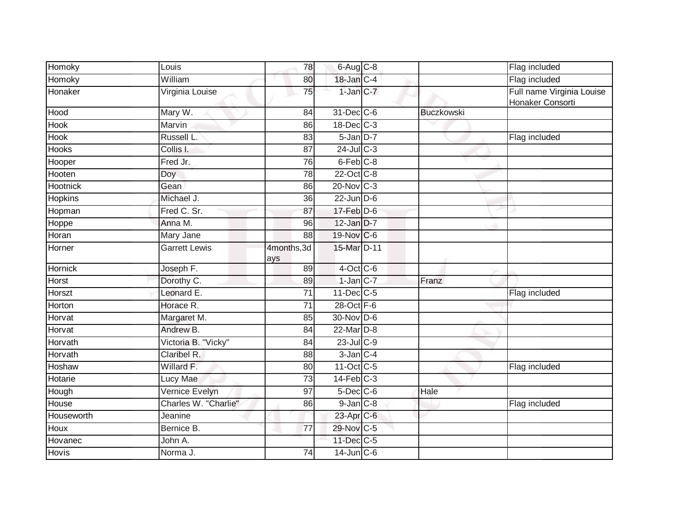| Homoky         | Louis                | 78                 | $6$ -Aug $C$ -8  |                   | Flag included                                 |
|----------------|----------------------|--------------------|------------------|-------------------|-----------------------------------------------|
| Homoky         | William              | 80                 | 18-Jan C-4       |                   | Flag included                                 |
| Honaker        | Virginia Louise      | 75                 | $1$ -Jan $ C-7 $ |                   | Full name Virginia Louise<br>Honaker Consorti |
| Hood           | Mary W.              | 84                 | 31-Dec C-6       | <b>Buczkowski</b> |                                               |
| Hook           | Marvin               | 86                 | 18-Dec C-3       |                   |                                               |
| <b>Hook</b>    | Russell L.           | 83                 | 5-Jan D-7        |                   | Flag included                                 |
| <b>Hooks</b>   | Collis I.            | 87                 | $24$ -Jul C-3    |                   |                                               |
| Hooper         | Fred Jr.             | 76                 | 6-Feb C-8        |                   |                                               |
| Hooten         | Doy                  | 78                 | 22-Oct C-8       |                   |                                               |
| Hootnick       | Gean                 | 86                 | 20-Nov C-3       |                   |                                               |
| <b>Hopkins</b> | Michael J.           | 36                 | $22$ -Jun $D-6$  |                   |                                               |
| Hopman         | Fred C. Sr.          | 87                 | $17$ -Feb $D$ -6 |                   |                                               |
| Hoppe          | Anna M.              | 96                 | $12$ -Jan D-7    |                   |                                               |
| Horan          | Mary Jane            | 88                 | 19-Nov C-6       |                   |                                               |
| Horner         | <b>Garrett Lewis</b> | 4months, 3d<br>ays | 15-Mar D-11      |                   |                                               |
| Hornick        | Joseph F.            | 89                 | $4$ -Oct C-6     |                   |                                               |
| Horst          | Dorothy C.           | 89                 | $1$ -Jan $C$ -7  | Franz             |                                               |
| <b>Horszt</b>  | Leonard E.           | 71                 | 11-Dec C-5       |                   | Flag included                                 |
| Horton         | Horace R.            | $\overline{71}$    | $28$ -Oct $F-6$  |                   |                                               |
| Horvat         | Margaret M.          | 85                 | 30-Nov D-6       |                   |                                               |
| Horvat         | Andrew B.            | 84                 | 22-Mar D-8       |                   |                                               |
| Horvath        | Victoria B. "Vicky"  | 84                 | $23$ -Jul C-9    |                   |                                               |
| Horvath        | Claribel R.          | 88                 | $3$ -Jan $C-4$   |                   |                                               |
| Hoshaw         | Willard F.           | 80                 | 11-Oct C-5       |                   | Flag included                                 |
| Hotarie        | Lucy Mae             | 73                 | $14$ -Feb $C-3$  |                   |                                               |
| Hough          | Vernice Evelyn       | 97                 | $5$ -Dec $C$ -6  | Hale              |                                               |
| House          | Charles W. "Charlie" | 86                 | $9$ -Jan $C$ -8  |                   | Flag included                                 |
| Houseworth     | Jeanine              |                    | 23-Apr C-6       |                   |                                               |
| Houx           | Bernice B.           | $\overline{77}$    | 29-Nov C-5       |                   |                                               |
| Hovanec        | John A.              |                    | 11-Dec C-5       |                   |                                               |
| Hovis          | Norma J.             | 74                 | $14$ -Jun $C$ -6 |                   |                                               |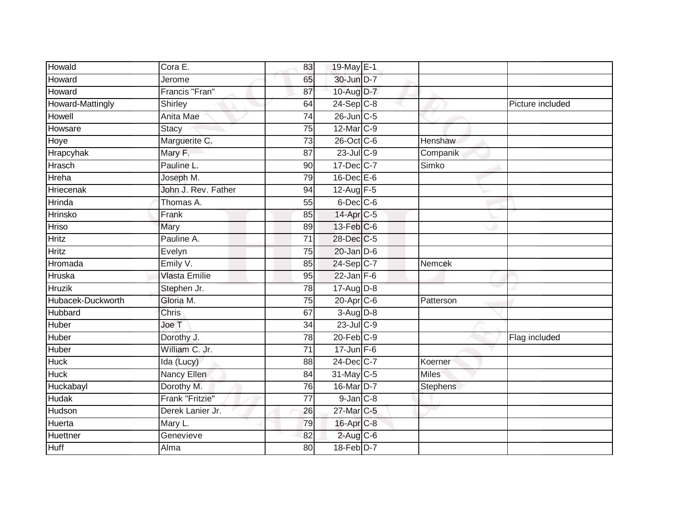| Howald            | Cora E.              | 83              | 19-May E-1            |                 |                  |
|-------------------|----------------------|-----------------|-----------------------|-----------------|------------------|
| Howard            | Jerome               | 65              | 30-Jun D-7            |                 |                  |
| Howard            | Francis "Fran"       | 87              | 10-Aug D-7            |                 |                  |
| Howard-Mattingly  | Shirley              | 64              | $24-Sep$ C-8          |                 | Picture included |
| Howell            | Anita Mae            | $\overline{74}$ | 26-Jun C-5            |                 |                  |
| Howsare           | <b>Stacy</b>         | 75              | 12-Mar C-9            |                 |                  |
| Hoye              | Marguerite C.        | $\overline{73}$ | 26-Oct C-6            | Henshaw         |                  |
| Hrapcyhak         | Mary F.              | 87              | 23-Jul C-9            | Companik        |                  |
| Hrasch            | Pauline L.           | 90              | 17-Dec C-7            | Simko           |                  |
| Hreha             | Joseph M.            | 79              | $16$ -Dec $E$ -6      |                 |                  |
| Hriecenak         | John J. Rev. Father  | 94              | 12-Aug F-5            |                 |                  |
| Hrinda            | Thomas A.            | 55              | $6$ -Dec $C$ -6       |                 |                  |
| Hrinsko           | Frank                | 85              | 14-Apr <sub>C-5</sub> |                 |                  |
| <b>Hriso</b>      | Mary                 | 89              | $13$ -Feb $ C$ -6     |                 |                  |
| <b>Hritz</b>      | Pauline A.           | 71              | 28-Dec C-5            |                 |                  |
| <b>Hritz</b>      | Evelyn               | 75              | $20$ -Jan $D-6$       |                 |                  |
| Hromada           | Emily V.             | 85              | 24-Sep C-7            | <b>Nemcek</b>   |                  |
| Hruska            | <b>Vlasta Emilie</b> | 95              | $22$ -Jan F-6         |                 |                  |
| <b>Hruzik</b>     | Stephen Jr.          | 78              | $17$ -Aug $D-8$       |                 |                  |
| Hubacek-Duckworth | Gloria M.            | $\overline{75}$ | $20$ -Apr $C$ -6      | Patterson       |                  |
| Hubbard           | Chris                | 67              | 3-Aug D-8             |                 |                  |
| Huber             | Joe T                | $\overline{34}$ | $23$ -Jul C-9         |                 |                  |
| Huber             | Dorothy J.           | 78              | $20$ -Feb $C-9$       |                 | Flag included    |
| Huber             | William C. Jr.       | 71              | $17 - Jun$ F-6        |                 |                  |
| <b>Huck</b>       | Ida (Lucy)           | 88              | 24-Dec C-7            | Koerner         |                  |
| <b>Huck</b>       | Nancy Ellen          | 84              | 31-May C-5            | <b>Miles</b>    |                  |
| Huckabayl         | Dorothy M.           | 76              | 16-Mar D-7            | <b>Stephens</b> |                  |
| <b>Hudak</b>      | Frank "Fritzie"      | $\overline{77}$ | $9$ -Jan $C-8$        |                 |                  |
| Hudson            | Derek Lanier Jr.     | 26              | 27-Mar C-5            |                 |                  |
| Huerta            | Mary L.              | 79              | 16-Apr C-8            |                 |                  |
| Huettner          | Genevieve            | 82              | $2$ -Aug C-6          |                 |                  |
| <b>Huff</b>       | Alma                 | 80              | 18-Feb D-7            |                 |                  |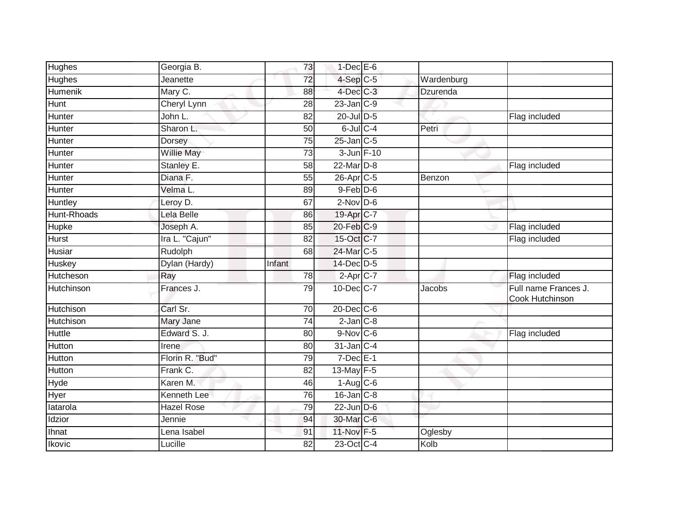| <b>Hughes</b>    | Georgia B.         | 73              | $1$ -Dec $E$ -6       |            |                                         |
|------------------|--------------------|-----------------|-----------------------|------------|-----------------------------------------|
| Hughes           | Jeanette           | 72              | $4-Sep$ $C-5$         | Wardenburg |                                         |
| <b>Humenik</b>   | Mary C.            | 88              | 4-Dec C-3             | Dzurenda   |                                         |
| Hunt             | Cheryl Lynn        | 28              | $23$ -Jan $C-9$       |            |                                         |
| Hunter           | John L.            | $\overline{82}$ | $20$ -Jul $D-5$       |            | Flag included                           |
| Hunter           | Sharon L.          | 50              | $6$ -Jul $C$ -4       | Petri      |                                         |
| Hunter           | Dorsey             | 75              | $25$ -Jan $ C-5 $     |            |                                         |
| Hunter           | Willie May         | 73              | 3-Jun F-10            |            |                                         |
| Hunter           | Stanley E.         | 58              | 22-Mar D-8            |            | Flag included                           |
| Hunter           | Diana F.           | $\overline{55}$ | 26-Apr <sub>C-5</sub> | Benzon     |                                         |
| Hunter           | Velma L.           | 89              | $9$ -Feb $D$ -6       |            |                                         |
| Huntley          | Leroy D.           | 67              | $2$ -Nov D-6          |            |                                         |
| Hunt-Rhoads      | Lela Belle         | 86              | 19-Apr C-7            |            |                                         |
| Hupke            | Joseph A.          | 85              | 20-Feb C-9            |            | Flag included                           |
| Hurst            | Ira L. "Cajun"     | 82              | 15-Oct C-7            |            | Flag included                           |
| Husiar           | Rudolph            | 68              | 24-Mar C-5            |            |                                         |
| Huskey           | Dylan (Hardy)      | Infant          | 14-Dec D-5            |            |                                         |
| Hutcheson        | Ray                | 78              | $2-Apr$ $C-7$         |            | Flag included                           |
| Hutchinson       | Frances J.         | 79              | 10-Dec C-7            | Jacobs     | Full name Frances J.<br>Cook Hutchinson |
| <b>Hutchison</b> | Carl Sr.           | 70              | 20-Dec C-6            |            |                                         |
| Hutchison        | Mary Jane          | 74              | $2$ -Jan $C-8$        |            |                                         |
| Huttle           | Edward S. J.       | 80              | $9-Nov$ C-6           |            | Flag included                           |
| Hutton           | Irene              | 80              | $31$ -Jan $ C-4 $     |            |                                         |
| Hutton           | Florin R. "Bud"    | 79              | $7$ -Dec $E-1$        |            |                                         |
| Hutton           | Frank C.           | 82              | 13-May F-5            |            |                                         |
| Hyde             | Karen M.           | 46              | $1-Aug$ $C-6$         |            |                                         |
| Hyer             | <b>Kenneth Lee</b> | 76              | $16$ -Jan $C-8$       |            |                                         |
| latarola         | Hazel Rose         | 79              | $22$ -Jun $D-6$       |            |                                         |
| Idzior           | Jennie             | 94              | 30-Mar C-6            |            |                                         |
| Ihnat            | Lena Isabel        | 91              | 11-Nov F-5            | Oglesby    |                                         |
| Ikovic           | Lucille            | 82              | 23-Oct C-4            | Kolb       |                                         |
|                  |                    |                 |                       |            |                                         |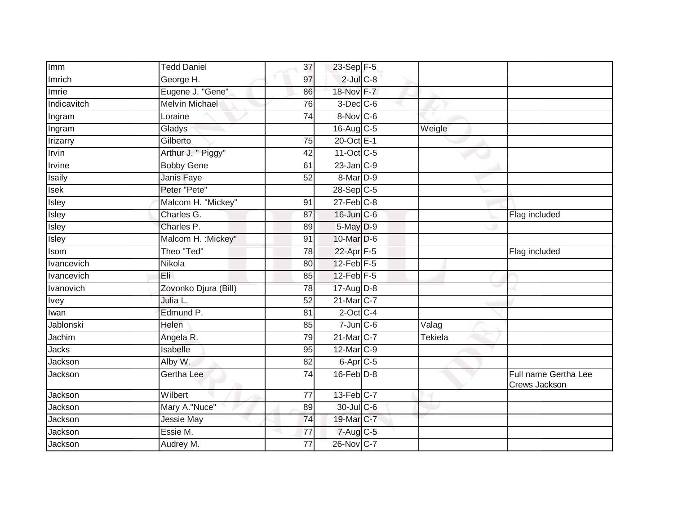| Imm           | <b>Tedd Daniel</b>    | 37              | 23-Sep F-5        |                           |                                       |
|---------------|-----------------------|-----------------|-------------------|---------------------------|---------------------------------------|
| Imrich        | George H.             | 97              | $2$ -Jul $C$ -8   |                           |                                       |
| Imrie         | Eugene J. "Gene"      | 86              | 18-Nov F-7        |                           |                                       |
| Indicavitch   | <b>Melvin Michael</b> | 76              | $3$ -Dec $C$ -6   |                           |                                       |
| Ingram        | Loraine               | 74              | 8-Nov C-6         |                           |                                       |
| Ingram        | Gladys                |                 | 16-Aug C-5        | Weigle                    |                                       |
| Irizarry      | Gilberto              | 75              | 20-Oct E-1        |                           |                                       |
| <b>Trvin</b>  | Arthur J. " Piggy"    | 42              | 11-Oct C-5        |                           |                                       |
| <b>Irvine</b> | <b>Bobby Gene</b>     | 61              | $23$ -Jan $C-9$   |                           |                                       |
| Isaily        | Janis Faye            | 52              | 8-Mar D-9         |                           |                                       |
| Isek          | Peter "Pete"          |                 | 28-Sep C-5        |                           |                                       |
| Isley         | Malcom H. "Mickey"    | 91              | $27$ -Feb $C-8$   |                           |                                       |
| Isley         | Charles G.            | 87              | $16$ -Jun $C$ -6  |                           | Flag included                         |
| Isley         | Charles P.            | 89              | 5-May D-9         |                           |                                       |
| Isley         | Malcom H. : Mickey"   | 91              | 10-Mar D-6        |                           |                                       |
| Isom          | Theo "Ted"            | 78              | 22-Apr F-5        |                           | Flag included                         |
| Ivancevich    | Nikola                | 80              | $12$ -Feb $F-5$   |                           |                                       |
| Ivancevich    | Eli.                  | 85              | $12$ -Feb $F-5$   |                           |                                       |
| Ivanovich     | Zovonko Djura (Bill)  | 78              | 17-Aug D-8        |                           |                                       |
| <b>Tvey</b>   | Julia L.              | 52              | 21-Mar C-7        |                           |                                       |
| Iwan          | Edmund P.             | 81              | $2$ -Oct C-4      |                           |                                       |
| Jablonski     | Helen                 | 85              | $7$ -Jun $C$ -6   | $\overline{\text{Valag}}$ |                                       |
| Jachim        | Angela R.             | 79              | 21-Mar C-7        | <b>Tekiela</b>            |                                       |
| <b>Jacks</b>  | Isabelle              | 95              | 12-Mar C-9        |                           |                                       |
| Jackson       | Alby W.               | 82              | $6 - Apr$ $C - 5$ |                           |                                       |
| Jackson       | Gertha Lee            | 74              | $16$ -Feb $D-8$   |                           | Full name Gertha Lee<br>Crews Jackson |
| Jackson       | Wilbert               | $\overline{77}$ | $13$ -Feb $C-7$   |                           |                                       |
| Jackson       | Mary A."Nuce"         | 89              | 30-Jul C-6        |                           |                                       |
| Jackson       | <b>Jessie May</b>     | 74              | 19-Mar C-7        |                           |                                       |
| Jackson       | Essie M.              | 77              | $7-Aug$ $C-5$     |                           |                                       |
| Jackson       | Audrey M.             | 77              | 26-Nov C-7        |                           |                                       |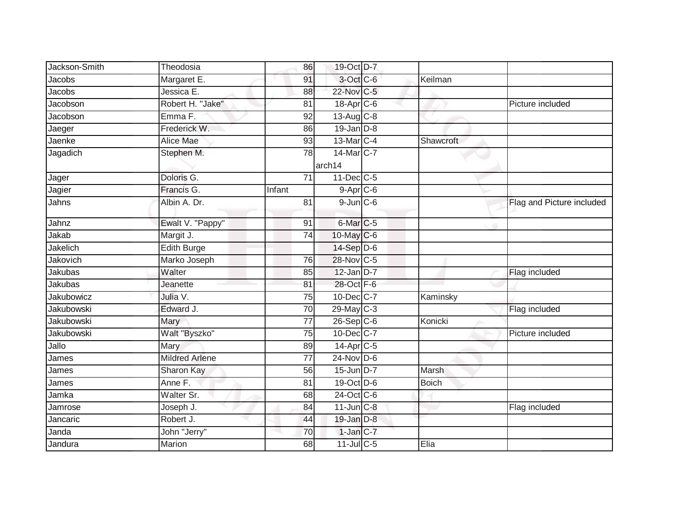| Jackson-Smith     | Theodosia             | 86              | 19-Oct D-7           |           |                           |
|-------------------|-----------------------|-----------------|----------------------|-----------|---------------------------|
| Jacobs            | Margaret E.           | 91              | 3-Oct C-6            | Keilman   |                           |
| Jacobs            | Jessica E.            | 88              | 22-Nov C-5           |           |                           |
| Jacobson          | Robert H. "Jake"      | 81              | $18$ -Apr $C$ -6     |           | Picture included          |
| Jacobson          | Emma <sub>F.</sub>    | $\overline{92}$ | 13-Aug C-8           |           |                           |
| Jaeger            | Frederick W.          | 86              | $19$ -Jan $D-8$      |           |                           |
| Jaenke            | Alice Mae             | 93              | $13$ -Mar $ C-4 $    | Shawcroft |                           |
| Jagadich          | Stephen M.            | 78              | 14-Mar C-7<br>arch14 |           |                           |
| Jager             | Doloris G.            | $\overline{71}$ | 11-Dec C-5           |           |                           |
| Jagier            | Francis G.            | Infant          | $9-Apr$ $C-6$        |           |                           |
| Jahns             | Albin A. Dr.          | 81              | $9$ -Jun $C$ -6      |           | Flag and Picture included |
| Jahnz             | Ewalt V. "Pappy"      | 91              | 6-Mar <sub>C-5</sub> |           |                           |
| Jakab             | Margit J.             | 74              | 10-May C-6           |           |                           |
| Jakelich          | <b>Edith Burge</b>    |                 | 14-Sep D-6           |           |                           |
| Jakovich          | Marko Joseph          | 76              | 28-Nov C-5           |           |                           |
| Jakubas           | Walter                | 85              | $12$ -Jan D-7        |           | Flag included             |
| Jakubas           | Jeanette              | 81              | 28-Oct F-6           |           |                           |
| <b>Jakubowicz</b> | Julia V.              | 75              | $10$ -Dec $C$ -7     | Kaminsky  |                           |
| <b>Jakubowski</b> | Edward J.             | 70              | 29-May C-3           |           | Flag included             |
| Jakubowski        | Mary                  | 77              | 26-Sep C-6           | Konicki   |                           |
| Jakubowski        | Walt "Byszko"         | 75              | $10$ -Dec $ C-7 $    |           | Picture included          |
| Jallo             | Mary                  | 89              | 14-Apr C-5           |           |                           |
| James             | <b>Mildred Arlene</b> | 77              | $24$ -Nov D-6        |           |                           |
| James             | Sharon Kay            | 56              | 15-Jun D-7           | Marsh     |                           |
| James             | Anne F.               | 81              | 19-Oct D-6           | Boich     |                           |
| Jamka             | Walter Sr.            | 68              | 24-Oct C-6           |           |                           |
| Jamrose           | Joseph J.             | 84              | $11$ -Jun $C-8$      |           | Flag included             |
| Jancaric          | Robert J.             | 44              | 19-Jan D-8           |           |                           |
| Janda             | John "Jerry"          | 70              | $1$ -Jan $ C-7 $     |           |                           |
| Jandura           | Marion                | 68              | $11$ -JulC-5         | Elia      |                           |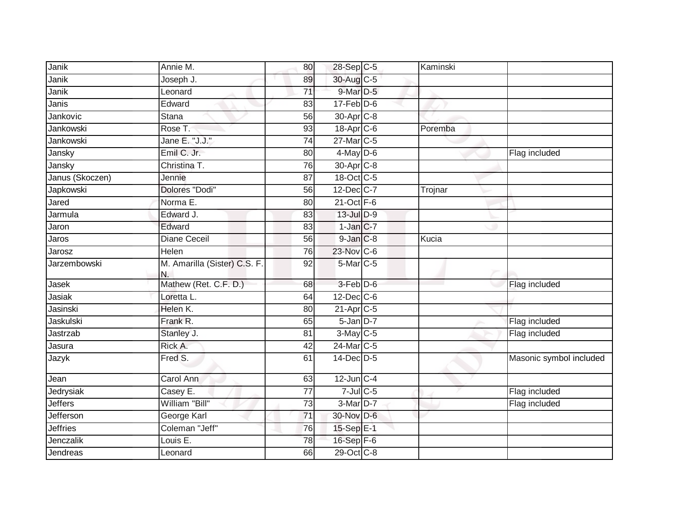| Janik<br>Joseph J.<br>30-Aug C-5<br>89<br>$9$ -Mar $D-5$<br>Janik<br>$\overline{71}$<br>Leonard<br>$17$ -Feb $D-6$<br>Edward<br>Janis<br>83<br>Jankovic<br>$\overline{56}$<br>30-Apr <sub>C-8</sub><br><b>Stana</b><br>Jankowski<br>Rose T.<br>$18$ -Apr $C$ -6<br>Poremba<br>93<br>Jane E. "J.J."<br>27-Mar C-5<br>Jankowski<br>74<br>Emil C. Jr.<br>$4$ -May D-6<br>Jansky<br>80<br>Flag included<br>Christina T.<br>30-Apr <sub>C-8</sub><br>Jansky<br>76<br>Janus (Skoczen)<br>18-Oct C-5<br>$\overline{87}$<br>Jennie<br>Dolores "Dodi"<br>56<br>$12$ -Dec $ C-7 $<br>Japkowski<br>Trojnar<br>Jared<br>Norma E.<br>21-Oct F-6<br>80<br>$13$ -Jul $D-9$<br>Jarmula<br>Edward J.<br>83<br>$1-Jan$ $C-7$<br>Edward<br>83<br>Jaron<br>$9$ -Jan $C-8$<br><b>Diane Ceceil</b><br>Jaros<br>56<br>Kucia<br>23-Nov C-6<br>Helen<br>76<br>Jarosz<br>M. Amarilla (Sister) C.S. F.<br>$5$ -Mar $C$ -5<br>Jarzembowski<br>92<br>N.<br>Mathew (Ret. C.F. D.)<br>3-Feb D-6<br>Jasek<br>Flag included<br>68<br>$12$ -Dec $ C$ -6<br>Jasiak<br>Loretta L.<br>64<br>Jasinski<br>Helen K.<br>$21-Apr$ <sub>C-5</sub><br>80<br>$5 - Jan$ $D-7$<br>Jaskulski<br>Frank R.<br>Flag included<br>65<br>$3-May$ $C-5$<br>Jastrzab<br>81<br>Flag included<br>Stanley J.<br>24-Mar C-5<br>Rick A.<br>Jasura<br>42<br>Fred S.<br>$14$ -Dec $ D-5$<br>Masonic symbol included<br>Jazyk<br>61<br>$12$ -Jun C-4<br><b>Carol Ann</b><br>63<br>Jean<br>$7$ -Jul $C$ -5<br>Jedrysiak<br>Flag included<br>Casey E.<br>77<br>William "Bill"<br>Jeffers<br>$\overline{73}$<br>3-Mar D-7<br>Flag included<br>30-Nov D-6<br>Jefferson<br>George Karl<br>71<br>Coleman "Jeff"<br><b>Jeffries</b><br>15-Sep E-1<br>76<br>Jenczalik<br>Louis $E$ .<br>78<br>16-Sep F-6<br>$29$ -Oct $C-8$<br>Jendreas<br>Leonard<br>66 | Janik | Annie M. | 80 | 28-Sep C-5 | Kaminski |  |
|----------------------------------------------------------------------------------------------------------------------------------------------------------------------------------------------------------------------------------------------------------------------------------------------------------------------------------------------------------------------------------------------------------------------------------------------------------------------------------------------------------------------------------------------------------------------------------------------------------------------------------------------------------------------------------------------------------------------------------------------------------------------------------------------------------------------------------------------------------------------------------------------------------------------------------------------------------------------------------------------------------------------------------------------------------------------------------------------------------------------------------------------------------------------------------------------------------------------------------------------------------------------------------------------------------------------------------------------------------------------------------------------------------------------------------------------------------------------------------------------------------------------------------------------------------------------------------------------------------------------------------------------------------------------------------------------------------------------------------------------------------------------------------|-------|----------|----|------------|----------|--|
|                                                                                                                                                                                                                                                                                                                                                                                                                                                                                                                                                                                                                                                                                                                                                                                                                                                                                                                                                                                                                                                                                                                                                                                                                                                                                                                                                                                                                                                                                                                                                                                                                                                                                                                                                                                  |       |          |    |            |          |  |
|                                                                                                                                                                                                                                                                                                                                                                                                                                                                                                                                                                                                                                                                                                                                                                                                                                                                                                                                                                                                                                                                                                                                                                                                                                                                                                                                                                                                                                                                                                                                                                                                                                                                                                                                                                                  |       |          |    |            |          |  |
|                                                                                                                                                                                                                                                                                                                                                                                                                                                                                                                                                                                                                                                                                                                                                                                                                                                                                                                                                                                                                                                                                                                                                                                                                                                                                                                                                                                                                                                                                                                                                                                                                                                                                                                                                                                  |       |          |    |            |          |  |
|                                                                                                                                                                                                                                                                                                                                                                                                                                                                                                                                                                                                                                                                                                                                                                                                                                                                                                                                                                                                                                                                                                                                                                                                                                                                                                                                                                                                                                                                                                                                                                                                                                                                                                                                                                                  |       |          |    |            |          |  |
|                                                                                                                                                                                                                                                                                                                                                                                                                                                                                                                                                                                                                                                                                                                                                                                                                                                                                                                                                                                                                                                                                                                                                                                                                                                                                                                                                                                                                                                                                                                                                                                                                                                                                                                                                                                  |       |          |    |            |          |  |
|                                                                                                                                                                                                                                                                                                                                                                                                                                                                                                                                                                                                                                                                                                                                                                                                                                                                                                                                                                                                                                                                                                                                                                                                                                                                                                                                                                                                                                                                                                                                                                                                                                                                                                                                                                                  |       |          |    |            |          |  |
|                                                                                                                                                                                                                                                                                                                                                                                                                                                                                                                                                                                                                                                                                                                                                                                                                                                                                                                                                                                                                                                                                                                                                                                                                                                                                                                                                                                                                                                                                                                                                                                                                                                                                                                                                                                  |       |          |    |            |          |  |
|                                                                                                                                                                                                                                                                                                                                                                                                                                                                                                                                                                                                                                                                                                                                                                                                                                                                                                                                                                                                                                                                                                                                                                                                                                                                                                                                                                                                                                                                                                                                                                                                                                                                                                                                                                                  |       |          |    |            |          |  |
|                                                                                                                                                                                                                                                                                                                                                                                                                                                                                                                                                                                                                                                                                                                                                                                                                                                                                                                                                                                                                                                                                                                                                                                                                                                                                                                                                                                                                                                                                                                                                                                                                                                                                                                                                                                  |       |          |    |            |          |  |
|                                                                                                                                                                                                                                                                                                                                                                                                                                                                                                                                                                                                                                                                                                                                                                                                                                                                                                                                                                                                                                                                                                                                                                                                                                                                                                                                                                                                                                                                                                                                                                                                                                                                                                                                                                                  |       |          |    |            |          |  |
|                                                                                                                                                                                                                                                                                                                                                                                                                                                                                                                                                                                                                                                                                                                                                                                                                                                                                                                                                                                                                                                                                                                                                                                                                                                                                                                                                                                                                                                                                                                                                                                                                                                                                                                                                                                  |       |          |    |            |          |  |
|                                                                                                                                                                                                                                                                                                                                                                                                                                                                                                                                                                                                                                                                                                                                                                                                                                                                                                                                                                                                                                                                                                                                                                                                                                                                                                                                                                                                                                                                                                                                                                                                                                                                                                                                                                                  |       |          |    |            |          |  |
|                                                                                                                                                                                                                                                                                                                                                                                                                                                                                                                                                                                                                                                                                                                                                                                                                                                                                                                                                                                                                                                                                                                                                                                                                                                                                                                                                                                                                                                                                                                                                                                                                                                                                                                                                                                  |       |          |    |            |          |  |
|                                                                                                                                                                                                                                                                                                                                                                                                                                                                                                                                                                                                                                                                                                                                                                                                                                                                                                                                                                                                                                                                                                                                                                                                                                                                                                                                                                                                                                                                                                                                                                                                                                                                                                                                                                                  |       |          |    |            |          |  |
|                                                                                                                                                                                                                                                                                                                                                                                                                                                                                                                                                                                                                                                                                                                                                                                                                                                                                                                                                                                                                                                                                                                                                                                                                                                                                                                                                                                                                                                                                                                                                                                                                                                                                                                                                                                  |       |          |    |            |          |  |
|                                                                                                                                                                                                                                                                                                                                                                                                                                                                                                                                                                                                                                                                                                                                                                                                                                                                                                                                                                                                                                                                                                                                                                                                                                                                                                                                                                                                                                                                                                                                                                                                                                                                                                                                                                                  |       |          |    |            |          |  |
|                                                                                                                                                                                                                                                                                                                                                                                                                                                                                                                                                                                                                                                                                                                                                                                                                                                                                                                                                                                                                                                                                                                                                                                                                                                                                                                                                                                                                                                                                                                                                                                                                                                                                                                                                                                  |       |          |    |            |          |  |
|                                                                                                                                                                                                                                                                                                                                                                                                                                                                                                                                                                                                                                                                                                                                                                                                                                                                                                                                                                                                                                                                                                                                                                                                                                                                                                                                                                                                                                                                                                                                                                                                                                                                                                                                                                                  |       |          |    |            |          |  |
|                                                                                                                                                                                                                                                                                                                                                                                                                                                                                                                                                                                                                                                                                                                                                                                                                                                                                                                                                                                                                                                                                                                                                                                                                                                                                                                                                                                                                                                                                                                                                                                                                                                                                                                                                                                  |       |          |    |            |          |  |
|                                                                                                                                                                                                                                                                                                                                                                                                                                                                                                                                                                                                                                                                                                                                                                                                                                                                                                                                                                                                                                                                                                                                                                                                                                                                                                                                                                                                                                                                                                                                                                                                                                                                                                                                                                                  |       |          |    |            |          |  |
|                                                                                                                                                                                                                                                                                                                                                                                                                                                                                                                                                                                                                                                                                                                                                                                                                                                                                                                                                                                                                                                                                                                                                                                                                                                                                                                                                                                                                                                                                                                                                                                                                                                                                                                                                                                  |       |          |    |            |          |  |
|                                                                                                                                                                                                                                                                                                                                                                                                                                                                                                                                                                                                                                                                                                                                                                                                                                                                                                                                                                                                                                                                                                                                                                                                                                                                                                                                                                                                                                                                                                                                                                                                                                                                                                                                                                                  |       |          |    |            |          |  |
|                                                                                                                                                                                                                                                                                                                                                                                                                                                                                                                                                                                                                                                                                                                                                                                                                                                                                                                                                                                                                                                                                                                                                                                                                                                                                                                                                                                                                                                                                                                                                                                                                                                                                                                                                                                  |       |          |    |            |          |  |
|                                                                                                                                                                                                                                                                                                                                                                                                                                                                                                                                                                                                                                                                                                                                                                                                                                                                                                                                                                                                                                                                                                                                                                                                                                                                                                                                                                                                                                                                                                                                                                                                                                                                                                                                                                                  |       |          |    |            |          |  |
|                                                                                                                                                                                                                                                                                                                                                                                                                                                                                                                                                                                                                                                                                                                                                                                                                                                                                                                                                                                                                                                                                                                                                                                                                                                                                                                                                                                                                                                                                                                                                                                                                                                                                                                                                                                  |       |          |    |            |          |  |
|                                                                                                                                                                                                                                                                                                                                                                                                                                                                                                                                                                                                                                                                                                                                                                                                                                                                                                                                                                                                                                                                                                                                                                                                                                                                                                                                                                                                                                                                                                                                                                                                                                                                                                                                                                                  |       |          |    |            |          |  |
|                                                                                                                                                                                                                                                                                                                                                                                                                                                                                                                                                                                                                                                                                                                                                                                                                                                                                                                                                                                                                                                                                                                                                                                                                                                                                                                                                                                                                                                                                                                                                                                                                                                                                                                                                                                  |       |          |    |            |          |  |
|                                                                                                                                                                                                                                                                                                                                                                                                                                                                                                                                                                                                                                                                                                                                                                                                                                                                                                                                                                                                                                                                                                                                                                                                                                                                                                                                                                                                                                                                                                                                                                                                                                                                                                                                                                                  |       |          |    |            |          |  |
|                                                                                                                                                                                                                                                                                                                                                                                                                                                                                                                                                                                                                                                                                                                                                                                                                                                                                                                                                                                                                                                                                                                                                                                                                                                                                                                                                                                                                                                                                                                                                                                                                                                                                                                                                                                  |       |          |    |            |          |  |
|                                                                                                                                                                                                                                                                                                                                                                                                                                                                                                                                                                                                                                                                                                                                                                                                                                                                                                                                                                                                                                                                                                                                                                                                                                                                                                                                                                                                                                                                                                                                                                                                                                                                                                                                                                                  |       |          |    |            |          |  |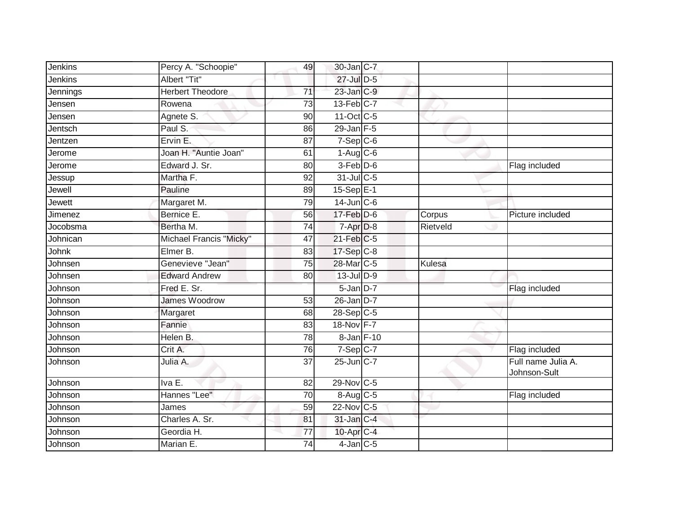| Jenkins  | Percy A. "Schoopie"     | 49              | 30-Jan C-7        |          |                                    |
|----------|-------------------------|-----------------|-------------------|----------|------------------------------------|
| Jenkins  | Albert "Tit"            |                 | $27$ -Jul $D-5$   |          |                                    |
| Jennings | <b>Herbert Theodore</b> | $\overline{71}$ | $23$ -Jan $C-9$   |          |                                    |
| Jensen   | Rowena                  | 73              | $13$ -Feb $C-7$   |          |                                    |
| Jensen   | Agnete S.               | 90              | 11-Oct C-5        |          |                                    |
| Jentsch  | Paul S.                 | 86              | $29$ -Jan F-5     |          |                                    |
| Jentzen  | Ervin E.                | 87              | $7-Sep$ $C-6$     |          |                                    |
| Jerome   | Joan H. "Auntie Joan"   | 61              | $1-Aug$ $C-6$     |          |                                    |
| Jerome   | Edward J. Sr.           | 80              | $3-Feb$ $D-6$     |          | Flag included                      |
| Jessup   | Martha F.               | 92              | 31-Jul C-5        |          |                                    |
| Jewell   | Pauline                 | 89              | $15-Sep$ E-1      |          |                                    |
| Jewett   | Margaret M.             | 79              | $14$ -Jun $C-6$   |          |                                    |
| Jimenez  | Bernice E.              | 56              | $17$ -Feb $D-6$   | Corpus   | Picture included                   |
| Jocobsma | Bertha M.               | 74              | 7-Apr D-8         | Rietveld |                                    |
| Johnican | Michael Francis "Micky" | 47              | $21$ -Feb $ C-5 $ |          |                                    |
| Johnk    | Elmer B.                | 83              | 17-Sep C-8        |          |                                    |
| Johnsen  | Genevieve "Jean"        | $\overline{75}$ | 28-Mar C-5        | Kulesa   |                                    |
| Johnsen  | <b>Edward Andrew</b>    | 80              | $13$ -Jul $D-9$   |          |                                    |
| Johnson  | Fred E. Sr.             |                 | $5$ -Jan $D-7$    |          | Flag included                      |
| Johnson  | James Woodrow           | 53              | $26$ -Jan $D-7$   |          |                                    |
| Johnson  | Margaret                | 68              | $28-Sep$ C-5      |          |                                    |
| Johnson  | Fannie                  | 83              | 18-Nov F-7        |          |                                    |
| Johnson  | Helen B.                | 78              | 8-Jan F-10        |          |                                    |
| Johnson  | Crit A.                 | 76              | $7-Sep C-7$       |          | Flag included                      |
| Johnson  | Julia A.                | $\overline{37}$ | 25-Jun C-7        |          | Full name Julia A.<br>Johnson-Sult |
| Johnson  | Iva E.                  | 82              | 29-Nov C-5        |          |                                    |
| Johnson  | Hannes "Lee"            | 70              | 8-Aug C-5         |          | Flag included                      |
| Johnson  | James                   | 59              | 22-Nov C-5        |          |                                    |
| Johnson  | Charles A. Sr.          | 81              | 31-Jan C-4        |          |                                    |
| Johnson  | Geordia H.              | 77              | 10-Apr C-4        |          |                                    |
| Johnson  | Marian E.               | 74              | 4-Jan C-5         |          |                                    |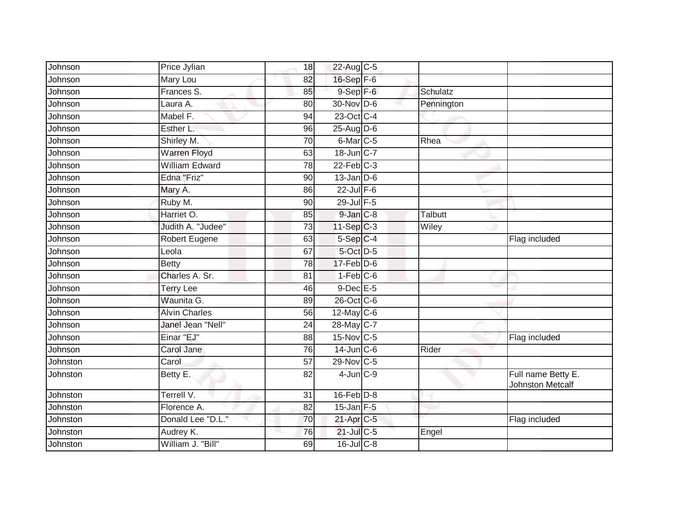| Johnson  | Price Jylian          | 18              | 22-Aug C-5                          |            |                                               |
|----------|-----------------------|-----------------|-------------------------------------|------------|-----------------------------------------------|
| Johnson  | Mary Lou              | 82              | 16-Sep F-6                          |            |                                               |
| Johnson  | Frances S.            | 85              | $9-$ Sep $F-6$                      | Schulatz   |                                               |
| Johnson  | Laura A.              | 80              | 30-Nov D-6                          | Pennington |                                               |
| Johnson  | Mabel F.              | $\overline{94}$ | 23-Oct C-4                          |            |                                               |
| Johnson  | Esther L.             | 96              | 25-Aug D-6                          |            |                                               |
| Johnson  | Shirley M.            | 70              | 6-Mar C-5                           | Rhea       |                                               |
| Johnson  | <b>Warren Floyd</b>   | 63              | 18-Jun C-7                          |            |                                               |
| Johnson  | <b>William Edward</b> | 78              | $22$ -Feb $C-3$                     |            |                                               |
| Johnson  | Edna "Friz"           | 90              | $13$ -Jan $D-6$                     |            |                                               |
| Johnson  | Mary A.               | 86              | $22$ -Jul F-6                       |            |                                               |
| Johnson  | Ruby M.               | 90              | 29-Jul F-5                          |            |                                               |
| Johnson  | Harriet O.            | 85              | $9$ -Jan $C-8$                      | Talbutt    |                                               |
| Johnson  | Judith A. "Judee"     | 73              | 11-Sep C-3                          | Wiley      |                                               |
| Johnson  | Robert Eugene         | 63              | $5-Sep$ <sub><math>C-4</math></sub> |            | Flag included                                 |
| Johnson  | Leola                 | 67              | 5-Oct D-5                           |            |                                               |
| Johnson  | <b>Betty</b>          | 78              | $17 - Feb$ $D-6$                    |            |                                               |
| Johnson  | Charles A. Sr.        | 81              | $1-Feb$ $C-6$                       |            |                                               |
| Johnson  | <b>Terry Lee</b>      | 46              | 9-Dec E-5                           |            |                                               |
| Johnson  | Waunita G.            | 89              | 26-Oct C-6                          |            |                                               |
| Johnson  | <b>Alvin Charles</b>  | 56              | 12-May $C-6$                        |            |                                               |
| Johnson  | Janel Jean "Nell"     | $\overline{24}$ | 28-May C-7                          |            |                                               |
| Johnson  | Einar "EJ"            | 88              | $15$ -Nov C-5                       |            | Flag included                                 |
| Johnson  | Carol Jane            | 76              | $14$ -Jun $C - 6$                   | Rider      |                                               |
| Johnston | Carol                 | $\overline{57}$ | 29-Nov C-5                          |            |                                               |
| Johnston | Betty E.              | 82              | $4$ -Jun $C-9$                      |            | Full name Betty E.<br><b>Johnston Metcalf</b> |
| Johnston | Terrell V.            | $\overline{31}$ | $16$ -Feb $D-8$                     |            |                                               |
| Johnston | Florence A.           | 82              | $15$ -Jan $F-5$                     |            |                                               |
| Johnston | Donald Lee "D.L."     | 70              | 21-Apr C-5                          |            | Flag included                                 |
| Johnston | Audrey K.             | 76              | $21$ -Jul C-5                       | Engel      |                                               |
| Johnston | William J. "Bill"     | 69              | $16$ -Jul $C-8$                     |            |                                               |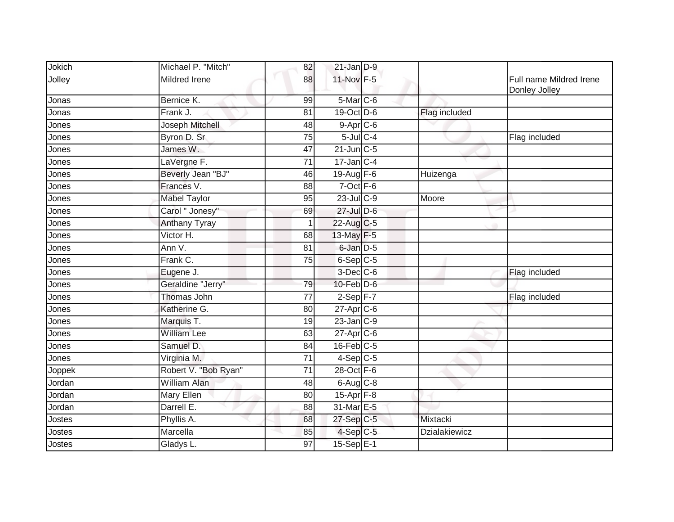| Jokich | Michael P. "Mitch"   | 82              | $21$ -Jan $D-9$       |                      |                                          |
|--------|----------------------|-----------------|-----------------------|----------------------|------------------------------------------|
| Jolley | <b>Mildred Irene</b> | 88              | 11-Nov F-5            |                      | Full name Mildred Irene<br>Donley Jolley |
| Jonas  | Bernice K.           | 99              | 5-Mar C-6             |                      |                                          |
| Jonas  | Frank J.             | 81              | $19-Oct$ D-6          | <b>Flag included</b> |                                          |
| Jones  | Joseph Mitchell      | 48              | $9-Apr$ C-6           |                      |                                          |
| Jones  | Byron D. Sr.         | 75              | $5$ -Jul $C$ -4       |                      | Flag included                            |
| Jones  | James W.             | 47              | $21$ -Jun $C-5$       |                      |                                          |
| Jones  | LaVergne F.          | 71              | $17$ -Jan $C-4$       |                      |                                          |
| Jones  | Beverly Jean "BJ"    | 46              | 19-Aug F-6            | Huizenga             |                                          |
| Jones  | Frances V.           | 88              | $7$ -Oct $F-6$        |                      |                                          |
| Jones  | <b>Mabel Taylor</b>  | 95              | $23$ -Jul C-9         | Moore                |                                          |
| Jones  | Carol " Jonesy"      | 69              | 27-Jul D-6            |                      |                                          |
| Jones  | <b>Anthany Tyray</b> |                 | 22-Aug C-5            |                      |                                          |
| Jones  | Victor H.            | 68              | 13-May F-5            |                      |                                          |
| Jones  | Ann V.               | $\overline{81}$ | 6-Jan D-5             |                      |                                          |
| Jones  | Frank C.             | 75              | $6-Sep$ C-5           |                      |                                          |
| Jones  | Eugene J.            |                 | $3$ -Dec $C$ -6       |                      | Flag included                            |
| Jones  | Geraldine "Jerry"    | 79              | $10$ -Feb $D-6$       |                      |                                          |
| Jones  | Thomas John          | $\overline{77}$ | $2-Sep$ F-7           |                      | Flag included                            |
| Jones  | Katherine G.         | 80              | $27$ -Apr $C$ -6      |                      |                                          |
| Jones  | Marquis T.           | 19              | $23$ -Jan $C-9$       |                      |                                          |
| Jones  | <b>William Lee</b>   | 63              | $27$ -Apr $C$ -6      |                      |                                          |
| Jones  | Samuel D.            | 84              | $16$ -Feb $C-5$       |                      |                                          |
| Jones  | Virginia M.          | 71              | $4-Sep$ C-5           |                      |                                          |
| Joppek | Robert V. "Bob Ryan" | $\overline{71}$ | 28-Oct F-6            |                      |                                          |
| Jordan | <b>William Alan</b>  | 48              | $6-Aug$ $C-8$         |                      |                                          |
| Jordan | <b>Mary Ellen</b>    | 80              | 15-Apr <sub>F-8</sub> |                      |                                          |
| Jordan | Darrell E.           | 88              | 31-Mar E-5            |                      |                                          |
| Jostes | Phyllis A.           | 68              | 27-Sep C-5            | Mixtacki             |                                          |
| Jostes | Marcella             | 85              | $4-Sep$ C-5           | <b>Dzialakiewicz</b> |                                          |
| Jostes | Gladys L.            | 97              | $15-Sep$ E-1          |                      |                                          |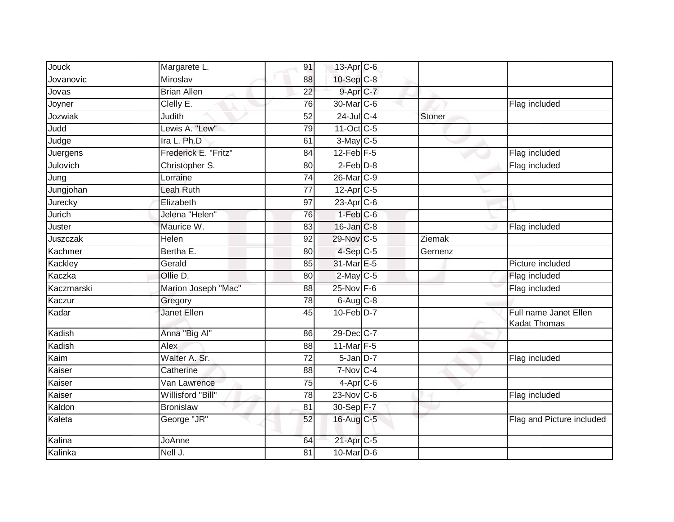| Jouck      | Margarete L.         | 91              | 13-Apr C-6             |               |                                              |
|------------|----------------------|-----------------|------------------------|---------------|----------------------------------------------|
| Jovanovic  | Miroslav             | 88              | 10-Sep C-8             |               |                                              |
| Jovas      | <b>Brian Allen</b>   | $\overline{22}$ | 9-Apr C-7              |               |                                              |
| Joyner     | Clelly E.            | 76              | 30-Mar <sub>C-6</sub>  |               | Flag included                                |
| Jozwiak    | Judith               | 52              | $24$ -Jul C-4          | <b>Stoner</b> |                                              |
| Judd       | Lewis A. "Lew"       | $\overline{79}$ | 11-Oct C-5             |               |                                              |
| Judge      | Ira L. Ph.D          | 61              | $3-May$ $C-5$          |               |                                              |
| Juergens   | Frederick E. "Fritz" | 84              | $12$ -Feb $F-5$        |               | Flag included                                |
| Julovich   | Christopher S.       | 80              | $2-Feb$ $D-8$          |               | Flag included                                |
| Jung       | Lorraine             | 74              | 26-Mar C-9             |               |                                              |
| Jungjohan  | Leah Ruth            | 77              | 12-Apr <sub>C-5</sub>  |               |                                              |
| Jurecky    | Elizabeth            | 97              | $23$ -Apr $C$ -6       |               |                                              |
| Jurich     | Jelena "Helen"       | 76              | $1-Feb$ $C-6$          |               |                                              |
| Juster     | Maurice W.           | 83              | 16-Jan C-8             |               | Flag included                                |
| Juszczak   | Helen                | 92              | 29-Nov C-5             | Ziemak        |                                              |
| Kachmer    | Bertha E.            | 80              | $4-Sep$ $C-5$          | Gernenz       |                                              |
| Kackley    | Gerald               | 85              | 31-Mar E-5             |               | Picture included                             |
| Kaczka     | Ollie D.             | 80              | $2$ -May C-5           |               | Flag included                                |
| Kaczmarski | Marion Joseph "Mac"  | 88              | 25-Nov F-6             |               | Flag included                                |
| Kaczur     | Gregory              | $\overline{78}$ | $6$ -Aug $C$ -8        |               |                                              |
| Kadar      | <b>Janet Ellen</b>   | 45              | $10$ -Feb $D-7$        |               | Full name Janet Ellen<br><b>Kadat Thomas</b> |
| Kadish     | Anna "Big Al"        | 86              | 29-Dec C-7             |               |                                              |
| Kadish     | Alex                 | 88              | 11-Mar F-5             |               |                                              |
| Kaim       | Walter A. Sr.        | 72              | $5$ -Jan $D-7$         |               | Flag included                                |
| Kaiser     | Catherine            | 88              | 7-Nov C-4              |               |                                              |
| Kaiser     | Van Lawrence         | 75              | $4$ -Apr $C$ -6        |               |                                              |
| Kaiser     | Willisford "Bill"    | $\overline{78}$ | $23$ -Nov C-6          |               | Flag included                                |
| Kaldon     | <b>Bronislaw</b>     | 81              | 30-Sep F-7             |               |                                              |
| Kaleta     | George "JR"          | 52              | 16-Aug C-5             |               | Flag and Picture included                    |
| Kalina     | JoAnne               | 64              | 21-Apr <sub>IC-5</sub> |               |                                              |
| Kalinka    | Nell J.              | 81              | $10$ -Mar $D-6$        |               |                                              |
|            |                      |                 |                        |               |                                              |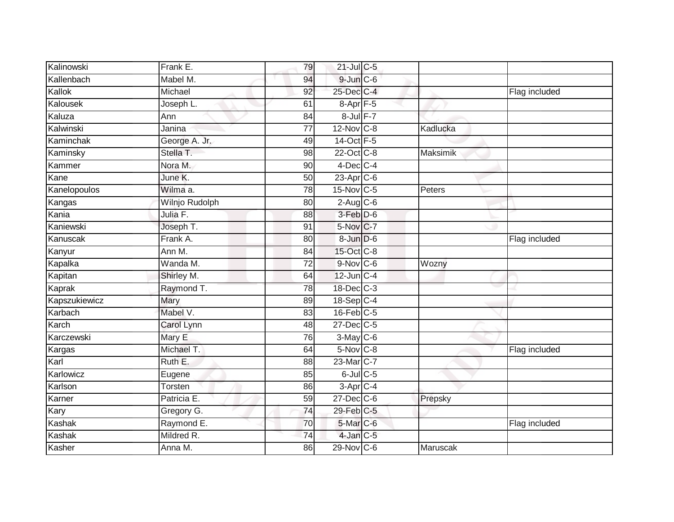| Kalinowski    | Frank E.       | 79              | 21-Jul C-5            |                 |               |
|---------------|----------------|-----------------|-----------------------|-----------------|---------------|
| Kallenbach    | Mabel M.       | 94              | $9$ -Jun $C$ -6       |                 |               |
| Kallok        | Michael        | 92              | 25-Dec C-4            |                 | Flag included |
| Kalousek      | Joseph L.      | 61              | $8-Apr$ F-5           |                 |               |
| Kaluza        | Ann            | 84              | 8-Jul F-7             |                 |               |
| Kalwinski     | Janina         | 77              | 12-Nov C-8            | Kadlucka        |               |
| Kaminchak     | George A. Jr.  | 49              | 14-Oct F-5            |                 |               |
| Kaminsky      | Stella T.      | 98              | 22-Oct C-8            | Maksimik        |               |
| Kammer        | Nora M.        | 90              | $4$ -Dec C-4          |                 |               |
| Kane          | June K.        | 50              | 23-Apr C-6            |                 |               |
| Kanelopoulos  | Wilma a.       | 78              | 15-Nov C-5            | Peters          |               |
| Kangas        | Wilnjo Rudolph | 80              | $2$ -Aug $C$ -6       |                 |               |
| Kania         | Julia F.       | 88              | 3-Feb D-6             |                 |               |
| Kaniewski     | Joseph T.      | 91              | 5-Nov C-7             |                 |               |
| Kanuscak      | Frank A.       | 80              | 8-Jun D-6             |                 | Flag included |
| Kanyur        | Ann M.         | 84              | 15-Oct C-8            |                 |               |
| Kapalka       | Wanda M.       | $\overline{72}$ | $9-Nov$ C-6           | Wozny           |               |
| Kapitan       | Shirley M.     | 64              | $12$ -Jun $C-4$       |                 |               |
| Kaprak        | Raymond T.     | 78              | 18-Dec C-3            |                 |               |
| Kapszukiewicz | <b>Mary</b>    | 89              | 18-Sep C-4            |                 |               |
| Karbach       | Mabel V.       | 83              | $16$ -Feb $C-5$       |                 |               |
| Karch         | Carol Lynn     | 48              | 27-Dec C-5            |                 |               |
| Karczewski    | Mary E         | 76              | $3$ -May C-6          |                 |               |
| Kargas        | Michael T.     | 64              | $5-Nov$ $C-8$         |                 | Flag included |
| Karl          | Ruth E.        | 88              | 23-Mar <sub>C-7</sub> |                 |               |
| Karlowicz     | Eugene         | 85              | $6$ -Jul $C$ -5       |                 |               |
| Karlson       | Torsten        | 86              | $3$ -Apr $C-4$        |                 |               |
| Karner        | Patricia E.    | 59              | $27$ -Dec $ C$ -6     | Prepsky         |               |
| Kary          | Gregory G.     | 74              | 29-Feb C-5            |                 |               |
| Kashak        | Raymond E.     | 70              | 5-Mar C-6             |                 | Flag included |
| Kashak        | Mildred R.     | $\overline{74}$ | $4$ -Jan $C$ -5       |                 |               |
| Kasher        | Anna M.        | 86              | 29-Nov C-6            | <b>Maruscak</b> |               |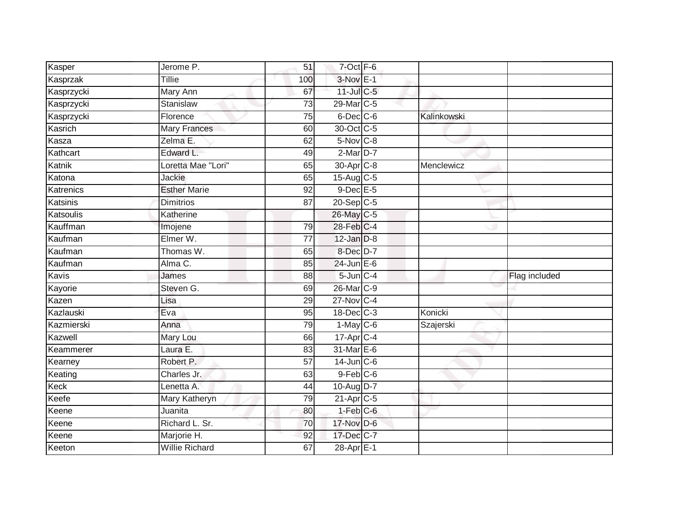| Kasper       | Jerome P.             | 51              | 7-Oct F-6               |             |               |
|--------------|-----------------------|-----------------|-------------------------|-------------|---------------|
| Kasprzak     | Tillie                | 100             | $3-Nov$ E-1             |             |               |
| Kasprzycki   | <b>Mary Ann</b>       | 67              | 11-Jul C-5              |             |               |
| Kasprzycki   | Stanislaw             | $\overline{73}$ | 29-Mar C-5              |             |               |
| Kasprzycki   | Florence              | 75              | $6$ -Dec $C$ -6         | Kalinkowski |               |
| Kasrich      | <b>Mary Frances</b>   | 60              | 30-Oct C-5              |             |               |
| Kasza        | Zelma E.              | 62              | 5-Nov C-8               |             |               |
| Kathcart     | Edward L.             | 49              | 2-Mar D-7               |             |               |
| Katnik       | Loretta Mae "Lori"    | 65              | 30-Apr <sub>C-8</sub>   | Menclewicz  |               |
| Katona       | Jackie                | 65              | 15-Aug C-5              |             |               |
| Katrenics    | <b>Esther Marie</b>   | $\overline{92}$ | $9$ -Dec $E - 5$        |             |               |
| Katsinis     | <b>Dimitrios</b>      | 87              | $20-Sep$ C-5            |             |               |
| Katsoulis    | Katherine             |                 | 26-May C-5              |             |               |
| Kauffman     | Imojene               | 79              | 28-Feb C-4              |             |               |
| Kaufman      | Elmer W.              | $\overline{77}$ | $12$ -Jan $D-8$         |             |               |
| Kaufman      | Thomas W.             | 65              | 8-Dec D-7               |             |               |
| Kaufman      | Alma C.               | 85              | $24$ -Jun $E-6$         |             |               |
| <b>Kavis</b> | James                 | 88              | $5$ -Jun $C-4$          |             | Flag included |
| Kayorie      | Steven G.             | 69              | 26-Mar C-9              |             |               |
| Kazen        | Lisa                  | 29              | 27-Nov C-4              |             |               |
| Kazlauski    | Eva                   | 95              | 18-Dec C-3              | Konicki     |               |
| Kazmierski   | Anna                  | 79              | $1-May$ C-6             | Szajerski   |               |
| Kazwell      | Mary Lou              | 66              | 17-Apr C-4              |             |               |
| Keammerer    | Laura E.              | 83              | 31-Mar E-6              |             |               |
| Kearney      | Robert P.             | 57              | $14$ -Jun $C-6$         |             |               |
| Keating      | Charles Jr.           | 63              | $9$ -Feb $C$ -6         |             |               |
| Keck         | Lenetta A.            | 44              | 10-Aug D-7              |             |               |
| Keefe        | Mary Katheryn         | 79              | $21-Apr$ <sub>C-5</sub> |             |               |
| Keene        | Juanita               | 80              | $1-Feb$ $C-6$           |             |               |
| Keene        | Richard L. Sr.        | 70              | 17-Nov D-6              |             |               |
| Keene        | Marjorie H.           | 92              | $17$ -Dec $C$ -7        |             |               |
| Keeton       | <b>Willie Richard</b> | 67              | 28-Apr E-1              |             |               |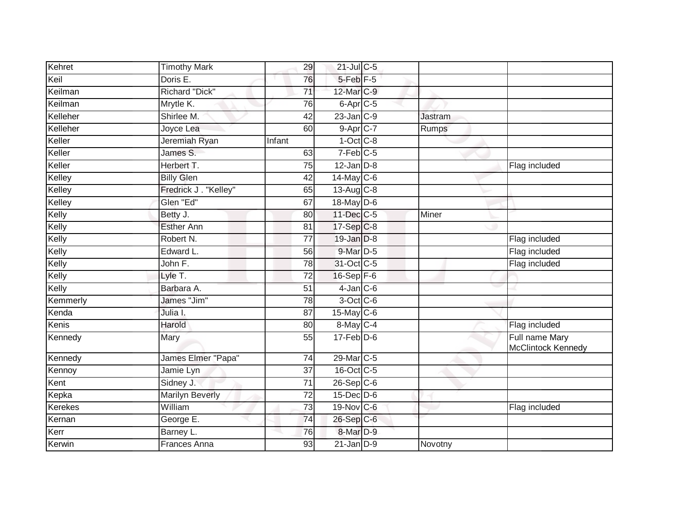| Kehret         | <b>Timothy Mark</b>    | 29              | $21$ -Jul C-5          |                |                                      |
|----------------|------------------------|-----------------|------------------------|----------------|--------------------------------------|
| Keil           | Doris E.               | 76              | 5-Feb <sup>F-5</sup>   |                |                                      |
| Keilman        | <b>Richard "Dick"</b>  | 71              | 12-Mar C-9             |                |                                      |
| Keilman        | Mrytle K.              | 76              | $6$ -Apr $C$ -5        |                |                                      |
| Kelleher       | Shirlee M.             | $\overline{42}$ | $23$ -Jan $C-9$        | <b>Jastram</b> |                                      |
| Kelleher       | Joyce Lea              | 60              | $9-$ Apr $C-7$         | Rumps          |                                      |
| Keller         | Jeremiah Ryan          | Infant          | $1-Oct$ <sub>C-8</sub> |                |                                      |
| Keller         | James S.               | 63              | $7-Feb$ <sub>C-5</sub> |                |                                      |
| Keller         | Herbert T.             | 75              | $12$ -Jan $D-8$        |                | Flag included                        |
| Kelley         | <b>Billy Glen</b>      | 42              | 14-May C-6             |                |                                      |
| Kelley         | Fredrick J. "Kelley"   | 65              | 13-Aug C-8             |                |                                      |
| Kelley         | Glen "Ed"              | 67              | 18-May $D-6$           |                |                                      |
| Kelly          | Betty J.               | 80              | 11-Dec C-5             | Miner          |                                      |
| Kelly          | <b>Esther Ann</b>      | 81              | 17-Sep C-8             |                |                                      |
| Kelly          | Robert N.              | $\overline{77}$ | $19$ -Jan $D-8$        |                | Flag included                        |
| Kelly          | Edward L.              | 56              | $9$ -Mar $D-5$         |                | Flag included                        |
| Kelly          | John F.                | 78              | 31-Oct C-5             |                | Flag included                        |
| Kelly          | Lyle T.                | 72              | $16-Sep$ F-6           |                |                                      |
| Kelly          | Barbara A.             | 51              | $4$ -Jan $C$ -6        |                |                                      |
| Kemmerly       | James "Jim"            | 78              | 3-Oct C-6              |                |                                      |
| Kenda          | Julia I.               | 87              | $15$ -May C-6          |                |                                      |
| Kenis          | Harold                 | 80              | 8-May C-4              |                | Flag included                        |
| Kennedy        | Mary                   | 55              | $17$ -Feb $D-6$        |                | Full name Mary<br>McClintock Kennedy |
| Kennedy        | James Elmer "Papa"     | 74              | 29-Mar C-5             |                |                                      |
| Kennoy         | Jamie Lyn              | $\overline{37}$ | 16-Oct C-5             |                |                                      |
| Kent           | Sidney J.              | 71              | $26-Sep$ C-6           |                |                                      |
| Kepka          | <b>Marilyn Beverly</b> | $\overline{72}$ | $15$ -Dec $D-6$        |                |                                      |
| <b>Kerekes</b> | William                | $\overline{73}$ | 19-Nov C-6             |                | Flag included                        |
| Kernan         | George E.              | 74              | 26-Sep C-6             |                |                                      |
| Kerr           | Barney L.              | 76              | 8-Mar <sub>D-9</sub>   |                |                                      |
| Kerwin         | <b>Frances Anna</b>    | 93              | $21$ -Jan $D-9$        | Novotny        |                                      |
|                |                        |                 |                        |                |                                      |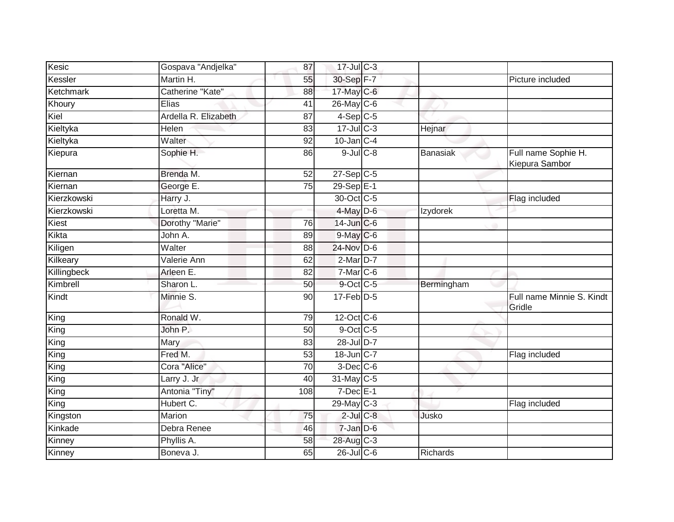| Kesic       | Gospava "Andjelka"   | 87              | 17-Jul C-3      |            |                                       |
|-------------|----------------------|-----------------|-----------------|------------|---------------------------------------|
| Kessler     | Martin H.            | 55              | 30-Sep F-7      |            | Picture included                      |
| Ketchmark   | Catherine "Kate"     | 88              | 17-May C-6      |            |                                       |
| Khoury      | Elias                | 41              | $26$ -May C-6   |            |                                       |
| Kiel        | Ardella R. Elizabeth | 87              | $4-Sep$ C-5     |            |                                       |
| Kieltyka    | Helen                | 83              | $17 -$ Jul C-3  | Hejnar     |                                       |
| Kieltyka    | Walter               | 92              | $10$ -Jan $C-4$ |            |                                       |
| Kiepura     | Sophie H.            | 86              | $9$ -Jul $C$ -8 | Banasiak   | Full name Sophie H.<br>Kiepura Sambor |
| Kiernan     | Brenda M.            | 52              | $27-Sep$ $C-5$  |            |                                       |
| Kiernan     | George E.            | 75              | $29-SepE-1$     |            |                                       |
| Kierzkowski | Harry J.             |                 | 30-Oct C-5      |            | Flag included                         |
| Kierzkowski | Loretta M.           |                 | $4$ -May $D$ -6 | Izydorek   |                                       |
| Kiest       | Dorothy "Marie"      | $\overline{76}$ | 14-Jun C-6      |            |                                       |
| Kikta       | John A.              | 89              | $9$ -May C-6    |            |                                       |
| Kiligen     | Walter               | 88              | 24-Nov D-6      |            |                                       |
| Kilkeary    | Valerie Ann          | 62              | $2$ -Mar $D-7$  |            |                                       |
| Killingbeck | Arleen E.            | 82              | 7-Mar C-6       |            |                                       |
| Kimbrell    | Sharon L.            | 50              | 9-Oct C-5       | Bermingham |                                       |
| Kindt       | Minnie S.            | 90              | $17$ -Feb $D-5$ |            | Full name Minnie S. Kindt<br>Gridle   |
| King        | Ronald W.            | 79              | 12-Oct C-6      |            |                                       |
| King        | John P.              | 50              | $9$ -Oct C-5    |            |                                       |
| King        | Mary                 | 83              | 28-Jul D-7      |            |                                       |
| King        | Fred M.              | 53              | 18-Jun C-7      |            | Flag included                         |
| King        | Cora "Alice"         | 70              | $3$ -Dec $C$ -6 |            |                                       |
| King        | Larry J. Jr          | 40              | 31-May C-5      |            |                                       |
| King        | Antonia "Tiny"       | 108             | $7$ -Dec $E-1$  |            |                                       |
| King        | Hubert C.            |                 | 29-May C-3      |            | Flag included                         |
| Kingston    | Marion               | 75              | $2$ -Jul $C$ -8 | Jusko      |                                       |
| Kinkade     | Debra Renee          | 46              | $7$ -Jan $D-6$  |            |                                       |
| Kinney      | Phyllis A.           | 58              | 28-Aug C-3      |            |                                       |
| Kinney      | Boneva J.            | 65              | $26$ -JulC-6    | Richards   |                                       |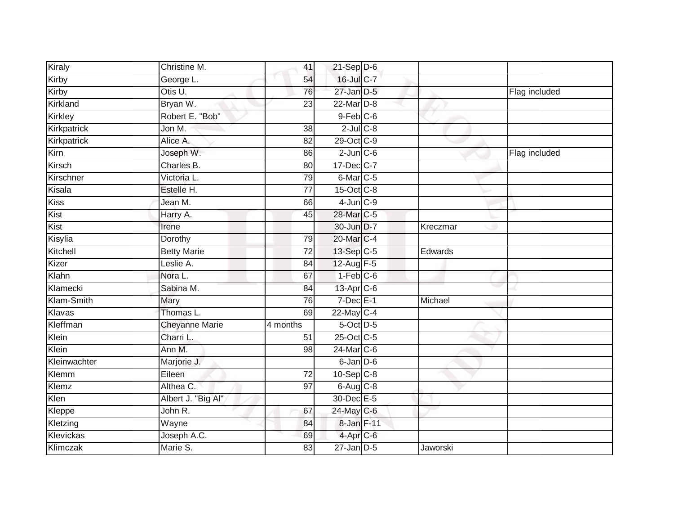| Kiraly         | Christine M.          | 41       | $21-Sep$ D-6         |          |               |
|----------------|-----------------------|----------|----------------------|----------|---------------|
| Kirby          | George L.             | 54       | 16-Jul C-7           |          |               |
| Kirby          | Otis U.               | 76       | $27$ -Jan $D-5$      |          | Flag included |
| Kirkland       | Bryan W.              | 23       | 22-Mar D-8           |          |               |
| <b>Kirkley</b> | Robert E. "Bob"       |          | $9$ -Feb $C$ -6      |          |               |
| Kirkpatrick    | Jon M.                | 38       | $2$ -Jul $C$ -8      |          |               |
| Kirkpatrick    | Alice A.              | 82       | 29-Oct C-9           |          |               |
| Kirn           | Joseph W.             | 86       | $2$ -Jun $C$ -6      |          | Flag included |
| Kirsch         | Charles B.            | 80       | 17-Dec C-7           |          |               |
| Kirschner      | Victoria L.           | 79       | 6-Mar <sub>C-5</sub> |          |               |
| Kisala         | Estelle H.            | 77       | 15-Oct C-8           |          |               |
| <b>Kiss</b>    | Jean M.               | 66       | $4$ -Jun $C-9$       |          |               |
| Kist           | Harry A.              | 45       | 28-Mar C-5           |          |               |
| Kist           | Irene                 |          | 30-Jun D-7           | Kreczmar |               |
| Kisylia        | Dorothy               | 79       | 20-Mar C-4           |          |               |
| Kitchell       | <b>Betty Marie</b>    | 72       | 13-Sep C-5           | Edwards  |               |
| Kizer          | Leslie A.             | 84       | 12-Aug F-5           |          |               |
| Klahn          | Nora L.               | 67       | $1-Feb$ $C-6$        |          |               |
| Klamecki       | Sabina M.             | 84       | 13-Apr C-6           |          |               |
| Klam-Smith     | Mary                  | 76       | $7$ -Dec $E-1$       | Michael  |               |
| Klavas         | Thomas L.             | 69       | $22$ -May C-4        |          |               |
| Kleffman       | <b>Cheyanne Marie</b> | 4 months | $5$ -Oct $D-5$       |          |               |
| Klein          | Charri L.             | 51       | 25-Oct C-5           |          |               |
| Klein          | Ann M.                | 98       | 24-Mar C-6           |          |               |
| Kleinwachter   | Marjorie J.           |          | 6-Jan D-6            |          |               |
| Klemm          | Eileen                | 72       | $10-Sep$ $C-8$       |          |               |
| Klemz          | Althea C.             | 97       | $6$ -Aug $C$ -8      |          |               |
| Klen           | Albert J. "Big Al"    |          | 30-Dec E-5           |          |               |
| Kleppe         | John R.               | 67       | 24-May C-6           |          |               |
| Kletzing       | Wayne                 | 84       | 8-Jan F-11           |          |               |
| Klevickas      | Joseph A.C.           | 69       | 4-Apr C-6            |          |               |
| Klimczak       | Marie S.              | 83       | $27 - Jan$ $D-5$     | Jaworski |               |
|                |                       |          |                      |          |               |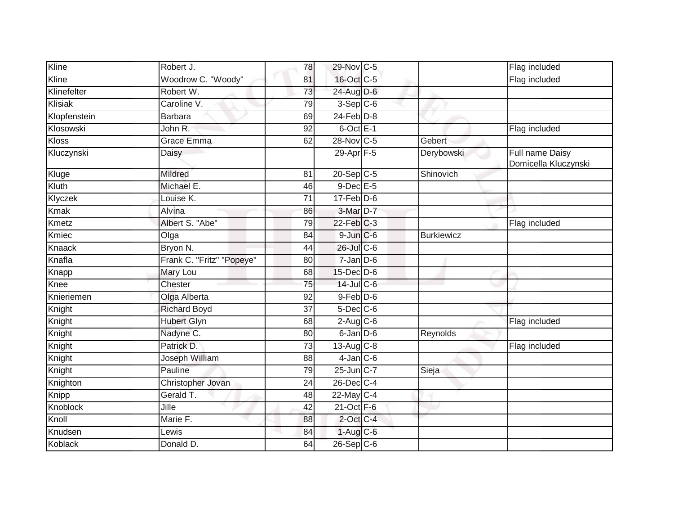| Kline        | Robert J.                 | 78 | 29-Nov C-5       |                   | Flag included                           |
|--------------|---------------------------|----|------------------|-------------------|-----------------------------------------|
| Kline        | Woodrow C. "Woody"        | 81 | 16-Oct C-5       |                   | Flag included                           |
| Klinefelter  | Robert W.                 | 73 | 24-Aug D-6       |                   |                                         |
| Klisiak      | Caroline V.               | 79 | $3-Sep$ $C-6$    |                   |                                         |
| Klopfenstein | <b>Barbara</b>            | 69 | $24$ -Feb $D-8$  |                   |                                         |
| Klosowski    | John R.                   | 92 | $6$ -Oct $E-1$   |                   | Flag included                           |
| <b>Kloss</b> | <b>Grace Emma</b>         | 62 | 28-Nov C-5       | Gebert            |                                         |
| Kluczynski   | Daisy                     |    | 29-Apr F-5       | Derybowski        | Full name Daisy<br>Domicella Kluczynski |
| Kluge        | Mildred                   | 81 | $20 - Sep$ C-5   | Shinovich         |                                         |
| Kluth        | Michael E.                | 46 | $9$ -Dec $E$ -5  |                   |                                         |
| Klyczek      | Louise K.                 | 71 | $17$ -Feb $D-6$  |                   |                                         |
| <b>Kmak</b>  | Alvina                    | 86 | 3-Mar D-7        |                   |                                         |
| Kmetz        | Albert S. "Abe"           | 79 | $22$ -Feb $C-3$  |                   | Flag included                           |
| Kmiec        | Olga                      | 84 | $9$ -Jun $C$ -6  | <b>Burkiewicz</b> |                                         |
| Knaack       | Bryon N.                  | 44 | 26-Jul C-6       |                   |                                         |
| Knafla       | Frank C. "Fritz" "Popeye" | 80 | $7$ -Jan $D$ -6  |                   |                                         |
| Knapp        | Mary Lou                  | 68 | $15$ -Dec $D$ -6 |                   |                                         |
| Knee         | Chester                   | 75 | 14-Jul C-6       |                   |                                         |
| Knieriemen   | Olga Alberta              | 92 | $9$ -Feb $D$ -6  |                   |                                         |
| Knight       | <b>Richard Boyd</b>       | 37 | $5$ -Dec $C$ -6  |                   |                                         |
| Knight       | <b>Hubert Glyn</b>        | 68 | $2-Aug$ C-6      |                   | Flag included                           |
| Knight       | Nadyne C.                 | 80 | 6-Jan D-6        | Reynolds          |                                         |
| Knight       | Patrick D.                | 73 | $13-Aug$ $C-8$   |                   | Flag included                           |
| Knight       | Joseph William            | 88 | $4$ -Jan $C$ -6  |                   |                                         |
| Knight       | Pauline                   | 79 | 25-Jun C-7       | Sieja             |                                         |
| Knighton     | Christopher Jovan         | 24 | 26-Dec C-4       |                   |                                         |
| Knipp        | Gerald T.                 | 48 | 22-May C-4       |                   |                                         |
| Knoblock     | Jille                     | 42 | $21$ -Oct $F-6$  |                   |                                         |
| Knoll        | Marie F.                  | 88 | $2$ -Oct C-4     |                   |                                         |
| Knudsen      | Lewis                     | 84 | $1-Aug$ $C-6$    |                   |                                         |
| Koblack      | Donald D.                 | 64 | $26-Sep$ C-6     |                   |                                         |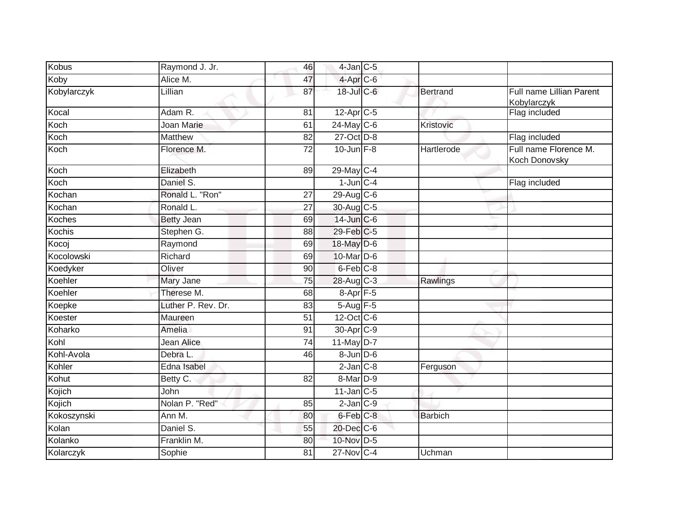| <b>Kobus</b> | Raymond J. Jr.     | 46              | $4$ -Jan $C$ -5       |                |                                                |
|--------------|--------------------|-----------------|-----------------------|----------------|------------------------------------------------|
| Koby         | Alice M.           | 47              | 4-Apr <sub>C-6</sub>  |                |                                                |
| Kobylarczyk  | Lillian            | 87              | $18$ -Jul C-6         | Bertrand       | Full name Lillian Parent<br><b>Kobylarczyk</b> |
| Kocal        | Adam R.            | 81              | 12-Apr C-5            |                | Flag included                                  |
| Koch         | Joan Marie         | 61              | $24$ -May C-6         | Kristovic      |                                                |
| Koch         | Matthew            | 82              | 27-Oct D-8            |                | Flag included                                  |
| Koch         | Florence M.        | 72              | $10$ -Jun $F-8$       | Hartlerode     | Full name Florence M.<br>Koch Donovsky         |
| Koch         | Elizabeth          | 89              | 29-May C-4            |                |                                                |
| Koch         | Daniel S.          |                 | $1$ -Jun $C - 4$      |                | Flag included                                  |
| Kochan       | Ronald L. "Ron"    | 27              | $29$ -Aug C-6         |                |                                                |
| Kochan       | Ronald L.          | 27              | 30-Aug C-5            |                |                                                |
| Koches       | <b>Betty Jean</b>  | 69              | 14-Jun C-6            |                |                                                |
| Kochis       | Stephen G.         | 88              | 29-Feb C-5            |                |                                                |
| Kocoj        | Raymond            | 69              | $18$ -May $D-6$       |                |                                                |
| Kocolowski   | Richard            | 69              | 10-Mar D-6            |                |                                                |
| Koedyker     | Oliver             | 90              | $6$ -Feb $C-8$        |                |                                                |
| Koehler      | Mary Jane          | 75              | 28-Aug C-3            | Rawlings       |                                                |
| Koehler      | Therese M.         | 68              | 8-Apr <sub>F-5</sub>  |                |                                                |
| Koepke       | Luther P. Rev. Dr. | 83              | 5-Aug F-5             |                |                                                |
| Koester      | Maureen            | 51              | 12-Oct C-6            |                |                                                |
| Koharko      | <b>Amelia</b>      | 91              | 30-Apr <sub>C-9</sub> |                |                                                |
| Kohl         | Jean Alice         | $\overline{74}$ | 11-May D-7            |                |                                                |
| Kohl-Avola   | Debra L.           | 46              | $8$ -Jun $D$ -6       |                |                                                |
| Kohler       | Edna Isabel        |                 | $2$ -Jan $C-8$        | Ferguson       |                                                |
| Kohut        | Betty C.           | $\overline{82}$ | 8-Mar <sub>D-9</sub>  |                |                                                |
| Kojich       | John               |                 | $11$ -Jan $C-5$       |                |                                                |
| Kojich       | Nolan P. "Red"     | 85              | $2$ -Jan $C-9$        |                |                                                |
| Kokoszynski  | Ann M.             | 80              | 6-Feb C-8             | <b>Barbich</b> |                                                |
| Kolan        | Daniel S.          | 55              | 20-Dec C-6            |                |                                                |
| Kolanko      | Franklin M.        | 80              | 10-Nov D-5            |                |                                                |
| Kolarczyk    | Sophie             | 81              | 27-Nov C-4            | Uchman         |                                                |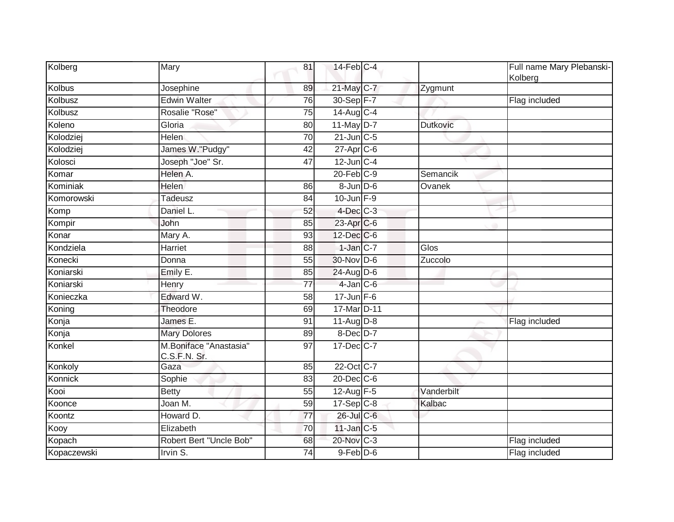| Kolberg     | Mary                                   | 81              | $14$ -Feb $ C-4 $       |                 | Full name Mary Plebanski-<br>Kolberg |
|-------------|----------------------------------------|-----------------|-------------------------|-----------------|--------------------------------------|
| Kolbus      | Josephine                              | 89              | 21-May C-7              | Zygmunt         |                                      |
| Kolbusz     | <b>Edwin Walter</b>                    | $\overline{76}$ | 30-Sep F-7              |                 | Flag included                        |
| Kolbusz     | Rosalie "Rose"                         | 75              | $14$ -Aug C-4           |                 |                                      |
| Koleno      | Gloria                                 | 80              | 11-May D-7              | <b>Dutkovic</b> |                                      |
| Kolodziej   | <b>Helen</b>                           | 70              | $21$ -Jun $C-5$         |                 |                                      |
| Kolodziej   | James W."Pudgy"                        | $\overline{42}$ | 27-Apr C-6              |                 |                                      |
| Kolosci     | Joseph "Joe" Sr.                       | 47              | $12$ -Jun $C-4$         |                 |                                      |
| Komar       | Helen A.                               |                 | $20$ -Feb $C-9$         | Semancik        |                                      |
| Kominiak    | <b>Helen</b>                           | 86              | 8-Jun D-6               | Ovanek          |                                      |
| Komorowski  | Tadeusz                                | 84              | $10$ -Jun $F-9$         |                 |                                      |
| Komp        | Daniel L.                              | 52              | $4$ -Dec $C$ -3         |                 |                                      |
| Kompir      | John                                   | 85              | 23-Apr C-6              |                 |                                      |
| Konar       | Mary A.                                | 93              | $12$ -Dec $ C$ -6       |                 |                                      |
| Kondziela   | Harriet                                | 88              | $1$ -Jan $C-7$          | Glos            |                                      |
| Konecki     | Donna                                  | 55              | 30-Nov D-6              | Zuccolo         |                                      |
| Koniarski   | Emily E.                               | 85              | 24-Aug D-6              |                 |                                      |
| Koniarski   | Henry                                  | $\overline{77}$ | $4$ -Jan $C$ -6         |                 |                                      |
| Konieczka   | Edward W.                              | 58              | $17 - Jun$ $F-6$        |                 |                                      |
| Koning      | Theodore                               | 69              | 17-Mar <sub>D</sub> -11 |                 |                                      |
| Konja       | James E.                               | 91              | $11-Aug$ D-8            |                 | Flag included                        |
| Konja       | <b>Mary Dolores</b>                    | 89              | $8$ -Dec $D-7$          |                 |                                      |
| Konkel      | M.Boniface "Anastasia"<br>C.S.F.N. Sr. | 97              | 17-Dec C-7              |                 |                                      |
| Konkoly     | Gaza                                   | 85              | 22-Oct C-7              |                 |                                      |
| Konnick     | Sophie                                 | $\overline{83}$ | $20$ -Dec $C$ -6        |                 |                                      |
| Kooi        | <b>Betty</b>                           | 55              | 12-Aug F-5              | Vanderbilt      |                                      |
| Koonce      | Joan M.                                | 59              | $17-Sep$ C-8            | Kalbac          |                                      |
| Koontz      | Howard D.                              | 77              | 26-Jul C-6              |                 |                                      |
| Kooy        | Elizabeth                              | 70              | $11$ -Jan $C-5$         |                 |                                      |
| Kopach      | Robert Bert "Uncle Bob"                | 68              | 20-Nov C-3              |                 | Flag included                        |
| Kopaczewski | Irvin S.                               | 74              | $9$ -Feb $D$ -6         |                 | Flag included                        |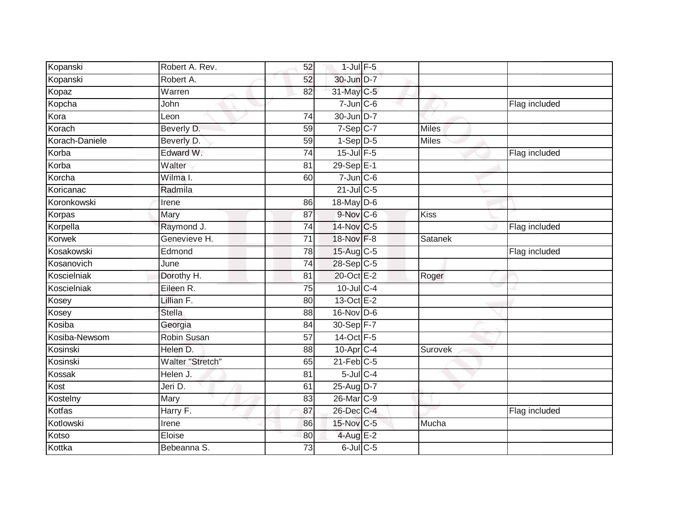| Kopanski       | Robert A. Rev.          | 52              | $1$ -Jul $F-5$        |              |               |
|----------------|-------------------------|-----------------|-----------------------|--------------|---------------|
| Kopanski       | Robert A.               | 52              | 30-Jun D-7            |              |               |
| Kopaz          | Warren                  | 82              | 31-May C-5            |              |               |
| Kopcha         | John                    |                 | $7$ -Jun $C$ -6       |              | Flag included |
| Kora           | Leon                    | $\overline{74}$ | 30-Jun D-7            |              |               |
| Korach         | Beverly D.              | 59              | $7-Sep$ $C-7$         | <b>Miles</b> |               |
| Korach-Daniele | Beverly D.              | $\overline{59}$ | $1-Sep\overline{D-5}$ | <b>Miles</b> |               |
| Korba          | Edward W.               | 74              | $15$ -Jul $F-5$       |              | Flag included |
| Korba          | Walter                  | 81              | $29-SepE-1$           |              |               |
| Korcha         | Wilma I.                | 60              | $7$ -Jun $C$ -6       |              |               |
| Koricanac      | Radmila                 |                 | $21$ -Jul C-5         |              |               |
| Koronkowski    | Irene                   | 86              | 18-May D-6            |              |               |
| Korpas         | Mary                    | 87              | $9-Nov$ $C-6$         | <b>Kiss</b>  |               |
| Korpella       | Raymond J.              | 74              | 14-Nov C-5            |              | Flag included |
| <b>Korwek</b>  | Genevieve H.            | $\overline{71}$ | 18-Nov F-8            | Satanek      |               |
| Kosakowski     | Edmond                  | 78              | 15-Aug C-5            |              | Flag included |
| Kosanovich     | June                    | 74              | 28-Sep C-5            |              |               |
| Koscielniak    | Dorothy H.              | 81              | 20-Oct E-2            | Roger        |               |
| Koscielniak    | Eileen R.               | 75              | $10$ -Jul $C-4$       |              |               |
| Kosey          | Lillian F.              | 80              | 13-Oct E-2            |              |               |
| Kosey          | <b>Stella</b>           | 88              | 16-Nov D-6            |              |               |
| Kosiba         | Georgia                 | 84              | 30-Sep F-7            |              |               |
| Kosiba-Newsom  | <b>Robin Susan</b>      | 57              | 14-Oct F-5            |              |               |
| Kosinski       | Helen D.                | 88              | 10-Apr C-4            | Surovek      |               |
| Kosinski       | <b>Walter "Stretch"</b> | 65              | $21$ -Feb $C-5$       |              |               |
| Kossak         | Helen J.                | 81              | $5$ -Jul $C$ -4       |              |               |
| Kost           | Jeri D.                 | 61              | 25-Aug D-7            |              |               |
| Kostelny       | Mary                    | 83              | 26-Mar C-9            |              |               |
| Kotfas         | Harry F.                | 87              | 26-Dec C-4            |              | Flag included |
| Kotlowski      | Irene                   | 86              | 15-Nov C-5            | Mucha        |               |
| Kotso          | Eloise                  | 80              | 4-Aug E-2             |              |               |
| Kottka         | Bebeanna S.             | $\overline{73}$ | $6$ -Jul $C$ -5       |              |               |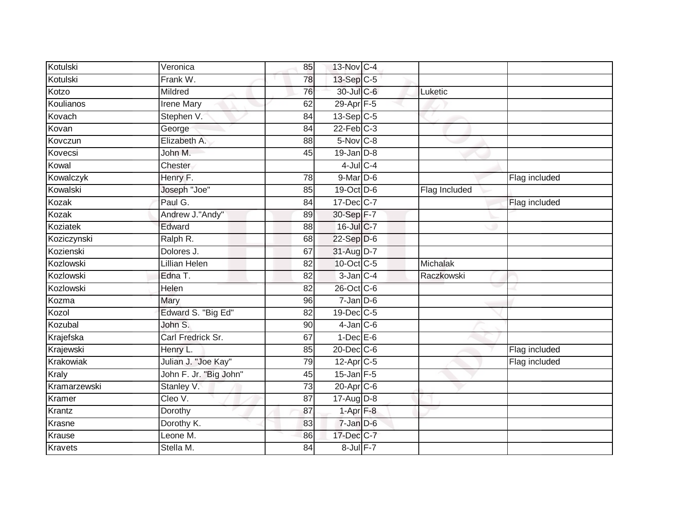| Kotulski       | Veronica               | 85              | 13-Nov C-4            |               |               |
|----------------|------------------------|-----------------|-----------------------|---------------|---------------|
| Kotulski       | Frank W.               | 78              | $13-Sep$ C-5          |               |               |
| Kotzo          | Mildred                | 76              | 30-Jul C-6            | Luketic       |               |
| Koulianos      | <b>Irene Mary</b>      | 62              | $29-Apr$ F-5          |               |               |
| Kovach         | Stephen V.             | 84              | $13-Sep$ C-5          |               |               |
| Kovan          | George                 | 84              | $22$ -Feb $C-3$       |               |               |
| Kovczun        | Elizabeth A.           | 88              | 5-Nov C-8             |               |               |
| Kovecsi        | John M.                | 45              | $19$ -Jan $D-8$       |               |               |
| Kowal          | Chester                |                 | $4$ -Jul $C$ -4       |               |               |
| Kowalczyk      | Henry F.               | 78              | 9-Mar D-6             |               | Flag included |
| Kowalski       | Joseph "Joe"           | 85              | $19-Oct$ D-6          | Flag Included |               |
| Kozak          | Paul G.                | $\overline{84}$ | 17-Dec C-7            |               | Flag included |
| Kozak          | Andrew J."Andy"        | 89              | 30-Sep F-7            |               |               |
| Koziatek       | Edward                 | 88              | 16-Jul C-7            |               |               |
| Koziczynski    | Ralph R.               | 68              | $22-Sep$ D-6          |               |               |
| Kozienski      | Dolores J.             | 67              | 31-Aug D-7            |               |               |
| Kozlowski      | <b>Lillian Helen</b>   | 82              | 10-Oct C-5            | Michalak      |               |
| Kozlowski      | Edna T.                | 82              | $3$ -Jan $C-4$        | Raczkowski    |               |
| Kozlowski      | Helen                  | 82              | 26-Oct C-6            |               |               |
| Kozma          | Mary                   | 96              | $7 - Jan$ $D-6$       |               |               |
| Kozol          | Edward S. "Big Ed"     | 82              | 19-Dec C-5            |               |               |
| Kozubal        | John S.                | 90              | $4$ -Jan $C$ -6       |               |               |
| Krajefska      | Carl Fredrick Sr.      | 67              | $1-Dec$ E-6           |               |               |
| Krajewski      | Henry L.               | 85              | $20 - Dec$ $C-6$      |               | Flag included |
| Krakowiak      | Julian J. "Joe Kay"    | 79              | 12-Apr <sub>C-5</sub> |               | Flag included |
| Kraly          | John F. Jr. "Big John" | 45              | $15$ -Jan $F-5$       |               |               |
| Kramarzewski   | Stanley V.             | 73              | $20$ -Apr $C$ -6      |               |               |
| Kramer         | Cleo V.                | 87              | 17-Aug D-8            |               |               |
| Krantz         | Dorothy                | 87              | $1-Apr$ $F-8$         |               |               |
| Krasne         | Dorothy K.             | 83              | 7-Jan D-6             |               |               |
| Krause         | Leone M.               | 86              | 17-Dec C-7            |               |               |
| <b>Kravets</b> | Stella M.              | 84              | 8-Jul F-7             |               |               |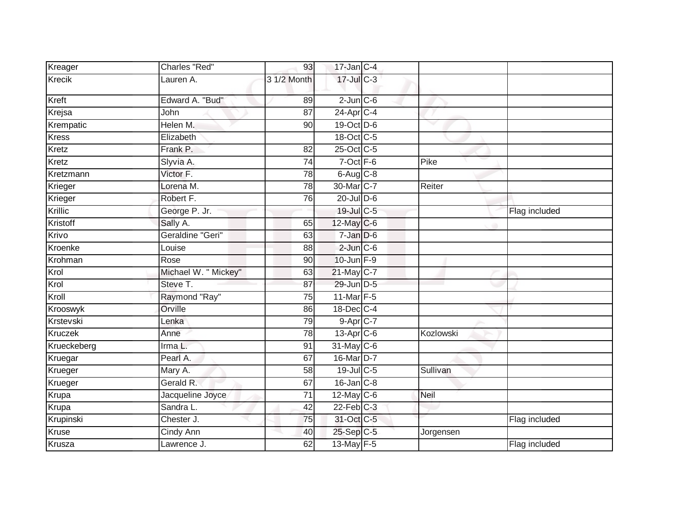| Kreager        | <b>Charles "Red"</b> | 93              | $17$ -Jan C-4    |           |               |
|----------------|----------------------|-----------------|------------------|-----------|---------------|
| <b>Krecik</b>  | Lauren A.            | 3 1/2 Month     | 17-Jul C-3       |           |               |
| Kreft          | Edward A. "Bud"      | 89              | $2$ -Jun $C$ -6  |           |               |
| Krejsa         | John                 | 87              | 24-Apr C-4       |           |               |
| Krempatic      | Helen M.             | 90              | $19-Oct$ D-6     |           |               |
| <b>Kress</b>   | Elizabeth            |                 | 18-Oct C-5       |           |               |
| Kretz          | Frank P.             | 82              | 25-Oct C-5       |           |               |
| Kretz          | Slyvia A.            | $\overline{74}$ | $7$ -Oct $F-6$   | Pike      |               |
| Kretzmann      | Victor F.            | 78              | $6-Aug$ $C-8$    |           |               |
| Krieger        | Lorena <sub>M.</sub> | 78              | 30-Mar C-7       | Reiter    |               |
| Krieger        | Robert F.            | 76              | $20$ -Jul $D-6$  |           |               |
| Krillic        | George P. Jr.        |                 | 19-Jul C-5       |           | Flag included |
| Kristoff       | Sally A.             | 65              | 12-May C-6       |           |               |
| Krivo          | Geraldine "Geri"     | 63              | $7 - Jan$ $D-6$  |           |               |
| Kroenke        | Louise               | 88              | $2$ -Jun $C$ -6  |           |               |
| Krohman        | Rose                 | 90              | $10$ -Jun $F-9$  |           |               |
| Krol           | Michael W. " Mickey" | 63              | 21-May C-7       |           |               |
| Krol           | Steve T.             | 87              | 29-Jun D-5       |           |               |
| Kroll          | Raymond "Ray"        | 75              | 11-Mar F-5       |           |               |
| Krooswyk       | Orville              | 86              | 18-Dec C-4       |           |               |
| Krstevski      | Lenka                | 79              | 9-Apr C-7        |           |               |
| <b>Kruczek</b> | Anne                 | $\overline{78}$ | $13$ -Apr $C$ -6 | Kozlowski |               |
| Krueckeberg    | Irma L.              | 91              | 31-May C-6       |           |               |
| Kruegar        | Pearl A.             | 67              | 16-Mar D-7       |           |               |
| Krueger        | Mary A.              | 58              | $19$ -Jul C-5    | Sullivan  |               |
| Krueger        | Gerald R.            | 67              | $16$ -Jan $C-8$  |           |               |
| Krupa          | Jacqueline Joyce     | $\overline{71}$ | $12$ -May C-6    | Neil      |               |
| Krupa          | Sandra L.            | 42              | $22$ -Feb $C-3$  |           |               |
| Krupinski      | Chester J.           | 75              | 31-Oct C-5       |           | Flag included |
| Kruse          | Cindy Ann            | 40              | 25-Sep C-5       | Jorgensen |               |
| Krusza         | Lawrence J.          | 62              | 13-May F-5       |           | Flag included |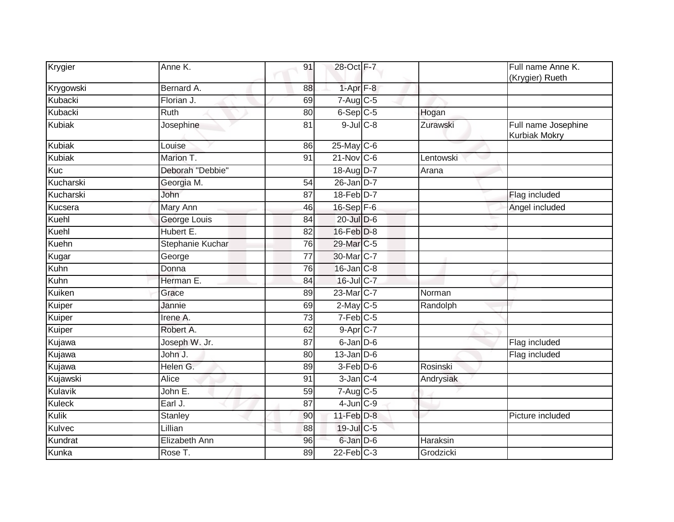| Krygier       | Anne K.               | 91              | 28-Oct F-7                          |           | Full name Anne K.<br>(Krygier) Rueth |
|---------------|-----------------------|-----------------|-------------------------------------|-----------|--------------------------------------|
| Krygowski     | Bernard A.            | 88              | $1-Apr$ $F-8$                       |           |                                      |
| Kubacki       | Florian J.            | 69              | $7 - Aug$ $C - 5$                   |           |                                      |
| Kubacki       | Ruth                  | 80              | $6-Sep$ $C-5$                       | Hogan     |                                      |
| Kubiak        | Josephine             | 81              | $9$ -Jul $C$ -8                     | Zurawski  | Full name Josephine<br>Kurbiak Mokry |
| Kubiak        | Louise                | 86              | $25$ -May C-6                       |           |                                      |
| <b>Kubiak</b> | Marion T.             | 91              | $21$ -Nov $ C-6$                    | Lentowski |                                      |
| Kuc           | Deborah "Debbie"      |                 | 18-Aug D-7                          | Arana     |                                      |
| Kucharski     | Georgia M.            | 54              | $26$ -Jan D-7                       |           |                                      |
| Kucharski     | John                  | 87              | 18-Feb D-7                          |           | Flag included                        |
| Kucsera       | <b>Mary Ann</b>       | 46              | 16-Sep F-6                          |           | Angel included                       |
| Kuehl         | George Louis          | 84              | $20$ -Jul $D-6$                     |           |                                      |
| Kuehl         | Hubert E.             | 82              | 16-Feb D-8                          |           |                                      |
| Kuehn         | Stephanie Kuchar      | 76              | 29-Mar C-5                          |           |                                      |
| Kugar         | George                | 77              | 30-Mar C-7                          |           |                                      |
| Kuhn          | Donna                 | 76              | $16$ -Jan $C-8$                     |           |                                      |
| Kuhn          | Herman <sub>E</sub> . | 84              | 16-Jul C-7                          |           |                                      |
| Kuiken        | Grace                 | 89              | 23-Mar C-7                          | Norman    |                                      |
| Kuiper        | Jannie                | 69              | $2$ -May C-5                        | Randolph  |                                      |
| Kuiper        | Irene A.              | $\overline{73}$ | $7-Feb$ <sub>C-5</sub>              |           |                                      |
| Kuiper        | Robert A.             | 62              | $9-Apr$ $C-7$                       |           |                                      |
| Kujawa        | Joseph W. Jr.         | 87              | $6$ -Jan $D$ -6                     |           | Flag included                        |
| Kujawa        | John J.               | 80              | $13$ -Jan D-6                       |           | Flag included                        |
| Kujawa        | Helen G.              | 89              | $3-Feb$ D-6                         | Rosinski  |                                      |
| Kujawski      | <b>Alice</b>          | 91              | $3$ -Jan $C-4$                      | Andrysiak |                                      |
| Kulavik       | John E.               | 59              | $7 - \overline{Aug}$ <sub>C-5</sub> |           |                                      |
| <b>Kuleck</b> | Earl J.               | 87              | $4$ -Jun $C-9$                      |           |                                      |
| Kulik         | Stanley               | 90              | $11$ -Feb $D-8$                     |           | Picture included                     |
| Kulvec        | Lillian               | 88              | 19-Jul C-5                          |           |                                      |
| Kundrat       | <b>Elizabeth Ann</b>  | 96              | 6-Jan D-6                           | Haraksin  |                                      |
| Kunka         | Rose T.               | 89              | $22$ -Feb $C-3$                     | Grodzicki |                                      |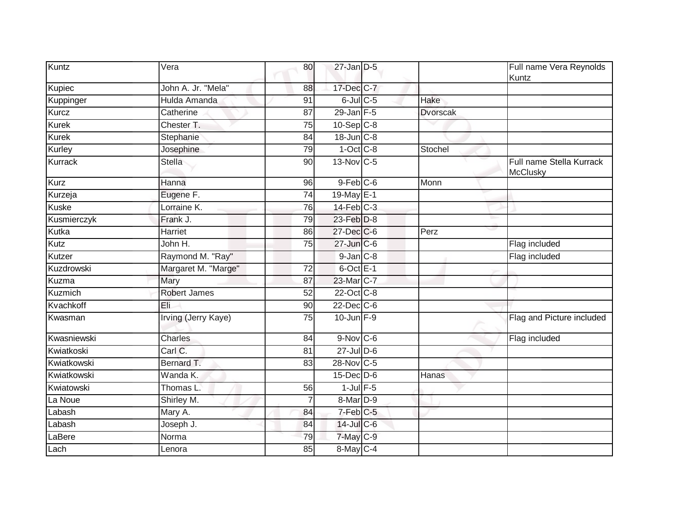| Kuntz          | Vera                       | 80              | $27$ -Jan $D-5$ |                 | Full name Vera Reynolds<br>Kuntz     |
|----------------|----------------------------|-----------------|-----------------|-----------------|--------------------------------------|
| Kupiec         | John A. Jr. "Mela"         | 88              | 17-Dec C-7      |                 |                                      |
| Kuppinger      | Hulda Amanda               | $\overline{91}$ | $6$ -Jul $C$ -5 | Hake            |                                      |
| Kurcz          | Catherine                  | 87              | $29$ -Jan F-5   | <b>Dvorscak</b> |                                      |
| Kurek          | Chester T.                 | 75              | $10-Sep$ $C-8$  |                 |                                      |
| Kurek          | Stephanie                  | 84              | 18-Jun C-8      |                 |                                      |
| Kurley         | Josephine                  | 79              | $1-Oct$ $C-8$   | Stochel         |                                      |
| <b>Kurrack</b> | <b>Stella</b>              | 90              | 13-Nov C-5      |                 | Full name Stella Kurrack<br>McClusky |
| Kurz           | Hanna                      | 96              | $9$ -Feb $C$ -6 | Monn            |                                      |
| Kurzeja        | Eugene F.                  | $\overline{74}$ | $19$ -May $E-1$ |                 |                                      |
| <b>Kuske</b>   | Lorraine K.                | 76              | $14$ -Feb $C-3$ |                 |                                      |
| Kusmierczyk    | Frank J.                   | 79              | 23-Feb D-8      |                 |                                      |
| Kutka          | <b>Harriet</b>             | 86              | 27-Dec C-6      | Perz            |                                      |
| Kutz           | John H.                    | 75              | 27-Jun C-6      |                 | Flag included                        |
| Kutzer         | Raymond M. "Ray"           |                 | $9$ -Jan $C-8$  |                 | Flag included                        |
| Kuzdrowski     | Margaret M. "Marge"        | $\overline{72}$ | $6$ -Oct $E-1$  |                 |                                      |
| Kuzma          | Mary                       | 87              | 23-Mar C-7      |                 |                                      |
| Kuzmich        | <b>Robert James</b>        | $\overline{52}$ | 22-Oct C-8      |                 |                                      |
| Kvachkoff      | Eli                        | 90              | $22$ -Dec $C-6$ |                 |                                      |
| Kwasman        | <b>Irving (Jerry Kaye)</b> | $\overline{75}$ | $10$ -Jun $F-9$ |                 | Flag and Picture included            |
| Kwasniewski    | Charles                    | 84              | 9-Nov C-6       |                 | Flag included                        |
| Kwiatkoski     | Carl C.                    | 81              | $27$ -Jul $D-6$ |                 |                                      |
| Kwiatkowski    | Bernard T.                 | 83              | 28-Nov C-5      |                 |                                      |
| Kwiatkowski    | Wanda K.                   |                 | 15-Dec D-6      | Hanas           |                                      |
| Kwiatowski     | Thomas L.                  | 56              | $1$ -Jul $F-5$  |                 |                                      |
| La Noue        | Shirley M.                 | 7               | 8-Mar D-9       |                 |                                      |
| Labash         | Mary A.                    | 84              | $7-Feb$ $C-5$   |                 |                                      |
| Labash         | Joseph J.                  | 84              | 14-Jul C-6      |                 |                                      |
| LaBere         | Norma                      | 79              | 7-May C-9       |                 |                                      |
| Lach           | Lenora                     | 85              | 8-May C-4       |                 |                                      |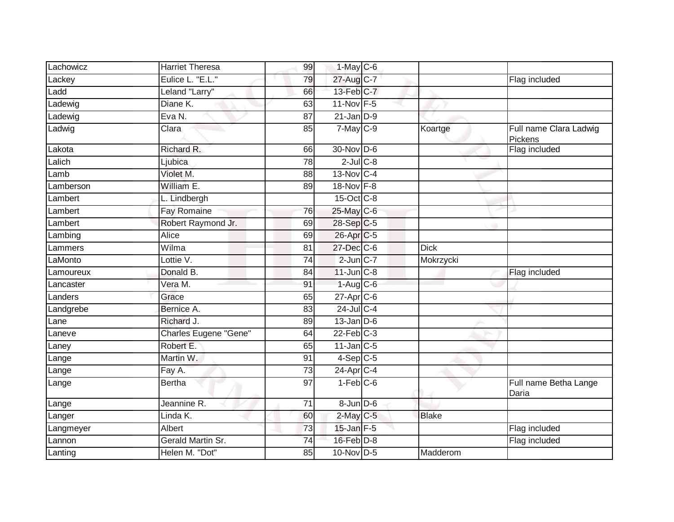| Lachowicz | <b>Harriet Theresa</b> | 99              | $1-May$ C-6      |              |                                   |
|-----------|------------------------|-----------------|------------------|--------------|-----------------------------------|
| Lackey    | Eulice L. "E.L."       | 79              | 27-Aug C-7       |              | Flag included                     |
| Ladd      | Leland "Larry"         | 66              | 13-Feb C-7       |              |                                   |
| adewig    | Diane K.               | 63              | $11-Nov$ F-5     |              |                                   |
| Ladewig   | Eva N.                 | $\overline{87}$ | $21$ -Jan $D-9$  |              |                                   |
| Ladwig    | Clara                  | 85              | 7-May C-9        | Koartge      | Full name Clara Ladwig<br>Pickens |
| Lakota    | Richard R.             | 66              | 30-Nov D-6       |              | Flag included                     |
| Lalich    | Ljubica                | $\overline{78}$ | $2$ -Jul $C$ -8  |              |                                   |
| Lamb      | Violet M.              | 88              | 13-Nov C-4       |              |                                   |
| Lamberson | William E.             | 89              | 18-Nov F-8       |              |                                   |
| Lambert   | L. Lindbergh           |                 | 15-Oct C-8       |              |                                   |
| Lambert   | Fay Romaine            | 76              | 25-May C-6       |              |                                   |
| Lambert   | Robert Raymond Jr.     | 69              | 28-Sep C-5       |              |                                   |
| Lambing   | Alice                  | 69              | 26-Apr C-5       |              |                                   |
| Lammers   | Wilma                  | 81              | 27-Dec C-6       | <b>Dick</b>  |                                   |
| LaMonto   | Lottie V.              | 74              | $2$ -Jun $ C-7 $ | Mokrzycki    |                                   |
| Lamoureux | Donald B.              | 84              | $11$ -Jun $C-8$  |              | Flag included                     |
| Lancaster | Vera M.                | 91              | $1-Aug$ $C-6$    |              |                                   |
| Landers   | Grace                  | 65              | $27$ -Apr $C$ -6 |              |                                   |
| Landgrebe | Bernice A.             | 83              | $24$ -Jul C-4    |              |                                   |
| Lane      | Richard J.             | 89              | $13$ -Jan D-6    |              |                                   |
| Laneve    | Charles Eugene "Gene"  | 64              | $22$ -Feb $C-3$  |              |                                   |
| Laney     | Robert E.              | 65              | $11$ -Jan $C-5$  |              |                                   |
| Lange     | Martin W.              | 91              | $4-Sep$ C-5      |              |                                   |
| Lange     | Fay A.                 | $\overline{73}$ | $24$ -Apr $C-4$  |              |                                   |
| Lange     | <b>Bertha</b>          | 97              | $1-Feb$ $C-6$    |              | Full name Betha Lange<br>Daria    |
| Lange     | Jeannine R.            | 71              | 8-Jun D-6        |              |                                   |
| Langer    | Linda K.               | 60              | $2$ -May $C$ -5  | <b>Blake</b> |                                   |
| Langmeyer | Albert                 | 73              | $15$ -Jan $F-5$  |              | Flag included                     |
| Lannon    | Gerald Martin Sr.      | 74              | $16$ -Feb $D-8$  |              | Flag included                     |
| Lanting   | Helen M. "Dot"         | 85              | 10-Nov D-5       | Madderom     |                                   |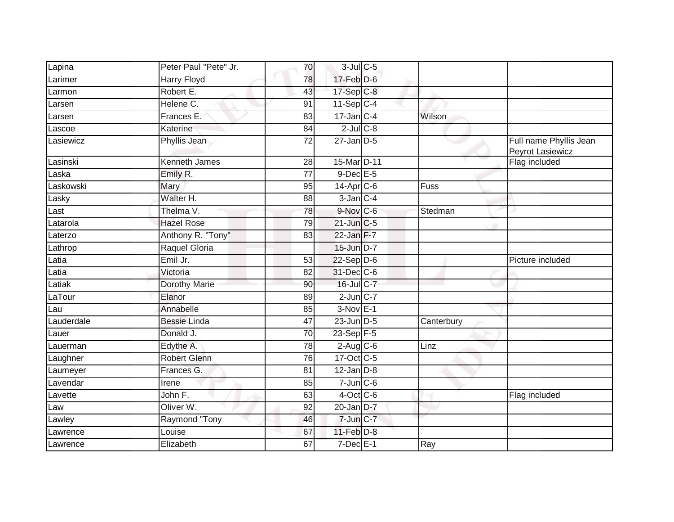| Lapina     | Peter Paul "Pete" Jr. | 70              | $3$ -Jul $C$ -5           |            |                                            |
|------------|-----------------------|-----------------|---------------------------|------------|--------------------------------------------|
| Larimer    | <b>Harry Floyd</b>    | 78              | $17$ -Feb $D-6$           |            |                                            |
| Larmon     | Robert E.             | 43              | 17-Sep C-8                |            |                                            |
| Larsen     | Helene C.             | 91              | $11-Sep$ C-4              |            |                                            |
| Larsen     | Frances E.            | $\overline{83}$ | $17 - Jan$ <sub>C-4</sub> | Wilson     |                                            |
| Lascoe     | Katerine              | 84              | $2$ -Jul $C$ -8           |            |                                            |
| Lasiewicz  | Phyllis Jean          | 72              | $27 - Jan$ $D-5$          |            | Full name Phyllis Jean<br>Peyrot Lasiewicz |
| Lasinski   | <b>Kenneth James</b>  | 28              | 15-Mar D-11               |            | Flag included                              |
| Laska      | Emily R.              | 77              | $9$ -Dec $E - 5$          |            |                                            |
| Laskowski  | Mary                  | 95              | $14$ -Apr $C$ -6          | Fuss       |                                            |
| Lasky      | Walter H.             | 88              | $3$ -Jan $C-4$            |            |                                            |
| Last       | Thelma V.             | $\overline{78}$ | $9-Nov$ C-6               | Stedman    |                                            |
| Latarola   | <b>Hazel Rose</b>     | 79              | $21$ -Jun $C-5$           |            |                                            |
| Laterzo    | Anthony R. "Tony"     | 83              | $22$ -Jan $F-7$           |            |                                            |
| Lathrop    | Raquel Gloria         |                 | 15-Jun D-7                |            |                                            |
| Latia      | Emil Jr.              | 53              | $22-Sep D-6$              |            | Picture included                           |
| Latia      | Victoria              | 82              | 31-Dec C-6                |            |                                            |
| Latiak     | <b>Dorothy Marie</b>  | 90              | 16-Jul C-7                |            |                                            |
| LaTour     | Elanor                | 89              | $2$ -Jun $C-7$            |            |                                            |
| Lau        | Annabelle             | 85              | $3-Nov$ E-1               |            |                                            |
| Lauderdale | <b>Bessie Linda</b>   | 47              | $23$ -Jun $D-5$           | Canterbury |                                            |
| Lauer      | Donald J.             | $\overline{70}$ | 23-Sep $F-5$              |            |                                            |
| Lauerman   | Edythe A.             | 78              | $2$ -Aug $C$ -6           | Linz       |                                            |
| Laughner   | <b>Robert Glenn</b>   | 76              | 17-Oct C-5                |            |                                            |
| Laumeyer   | Frances G.            | 81              | $12$ -Jan $D-8$           |            |                                            |
| Lavendar   | Irene                 | 85              | $7$ -Jun $C$ -6           |            |                                            |
| Lavette    | John F.               | 63              | $4$ -Oct C-6              |            | Flag included                              |
| Law        | Oliver W.             | 92              | $20$ -Jan $D-7$           |            |                                            |
| Lawley     | Raymond "Tony         | 46              | $7$ -Jun $C-7$            |            |                                            |
| _awrence   | Louise                | 67              | $11$ -Feb $D-8$           |            |                                            |
| Lawrence   | Elizabeth             | 67              | $7$ -Dec $E-1$            | Ray        |                                            |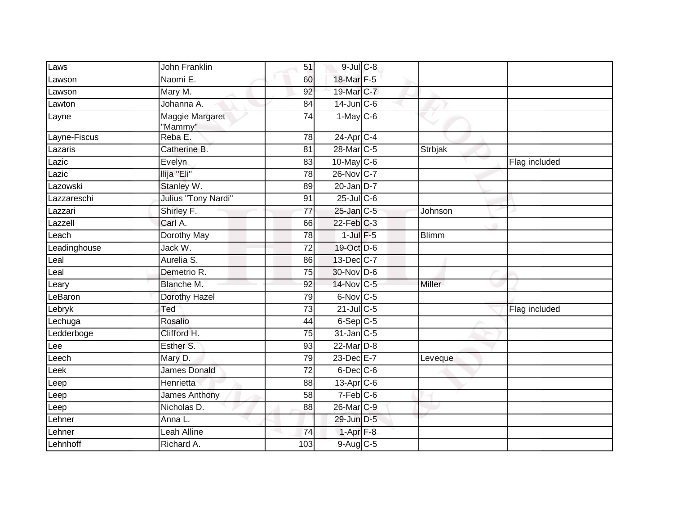| Laws         | John Franklin              | 51              | $9$ -Jul $C$ -8        |              |               |
|--------------|----------------------------|-----------------|------------------------|--------------|---------------|
| _awson       | Naomi E.                   | 60              | 18-Mar F-5             |              |               |
| _awson       | Mary M.                    | 92              | 19-Mar C-7             |              |               |
| Lawton       | Johanna A.                 | 84              | $14$ -Jun $C - 6$      |              |               |
| Layne        | Maggie Margaret<br>"Mammy" | 74              | $1-May$ C-6            |              |               |
| Layne-Fiscus | Reba E.                    | 78              | $24$ -Apr $C-4$        |              |               |
| Lazaris      | Catherine B.               | 81              | 28-Mar C-5             | Strbjak      |               |
| Lazic        | Evelyn                     | 83              | 10-May C-6             |              | Flag included |
| Lazic        | Ilija "Eli"                | 78              | 26-Nov C-7             |              |               |
| azowski      | Stanley W.                 | 89              | $20$ -Jan $D-7$        |              |               |
| azzareschi   | Julius "Tony Nardi"        | 91              | $25$ -Jul C-6          |              |               |
| Lazzari      | Shirley F.                 | 77              | $25$ -Jan $C-5$        | Johnson      |               |
| azzell       | Carl A.                    | 66              | $22$ -Feb $C-3$        |              |               |
| Leach        | Dorothy May                | 78              | $1$ -Jul $F-5$         | <b>Blimm</b> |               |
| Leadinghouse | Jack W.                    | $\overline{72}$ | 19-Oct D-6             |              |               |
| Leal         | Aurelia S.                 | 86              | 13-Dec C-7             |              |               |
| eal          | Demetrio R.                | 75              | 30-Nov D-6             |              |               |
| eary         | Blanche M.                 | 92              | 14-Nov C-5             | Miller       |               |
| LeBaron      | Dorothy Hazel              | 79              | 6-Nov C-5              |              |               |
| Lebryk       | Ted                        | 73              | $21$ -Jul C-5          |              | Flag included |
| Lechuga      | Rosalio                    | 44              | $6-SepC-5$             |              |               |
| Ledderboge   | Clifford H.                | 75              | 31-Jan C-5             |              |               |
| Lee          | Esther S.                  | 93              | 22-Mar D-8             |              |               |
| .eech        | Mary D.                    | 79              | 23-Dec E-7             | Leveque      |               |
| eek          | <b>James Donald</b>        | $\overline{72}$ | $6$ -Dec $C$ -6        |              |               |
| Leep         | Henrietta                  | 88              | $13$ -Apr $C$ -6       |              |               |
| Leep         | <b>James Anthony</b>       | $\overline{58}$ | $7-Feb$ <sub>C-6</sub> |              |               |
| Leep         | Nicholas D.                | 88              | 26-Mar <sub>C-9</sub>  |              |               |
| Lehner       | Anna L.                    |                 | 29-Jun D-5             |              |               |
| _ehner       | Leah Alline                | 74              | $1-Apr$ $F-8$          |              |               |
| Lehnhoff     | Richard A.                 | 103             | 9-Aug C-5              |              |               |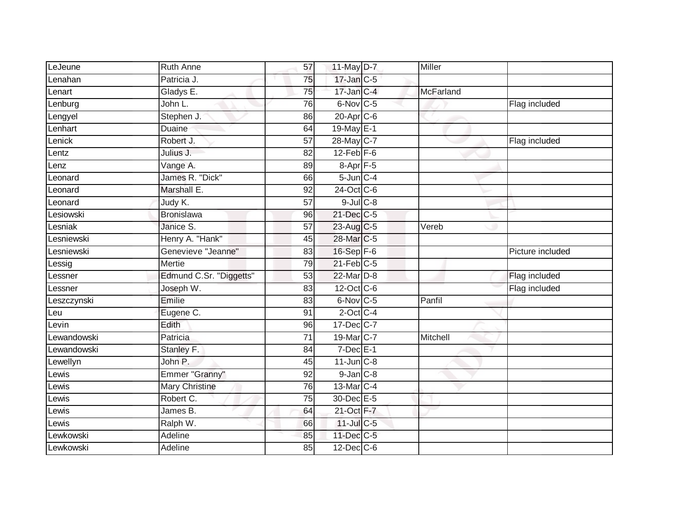| LeJeune           | <b>Ruth Anne</b>        | 57              | $11$ -May $D-7$          | Miller    |                  |
|-------------------|-------------------------|-----------------|--------------------------|-----------|------------------|
| Lenahan           | Patricia J.             | 75              | 17-Jan C-5               |           |                  |
| Lenart            | Gladys E.               | 75              | $17$ -Jan $C-4$          | McFarland |                  |
| enburg            | John L.                 | 76              | $6$ -Nov $C$ -5          |           | Flag included    |
| Lengyel           | Stephen J.              | 86              | $20$ -Apr $C$ -6         |           |                  |
| <b>Lenhart</b>    | Duaine                  | 64              | 19-May E-1               |           |                  |
| _enick            | Robert J.               | $\overline{57}$ | 28-May C-7               |           | Flag included    |
| Lentz             | Julius J.               | 82              | $12$ -Feb $F-6$          |           |                  |
| enz               | Vange A.                | 89              | $8 - \overline{Apr}$ F-5 |           |                  |
| _eonard           | James R. "Dick"         | 66              | $5$ -Jun $C-4$           |           |                  |
| Leonard           | Marshall E.             | 92              | 24-Oct C-6               |           |                  |
| _eonard           | Judy K.                 | 57              | $9$ -Jul $C$ -8          |           |                  |
| esiowski          | <b>Bronislawa</b>       | 96              | 21-Dec C-5               |           |                  |
| Lesniak           | Janice S.               | 57              | 23-Aug C-5               | Vereb     |                  |
| <b>Lesniewski</b> | Henry A. "Hank"         | 45              | 28-Mar C-5               |           |                  |
| <b>Lesniewski</b> | Genevieve "Jeanne"      | 83              | 16-Sep F-6               |           | Picture included |
| Lessig            | <b>Mertie</b>           | 79              | $21$ -Feb $C-5$          |           |                  |
| _essner           | Edmund C.Sr. "Diggetts" | 53              | 22-Mar D-8               |           | Flag included    |
| _essner           | Joseph W.               | 83              | $12$ -Oct $ C-6 $        |           | Flag included    |
| _eszczynski       | Emilie                  | 83              | 6-Nov C-5                | Panfil    |                  |
| Leu               | Eugene C.               | 91              | $2$ -Oct C-4             |           |                  |
| evin_             | Edith                   | 96              | 17-Dec C-7               |           |                  |
| Lewandowski       | Patricia                | 71              | 19-Mar C-7               | Mitchell  |                  |
| Lewandowski       | Stanley F.              | 84              | $7$ -Dec $E-1$           |           |                  |
| Lewellyn          | John P.                 | 45              | $11$ -Jun $C-8$          |           |                  |
| $ewi\overline{s}$ | Emmer "Granny"          | 92              | $9$ -Jan $C-8$           |           |                  |
| _ewis             | <b>Mary Christine</b>   | 76              | 13-Mar C-4               |           |                  |
| ewis-             | Robert C.               | 75              | 30-Dec E-5               |           |                  |
| _ewis             | James B.                | 64              | 21-Oct F-7               |           |                  |
| Lewis             | Ralph W.                | 66              | $11$ -Jul C-5            |           |                  |
| Lewkowski         | Adeline                 | 85              | 11-Dec C-5               |           |                  |
| Lewkowski         | Adeline                 | 85              | $12$ -Dec $C$ -6         |           |                  |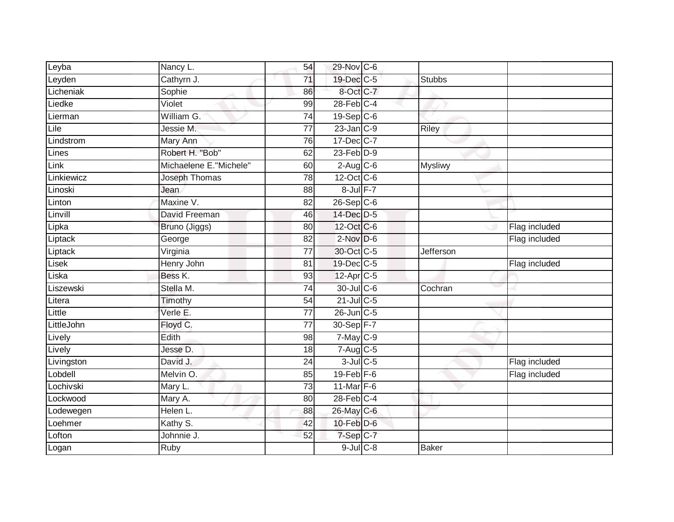| Leyba      | Nancy L.               | 54              | 29-Nov C-6      |                |               |
|------------|------------------------|-----------------|-----------------|----------------|---------------|
| Leyden     | Cathyrn J.             | 71              | 19-Dec C-5      | <b>Stubbs</b>  |               |
| Licheniak  | Sophie                 | 86              | 8-Oct C-7       |                |               |
| Liedke     | Violet                 | 99              | $28$ -Feb $C-4$ |                |               |
| Lierman    | William G.             | $\overline{74}$ | 19-Sep C-6      |                |               |
| Lile       | Jessie M.              | $\overline{77}$ | $23$ -Jan $C-9$ | <b>Riley</b>   |               |
| Lindstrom  | Mary Ann               | 76              | 17-Dec C-7      |                |               |
| Lines      | Robert H. "Bob"        | 62              | $23$ -Feb $D-9$ |                |               |
| Link       | Michaelene E."Michele" | 60              | $2$ -Aug C-6    | <b>Mysliwy</b> |               |
| Linkiewicz | Joseph Thomas          | 78              | 12-Oct C-6      |                |               |
| Linoski    | Jean                   | 88              | $8$ -Jul $F-7$  |                |               |
| Linton     | Maxine V.              | $\overline{82}$ | $26-Sep$ $C-6$  |                |               |
| Linvill    | David Freeman          | 46              | 14-Dec D-5      |                |               |
| Lipka      | Bruno (Jiggs)          | 80              | 12-Oct C-6      |                | Flag included |
| Liptack    | George                 | $\overline{82}$ | $2$ -Nov $D-6$  |                | Flag included |
| Liptack    | Virginia               | $\overline{77}$ | 30-Oct C-5      | Jefferson      |               |
| Lisek      | Henry John             | 81              | 19-Dec C-5      |                | Flag included |
| Liska      | Bess K.                | 93              | 12-Apr C-5      |                |               |
| Liszewski  | Stella M.              | $\overline{74}$ | 30-Jul C-6      | Cochran        |               |
| Litera     | Timothy                | $\overline{54}$ | 21-Jul C-5      |                |               |
| Little     | Verle E.               | 77              | 26-Jun C-5      |                |               |
| LittleJohn | Floyd C.               | $\overline{77}$ | 30-Sep F-7      |                |               |
| Lively     | Edith                  | 98              | $7$ -May $C$ -9 |                |               |
| Lively     | Jesse D.               | 18              | $7-Aug$ $C-5$   |                |               |
| Livingston | David J.               | 24              | $3$ -Jul $C$ -5 |                | Flag included |
| Lobdell    | Melvin O.              | 85              | $19$ -Feb $F-6$ |                | Flag included |
| Lochivski  | Mary L.                | 73              | 11-Mar $F-6$    |                |               |
| Lockwood   | Mary A.                | 80              | $28$ -Feb $C-4$ |                |               |
| Lodewegen  | Helen L.               | 88              | 26-May C-6      |                |               |
| Loehmer    | Kathy S.               | 42              | $10$ -Feb $D-6$ |                |               |
| Lofton     | Johnnie J.             | 52              | 7-Sep C-7       |                |               |
| Logan      | Ruby                   |                 | $9$ -Jul $C$ -8 | <b>Baker</b>   |               |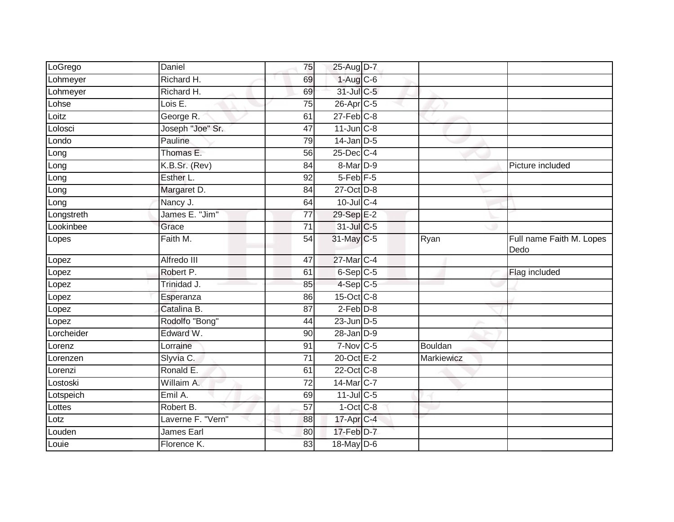| LoGrego    | Daniel            | 75              | 25-Aug D-7             |            |                                  |
|------------|-------------------|-----------------|------------------------|------------|----------------------------------|
| Lohmeyer   | Richard H.        | 69              | $1-Aug$ C-6            |            |                                  |
| Lohmeyer   | Richard H.        | 69              | 31-Jul C-5             |            |                                  |
| Lohse      | Lois E.           | 75              | 26-Apr C-5             |            |                                  |
| Loitz      | George R.         | 61              | $27$ -Feb $C-8$        |            |                                  |
| Lolosci    | Joseph "Joe" Sr.  | 47              | $11$ -Jun $C-8$        |            |                                  |
| Londo      | Pauline           | 79              | $14$ -Jan $D-5$        |            |                                  |
| Long       | Thomas E.         | 56              | 25-Dec C-4             |            |                                  |
| Long       | K.B.Sr. (Rev)     | 84              | $8-Mar$ D-9            |            | Picture included                 |
| Long       | Esther L.         | 92              | $5$ -Feb $F$ -5        |            |                                  |
| Long       | Margaret D.       | 84              | 27-Oct D-8             |            |                                  |
| Long       | Nancy J.          | 64              | 10-Jul C-4             |            |                                  |
| Longstreth | James E. "Jim"    | 77              | 29-Sep E-2             |            |                                  |
| Lookinbee  | Grace             | 71              | 31-Jul C-5             |            |                                  |
| Lopes      | Faith M.          | 54              | 31-May C-5             | Ryan       | Full name Faith M. Lopes<br>Dedo |
| Lopez      | Alfredo III       | 47              | 27-Mar C-4             |            |                                  |
| Lopez      | Robert P.         | 61              | 6-Sep C-5              |            | Flag included                    |
| Lopez      | Trinidad J.       | 85              | $4-Sep$ C-5            |            |                                  |
| Lopez      | Esperanza         | 86              | 15-Oct C-8             |            |                                  |
| Lopez      | Catalina B.       | $\overline{87}$ | $2$ -Feb $D-8$         |            |                                  |
| Lopez      | Rodolfo "Bong"    | 44              | $23$ -Jun $D-5$        |            |                                  |
| Lorcheider | Edward W.         | 90              | $28$ -Jan $D-9$        |            |                                  |
| Lorenz     | Lorraine          | 91              | $7-Nov$ <sub>C-5</sub> | Bouldan    |                                  |
| Lorenzen   | Slyvia C.         | 71              | 20-Oct E-2             | Markiewicz |                                  |
| _orenzi    | Ronald E.         | 61              | 22-Oct C-8             |            |                                  |
| Lostoski   | Willaim A.        | 72              | 14-Mar C-7             |            |                                  |
| Lotspeich  | Emil A.           | 69              | $11$ -Jul C-5          |            |                                  |
| Lottes     | Robert B.         | $\overline{57}$ | $1-Oct$ $C-8$          |            |                                  |
| Lotz       | Laverne F. "Vern" | 88              | 17-Apr C-4             |            |                                  |
| Louden     | James Earl        | 80              | $17$ -Feb $D-7$        |            |                                  |
| Louie      | Florence K.       | 83              | 18-May D-6             |            |                                  |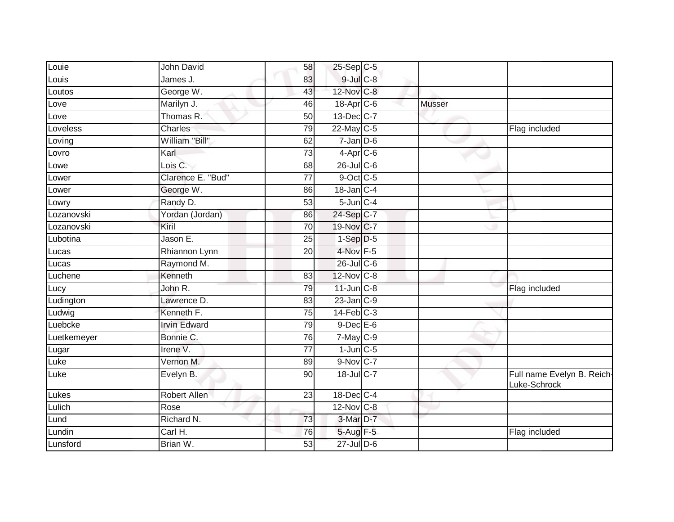| Louie       | John David          | 58              | 25-Sep C-5                      |               |                                            |
|-------------|---------------------|-----------------|---------------------------------|---------------|--------------------------------------------|
| Louis       | James J.            | 83              | 9-Jul C-8                       |               |                                            |
| Loutos      | George W.           | 43              | 12-Nov C-8                      |               |                                            |
| Love        | Marilyn J.          | 46              | 18-Apr <sub>C-6</sub>           | <b>Musser</b> |                                            |
| Love        | Thomas R.           | 50              | 13-Dec C-7                      |               |                                            |
| Loveless    | Charles             | 79              | 22-May C-5                      |               | Flag included                              |
| Loving      | William "Bill"      | 62              | $7$ -Jan $D$ -6                 |               |                                            |
| Lovro       | Karl                | 73              | $4 - \text{Apr}$ <sub>C-6</sub> |               |                                            |
| Lowe        | Lois C.             | 68              | $26$ -Jul $C$ -6                |               |                                            |
| Lower       | Clarence E. "Bud"   | $\overline{77}$ | 9-Oct C-5                       |               |                                            |
| Lower       | George W.           | 86              | $18$ -Jan $C-4$                 |               |                                            |
| Lowry       | Randy D.            | 53              | $5$ -Jun $C-4$                  |               |                                            |
| Lozanovski  | Yordan (Jordan)     | 86              | 24-Sep C-7                      |               |                                            |
| Lozanovski  | Kiril               | 70              | 19-Nov C-7                      |               |                                            |
| Lubotina    | Jason E.            | $\overline{25}$ | $1-Sep$ $D-5$                   |               |                                            |
| Lucas       | Rhiannon Lynn       | 20              | 4-Nov F-5                       |               |                                            |
| Lucas       | Raymond M.          |                 | $26$ -Jul C-6                   |               |                                            |
| Luchene     | Kenneth             | 83              | 12-Nov C-8                      |               |                                            |
| Lucy        | John R.             | 79              | $11$ -Jun $C-8$                 |               | Flag included                              |
| Ludington   | Lawrence D.         | 83              | $23$ -Jan $C-9$                 |               |                                            |
| Ludwig      | Kenneth F.          | 75              | $14$ -Feb $C-3$                 |               |                                            |
| Luebcke     | <b>Irvin Edward</b> | 79              | $9$ -Dec $E$ -6                 |               |                                            |
| Luetkemeyer | Bonnie C.           | 76              | $7 - May$ $C - 9$               |               |                                            |
| Lugar       | Irene V.            | $\overline{77}$ | $1$ -Jun $C$ -5                 |               |                                            |
| Luke        | Vernon M.           | 89              | 9-Nov C-7                       |               |                                            |
| Luke        | Evelyn B.           | 90              | 18-Jul C-7                      |               | Full name Evelyn B. Reich-<br>Luke-Schrock |
| Lukes       | <b>Robert Allen</b> | 23              | 18-Dec C-4                      |               |                                            |
| Lulich      | Rose                |                 | 12-Nov C-8                      |               |                                            |
| Lund        | Richard N.          | 73              | 3-Mar D-7                       |               |                                            |
| Lundin      | Carl H.             | 76              | 5-Aug F-5                       |               | Flag included                              |
| Lunsford    | Brian W.            | 53              | $27$ -Jul $D-6$                 |               |                                            |
|             |                     |                 |                                 |               |                                            |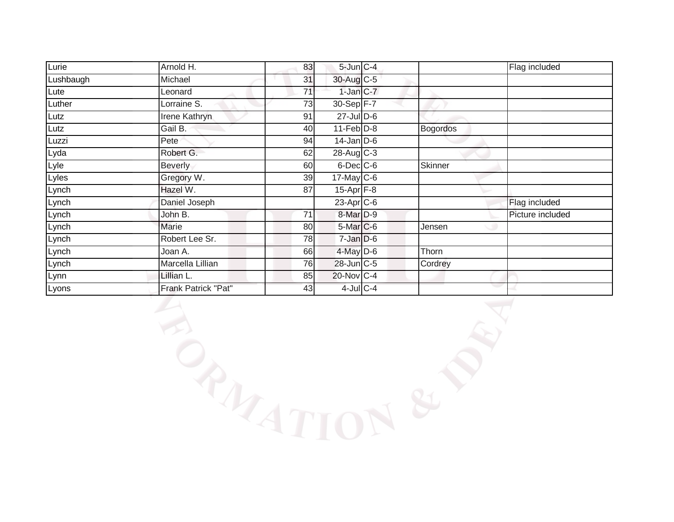| Lurie     | Arnold H.            | 83 | $5$ -Jun $C - 4$      |                | Flag included    |
|-----------|----------------------|----|-----------------------|----------------|------------------|
| Lushbaugh | Michael              | 31 | 30-Aug C-5            |                |                  |
| Lute      | Leonard              | 71 | 1-Jan C-7             |                |                  |
| Luther    | Lorraine S.          | 73 | 30-Sep F-7            |                |                  |
| Lutz      | <b>Irene Kathryn</b> | 91 | $27 -$ Jul $D-6$      |                |                  |
| Lutz      | Gail B.              | 40 | $11-Feb$ D-8          | Bogordos       |                  |
| Luzzi     | Pete                 | 94 | $14$ -Jan D-6         |                |                  |
| Lyda      | Robert G.            | 62 | 28-Aug C-3            |                |                  |
| Lyle      | Beverly              | 60 | $6$ -Dec $C$ -6       | <b>Skinner</b> |                  |
| Lyles     | Gregory W.           | 39 | $17$ -May $C$ -6      |                |                  |
| Lynch     | Hazel W.             | 87 | $15-Apr$ F-8          |                |                  |
| Lynch     | Daniel Joseph        |    | 23-Apr <sub>C-6</sub> |                | Flag included    |
| Lynch     | John B.              | 71 | 8-Mar <sub>D-9</sub>  |                | Picture included |
| Lynch     | Marie                | 80 | $5$ -Mar $C$ -6       | Jensen         |                  |
| Lynch     | Robert Lee Sr.       | 78 | $7$ -Jan $D-6$        |                |                  |
| Lynch     | Joan A.              | 66 | $4$ -May $D-6$        | Thorn          |                  |
| Lynch     | Marcella Lillian     | 76 | 28-Jun C-5            | Cordrey        |                  |
| Lynn      | Lillian L.           | 85 | 20-Nov C-4            |                |                  |
| Lyons     | Frank Patrick "Pat"  | 43 | $4$ -Jul $C-4$        |                |                  |

BANATION & PAT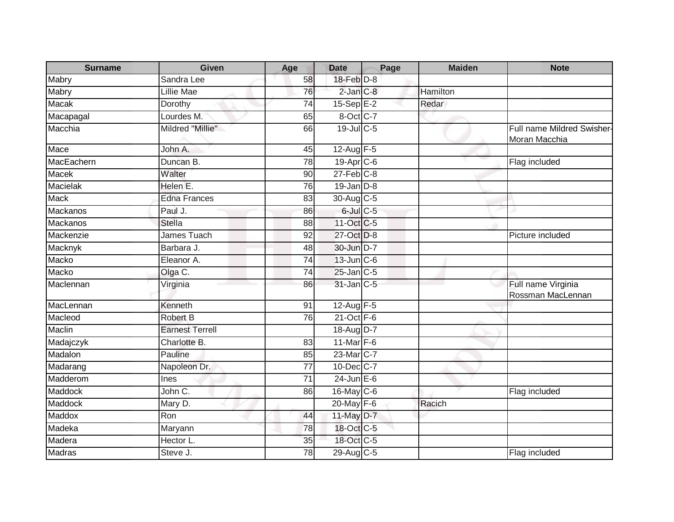| <b>Surname</b>  | <b>Given</b>           | Age             | <b>Date</b>           | Page | <b>Maiden</b> | <b>Note</b>                                 |
|-----------------|------------------------|-----------------|-----------------------|------|---------------|---------------------------------------------|
| Mabry           | Sandra Lee             | 58              | 18-Feb D-8            |      |               |                                             |
| Mabry           | Lillie Mae             | 76              | $2$ -Jan $C-8$        |      | Hamilton      |                                             |
| Macak           | Dorothy                | 74              | $15-SepE-2$           |      | Redar         |                                             |
| Macapagal       | Lourdes M.             | 65              | 8-Oct C-7             |      |               |                                             |
| Macchia         | Mildred "Millie"       | 66              | 19-Jul C-5            |      |               | Full name Mildred Swisher-<br>Moran Macchia |
| Mace            | John A.                | 45              | $12-Aug$ F-5          |      |               |                                             |
| MacEachern      | Duncan B.              | 78              | 19-Apr <sub>C-6</sub> |      |               | Flag included                               |
| Macek           | Walter                 | 90              | $27$ -Feb $C-8$       |      |               |                                             |
| <b>Macielak</b> | Helen E.               | 76              | $19$ -Jan $D-8$       |      |               |                                             |
| <b>Mack</b>     | <b>Edna Frances</b>    | 83              | $30$ -Aug C-5         |      |               |                                             |
| Mackanos        | Paul J.                | 86              | $6$ -Jul $C$ -5       |      |               |                                             |
| <b>Mackanos</b> | <b>Stella</b>          | 88              | 11-Oct C-5            |      |               |                                             |
| Mackenzie       | James Tuach            | 92              | 27-Oct D-8            |      |               | Picture included                            |
| Macknyk         | Barbara J.             | 48              | 30-Jun D-7            |      |               |                                             |
| Macko           | Eleanor A.             | 74              | $13$ -Jun $C$ -6      |      |               |                                             |
| Macko           | Olga C.                | 74              | $25$ -Jan $C$ -5      |      |               |                                             |
| Maclennan       | Virginia               | 86              | 31-Jan C-5            |      |               | Full name Virginia<br>Rossman MacLennan     |
| MacLennan       | Kenneth                | 91              | 12-Aug $F-5$          |      |               |                                             |
| Macleod         | Robert B               | $\overline{76}$ | $21$ -Oct $F-6$       |      |               |                                             |
| Maclin          | <b>Earnest Terrell</b> |                 | 18-Aug D-7            |      |               |                                             |
| Madajczyk       | Charlotte B.           | 83              | 11-Mar F-6            |      |               |                                             |
| Madalon         | Pauline                | 85              | 23-Mar C-7            |      |               |                                             |
| Madarang        | Napoleon Dr.           | 77              | 10-Dec C-7            |      |               |                                             |
| Madderom        | Ines                   | $\overline{71}$ | $24$ -Jun $E-6$       |      |               |                                             |
| Maddock         | John C.                | 86              | 16-May C-6            |      |               | Flag included                               |
| Maddock         | Mary D.                |                 | 20-May F-6            |      | Racich        |                                             |
| Maddox          | Ron                    | 44              | 11-May D-7            |      |               |                                             |
| Madeka          | Maryann                | 78              | 18-Oct C-5            |      |               |                                             |
| Madera          | Hector L.              | 35              | 18-Oct C-5            |      |               |                                             |
| <b>Madras</b>   | Steve J.               | 78              | 29-Aug C-5            |      |               | Flag included                               |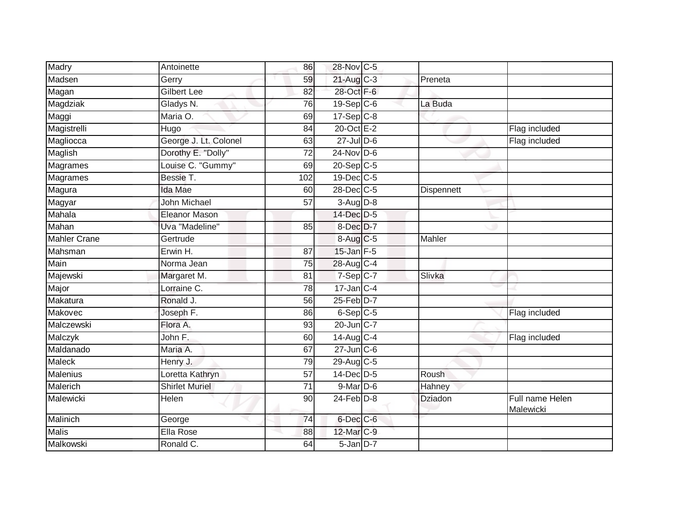| Madry               | Antoinette            | 86              | 28-Nov C-5              |                   |                              |
|---------------------|-----------------------|-----------------|-------------------------|-------------------|------------------------------|
| Madsen              | Gerry                 | 59              | 21-Aug C-3              | Preneta           |                              |
| Magan               | <b>Gilbert Lee</b>    | 82              | 28-Oct F-6              |                   |                              |
| Magdziak            | Gladys N.             | 76              | $19-Sep$ <sub>C-6</sub> | La Buda           |                              |
| Maggi               | Maria O.              | 69              | $17-Sep C-8$            |                   |                              |
| Magistrelli         | Hugo                  | 84              | 20-Oct E-2              |                   | Flag included                |
| Magliocca           | George J. Lt. Colonel | 63              | $27 -$ Jul $D-6$        |                   | Flag included                |
| Maglish             | Dorothy E. "Dolly"    | 72              | $24$ -Nov D-6           |                   |                              |
| Magrames            | Louise C. "Gummy"     | 69              | 20-Sep C-5              |                   |                              |
| <b>Magrames</b>     | Bessie T.             | 102             | 19-Dec C-5              |                   |                              |
| Magura              | <b>Ida Mae</b>        | 60              | 28-Dec C-5              | <b>Dispennett</b> |                              |
| Magyar              | John Michael          | 57              | $3-Aug$ $D-8$           |                   |                              |
| Mahala              | <b>Eleanor Mason</b>  |                 | 14-Dec D-5              |                   |                              |
| Mahan               | Uva "Madeline"        | 85              | 8-Dec D-7               |                   |                              |
| <b>Mahler Crane</b> | Gertrude              |                 | 8-Aug C-5               | Mahler            |                              |
| Mahsman             | Erwin H.              | 87              | $15$ -Jan $F-5$         |                   |                              |
| Main                | Norma Jean            | 75              | 28-Aug C-4              |                   |                              |
| Majewski            | Margaret M.           | 81              | $7-Sep$ C-7             | Slivka            |                              |
| Major               | Lorraine C.           | 78              | $17$ -Jan $ C-4 $       |                   |                              |
| Makatura            | Ronald J.             | 56              | 25-Feb D-7              |                   |                              |
| Makovec             | Joseph F.             | 86              | $6-Sep$ $C-5$           |                   | Flag included                |
| Malczewski          | Flora A.              | 93              | 20-Jun C-7              |                   |                              |
| Malczyk             | John F.               | 60              | 14-Aug C-4              |                   | Flag included                |
| Maldanado           | Maria A.              | 67              | $27 - Jun$ $C-6$        |                   |                              |
| <b>Maleck</b>       | Henry J.              | 79              | 29-Aug C-5              |                   |                              |
| Malenius            | Loretta Kathryn       | 57              | 14-Dec D-5              | Roush             |                              |
| Malerich            | <b>Shirlet Muriel</b> | $\overline{71}$ | $9$ -Mar $D$ -6         | Hahney            |                              |
| Malewicki           | Helen                 | 90              | $24$ -Feb $D-8$         | <b>Dziadon</b>    | Full name Helen<br>Malewicki |
| Malinich            | George                | 74              | 6-Dec C-6               |                   |                              |
| <b>Malis</b>        | Ella Rose             | 88              | 12-Mar C-9              |                   |                              |
| Malkowski           | Ronald C.             | 64              | 5-Jan D-7               |                   |                              |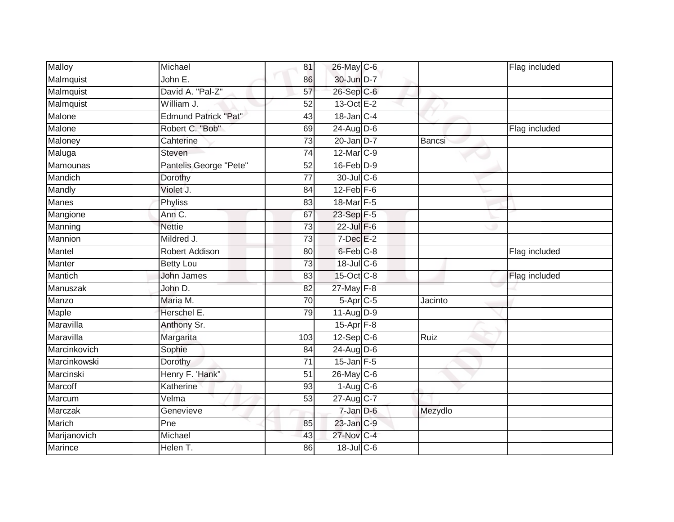| <b>Malloy</b>  | Michael                     | 81              | 26-May C-6             |               | Flag included |
|----------------|-----------------------------|-----------------|------------------------|---------------|---------------|
| Malmquist      | John E.                     | 86              | 30-Jun D-7             |               |               |
| Malmquist      | David A. "Pal-Z"            | 57              | 26-Sep C-6             |               |               |
| Malmquist      | William J.                  | 52              | 13-Oct E-2             |               |               |
| Malone         | <b>Edmund Patrick "Pat"</b> | $\overline{43}$ | $18$ -Jan $ C-4 $      |               |               |
| Malone         | Robert C. "Bob"             | 69              | 24-Aug D-6             |               | Flag included |
| Maloney        | Cahterine                   | 73              | $20$ -Jan $D-7$        | <b>Bancsi</b> |               |
| Maluga         | Steven                      | 74              | 12-Mar C-9             |               |               |
| Mamounas       | Pantelis George "Pete"      | 52              | $16$ -Feb $D-9$        |               |               |
| Mandich        | Dorothy                     | $\overline{77}$ | 30-Jul C-6             |               |               |
| Mandly         | Violet J.                   | 84              | $12$ -Feb $F-6$        |               |               |
| Manes          | Phyliss                     | 83              | 18-Mar F-5             |               |               |
| Mangione       | Ann C.                      | 67              | 23-Sep F-5             |               |               |
| Manning        | <b>Nettie</b>               | 73              | $22$ -Jul $F-6$        |               |               |
| Mannion        | Mildred J.                  | 73              | $7$ -Dec $E-2$         |               |               |
| Mantel         | Robert Addison              | 80              | 6-Feb C-8              |               | Flag included |
| Manter         | <b>Betty Lou</b>            | $\overline{73}$ | $18$ -Jul C-6          |               |               |
| Mantich        | <b>John James</b>           | 83              | 15-Oct C-8             |               | Flag included |
| Manuszak       | John D.                     | 82              | 27-May F-8             |               |               |
| Manzo          | Maria M.                    | 70              | $5-Apr$ <sub>C-5</sub> | Jacinto       |               |
| Maple          | Herschel E.                 | 79              | 11-Aug D-9             |               |               |
| Maravilla      | Anthony Sr.                 |                 | 15-Apr F-8             |               |               |
| Maravilla      | Margarita                   | 103             | $12-Sep C-6$           | Ruiz          |               |
| Marcinkovich   | Sophie                      | 84              | $24$ -Aug D-6          |               |               |
| Marcinkowski   | Dorothy                     | $\overline{71}$ | $15$ -Jan F-5          |               |               |
| Marcinski      | Henry F. 'Hank"             | 51              | $26$ -May $C$ -6       |               |               |
| Marcoff        | Katherine                   | 93              | $1-Aug$ $C-6$          |               |               |
| Marcum         | Velma                       | 53              | 27-Aug C-7             |               |               |
| Marczak        | Genevieve                   |                 | $7 - Jan$ $D-6$        | Mezydlo       |               |
| Marich         | Pne                         | 85              | 23-Jan C-9             |               |               |
| Marijanovich   | Michael                     | 43              | 27-Nov C-4             |               |               |
| <b>Marince</b> | Helen T.                    | 86              | $18$ -Jul C-6          |               |               |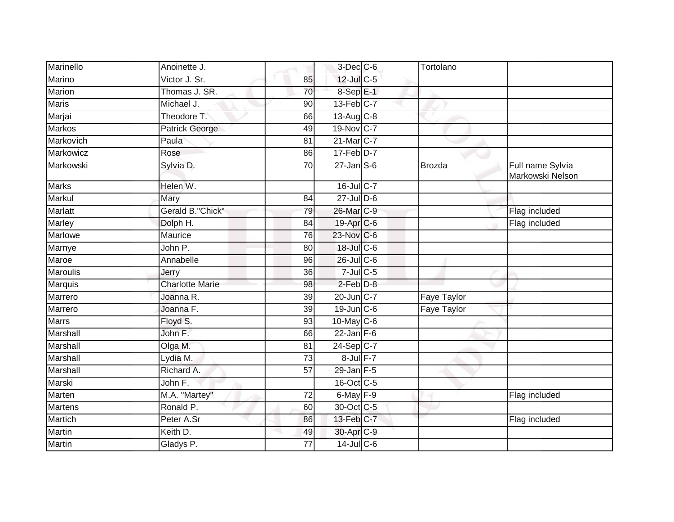| Marinello       | Anoinette J.           |                 | $3$ -Dec $C$ -6                   | Tortolano          |                                      |
|-----------------|------------------------|-----------------|-----------------------------------|--------------------|--------------------------------------|
| Marino          | Victor J. Sr.          | 85              | 12-Jul C-5                        |                    |                                      |
| Marion          | Thomas J. SR.          | 70              | 8-Sep E-1                         |                    |                                      |
| <b>Maris</b>    | Michael J.             | 90              | $13$ -Feb $C-7$                   |                    |                                      |
| Marjai          | Theodore T.            | 66              | 13-Aug C-8                        |                    |                                      |
| <b>Markos</b>   | Patrick George         | 49              | 19-Nov C-7                        |                    |                                      |
| Markovich       | Paula                  | 81              | 21-Mar C-7                        |                    |                                      |
| Markowicz       | Rose                   | 86              | $17$ -Feb $D-7$                   |                    |                                      |
| Markowski       | Sylvia D.              | 70              | $27$ -Jan $\overline{\text{S-6}}$ | Brozda             | Full name Sylvia<br>Markowski Nelson |
| <b>Marks</b>    | Helen W.               |                 | $16$ -Jul C-7                     |                    |                                      |
| Markul          | Mary                   | 84              | $27$ -Jul $D-6$                   |                    |                                      |
| <b>Marlatt</b>  | Gerald B."Chick"       | 79              | 26-Mar C-9                        |                    | Flag included                        |
| Marley          | Dolph H.               | 84              | 19-Apr C-6                        |                    | Flag included                        |
| Marlowe         | Maurice                | 76              | 23-Nov C-6                        |                    |                                      |
| Marnye          | John P.                | 80              | 18-Jul C-6                        |                    |                                      |
| Maroe           | Annabelle              | 96              | $26$ -JulC-6                      |                    |                                      |
| <b>Maroulis</b> | Jerry                  | 36              | $7$ -Jul $C$ -5                   |                    |                                      |
| Marquis         | <b>Charlotte Marie</b> | 98              | $2$ -Feb $D-8$                    |                    |                                      |
| Marrero         | Joanna R.              | 39              | 20-Jun C-7                        | Faye Taylor        |                                      |
| Marrero         | Joanna F.              | 39              | 19-Jun C-6                        | <b>Faye Taylor</b> |                                      |
| <b>Marrs</b>    | Floyd S.               | 93              | 10-May C-6                        |                    |                                      |
| Marshall        | John F.                | 66              | $22$ -Jan F-6                     |                    |                                      |
| Marshall        | Olga M.                | 81              | $24-Sep$ C-7                      |                    |                                      |
| Marshall        | Lydia M.               | 73              | 8-Jul F-7                         |                    |                                      |
| Marshall        | Richard A.             | $\overline{57}$ | $29$ -Jan $F-5$                   |                    |                                      |
| Marski          | John F.                |                 | 16-Oct C-5                        |                    |                                      |
| Marten          | M.A. "Martey"          | 72              | $6$ -May $F-9$                    |                    | Flag included                        |
| <b>Martens</b>  | Ronald P.              | 60              | 30-Oct C-5                        |                    |                                      |
| Martich         | Peter A.Sr             | 86              | 13-Feb C-7                        |                    | Flag included                        |
| <b>Martin</b>   | Keith D.               | 49              | 30-Apr <sub>C-9</sub>             |                    |                                      |
| <b>Martin</b>   | Gladys P.              | 77              | $14$ -Jul C-6                     |                    |                                      |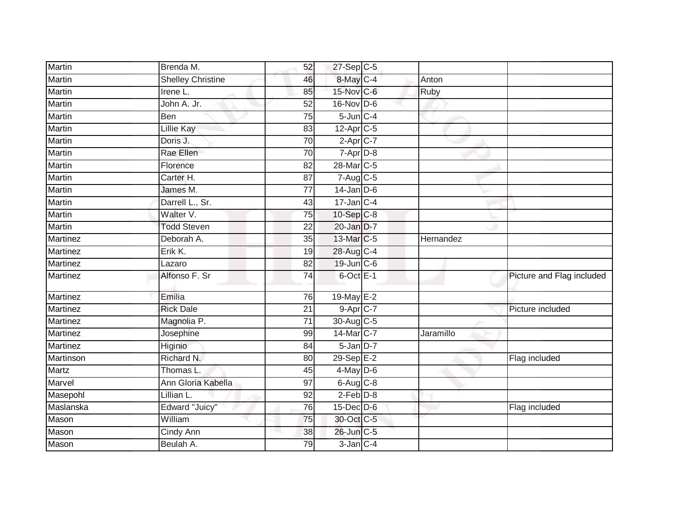| Brenda M.                | 52              |  |                                                                                                                                                                                                                                                                                                                                                                                                                                                                                                        |                           |
|--------------------------|-----------------|--|--------------------------------------------------------------------------------------------------------------------------------------------------------------------------------------------------------------------------------------------------------------------------------------------------------------------------------------------------------------------------------------------------------------------------------------------------------------------------------------------------------|---------------------------|
| <b>Shelley Christine</b> | 46              |  | Anton                                                                                                                                                                                                                                                                                                                                                                                                                                                                                                  |                           |
| Irene L.                 | 85              |  | <b>Ruby</b>                                                                                                                                                                                                                                                                                                                                                                                                                                                                                            |                           |
| John A. Jr.              | $\overline{52}$ |  |                                                                                                                                                                                                                                                                                                                                                                                                                                                                                                        |                           |
| Ben                      | $\overline{75}$ |  |                                                                                                                                                                                                                                                                                                                                                                                                                                                                                                        |                           |
| Lillie Kay               | 83              |  |                                                                                                                                                                                                                                                                                                                                                                                                                                                                                                        |                           |
| Doris J.                 | 70              |  |                                                                                                                                                                                                                                                                                                                                                                                                                                                                                                        |                           |
| Rae Ellen                | 70              |  |                                                                                                                                                                                                                                                                                                                                                                                                                                                                                                        |                           |
| Florence                 | 82              |  |                                                                                                                                                                                                                                                                                                                                                                                                                                                                                                        |                           |
| Carter H.                | 87              |  |                                                                                                                                                                                                                                                                                                                                                                                                                                                                                                        |                           |
| James M.                 | $\overline{77}$ |  |                                                                                                                                                                                                                                                                                                                                                                                                                                                                                                        |                           |
| Darrell L., Sr.          | 43              |  |                                                                                                                                                                                                                                                                                                                                                                                                                                                                                                        |                           |
| Walter V.                | 75              |  |                                                                                                                                                                                                                                                                                                                                                                                                                                                                                                        |                           |
| <b>Todd Steven</b>       | 22              |  |                                                                                                                                                                                                                                                                                                                                                                                                                                                                                                        |                           |
| Deborah A.               | $\overline{35}$ |  | Hernandez                                                                                                                                                                                                                                                                                                                                                                                                                                                                                              |                           |
| Erik K.                  | 19              |  |                                                                                                                                                                                                                                                                                                                                                                                                                                                                                                        |                           |
| Lazaro                   | 82              |  |                                                                                                                                                                                                                                                                                                                                                                                                                                                                                                        |                           |
| Alfonso F. Sr            | 74              |  |                                                                                                                                                                                                                                                                                                                                                                                                                                                                                                        | Picture and Flag included |
| Emilia                   | 76              |  |                                                                                                                                                                                                                                                                                                                                                                                                                                                                                                        |                           |
| <b>Rick Dale</b>         | 21              |  |                                                                                                                                                                                                                                                                                                                                                                                                                                                                                                        | Picture included          |
| Magnolia P.              | 71              |  |                                                                                                                                                                                                                                                                                                                                                                                                                                                                                                        |                           |
| Josephine                | 99              |  | Jaramillo                                                                                                                                                                                                                                                                                                                                                                                                                                                                                              |                           |
| Higinio                  | 84              |  |                                                                                                                                                                                                                                                                                                                                                                                                                                                                                                        |                           |
| Richard N.               | 80              |  |                                                                                                                                                                                                                                                                                                                                                                                                                                                                                                        | Flag included             |
| Thomas L.                | 45              |  |                                                                                                                                                                                                                                                                                                                                                                                                                                                                                                        |                           |
| Ann Gloria Kabella       | 97              |  |                                                                                                                                                                                                                                                                                                                                                                                                                                                                                                        |                           |
| Lillian L.               | 92              |  |                                                                                                                                                                                                                                                                                                                                                                                                                                                                                                        |                           |
| Edward "Juicy"           | $\overline{76}$ |  |                                                                                                                                                                                                                                                                                                                                                                                                                                                                                                        | Flag included             |
| William                  | 75              |  |                                                                                                                                                                                                                                                                                                                                                                                                                                                                                                        |                           |
| Cindy Ann                | 38              |  |                                                                                                                                                                                                                                                                                                                                                                                                                                                                                                        |                           |
| Beulah A.                | 79              |  |                                                                                                                                                                                                                                                                                                                                                                                                                                                                                                        |                           |
|                          |                 |  | 27-Sep C-5<br>8-May C-4<br>15-Nov C-6<br>16-Nov D-6<br>$5$ -Jun $C-4$<br>$12-Apr$ <sub>C-5</sub><br>$2-Apr$ C-7<br>$7 - Apr$ $D-8$<br>28-Mar C-5<br>7-Aug C-5<br>$14$ -Jan D-6<br>$17$ -Jan $C-4$<br>10-Sep C-8<br>20-Jan D-7<br>13-Mar C-5<br>28-Aug C-4<br>19-Jun C-6<br>$6$ -Oct $E-1$<br>19-May E-2<br>$9-Apr$ $C-7$<br>30-Aug C-5<br>14-Mar C-7<br>$5$ -Jan $D-7$<br>29-Sep E-2<br>$4$ -May $D-6$<br>$6-Aug$ $C-8$<br>$2$ -Feb $D-8$<br>$15$ -Dec $D$ -6<br>30-Oct C-5<br>26-Jun C-5<br>3-Jan C-4 |                           |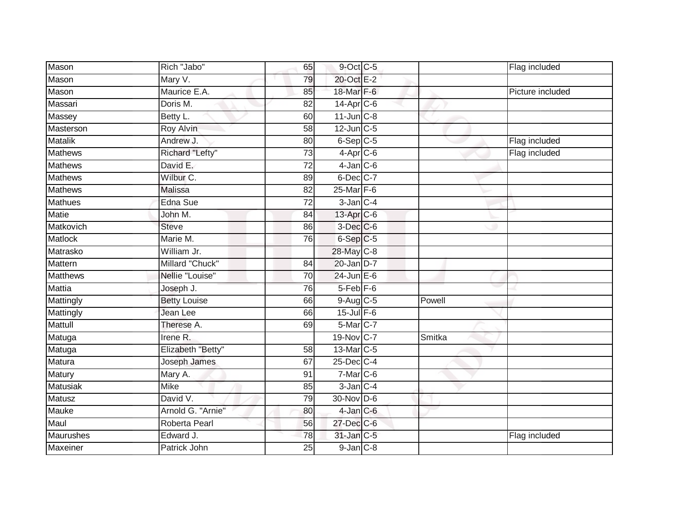| Mason           | Rich "Jabo"         | 65              | 9-Oct C-5              |        | Flag included    |
|-----------------|---------------------|-----------------|------------------------|--------|------------------|
| Mason           | Mary V.             | 79              | 20-Oct E-2             |        |                  |
| Mason           | Maurice E.A.        | 85              | 18-Mar F-6             |        | Picture included |
| Massari         | Doris M.            | 82              | 14-Apr C-6             |        |                  |
| Massey          | Betty L.            | 60              | $11$ -Jun $C-8$        |        |                  |
| Masterson       | Roy Alvin           | 58              | $12$ -Jun $C-5$        |        |                  |
| <b>Matalik</b>  | Andrew J.           | 80              | $6-Sep$ $C-5$          |        | Flag included    |
| Mathews         | Richard "Lefty"     | $\overline{73}$ | $4-Apr$ C-6            |        | Flag included    |
| <b>Mathews</b>  | David E.            | $\overline{72}$ | $4$ -Jan $C$ -6        |        |                  |
| <b>Mathews</b>  | Wilbur C.           | 89              | 6-Dec C-7              |        |                  |
| Mathews         | Malissa             | 82              | $25$ -Mar $F-6$        |        |                  |
| Mathues         | Edna Sue            | $\overline{72}$ | $3$ -Jan $C-4$         |        |                  |
| <b>Matie</b>    | John M.             | 84              | 13-Apr C-6             |        |                  |
| Matkovich       | <b>Steve</b>        | 86              | $3$ -Dec $C$ -6        |        |                  |
| Matlock         | Marie M.            | 76              | 6-Sep C-5              |        |                  |
| Matrasko        | William Jr.         |                 | 28-May C-8             |        |                  |
| Mattern         | Millard "Chuck"     | 84              | 20-Jan D-7             |        |                  |
| <b>Matthews</b> | Nellie "Louise"     | 70              | $24$ -Jun $E-6$        |        |                  |
| <b>Mattia</b>   | Joseph J.           | 76              | 5-Feb <sup>F-6</sup>   |        |                  |
| Mattingly       | <b>Betty Louise</b> | 66              | $9-Aug$ <sub>C-5</sub> | Powell |                  |
| Mattingly       | Jean Lee            | 66              | $15$ -Jul $F-6$        |        |                  |
| Mattull         | Therese A.          | 69              | 5-Mar C-7              |        |                  |
| Matuga          | Irene R.            |                 | 19-Nov C-7             | Smitka |                  |
| Matuga          | Elizabeth "Betty"   | 58              | 13-Mar C-5             |        |                  |
| Matura          | Joseph James        | 67              | $25$ -Dec $C-4$        |        |                  |
| Matury          | Mary A.             | 91              | $7-Mar$ $C-6$          |        |                  |
| Matusiak        | <b>Mike</b>         | 85              | $3$ -Jan $C-4$         |        |                  |
| Matusz          | David V.            | 79              | 30-Nov D-6             |        |                  |
| Mauke           | Arnold G. "Arnie"   | 80              | $4$ -Jan $C$ -6        |        |                  |
| Maul            | Roberta Pearl       | 56              | $27$ -Dec $C$ -6       |        |                  |
| Maurushes       | Edward J.           | 78              | 31-Jan C-5             |        | Flag included    |
| <b>Maxeiner</b> | Patrick John        | 25              | $9$ -Jan $C-8$         |        |                  |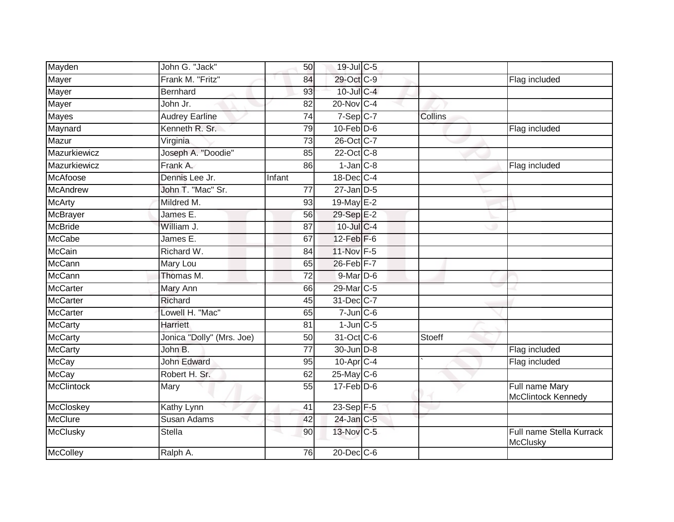| Mayden<br>John G. "Jack"              | 50              | 19-Jul C-5        |         |                                             |
|---------------------------------------|-----------------|-------------------|---------|---------------------------------------------|
| Mayer<br>Frank M. "Fritz"             | 84              | 29-Oct C-9        |         | Flag included                               |
| Mayer<br><b>Bernhard</b>              | $\overline{93}$ | $10$ -Jul $C-4$   |         |                                             |
| Mayer<br>John Jr.                     | 82              | 20-Nov C-4        |         |                                             |
| <b>Mayes</b><br><b>Audrey Earline</b> | $\overline{74}$ | $7-Sep$ C-7       | Collins |                                             |
| Maynard<br>Kenneth R. Sr.             | 79              | $10$ -Feb $D-6$   |         | Flag included                               |
| Mazur<br>Virginia                     | 73              | 26-Oct C-7        |         |                                             |
| Joseph A. "Doodie"<br>Mazurkiewicz    | 85              | 22-Oct C-8        |         |                                             |
| Mazurkiewicz<br>Frank A.              | 86              | $1-Jan$ $C-8$     |         | Flag included                               |
| McAfoose<br>Dennis Lee Jr.            | Infant          | 18-Dec C-4        |         |                                             |
| McAndrew<br>John T. "Mac" Sr.         | 77              | $27$ -Jan $D-5$   |         |                                             |
| <b>McArty</b><br>Mildred M.           | 93              | 19-May E-2        |         |                                             |
| McBrayer<br>James E.                  | 56              | 29-Sep E-2        |         |                                             |
| McBride<br>William J.                 | 87              | 10-Jul C-4        |         |                                             |
| <b>McCabe</b><br>James E.             | 67              | 12-Feb F-6        |         |                                             |
| <b>McCain</b><br>Richard W.           | 84              | 11-Nov F-5        |         |                                             |
| McCann<br>Mary Lou                    | 65              | 26-Feb F-7        |         |                                             |
| <b>McCann</b><br>Thomas M.            | $\overline{72}$ | 9-Mar D-6         |         |                                             |
| McCarter<br>Mary Ann                  | 66              | 29-Mar C-5        |         |                                             |
| <b>McCarter</b><br>Richard            | 45              | 31-Dec C-7        |         |                                             |
| McCarter<br>Lowell H. "Mac"           | 65              | $7$ -Jun $C$ -6   |         |                                             |
| <b>McCarty</b><br><b>Harriett</b>     | 81              | $1$ -Jun $C$ -5   |         |                                             |
| McCarty<br>Jonica "Dolly" (Mrs. Joe)  | 50              | 31-Oct C-6        | Stoeff  |                                             |
| McCarty<br>John B.                    | 77              | 30-Jun D-8        |         | Flag included                               |
| <b>McCay</b><br><b>John Edward</b>    | 95              | $10$ -Apr $C-4$   |         | Flag included                               |
| <b>McCay</b><br>Robert H. Sr.         | 62              | $25$ -May C-6     |         |                                             |
| <b>McClintock</b><br>Mary             | 55              | $17 - Feb$ $D-6$  |         | Full name Mary<br>McClintock Kennedy        |
| McCloskey<br>Kathy Lynn               | 41              | 23-Sep F-5        |         |                                             |
| McClure<br><b>Susan Adams</b>         | 42              | 24-Jan C-5        |         |                                             |
| McClusky<br><b>Stella</b>             | 90              | 13-Nov C-5        |         | Full name Stella Kurrack<br><b>McClusky</b> |
| <b>McColley</b><br>Ralph A.           | 76              | $20$ -Dec $ C$ -6 |         |                                             |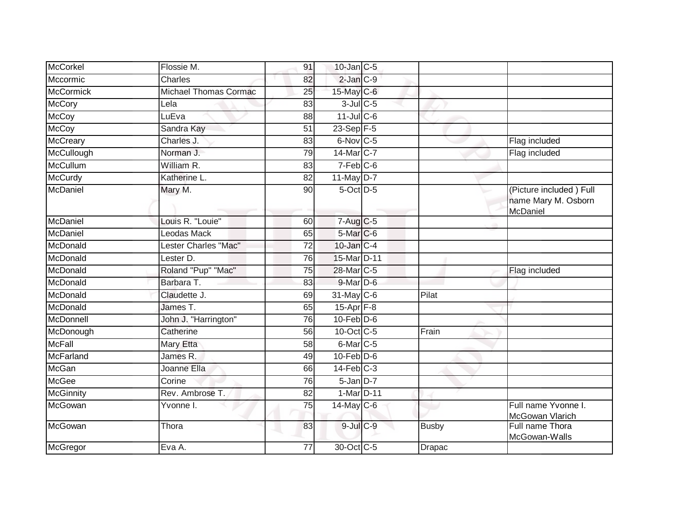| <b>McCorkel</b>  | Flossie M.                   | 91 | $10$ -Jan $C$ -5       |               |                                                            |
|------------------|------------------------------|----|------------------------|---------------|------------------------------------------------------------|
| Mccormic         | Charles                      | 82 | $2$ -Jan $C-9$         |               |                                                            |
| <b>McCormick</b> | <b>Michael Thomas Cormac</b> | 25 | 15-May C-6             |               |                                                            |
| <b>McCory</b>    | Lela                         | 83 | $3$ -Jul $C$ -5        |               |                                                            |
| <b>McCoy</b>     | LuEva                        | 88 | 11-Jul C-6             |               |                                                            |
| <b>McCoy</b>     | Sandra Kay                   | 51 | $23-Sep$ F-5           |               |                                                            |
| McCreary         | Charles J.                   | 83 | $6$ -Nov $ C-5 $       |               | Flag included                                              |
| McCullough       | Norman J.                    | 79 | 14-Mar C-7             |               | Flag included                                              |
| <b>McCullum</b>  | William R.                   | 83 | $7-Feb$ <sub>C-6</sub> |               |                                                            |
| <b>McCurdy</b>   | Katherine L.                 | 82 | $11$ -May $D-7$        |               |                                                            |
| McDaniel         | Mary M.                      | 90 | $5$ -Oct $D$ -5        |               | (Picture included) Full<br>name Mary M. Osborn<br>McDaniel |
| McDaniel         | Louis R. "Louie"             | 60 | $7-Aug$ <sub>C-5</sub> |               |                                                            |
| McDaniel         | Leodas Mack                  | 65 | 5-Mar C-6              |               |                                                            |
| McDonald         | Lester Charles "Mac"         | 72 | 10-Jan C-4             |               |                                                            |
| McDonald         | Lester D.                    | 76 | 15-Mar D-11            |               |                                                            |
| McDonald         | Roland "Pup" "Mac"           | 75 | 28-Mar C-5             |               | Flag included                                              |
| McDonald         | Barbara T.                   | 83 | $9$ -Mar $D$ -6        |               |                                                            |
| McDonald         | Claudette J.                 | 69 | 31-May C-6             | Pilat         |                                                            |
| McDonald         | James T.                     | 65 | $15$ -Apr $F-8$        |               |                                                            |
| McDonnell        | John J. "Harrington"         | 76 | $10$ -Feb $D-6$        |               |                                                            |
| McDonough        | Catherine                    | 56 | 10-Oct C-5             | Frain         |                                                            |
| <b>McFall</b>    | Mary Etta                    | 58 | 6-Mar <sub>C-5</sub>   |               |                                                            |
| <b>McFarland</b> | James R.                     | 49 | $10$ -Feb $D-6$        |               |                                                            |
| <b>McGan</b>     | Joanne Ella                  | 66 | $14$ -Feb $C-3$        |               |                                                            |
| McGee            | Corine                       | 76 | $5 - Jan$ $D-7$        |               |                                                            |
| <b>McGinnity</b> | Rev. Ambrose T.              | 82 | 1-Mar D-11             |               |                                                            |
| McGowan          | Yvonne I.                    | 75 | $14$ -May C-6          |               | Full name Yvonne I.<br>McGowan Vlarich                     |
| McGowan          | Thora                        | 83 | $9$ -Jul $C$ -9        | <b>Busby</b>  | Full name Thora<br>McGowan-Walls                           |
| McGregor         | Eva A.                       | 77 | 30-Oct C-5             | <b>Drapac</b> |                                                            |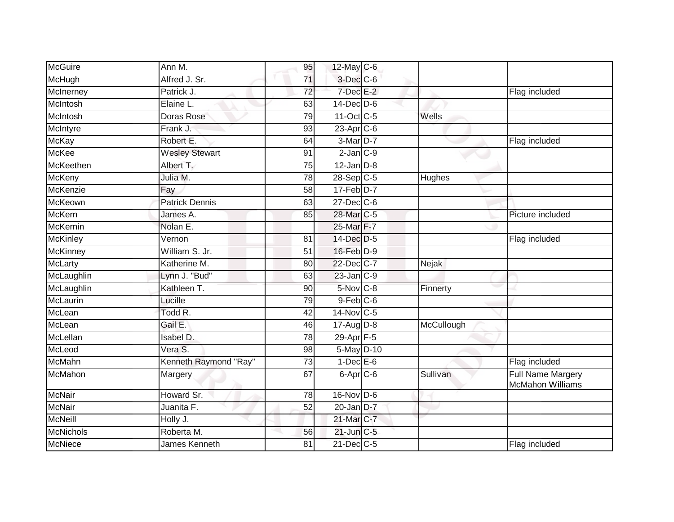| McGuire          | Ann M.                | 95              | 12-May C-6                |            |                                                     |
|------------------|-----------------------|-----------------|---------------------------|------------|-----------------------------------------------------|
| McHugh           | Alfred J. Sr.         | $\overline{71}$ | 3-Dec C-6                 |            |                                                     |
| McInerney        | Patrick J.            | 72              | $7$ -Dec $E-2$            |            | Flag included                                       |
| McIntosh         | Elaine L.             | 63              | $14$ -Dec $D$ -6          |            |                                                     |
| McIntosh         | Doras Rose            | 79              | 11-Oct C-5                | Wells      |                                                     |
| McIntyre         | Frank J.              | 93              | 23-Apr <sub>C-6</sub>     |            |                                                     |
| <b>McKay</b>     | Robert E.             | 64              | 3-Mar D-7                 |            | Flag included                                       |
| <b>McKee</b>     | <b>Wesley Stewart</b> | 91              | $2$ -Jan $C-9$            |            |                                                     |
| McKeethen        | Albert T.             | 75              | $12$ -Jan $D-8$           |            |                                                     |
| <b>McKeny</b>    | Julia M.              | 78              | $28-Sep$ C-5              | Hughes     |                                                     |
| McKenzie         | Fay                   | 58              | $17 - Feb$ $D-7$          |            |                                                     |
| McKeown          | <b>Patrick Dennis</b> | 63              | $27$ -Dec $C$ -6          |            |                                                     |
| <b>McKern</b>    | James A.              | 85              | 28-Mar C-5                |            | Picture included                                    |
| <b>McKernin</b>  | Nolan E.              |                 | 25-Mar F-7                |            |                                                     |
| <b>McKinley</b>  | Vernon                | 81              | 14-Dec D-5                |            | Flag included                                       |
| <b>McKinney</b>  | William S. Jr.        | 51              | 16-Feb D-9                |            |                                                     |
| <b>McLarty</b>   | Katherine M.          | 80              | 22-Dec C-7                | Nejak      |                                                     |
| McLaughlin       | Lynn J. "Bud"         | 63              | 23-Jan C-9                |            |                                                     |
| McLaughlin       | Kathleen T.           | 90              | $5-Nov$ C-8               | Finnerty   |                                                     |
| McLaurin         | Lucille               | 79              | $9$ -Feb $C$ -6           |            |                                                     |
| McLean           | Todd R.               | 42              | $14$ -Nov $ C-5 $         |            |                                                     |
| McLean           | Gail E.               | 46              | $17 - Aug$ $D-8$          | McCullough |                                                     |
| McLellan         | Isabel D.             | 78              | $29 - \overline{Apr}$ F-5 |            |                                                     |
| McLeod           | Vera S.               | 98              | $5-May$ D-10              |            |                                                     |
| <b>McMahn</b>    | Kenneth Raymond "Ray" | 73              | $1$ -Dec $E$ -6           |            | Flag included                                       |
| McMahon          | Margery               | 67              | 6-Apr <sub>C-6</sub>      | Sullivan   | <b>Full Name Margery</b><br><b>McMahon Williams</b> |
| <b>McNair</b>    | Howard Sr.            | 78              | 16-Nov D-6                |            |                                                     |
| <b>McNair</b>    | Juanita F.            | 52              | $20$ -Jan $D-7$           |            |                                                     |
| <b>McNeill</b>   | Holly J.              |                 | 21-Mar C-7                |            |                                                     |
| <b>McNichols</b> | Roberta M.            | 56              | $21$ -Jun $C-5$           |            |                                                     |
| McNiece          | James Kenneth         | 81              | 21-Dec C-5                |            | Flag included                                       |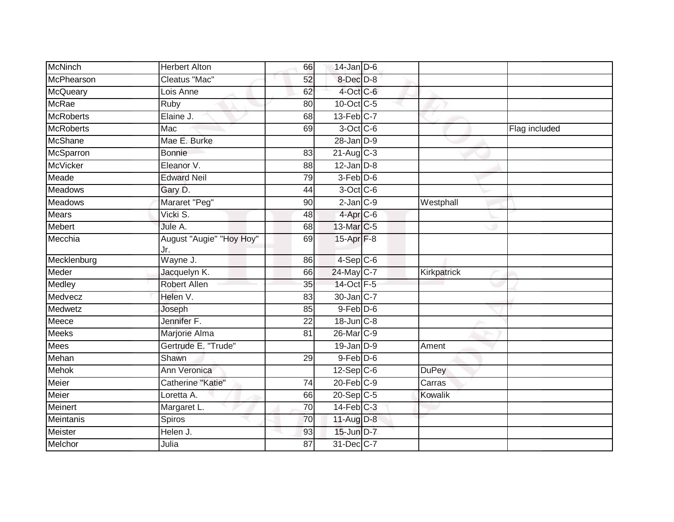| McNinch          | <b>Herbert Alton</b>            | 66 | $14$ -Jan D-6          |              |               |
|------------------|---------------------------------|----|------------------------|--------------|---------------|
| McPhearson       | Cleatus "Mac"                   | 52 | 8-Dec D-8              |              |               |
| McQueary         | Lois Anne                       | 62 | 4-Oct C-6              |              |               |
| <b>McRae</b>     | Ruby                            | 80 | 10-Oct C-5             |              |               |
| <b>McRoberts</b> | Elaine J.                       | 68 | $13$ -Feb $C-7$        |              |               |
| <b>McRoberts</b> | Mac                             | 69 | $3$ -Oct C-6           |              | Flag included |
| <b>McShane</b>   | Mae E. Burke                    |    | $28$ -Jan $D-9$        |              |               |
| McSparron        | <b>Bonnie</b>                   | 83 | $21$ -Aug C-3          |              |               |
| <b>McVicker</b>  | Eleanor V.                      | 88 | $12$ -Jan $D-8$        |              |               |
| Meade            | <b>Edward Neil</b>              | 79 | 3-Feb D-6              |              |               |
| <b>Meadows</b>   | Gary D.                         | 44 | 3-Oct C-6              |              |               |
| <b>Meadows</b>   | Mararet "Peg"                   | 90 | $2$ -Jan $C-9$         | Westphall    |               |
| <b>Mears</b>     | Vicki S.                        | 48 | 4-Apr <sub>IC-6</sub>  |              |               |
| Mebert           | Jule A.                         | 68 | 13-Mar C-5             |              |               |
| Mecchia          | August "Augie" "Hoy Hoy"<br>Jr. | 69 | 15-Apr <sub>F-8</sub>  |              |               |
| Mecklenburg      | Wayne J.                        | 86 | $4-Sep$ C-6            |              |               |
| Meder            | Jacquelyn K.                    | 66 | 24-May C-7             | Kirkpatrick  |               |
| Medley           | <b>Robert Allen</b>             | 35 | 14-Oct F-5             |              |               |
| Medvecz          | Helen V.                        | 83 | $30$ -Jan $ C-7 $      |              |               |
| Medwetz          | Joseph                          | 85 | $9$ -Feb $D$ -6        |              |               |
| Meece            | Jennifer F.                     | 22 | $18$ -Jun $C-8$        |              |               |
| <b>Meeks</b>     | Marjorie Alma                   | 81 | 26-Mar <sub>IC-9</sub> |              |               |
| <b>Mees</b>      | Gertrude E. "Trude"             |    | $19$ -Jan $D-9$        | Ament        |               |
| Mehan            | Shawn                           | 29 | $9$ -Feb $D$ -6        |              |               |
| <b>Mehok</b>     | Ann Veronica                    |    | $12-Sep C-6$           | <b>DuPey</b> |               |
| Meier            | Catherine "Katie"               | 74 | $20$ -Feb $C-9$        | Carras       |               |
| <b>Meier</b>     | Loretta A.                      | 66 | 20-Sep C-5             | Kowalik      |               |
| Meinert          | Margaret L.                     | 70 | $14$ -Feb $C-3$        |              |               |
| Meintanis        | Spiros                          | 70 | 11-Aug D-8             |              |               |
| Meister          | Helen J.                        | 93 | 15-Jun D-7             |              |               |
| Melchor          | Julia                           | 87 | 31-Dec C-7             |              |               |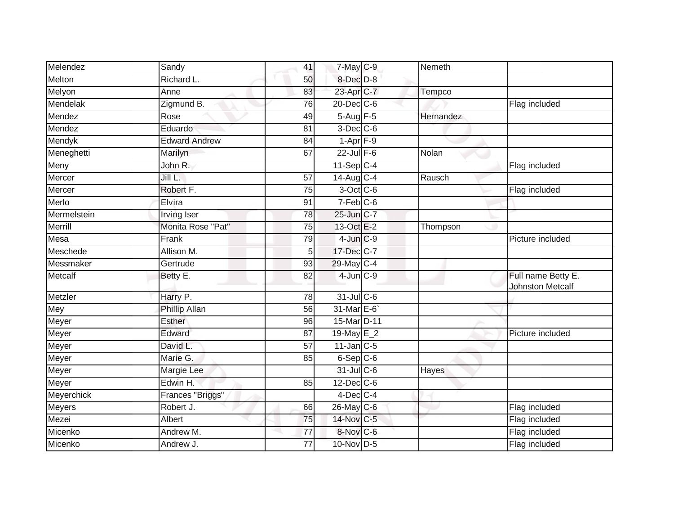| Melendez    | Sandy                | 41              | $7$ -May $C$ -9  | Nemeth    |                                               |
|-------------|----------------------|-----------------|------------------|-----------|-----------------------------------------------|
| Melton      | Richard L.           | 50              | 8-Dec D-8        |           |                                               |
| Melyon      | Anne                 | 83              | 23-Apr C-7       | Tempco    |                                               |
| Mendelak    | Zigmund B.           | 76              | $20$ -Dec $C$ -6 |           | Flag included                                 |
| Mendez      | Rose                 | 49              | 5-Aug F-5        | Hernandez |                                               |
| Mendez      | Eduardo              | 81              | $3$ -Dec $C$ -6  |           |                                               |
| Mendyk      | <b>Edward Andrew</b> | 84              | $1-Apr$ F-9      |           |                                               |
| Meneghetti  | Marilyn              | 67              | $22$ -Jul F-6    | Nolan     |                                               |
| Meny        | John R.              |                 | $11-Sep C-4$     |           | Flag included                                 |
| Mercer      | Jill L.              | 57              | 14-Aug C-4       | Rausch    |                                               |
| Mercer      | Robert F.            | $\overline{75}$ | 3-Oct C-6        |           | Flag included                                 |
| Merlo       | Elvira               | 91              | $7-Feb$ C-6      |           |                                               |
| Mermelstein | <b>Irving Iser</b>   | 78              | 25-Jun C-7       |           |                                               |
| Merrill     | Monita Rose "Pat"    | 75              | 13-Oct E-2       | Thompson  |                                               |
| Mesa        | Frank                | 79              | $4$ -Jun $C-9$   |           | Picture included                              |
| Meschede    | Allison M.           | 5               | 17-Dec C-7       |           |                                               |
| Messmaker   | Gertrude             | 93              | 29-May C-4       |           |                                               |
| Metcalf     | Betty E.             | 82              | $4$ -Jun $C-9$   |           | Full name Betty E.<br><b>Johnston Metcalf</b> |
| Metzler     | Harry P.             | 78              | $31$ -JulC-6     |           |                                               |
| Mey         | Phillip Allan        | 56              | 31-Mar E-6       |           |                                               |
| Meyer       | Esther               | 96              | 15-Mar D-11      |           |                                               |
| Meyer       | Edward               | 87              | 19-May $E_2$     |           | Picture included                              |
| Meyer       | David L.             | 57              | $11$ -Jan C-5    |           |                                               |
| Meyer       | Marie G.             | 85              | $6-Sep C-6$      |           |                                               |
| Meyer       | <b>Margie Lee</b>    |                 | $31$ -Jul C-6    | Hayes     |                                               |
| Meyer       | Edwin H.             | 85              | $12$ -Dec $C$ -6 |           |                                               |
| Meyerchick  | Frances "Briggs"     |                 | $4$ -Dec $C$ -4  |           |                                               |
| Meyers      | Robert J.            | 66              | 26-May C-6       |           | Flag included                                 |
| Mezei       | Albert               | 75              | 14-Nov C-5       |           | Flag included                                 |
| Micenko     | Andrew M.            | 77              | 8-Nov C-6        |           | Flag included                                 |
| Micenko     | Andrew J.            | 77              | 10-Nov D-5       |           | Flag included                                 |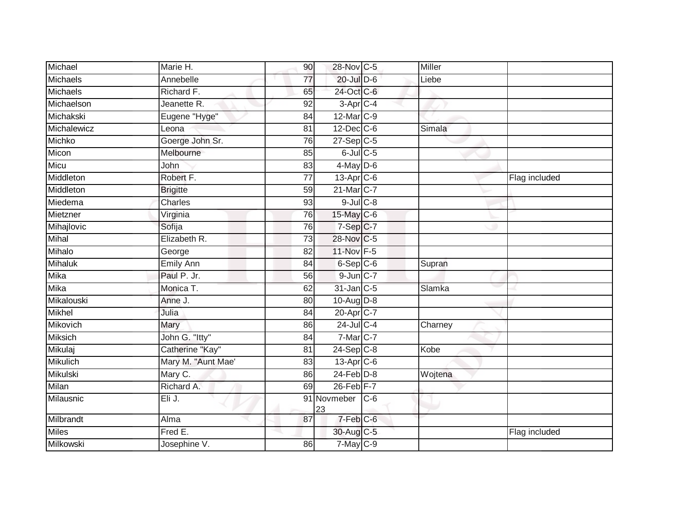| Michael         | Marie H.           | 90              | 28-Nov C-5        |       | Miller  |               |
|-----------------|--------------------|-----------------|-------------------|-------|---------|---------------|
| Michaels        | Annebelle          | $\overline{77}$ | 20-Jul D-6        |       | Liebe   |               |
| <b>Michaels</b> | Richard F.         | 65              | 24-Oct C-6        |       |         |               |
| Michaelson      | Jeanette R.        | 92              | $3-Apr$ C-4       |       |         |               |
| Michakski       | Eugene "Hyge"      | 84              | 12-Mar C-9        |       |         |               |
| Michalewicz     | Leona              | 81              | $12$ -Dec $C$ -6  |       | Simala  |               |
| Michko          | Goerge John Sr.    | 76              | $27-Sep$ $C-5$    |       |         |               |
| Micon           | Melbourne          | 85              | $6$ -Jul $C$ -5   |       |         |               |
| Micu            | John               | 83              | $4$ -May D-6      |       |         |               |
| Middleton       | Robert F.          | $\overline{77}$ | $13$ -Apr $C$ -6  |       |         | Flag included |
| Middleton       | <b>Brigitte</b>    | 59              | 21-Mar C-7        |       |         |               |
| Miedema         | Charles            | 93              | $9$ -Jul $C$ -8   |       |         |               |
| Mietzner        | Virginia           | 76              | 15-May C-6        |       |         |               |
| Mihajlovic      | Sofija             | 76              | $7-Sep C-7$       |       |         |               |
| Mihal           | Elizabeth R.       | 73              | 28-Nov C-5        |       |         |               |
| Mihalo          | George             | 82              | 11-Nov F-5        |       |         |               |
| <b>Mihaluk</b>  | <b>Emily Ann</b>   | 84              | $6-Sep$ $C-6$     |       | Supran  |               |
| Mika            | Paul P. Jr.        | 56              | $9$ -Jun $C-7$    |       |         |               |
| Mika            | Monica T.          | 62              | 31-Jan C-5        |       | Slamka  |               |
| Mikalouski      | Anne J.            | 80              | 10-Aug D-8        |       |         |               |
| Mikhel          | Julia              | 84              | 20-Apr C-7        |       |         |               |
| Mikovich        | Mary               | 86              | $24$ -Jul C-4     |       | Charney |               |
| Miksich         | John G. "Itty"     | 84              | $7$ -Mar $C$ -7   |       |         |               |
| Mikulaj         | Catherine "Kay"    | 81              | $24 - Sep$ C-8    |       | Kobe    |               |
| <b>Mikulich</b> | Mary M. "Aunt Mae" | 83              | $13-Apr$ C-6      |       |         |               |
| Mikulski        | Mary C.            | 86              | $24$ -Feb $D-8$   |       | Wojtena |               |
| Milan           | Richard A.         | 69              | $26$ -Feb $F-7$   |       |         |               |
| Milausnic       | Eli J.             |                 | 91 Novmeber<br>23 | $C-6$ |         |               |
| Milbrandt       | Alma               | 87              | 7-Feb C-6         |       |         |               |
| <b>Miles</b>    | Fred E.            |                 | 30-Aug C-5        |       |         | Flag included |
| Milkowski       | Josephine V.       | 86              | $7$ -May C-9      |       |         |               |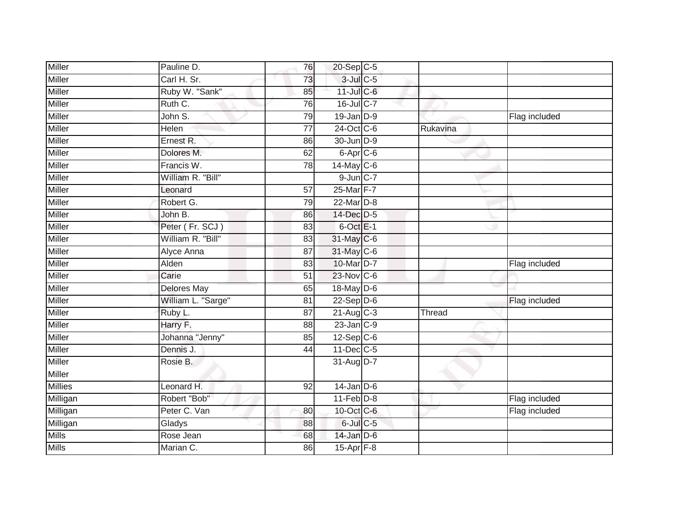| Miller         | Pauline D.         | 76              | 20-Sep C-5              |          |               |
|----------------|--------------------|-----------------|-------------------------|----------|---------------|
| Miller         | Carl H. Sr.        | 73              | $3$ -Jul $C$ -5         |          |               |
| <b>Miller</b>  | Ruby W. "Sank"     | 85              | 11-Jul C-6              |          |               |
| Miller         | Ruth C.            | 76              | 16-Jul C-7              |          |               |
| <b>Miller</b>  | John S.            | 79              | $19$ -Jan $D-9$         |          | Flag included |
| Miller         | Helen              | $\overline{77}$ | 24-Oct C-6              | Rukavina |               |
| Miller         | Ernest R.          | 86              | 30-Jun D-9              |          |               |
| Miller         | Dolores M.         | 62              | 6-Apr C-6               |          |               |
| Miller         | Francis W.         | 78              | $14$ -May C-6           |          |               |
| Miller         | William R. "Bill"  |                 | $9$ -Jun $C-7$          |          |               |
| Miller         | Leonard            | 57              | 25-Mar F-7              |          |               |
| Miller         | Robert G.          | 79              | 22-Mar D-8              |          |               |
| Miller         | John B.            | 86              | 14-Dec D-5              |          |               |
| Miller         | Peter (Fr. SCJ)    | 83              | 6-Oct E-1               |          |               |
| <b>Miller</b>  | William R. "Bill"  | 83              | 31-May C-6              |          |               |
| Miller         | Alyce Anna         | 87              | 31-May C-6              |          |               |
| <b>Miller</b>  | Alden              | 83              | 10-Mar D-7              |          | Flag included |
| <b>Miller</b>  | Carie              | 51              | 23-Nov C-6              |          |               |
| Miller         | <b>Delores May</b> | 65              | 18-May $D-6$            |          |               |
| Miller         | William L. "Sarge" | 81              | $22-Sep$ D-6            |          | Flag included |
| <b>Miller</b>  | Ruby L.            | 87              | $21-Aug$ <sub>C-3</sub> | Thread   |               |
| Miller         | Harry F.           | 88              | $23$ -Jan $C-9$         |          |               |
| Miller         | Johanna "Jenny"    | 85              | $12-Sep$ C-6            |          |               |
| Miller         | Dennis J.          | 44              | 11-Dec C-5              |          |               |
| <b>Miller</b>  | Rosie B.           |                 | $31$ -AugD-7            |          |               |
| Miller         |                    |                 |                         |          |               |
| <b>Millies</b> | Leonard H.         | 92              | $14$ -Jan D-6           |          |               |
| Milligan       | Robert "Bob"       |                 | $11-Feb D-8$            |          | Flag included |
| Milligan       | Peter C. Van       | 80              | 10-Oct C-6              |          | Flag included |
| Milligan       | Gladys             | 88              | 6-Jul C-5               |          |               |
| <b>Mills</b>   | Rose Jean          | 68              | 14-Jan D-6              |          |               |
| <b>Mills</b>   | Marian C.          | 86              | $15-Apr$ F-8            |          |               |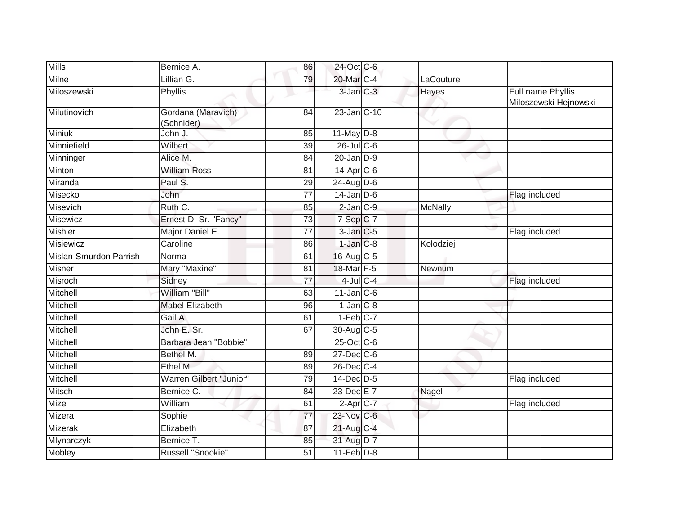| <b>Mills</b>           | Bernice A.                       | 86 | 24-Oct C-6             |              |                                            |
|------------------------|----------------------------------|----|------------------------|--------------|--------------------------------------------|
| Milne                  | Lillian G.                       | 79 | 20-Mar C-4             | LaCouture    |                                            |
| Miloszewski            | <b>Phyllis</b>                   |    | 3-Jan C-3              | <b>Hayes</b> | Full name Phyllis<br>Miloszewski Hejnowski |
| Milutinovich           | Gordana (Maravich)<br>(Schnider) | 84 | 23-Jan C-10            |              |                                            |
| Miniuk                 | John J.                          | 85 | $11$ -May $D-8$        |              |                                            |
| Minniefield            | Wilbert                          | 39 | $26$ -Jul C-6          |              |                                            |
| Minninger              | Alice M.                         | 84 | $20$ -Jan $D-9$        | v.           |                                            |
| Minton                 | <b>William Ross</b>              | 81 | $14-Apr$ $C-6$         |              |                                            |
| Miranda                | Paul S.                          | 29 | $24$ -Aug D-6          |              |                                            |
| Misecko                | John                             | 77 | $14$ -Jan D-6          |              | Flag included                              |
| Misevich               | Ruth C.                          | 85 | $2$ -Jan $C-9$         | McNally      |                                            |
| Misewicz               | Ernest D. Sr. "Fancy"            | 73 | 7-Sep C-7              |              |                                            |
| <b>Mishler</b>         | Major Daniel E.                  | 77 | $3$ -Jan $C$ -5        |              | Flag included                              |
| Misiewicz              | Caroline                         | 86 | $1$ -Jan $C-8$         | Kolodziej    |                                            |
| Mislan-Smurdon Parrish | Norma                            | 61 | 16-Aug C-5             |              |                                            |
| Misner                 | Mary "Maxine"                    | 81 | 18-Mar F-5             | Newnum       |                                            |
| Misroch                | Sidney                           | 77 | $4$ -Jul $C-4$         |              | Flag included                              |
| Mitchell               | William "Bill"                   | 63 | $11$ -Jan $C$ -6       |              |                                            |
| Mitchell               | <b>Mabel Elizabeth</b>           | 96 | $1$ -Jan $C-8$         |              |                                            |
| Mitchell               | Gail A.                          | 61 | $1-Feb$ <sub>C-7</sub> |              |                                            |
| Mitchell               | John E. Sr.                      | 67 | $30$ -Aug C-5          |              |                                            |
| Mitchell               | Barbara Jean "Bobbie"            |    | 25-Oct C-6             |              |                                            |
| Mitchell               | Bethel M.                        | 89 | 27-Dec C-6             |              |                                            |
| Mitchell               | Ethel M.                         | 89 | 26-Dec C-4             |              |                                            |
| Mitchell               | Warren Gilbert "Junior"          | 79 | 14-Dec D-5             |              | Flag included                              |
| Mitsch                 | Bernice C.                       | 84 | 23-Dec E-7             | Nagel        |                                            |
| Mize                   | William                          | 61 | $2-Apr$ C-7            |              | Flag included                              |
| Mizera                 | Sophie                           | 77 | 23-Nov C-6             |              |                                            |
| Mizerak                | Elizabeth                        | 87 | 21-Aug C-4             |              |                                            |
| Mlynarczyk             | Bernice T.                       | 85 | 31-Aug D-7             |              |                                            |
| Mobley                 | Russell "Snookie"                | 51 | $11-Feb$ D-8           |              |                                            |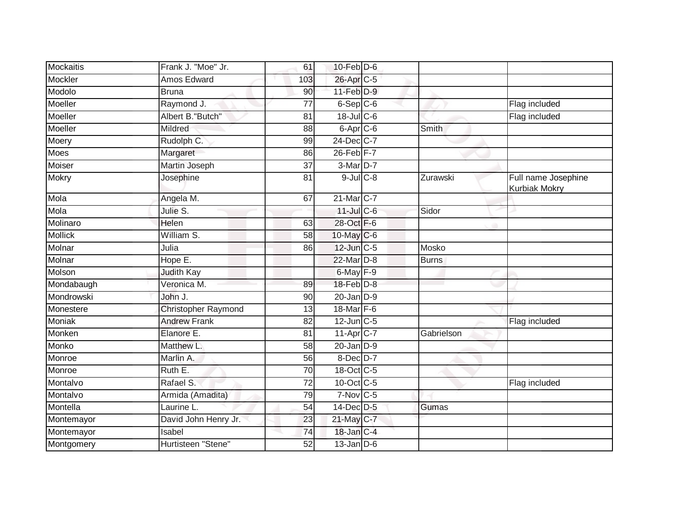| Mockaitis      | Frank J. "Moe" Jr.         | 61              | $10$ -Feb $D-6$              |              |                                             |
|----------------|----------------------------|-----------------|------------------------------|--------------|---------------------------------------------|
| Mockler        | <b>Amos Edward</b>         | 103             | 26-Apr C-5                   |              |                                             |
| Modolo         | <b>Bruna</b>               | 90              | $11-Feb$ D-9                 |              |                                             |
| Moeller        | Raymond J.                 | 77              | $6-Sep C-6$                  |              | Flag included                               |
| Moeller        | Albert B."Butch"           | $\overline{81}$ | $18$ -Jul C-6                |              | Flag included                               |
| Moeller        | Mildred                    | 88              | $6 - \overline{Apr}$ $C - 6$ | Smith        |                                             |
| Moery          | Rudolph C.                 | 99              | 24-Dec C-7                   |              |                                             |
| Moes           | Margaret                   | 86              | $26$ -Feb $F-7$              |              |                                             |
| Moiser         | Martin Joseph              | 37              | $3-Mar$ D-7                  |              |                                             |
| Mokry          | Josephine                  | 81              | $9$ -Jul $C$ -8              | Zurawski     | Full name Josephine<br><b>Kurbiak Mokry</b> |
| Mola           | Angela M.                  | 67              | 21-Mar <sub>C-7</sub>        |              |                                             |
| Mola           | Julie S.                   |                 | $11$ -Jul C-6                | Sidor        | л                                           |
| Molinaro       | Helen                      | 63              | 28-Oct F-6                   |              |                                             |
| <b>Mollick</b> | William S.                 | 58              | 10-May C-6                   |              |                                             |
| Molnar         | Julia                      | 86              | 12-Jun C-5                   | Mosko        |                                             |
| Molnar         | Hope E.                    |                 | 22-Mar D-8                   | <b>Burns</b> |                                             |
| Molson         | Judith Kay                 |                 | $6$ -May $F-9$               |              |                                             |
| Mondabaugh     | Veronica M.                | 89              | $18$ -Feb $D-8$              |              |                                             |
| Mondrowski     | John J.                    | 90              | $20$ -Jan $D-9$              |              |                                             |
| Monestere      | <b>Christopher Raymond</b> | 13              | 18-Mar F-6                   |              |                                             |
| Moniak         | <b>Andrew Frank</b>        | 82              | $12$ -Jun $C-5$              |              | Flag included                               |
| Monken         | Elanore E.                 | 81              | $11-Apr$ $C-7$               | Gabrielson   |                                             |
| Monko          | Matthew L.                 | $\overline{58}$ | $20$ -Jan $D-9$              |              |                                             |
| Monroe         | Marlin A.                  | 56              | 8-Dec D-7                    |              |                                             |
| Monroe         | Ruth E.                    | 70              | 18-Oct C-5                   |              |                                             |
| Montalvo       | Rafael S.                  | 72              | 10-Oct C-5                   |              | Flag included                               |
| Montalvo       | Armida (Amadita)           | 79              | $7-Nov$ C-5                  |              |                                             |
| Montella       | Laurine L.                 | 54              | 14-Dec D-5                   | Gumas        |                                             |
| Montemayor     | David John Henry Jr.       | 23              | 21-May C-7                   |              |                                             |
| Montemayor     | Isabel                     | 74              | 18-Jan C-4                   |              |                                             |
| Montgomery     | Hurtisteen "Stene"         | 52              | $13$ -Jan $D-6$              |              |                                             |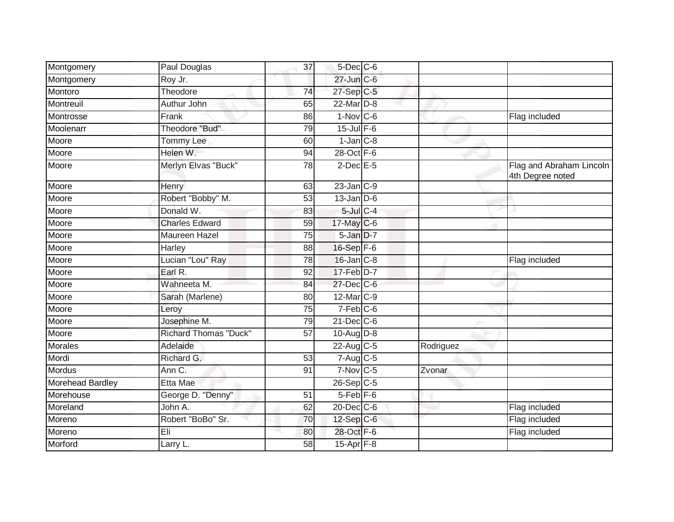| Montgomery              | Paul Douglas                 | 37              | $5$ -Dec $C$ -6      |           |                                              |
|-------------------------|------------------------------|-----------------|----------------------|-----------|----------------------------------------------|
| Montgomery              | Roy Jr.                      |                 | 27-Jun C-6           |           |                                              |
| Montoro                 | Theodore                     | 74              | 27-Sep C-5           |           |                                              |
| Montreuil               | Authur John                  | 65              | 22-Mar D-8           |           |                                              |
| Montrosse               | Frank                        | 86              | $1-Nov$ $C-6$        |           | Flag included                                |
| Moolenarr               | <b>Theodore "Bud"</b>        | $\overline{79}$ | $15$ -Jul $F-6$      |           |                                              |
| Moore                   | <b>Tommy Lee</b>             | 60              | $1$ -Jan $C-8$       |           |                                              |
| Moore                   | Helen W.                     | 94              | 28-Oct F-6           |           |                                              |
| Moore                   | Merlyn Elvas "Buck"          | 78              | $2$ -Dec $E - 5$     |           | Flag and Abraham Lincoln<br>4th Degree noted |
| Moore                   | Henry                        | 63              | $23$ -Jan $C-9$      |           |                                              |
| Moore                   | Robert "Bobby" M.            | 53              | $13$ -Jan $ D-6 $    |           |                                              |
| Moore                   | Donald W.                    | 83              | $5$ -Jul $C$ -4      |           |                                              |
| Moore                   | <b>Charles Edward</b>        | 59              | 17-May C-6           |           |                                              |
| Moore                   | Maureen Hazel                | 75              | 5-Jan D-7            |           |                                              |
| Moore                   | Harley                       | 88              | 16-Sep F-6           |           |                                              |
| Moore                   | Lucian "Lou" Ray             | 78              | $16$ -Jan $C-8$      |           | Flag included                                |
| Moore                   | Earl R.                      | 92              | $17-Feb$ D-7         |           |                                              |
| Moore                   | Wahneeta M.                  | 84              | 27-Dec C-6           |           |                                              |
| Moore                   | Sarah (Marlene)              | 80              | $12$ -Mar $C-9$      |           |                                              |
| Moore                   | Leroy                        | 75              | $7-Feb$ C-6          |           |                                              |
| Moore                   | Josephine M.                 | 79              | $21$ -Dec $C$ -6     |           |                                              |
| Moore                   | <b>Richard Thomas "Duck"</b> | 57              | $10-Aug D-8$         |           |                                              |
| <b>Morales</b>          | Adelaide                     |                 | $22$ -Aug C-5        | Rodriguez |                                              |
| Mordi                   | Richard G.                   | 53              | 7-Aug C-5            |           |                                              |
| <b>Mordus</b>           | Ann C.                       | 91              | $7-Nov$ C-5          | Zvonar    |                                              |
| <b>Morehead Bardley</b> | <b>Etta Mae</b>              |                 | $26-Sep$ C-5         |           |                                              |
| Morehouse               | George D. "Denny"            | 51              | 5-Feb <sup>F-6</sup> |           |                                              |
| Moreland                | John A.                      | 62              | 20-Dec C-6           |           | Flag included                                |
| Moreno                  | Robert "BoBo" Sr.            | 70              | 12-Sep C-6           |           | Flag included                                |
| Moreno                  | Eli                          | 80              | 28-Oct F-6           |           | Flag included                                |
| Morford                 | Larry L.                     | 58              | 15-Apr F-8           |           |                                              |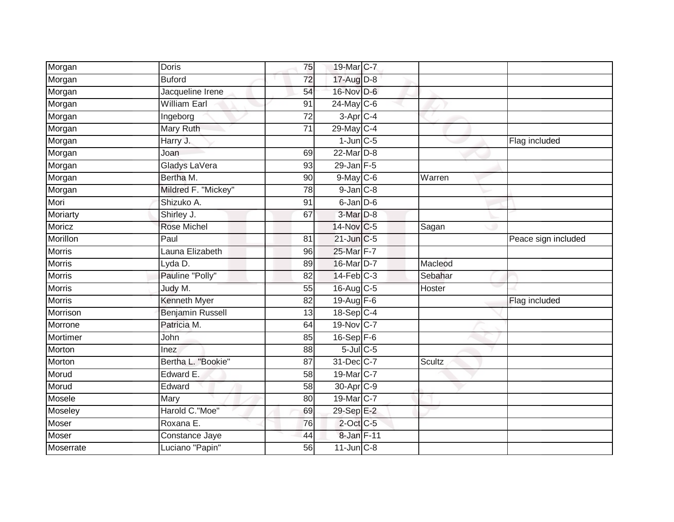| Morgan          | <b>Doris</b>            | 75              | 19-Mar C-7             |               |                     |
|-----------------|-------------------------|-----------------|------------------------|---------------|---------------------|
| Morgan          | <b>Buford</b>           | 72              | 17-Aug D-8             |               |                     |
| Morgan          | Jacqueline Irene        | 54              | 16-Nov D-6             |               |                     |
| Morgan          | <b>William Earl</b>     | 91              | 24-May C-6             |               |                     |
| Morgan          | Ingeborg                | $\overline{72}$ | $3-Apr$ <sub>C-4</sub> |               |                     |
| Morgan          | Mary Ruth               | 71              | 29-May C-4             |               |                     |
| Morgan          | Harry J.                |                 | $1$ -Jun $C$ -5        |               | Flag included       |
| Morgan          | Joan                    | 69              | $22$ -Mar $D-8$        |               |                     |
| Morgan          | Gladys LaVera           | 93              | $29$ -Jan $F-5$        |               |                     |
| Morgan          | Bertha M.               | 90              | $9$ -May C-6           | Warren        |                     |
| Morgan          | Mildred F. "Mickey"     | 78              | $9$ -Jan $C-8$         |               |                     |
| Mori            | Shizuko A.              | 91              | 6-Jan D-6              |               |                     |
| Moriarty        | Shirley J.              | 67              | 3-Mar <sub>D-8</sub>   |               |                     |
| Moricz          | <b>Rose Michel</b>      |                 | 14-Nov C-5             | Sagan         |                     |
| Morillon        | Paul                    | 81              | 21-Jun C-5             |               | Peace sign included |
| Morris          | Launa Elizabeth         | 96              | 25-Mar F-7             |               |                     |
| <b>Morris</b>   | Lyda D.                 | 89              | 16-Mar D-7             | Macleod       |                     |
| Morris          | Pauline "Polly"         | 82              | $14$ -Feb $C-3$        | Sebahar       |                     |
| Morris          | Judy M.                 | 55              | 16-Aug C-5             | Hoster        |                     |
| <b>Morris</b>   | Kenneth Myer            | 82              | 19-Aug F-6             |               | Flag included       |
| Morrison        | <b>Benjamin Russell</b> | 13              | 18-Sep C-4             |               |                     |
| Morrone         | Patricia M.             | 64              | 19-Nov C-7             |               |                     |
| <b>Mortimer</b> | John                    | 85              | $16 - Sep$ $F-6$       |               |                     |
| Morton          | Inez                    | 88              | $5$ -Jul $C$ -5        |               |                     |
| Morton          | Bertha L. "Bookie"      | 87              | 31-Dec C-7             | <b>Scultz</b> |                     |
| Morud           | Edward E.               | 58              | 19-Mar C-7             |               |                     |
| Morud           | Edward                  | 58              | 30-Apr <sub>C-9</sub>  |               |                     |
| Mosele          | Mary                    | 80              | 19-Mar C-7             |               |                     |
| Moseley         | Harold C."Moe"          | 69              | 29-Sep E-2             |               |                     |
| Moser           | Roxana E.               | 76              | $2$ -Oct C-5           |               |                     |
| Moser           | Constance Jaye          | 44              | 8-Jan F-11             |               |                     |
| Moserrate       | Luciano "Papin"         | $\overline{56}$ | $11$ -Jun $C-8$        |               |                     |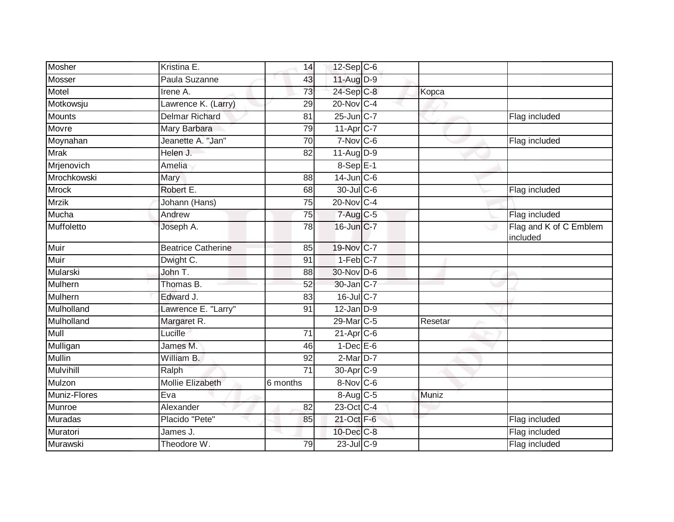| Mosher           | Kristina E.               | 14              | $12$ -Sep $ C$ -6      |         |                                    |
|------------------|---------------------------|-----------------|------------------------|---------|------------------------------------|
| Mosser           | Paula Suzanne             | 43              | 11-Aug D-9             |         |                                    |
| Motel            | Irene A.                  | 73              | $24-Sep$ C-8           | Kopca   |                                    |
| Motkowsju        | Lawrence K. (Larry)       | 29              | 20-Nov C-4             |         |                                    |
| <b>Mounts</b>    | <b>Delmar Richard</b>     | 81              | 25-Jun C-7             |         | Flag included                      |
| Movre            | Mary Barbara              | 79              | 11-Apr C-7             |         |                                    |
| Moynahan         | Jeanette A. "Jan"         | 70              | $7-Nov$ C-6            |         | Flag included                      |
| <b>Mrak</b>      | Helen J.                  | 82              | $11-Aug$ D-9           |         |                                    |
| Mrjenovich       | Amelia                    |                 | $8-SepE-1$             |         |                                    |
| Mrochkowski      | Mary                      | 88              | $14$ -Jun $C-6$        |         |                                    |
| <b>Mrock</b>     | Robert E.                 | 68              | 30-Jul C-6             |         | Flag included                      |
| <b>Mrzik</b>     | Johann (Hans)             | 75              | 20-Nov C-4             |         |                                    |
| Mucha            | Andrew                    | 75              | $7-Aug$ <sub>C-5</sub> |         | Flag included                      |
| Muffoletto       | Joseph A.                 | $\overline{78}$ | 16-Jun C-7             | w       | Flag and K of C Emblem<br>included |
| Muir             | <b>Beatrice Catherine</b> | 85              | 19-Nov C-7             |         |                                    |
| Muir             | Dwight C.                 | 91              | $1-Feb$ C-7            |         |                                    |
| Mularski         | John T.                   | 88              | 30-Nov D-6             |         |                                    |
| Mulhern          | Thomas B.                 | 52              | 30-Jan C-7             |         |                                    |
| Mulhern          | Edward J.                 | 83              | $16$ -JulC-7           |         |                                    |
| Mulholland       | Lawrence E. "Larry"       | 91              | $12$ -Jan $D-9$        |         |                                    |
| Mulholland       | Margaret R.               |                 | 29-Mar C-5             | Resetar |                                    |
| Mull             | Lucille                   | 71              | $21-Apr$ $C-6$         |         |                                    |
| Mulligan         | James M.                  | 46              | $1-Dec$ E-6            |         |                                    |
| <b>Mullin</b>    | William B.                | 92              | $2$ -Mar $D-7$         |         |                                    |
| <b>Mulvihill</b> | Ralph                     | $\overline{71}$ | 30-Apr <sub>C-9</sub>  |         |                                    |
| Mulzon           | <b>Mollie Elizabeth</b>   | 6 months        | 8-Nov C-6              |         |                                    |
| Muniz-Flores     | Eva                       |                 | 8-Aug C-5              | Muniz   |                                    |
| Munroe           | Alexander                 | 82              | 23-Oct C-4             |         |                                    |
| <b>Muradas</b>   | Placido "Pete"            | 85              | 21-Oct F-6             |         | Flag included                      |
| Muratori         | James J.                  |                 | 10-Dec C-8             |         | Flag included                      |
| Murawski         | Theodore W.               | 79              | $23$ -Jul C-9          |         | Flag included                      |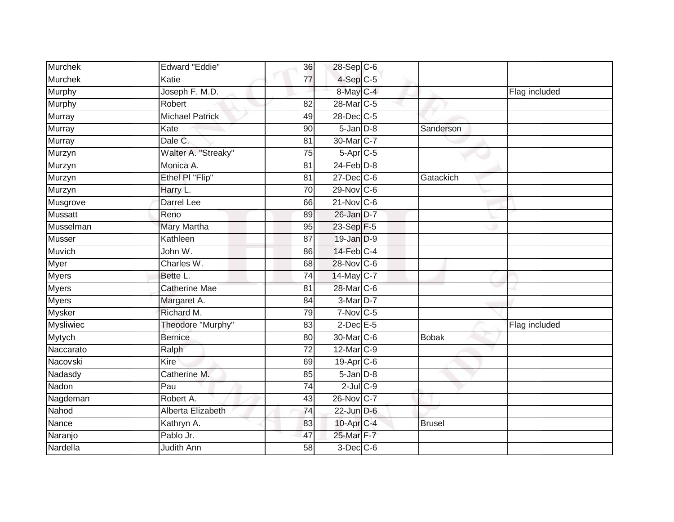| Murchek          | <b>Edward "Eddie"</b>  | 36              | 28-Sep C-6             |               |               |
|------------------|------------------------|-----------------|------------------------|---------------|---------------|
| <b>Murchek</b>   | Katie                  | 77              | $4-Sep$ C-5            |               |               |
| <b>Murphy</b>    | Joseph F. M.D.         |                 | $8$ -May $C$ -4        |               | Flag included |
| Murphy           | Robert                 | 82              | 28-Mar <sub>IC-5</sub> |               |               |
| Murray           | <b>Michael Patrick</b> | 49              | 28-Dec C-5             |               |               |
| Murray           | Kate                   | 90              | $5$ -Jan $D-8$         | Sanderson     |               |
| Murray           | Dale C.                | 81              | 30-Mar <sub>IC-7</sub> |               |               |
| Murzyn           | Walter A. "Streaky"    | 75              | $5-Apr$ $C-5$          |               |               |
| Murzyn           | Monica A.              | 81              | $24$ -Feb $D-8$        |               |               |
| Murzyn           | Ethel PI "Flip"        | 81              | 27-Dec C-6             | Gatackich     |               |
| Murzyn           | Harry L.               | 70              | 29-Nov C-6             |               |               |
| Musgrove         | Darrel Lee             | 66              | $21$ -Nov $C-6$        |               |               |
| <b>Mussatt</b>   | Reno                   | 89              | 26-Jan D-7             |               |               |
| Musselman        | Mary Martha            | 95              | 23-Sep F-5             |               |               |
| <b>Musser</b>    | Kathleen               | 87              | 19-Jan D-9             |               |               |
| Muvich           | John W.                | 86              | 14-Feb C-4             |               |               |
| Myer             | Charles W.             | 68              | 28-Nov C-6             |               |               |
| <b>Myers</b>     | Bette L.               | 74              | 14-May C-7             |               |               |
| <b>Myers</b>     | <b>Catherine Mae</b>   | 81              | 28-Mar C-6             |               |               |
| <b>Myers</b>     | Margaret A.            | 84              | $3-Mar$ D-7            |               |               |
| Mysker           | Richard M.             | 79              | $7-Nov$ C-5            |               |               |
| <b>Mysliwiec</b> | Theodore "Murphy"      | 83              | $2$ -Dec $E$ -5        |               | Flag included |
| Mytych           | <b>Bernice</b>         | 80              | 30-Mar C-6             | <b>Bobak</b>  |               |
| Naccarato        | Ralph                  | $\overline{72}$ | 12-Mar C-9             |               |               |
| Nacovski         | <b>Kire</b>            | 69              | $19-Apr$ $C-6$         |               |               |
| Nadasdy          | Catherine M.           | 85              | $5$ -Jan $D-8$         |               |               |
| Nadon            | Pau                    | 74              | $2$ -Jul $C$ -9        |               |               |
| Nagdeman         | Robert A.              | 43              | 26-Nov C-7             |               |               |
| Nahod            | Alberta Elizabeth      | 74              | $22$ -Jun $D-6$        |               |               |
| Nance            | Kathryn A.             | 83              | 10-Apr C-4             | <b>Brusel</b> |               |
| Naranjo          | Pablo Jr.              | 47              | 25-Mar F-7             |               |               |
| Nardella         | Judith Ann             | $\overline{58}$ | $3$ -Dec $C$ -6        |               |               |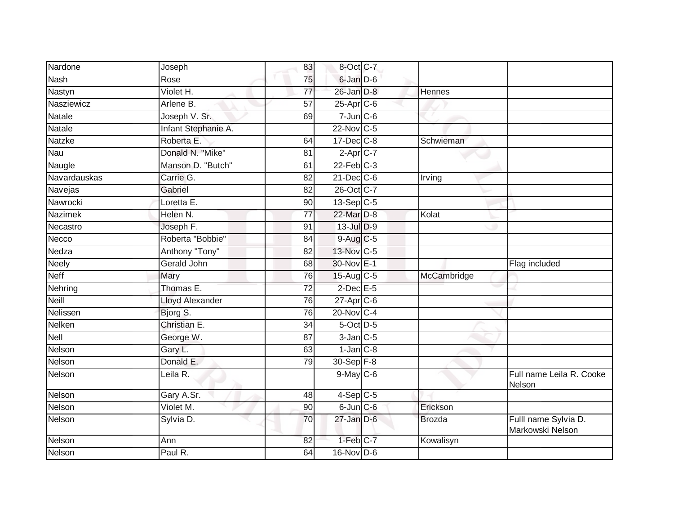| Nardone        | Joseph                 | 83              | 8-Oct C-7              |               |                                          |
|----------------|------------------------|-----------------|------------------------|---------------|------------------------------------------|
| <b>Nash</b>    | Rose                   | 75              | 6-Jan D-6              |               |                                          |
| Nastyn         | Violet H.              | $\overline{77}$ | $26$ -Jan $D-8$        | <b>Hennes</b> |                                          |
| Nasziewicz     | Arlene B.              | 57              | $25$ -Apr $C$ -6       |               |                                          |
| <b>Natale</b>  | Joseph V. Sr.          | 69              | $7$ -Jun $C$ -6        |               |                                          |
| Natale         | Infant Stephanie A.    |                 | 22-Nov C-5             |               |                                          |
| Natzke         | Roberta E.             | 64              | 17-Dec C-8             | Schwieman     |                                          |
| Nau            | Donald N. "Mike"       | 81              | $2-Apr$ C-7            |               |                                          |
| Naugle         | Manson D. "Butch"      | 61              | $22$ -Feb $C-3$        |               |                                          |
| Navardauskas   | Carrie G.              | 82              | $21$ -Dec $C$ -6       | <b>Irving</b> |                                          |
| Navejas        | Gabriel                | 82              | 26-Oct C-7             |               |                                          |
| Nawrocki       | Loretta E.             | 90              | $13-Sep$ C-5           |               |                                          |
| <b>Nazimek</b> | Helen N.               | 77              | 22-Mar D-8             | Kolat         |                                          |
| Necastro       | Joseph F.              | 91              | $13$ -Jul $D-9$        |               |                                          |
| Necco          | Roberta "Bobbie"       | 84              | 9-Aug C-5              |               |                                          |
| Nedza          | Anthony "Tony"         | 82              | 13-Nov C-5             |               |                                          |
| <b>Neely</b>   | <b>Gerald John</b>     | 68              | 30-Nov E-1             |               | Flag included                            |
| <b>Neff</b>    | Mary                   | 76              | $15$ -Aug C-5          | McCambridge   |                                          |
| Nehring        | Thomas E.              | 72              | $2$ -Dec $E$ -5        |               |                                          |
| <b>Neill</b>   | <b>Lloyd Alexander</b> | 76              | $27$ -Apr $C$ -6       |               |                                          |
| Nelissen       | Bjorg S.               | $\overline{76}$ | 20-Nov C-4             |               |                                          |
| Nelken         | Christian E.           | 34              | 5-Oct D-5              |               |                                          |
| Nell           | George W.              | 87              | $3$ -Jan $C$ -5        |               |                                          |
| Nelson         | Gary L.                | 63              | $1$ -Jan $C-8$         |               |                                          |
| Nelson         | Donald E.              | 79              | 30-Sep F-8             |               |                                          |
| Nelson         | Leila R.               |                 | 9-May C-6              |               | Full name Leila R. Cooke<br>Nelson       |
| Nelson         | Gary A.Sr.             | $\overline{48}$ | $4-Sep$ C-5            |               |                                          |
| Nelson         | Violet M.              | 90              | $6$ -Jun $C$ -6        | Erickson      |                                          |
| Nelson         | Sylvia D.              | 70              | $27$ -Jan $D-6$        | <b>Brozda</b> | Fulll name Sylvia D.<br>Markowski Nelson |
| Nelson         | Ann                    | 82              | $1-Feb$ <sub>C-7</sub> | Kowalisyn     |                                          |
| Nelson         | Paul R.                | 64              | $16$ -Nov D-6          |               |                                          |
|                |                        |                 |                        |               |                                          |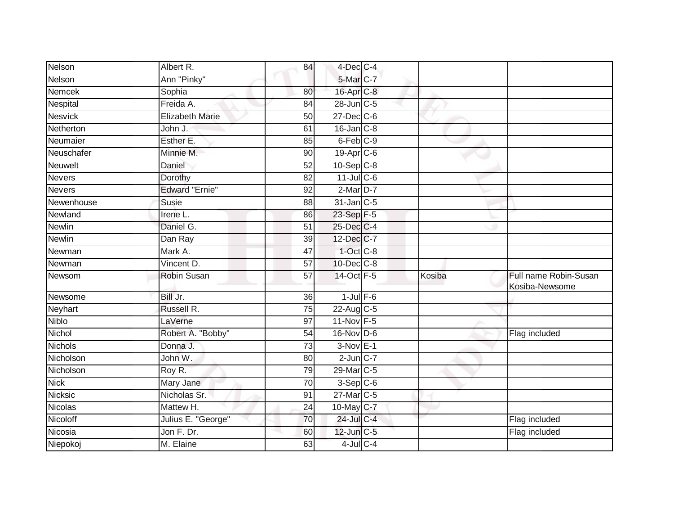| Albert R.              | 84              |  |                                                                                                                                                                                                                                                                                                                                                                                                                                                                                               |                                         |
|------------------------|-----------------|--|-----------------------------------------------------------------------------------------------------------------------------------------------------------------------------------------------------------------------------------------------------------------------------------------------------------------------------------------------------------------------------------------------------------------------------------------------------------------------------------------------|-----------------------------------------|
| Ann "Pinky"            |                 |  |                                                                                                                                                                                                                                                                                                                                                                                                                                                                                               |                                         |
| Sophia                 | 80              |  |                                                                                                                                                                                                                                                                                                                                                                                                                                                                                               |                                         |
| Freida A.              | 84              |  |                                                                                                                                                                                                                                                                                                                                                                                                                                                                                               |                                         |
| <b>Elizabeth Marie</b> | $\overline{50}$ |  |                                                                                                                                                                                                                                                                                                                                                                                                                                                                                               |                                         |
| John J.                | 61              |  |                                                                                                                                                                                                                                                                                                                                                                                                                                                                                               |                                         |
| Esther E.              | 85              |  |                                                                                                                                                                                                                                                                                                                                                                                                                                                                                               |                                         |
| Minnie M.              | 90              |  |                                                                                                                                                                                                                                                                                                                                                                                                                                                                                               |                                         |
| Daniel                 | 52              |  |                                                                                                                                                                                                                                                                                                                                                                                                                                                                                               |                                         |
| Dorothy                | 82              |  |                                                                                                                                                                                                                                                                                                                                                                                                                                                                                               |                                         |
| <b>Edward "Ernie"</b>  | 92              |  |                                                                                                                                                                                                                                                                                                                                                                                                                                                                                               |                                         |
| Susie                  | 88              |  |                                                                                                                                                                                                                                                                                                                                                                                                                                                                                               |                                         |
| Irene L.               | 86              |  |                                                                                                                                                                                                                                                                                                                                                                                                                                                                                               |                                         |
| Daniel G.              | 51              |  |                                                                                                                                                                                                                                                                                                                                                                                                                                                                                               |                                         |
| Dan Ray                | 39              |  |                                                                                                                                                                                                                                                                                                                                                                                                                                                                                               |                                         |
| Mark A.                | 47              |  |                                                                                                                                                                                                                                                                                                                                                                                                                                                                                               |                                         |
| Vincent D.             | $\overline{57}$ |  |                                                                                                                                                                                                                                                                                                                                                                                                                                                                                               |                                         |
| Robin Susan            | 57              |  | Kosiba                                                                                                                                                                                                                                                                                                                                                                                                                                                                                        | Full name Robin-Susan<br>Kosiba-Newsome |
| Bill Jr.               | 36              |  |                                                                                                                                                                                                                                                                                                                                                                                                                                                                                               |                                         |
| Russell R.             | 75              |  |                                                                                                                                                                                                                                                                                                                                                                                                                                                                                               |                                         |
| LaVerne                | 97              |  |                                                                                                                                                                                                                                                                                                                                                                                                                                                                                               |                                         |
| Robert A. "Bobby"      | 54              |  |                                                                                                                                                                                                                                                                                                                                                                                                                                                                                               | Flag included                           |
| Donna J.               | 73              |  |                                                                                                                                                                                                                                                                                                                                                                                                                                                                                               |                                         |
| John W.                | 80              |  |                                                                                                                                                                                                                                                                                                                                                                                                                                                                                               |                                         |
| Roy R.                 | 79              |  |                                                                                                                                                                                                                                                                                                                                                                                                                                                                                               |                                         |
| Mary Jane              | 70              |  |                                                                                                                                                                                                                                                                                                                                                                                                                                                                                               |                                         |
| Nicholas Sr.           | $\overline{91}$ |  |                                                                                                                                                                                                                                                                                                                                                                                                                                                                                               |                                         |
| Mattew H.              | 24              |  |                                                                                                                                                                                                                                                                                                                                                                                                                                                                                               |                                         |
| Julius E. "George"     | 70              |  |                                                                                                                                                                                                                                                                                                                                                                                                                                                                                               | Flag included                           |
| Jon F. Dr.             | 60              |  |                                                                                                                                                                                                                                                                                                                                                                                                                                                                                               | Flag included                           |
| M. Elaine              | 63              |  |                                                                                                                                                                                                                                                                                                                                                                                                                                                                                               |                                         |
|                        |                 |  | 4-Dec C-4<br>5-Mar C-7<br>16-Apr C-8<br>28-Jun C-5<br>$27 - Dec$ C-6<br>$16$ -Jan $C-8$<br>6-Feb C-9<br>19-Apr C-6<br>$10-Sep$ C-8<br>$11$ -Jul C-6<br>$2-MarD-7$<br>$31$ -Jan $ C-5 $<br>23-Sep F-5<br>25-Dec C-4<br>12-Dec C-7<br>$1$ -Oct $C$ -8<br>10-Dec C-8<br>14-Oct F-5<br>$1$ -Jul $F-6$<br>$22$ -Aug $C-5$<br>11-Nov F-5<br>$16-Nov$ D-6<br>$3-Nov$ E-1<br>$2$ -Jun $C-7$<br>29-Mar C-5<br>$3-Sep$ $C-6$<br>27-Mar C-5<br>10-May C-7<br>24-Jul C-4<br>12-Jun C-5<br>$4$ -Jul $C$ -4 |                                         |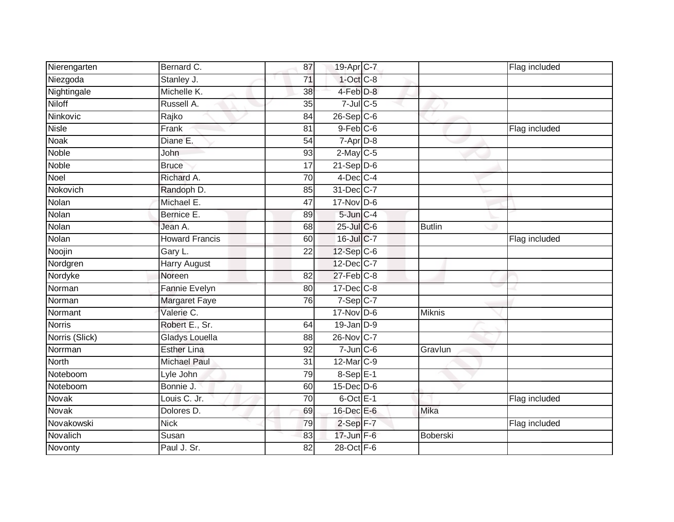| Nierengarten   | Bernard C.            | 87 | 19-Apr C-7       |                 | Flag included |
|----------------|-----------------------|----|------------------|-----------------|---------------|
| Niezgoda       | Stanley J.            | 71 | $1$ -Oct C-8     |                 |               |
| Nightingale    | Michelle K.           | 38 | 4-Feb D-8        |                 |               |
| Niloff         | Russell A.            | 35 | $7$ -Jul $C$ -5  |                 |               |
| Ninkovic       | Rajko                 | 84 | $26-Sep$ $C-6$   |                 |               |
| <b>Nisle</b>   | Frank                 | 81 | $9$ -Feb $C$ -6  |                 | Flag included |
| <b>Noak</b>    | Diane E.              | 54 | $7-Apr$ D-8      |                 |               |
| <b>Noble</b>   | John                  | 93 | $2$ -May C-5     |                 |               |
| <b>Noble</b>   | <b>Bruce</b>          | 17 | $21-Sep$ D-6     |                 |               |
| Noel           | Richard A.            | 70 | $4$ -Dec C-4     |                 |               |
| Nokovich       | Randoph D.            | 85 | 31-Dec C-7       |                 |               |
| Nolan          | Michael E.            | 47 | $17$ -Nov D-6    |                 |               |
| Nolan          | Bernice E.            | 89 | $5$ -Jun $C-4$   |                 |               |
| Nolan          | Jean A.               | 68 | $25$ -Jul $C$ -6 | <b>Butlin</b>   |               |
| Nolan          | <b>Howard Francis</b> | 60 | 16-Jul C-7       |                 | Flag included |
| Noojin         | Gary L.               | 22 | $12-Sep$ C-6     |                 |               |
| Nordgren       | <b>Harry August</b>   |    | 12-Dec C-7       |                 |               |
| Nordyke        | Noreen                | 82 | $27$ -Feb $C-8$  |                 |               |
| Norman         | Fannie Evelyn         | 80 | $17$ -Dec $C$ -8 |                 |               |
| Norman         | <b>Margaret Faye</b>  | 76 | $7-Sep C-7$      |                 |               |
| Normant        | Valerie C.            |    | $17$ -Nov D-6    | <b>Miknis</b>   |               |
| <b>Norris</b>  | Robert E., Sr.        | 64 | $19$ -Jan $D-9$  |                 |               |
| Norris (Slick) | Gladys Louella        | 88 | 26-Nov C-7       |                 |               |
| Norrman        | <b>Esther Lina</b>    | 92 | $7$ -Jun $C$ -6  | Gravlun         |               |
| <b>North</b>   | <b>Michael Paul</b>   | 31 | 12-Mar C-9       |                 |               |
| Noteboom       | Lyle John             | 79 | $8-$ Sep $E-1$   |                 |               |
| Noteboom       | Bonnie J.             | 60 | $15$ -Dec $D-6$  |                 |               |
| Novak          | Louis C. Jr.          | 70 | $6$ -Oct $E-1$   |                 | Flag included |
| <b>Novak</b>   | Dolores D.            | 69 | 16-Dec E-6       | Mika            |               |
| Novakowski     | <b>Nick</b>           | 79 | $2-Sep$ F-7      |                 | Flag included |
| Novalich       | Susan                 | 83 | $17$ -Jun $F-6$  | <b>Boberski</b> |               |
| Novonty        | Paul J. Sr.           | 82 | 28-Oct F-6       |                 |               |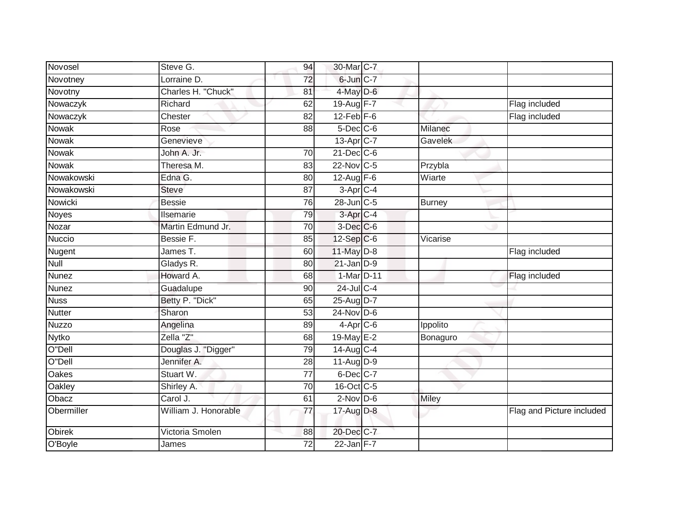| Novosel       | Steve G.             | 94              | 30-Mar C-7             |               |                           |
|---------------|----------------------|-----------------|------------------------|---------------|---------------------------|
| Novotney      | Lorraine D.          | 72              | $6$ -Jun $C-7$         |               |                           |
| Novotny       | Charles H. "Chuck"   | 81              | 4-May D-6              |               |                           |
| Nowaczyk      | Richard              | 62              | 19-Aug F-7             |               | Flag included             |
| Nowaczyk      | Chester              | $\overline{82}$ | $12$ -Feb $F-6$        |               | Flag included             |
| <b>Nowak</b>  | Rose                 | 88              | $5$ -Dec $C$ -6        | Milanec       |                           |
| Nowak         | Genevieve            |                 | $13$ -Apr $C$ -7       | Gavelek       |                           |
| Nowak         | John A. Jr.          | 70              | $21$ -Dec $C$ -6       |               |                           |
| <b>Nowak</b>  | Theresa M.           | 83              | 22-Nov C-5             | Przybla       |                           |
| Nowakowski    | Edna G.              | 80              | $12$ -Aug $F-6$        | Wiarte        |                           |
| Nowakowski    | Steve                | 87              | 3-Apr C-4              |               |                           |
| Nowicki       | <b>Bessie</b>        | 76              | 28-Jun C-5             | <b>Burney</b> |                           |
| Noyes         | Ilsemarie            | 79              | 3-Apr <sub>C-4</sub>   |               |                           |
| Nozar         | Martin Edmund Jr.    | 70              | $3$ -Dec $C$ -6        |               |                           |
| <b>Nuccio</b> | Bessie F.            | 85              | 12-Sep C-6             | Vicarise      |                           |
| Nugent        | James T.             | 60              | $11$ -May $D-8$        |               | Flag included             |
| Null          | Gladys R.            | 80              | $21$ -Jan $D-9$        |               |                           |
| <b>Nunez</b>  | Howard A.            | 68              | 1-Mar D-11             |               | Flag included             |
| <b>Nunez</b>  | Guadalupe            | 90              | 24-Jul C-4             |               |                           |
| <b>Nuss</b>   | Betty P. "Dick"      | 65              | 25-Aug D-7             |               |                           |
| <b>Nutter</b> | Sharon               | 53              | $24$ -Nov D-6          |               |                           |
| <b>Nuzzo</b>  | Angelina             | 89              | $4-Apr$ <sub>C-6</sub> | Ippolito      |                           |
| <b>Nytko</b>  | Zella "Z"            | 68              | 19-May E-2             | Bonaguro      |                           |
| O"Dell        | Douglas J. "Digger"  | 79              | $14$ -Aug C-4          |               |                           |
| O"Dell        | Jennifer A.          | 28              | 11-Aug D-9             |               |                           |
| Oakes         | Stuart W.            | 77              | $6$ -Dec $C$ -7        |               |                           |
| <b>Oakley</b> | Shirley A.           | $\overline{70}$ | 16-Oct C-5             |               |                           |
| Obacz         | Carol J.             | 61              | $2-Nov$ D-6            | <b>Miley</b>  |                           |
| Obermiller    | William J. Honorable | 77              | 17-Aug D-8             |               | Flag and Picture included |
| <b>Obirek</b> | Victoria Smolen      | 88              | 20-Dec C-7             |               |                           |
| O'Boyle       | James                | 72              | $22$ -Jan F-7          |               |                           |
|               |                      |                 |                        |               |                           |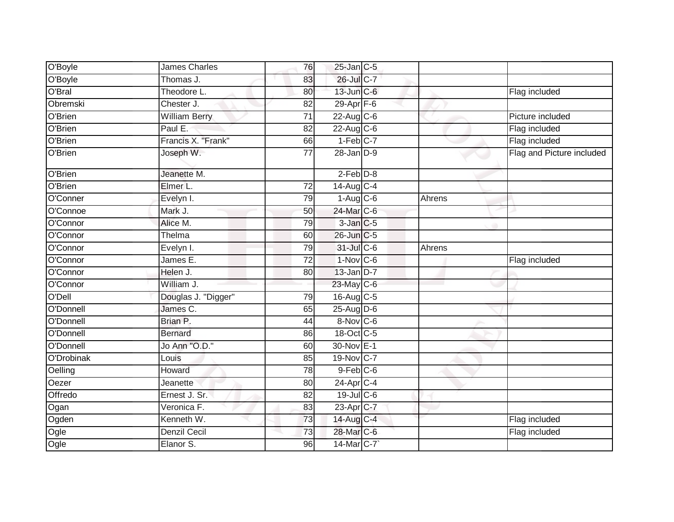| O'Boyle    | James Charles        | 76              | 25-Jan C-5             |        |                           |
|------------|----------------------|-----------------|------------------------|--------|---------------------------|
| O'Boyle    | Thomas J.            | 83              | 26-Jul C-7             |        |                           |
| O'Bral     | Theodore L.          | 80              | 13-Jun C-6             |        | Flag included             |
| Obremski   | Chester J.           | 82              | 29-Apr $F-6$           |        |                           |
| O'Brien    | <b>William Berry</b> | $\overline{71}$ | $22$ -Aug C-6          |        | Picture included          |
| O'Brien    | Paul E.              | 82              | $22$ -Aug C-6          |        | Flag included             |
| O'Brien    | Francis X. "Frank"   | 66              | $1-Feb$ <sub>C-7</sub> |        | Flag included             |
| O'Brien    | Joseph W.            | 77              | $28 - Jan$ $D-9$       |        | Flag and Picture included |
| O'Brien    | Jeanette M.          |                 | $2-Feb$ $D-8$          |        |                           |
| O'Brien    | Elmer L.             | 72              | $14$ -Aug $C-4$        |        |                           |
| O'Conner   | Evelyn I.            | 79              | $1-Aug$ $C-6$          | Ahrens |                           |
| O'Connoe   | Mark J.              | 50              | 24-Mar C-6             |        |                           |
| O'Connor   | Alice M.             | 79              | 3-Jan C-5              |        |                           |
| O'Connor   | Thelma               | 60              | 26-Jun C-5             |        |                           |
| O'Connor   | Evelyn I.            | 79              | 31-Jul C-6             | Ahrens |                           |
| O'Connor   | James E.             | 72              | $1-Nov$ C-6            |        | Flag included             |
| O'Connor   | Helen J.             | 80              | $13$ -Jan $D-7$        |        |                           |
| O'Connor   | William J.           |                 | 23-May C-6             |        |                           |
| O'Dell     | Douglas J. "Digger"  | 79              | $16$ -Aug C-5          |        |                           |
| O'Donnell  | James C.             | 65              | 25-Aug D-6             |        |                           |
| O'Donnell  | Brian P.             | 44              | 8-Nov C-6              |        |                           |
| O'Donnell  | <b>Bernard</b>       | 86              | 18-Oct C-5             |        |                           |
| O'Donnell  | Jo Ann "O.D."        | 60              | 30-Nov E-1             |        |                           |
| O'Drobinak | Louis                | 85              | 19-Nov C-7             |        |                           |
| Oelling    | Howard               | 78              | $9$ -Feb $C$ -6        |        |                           |
| Oezer      | Jeanette             | 80              | 24-Apr <sub>IC-4</sub> |        |                           |
| Offredo    | Ernest J. Sr.        | 82              | $19$ -Jul C-6          |        |                           |
| Ogan       | Veronica F.          | 83              | 23-Apr C-7             |        |                           |
| Ogden      | Kenneth W.           | 73              | 14-Aug C-4             |        | Flag included             |
| Ogle       | Denzil Cecil         | 73              | 28-Mar C-6             |        | Flag included             |
| Ogle       | Elanor S.            | 96              | 14-Mar C-7             |        |                           |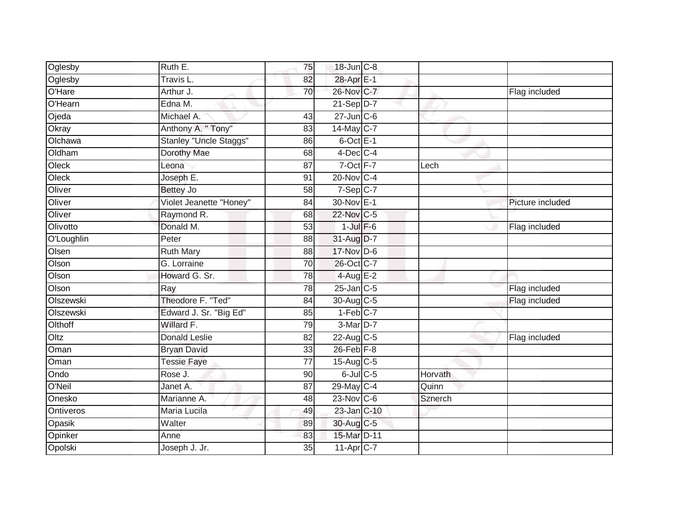| Oglesby    | Ruth E.                 | 75              | 18-Jun C-8             |         |                  |
|------------|-------------------------|-----------------|------------------------|---------|------------------|
| Oglesby    | Travis L.               | 82              | 28-Apr E-1             |         |                  |
| O'Hare     | Arthur J.               | 70              | 26-Nov C-7             |         | Flag included    |
| O'Hearn    | Edna M.                 |                 | $21-Sep D-7$           |         |                  |
| Ojeda      | Michael A.              | 43              | $27$ -Jun $C$ -6       |         |                  |
| Okray      | Anthony A. " Tony"      | 83              | 14-May C-7             |         |                  |
| Olchawa    | Stanley "Uncle Staggs"  | 86              | 6-Oct E-1              |         |                  |
| Oldham     | Dorothy Mae             | 68              | $4$ -Dec $C$ -4        |         |                  |
| Oleck      | Leona                   | 87              | 7-Oct F-7              | Lech    |                  |
| Oleck      | Joseph E.               | 91              | 20-Nov C-4             |         |                  |
| Oliver     | Bettey Jo               | 58              | $7-Sep$ C-7            |         |                  |
| Oliver     | Violet Jeanette "Honey" | 84              | 30-Nov E-1             |         | Picture included |
| Oliver     | Raymond R.              | 68              | 22-Nov C-5             |         |                  |
| Olivotto   | Donald M.               | 53              | $1$ -Jul $F-6$         |         | Flag included    |
| O'Loughlin | Peter                   | 88              | 31-Aug D-7             |         |                  |
| Olsen      | <b>Ruth Mary</b>        | 88              | 17-Nov D-6             |         |                  |
| Olson      | G. Lorraine             | $\overline{70}$ | 26-Oct C-7             |         |                  |
| Olson      | Howard G. Sr.           | 78              | $4$ -Aug $E-2$         |         |                  |
| Olson      | Ray                     | 78              | $25$ -Jan $C$ -5       |         | Flag included    |
| Olszewski  | Theodore F. "Ted"       | 84              | 30-Aug C-5             |         | Flag included    |
| Olszewski  | Edward J. Sr. "Big Ed"  | 85              | $1-Feb$ <sub>C-7</sub> |         |                  |
| Olthoff    | Willard F.              | 79              | $3-Mar$ D-7            |         |                  |
| Oltz       | <b>Donald Leslie</b>    | 82              | $22$ -Aug C-5          |         | Flag included    |
| Oman       | <b>Bryan David</b>      | 33              | $26$ -Feb $F-8$        |         |                  |
| Oman       | <b>Tessie Faye</b>      | 77              | $15$ -Aug C-5          |         |                  |
| Ondo       | Rose J.                 | 90              | $6$ -Jul $C$ -5        | Horvath |                  |
| O'Neil     | Janet A.                | 87              | 29-May C-4             | Quinn   |                  |
| Onesko     | Marianne A.             | 48              | $23$ -Nov C-6          | Sznerch |                  |
| Ontiveros  | Maria Lucila            | 49              | $23$ -Jan $ C-10 $     |         |                  |
| Opasik     | Walter                  | 89              | 30-Aug C-5             |         |                  |
| Opinker    | Anne                    | 83              | 15-Mar D-11            |         |                  |
| Opolski    | Joseph J. Jr.           | $\overline{35}$ | 11-Apr C-7             |         |                  |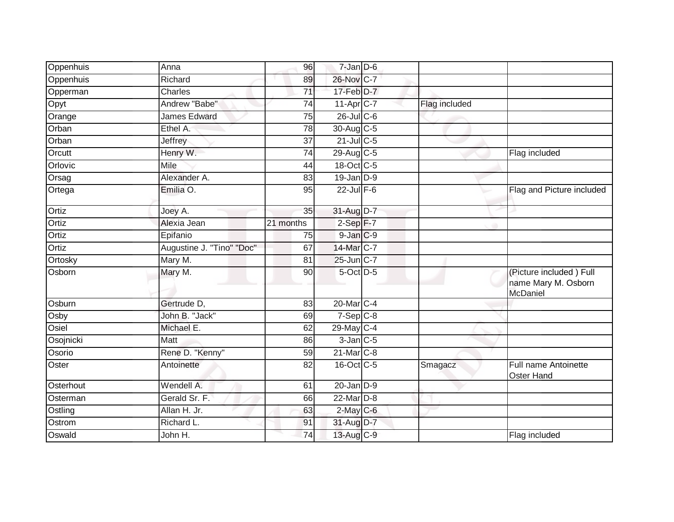| Oppenhuis | Anna                      | 96        | $7 - Jan$ $D-6$ |               |                                                            |
|-----------|---------------------------|-----------|-----------------|---------------|------------------------------------------------------------|
| Oppenhuis | Richard                   | 89        | 26-Nov C-7      |               |                                                            |
| Opperman  | Charles                   | 71        | 17-Feb D-7      |               |                                                            |
| Opyt      | Andrew "Babe"             | 74        | 11-Apr C-7      | Flag included |                                                            |
| Orange    | <b>James Edward</b>       | 75        | 26-Jul C-6      |               |                                                            |
| Orban     | Ethel A.                  | 78        | $30$ -Aug C-5   |               |                                                            |
| Orban     | Jeffrey                   | 37        | $21$ -Jul C-5   |               |                                                            |
| Orcutt    | Henry W.                  | 74        | 29-Aug $C-5$    |               | Flag included                                              |
| Orlovic   | Mile                      | 44        | 18-Oct C-5      |               |                                                            |
| Orsag     | Alexander A.              | 83        | 19-Jan D-9      |               |                                                            |
| Ortega    | Emilia O.                 | 95        | $22$ -Jul $F-6$ |               | Flag and Picture included                                  |
| Ortiz     | Joey A.                   | 35        | 31-Aug D-7      |               |                                                            |
| Ortiz     | Alexia Jean               | 21 months | $2-Sep$ F-7     |               |                                                            |
| Ortiz     | Epifanio                  | 75        | 9-Jan C-9       |               |                                                            |
| Ortiz     | Augustine J. "Tino" "Doc" | 67        | 14-Mar C-7      |               |                                                            |
| Ortosky   | Mary M.                   | 81        | $25$ -Jun $C-7$ |               |                                                            |
| Osborn    | Mary M.                   | 90        | 5-Oct D-5       |               | (Picture included) Full<br>name Mary M. Osborn<br>McDaniel |
| Osburn    | Gertrude D,               | 83        | 20-Mar C-4      |               |                                                            |
| Osby      | John B. "Jack"            | 69        | $7-Sep$ $C-8$   |               |                                                            |
| Osiel     | Michael E.                | 62        | 29-May C-4      |               |                                                            |
| Osojnicki | Matt                      | 86        | $3$ -Jan $C$ -5 |               |                                                            |
| Osorio    | Rene D. "Kenny"           | 59        | 21-Mar C-8      |               |                                                            |
| Oster     | Antoinette                | 82        | 16-Oct C-5      | Smagacz       | Full name Antoinette<br>Oster Hand                         |
| Osterhout | Wendell A.                | 61        | $20$ -Jan $D-9$ |               |                                                            |
| Osterman  | Gerald Sr. F.             | 66        | 22-Mar D-8      |               |                                                            |
| Ostling   | Allan H. Jr.              | 63        | $2$ -May $C$ -6 |               |                                                            |
| Ostrom    | Richard L.                | 91        | 31-Aug D-7      |               |                                                            |
| Oswald    | John H.                   | 74        | 13-Aug C-9      |               | Flag included                                              |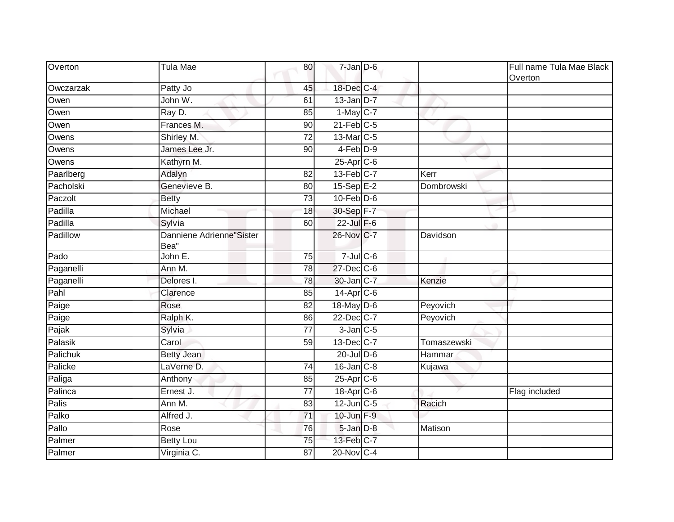| Overton   | Tula Mae                         | 80 | $7$ -Jan $D$ -6       |             | Full name Tula Mae Black<br>Overton |
|-----------|----------------------------------|----|-----------------------|-------------|-------------------------------------|
| Owczarzak | Patty Jo                         | 45 | 18-Dec C-4            |             |                                     |
| Owen      | John W.                          | 61 | $13$ -Jan D-7         |             |                                     |
| Owen      | Ray D.                           | 85 | $1-May$ C-7           |             |                                     |
| Owen      | Frances M.                       | 90 | $21$ -Feb $C-5$       |             |                                     |
| Owens     | Shirley M.                       | 72 | 13-Mar <sub>C-5</sub> |             |                                     |
| Owens     | James Lee Jr.                    | 90 | $4-Feb$ $D-9$         |             |                                     |
| Owens     | Kathyrn M.                       |    | $25$ -Apr $C$ -6      |             |                                     |
| Paarlberg | Adalyn                           | 82 | $13$ -Feb $C-7$       | Kerr        |                                     |
| Pacholski | Genevieve B.                     | 80 | $15-Sep$ E-2          | Dombrowski  |                                     |
| Paczolt   | <b>Betty</b>                     | 73 | $10$ -Feb $D-6$       |             |                                     |
| Padilla   | Michael                          | 18 | 30-Sep F-7            |             |                                     |
| Padilla   | Sylvia                           | 60 | $22$ -Jul $F-6$       |             |                                     |
| Padillow  | Danniene Adrienne"Sister<br>Bea" |    | 26-Nov C-7            | Davidson    |                                     |
| Pado      | John E.                          | 75 | $7 -$ Jul $C - 6$     |             |                                     |
| Paganelli | Ann M.                           | 78 | 27-Dec C-6            |             |                                     |
| Paganelli | Delores I.                       | 78 | 30-Jan C-7            | Kenzie      |                                     |
| Pahl      | Clarence                         | 85 | $14$ -Apr $C$ -6      |             |                                     |
| Paige     | Rose                             | 82 | 18-May D-6            | Peyovich    |                                     |
| Paige     | Ralph K.                         | 86 | 22-Dec C-7            | Peyovich    |                                     |
| Pajak     | Sylvia                           | 77 | $3$ -Jan $C$ -5       |             |                                     |
| Palasik   | Carol                            | 59 | 13-Dec C-7            | Tomaszewski |                                     |
| Palichuk  | <b>Betty Jean</b>                |    | $20$ -Jul $D-6$       | Hammar      |                                     |
| Palicke   | LaVerne D.                       | 74 | $16$ -Jan $C-8$       | Kujawa      |                                     |
| Paliga    | Anthony                          | 85 | 25-Apr C-6            |             |                                     |
| Palinca   | Ernest J.                        | 77 | 18-Apr C-6            |             | Flag included                       |
| Palis     | Ann M.                           | 83 | $12$ -Jun $C-5$       | Racich      |                                     |
| Palko     | Alfred J.                        | 71 | 10-Jun F-9            |             |                                     |
| Pallo     | Rose                             | 76 | 5-Jan D-8             | Matison     |                                     |
| Palmer    | <b>Betty Lou</b>                 | 75 | 13-Feb C-7            |             |                                     |
| Palmer    | Virginia C.                      | 87 | 20-Nov C-4            |             |                                     |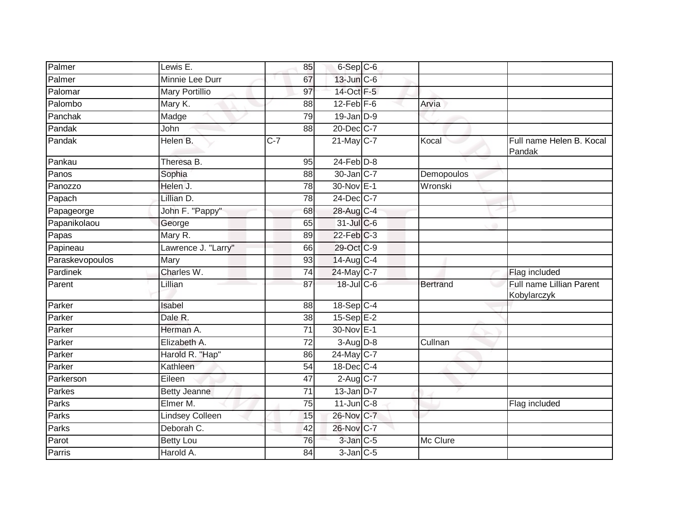| Palmer          | Lewis E.              | 85              | 6-Sep C-6              |            |                                         |
|-----------------|-----------------------|-----------------|------------------------|------------|-----------------------------------------|
| Palmer          | Minnie Lee Durr       | 67              | 13-Jun C-6             |            |                                         |
| Palomar         | <b>Mary Portillio</b> | 97              | 14-Oct F-5             |            |                                         |
| Palombo         | Mary K.               | 88              | $12$ -Feb $F-6$        | Arvia      |                                         |
| Panchak         | Madge                 | 79              | $19$ -Jan $D-9$        |            |                                         |
| Pandak          | John                  | 88              | 20-Dec C-7             |            |                                         |
| Pandak          | Helen B.              | $C-7$           | 21-May C-7             | Kocal      | Full name Helen B. Kocal<br>Pandak      |
| Pankau          | Theresa B.            | 95              | $24$ -Feb $D-8$        |            |                                         |
| Panos           | Sophia                | 88              | 30-Jan C-7             | Demopoulos |                                         |
| Panozzo         | Helen J.              | 78              | 30-Nov E-1             | Wronski    |                                         |
| Papach          | Lillian D.            | 78              | 24-Dec C-7             |            |                                         |
| Papageorge      | John F. "Pappy"       | 68              | 28-Aug C-4             |            |                                         |
| Papanikolaou    | George                | 65              | $31$ -Jul C-6          |            |                                         |
| Papas           | Mary R.               | 89              | $22$ -Feb $C-3$        |            |                                         |
| Papineau        | Lawrence J. "Larry"   | 66              | 29-Oct C-9             |            |                                         |
| Paraskevopoulos | Mary                  | 93              | 14-Aug C-4             |            |                                         |
| Pardinek        | Charles W.            | $\overline{74}$ | 24-May C-7             |            | Flag included                           |
| Parent          | Lillian               | 87              | 18-Jul C-6             | Bertrand   | Full name Lillian Parent<br>Kobylarczyk |
| Parker          | Isabel                | 88              | 18-Sep C-4             |            |                                         |
| Parker          | Dale R.               | 38              | $15-Sep$ E-2           |            |                                         |
| Parker          | Herman A.             | $\overline{71}$ | 30-Nov E-1             |            |                                         |
| Parker          | Elizabeth A.          | 72              | $3-Aug$ $D-8$          | Cullnan    |                                         |
| Parker          | Harold R. "Hap"       | 86              | 24-May C-7             |            |                                         |
| Parker          | Kathleen              | 54              | 18-Dec C-4             |            |                                         |
| Parkerson       | Eileen                | 47              | $2-Aug$ <sub>C-7</sub> |            |                                         |
| Parkes          | <b>Betty Jeanne</b>   | 71              | $13$ -Jan D-7          |            |                                         |
| Parks           | Elmer M.              | $\overline{75}$ | $11$ -Jun $C-8$        |            | Flag included                           |
| Parks           | Lindsey Colleen       | 15              | 26-Nov C-7             |            |                                         |
| Parks           | Deborah C.            | 42              | 26-Nov C-7             |            |                                         |
| Parot           | <b>Betty Lou</b>      | 76              | 3-Jan C-5              | Mc Clure   |                                         |
| Parris          | Harold A.             | 84              | $3$ -Jan $C$ -5        |            |                                         |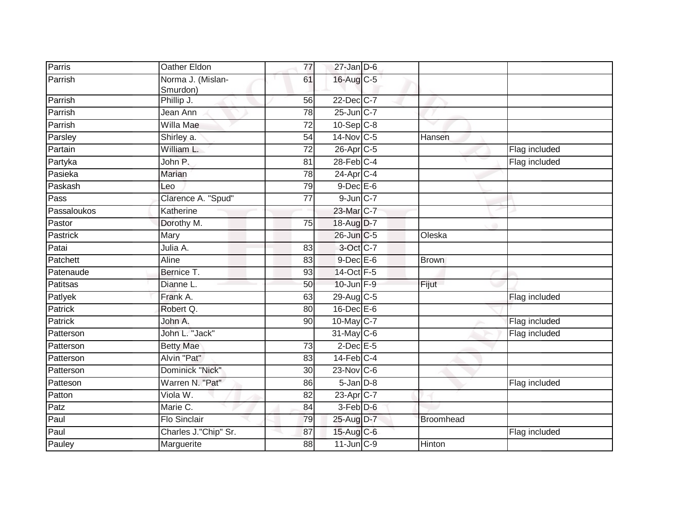| Parris         | Oather Eldon                          | 77              | $27$ -Jan D-6         |               |               |
|----------------|---------------------------------------|-----------------|-----------------------|---------------|---------------|
| Parrish        | Norma J. (Mislan-<br>Smurdon)         | 61              | 16-Aug C-5            |               |               |
| Parrish        | Phillip J.                            | 56              | 22-Dec C-7            |               |               |
| Parrish        | Jean Ann                              | 78              | 25-Jun C-7            |               |               |
| Parrish        | $\overline{\text{Willa} \text{ Mae}}$ | $\overline{72}$ | $10-Sep$ C-8          |               |               |
| Parsley        | Shirley a.                            | 54              | 14-Nov C-5            | Hansen        |               |
| Partain        | William L.                            | 72              | 26-Apr <sub>C-5</sub> |               | Flag included |
| Partyka        | John P.                               | 81              | $28$ -Feb $C-4$       |               | Flag included |
| Pasieka        | Marian                                | 78              | $24$ -Apr $C-4$       |               |               |
| Paskash        | Leo                                   | 79              | $9$ -Dec $E$ -6       |               |               |
| Pass           | Clarence A. "Spud"                    | 77              | $9$ -Jun $C-7$        |               |               |
| Passaloukos    | Katherine                             |                 | 23-Mar C-7            |               |               |
| Pastor         | Dorothy M.                            | 75              | 18-Aug D-7            |               |               |
| Pastrick       | Mary                                  |                 | 26-Jun C-5            | Oleska        |               |
| Patai          | Julia A.                              | $\overline{83}$ | 3-Oct C-7             |               |               |
| Patchett       | Aline                                 | 83              | $9$ -Dec $E$ -6       | <b>Brown</b>  |               |
| Patenaude      | Bernice T.                            | 93              | 14-Oct F-5            |               |               |
| Patitsas       | Dianne L.                             | 50              | 10-Jun F-9            | Fijut         |               |
| Patlyek        | Frank A.                              | 63              | 29-Aug C-5            |               | Flag included |
| Patrick        | Robert Q.                             | 80              | $16$ -Dec $E$ -6      |               |               |
| <b>Patrick</b> | John A.                               | 90              | 10-May C-7            |               | Flag included |
| Patterson      | John L. "Jack"                        |                 | $31$ -May C-6         |               | Flag included |
| Patterson      | <b>Betty Mae</b>                      | $\overline{73}$ | $2$ -Dec $E$ -5       |               |               |
| Patterson      | Alvin "Pat"                           | 83              | $14$ -Feb $C-4$       |               |               |
| Patterson      | Dominick "Nick"                       | $\overline{30}$ | 23-Nov C-6            |               |               |
| Patteson       | Warren N. "Pat"                       | 86              | $5 - Jan$ $D-8$       |               | Flag included |
| Patton         | Viola W.                              | 82              | 23-Apr C-7            |               |               |
| Patz           | Marie C.                              | 84              | 3-Feb D-6             |               |               |
| Paul           | <b>Flo Sinclair</b>                   | 79              | 25-Aug D-7            | Broomhead     |               |
| Paul           | Charles J."Chip" Sr.                  | 87              | 15-Aug C-6            |               | Flag included |
| Pauley         | Marguerite                            | 88              | $11$ -Jun $C-9$       | <b>Hinton</b> |               |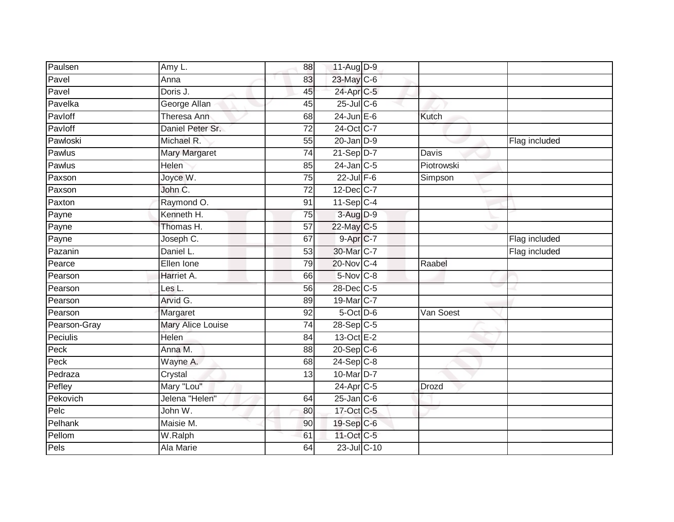| Paulsen      | Amy L.               | 88              | 11-Aug D-9              |            |               |
|--------------|----------------------|-----------------|-------------------------|------------|---------------|
| Pavel        | Anna                 | 83              | 23-May C-6              |            |               |
| Pavel        | Doris J.             | 45              | 24-Apr C-5              |            |               |
| Pavelka      | George Allan         | 45              | 25-Jul C-6              |            |               |
| Pavloff      | <b>Theresa Ann</b>   | 68              | $24$ -Jun E-6           | Kutch      |               |
| Pavloff      | Daniel Peter Sr.     | 72              | 24-Oct C-7              |            |               |
| Pawloski     | Michael R.           | $\overline{55}$ | $20$ -Jan $D-9$         |            | Flag included |
| Pawlus       | <b>Mary Margaret</b> | 74              | $21-Sep$ D-7            | Davis      |               |
| Pawlus       | <b>Helen</b>         | 85              | $24$ -Jan C-5           | Piotrowski |               |
| Paxson       | Joyce W.             | 75              | $22$ -Jul $F-6$         | Simpson    |               |
| Paxson       | John C.              | 72              | 12-Dec C-7              |            |               |
| Paxton       | Raymond O.           | 91              | $11-Sep$ C-4            |            |               |
| Payne        | Kenneth H.           | 75              | 3-Aug D-9               |            |               |
| Payne        | Thomas H.            | 57              | 22-May C-5              |            |               |
| Payne        | Joseph C.            | 67              | 9-Apr <sub>IC-7</sub>   |            | Flag included |
| Pazanin      | Daniel L.            | 53              | 30-Mar C-7              |            | Flag included |
| Pearce       | Ellen Ione           | 79              | 20-Nov C-4              | Raabel     |               |
| Pearson      | Harriet A.           | 66              | $5-Nov$ $C-8$           |            |               |
| Pearson      | Les L.               | 56              | 28-Dec C-5              |            |               |
| Pearson      | Arvid G.             | 89              | 19-Mar C-7              |            |               |
| Pearson      | Margaret             | 92              | $5$ -Oct $D$ -6         | Van Soest  |               |
| Pearson-Gray | Mary Alice Louise    | 74              | $28 - Sep$ C-5          |            |               |
| Peciulis     | Helen                | 84              | $13-Oct$ <sub>E-2</sub> |            |               |
| Peck         | Anna M.              | 88              | $20 - Sep$ C-6          |            |               |
| Peck         | Wayne A.             | 68              | $24-Sep$ C-8            |            |               |
| Pedraza      | Crystal              | 13              | 10-Mar D-7              |            |               |
| Pefley       | Mary "Lou"           |                 | 24-Apr C-5              | Drozd      |               |
| Pekovich     | Jelena "Helen"       | 64              | $25$ -Jan $C$ -6        |            |               |
| Pelc         | John W.              | 80              | 17-Oct C-5              |            |               |
| Pelhank      | Maisie M.            | 90              | 19-Sep C-6              |            |               |
| Pellom       | W.Ralph              | 61              | 11-Oct C-5              |            |               |
| Pels         | Ala Marie            | 64              | 23-Jul C-10             |            |               |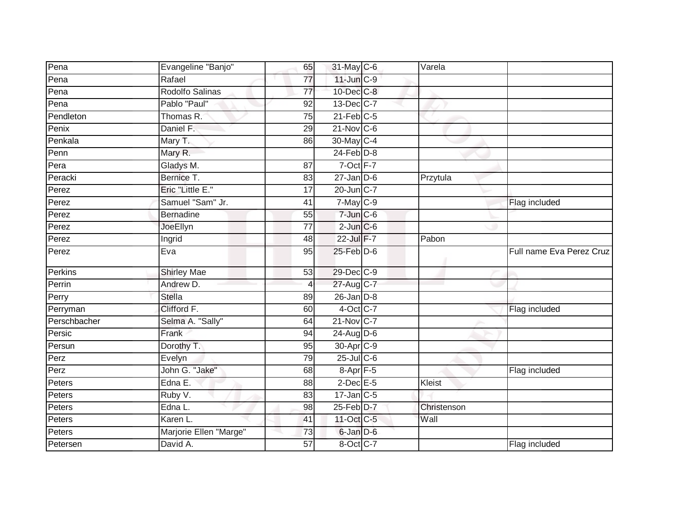| Pena         | Evangeline "Banjo"     | 65              | 31-May C-6           | $\overline{V}$ arela |                          |
|--------------|------------------------|-----------------|----------------------|----------------------|--------------------------|
| Pena         | Rafael                 | 77              | $11$ -Jun $C-9$      |                      |                          |
| Pena         | Rodolfo Salinas        | $\overline{77}$ | 10-Dec C-8           |                      |                          |
| Pena         | Pablo "Paul"           | 92              | $13$ -Dec $C$ -7     |                      |                          |
| Pendleton    | Thomas R.              | 75              | $21$ -Feb $C-5$      |                      |                          |
| Penix        | Daniel F.              | 29              | $21$ -Nov $C-6$      |                      |                          |
| Penkala      | Mary T.                | 86              | 30-May C-4           |                      |                          |
| Penn         | Mary R.                |                 | $24$ -Feb $D-8$      |                      |                          |
| Pera         | Gladys M.              | 87              | $7$ -Oct $F-7$       |                      |                          |
| Peracki      | Bernice T.             | 83              | $27 - Jan$ $D-6$     | Przytula             |                          |
| Perez        | Eric "Little E."       | 17              | 20-Jun C-7           |                      |                          |
| Perez        | Samuel "Sam" Jr.       | 41              | $7$ -May $C$ -9      |                      | Flag included            |
| Perez        | <b>Bernadine</b>       | 55              | $7$ -Jun $C$ -6      |                      |                          |
| Perez        | JoeEllyn               | 77              | $2$ -Jun $C$ -6      |                      |                          |
| Perez        | Ingrid                 | 48              | 22-Jul F-7           | Pabon                |                          |
| Perez        | Eva                    | 95              | $25$ -Feb $D-6$      |                      | Full name Eva Perez Cruz |
| Perkins      | <b>Shirley Mae</b>     | 53              | 29-Dec C-9           |                      |                          |
| Perrin       | Andrew D.              | 4               | 27-Aug C-7           |                      |                          |
| Perry        | <b>Stella</b>          | 89              | $26$ -Jan $D-8$      |                      |                          |
| Perryman     | Clifford F.            | 60              | 4-Oct C-7            |                      | Flag included            |
| Perschbacher | Selma A. "Sally"       | 64              | 21-Nov C-7           |                      |                          |
| Persic       | Frank                  | 94              | $24$ -Aug $D-6$      |                      |                          |
| Persun       | Dorothy T.             | 95              | 30-Apr C-9           |                      |                          |
| Perz         | Evelyn                 | 79              | $25$ -Jul C-6        |                      |                          |
| Perz         | John G. "Jake"         | 68              | 8-Apr <sup>F-5</sup> |                      | Flag included            |
| Peters       | Edna E.                | 88              | $2$ -Dec $E$ -5      | Kleist               |                          |
| Peters       | Ruby V.                | 83              | $17$ -Jan $C$ -5     |                      |                          |
| Peters       | Edna L.                | 98              | $25$ -Feb $D-7$      | Christenson          |                          |
| Peters       | Karen L.               | 41              | 11-Oct C-5           | Wall                 |                          |
| Peters       | Marjorie Ellen "Marge" | 73              | 6-Jan D-6            |                      |                          |
| Petersen     | David A.               | 57              | 8-Oct C-7            |                      | Flag included            |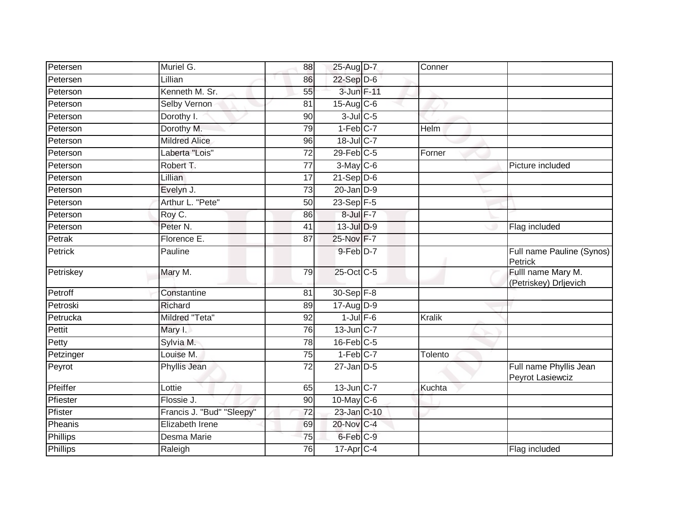| Petersen  | Muriel G.                 | 88              | 25-Aug D-7             | Conner  |                                             |
|-----------|---------------------------|-----------------|------------------------|---------|---------------------------------------------|
| Petersen  | Lillian                   | 86              | 22-Sep D-6             |         |                                             |
| Peterson  | Kenneth M. Sr.            | 55              | 3-Jun F-11             |         |                                             |
| Peterson  | Selby Vernon              | 81              | $15$ -Aug C-6          |         |                                             |
| Peterson  | Dorothy I.                | 90              | $3$ -Jul $C$ -5        |         |                                             |
| Peterson  | Dorothy M.                | 79              | $1-Feb$ <sub>C-7</sub> | Helm    |                                             |
| Peterson  | <b>Mildred Alice</b>      | 96              | $18$ -JulC-7           |         |                                             |
| Peterson  | Laberta "Lois"            | 72              | $29$ -Feb $C-5$        | Forner  |                                             |
| Peterson  | Robert T.                 | 77              | 3-May C-6              |         | Picture included                            |
| Peterson  | <b>Lillian</b>            | 17              | $21-Sep$ D-6           |         |                                             |
| Peterson  | Evelyn J.                 | 73              | $20$ -Jan $D-9$        |         |                                             |
| Peterson  | Arthur L. "Pete"          | 50              | 23-Sep F-5             |         |                                             |
| Peterson  | Roy C.                    | 86              | 8-Jul F-7              |         |                                             |
| Peterson  | Peter <sub>N.</sub>       | 41              | $13$ -Jul $D-9$        |         | Flag included                               |
| Petrak    | Florence E.               | $\overline{87}$ | 25-Nov F-7             |         |                                             |
| Petrick   | Pauline                   |                 | $9$ -Feb $D-7$         |         | Full name Pauline (Synos)<br>Petrick        |
| Petriskey | Mary M.                   | 79              | 25-Oct C-5             |         | Fulll name Mary M.<br>(Petriskey) Drljevich |
| Petroff   | Constantine               | 81              | 30-Sep F-8             |         |                                             |
| Petroski  | Richard                   | 89              | $17$ -Aug $D-9$        |         |                                             |
| Petrucka  | <b>Mildred "Teta"</b>     | $\overline{92}$ | $1$ -Jul $F-6$         | Kralik  |                                             |
| Pettit    | Mary I.                   | 76              | 13-Jun C-7             |         |                                             |
| Petty     | Sylvia M.                 | 78              | $16$ -Feb $C-5$        |         |                                             |
| Petzinger | Louise M.                 | 75              | $1-Feb$ <sub>C-7</sub> | Tolento |                                             |
| Peyrot    | Phyllis Jean              | 72              | $27$ -Jan $D-5$        |         | Full name Phyllis Jean<br>Peyrot Lasiewciz  |
| Pfeiffer  | Lottie                    | 65              | $13$ -Jun $C-7$        | Kuchta  |                                             |
| Pfiester  | Flossie J.                | 90              | $10$ -May C-6          |         |                                             |
| Pfister   | Francis J. "Bud" "Sleepy" | 72              | 23-Jan C-10            |         |                                             |
| Pheanis   | Elizabeth Irene           | 69              | 20-Nov C-4             |         |                                             |
| Phillips  | Desma Marie               | 75              | 6-Feb C-9              |         |                                             |
| Phillips  | Raleigh                   | 76              | $17$ -Apr $C-4$        |         | Flag included                               |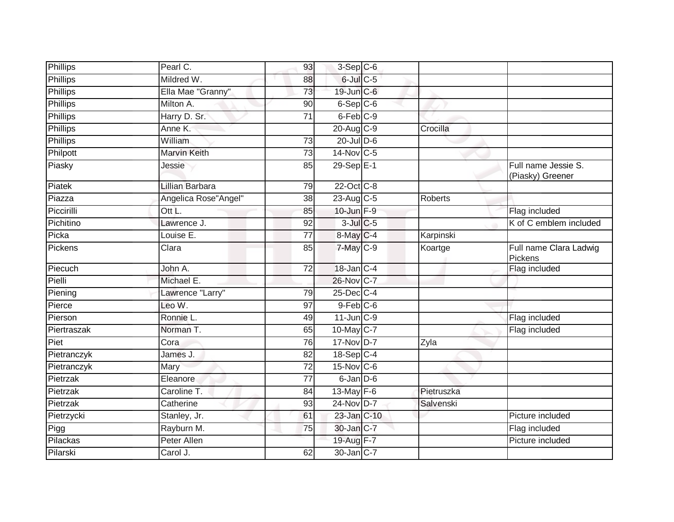| Pearl C.               | 93              |  |                                                                                                                                                                                                                                                                                                                                                                                                                                                                                                  |                                         |
|------------------------|-----------------|--|--------------------------------------------------------------------------------------------------------------------------------------------------------------------------------------------------------------------------------------------------------------------------------------------------------------------------------------------------------------------------------------------------------------------------------------------------------------------------------------------------|-----------------------------------------|
| Mildred W.             | 88              |  |                                                                                                                                                                                                                                                                                                                                                                                                                                                                                                  |                                         |
| Ella Mae "Granny"      | 73              |  |                                                                                                                                                                                                                                                                                                                                                                                                                                                                                                  |                                         |
| Milton A.              | 90              |  |                                                                                                                                                                                                                                                                                                                                                                                                                                                                                                  |                                         |
| Harry D. Sr.           | $\overline{71}$ |  |                                                                                                                                                                                                                                                                                                                                                                                                                                                                                                  |                                         |
| Anne K.                |                 |  | Crocilla                                                                                                                                                                                                                                                                                                                                                                                                                                                                                         |                                         |
| William                | 73              |  |                                                                                                                                                                                                                                                                                                                                                                                                                                                                                                  |                                         |
| <b>Marvin Keith</b>    | $\overline{73}$ |  |                                                                                                                                                                                                                                                                                                                                                                                                                                                                                                  |                                         |
| Jessie                 | 85              |  |                                                                                                                                                                                                                                                                                                                                                                                                                                                                                                  | Full name Jessie S.<br>(Piasky) Greener |
| <b>Lillian Barbara</b> | 79              |  |                                                                                                                                                                                                                                                                                                                                                                                                                                                                                                  |                                         |
| Angelica Rose"Angel"   | 38              |  | <b>Roberts</b>                                                                                                                                                                                                                                                                                                                                                                                                                                                                                   |                                         |
| Ott L.                 | 85              |  |                                                                                                                                                                                                                                                                                                                                                                                                                                                                                                  | Flag included                           |
| Lawrence J.            | 92              |  |                                                                                                                                                                                                                                                                                                                                                                                                                                                                                                  | K of C emblem included                  |
| Louise E.              | $\overline{77}$ |  | Karpinski                                                                                                                                                                                                                                                                                                                                                                                                                                                                                        |                                         |
| Clara                  | 85              |  | Koartge                                                                                                                                                                                                                                                                                                                                                                                                                                                                                          | Full name Clara Ladwig<br>Pickens       |
| John $\overline{A}$ .  | $\overline{72}$ |  |                                                                                                                                                                                                                                                                                                                                                                                                                                                                                                  | Flag included                           |
| Michael E.             |                 |  |                                                                                                                                                                                                                                                                                                                                                                                                                                                                                                  |                                         |
| Lawrence "Larry"       | 79              |  |                                                                                                                                                                                                                                                                                                                                                                                                                                                                                                  |                                         |
| Leo W.                 | 97              |  |                                                                                                                                                                                                                                                                                                                                                                                                                                                                                                  |                                         |
| Ronnie L.              | 49              |  |                                                                                                                                                                                                                                                                                                                                                                                                                                                                                                  | Flag included                           |
| Norman T.              | 65              |  |                                                                                                                                                                                                                                                                                                                                                                                                                                                                                                  | Flag included                           |
| Cora                   | 76              |  | Zyla                                                                                                                                                                                                                                                                                                                                                                                                                                                                                             |                                         |
| James J.               | 82              |  |                                                                                                                                                                                                                                                                                                                                                                                                                                                                                                  |                                         |
| Mary                   | 72              |  |                                                                                                                                                                                                                                                                                                                                                                                                                                                                                                  |                                         |
| Eleanore               | $\overline{77}$ |  |                                                                                                                                                                                                                                                                                                                                                                                                                                                                                                  |                                         |
| Caroline T.            | 84              |  | Pietruszka                                                                                                                                                                                                                                                                                                                                                                                                                                                                                       |                                         |
| Catherine              | 93              |  | Salvenski                                                                                                                                                                                                                                                                                                                                                                                                                                                                                        |                                         |
| Stanley, Jr.           | 61              |  |                                                                                                                                                                                                                                                                                                                                                                                                                                                                                                  | Picture included                        |
| Rayburn M.             | 75              |  |                                                                                                                                                                                                                                                                                                                                                                                                                                                                                                  | Flag included                           |
| <b>Peter Allen</b>     |                 |  |                                                                                                                                                                                                                                                                                                                                                                                                                                                                                                  | Picture included                        |
| Carol J.               | 62              |  |                                                                                                                                                                                                                                                                                                                                                                                                                                                                                                  |                                         |
|                        |                 |  | $3-Sep$ $C-6$<br>$6$ -Jul $C$ -5<br>19-Jun C-6<br>$6-Sep C-6$<br>$6$ -Feb $C-9$<br>20-Aug C-9<br>$20$ -Jul $D-6$<br>14-Nov C-5<br>$29-SepE-1$<br>22-Oct C-8<br>23-Aug C-5<br>10-Jun F-9<br>$3$ -Jul $C$ -5<br>8-May C-4<br>$7$ -May $C$ -9<br>18-Jan C-4<br>26-Nov C-7<br>25-Dec C-4<br>$9$ -Feb $C$ -6<br>$11$ -Jun $C-9$<br>$10$ -May C-7<br>17-Nov D-7<br>$18-SepC-4$<br>15-Nov C-6<br>$6$ -Jan $D$ -6<br>13-May $F-6$<br>24-Nov D-7<br>23-Jan C-10<br>30-Jan C-7<br>19-Aug F-7<br>30-Jan C-7 |                                         |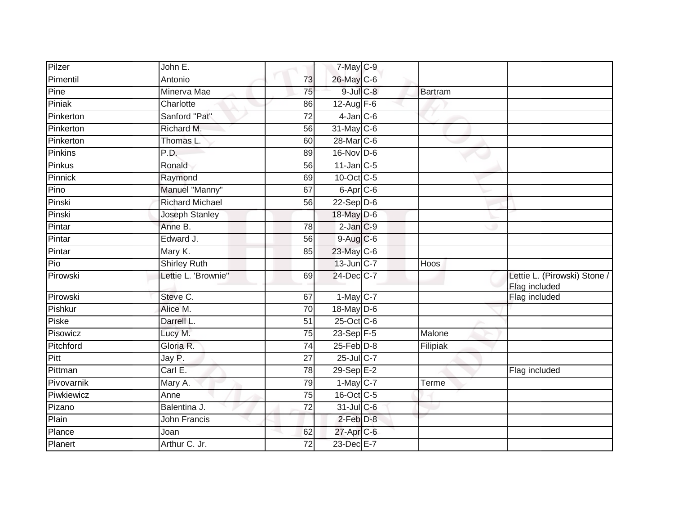| Pilzer     | John E.                |                 | 7-May C-9         |             |                                               |
|------------|------------------------|-----------------|-------------------|-------------|-----------------------------------------------|
| Pimentil   | Antonio                | 73              | 26-May C-6        |             |                                               |
| Pine       | Minerva Mae            | 75              | 9-Jul C-8         | Bartram     |                                               |
| Piniak     | Charlotte              | 86              | 12-Aug $F-6$      |             |                                               |
| Pinkerton  | Sanford "Pat"          | $\overline{72}$ | $4$ -Jan $C$ -6   |             |                                               |
| Pinkerton  | Richard M.             | 56              | 31-May C-6        |             |                                               |
| Pinkerton  | Thomas L.              | 60              | 28-Mar C-6        |             |                                               |
| Pinkins    | P.D.                   | 89              | 16-Nov D-6        |             |                                               |
| Pinkus     | Ronald                 | 56              | $11$ -Jan $C-5$   |             |                                               |
| Pinnick    | Raymond                | 69              | 10-Oct C-5        |             |                                               |
| Pino       | Manuel "Manny"         | 67              | $6 - Apr$ $C - 6$ |             |                                               |
| Pinski     | <b>Richard Michael</b> | 56              | $22 - Sep$ $D-6$  |             |                                               |
| Pinski     | <b>Joseph Stanley</b>  |                 | 18-May D-6        |             |                                               |
| Pintar     | Anne B.                | 78              | $2$ -Jan $C-9$    |             |                                               |
| Pintar     | Edward J.              | $\overline{56}$ | 9-Aug C-6         |             |                                               |
| Pintar     | Mary K.                | 85              | 23-May C-6        |             |                                               |
| Pio        | <b>Shirley Ruth</b>    |                 | 13-Jun C-7        | <b>Hoos</b> |                                               |
| Pirowski   | Lettie L. 'Brownie"    | 69              | 24-Dec C-7        |             | Lettie L. (Pirowski) Stone /<br>Flag included |
| Pirowski   | Steve C.               | 67              | $1-May$ C-7       |             | Flag included                                 |
| Pishkur    | Alice M.               | $\overline{70}$ | 18-May D-6        |             |                                               |
| Piske      | Darrell L.             | 51              | 25-Oct C-6        |             |                                               |
| Pisowicz   | Lucy M.                | 75              | 23-Sep F-5        | Malone      |                                               |
| Pitchford  | Gloria R.              | 74              | $25$ -Feb $D-8$   | Filipiak    |                                               |
| Pitt       | Jay P.                 | 27              | 25-Jul C-7        |             |                                               |
| Pittman    | Carl E.                | 78              | 29-Sep E-2        |             | Flag included                                 |
| Pivovarnik | Mary A.                | 79              | $1-May$ C-7       | Terme       |                                               |
| Piwkiewicz | Anne                   | 75              | 16-Oct C-5        |             |                                               |
| Pizano     | Balentina J.           | 72              | $31$ -Jul C-6     |             |                                               |
| Plain      | <b>John Francis</b>    |                 | $2$ -Feb $D-8$    |             |                                               |
| Plance     | Joan                   | 62              | 27-Apr C-6        |             |                                               |
| Planert    | Arthur C. Jr.          | 72              | 23-Dec E-7        |             |                                               |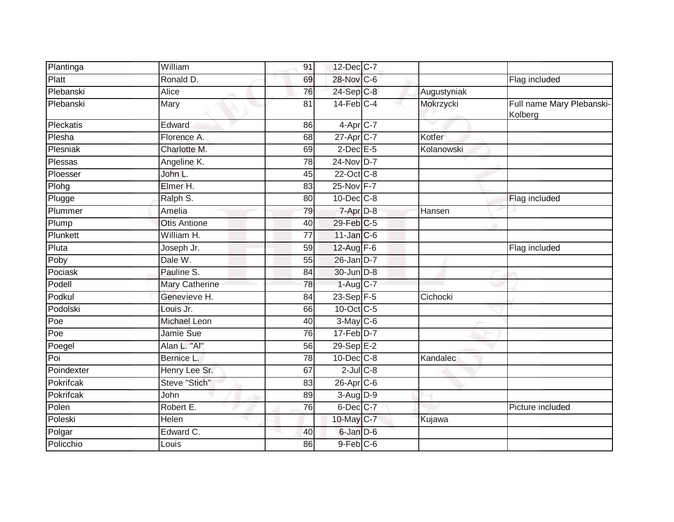| Plantinga  | William               | 91              | 12-Dec C-7       |             |                                      |
|------------|-----------------------|-----------------|------------------|-------------|--------------------------------------|
| Platt      | Ronald D.             | 69              | 28-Nov C-6       |             | Flag included                        |
| Plebanski  | Alice                 | 76              | 24-Sep C-8       | Augustyniak |                                      |
| Plebanski  | Mary                  | 81              | $14$ -Feb $C-4$  | Mokrzycki   | Full name Mary Plebanski-<br>Kolberg |
| Pleckatis  | Edward                | 86              | $4-Apr$ C-7      |             |                                      |
| Plesha     | Florence A.           | 68              | 27-Apr C-7       | Kotfer      |                                      |
| Plesniak   | Charlotte M.          | 69              | $2$ -Dec $E$ -5  | Kolanowski  |                                      |
| Plessas    | Angeline K.           | $\overline{78}$ | 24-Nov D-7       |             |                                      |
| Ploesser   | John L.               | 45              | 22-Oct C-8       |             |                                      |
| Plohg      | Elmer H.              | 83              | 25-Nov F-7       |             |                                      |
| Plugge     | Ralph S.              | 80              | $10$ -Dec $C$ -8 |             | Flag included                        |
| Plummer    | Amelia                | 79              | $7 - Apr$ $D-8$  | Hansen      |                                      |
| Plump      | <b>Otis Antione</b>   | 40              | 29-Feb C-5       |             |                                      |
| Plunkett   | William H.            | 77              | 11-Jan C-6       |             |                                      |
| Pluta      | Joseph Jr.            | 59              | 12-Aug F-6       |             | Flag included                        |
| Poby       | Dale W.               | 55              | 26-Jan D-7       |             |                                      |
| Pociask    | Pauline S.            | 84              | 30-Jun D-8       |             |                                      |
| Podell     | <b>Mary Catherine</b> | 78              | 1-Aug C-7        |             |                                      |
| Podkul     | Genevieve H.          | 84              | $23 - Sep$ F-5   | Cichocki    |                                      |
| Podolski   | Louis Jr.             | 66              | 10-Oct C-5       |             |                                      |
| Poe        | <b>Michael Leon</b>   | 40              | $3-May$ C-6      |             |                                      |
| Poe        | Jamie Sue             | 76              | $17-Feb$ D-7     |             |                                      |
| Poegel     | Alan L. "Al"          | 56              | $29-SepE-2$      |             |                                      |
| Poi        | Bernice L.            | 78              | 10-Dec C-8       | Kandalec    |                                      |
| Poindexter | Henry Lee Sr.         | 67              | $2$ -Jul $C$ -8  |             |                                      |
| Pokrifcak  | Steve "Stich"         | 83              | 26-Apr C-6       |             |                                      |
| Pokrifcak  | John                  | 89              | 3-Aug D-9        |             |                                      |
| Polen      | Robert E.             | 76              | 6-Dec C-7        |             | Picture included                     |
| Poleski    | <b>Helen</b>          |                 | 10-May C-7       | Kujawa      |                                      |
| Polgar     | Edward C.             | 40              | $6$ -Jan $D$ -6  |             |                                      |
| Policchio  | Louis                 | 86              | 9-Feb C-6        |             |                                      |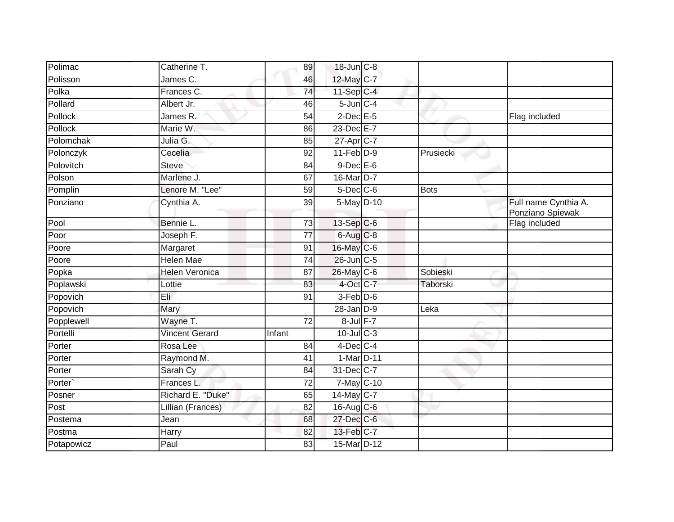| Polimac    | Catherine T.          | 89              | 18-Jun C-8      |           |                                          |
|------------|-----------------------|-----------------|-----------------|-----------|------------------------------------------|
| Polisson   | James C.              | 46              | 12-May C-7      |           |                                          |
| Polka      | Frances C.            | 74              | 11-Sep C-4      |           |                                          |
| Pollard    | Albert Jr.            | 46              | $5$ -Jun $C-4$  |           |                                          |
| Pollock    | James R.              | $\overline{54}$ | $2$ -Dec $E$ -5 |           | Flag included                            |
| Pollock    | Marie W.              | 86              | 23-Dec E-7      |           |                                          |
| Polomchak  | Julia G.              | 85              | 27-Apr C-7      |           |                                          |
| Polonczyk  | Cecelia               | 92              | $11-Feb$ D-9    | Prusiecki |                                          |
| Polovitch  | <b>Steve</b>          | 84              | $9$ -Dec $E$ -6 |           |                                          |
| Polson     | Marlene J.            | 67              | 16-Mar D-7      |           |                                          |
| Pomplin    | Lenore M. "Lee"       | 59              | $5$ -Dec $C$ -6 | Bots      |                                          |
| Ponziano   | Cynthia A.            | 39              | $5-May$ D-10    |           | Full name Cynthia A.<br>Ponziano Spiewak |
| Pool       | Bennie L.             | $\overline{73}$ | 13-Sep C-6      |           | Flag included                            |
| Poor       | Joseph F.             | 77              | $6$ -Aug $C$ -8 |           |                                          |
| Poore      | Margaret              | 91              | 16-May C-6      |           |                                          |
| Poore      | Helen Mae             | 74              | $26$ -Jun $C-5$ |           |                                          |
| Popka      | <b>Helen Veronica</b> | 87              | 26-May C-6      | Sobieski  |                                          |
| Poplawski  | Lottie                | 83              | 4-Oct C-7       | Taborski  |                                          |
| Popovich   | Eli                   | 91              | $3-Feb D-6$     |           |                                          |
| Popovich   | Mary                  |                 | $28$ -Jan $D-9$ | Leka      |                                          |
| Popplewell | Wayne T.              | 72              | 8-Jul F-7       |           |                                          |
| Portelli   | <b>Vincent Gerard</b> | Infant          | $10$ -JulC-3    |           |                                          |
| Porter     | Rosa Lee              | 84              | $4$ -Dec $C$ -4 |           |                                          |
| Porter     | Raymond M.            | 41              | 1-Mar D-11      |           |                                          |
| Porter     | Sarah Cy              | 84              | 31-Dec C-7      |           |                                          |
| Porter`    | Frances L.            | 72              | 7-May C-10      |           |                                          |
| Posner     | Richard E. "Duke"     | 65              | 14-May C-7      |           |                                          |
| Post       | Lillian (Frances)     | 82              | $16$ -Aug C-6   |           |                                          |
| Postema    | Jean                  | 68              | 27-Dec C-6      |           |                                          |
| Postma     | Harry                 | 82              | 13-Feb C-7      |           |                                          |
| Potapowicz | Paul                  | 83              | 15-Mar D-12     |           |                                          |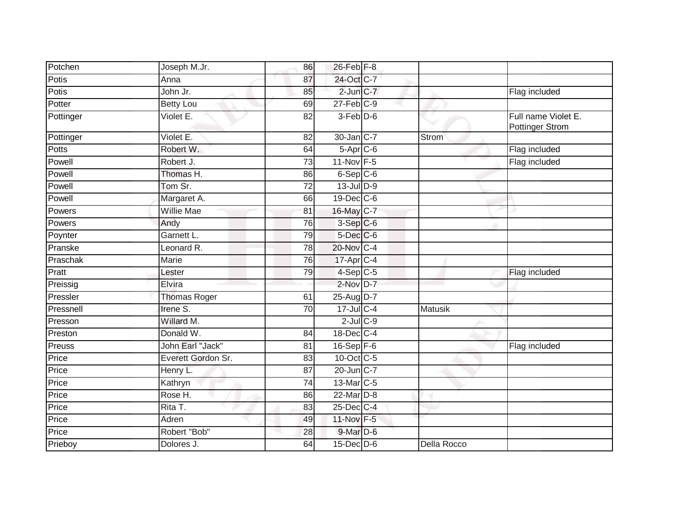| 24-Oct C-7<br>Potis<br>Anna<br>87<br>$2$ -Jun $C-7$<br>Potis<br>John Jr.<br>Flag included<br>85<br>$27$ -Feb $C-9$<br>Potter<br>69<br><b>Betty Lou</b><br>3-Feb D-6<br>Full name Violet E.<br>$\overline{\text{Violet}}$ E.<br>$\overline{82}$<br>Pottinger<br><b>Pottinger Strom</b><br>Violet E.<br>30-Jan C-7<br>Pottinger<br>82<br>Strom<br>Potts<br>Robert W.<br>$5-Apr$ $C-6$<br>Flag included<br>64<br>Flag included<br>Powell<br>Robert J.<br>11-Nov F-5<br>73<br>6-Sep C-6<br>Powell<br>Thomas H.<br>86<br>Powell<br>$13$ -Jul $D-9$<br>Tom Sr.<br>72<br>Powell<br>Margaret A.<br>19-Dec C-6<br>66<br><b>Willie Mae</b><br>16-May C-7<br>Powers<br>81<br>Powers<br>76<br>3-Sep C-6<br>Andy<br>Garnett L.<br>$5$ -Dec $C$ -6<br>Poynter<br>79<br>20-Nov C-4<br>Pranske<br>Leonard R.<br>78<br>Praschak<br>17-Apr C-4<br>76<br>Marie<br>Pratt<br>$4-Sep$ C-5<br>79<br>Flag included<br>Lester<br>$2$ -Nov $D-7$<br>Elvira<br>Preissig<br>25-Aug D-7<br>Pressler<br><b>Thomas Roger</b><br>61<br>Irene S.<br>$17 -$ Jul C-4<br>Pressnell<br>Matusik<br>70<br>$2$ -Jul $C$ -9<br>Willard M.<br>Presson<br>Preston<br>Donald W.<br>18-Dec C-4<br>84<br>John Earl "Jack"<br>16-Sep F-6<br>Preuss<br>81<br>Flag included<br>Price<br>Everett Gordon Sr.<br>10-Oct C-5<br>83<br>Price<br>20-Jun C-7<br>Henry L.<br>87<br>13-Mar C-5<br>Price<br>Kathryn<br>74<br>Price<br>22-Mar D-8<br>Rose H.<br>86<br>Price<br>Rita T.<br>25-Dec C-4<br>83<br>Price<br>Adren<br>11-Nov F-5<br>49<br>Price<br>Robert "Bob"<br>$9$ -Mar $D$ -6<br>28<br>Prieboy<br>Dolores J.<br>$15$ -Dec $D$ -6<br>Della Rocco<br>64 | Potchen | Joseph M.Jr. | 86 | 26-Feb F-8 |  |  |
|----------------------------------------------------------------------------------------------------------------------------------------------------------------------------------------------------------------------------------------------------------------------------------------------------------------------------------------------------------------------------------------------------------------------------------------------------------------------------------------------------------------------------------------------------------------------------------------------------------------------------------------------------------------------------------------------------------------------------------------------------------------------------------------------------------------------------------------------------------------------------------------------------------------------------------------------------------------------------------------------------------------------------------------------------------------------------------------------------------------------------------------------------------------------------------------------------------------------------------------------------------------------------------------------------------------------------------------------------------------------------------------------------------------------------------------------------------------------------------------------------------------------------------------------------------------------------------------------------------|---------|--------------|----|------------|--|--|
|                                                                                                                                                                                                                                                                                                                                                                                                                                                                                                                                                                                                                                                                                                                                                                                                                                                                                                                                                                                                                                                                                                                                                                                                                                                                                                                                                                                                                                                                                                                                                                                                          |         |              |    |            |  |  |
|                                                                                                                                                                                                                                                                                                                                                                                                                                                                                                                                                                                                                                                                                                                                                                                                                                                                                                                                                                                                                                                                                                                                                                                                                                                                                                                                                                                                                                                                                                                                                                                                          |         |              |    |            |  |  |
|                                                                                                                                                                                                                                                                                                                                                                                                                                                                                                                                                                                                                                                                                                                                                                                                                                                                                                                                                                                                                                                                                                                                                                                                                                                                                                                                                                                                                                                                                                                                                                                                          |         |              |    |            |  |  |
|                                                                                                                                                                                                                                                                                                                                                                                                                                                                                                                                                                                                                                                                                                                                                                                                                                                                                                                                                                                                                                                                                                                                                                                                                                                                                                                                                                                                                                                                                                                                                                                                          |         |              |    |            |  |  |
|                                                                                                                                                                                                                                                                                                                                                                                                                                                                                                                                                                                                                                                                                                                                                                                                                                                                                                                                                                                                                                                                                                                                                                                                                                                                                                                                                                                                                                                                                                                                                                                                          |         |              |    |            |  |  |
|                                                                                                                                                                                                                                                                                                                                                                                                                                                                                                                                                                                                                                                                                                                                                                                                                                                                                                                                                                                                                                                                                                                                                                                                                                                                                                                                                                                                                                                                                                                                                                                                          |         |              |    |            |  |  |
|                                                                                                                                                                                                                                                                                                                                                                                                                                                                                                                                                                                                                                                                                                                                                                                                                                                                                                                                                                                                                                                                                                                                                                                                                                                                                                                                                                                                                                                                                                                                                                                                          |         |              |    |            |  |  |
|                                                                                                                                                                                                                                                                                                                                                                                                                                                                                                                                                                                                                                                                                                                                                                                                                                                                                                                                                                                                                                                                                                                                                                                                                                                                                                                                                                                                                                                                                                                                                                                                          |         |              |    |            |  |  |
|                                                                                                                                                                                                                                                                                                                                                                                                                                                                                                                                                                                                                                                                                                                                                                                                                                                                                                                                                                                                                                                                                                                                                                                                                                                                                                                                                                                                                                                                                                                                                                                                          |         |              |    |            |  |  |
|                                                                                                                                                                                                                                                                                                                                                                                                                                                                                                                                                                                                                                                                                                                                                                                                                                                                                                                                                                                                                                                                                                                                                                                                                                                                                                                                                                                                                                                                                                                                                                                                          |         |              |    |            |  |  |
|                                                                                                                                                                                                                                                                                                                                                                                                                                                                                                                                                                                                                                                                                                                                                                                                                                                                                                                                                                                                                                                                                                                                                                                                                                                                                                                                                                                                                                                                                                                                                                                                          |         |              |    |            |  |  |
|                                                                                                                                                                                                                                                                                                                                                                                                                                                                                                                                                                                                                                                                                                                                                                                                                                                                                                                                                                                                                                                                                                                                                                                                                                                                                                                                                                                                                                                                                                                                                                                                          |         |              |    |            |  |  |
|                                                                                                                                                                                                                                                                                                                                                                                                                                                                                                                                                                                                                                                                                                                                                                                                                                                                                                                                                                                                                                                                                                                                                                                                                                                                                                                                                                                                                                                                                                                                                                                                          |         |              |    |            |  |  |
|                                                                                                                                                                                                                                                                                                                                                                                                                                                                                                                                                                                                                                                                                                                                                                                                                                                                                                                                                                                                                                                                                                                                                                                                                                                                                                                                                                                                                                                                                                                                                                                                          |         |              |    |            |  |  |
|                                                                                                                                                                                                                                                                                                                                                                                                                                                                                                                                                                                                                                                                                                                                                                                                                                                                                                                                                                                                                                                                                                                                                                                                                                                                                                                                                                                                                                                                                                                                                                                                          |         |              |    |            |  |  |
|                                                                                                                                                                                                                                                                                                                                                                                                                                                                                                                                                                                                                                                                                                                                                                                                                                                                                                                                                                                                                                                                                                                                                                                                                                                                                                                                                                                                                                                                                                                                                                                                          |         |              |    |            |  |  |
|                                                                                                                                                                                                                                                                                                                                                                                                                                                                                                                                                                                                                                                                                                                                                                                                                                                                                                                                                                                                                                                                                                                                                                                                                                                                                                                                                                                                                                                                                                                                                                                                          |         |              |    |            |  |  |
|                                                                                                                                                                                                                                                                                                                                                                                                                                                                                                                                                                                                                                                                                                                                                                                                                                                                                                                                                                                                                                                                                                                                                                                                                                                                                                                                                                                                                                                                                                                                                                                                          |         |              |    |            |  |  |
|                                                                                                                                                                                                                                                                                                                                                                                                                                                                                                                                                                                                                                                                                                                                                                                                                                                                                                                                                                                                                                                                                                                                                                                                                                                                                                                                                                                                                                                                                                                                                                                                          |         |              |    |            |  |  |
|                                                                                                                                                                                                                                                                                                                                                                                                                                                                                                                                                                                                                                                                                                                                                                                                                                                                                                                                                                                                                                                                                                                                                                                                                                                                                                                                                                                                                                                                                                                                                                                                          |         |              |    |            |  |  |
|                                                                                                                                                                                                                                                                                                                                                                                                                                                                                                                                                                                                                                                                                                                                                                                                                                                                                                                                                                                                                                                                                                                                                                                                                                                                                                                                                                                                                                                                                                                                                                                                          |         |              |    |            |  |  |
|                                                                                                                                                                                                                                                                                                                                                                                                                                                                                                                                                                                                                                                                                                                                                                                                                                                                                                                                                                                                                                                                                                                                                                                                                                                                                                                                                                                                                                                                                                                                                                                                          |         |              |    |            |  |  |
|                                                                                                                                                                                                                                                                                                                                                                                                                                                                                                                                                                                                                                                                                                                                                                                                                                                                                                                                                                                                                                                                                                                                                                                                                                                                                                                                                                                                                                                                                                                                                                                                          |         |              |    |            |  |  |
|                                                                                                                                                                                                                                                                                                                                                                                                                                                                                                                                                                                                                                                                                                                                                                                                                                                                                                                                                                                                                                                                                                                                                                                                                                                                                                                                                                                                                                                                                                                                                                                                          |         |              |    |            |  |  |
|                                                                                                                                                                                                                                                                                                                                                                                                                                                                                                                                                                                                                                                                                                                                                                                                                                                                                                                                                                                                                                                                                                                                                                                                                                                                                                                                                                                                                                                                                                                                                                                                          |         |              |    |            |  |  |
|                                                                                                                                                                                                                                                                                                                                                                                                                                                                                                                                                                                                                                                                                                                                                                                                                                                                                                                                                                                                                                                                                                                                                                                                                                                                                                                                                                                                                                                                                                                                                                                                          |         |              |    |            |  |  |
|                                                                                                                                                                                                                                                                                                                                                                                                                                                                                                                                                                                                                                                                                                                                                                                                                                                                                                                                                                                                                                                                                                                                                                                                                                                                                                                                                                                                                                                                                                                                                                                                          |         |              |    |            |  |  |
|                                                                                                                                                                                                                                                                                                                                                                                                                                                                                                                                                                                                                                                                                                                                                                                                                                                                                                                                                                                                                                                                                                                                                                                                                                                                                                                                                                                                                                                                                                                                                                                                          |         |              |    |            |  |  |
|                                                                                                                                                                                                                                                                                                                                                                                                                                                                                                                                                                                                                                                                                                                                                                                                                                                                                                                                                                                                                                                                                                                                                                                                                                                                                                                                                                                                                                                                                                                                                                                                          |         |              |    |            |  |  |
|                                                                                                                                                                                                                                                                                                                                                                                                                                                                                                                                                                                                                                                                                                                                                                                                                                                                                                                                                                                                                                                                                                                                                                                                                                                                                                                                                                                                                                                                                                                                                                                                          |         |              |    |            |  |  |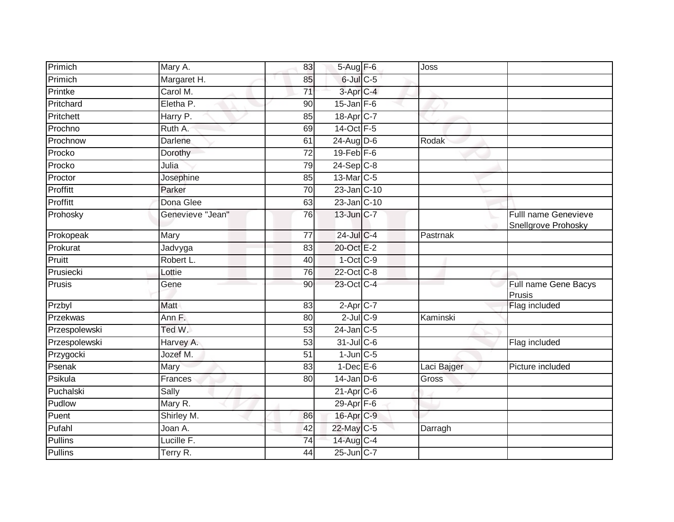| Primich        | Mary A.          | 83              | 5-Aug F-6             | Joss        |                                                    |
|----------------|------------------|-----------------|-----------------------|-------------|----------------------------------------------------|
| Primich        | Margaret H.      | 85              | $6$ -Jul $C$ -5       |             |                                                    |
| Printke        | Carol M.         | $\overline{71}$ | 3-Apr <sub>IC-4</sub> |             |                                                    |
| Pritchard      | Eletha P.        | 90              | $15$ -Jan $F-6$       |             |                                                    |
| Pritchett      | Harry P.         | 85              | 18-Apr C-7            |             |                                                    |
| Prochno        | Ruth A.          | 69              | 14-Oct F-5            |             |                                                    |
| Prochnow       | Darlene          | 61              | 24-Aug D-6            | Rodak       |                                                    |
| Procko         | Dorothy          | $\overline{72}$ | $19$ -Feb $F-6$       |             |                                                    |
| Procko         | Julia            | 79              | $24-Sep$ C-8          |             |                                                    |
| Proctor        | Josephine        | 85              | 13-Mar C-5            |             |                                                    |
| Proffitt       | Parker           | $\overline{70}$ | 23-Jan C-10           |             |                                                    |
| Proffitt       | Dona Glee        | 63              | $23$ -Jan $ C-10$     |             |                                                    |
| Prohosky       | Genevieve "Jean" | 76              | 13-Jun C-7            |             | <b>Fulll name Genevieve</b><br>Snellgrove Prohosky |
| Prokopeak      | Mary             | $\overline{77}$ | $24$ -Jul C-4         | Pastrnak    |                                                    |
| Prokurat       | Jadvyga          | 83              | 20-Oct E-2            |             |                                                    |
| Pruitt         | Robert L.        | 40              | $1$ -Oct $C-9$        |             |                                                    |
| Prusiecki      | Lottie           | 76              | 22-Oct C-8            |             |                                                    |
| Prusis         | Gene             | 90              | 23-Oct C-4            |             | Full name Gene Bacys<br>Prusis                     |
| Przbyl         | Matt             | 83              | $2$ -Apr $C$ -7       |             | Flag included                                      |
| Przekwas       | Ann F.           | $\overline{80}$ | $2$ -Jul $C$ -9       | Kaminski    |                                                    |
| Przespolewski  | Ted W.           | 53              | $24$ -Jan $ C-5 $     |             |                                                    |
| Przespolewski  | Harvey A.        | $\overline{53}$ | $31$ -Jul C-6         |             | Flag included                                      |
| Przygocki      | Jozef M.         | 51              | $1$ -Jun $C$ -5       |             |                                                    |
| Psenak         | Mary             | 83              | $1-Dec$ $E-6$         | Laci Bajger | Picture included                                   |
| Psikula        | Frances          | 80              | $14$ -Jan D-6         | Gross       |                                                    |
| Puchalski      | Sally            |                 | $21-AprC-6$           |             |                                                    |
| Pudlow         | Mary R.          |                 | 29-Apr F-6            |             |                                                    |
| Puent          | Shirley M.       | 86              | 16-Apr C-9            |             |                                                    |
| Pufahl         | Joan A.          | 42              | 22-May C-5            | Darragh     |                                                    |
| <b>Pullins</b> | Lucille F.       | $\overline{74}$ | 14-Aug C-4            |             |                                                    |
| Pullins        | Terry R.         | 44              | 25-Jun C-7            |             |                                                    |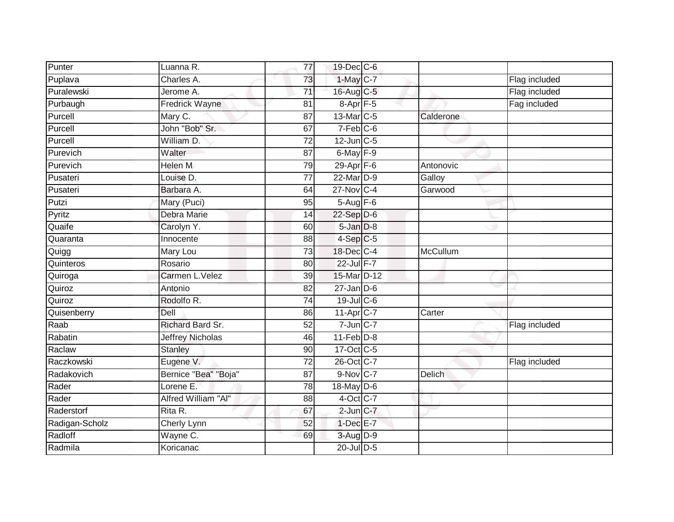| Punter         | Luanna R.               | 77              | 19-Dec C-6             |           |               |
|----------------|-------------------------|-----------------|------------------------|-----------|---------------|
| Puplava        | Charles A.              | 73              | $1$ -May $C-7$         |           | Flag included |
| Puralewski     | Jerome A.               | 71              | 16-Aug C-5             |           | Flag included |
| Purbaugh       | Fredrick Wayne          | 81              | $8-Apr$ F-5            |           | Fag included  |
| Purcell        | Mary C.                 | $\overline{87}$ | 13-Mar C-5             | Calderone |               |
| Purcell        | John "Bob" Sr.          | 67              | $7-Feb$ <sub>C-6</sub> |           |               |
| Purcell        | William D.              | $\overline{72}$ | $12$ -Jun $C-5$        |           |               |
| Purevich       | Walter                  | 87              | $6$ -May $F-9$         |           |               |
| Purevich       | <b>Helen M</b>          | 79              | 29-Apr F-6             | Antonovic |               |
| Pusateri       | Louise D.               | 77              | 22-Mar D-9             | Galloy    |               |
| Pusateri       | Barbara A.              | 64              | 27-Nov C-4             | Garwood   |               |
| Putzi          | Mary (Puci)             | 95              | $5-Aug$ F-6            |           |               |
| Pyritz         | Debra Marie             | 14              | $22-Sep$ D-6           |           |               |
| Quaife         | Carolyn Y.              | 60              | $5 - Jan$ $D-8$        |           |               |
| Quaranta       | Innocente               | 88              | $4-Sep$ $C-5$          |           |               |
| Quigg          | Mary Lou                | 73              | 18-Dec C-4             | McCullum  |               |
| Quinteros      | Rosario                 | $\overline{80}$ | 22-Jul F-7             |           |               |
| Quiroga        | Carmen L.Velez          | 39              | 15-Mar D-12            |           |               |
| Quiroz         | Antonio                 | 82              | $27$ -Jan $D-6$        |           |               |
| Quiroz         | Rodolfo R.              | 74              | 19-Jul C-6             |           |               |
| Quisenberry    | Dell                    | 86              | 11-Apr C-7             | Carter    |               |
| Raab           | Richard Bard Sr.        | 52              | $7$ -Jun $C$ -7        |           | Flag included |
| Rabatin        | <b>Jeffrey Nicholas</b> | 46              | $11-Feb$ D-8           |           |               |
| Raclaw         | <b>Stanley</b>          | 90              | 17-Oct C-5             |           |               |
| Raczkowski     | Eugene V.               | 72              | 26-Oct C-7             |           | Flag included |
| Radakovich     | Bernice "Bea" "Boja"    | 87              | $9-Nov$ <sub>C-7</sub> | Delich    |               |
| Rader          | Lorene E.               | 78              | 18-May D-6             |           |               |
| Rader          | Alfred William "Al"     | 88              | $4$ -Oct C-7           |           |               |
| Raderstorf     | Rita R.                 | 67              | $2$ -Jun $C-7$         |           |               |
| Radigan-Scholz | Cherly Lynn             | 52              | $1-Dec$ E-7            |           |               |
| Radloff        | Wayne C.                | 69              | 3-Aug D-9              |           |               |
| Radmila        | Koricanac               |                 | 20-Jul D-5             |           |               |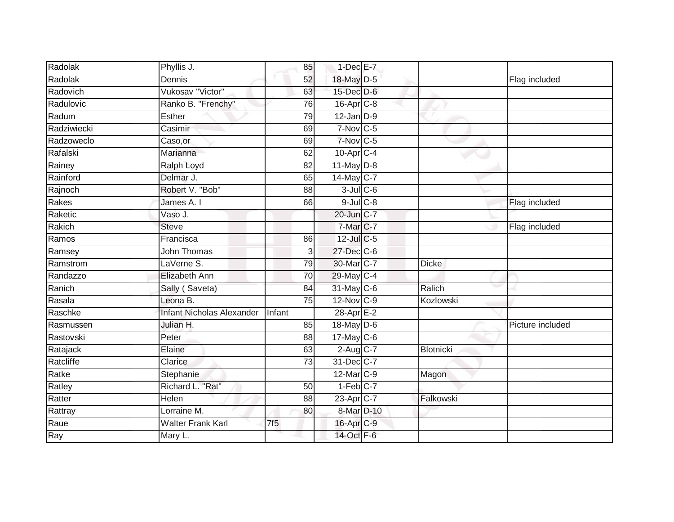| Radolak     | Phyllis J.                       | 85              | $1-Dec$ E-7            |                  |                  |
|-------------|----------------------------------|-----------------|------------------------|------------------|------------------|
| Radolak     | Dennis                           | 52              | 18-May D-5             |                  | Flag included    |
| Radovich    | Vukosav "Victor"                 | 63              | 15-Dec D-6             |                  |                  |
| Radulovic   | Ranko B. "Frenchy"               | 76              | $16$ -Apr $C-8$        |                  |                  |
| Radum       | <b>Esther</b>                    | 79              | $12$ -Jan $D-9$        |                  |                  |
| Radziwiecki | Casimir                          | 69              | $7-Nov$ <sub>C-5</sub> |                  |                  |
| Radzoweclo  | Caso, or                         | 69              | $7-Nov$ C-5            |                  |                  |
| Rafalski    | Marianna                         | 62              | $10$ -Apr $C-4$        |                  |                  |
| Rainey      | Ralph Loyd                       | 82              | $11$ -May $D-8$        |                  |                  |
| Rainford    | Delmar J.                        | 65              | 14-May C-7             |                  |                  |
| Rajnoch     | Robert V. "Bob"                  | 88              | $3$ -Jul $C$ -6        |                  |                  |
| Rakes       | James A. I                       | 66              | $9$ -Jul $C$ -8        |                  | Flag included    |
| Raketic     | Vaso J.                          |                 | 20-Jun C-7             |                  |                  |
| Rakich      | <b>Steve</b>                     |                 | $7$ -Mar $C$ -7        |                  | Flag included    |
| Ramos       | Francisca                        | 86              | 12-Jul C-5             |                  |                  |
| Ramsey      | <b>John Thomas</b>               | 3               | 27-Dec C-6             |                  |                  |
| Ramstrom    | LaVerne S.                       | 79              | 30-Mar C-7             | <b>Dicke</b>     |                  |
| Randazzo    | Elizabeth Ann                    | 70              | 29-May C-4             |                  |                  |
| Ranich      | Sally (Saveta)                   | 84              | 31-May C-6             | Ralich           |                  |
| Rasala      | Leona B.                         | $\overline{75}$ | 12-Nov C-9             | Kozlowski        |                  |
| Raschke     | <b>Infant Nicholas Alexander</b> | Infant          | $28$ -Apr $E-2$        |                  |                  |
| Rasmussen   | Julian H.                        | $\overline{85}$ | 18-May D-6             |                  | Picture included |
| Rastovski   | Peter                            | 88              | $17$ -May C-6          |                  |                  |
| Ratajack    | Elaine                           | 63              | $2$ -Aug C-7           | <b>Blotnicki</b> |                  |
| Ratcliffe   | Clarice                          | 73              | 31-Dec C-7             |                  |                  |
| Ratke       | Stephanie                        |                 | 12-Mar C-9             | Magon            |                  |
| Ratley      | Richard L. "Rat"                 | 50              | $1-Feb$ <sub>C-7</sub> |                  |                  |
| Ratter      | Helen                            | 88              | $23$ -Apr $C$ -7       | Falkowski        |                  |
| Rattray     | Lorraine M.                      | 80              | 8-Mar D-10             |                  |                  |
| Raue        | <b>Walter Frank Karl</b>         | 7f5             | 16-Apr C-9             |                  |                  |
| Ray         | Mary L.                          |                 | 14-Oct F-6             |                  |                  |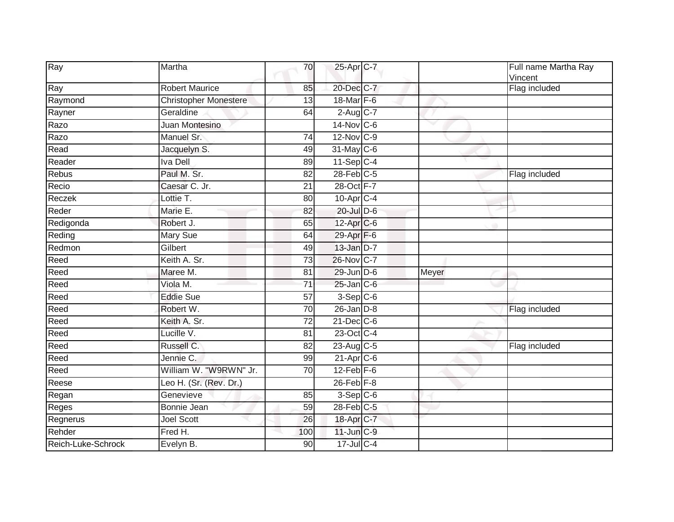| Ray                | Martha                       | 70              | 25-Apr C-7             |       | Full name Martha Ray<br>Vincent |
|--------------------|------------------------------|-----------------|------------------------|-------|---------------------------------|
| Ray                | <b>Robert Maurice</b>        | 85              | 20-Dec C-7             |       | Flag included                   |
| Raymond            | <b>Christopher Monestere</b> | 13              | 18-Mar F-6             |       |                                 |
| Rayner             | Geraldine                    | 64              | $2-Aug$ <sub>C-7</sub> |       |                                 |
| Razo               | Juan Montesino               |                 | 14-Nov C-6             |       |                                 |
| Razo               | Manuel Sr.                   | 74              | 12-Nov C-9             |       |                                 |
| Read               | Jacquelyn S.                 | 49              | 31-May C-6             |       |                                 |
| Reader             | <b>Iva Dell</b>              | 89              | $11-Sep$ C-4           |       |                                 |
| Rebus              | Paul M. Sr.                  | 82              | $28$ -Feb $C-5$        |       | Flag included                   |
| Recio              | Caesar C. Jr.                | 21              | 28-Oct F-7             |       |                                 |
| Reczek             | Lottie T.                    | 80              | $10$ -Apr $C-4$        |       |                                 |
| Reder              | Marie E.                     | 82              | 20-Jul D-6             |       |                                 |
| Redigonda          | Robert J.                    | 65              | 12-Apr C-6             |       |                                 |
| Reding             | Mary Sue                     | 64              | 29-Apr F-6             |       |                                 |
| Redmon             | Gilbert                      | 49              | 13-Jan D-7             |       |                                 |
| Reed               | Keith A. Sr.                 | 73              | 26-Nov C-7             |       |                                 |
| Reed               | Maree M.                     | 81              | 29-Jun D-6             | Meyer |                                 |
| Reed               | Viola M.                     | 71              | $25$ -Jan $C$ -6       |       |                                 |
| Reed               | <b>Eddie Sue</b>             | 57              | $3-Sep C-6$            |       |                                 |
| Reed               | Robert W.                    | $\overline{70}$ | $26$ -Jan $D-8$        |       | Flag included                   |
| Reed               | Keith A. Sr.                 | 72              | $21$ -Dec $C$ -6       |       |                                 |
| Reed               | Lucille V.                   | 81              | 23-Oct C-4             |       |                                 |
| Reed               | Russell C.                   | 82              | 23-Aug C-5             |       | Flag included                   |
| Reed               | Jennie C.                    | 99              | 21-Apr C-6             |       |                                 |
| Reed               | William W. "W9RWN" Jr.       | $\overline{70}$ | $12$ -Feb $F-6$        |       |                                 |
| Reese              | Leo H. (Sr. (Rev. Dr.)       |                 | $26$ -Feb $F-8$        |       |                                 |
| Regan              | Genevieve                    | 85              | $3-Sep$ $C-6$          |       |                                 |
| Reges              | Bonnie Jean                  | 59              | 28-Feb C-5             |       |                                 |
| Regnerus           | <b>Joel Scott</b>            | 26              | 18-Apr C-7             |       |                                 |
| Rehder             | Fred H.                      | 100             | 11-Jun C-9             |       |                                 |
| Reich-Luke-Schrock | Evelyn B.                    | 90              | $17 -$ Jul C-4         |       |                                 |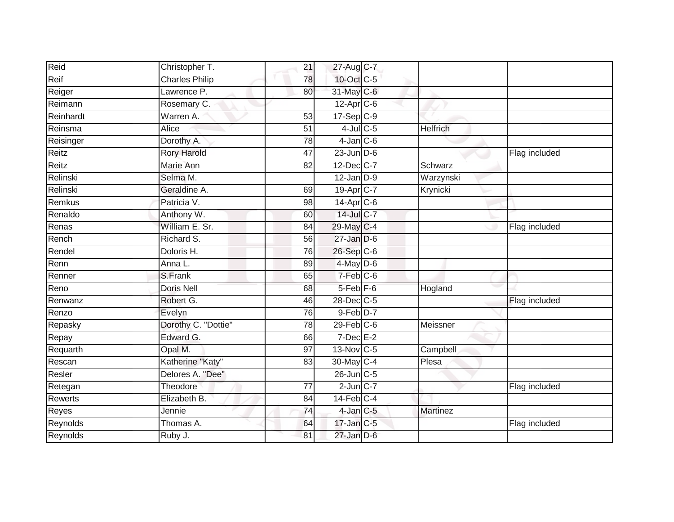| Reid           | Christopher T.        | 21              | 27-Aug C-7       |                 |               |
|----------------|-----------------------|-----------------|------------------|-----------------|---------------|
| Reif           | <b>Charles Philip</b> | $\overline{78}$ | 10-Oct C-5       |                 |               |
| Reiger         | Lawrence P.           | 80              | 31-May C-6       |                 |               |
| Reimann        | Rosemary C.           |                 | $12$ -Apr $C$ -6 |                 |               |
| Reinhardt      | Warren A.             | $\overline{53}$ | $17-Sep$ $C-9$   |                 |               |
| Reinsma        | Alice                 | 51              | $4$ -Jul $C$ -5  | <b>Helfrich</b> |               |
| Reisinger      | Dorothy A.            | 78              | $4$ -Jan $C$ -6  |                 |               |
| Reitz          | <b>Rory Harold</b>    | 47              | $23$ -Jun $D-6$  |                 | Flag included |
| Reitz          | Marie Ann             | 82              | $12$ -Dec $C-7$  | Schwarz         |               |
| Relinski       | Selma M.              |                 | $12$ -Jan $D-9$  | Warzynski       |               |
| Relinski       | Geraldine A.          | 69              | 19-Apr C-7       | Krynicki        |               |
| Remkus         | Patricia V.           | 98              | $14$ -Apr $C$ -6 |                 |               |
| Renaldo        | Anthony W.            | 60              | 14-Jul C-7       |                 |               |
| Renas          | William E. Sr.        | 84              | 29-May C-4       |                 | Flag included |
| Rench          | Richard S.            | 56              | $27$ -Jan $D-6$  |                 |               |
| Rendel         | Doloris H.            | 76              | 26-Sep C-6       |                 |               |
| Renn           | Anna L.               | 89              | $4$ -May $D-6$   |                 |               |
| Renner         | S.Frank               | 65              | $7-Feb$ C-6      |                 |               |
| Reno           | <b>Doris Nell</b>     | 68              | $5-Feb$ $F-6$    | Hogland         |               |
| Renwanz        | Robert G.             | 46              | 28-Dec C-5       |                 | Flag included |
| Renzo          | Evelyn                | 76              | 9-Feb D-7        |                 |               |
| Repasky        | Dorothy C. "Dottie"   | $\overline{78}$ | $29$ -Feb $C$ -6 | Meissner        |               |
| Repay          | Edward G.             | 66              | $7$ -Dec $E-2$   |                 |               |
| Requarth       | Opal M.               | 97              | 13-Nov C-5       | Campbell        |               |
| Rescan         | Katherine "Katy"      | 83              | 30-May C-4       | Plesa           |               |
| Resler         | Delores A. "Dee"      |                 | 26-Jun C-5       |                 |               |
| Retegan        | Theodore              | $\overline{77}$ | $2$ -Jun $C-7$   |                 | Flag included |
| <b>Rewerts</b> | Elizabeth B.          | 84              | $14$ -Feb $C-4$  |                 |               |
| Reyes          | Jennie                | 74              | $4$ -Jan $C$ -5  | Martinez        |               |
| Reynolds       | Thomas A.             | 64              | 17-Jan C-5       |                 | Flag included |
| Reynolds       | Ruby J.               | 81              | $27$ -Jan $D-6$  |                 |               |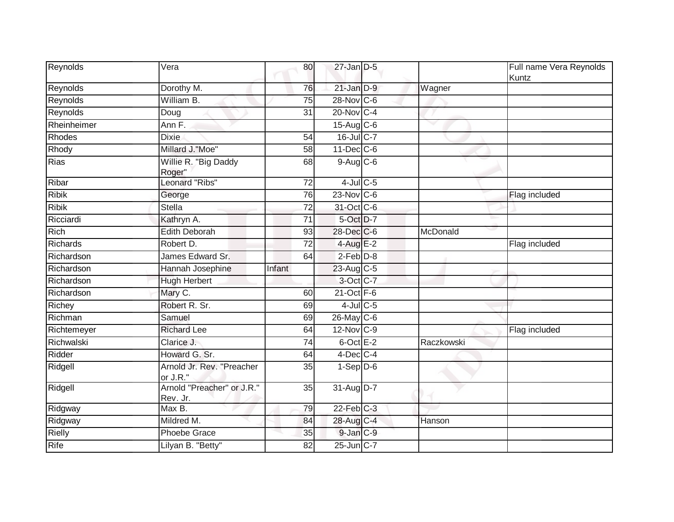| Reynolds        | Vera                                   | 80     | $27$ -Jan $D-5$  |            | Full name Vera Reynolds<br>Kuntz |
|-----------------|----------------------------------------|--------|------------------|------------|----------------------------------|
| Reynolds        | Dorothy M.                             | 76     | $21$ -Jan $D-9$  | Wagner     |                                  |
| Reynolds        | William B.                             | 75     | $28-Nov$ C-6     |            |                                  |
| Reynolds        | Doug                                   | 31     | 20-Nov C-4       |            |                                  |
| Rheinheimer     | Ann F.                                 |        | $15$ -Aug C-6    |            |                                  |
| Rhodes          | <b>Dixie</b>                           | 54     | 16-Jul C-7       |            |                                  |
| Rhody           | Millard J."Moe"                        | 58     | $11$ -Dec $C$ -6 |            |                                  |
| <b>Rias</b>     | Willie R. "Big Daddy<br>Roger"         | 68     | $9-Aug$ $C-6$    |            |                                  |
| Ribar           | Leonard "Ribs"                         | 72     | $4$ -Jul $C$ -5  |            |                                  |
| <b>Ribik</b>    | George                                 | 76     | $23-Nov$ C-6     |            | Flag included                    |
| <b>Ribik</b>    | <b>Stella</b>                          | 72     | 31-Oct C-6       |            |                                  |
| Ricciardi       | Kathryn A.                             | 71     | 5-Oct D-7        |            |                                  |
| <b>Rich</b>     | <b>Edith Deborah</b>                   | 93     | 28-Dec C-6       | McDonald   |                                  |
| <b>Richards</b> | Robert D.                              | 72     | $4$ -Aug E-2     |            | Flag included                    |
| Richardson      | James Edward Sr.                       | 64     | $2-Feb$ D-8      |            |                                  |
| Richardson      | Hannah Josephine                       | Infant | 23-Aug C-5       |            |                                  |
| Richardson      | <b>Hugh Herbert</b>                    |        | 3-Oct C-7        |            |                                  |
| Richardson      | Mary C.                                | 60     | $21$ -Oct $F-6$  |            |                                  |
| Richey          | Robert R. Sr.                          | 69     | $4$ -Jul $C$ -5  |            |                                  |
| Richman         | Samuel                                 | 69     | 26-May C-6       |            |                                  |
| Richtemeyer     | <b>Richard Lee</b>                     | 64     | 12-Nov C-9       |            | Flag included                    |
| Richwalski      | Clarice J.                             | 74     | $6$ -Oct $E-2$   | Raczkowski |                                  |
| Ridder          | Howard G. Sr.                          | 64     | 4-Dec C-4        |            |                                  |
| Ridgell         | Arnold Jr. Rev. "Preacher<br>or J.R."  | 35     | $1-Sep$ D-6      |            |                                  |
| Ridgell         | Arnold "Preacher" or J.R."<br>Rev. Jr. | 35     | 31-Aug D-7       |            |                                  |
| Ridgway         | Max B.                                 | 79     | $22$ -Feb $C-3$  |            |                                  |
| Ridgway         | Mildred M.                             | 84     | 28-Aug C-4       | Hanson     |                                  |
| <b>Rielly</b>   | <b>Phoebe Grace</b>                    | 35     | 9-Jan C-9        |            |                                  |
| Rife            | Lilyan B. "Betty"                      | 82     | 25-Jun C-7       |            |                                  |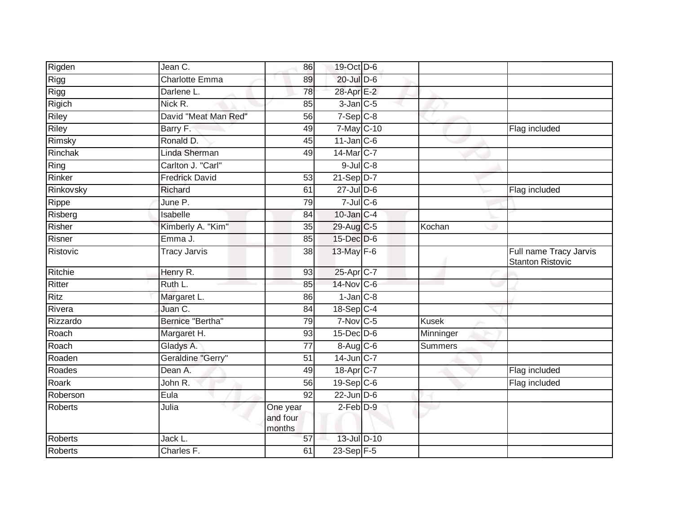| Rigden         | Jean C.               | 86                             | 19-Oct D-6              |                |                                                   |
|----------------|-----------------------|--------------------------------|-------------------------|----------------|---------------------------------------------------|
| Rigg           | Charlotte Emma        | 89                             | 20-Jul D-6              |                |                                                   |
| <b>Rigg</b>    | Darlene L.            | 78                             | 28-Apr E-2              |                |                                                   |
| Rigich         | Nick R.               | 85                             | $3$ -Jan $C$ -5         |                |                                                   |
| <b>Riley</b>   | David "Meat Man Red"  | 56                             | $7-Sep$ $C-8$           |                |                                                   |
| <b>Riley</b>   | Barry F.              | 49                             | 7-May C-10              |                | Flag included                                     |
| Rimsky         | Ronald D.             | 45                             | $11$ -Jan C-6           |                |                                                   |
| Rinchak        | Linda Sherman         | 49                             | 14-Mar C-7              |                |                                                   |
| Ring           | Carlton J. "Carl"     |                                | $9$ -Jul $C$ -8         |                |                                                   |
| Rinker         | <b>Fredrick David</b> | 53                             | 21-Sep D-7              |                |                                                   |
| Rinkovsky      | Richard               | 61                             | $27$ -Jul D-6           |                | Flag included                                     |
| Rippe          | June P.               | 79                             | $7$ -Jul $C$ -6         |                |                                                   |
| Risberg        | Isabelle              | 84                             | $10$ -Jan $C-4$         |                |                                                   |
| Risher         | Kimberly A. "Kim"     | 35                             | 29-Aug C-5              | Kochan         |                                                   |
| Risner         | Emma J.               | 85                             | 15-Dec D-6              |                |                                                   |
| Ristovic       | <b>Tracy Jarvis</b>   | 38                             | $13$ -May $F-6$         |                | Full name Tracy Jarvis<br><b>Stanton Ristovic</b> |
| Ritchie        | Henry R.              | 93                             | 25-Apr C-7              |                |                                                   |
| Ritter         | Ruth L.               | 85                             | 14-Nov C-6              |                |                                                   |
| <b>Ritz</b>    | Margaret L.           | 86                             | $1$ -Jan $C-8$          |                |                                                   |
| Rivera         | Juan C.               | 84                             | $18-Sep C-4$            |                |                                                   |
| Rizzardo       | Bernice "Bertha"      | 79                             | $7-Nov$ C-5             | <b>Kusek</b>   |                                                   |
| Roach          | Margaret H.           | 93                             | $15$ -Dec $D$ -6        | Minninger      |                                                   |
| Roach          | Gladys A.             | 77                             | $8-Aug$ $C-6$           | <b>Summers</b> |                                                   |
| Roaden         | Geraldine "Gerry"     | 51                             | 14-Jun C-7              |                |                                                   |
| Roades         | Dean A.               | 49                             | 18-Apr C-7              |                | Flag included                                     |
| Roark          | John R.               | 56                             | $19-Sep$ <sub>C-6</sub> |                | Flag included                                     |
| Roberson       | Eula                  | 92                             | $22$ -Jun $D-6$         |                |                                                   |
| <b>Roberts</b> | Julia                 | One year<br>and four<br>months | $2-Feb$ $D-9$           |                |                                                   |
| <b>Roberts</b> | Jack L.               | 57                             | 13-Jul D-10             |                |                                                   |
| Roberts        | Charles F.            | 61                             | $23-Sep$ F-5            |                |                                                   |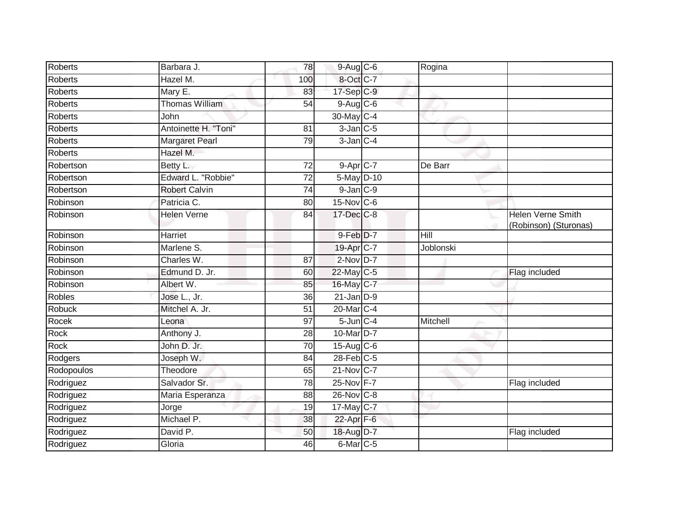| <b>Roberts</b> | Barbara J.            | 78              | 9-Aug C-6       | Rogina    |                                                   |
|----------------|-----------------------|-----------------|-----------------|-----------|---------------------------------------------------|
| Roberts        | Hazel M.              | 100             | 8-Oct C-7       |           |                                                   |
| <b>Roberts</b> | Mary E.               | 83              | 17-Sep C-9      |           |                                                   |
| Roberts        | Thomas William        | 54              | $9$ -Aug $C$ -6 |           |                                                   |
| <b>Roberts</b> | John                  |                 | 30-May C-4      |           |                                                   |
| Roberts        | Antoinette H. "Toni"  | 81              | $3$ -Jan $C$ -5 |           |                                                   |
| Roberts        | <b>Margaret Pearl</b> | 79              | $3$ -Jan $C-4$  |           |                                                   |
| <b>Roberts</b> | Hazel M.              |                 |                 |           |                                                   |
| Robertson      | Betty L.              | 72              | $9-Apr$ C-7     | De Barr   |                                                   |
| Robertson      | Edward L. "Robbie"    | $\overline{72}$ | 5-May D-10      |           |                                                   |
| Robertson      | <b>Robert Calvin</b>  | 74              | $9$ -Jan $C-9$  |           |                                                   |
| Robinson       | Patricia C.           | 80              | 15-Nov C-6      |           |                                                   |
| Robinson       | <b>Helen Verne</b>    | 84              | 17-Dec C-8      |           | <b>Helen Verne Smith</b><br>(Robinson) (Sturonas) |
| Robinson       | Harriet               |                 | 9-Feb D-7       | Hill      |                                                   |
| Robinson       | Marlene S.            |                 | 19-Apr C-7      | Joblonski |                                                   |
| Robinson       | Charles W.            | 87              | $2$ -Nov $D-7$  |           |                                                   |
| Robinson       | Edmund D. Jr.         | 60              | $22$ -May C-5   |           | Flag included                                     |
| Robinson       | Albert W.             | 85              | 16-May C-7      |           |                                                   |
| <b>Robles</b>  | Jose L., Jr.          | 36              | $21$ -Jan $D-9$ |           |                                                   |
| <b>Robuck</b>  | Mitchel A. Jr.        | 51              | 20-Mar C-4      |           |                                                   |
| Rocek          | Leona                 | 97              | $5$ -Jun $C-4$  | Mitchell  |                                                   |
| Rock           | Anthony J.            | 28              | 10-Mar D-7      |           |                                                   |
| Rock           | John D. Jr.           | 70              | $15$ -Aug C-6   |           |                                                   |
| Rodgers        | Joseph W.             | 84              | $28$ -Feb $C-5$ |           |                                                   |
| Rodopoulos     | Theodore              | 65              | 21-Nov C-7      |           |                                                   |
| Rodriguez      | Salvador Sr.          | 78              | 25-Nov F-7      |           | Flag included                                     |
| Rodriguez      | Maria Esperanza       | 88              | 26-Nov C-8      |           |                                                   |
| Rodriguez      | Jorge                 | 19              | 17-May C-7      |           |                                                   |
| Rodriguez      | Michael P.            | 38              | 22-Apr F-6      |           |                                                   |
| Rodriguez      | David P.              | 50              | 18-Aug D-7      |           | Flag included                                     |
| Rodriguez      | Gloria                | 46              | $6$ -Mar $C$ -5 |           |                                                   |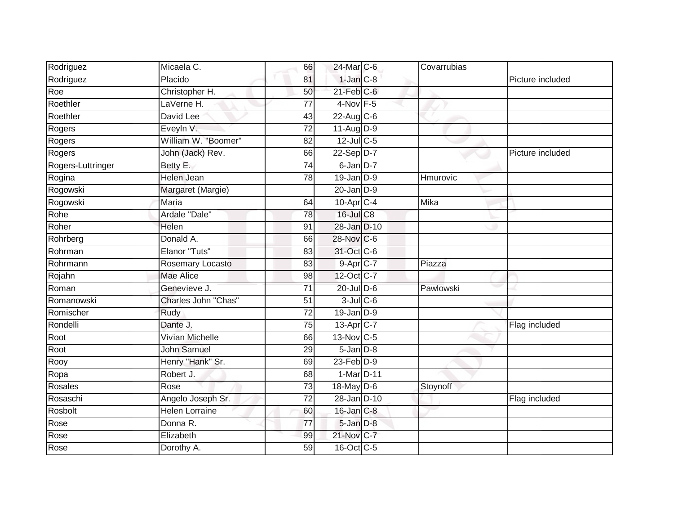| Rodriguez         | Micaela C.             | 66              | 24-Mar C-6       | Covarrubias |                  |
|-------------------|------------------------|-----------------|------------------|-------------|------------------|
| Rodriguez         | Placido                | 81              | $1$ -Jan $C-8$   |             | Picture included |
| Roe               | Christopher H.         | 50              | $21$ -Feb $C$ -6 |             |                  |
| Roethler          | LaVerne H.             | 77              | $4$ -Nov $F-5$   |             |                  |
| Roethler          | David Lee              | 43              | $22$ -Aug C-6    |             |                  |
| Rogers            | EveyIn V.              | $\overline{72}$ | $11-Aug$ D-9     |             |                  |
| Rogers            | William W. "Boomer"    | 82              | 12-Jul C-5       |             |                  |
| Rogers            | John (Jack) Rev.       | 66              | $22-Sep D-7$     |             | Picture included |
| Rogers-Luttringer | Betty E.               | 74              | 6-Jan D-7        |             |                  |
| Rogina            | Helen Jean             | 78              | $19$ -Jan $D-9$  | Hmurovic    |                  |
| Rogowski          | Margaret (Margie)      |                 | $20$ -Jan D-9    |             |                  |
| Rogowski          | <b>Maria</b>           | 64              | $10$ -Apr $C-4$  | Mika        |                  |
| Rohe              | Ardale "Dale"          | 78              | $16$ -Jul $C8$   |             |                  |
| Roher             | Helen                  | 91              | 28-Jan D-10      |             |                  |
| Rohrberg          | Donald A.              | 66              | 28-Nov C-6       |             |                  |
| Rohrman           | Elanor "Tuts"          | 83              | 31-Oct C-6       |             |                  |
| Rohrmann          | Rosemary Locasto       | 83              | 9-Apr C-7        | Piazza      |                  |
| Rojahn            | Mae Alice              | 98              | 12-Oct C-7       |             |                  |
| Roman             | Genevieve J.           | $\overline{71}$ | $20$ -Jul $D-6$  | Pawlowski   |                  |
| Romanowski        | Charles John "Chas"    | $\overline{51}$ | $3$ -Jul $C$ -6  |             |                  |
| Romischer         | Rudy                   | $\overline{72}$ | $19$ -Jan $D-9$  |             |                  |
| Rondelli          | Dante J.               | 75              | 13-Apr C-7       |             | Flag included    |
| Root              | <b>Vivian Michelle</b> | 66              | 13-Nov C-5       |             |                  |
| Root              | <b>John Samuel</b>     | 29              | $5$ -Jan $D-8$   |             |                  |
| Rooy              | Henry "Hank" Sr.       | 69              | $23$ -Feb $D-9$  |             |                  |
| Ropa              | Robert J.              | 68              | 1-Mar D-11       |             |                  |
| Rosales           | Rose                   | 73              | 18-May D-6       | Stoynoff    |                  |
| Rosaschi          | Angelo Joseph Sr.      | 72              | 28-Jan D-10      |             | Flag included    |
| Rosbolt           | <b>Helen Lorraine</b>  | 60              | $16$ -Jan $C-8$  |             |                  |
| Rose              | Donna R.               | 77              | 5-Jan D-8        |             |                  |
| Rose              | Elizabeth              | 99              | 21-Nov C-7       |             |                  |
| Rose              | Dorothy A.             | 59              | 16-Oct C-5       |             |                  |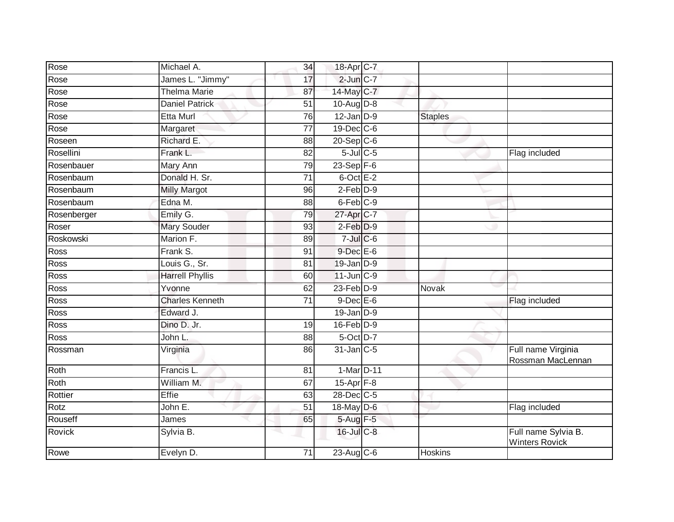| Rose        | Michael A.             | 34              | 18-Apr C-7       |                |                                              |
|-------------|------------------------|-----------------|------------------|----------------|----------------------------------------------|
| Rose        | James L. "Jimmy"       | 17              | $2$ -Jun $C-7$   |                |                                              |
| Rose        | <b>Thelma Marie</b>    | 87              | 14-May C-7       |                |                                              |
| Rose        | Daniel Patrick         | 51              | 10-Aug $D-8$     |                |                                              |
| Rose        | <b>Etta Murl</b>       | 76              | $12$ -Jan $D-9$  | <b>Staples</b> |                                              |
| Rose        | Margaret               | $\overline{77}$ | 19-Dec C-6       |                |                                              |
| Roseen      | Richard E.             | 88              | $20-Sep$ C-6     |                |                                              |
| Rosellini   | Frank L.               | 82              | $5$ -Jul $C$ -5  |                | Flag included                                |
| Rosenbauer  | Mary Ann               | 79              | $23-Sep$ F-6     |                |                                              |
| Rosenbaum   | Donald H. Sr.          | 71              | $6$ -Oct $E-2$   |                |                                              |
| Rosenbaum   | <b>Milly Margot</b>    | 96              | $2-Feb$ $D-9$    |                |                                              |
| Rosenbaum   | Edna M.                | 88              | 6-Feb C-9        |                |                                              |
| Rosenberger | Emily G.               | 79              | 27-Apr C-7       |                |                                              |
| Roser       | Mary Souder            | 93              | $2-Feb$ $D-9$    |                |                                              |
| Roskowski   | Marion F.              | 89              | $7$ -Jul $C$ -6  |                |                                              |
| Ross        | Frank S.               | 91              | $9$ -Dec E-6     |                |                                              |
| Ross        | Louis G., Sr.          | 81              | $19$ -Jan $D-9$  |                |                                              |
| Ross        | <b>Harrell Phyllis</b> | 60              | $11$ -Jun $C-9$  |                |                                              |
| Ross        | Yvonne                 | 62              | $23$ -Feb $D-9$  | Novak          |                                              |
| Ross        | <b>Charles Kenneth</b> | 71              | $9$ -Dec $E$ -6  |                | Flag included                                |
| Ross        | Edward J.              |                 | $19$ -Jan $D-9$  |                |                                              |
| Ross        | Dino D. Jr.            | 19              | $16$ -Feb $D-9$  |                |                                              |
| Ross        | John L.                | 88              | 5-Oct D-7        |                |                                              |
| Rossman     | Virginia               | 86              | 31-Jan C-5       |                | Full name Virginia<br>Rossman MacLennan      |
| Roth        | Francis L.             | 81              | 1-Mar D-11       |                |                                              |
| Roth        | William M.             | 67              | $15$ -Apr $F-8$  |                |                                              |
| Rottier     | <b>Effie</b>           | 63              | 28-Dec C-5       |                |                                              |
| Rotz        | John E.                | 51              | 18-May D-6       |                | Flag included                                |
| Rouseff     | James                  | 65              | 5-Aug F-5        |                |                                              |
| Rovick      | Sylvia B.              | -1              | $16$ -Jul $C$ -8 |                | Full name Sylvia B.<br><b>Winters Rovick</b> |
| Rowe        | Evelyn D.              | 71              | $23$ -Aug C-6    | Hoskins        |                                              |
|             |                        |                 |                  |                |                                              |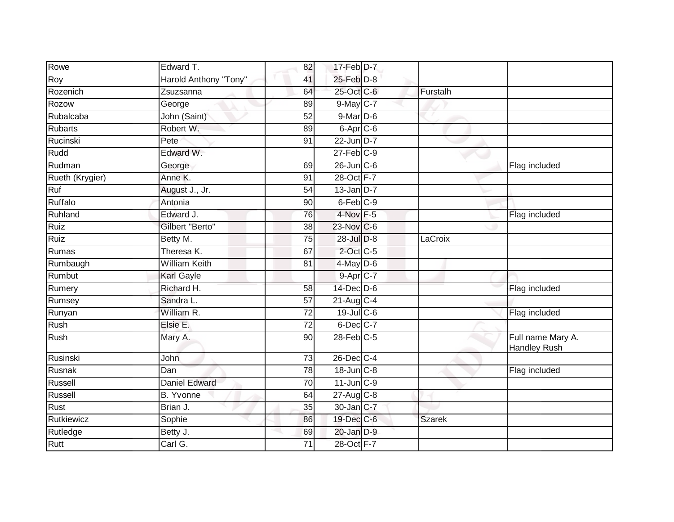| Rowe            | Edward T.             | 82              | 17-Feb D-7        |               |                                          |
|-----------------|-----------------------|-----------------|-------------------|---------------|------------------------------------------|
| Roy             | Harold Anthony "Tony" | 41              | 25-Feb D-8        |               |                                          |
| Rozenich        | Zsuzsanna             | 64              | 25-Oct C-6        | Furstalh      |                                          |
| Rozow           | George                | 89              | $9$ -May C-7      |               |                                          |
| Rubalcaba       | John (Saint)          | $\overline{52}$ | $9$ -Mar $D$ -6   |               |                                          |
| <b>Rubarts</b>  | Robert W.             | 89              | 6-Apr C-6         |               |                                          |
| Rucinski        | Pete                  | 91              | 22-Jun D-7        |               |                                          |
| Rudd            | Edward W.             |                 | $27$ -Feb $C-9$   |               |                                          |
| Rudman          | George                | 69              | 26-Jun C-6        |               | Flag included                            |
| Rueth (Krygier) | Anne K.               | 91              | 28-Oct F-7        |               |                                          |
| Ruf             | August J., Jr.        | 54              | $13$ -Jan $D-7$   |               |                                          |
| <b>Ruffalo</b>  | Antonia               | 90              | $6$ -Feb $C-9$    |               |                                          |
| Ruhland         | Edward J.             | 76              | $4$ -Nov $F - 5$  |               | Flag included                            |
| Ruiz            | Gilbert "Berto"       | 38              | 23-Nov C-6        |               |                                          |
| Ruiz            | Betty M.              | $\overline{75}$ | 28-Jul D-8        | LaCroix       |                                          |
| Rumas           | Theresa K.            | 67              | $2$ -Oct C-5      |               |                                          |
| Rumbaugh        | <b>William Keith</b>  | 81              | 4-May D-6         |               |                                          |
| Rumbut          | Karl Gayle            |                 | $9-Apr$ $C-7$     |               |                                          |
| Rumery          | Richard H.            | 58              | 14-Dec D-6        |               | Flag included                            |
| Rumsey          | Sandra L.             | 57              | $21-Aug$ C-4      |               |                                          |
| Runyan          | William R.            | 72              | $19$ -JulC-6      |               | Flag included                            |
| Rush            | Elsie E.              | $\overline{72}$ | $6$ -Dec $C$ -7   |               |                                          |
| Rush            | Mary A.               | 90              | $28$ -Feb $C-5$   |               | Full name Mary A.<br><b>Handley Rush</b> |
| Rusinski        | John                  | 73              | 26-Dec C-4        |               |                                          |
| Rusnak          | Dan                   | $\overline{78}$ | $18$ -Jun $C-8$   |               | Flag included                            |
| Russell         | <b>Daniel Edward</b>  | 70              | $11$ -Jun $C-9$   |               |                                          |
| Russell         | <b>B.</b> Yvonne      | 64              | 27-Aug C-8        |               |                                          |
| Rust            | Brian J.              | 35              | $30$ -Jan $ C-7 $ |               |                                          |
| Rutkiewicz      | Sophie                | 86              | 19-Dec C-6        | <b>Szarek</b> |                                          |
| Rutledge        | Betty J.              | 69              | 20-Jan D-9        |               |                                          |
| Rutt            | Carl G.               | 71              | 28-Oct F-7        |               |                                          |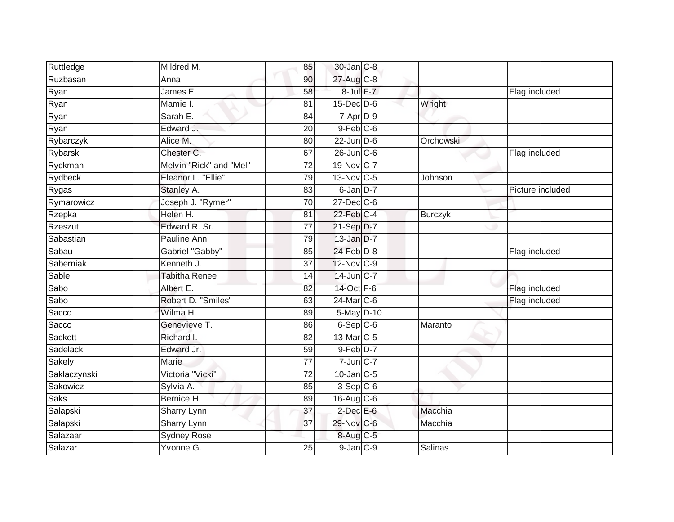| Ruttledge    | Mildred M.              | 85              | 30-Jan C-8             |                |                  |
|--------------|-------------------------|-----------------|------------------------|----------------|------------------|
| Ruzbasan     | Anna                    | 90              | 27-Aug C-8             |                |                  |
| Ryan         | James E.                | 58              | 8-Jul F-7              |                | Flag included    |
| Ryan         | Mamie I.                | 81              | $15$ -Dec $D-6$        | Wright         |                  |
| Ryan         | Sarah E.                | 84              | 7-Apr D-9              |                |                  |
| Ryan         | Edward J.               | 20              | $9$ -Feb $C$ -6        |                |                  |
| Rybarczyk    | Alice M.                | 80              | $22$ -Jun $D-6$        | Orchowski      |                  |
| Rybarski     | Chester C.              | 67              | $26$ -Jun $C$ -6       |                | Flag included    |
| Ryckman      | Melvin "Rick" and "Mel" | 72              | 19-Nov C-7             |                |                  |
| Rydbeck      | Eleanor L. "Ellie"      | 79              | 13-Nov C-5             | Johnson        |                  |
| Rygas        | Stanley A.              | 83              | $6$ -Jan $D-7$         |                | Picture included |
| Rymarowicz   | Joseph J. "Rymer"       | 70              | $27 - Dec$ C-6         |                |                  |
| Rzepka       | Helen H.                | 81              | 22-Feb C-4             | <b>Burczyk</b> |                  |
| Rzeszut      | Edward R. Sr.           | $\overline{77}$ | $21-Sep D-7$           |                |                  |
| Sabastian    | Pauline Ann             | 79              | 13-Jan D-7             |                |                  |
| Sabau        | Gabriel "Gabby"         | 85              | $24$ -Feb $D-8$        |                | Flag included    |
| Saberniak    | Kenneth J.              | $\overline{37}$ | 12-Nov C-9             |                |                  |
| Sable        | <b>Tabitha Renee</b>    | 14              | 14-Jun C-7             |                |                  |
| Sabo         | Albert E.               | 82              | 14-Oct F-6             |                | Flag included    |
| Sabo         | Robert D. "Smiles"      | 63              | 24-Mar C-6             |                | Flag included    |
| Sacco        | Wilma H.                | 89              | 5-May D-10             |                |                  |
| Sacco        | Genevieve T.            | 86              | $6-Sep$ $C-6$          | Maranto        |                  |
| Sackett      | Richard I.              | 82              | 13-Mar C-5             |                |                  |
| Sadelack     | Edward Jr.              | 59              | $9-Feb$ D-7            |                |                  |
| Sakely       | Marie                   | 77              | $7$ -Jun $C$ -7        |                |                  |
| Saklaczynski | Victoria "Vicki"        | $\overline{72}$ | $10$ -Jan $C-5$        |                |                  |
| Sakowicz     | Sylvia A.               | 85              | $3-$ Sep $C-6$         |                |                  |
| <b>Saks</b>  | Bernice H.              | 89              | 16-Aug C-6             |                |                  |
| Salapski     | Sharry Lynn             | 37              | $2$ -Dec $E$ -6        | Macchia        |                  |
| Salapski     | Sharry Lynn             | 37              | 29-Nov C-6             | Macchia        |                  |
| Salazaar     | <b>Sydney Rose</b>      |                 | $8-Aug$ <sub>C-5</sub> |                |                  |
| Salazar      | Yvonne G.               | 25              | $9-Jan$ $C-9$          | <b>Salinas</b> |                  |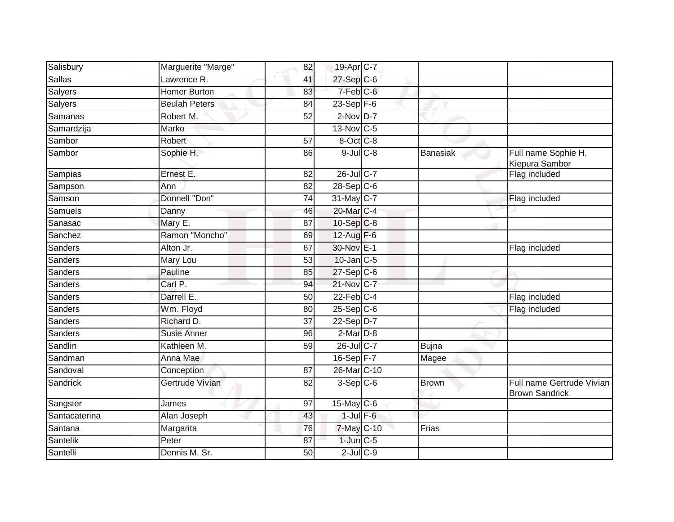| Salisbury      | Marguerite "Marge"   | 82              | 19-Apr C-7              |                 |                                                    |
|----------------|----------------------|-----------------|-------------------------|-----------------|----------------------------------------------------|
| Sallas         | Lawrence R.          | 41              | $27-Sep$ C-6            |                 |                                                    |
| <b>Salyers</b> | <b>Homer Burton</b>  | 83              | 7-Feb <sup>C-6</sup>    |                 |                                                    |
| <b>Salyers</b> | <b>Beulah Peters</b> | 84              | $23 - Sep$ F-6          |                 |                                                    |
| Samanas        | Robert M.            | $\overline{52}$ | $2$ -Nov D-7            |                 |                                                    |
| Samardzija     | Marko                |                 | 13-Nov C-5              |                 |                                                    |
| Sambor         | Robert               | 57              | 8-Oct C-8               |                 |                                                    |
| Sambor         | Sophie H.            | 86              | $9$ -Jul $C$ -8         | <b>Banasiak</b> | Full name Sophie H.<br>Kiepura Sambor              |
| Sampias        | Ernest E.            | 82              | 26-Jul C-7              |                 | Flag included                                      |
| Sampson        | Ann                  | 82              | $28-Sep$ C-6            |                 |                                                    |
| Samson         | Donnell "Don"        | 74              | 31-May C-7              |                 | Flag included                                      |
| Samuels        | Danny                | 46              | 20-Mar C-4              |                 |                                                    |
| Sanasac        | Mary E.              | $\overline{87}$ | 10-Sep C-8              |                 |                                                    |
| Sanchez        | Ramon "Moncho"       | 69              | $12$ -Aug F-6           |                 |                                                    |
| Sanders        | Alton Jr.            | 67              | 30-Nov E-1              |                 | Flag included                                      |
| Sanders        | Mary Lou             | 53              | $10$ -Jan $ C-5 $       |                 |                                                    |
| Sanders        | Pauline              | 85              | $27-Sep$ <sub>C-6</sub> |                 |                                                    |
| Sanders        | Carl P.              | 94              | 21-Nov C-7              |                 |                                                    |
| Sanders        | Darrell E.           | 50              | $22$ -Feb $C-4$         |                 | Flag included                                      |
| Sanders        | Wm. Floyd            | 80              | $25-Sep C-6$            |                 | Flag included                                      |
| Sanders        | Richard D.           | 37              | 22-Sep D-7              |                 |                                                    |
| Sanders        | <b>Susie Anner</b>   | 96              | $2$ -Mar $D-8$          |                 |                                                    |
| Sandlin        | Kathleen M.          | 59              | 26-Jul C-7              | <b>Bujna</b>    |                                                    |
| Sandman        | Anna Mae             |                 | $16-Sep$ $F-7$          | Magee           |                                                    |
| Sandoval       | Conception           | 87              | 26-Mar C-10             |                 |                                                    |
| Sandrick       | Gertrude Vivian      | 82              | $3-Sep C-6$             | <b>Brown</b>    | Full name Gertrude Vivian<br><b>Brown Sandrick</b> |
| Sangster       | James                | 97              | $15$ -May C-6           |                 |                                                    |
| Santacaterina  | Alan Joseph          | 43              | $1$ -Jul $F-6$          |                 |                                                    |
| Santana        | Margarita            | 76              | 7-May C-10              | Frias           |                                                    |
| Santelik       | Peter                | 87              | $1$ -Jun $C - 5$        |                 |                                                    |
| Santelli       | Dennis M. Sr.        | 50              | $2$ -Jul $C$ -9         |                 |                                                    |
|                |                      |                 |                         |                 |                                                    |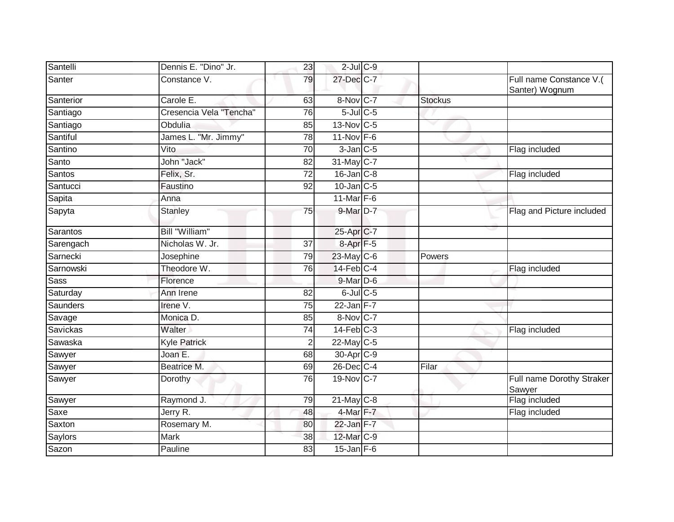| Santelli        | Dennis E. "Dino" Jr.    | 23              | $2$ -Jul $C$ -9       |                |                                           |
|-----------------|-------------------------|-----------------|-----------------------|----------------|-------------------------------------------|
| Santer          | Constance V.            | 79              | 27-Dec C-7            |                | Full name Constance V.(<br>Santer) Wognum |
| Santerior       | Carole E.               | 63              | 8-Nov C-7             | <b>Stockus</b> |                                           |
| Santiago        | Cresencia Vela "Tencha" | 76              | $5$ -Jul $C$ -5       |                |                                           |
| Santiago        | Obdulia                 | 85              | 13-Nov C-5            |                |                                           |
| Santiful        | James L. "Mr. Jimmy"    | 78              | $11$ -Nov $F-6$       |                |                                           |
| Santino         | Vito                    | 70              | $3$ -Jan $C$ -5       |                | Flag included                             |
| Santo           | John "Jack"             | 82              | 31-May C-7            |                |                                           |
| Santos          | Felix, Sr.              | 72              | $16$ -Jan $C-8$       |                | Flag included                             |
| Santucci        | Faustino                | 92              | $10$ -Jan $C-5$       |                |                                           |
| Sapita          | Anna                    |                 | 11-Mar $F-6$          |                |                                           |
| Sapyta          | <b>Stanley</b>          | 75              | 9-Mar D-7             |                | Flag and Picture included                 |
| Sarantos        | Bill "William"          |                 | 25-Apr C-7            |                |                                           |
| Sarengach       | Nicholas W. Jr.         | 37              | $8 -$ Apr $F - 5$     |                |                                           |
| Sarnecki        | Josephine               | 79              | 23-May C-6            | Powers         |                                           |
| Sarnowski       | Theodore W.             | 76              | $14$ -Feb $ C-4$      |                | Flag included                             |
| Sass            | Florence                |                 | 9-Mar D-6             |                |                                           |
| Saturday        | Ann Irene               | 82              | $6$ -Jul $C$ -5       |                |                                           |
| Saunders        | Irene <sub>V.</sub>     | 75              | $22$ -Jan F-7         |                |                                           |
| Savage          | Monica D.               | 85              | 8-Nov C-7             |                |                                           |
| <b>Savickas</b> | <b>Walter</b>           | 74              | $14$ -Feb $C-3$       |                | Flag included                             |
| Sawaska         | <b>Kyle Patrick</b>     | 2               | $22$ -May C-5         |                |                                           |
| Sawyer          | Joan E.                 | 68              | 30-Apr <sub>C-9</sub> |                |                                           |
| Sawyer          | Beatrice M.             | 69              | 26-Dec C-4            | Filar          |                                           |
| Sawyer          | Dorothy                 | 76              | 19-Nov C-7            |                | Full name Dorothy Straker<br>Sawyer       |
| Sawyer          | Raymond J.              | 79              | 21-May C-8            |                | Flag included                             |
| Saxe            | Jerry R.                | 48              | 4-Mar F-7             |                | Flag included                             |
| Saxton          | Rosemary M.             | 80              | $22$ -Jan $F-7$       |                |                                           |
| Saylors         | Mark                    | 38              | 12-Mar C-9            |                |                                           |
| Sazon           | Pauline                 | $\overline{83}$ | $15$ -Jan $F-6$       |                |                                           |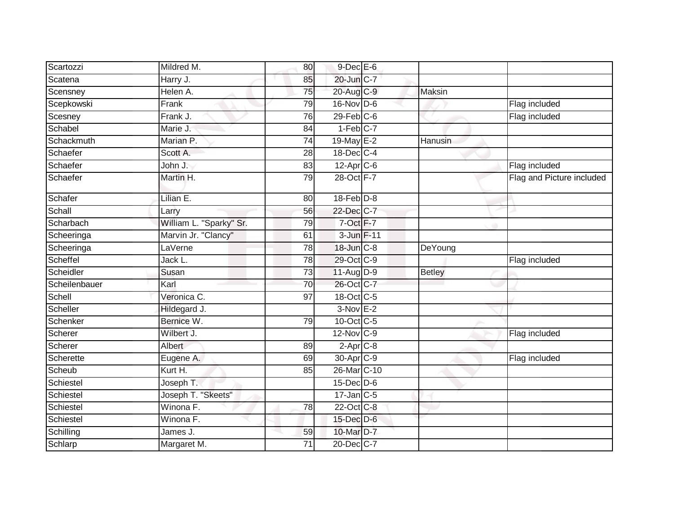| Scartozzi     | Mildred M.              | 80              | $9$ -Dec $E$ -6        |               |                           |
|---------------|-------------------------|-----------------|------------------------|---------------|---------------------------|
| Scatena       | Harry J.                | 85              | 20-Jun C-7             |               |                           |
| Scensney      | Helen A.                | 75              | 20-Aug C-9             | Maksin        |                           |
| Scepkowski    | Frank                   | 79              | $16$ -Nov D-6          |               | Flag included             |
| Scesney       | Frank J.                | 76              | $29$ -Feb $C-6$        |               | Flag included             |
| Schabel       | Marie J.                | 84              | $1-Feb$ <sub>C-7</sub> |               |                           |
| Schackmuth    | Marian P.               | 74              | 19-May E-2             | Hanusin       |                           |
| Schaefer      | Scott A.                | 28              | 18-Dec C-4             |               |                           |
| Schaefer      | John J.                 | 83              | $12$ -Apr $C$ -6       |               | Flag included             |
| Schaefer      | Martin H.               | $\overline{79}$ | 28-Oct F-7             |               | Flag and Picture included |
| Schafer       | Lilian E.               | 80              | $18$ -Feb $ D-8 $      |               |                           |
| Schall        | Larry                   | 56              | 22-Dec C-7             |               |                           |
| Scharbach     | William L. "Sparky" Sr. | 79              | 7-Oct F-7              |               |                           |
| Scheeringa    | Marvin Jr. "Clancy"     | 61              | 3-Jun F-11             |               |                           |
| Scheeringa    | LaVerne                 | 78              | 18-Jun C-8             | DeYoung       |                           |
| Scheffel      | Jack L.                 | 78              | 29-Oct C-9             |               | Flag included             |
| Scheidler     | Susan                   | 73              | 11-Aug D-9             | <b>Betley</b> |                           |
| Scheilenbauer | Karl                    | 70              | 26-Oct C-7             |               |                           |
| Schell        | Veronica C.             | 97              | $18-Oct$ $C-5$         |               |                           |
| Scheller      | Hildegard J.            |                 | $3-NovE-2$             |               |                           |
| Schenker      | Bernice W.              | 79              | 10-Oct C-5             |               |                           |
| Scherer       | Wilbert J.              |                 | $12$ -Nov $ C-9 $      |               | Flag included             |
| Scherer       | Albert                  | 89              | $2-Apr$ $C-8$          |               |                           |
| Scherette     | Eugene A.               | 69              | 30-Apr C-9             |               | Flag included             |
| Scheub        | Kurt H.                 | 85              | 26-Mar C-10            |               |                           |
| Schiestel     | Joseph T.               |                 | $15$ -Dec $D$ -6       |               |                           |
| Schiestel     | Joseph T. "Skeets"      |                 | $17$ -Jan $C$ -5       |               |                           |
| Schiestel     | Winona F.               | 78              | 22-Oct C-8             |               |                           |
| Schiestel     | Winona F.               |                 | 15-Dec D-6             |               |                           |
| Schilling     | James J.                | 59              | 10-Mar D-7             |               |                           |
| Schlarp       | Margaret M.             | 71              | 20-Dec C-7             |               |                           |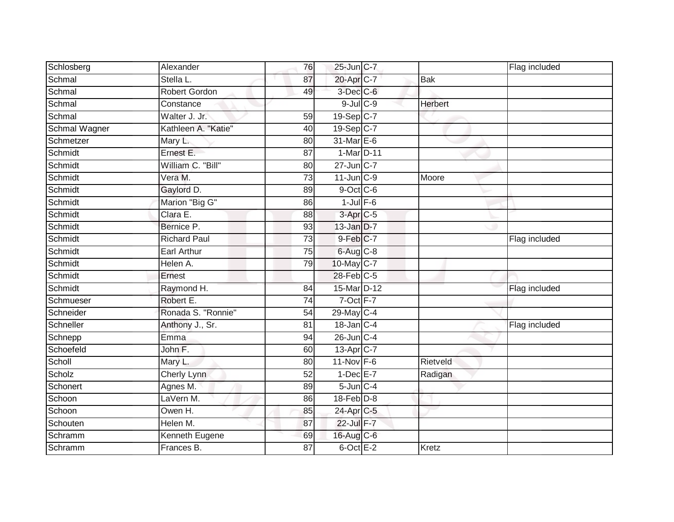| Schlosberg    | Alexander            | 76              | 25-Jun C-7             |                | Flag included |
|---------------|----------------------|-----------------|------------------------|----------------|---------------|
| Schmal        | Stella L.            | 87              | 20-Apr C-7             | <b>Bak</b>     |               |
| Schmal        | <b>Robert Gordon</b> | 49              | 3-Dec C-6              |                |               |
| Schmal        | Constance            |                 | $9$ -Jul $C$ -9        | <b>Herbert</b> |               |
| Schmal        | Walter J. Jr.        | 59              | 19-Sep C-7             |                |               |
| Schmal Wagner | Kathleen A. "Katie"  | 40              | 19-Sep C-7             |                |               |
| Schmetzer     | Mary L.              | 80              | 31-Mar E-6             |                |               |
| Schmidt       | Ernest E.            | 87              | 1-Mar D-11             |                |               |
| Schmidt       | William C. "Bill"    | 80              | 27-Jun C-7             |                |               |
| Schmidt       | Vera M.              | 73              | $11$ -Jun $C-9$        | Moore          |               |
| Schmidt       | Gaylord D.           | 89              | $9$ -Oct C-6           |                |               |
| Schmidt       | Marion "Big G"       | 86              | $1$ -Jul $F-6$         |                |               |
| Schmidt       | Clara E.             | 88              | $3-Apr$ <sub>C-5</sub> |                |               |
| Schmidt       | Bernice P.           | 93              | 13-Jan D-7             |                |               |
| Schmidt       | <b>Richard Paul</b>  | $\overline{73}$ | 9-Feb C-7              |                | Flag included |
| Schmidt       | <b>Earl Arthur</b>   | $\overline{75}$ | $6$ -Aug $C$ -8        |                |               |
| Schmidt       | Helen A.             | 79              | 10-May C-7             |                |               |
| Schmidt       | Ernest               |                 | 28-Feb C-5             |                |               |
| Schmidt       | Raymond H.           | 84              | 15-Mar D-12            |                | Flag included |
| Schmueser     | Robert E.            | $\overline{74}$ | 7-Oct F-7              |                |               |
| Schneider     | Ronada S. "Ronnie"   | 54              | 29-May C-4             |                |               |
| Schneller     | Anthony J., Sr.      | $\overline{81}$ | 18-Jan C-4             |                | Flag included |
| Schnepp       | Emma                 | 94              | $26$ -Jun $C-4$        |                |               |
| Schoefeld     | John F.              | 60              | 13-Apr C-7             |                |               |
| Scholl        | Mary L.              | 80              | $11-Nov$ F-6           | Rietveld       |               |
| Scholz        | Cherly Lynn          | 52              | $1-Dec$ E-7            | Radigan        |               |
| Schonert      | Agnes M.             | 89              | $5$ -Jun $C-4$         |                |               |
| Schoon        | LaVern M.            | 86              | 18-Feb D-8             |                |               |
| Schoon        | Owen H.              | 85              | 24-Apr C-5             |                |               |
| Schouten      | Helen M.             | 87              | 22-Jul F-7             |                |               |
| Schramm       | Kenneth Eugene       | 69              | $16$ -Aug C-6          |                |               |
| Schramm       | Frances B.           | 87              | $6$ -Oct $E-2$         | <b>Kretz</b>   |               |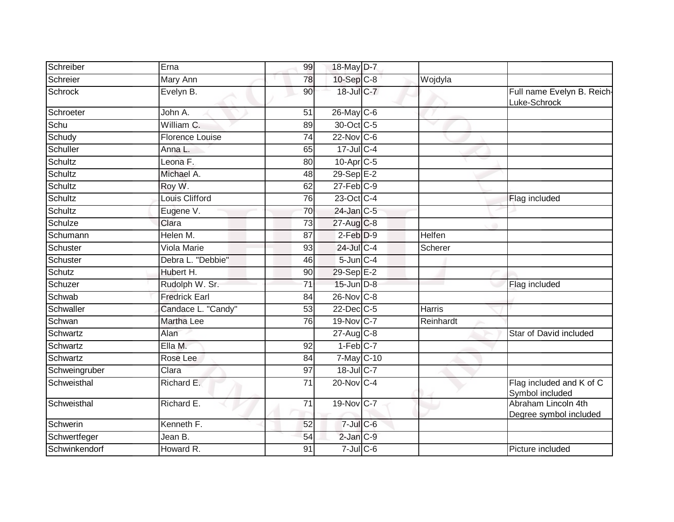| Schreiber      | Erna                   | 99              | 18-May D-7             |               |                                               |
|----------------|------------------------|-----------------|------------------------|---------------|-----------------------------------------------|
| Schreier       | Mary Ann               | 78              | 10-Sep C-8             | Wojdyla       |                                               |
| <b>Schrock</b> | Evelyn B.              | 90              | 18-Jul C-7             |               | Full name Evelyn B. Reich-<br>Luke-Schrock    |
| Schroeter      | John A.                | 51              | 26-May C-6             |               |                                               |
| Schu           | William C.             | 89              | 30-Oct C-5             |               |                                               |
| Schudy         | <b>Florence Louise</b> | $\overline{74}$ | $22$ -Nov C-6          |               |                                               |
| Schuller       | Anna L.                | 65              | $17 -$ Jul C-4         |               |                                               |
| Schultz        | Leona F.               | 80              | 10-Apr <sub>C-5</sub>  |               |                                               |
| Schultz        | Michael A.             | 48              | $29-Sep$ $E-2$         |               |                                               |
| Schultz        | Roy W.                 | 62              | $27$ -Feb $C-9$        |               |                                               |
| Schultz        | Louis Clifford         | $\overline{76}$ | 23-Oct C-4             |               | Flag included                                 |
| Schultz        | Eugene V.              | 70              | $24$ -Jan $C-5$        |               |                                               |
| Schulze        | Clara                  | $\overline{73}$ | 27-Aug C-8             |               |                                               |
| Schumann       | Helen M.               | 87              | $2$ -Feb $D-9$         | Helfen        |                                               |
| Schuster       | <b>Viola Marie</b>     | 93              | 24-Jul C-4             | Scherer       |                                               |
| Schuster       | Debra L. "Debbie"      | 46              | $5$ -Jun $C-4$         |               |                                               |
| Schutz         | Hubert H.              | 90              | 29-Sep E-2             |               |                                               |
| Schuzer        | Rudolph W. Sr.         | 71              | $15$ -Jun $D-8$        |               | Flag included                                 |
| Schwab         | <b>Fredrick Earl</b>   | 84              | 26-Nov C-8             |               |                                               |
| Schwaller      | Candace L. "Candy"     | 53              | 22-Dec C-5             | <b>Harris</b> |                                               |
| Schwan         | Martha Lee             | 76              | 19-Nov C-7             | Reinhardt     |                                               |
| Schwartz       | Alan                   |                 | $27$ -Aug C-8          |               | Star of David included                        |
| Schwartz       | Ella M.                | 92              | $1-Feb$ <sub>C-7</sub> |               |                                               |
| Schwartz       | Rose Lee               | 84              | $7-May$ $C-10$         |               |                                               |
| Schweingruber  | Clara                  | $\overline{97}$ | 18-Jul C-7             |               |                                               |
| Schweisthal    | Richard E.             | 71              | 20-Nov C-4             |               | Flag included and K of C<br>Symbol included   |
| Schweisthal    | Richard E.             | 71              | 19-Nov C-7             |               | Abraham Lincoln 4th<br>Degree symbol included |
| Schwerin       | Kenneth F.             | 52              | $7$ -Jul $C$ -6        |               |                                               |
| Schwertfeger   | Jean B.                | 54              | $2$ -Jan $C-9$         |               |                                               |
| Schwinkendorf  | Howard R.              | $\overline{91}$ | $7$ -Jul $C$ -6        |               | Picture included                              |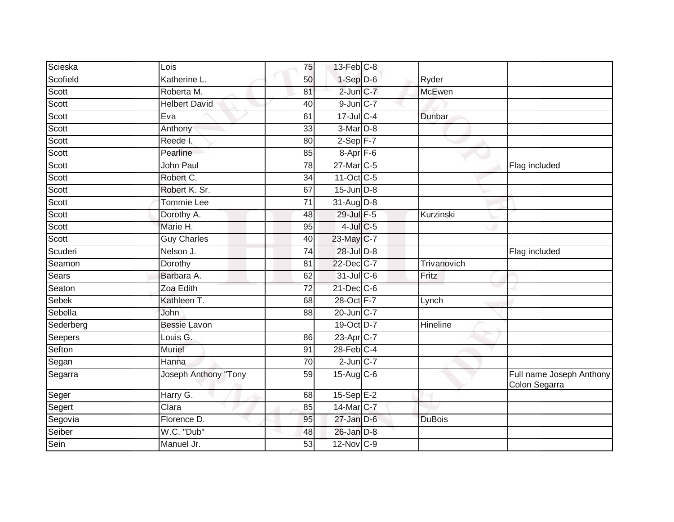| Scieska      | Lois                 | 75              | $13$ -Feb $ C-8 $     |               |                                           |
|--------------|----------------------|-----------------|-----------------------|---------------|-------------------------------------------|
| Scofield     | Katherine L.         | 50              | $1-Sep$ $D-6$         | Ryder         |                                           |
| Scott        | Roberta M.           | 81              | $2$ -Jun $C-7$        | McEwen        |                                           |
| Scott        | <b>Helbert David</b> | 40              | $9$ -Jun $C-7$        |               |                                           |
| Scott        | Eva                  | 61              | $17 -$ Jul C-4        | Dunbar        |                                           |
| Scott        | Anthony              | 33              | 3-Mar D-8             |               |                                           |
| Scott        | Reede I.             | 80              | $2-Sep$ F-7           |               |                                           |
| Scott        | Pearline             | 85              | 8-Apr <sub>F-6</sub>  |               |                                           |
| Scott        | John Paul            | 78              | 27-Mar C-5            |               | Flag included                             |
| Scott        | Robert C.            | $\overline{34}$ | 11-Oct C-5            |               |                                           |
| Scott        | Robert K. Sr.        | 67              | $15$ -Jun $D-8$       |               |                                           |
| Scott        | Tommie Lee           | 71              | 31-Aug D-8            |               |                                           |
| Scott        | Dorothy A.           | 48              | 29-Jul F-5            | Kurzinski     |                                           |
| Scott        | Marie H.             | 95              | $4$ -Jul C-5          |               |                                           |
| Scott        | <b>Guy Charles</b>   | 40              | 23-May C-7            |               |                                           |
| Scuderi      | Nelson J.            | 74              | 28-Jul D-8            |               | Flag included                             |
| Seamon       | Dorothy              | 81              | 22-Dec C-7            | Trivanovich   |                                           |
| Sears        | Barbara A.           | 62              | 31-Jul C-6            | Fritz         |                                           |
| Seaton       | Zoa Edith            | 72              | $21$ -Dec $C$ -6      |               |                                           |
| <b>Sebek</b> | Kathleen T.          | 68              | 28-Oct F-7            | Lynch         |                                           |
| Sebella      | <b>John</b>          | 88              | 20-Jun C-7            |               |                                           |
| Sederberg    | <b>Bessie Lavon</b>  |                 | 19-Oct D-7            | Hineline      |                                           |
| Seepers      | Louis G.             | 86              | 23-Apr <sub>C-7</sub> |               |                                           |
| Sefton       | Muriel               | 91              | $28$ -Feb $C-4$       |               |                                           |
| Segan        | Hanna                | 70              | $2$ -Jun $C-7$        |               |                                           |
| Segarra      | Joseph Anthony "Tony | 59              | 15-Aug C-6            |               | Full name Joseph Anthony<br>Colon Segarra |
| Seger        | Harry G.             | 68              | $15-SepE-2$           |               |                                           |
| Segert       | Clara                | 85              | 14-Mar C-7            |               |                                           |
| Segovia      | Florence D.          | 95              | $27$ -Jan $D-6$       | <b>DuBois</b> |                                           |
| Seiber       | W.C. "Dub"           | 48              | $26$ -Jan $D-8$       |               |                                           |
| Sein         | Manuel Jr.           | 53              | 12-Nov C-9            |               |                                           |
|              |                      |                 |                       |               |                                           |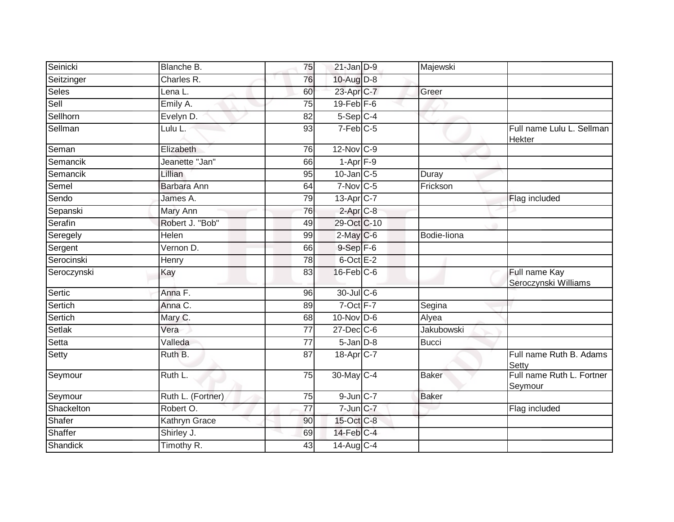| Seinicki     | Blanche B.        | 75              | $21$ -Jan $D-9$                   | Majewski     |                                       |
|--------------|-------------------|-----------------|-----------------------------------|--------------|---------------------------------------|
| Seitzinger   | Charles R.        | 76              | 10-Aug D-8                        |              |                                       |
| <b>Seles</b> | Lena L.           | 60              | 23-Apr C-7                        | Greer        |                                       |
| Sell         | Emily A.          | 75              | $19$ -Feb $F-6$                   |              |                                       |
| Sellhorn     | Evelyn D.         | $\overline{82}$ | 5-Sep C-4                         |              |                                       |
| Sellman      | Lulu L.           | 93              | $7-Feb$ C-5                       |              | Full name Lulu L. Sellman<br>Hekter   |
| Seman        | Elizabeth         | 76              | 12-Nov C-9                        |              |                                       |
| Semancik     | Jeanette "Jan"    | 66              | $1 - Apr$ $F-9$                   |              |                                       |
| Semancik     | Lillian           | 95              | $10$ -Jan $\overline{\text{C-5}}$ | Duray        |                                       |
| Semel        | Barbara Ann       | 64              | $7-Nov$ C-5                       | Frickson     |                                       |
| Sendo        | James A.          | 79              | 13-Apr C-7                        |              | Flag included                         |
| Sepanski     | Mary Ann          | 76              | $2$ -Apr $C-8$                    |              |                                       |
| Serafin      | Robert J. "Bob"   | 49              | 29-Oct C-10                       |              |                                       |
| Seregely     | Helen             | 99              | $2$ -May C-6                      | Bodie-liona  |                                       |
| Sergent      | Vernon D.         | 66              | $9-Sep$ F-6                       |              |                                       |
| Serocinski   | Henry             | 78              | $6$ -Oct $E-2$                    |              |                                       |
| Seroczynski  | Kay               | 83              | $16$ -Feb $C$ -6                  |              | Full name Kay<br>Seroczynski Williams |
| Sertic       | Anna F.           | 96              | 30-Jul C-6                        |              |                                       |
| Sertich      | Anna C.           | 89              | $7$ -Oct $F-7$                    | Segina       |                                       |
| Sertich      | Mary C.           | 68              | $10$ -Nov D-6                     | Alyea        |                                       |
| Setlak       | Vera              | 77              | $27 - Dec$ $C-6$                  | Jakubowski   |                                       |
| Setta        | Valleda           | $\overline{77}$ | $5 - Jan$ $D-8$                   | <b>Bucci</b> |                                       |
| Setty        | Ruth B.           | 87              | 18-Apr <sub>C-7</sub>             |              | Full name Ruth B. Adams<br>Setty      |
| Seymour      | Ruth L.           | 75              | 30-May C-4                        | Baker        | Full name Ruth L. Fortner<br>Seymour  |
| Seymour      | Ruth L. (Fortner) | 75              | $9$ -Jun $C-7$                    | <b>Baker</b> |                                       |
| Shackelton   | Robert O.         | $\overline{77}$ | $7$ -Jun $C$ -7                   |              | Flag included                         |
| Shafer       | Kathryn Grace     | 90              | 15-Oct C-8                        |              |                                       |
| Shaffer      | Shirley J.        | 69              | 14-Feb C-4                        |              |                                       |
| Shandick     | Timothy R.        | 43              | $14$ -Aug C-4                     |              |                                       |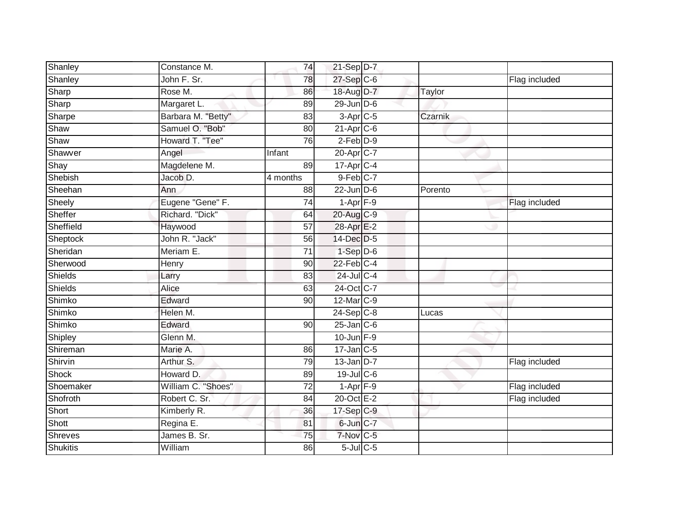| Shanley         | Constance M.       | 74              | $21-Sep D-7$                          |         |               |
|-----------------|--------------------|-----------------|---------------------------------------|---------|---------------|
| Shanley         | John F. Sr.        | 78              | 27-Sep C-6                            |         | Flag included |
| Sharp           | Rose M.            | 86              | 18-Aug D-7                            | Taylor  |               |
| Sharp           | Margaret L.        | 89              | 29-Jun D-6                            |         |               |
| Sharpe          | Barbara M. "Betty" | $\overline{83}$ | $3-Apr$ <sub>C-5</sub>                | Czarnik |               |
| Shaw            | Samuel O. "Bob"    | 80              | $21-AprC-6$                           |         |               |
| Shaw            | Howard T. "Tee"    | 76              | $2-Feb$ $D-9$                         |         |               |
| Shawver         | Angel              | Infant          | 20-Apr C-7                            |         |               |
| Shay            | Magdelene M.       | 89              | $17$ -Apr $C-4$                       |         |               |
| Shebish         | Jacob D.           | 4 months        | 9-Feb C-7                             |         |               |
| Sheehan         | Ann                | 88              | $22$ -Jun $D-6$                       | Porento |               |
| Sheely          | Eugene "Gene" F.   | 74              | $1-Apr$ $F-9$                         |         | Flag included |
| Sheffer         | Richard. "Dick"    | 64              | 20-Aug C-9                            |         |               |
| Sheffield       | Haywood            | 57              | 28-Apr E-2                            |         |               |
| Sheptock        | John R. "Jack"     | $\overline{56}$ | 14-Dec D-5                            |         |               |
| Sheridan        | Meriam E.          | 71              | $1-Sep$ $D-6$                         |         |               |
| Sherwood        | Henry              | 90              | $22$ -Feb $C-4$                       |         |               |
| <b>Shields</b>  | Larry              | 83              | $24$ -Jul C-4                         |         |               |
| Shields         | Alice              | 63              | 24-Oct C-7                            |         |               |
| Shimko          | Edward             | 90              | 12-Mar C-9                            |         |               |
| Shimko          | Helen M.           |                 | $24-Sep$ C-8                          | Lucas   |               |
| Shimko          | Edward             | 90              | $25$ -Jan $C$ -6                      |         |               |
| Shipley         | Glenn M.           |                 | $10$ -Jun $F-9$                       |         |               |
| Shireman        | Marie A.           | 86              | $17$ -Jan $C-5$                       |         |               |
| Shirvin         | Arthur S.          | 79              | $13$ -Jan D-7                         |         | Flag included |
| <b>Shock</b>    | Howard D.          | 89              | $19$ -Jul C-6                         |         |               |
| Shoemaker       | William C. "Shoes" | $\overline{72}$ | $1 - \text{Apr}$ $\boxed{\text{F-9}}$ |         | Flag included |
| Shofroth        | Robert C. Sr.      | 84              | 20-Oct E-2                            |         | Flag included |
| Short           | Kimberly R.        | 36              | $17-Sep$ C-9                          |         |               |
| Shott           | Regina E.          | 81              | 6-Jun C-7                             |         |               |
| <b>Shreves</b>  | James B. Sr.       | $\overline{75}$ | $7-Nov$ C-5                           |         |               |
| <b>Shukitis</b> | William            | 86              | $5$ -Jul $C$ -5                       |         |               |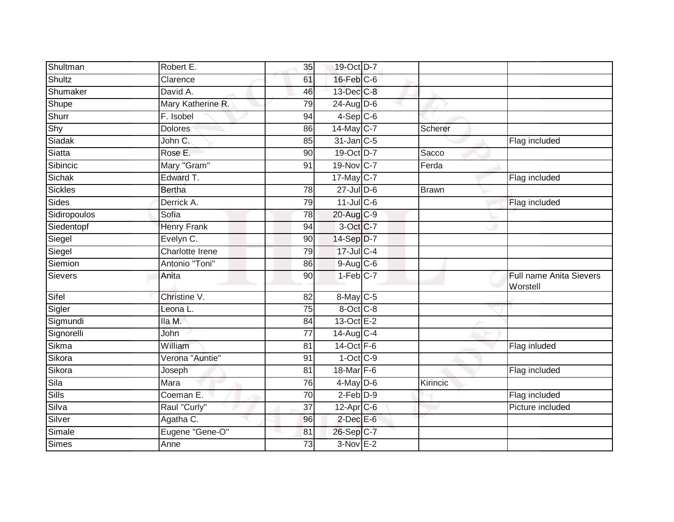| Shultman       | Robert E.          | 35              | 19-Oct D-7             |          |                                            |
|----------------|--------------------|-----------------|------------------------|----------|--------------------------------------------|
| Shultz         | Clarence           | 61              | $16$ -Feb $C$ -6       |          |                                            |
| Shumaker       | David A.           | 46              | 13-Dec C-8             |          |                                            |
| Shupe          | Mary Katherine R.  | 79              | $24$ -AugD-6           |          |                                            |
| Shurr          | F. Isobel          | 94              | $4-Sep$ C-6            |          |                                            |
| Shy            | <b>Dolores</b>     | 86              | $14$ -May C-7          | Scherer  |                                            |
| Siadak         | John C.            | 85              | 31-Jan C-5             |          | Flag included                              |
| Siatta         | Rose E.            | 90              | 19-Oct D-7             | Sacco    |                                            |
| Sibincic       | Mary "Gram"        | 91              | 19-Nov C-7             | Ferda    |                                            |
| Sichak         | Edward T.          |                 | 17-May C-7             |          | Flag included                              |
| Sickles        | <b>Bertha</b>      | 78              | $27$ -Jul $D-6$        | Brawn    |                                            |
| Sides          | Derrick A.         | 79              | $11$ -Jul C-6          |          | Flag included                              |
| Sidiropoulos   | Sofia              | 78              | 20-Aug C-9             |          |                                            |
| Siedentopf     | <b>Henry Frank</b> | 94              | 3-Oct C-7              |          |                                            |
| Siegel         | Evelyn C.          | 90              | 14-Sep D-7             |          |                                            |
| Siegel         | Charlotte Irene    | 79              | $17 -$ Jul C-4         |          |                                            |
| Siemion        | Antonio "Toni"     | 86              | 9-Aug C-6              |          |                                            |
| <b>Sievers</b> | Anita              | 90              | $1-Feb$ <sub>C-7</sub> |          | <b>Full name Anita Sievers</b><br>Worstell |
| Sifel          | Christine V.       | 82              | $8$ -May C-5           |          |                                            |
| Sigler         | Leona L.           | 75              | 8-Oct C-8              |          |                                            |
| Sigmundi       | lla M.             | 84              | 13-Oct E-2             |          |                                            |
| Signorelli     | John               | $\overline{77}$ | $14$ -Aug $C-4$        |          |                                            |
| Sikma          | William            | 81              | $14-Oct$ F-6           |          | Flag inluded                               |
| Sikora         | Verona "Auntie"    | 91              | $1$ -Oct $C$ -9        |          |                                            |
| Sikora         | Joseph             | 81              | 18-Mar F-6             |          | Flag included                              |
| Sila           | Mara               | 76              | $4$ -May $D$ -6        | Kirincic |                                            |
| Sills          | Coeman E.          | 70              | $2-Feb$ $D-9$          |          | Flag included                              |
| Silva          | Raul "Curly"       | 37              | $12$ -Apr $C$ -6       |          | Picture included                           |
| Silver         | Agatha C.          | 96              | $2$ -Dec $E$ -6        |          |                                            |
| Simale         | Eugene "Gene-O"    | 81              | 26-Sep C-7             |          |                                            |
| <b>Simes</b>   | Anne               | 73              | $3-Nov$ E-2            |          |                                            |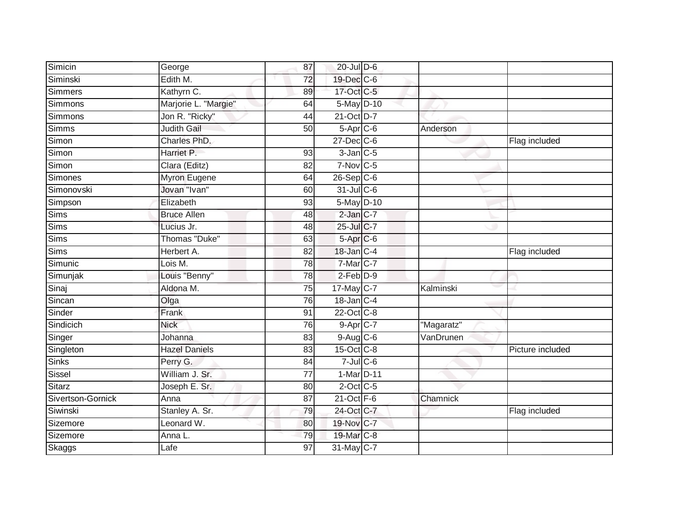| Simicin           | George               | 87              | $20$ -Jul $D-6$          |            |                  |
|-------------------|----------------------|-----------------|--------------------------|------------|------------------|
| Siminski          | Edith M.             | 72              | 19-Dec C-6               |            |                  |
| Simmers           | Kathyrn C.           | 89              | 17-Oct C-5               |            |                  |
| Simmons           | Marjorie L. "Margie" | 64              | 5-May D-10               |            |                  |
| Simmons           | Jon R. "Ricky"       | $\overline{44}$ | 21-Oct D-7               |            |                  |
| <b>Simms</b>      | <b>Judith Gail</b>   | 50              | $5 -$ Apr $C - 6$        | Anderson   |                  |
| Simon             | Charles PhD.         |                 | 27-Dec C-6               |            | Flag included    |
| Simon             | Harriet P.           | 93              | $3$ -Jan $C$ -5          |            |                  |
| Simon             | Clara (Editz)        | 82              | $7-Nov$ C-5              |            |                  |
| <b>Simones</b>    | <b>Myron Eugene</b>  | 64              | $26-Sep C-6$             |            |                  |
| Simonovski        | Jovan "Ivan"         | 60              | $31$ -Jul C-6            |            |                  |
| Simpson           | Elizabeth            | 93              | 5-May D-10               |            |                  |
| <b>Sims</b>       | <b>Bruce Allen</b>   | 48              | $2$ -Jan $ C-7 $         |            |                  |
| <b>Sims</b>       | Lucius Jr.           | 48              | 25-Jul C-7               |            |                  |
| Sims              | Thomas "Duke"        | 63              | $5$ -Apr $C$ -6          |            |                  |
| <b>Sims</b>       | Herbert A.           | 82              | 18-Jan C-4               |            | Flag included    |
| Simunic           | Lois M.              | 78              | 7-Mar <sub>IC-7</sub>    |            |                  |
| Simunjak          | Louis "Benny"        | 78              | $2$ -Feb $D-9$           |            |                  |
| Sinaj             | Aldona M.            | 75              | 17-May C-7               | Kalminski  |                  |
| Sincan            | Olga                 | 76              | $18$ -Jan $ C-4 $        |            |                  |
| Sinder            | Frank                | 91              | 22-Oct C-8               |            |                  |
| Sindicich         | <b>Nick</b>          | 76              | $9 - Apr$ <sub>C-7</sub> | "Magaratz" |                  |
| Singer            | Johanna              | 83              | $9-Aug$ $C-6$            | VanDrunen  |                  |
| Singleton         | <b>Hazel Daniels</b> | 83              | $15$ -Oct $C$ -8         |            | Picture included |
| <b>Sinks</b>      | Perry G.             | 84              | $7$ -Jul $C$ -6          |            |                  |
| Sissel            | William J. Sr.       | 77              | 1-Mar D-11               |            |                  |
| Sitarz            | Joseph E. Sr.        | 80              | $2$ -Oct C-5             |            |                  |
| Sivertson-Gornick | Anna                 | 87              | $21$ -Oct $F-6$          | Chamnick   |                  |
| Siwinski          | Stanley A. Sr.       | 79              | 24-Oct C-7               |            | Flag included    |
| Sizemore          | Leonard W.           | 80              | 19-Nov C-7               |            |                  |
| Sizemore          | Anna L.              | 79              | 19-Mar C-8               |            |                  |
| <b>Skaggs</b>     | Lafe                 | $\overline{97}$ | 31-May C-7               |            |                  |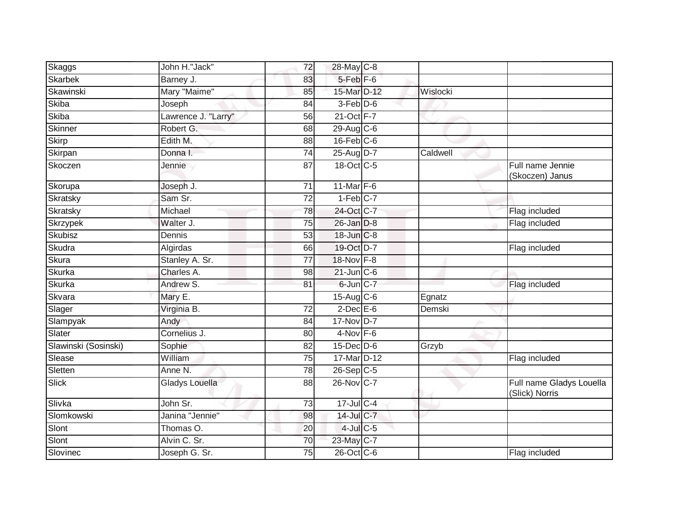| Skaggs               | John H."Jack"       | 72              | 28-May C-8             |          |                                            |
|----------------------|---------------------|-----------------|------------------------|----------|--------------------------------------------|
| <b>Skarbek</b>       | Barney J.           | 83              | 5-Feb <sup>F-6</sup>   |          |                                            |
| Skawinski            | Mary "Maime"        | 85              | 15-Mar D-12            | Wislocki |                                            |
| Skiba                | Joseph              | 84              | 3-Feb D-6              |          |                                            |
| Skiba                | Lawrence J. "Larry" | $\overline{56}$ | 21-Oct F-7             |          |                                            |
| Skinner              | Robert G.           | 68              | $29$ -Aug C-6          |          |                                            |
| <b>Skirp</b>         | Edith M.            | 88              | $16$ -Feb $C$ -6       |          |                                            |
| Skirpan              | Donna I.            | 74              | 25-Aug D-7             | Caldwell |                                            |
| Skoczen              | Jennie              | 87              | 18-Oct C-5             |          | Full name Jennie<br>(Skoczen) Janus        |
| Skorupa              | Joseph J.           | 71              | 11-Mar F-6             |          |                                            |
| Skratsky             | Sam Sr.             | $\overline{72}$ | $1-Feb$ <sub>C-7</sub> |          |                                            |
| Skratsky             | Michael             | 78              | 24-Oct C-7             |          | Flag included                              |
| <b>Skrzypek</b>      | Walter J.           | $\overline{75}$ | 26-Jan D-8             |          | Flag included                              |
| Skubisz              | Dennis              | 53              | 18-Jun C-8             |          |                                            |
| Skudra               | Algirdas            | 66              | 19-Oct D-7             |          | Flag included                              |
| <b>Skura</b>         | Stanley A. Sr.      | 77              | 18-Nov F-8             |          |                                            |
| Skurka               | Charles A.          | 98              | $21$ -Jun $C-6$        |          |                                            |
| <b>Skurka</b>        | Andrew S.           | 81              | 6-Jun C-7              |          | Flag included                              |
| Skvara               | Mary E.             |                 | $15-Aug$ $C-6$         | Egnatz   |                                            |
| Slager               | Virginia B.         | 72              | $2$ -Dec $E$ -6        | Demski   |                                            |
| Slampyak             | Andy                | 84              | 17-Nov D-7             |          |                                            |
| Slater               | Cornelius J.        | 80              | $4-Nov$ F-6            |          |                                            |
| Slawinski (Sosinski) | Sophie              | 82              | $15$ -Dec $D-6$        | Grzyb    |                                            |
| Slease               | William             | 75              | 17-Mar D-12            |          | Flag included                              |
| Sletten              | Anne N.             | 78              | $26-Sep C-5$           |          |                                            |
| <b>Slick</b>         | Gladys Louella      | 88              | 26-Nov C-7             |          | Full name Gladys Louella<br>(Slick) Norris |
| Slivka               | John Sr.            | $\overline{73}$ | $17 -$ Jul C-4         |          |                                            |
| Slomkowski           | Janina "Jennie"     | 98              | 14-Jul C-7             |          |                                            |
| Slont                | Thomas O.           | 20              | $4$ -Jul $C$ -5        |          |                                            |
| Slont                | Alvin C. Sr.        | 70              | 23-May C-7             |          |                                            |
| Slovinec             | Joseph G. Sr.       | 75              | $26$ -Oct $C$ -6       |          | Flag included                              |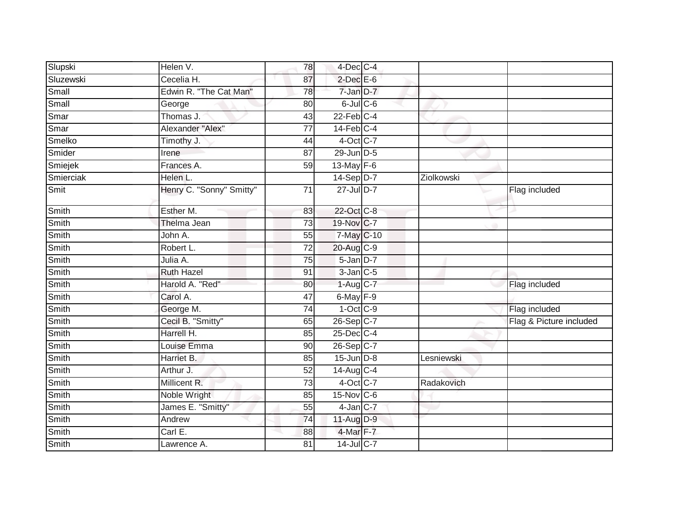| Slupski      | Helen V.                 | 78              | $4$ -Dec $ C-4 $  |            |                         |
|--------------|--------------------------|-----------------|-------------------|------------|-------------------------|
| Sluzewski    | Cecelia H.               | 87              | $2$ -Dec $E$ -6   |            |                         |
| Small        | Edwin R. "The Cat Man"   | 78              | 7-Jan D-7         |            |                         |
| Small        | George                   | 80              | $6$ -Jul $C$ -6   |            |                         |
| Smar         | Thomas J.                | 43              | $22$ -Feb $C-4$   |            |                         |
| Smar         | Alexander "Alex"         | $\overline{77}$ | $14$ -Feb $C-4$   |            |                         |
| Smelko       | Timothy J.               | 44              | $4$ -Oct C-7      |            |                         |
| Smider       | Irene                    | 87              | 29-Jun D-5        |            |                         |
| Smiejek      | Frances A.               | 59              | 13-May $F-6$      |            |                         |
| Smierciak    | Helen L.                 |                 | $14-Sep$ D-7      | Ziolkowski |                         |
| Smit         | Henry C. "Sonny" Smitty" | $\overline{71}$ | 27-Jul D-7        |            | Flag included           |
| Smith        | Esther M.                | 83              | 22-Oct C-8        |            |                         |
| Smith        | Thelma Jean              | $\overline{73}$ | 19-Nov C-7        |            |                         |
| Smith        | John A.                  | 55              | 7-May C-10        |            |                         |
| Smith        | Robert L.                | 72              | 20-Aug C-9        |            |                         |
| Smith        | Julia A.                 | 75              | $5$ -Jan $D-7$    |            |                         |
| Smith        | <b>Ruth Hazel</b>        | 91              | $3$ -Jan $C$ -5   |            |                         |
| Smith        | Harold A. "Red"          | 80              | $1-Aug$ C-7       |            | Flag included           |
| <b>Smith</b> | Carol A.                 | 47              | $6$ -May $F-9$    |            |                         |
| Smith        | George M.                | $\overline{74}$ | $1-Oct$ $C-9$     |            | Flag included           |
| Smith        | Cecil B. "Smitty"        | 65              | 26-Sep C-7        |            | Flag & Picture included |
| Smith        | Harrell H.               | 85              | $25$ -Dec $ C-4 $ |            |                         |
| Smith        | Louise Emma              | 90              | 26-Sep C-7        |            |                         |
| Smith        | Harriet B.               | 85              | $15$ -Jun $D-8$   | Lesniewski |                         |
| Smith        | Arthur J.                | $\overline{52}$ | $14$ -Aug C-4     |            |                         |
| Smith        | Millicent R.             | 73              | $4$ -Oct C-7      | Radakovich |                         |
| Smith        | Noble Wright             | 85              | $15$ -Nov $ C-6 $ |            |                         |
| Smith        | James E. "Smitty"        | 55              | $4$ -Jan $C$ -7   |            |                         |
| Smith        | Andrew                   | 74              | 11-Aug D-9        |            |                         |
| Smith        | Carl E.                  | 88              | 4-Mar F-7         |            |                         |
| Smith        | Lawrence A.              | 81              | $14$ -Jul C-7     |            |                         |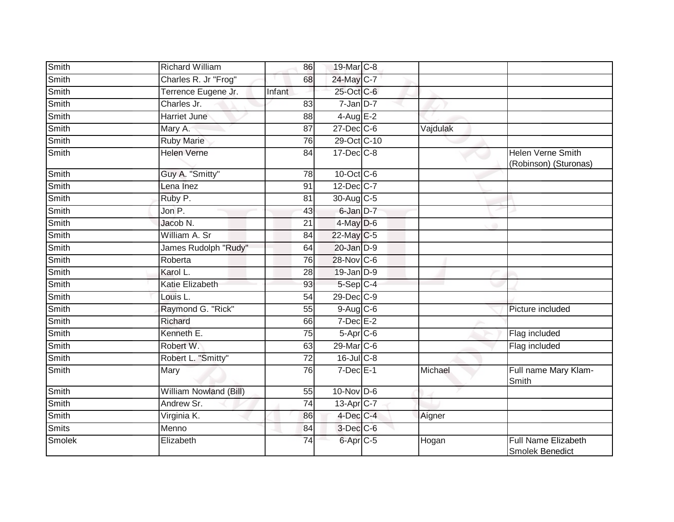| Smith        | <b>Richard William</b> | 86              | 19-Mar C-8       |          |                                                      |
|--------------|------------------------|-----------------|------------------|----------|------------------------------------------------------|
| Smith        | Charles R. Jr "Frog"   | 68              | 24-May C-7       |          |                                                      |
| <b>Smith</b> | Terrence Eugene Jr.    | Infant          | 25-Oct C-6       |          |                                                      |
| Smith        | Charles Jr.            | 83              | 7-Jan D-7        |          |                                                      |
| <b>Smith</b> | Harriet June           | 88              | $4$ -Aug E-2     |          |                                                      |
| Smith        | Mary A.                | 87              | $27 - Dec$ C-6   | Vajdulak |                                                      |
| Smith        | <b>Ruby Marie</b>      | 76              | 29-Oct C-10      |          |                                                      |
| Smith        | <b>Helen Verne</b>     | 84              | $17 - Dec$ $C-8$ |          | <b>Helen Verne Smith</b><br>(Robinson) (Sturonas)    |
| Smith        | Guy A. "Smitty"        | 78              | 10-Oct C-6       |          |                                                      |
| Smith        | Lena Inez              | 91              | 12-Dec C-7       |          |                                                      |
| Smith        | Ruby P.                | 81              | 30-Aug C-5       |          |                                                      |
| Smith        | Jon P.                 | 43              | 6-Jan D-7        |          |                                                      |
| Smith        | Jacob N.               | $\overline{21}$ | $4$ -May $D$ -6  |          |                                                      |
| Smith        | William A. Sr          | 84              | $22$ -May C-5    |          |                                                      |
| Smith        | James Rudolph "Rudy"   | 64              | 20-Jan D-9       |          |                                                      |
| Smith        | Roberta                | 76              | 28-Nov C-6       |          |                                                      |
| Smith        | Karol L.               | 28              | 19-Jan D-9       |          |                                                      |
| Smith        | Katie Elizabeth        | 93              | 5-Sep C-4        |          |                                                      |
| Smith        | Louis L.               | 54              | 29-Dec C-9       |          |                                                      |
| Smith        | Raymond G. "Rick"      | 55              | $9-Aug$ $C-6$    |          | Picture included                                     |
| Smith        | Richard                | 66              | $7$ -Dec $E-2$   |          |                                                      |
| Smith        | Kenneth E.             | 75              | $5-Apr$ $C-6$    |          | Flag included                                        |
| Smith        | Robert W.              | 63              | 29-Mar C-6       |          | Flag included                                        |
| Smith        | Robert L. "Smitty"     | 72              | $16$ -JulC-8     |          |                                                      |
| Smith        | Mary                   | 76              | $7$ -Dec $E-1$   | Michael  | Full name Mary Klam-<br>Smith                        |
| Smith        | William Nowland (Bill) | 55              | $10$ -Nov $D-6$  |          |                                                      |
| Smith        | Andrew Sr.             | 74              | 13-Apr C-7       |          |                                                      |
| Smith        | Virginia K.            | 86              | 4-Dec C-4        | Aigner   |                                                      |
| <b>Smits</b> | Menno                  | 84              | $3$ -Dec $C$ -6  |          |                                                      |
| Smolek       | Elizabeth              | 74              | 6-Apr C-5        | Hogan    | <b>Full Name Elizabeth</b><br><b>Smolek Benedict</b> |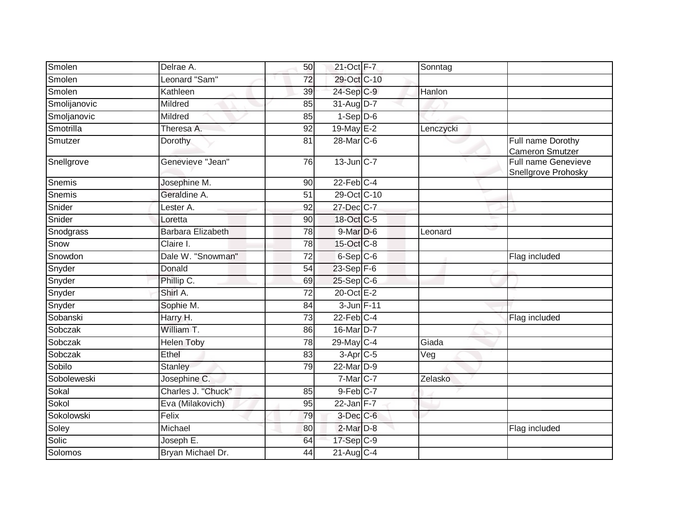| Delrae A.                |                 |    |                                                                                                                                                                                                                                                                                                                                                                                                                                                                                |                                                   |
|--------------------------|-----------------|----|--------------------------------------------------------------------------------------------------------------------------------------------------------------------------------------------------------------------------------------------------------------------------------------------------------------------------------------------------------------------------------------------------------------------------------------------------------------------------------|---------------------------------------------------|
| Leonard "Sam"            | 72              |    |                                                                                                                                                                                                                                                                                                                                                                                                                                                                                |                                                   |
| Kathleen                 | 39              |    | Hanlon                                                                                                                                                                                                                                                                                                                                                                                                                                                                         |                                                   |
| Mildred                  | 85              |    |                                                                                                                                                                                                                                                                                                                                                                                                                                                                                |                                                   |
| Mildred                  | 85              |    |                                                                                                                                                                                                                                                                                                                                                                                                                                                                                |                                                   |
| Theresa A.               | 92              |    | Lenczycki                                                                                                                                                                                                                                                                                                                                                                                                                                                                      |                                                   |
| Dorothy                  | 81              |    |                                                                                                                                                                                                                                                                                                                                                                                                                                                                                | Full name Dorothy<br>Cameron Smutzer              |
| Genevieve "Jean"         | 76              |    |                                                                                                                                                                                                                                                                                                                                                                                                                                                                                | <b>Full name Genevieve</b><br>Snellgrove Prohosky |
| Josephine M.             | 90              |    |                                                                                                                                                                                                                                                                                                                                                                                                                                                                                |                                                   |
| Geraldine A.             | 51              |    |                                                                                                                                                                                                                                                                                                                                                                                                                                                                                |                                                   |
| Lester A.                | 92              |    |                                                                                                                                                                                                                                                                                                                                                                                                                                                                                |                                                   |
| Loretta                  | 90              |    |                                                                                                                                                                                                                                                                                                                                                                                                                                                                                |                                                   |
| <b>Barbara Elizabeth</b> | 78              |    | Leonard                                                                                                                                                                                                                                                                                                                                                                                                                                                                        |                                                   |
| Claire I.                | 78              |    |                                                                                                                                                                                                                                                                                                                                                                                                                                                                                |                                                   |
| Dale W. "Snowman"        | $\overline{72}$ |    |                                                                                                                                                                                                                                                                                                                                                                                                                                                                                | Flag included                                     |
| Donald                   | 54              |    |                                                                                                                                                                                                                                                                                                                                                                                                                                                                                |                                                   |
| Phillip C.               | 69              |    |                                                                                                                                                                                                                                                                                                                                                                                                                                                                                |                                                   |
| Shirl A.                 | $\overline{72}$ |    |                                                                                                                                                                                                                                                                                                                                                                                                                                                                                |                                                   |
| Sophie M.                | 84              |    |                                                                                                                                                                                                                                                                                                                                                                                                                                                                                |                                                   |
| Harry H.                 | 73              |    |                                                                                                                                                                                                                                                                                                                                                                                                                                                                                | Flag included                                     |
| William T.               | 86              |    |                                                                                                                                                                                                                                                                                                                                                                                                                                                                                |                                                   |
| <b>Helen Toby</b>        | 78              |    | Giada                                                                                                                                                                                                                                                                                                                                                                                                                                                                          |                                                   |
| Ethel                    | 83              |    | Veg                                                                                                                                                                                                                                                                                                                                                                                                                                                                            |                                                   |
| <b>Stanley</b>           | 79              |    |                                                                                                                                                                                                                                                                                                                                                                                                                                                                                |                                                   |
| Josephine C.             |                 |    | Zelasko                                                                                                                                                                                                                                                                                                                                                                                                                                                                        |                                                   |
| Charles J. "Chuck"       | 85              |    |                                                                                                                                                                                                                                                                                                                                                                                                                                                                                |                                                   |
| Eva (Milakovich)         | 95              |    |                                                                                                                                                                                                                                                                                                                                                                                                                                                                                |                                                   |
| Felix                    | 79              |    |                                                                                                                                                                                                                                                                                                                                                                                                                                                                                |                                                   |
| Michael                  | 80              |    |                                                                                                                                                                                                                                                                                                                                                                                                                                                                                | Flag included                                     |
| Joseph E.                | 64              |    |                                                                                                                                                                                                                                                                                                                                                                                                                                                                                |                                                   |
| Bryan Michael Dr.        | 44              |    |                                                                                                                                                                                                                                                                                                                                                                                                                                                                                |                                                   |
|                          |                 | 50 | 21-Oct F-7<br>29-Oct C-10<br>24-Sep C-9<br>31-Aug D-7<br>$1-Sep$ $D-6$<br>19-May E-2<br>28-Mar C-6<br>13-Jun C-7<br>$22$ -Feb $C-4$<br>29-Oct C-10<br>27-Dec C-7<br>18-Oct C-5<br>$9$ -Mar $D$ -6<br>15-Oct C-8<br>6-Sep C-6<br>23-Sep F-6<br>$25-Sep$ C-6<br>20-Oct E-2<br>3-Jun F-11<br>$22$ -Feb $C-4$<br>16-Mar D-7<br>29-May C-4<br>$3-Apr$ $C-5$<br>22-Mar D-9<br>7-Mar C-7<br>9-Feb C-7<br>$22$ -Jan F-7<br>$3$ -Dec $C$ -6<br>2-Mar D-8<br>17-Sep C-9<br>$21$ -Aug C-4 | Sonntag                                           |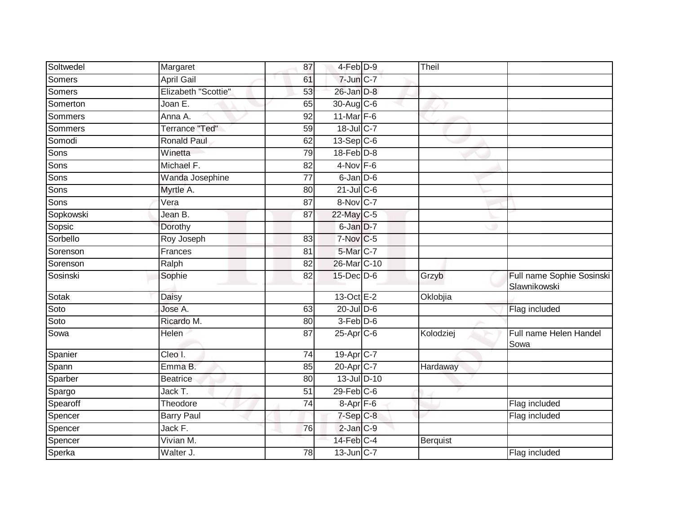| Soltwedel | Margaret              | 87              | 4-Feb <sup>D-9</sup>   | Theil           |                                           |
|-----------|-----------------------|-----------------|------------------------|-----------------|-------------------------------------------|
| Somers    | <b>April Gail</b>     | 61              | $7$ -Jun $C-7$         |                 |                                           |
| Somers    | Elizabeth "Scottie"   | 53              | 26-Jan D-8             |                 |                                           |
| Somerton  | Joan E.               | 65              | 30-Aug $C-6$           |                 |                                           |
| Sommers   | Anna A.               | $\overline{92}$ | 11-Mar $F-6$           |                 |                                           |
| Sommers   | <b>Terrance "Ted"</b> | 59              | 18-Jul C-7             |                 |                                           |
| Somodi    | <b>Ronald Paul</b>    | 62              | $13-Sep C-6$           |                 |                                           |
| Sons      | Winetta               | 79              | $18$ -Feb $D-8$        |                 |                                           |
| Sons      | Michael F.            | 82              | $4-Nov$ F-6            |                 |                                           |
| Sons      | Wanda Josephine       | $\overline{77}$ | $6$ -Jan $D$ -6        |                 |                                           |
| Sons      | Myrtle A.             | 80              | $21$ -Jul C-6          |                 |                                           |
| Sons      | Vera                  | 87              | $8-Nov$ <sub>C-7</sub> |                 |                                           |
| Sopkowski | Jean B.               | 87              | 22-May C-5             |                 |                                           |
| Sopsic    | Dorothy               |                 | 6-Jan D-7              |                 |                                           |
| Sorbello  | Roy Joseph            | 83              | $7-Nov$ <sub>C-5</sub> |                 |                                           |
| Sorenson  | Frances               | 81              | 5-Mar C-7              |                 |                                           |
| Sorenson  | Ralph                 | 82              | 26-Mar C-10            |                 |                                           |
| Sosinski  | Sophie                | 82              | $15$ -Dec $D$ -6       | Grzyb           | Full name Sophie Sosinski<br>Slawnikowski |
| Sotak     | Daisy                 |                 | 13-Oct E-2             | Oklobjia        |                                           |
| Soto      | Jose A.               | 63              | $20$ -Jul $D-6$        |                 | Flag included                             |
| Soto      | Ricardo M.            | 80              | $3-Feb$ $D-6$          |                 |                                           |
| Sowa      | Helen                 | 87              | 25-Apr C-6             | Kolodziej       | Full name Helen Handel<br>Sowa            |
| Spanier   | Cleo I.               | $\overline{74}$ | 19-Apr <sub>IC-7</sub> |                 |                                           |
| Spann     | Emma B.               | 85              | 20-Apr C-7             | Hardaway        |                                           |
| Sparber   | <b>Beatrice</b>       | 80              | 13-Jul D-10            |                 |                                           |
| Spargo    | Jack T.               | 51              | $29$ -Feb $C$ -6       |                 |                                           |
| Spearoff  | Theodore              | 74              | $8-Apr$ $F-6$          |                 | Flag included                             |
| Spencer   | <b>Barry Paul</b>     |                 | $7-Sep$ $C-8$          |                 | Flag included                             |
| Spencer   | Jack F.               | 76              | $2$ -Jan $C-9$         |                 |                                           |
| Spencer   | Vivian M.             |                 | 14-Feb C-4             | <b>Berquist</b> |                                           |
| Sperka    | Walter J.             | 78              | $13$ -Jun $ C-7 $      |                 | Flag included                             |
|           |                       |                 |                        |                 |                                           |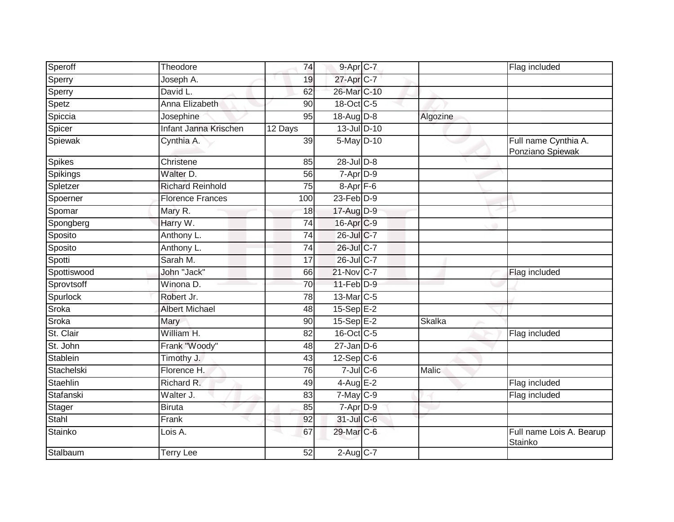| Speroff       | Theodore                    | 74              | 9-Apr C-7             |              | Flag included                            |
|---------------|-----------------------------|-----------------|-----------------------|--------------|------------------------------------------|
| Sperry        | Joseph A.                   | 19              | 27-Apr C-7            |              |                                          |
| Sperry        | David L.                    | 62              | 26-Mar C-10           |              |                                          |
| Spetz         | Anna Elizabeth              | 90              | 18-Oct C-5            |              |                                          |
| Spiccia       | Josephine                   | 95              | $18-Aug$ $D-8$        | Algozine     |                                          |
| Spicer        | Infant Janna Krischen       | 12 Days         | 13-Jul D-10           |              |                                          |
| Spiewak       | Cynthia A.                  | 39              | 5-May D-10            |              | Full name Cynthia A.<br>Ponziano Spiewak |
| Spikes        | Christene                   | 85              | $28$ -Jul $D-8$       |              |                                          |
| Spikings      | Walter D.                   | 56              | 7-Apr D-9             |              |                                          |
| Spletzer      | <b>Richard Reinhold</b>     | 75              | $8 - Apr$ $F-6$       |              |                                          |
| Spoerner      | <b>Florence Frances</b>     | 100             | $23$ -Feb $D-9$       |              |                                          |
| Spomar        | Mary R.                     | 18              | 17-Aug D-9            |              |                                          |
| Spongberg     | Harry W.                    | 74              | 16-Apr C-9            |              |                                          |
| Sposito       | Anthony L.                  | 74              | 26-Jul C-7            |              |                                          |
| Sposito       | Anthony L.                  | $\overline{74}$ | 26-Jul C-7            |              |                                          |
| Spotti        | Sarah M.                    | 17              | 26-Jul C-7            |              |                                          |
| Spottiswood   | John "Jack"                 | 66              | $21$ -Nov $ C-7 $     |              | Flag included                            |
| Sprovtsoff    | Winona D.                   | 70              | 11-Feb D-9            |              |                                          |
| Spurlock      | Robert Jr.                  | 78              | 13-Mar <sub>C-5</sub> |              |                                          |
| Sroka         | <b>Albert Michael</b>       | 48              | $15-Sep$ $E-2$        |              |                                          |
| Sroka         | Mary                        | 90              | $15-SepE-2$           | Skalka       |                                          |
| St. Clair     | William H.                  | 82              | 16-Oct C-5            |              | Flag included                            |
| St. John      | Frank "Woody"               | 48              | $27 - Jan$ $D-6$      |              |                                          |
| Stablein      | Timothy J.                  | 43              | $12-Sep$ C-6          |              |                                          |
| Stachelski    | Florence H.                 | 76              | $7$ -Jul $C$ -6       | <b>Malic</b> |                                          |
| Staehlin      | Richard R.                  | 49              | $4$ -Aug $E-2$        |              | Flag included                            |
| Stafanski     | Walter J.                   | $\overline{83}$ | $7-May$ $C-9$         |              | Flag included                            |
| <b>Stager</b> | <b>Biruta</b>               | 85              | $7-AprD-9$            |              |                                          |
| Stahl         | Frank                       | 92              | 31-Jul C-6            |              |                                          |
| Stainko       | $\overline{\text{Lois}}$ A. | 67              | 29-Mar C-6            |              | Full name Lois A. Bearup<br>Stainko      |
| Stalbaum      | <b>Terry Lee</b>            | 52              | $2$ -Aug C-7          |              |                                          |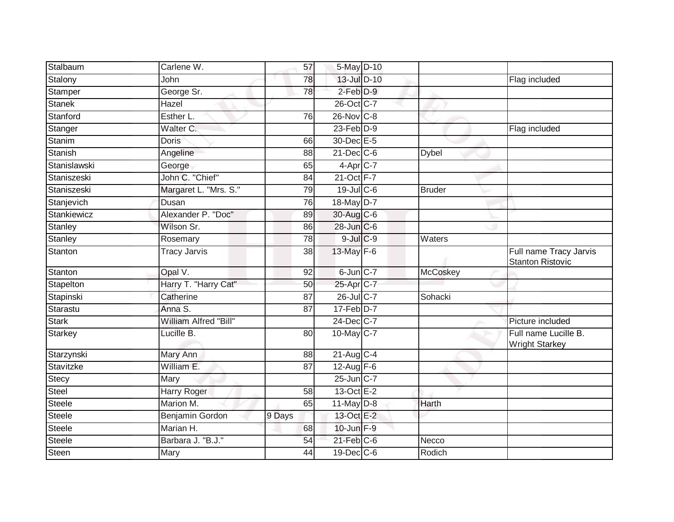| Stalbaum       | Carlene W.            | 57              | 5-May D-10             |                 |                                                   |
|----------------|-----------------------|-----------------|------------------------|-----------------|---------------------------------------------------|
| Stalony        | John                  | 78              | 13-Jul D-10            |                 | Flag included                                     |
| Stamper        | George Sr.            | 78              | $2$ -Feb $D-9$         |                 |                                                   |
| <b>Stanek</b>  | Hazel                 |                 | 26-Oct C-7             |                 |                                                   |
| Stanford       | Esther L.             | 76              | $26$ -Nov $ C-8 $      |                 |                                                   |
| Stanger        | Walter C.             |                 | $23$ -Feb $D-9$        |                 | Flag included                                     |
| <b>Stanim</b>  | <b>Doris</b>          | 66              | 30-Dec E-5             |                 |                                                   |
| Stanish        | Angeline              | 88              | $21$ -Dec $C$ -6       | <b>Dybel</b>    |                                                   |
| Stanislawski   | George                | 65              | $4-Apr$ <sub>C-7</sub> |                 |                                                   |
| Staniszeski    | John C. "Chief"       | 84              | 21-Oct F-7             |                 |                                                   |
| Staniszeski    | Margaret L. "Mrs. S." | 79              | 19-Jul C-6             | <b>Bruder</b>   |                                                   |
| Stanjevich     | Dusan                 | 76              | 18-May D-7             |                 |                                                   |
| Stankiewicz    | Alexander P. "Doc"    | 89              | 30-Aug C-6             |                 |                                                   |
| Stanley        | Wilson Sr.            | 86              | 28-Jun C-6             |                 |                                                   |
| <b>Stanley</b> | Rosemary              | $\overline{78}$ | $9$ -Jul $C$ -9        | Waters          |                                                   |
| Stanton        | <b>Tracy Jarvis</b>   | 38              | 13-May F-6             |                 | Full name Tracy Jarvis<br><b>Stanton Ristovic</b> |
| Stanton        | Opal V.               | 92              | $6$ -Jun $C-7$         | <b>McCoskey</b> |                                                   |
| Stapelton      | Harry T. "Harry Cat"  | 50              | 25-Apr <sub>C-7</sub>  |                 |                                                   |
| Stapinski      | Catherine             | 87              | $26$ -Jul C-7          | Sohacki         |                                                   |
| Starastu       | Anna S.               | $\overline{87}$ | $17$ -Feb $D-7$        |                 |                                                   |
| Stark          | William Alfred "Bill" |                 | 24-Dec C-7             |                 | Picture included                                  |
| <b>Starkey</b> | Lucille B.            | 80              | 10-May C-7             |                 | Full name Lucille B.<br><b>Wright Starkey</b>     |
| Starzynski     | Mary Ann              | 88              | $21-Aug$ C-4           |                 |                                                   |
| Stavitzke      | William E.            | 87              | 12-Aug $F-6$           |                 |                                                   |
| Stecy          | Mary                  |                 | 25-Jun C-7             |                 |                                                   |
| Steel          | Harry Roger           | 58              | 13-Oct E-2             |                 |                                                   |
| <b>Steele</b>  | Marion M.             | 65              | $11$ -May $D-8$        | Harth           |                                                   |
| Steele         | Benjamin Gordon       | 9 Days          | 13-Oct E-2             |                 |                                                   |
| Steele         | Marian H.             | 68              | 10-Jun F-9             |                 |                                                   |
| Steele         | Barbara J. "B.J."     | 54              | $21$ -Feb $ C$ -6      | Necco           |                                                   |
| Steen          | Mary                  | 44              | $19$ -Dec $ C$ -6      | Rodich          |                                                   |
|                |                       |                 |                        |                 |                                                   |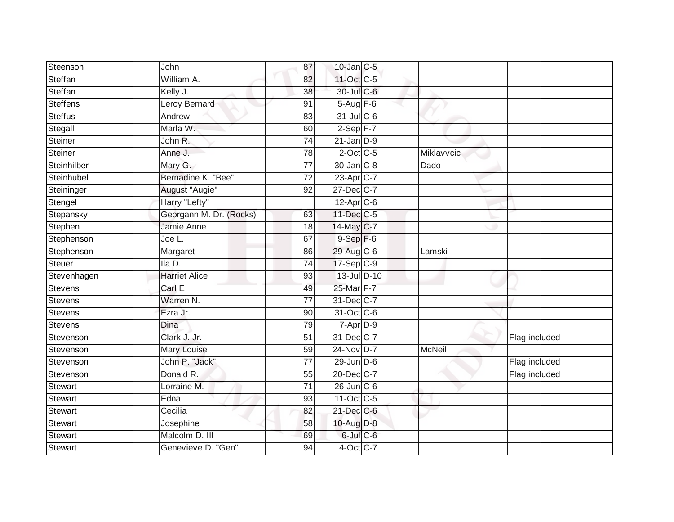| Steenson        | John                    | 87              | $10$ -Jan $ C-5 $ |               |               |
|-----------------|-------------------------|-----------------|-------------------|---------------|---------------|
| Steffan         | William A.              | 82              | 11-Oct C-5        |               |               |
| Steffan         | Kelly J.                | 38              | 30-Jul C-6        |               |               |
| <b>Steffens</b> | Leroy Bernard           | 91              | $5-Aug$ F-6       |               |               |
| <b>Steffus</b>  | Andrew                  | $\overline{83}$ | $31$ -Jul C-6     |               |               |
| Stegall         | Marla W.                | 60              | $2-Sep$ F-7       |               |               |
| Steiner         | John R.                 | $\overline{74}$ | $21$ -Jan $D-9$   |               |               |
| Steiner         | Anne J.                 | 78              | $2$ -Oct C-5      | Miklavvcic    |               |
| Steinhilber     | Mary G.                 | $\overline{77}$ | 30-Jan C-8        | Dado          |               |
| Steinhubel      | Bernadine K. "Bee"      | 72              | 23-Apr C-7        |               |               |
| Steininger      | August "Augie"          | 92              | 27-Dec C-7        |               |               |
| Stengel         | Harry "Lefty"           |                 | $12$ -Apr $C$ -6  |               |               |
| Stepansky       | Georgann M. Dr. (Rocks) | 63              | $11$ -Dec $C$ -5  |               |               |
| Stephen         | Jamie Anne              | 18              | 14-May C-7        |               |               |
| Stephenson      | Joe L.                  | 67              | $9-Sep$ $F-6$     |               |               |
| Stephenson      | Margaret                | 86              | 29-Aug C-6        | Lamski        |               |
| Steuer          | Ila D.                  | $\overline{74}$ | $17-Sep C-9$      |               |               |
| Stevenhagen     | <b>Harriet Alice</b>    | 93              | 13-Jul D-10       |               |               |
| <b>Stevens</b>  | Carl E                  | 49              | 25-Mar F-7        |               |               |
| <b>Stevens</b>  | Warren N.               | 77              | 31-Dec C-7        |               |               |
| <b>Stevens</b>  | Ezra Jr.                | 90              | 31-Oct C-6        |               |               |
| <b>Stevens</b>  | Dina                    | 79              | $7$ -Apr $D-9$    |               |               |
| Stevenson       | Clark J. Jr.            | 51              | 31-Dec C-7        |               | Flag included |
| Stevenson       | Mary Louise             | 59              | 24-Nov D-7        | <b>McNeil</b> |               |
| Stevenson       | John P. "Jack"          | 77              | 29-Jun D-6        |               | Flag included |
| Stevenson       | Donald R.               | 55              | 20-Dec C-7        |               | Flag included |
| Stewart         | Lorraine M.             | $\overline{71}$ | $26$ -Jun $C$ -6  |               |               |
| <b>Stewart</b>  | Edna                    | 93              | 11-Oct C-5        |               |               |
| Stewart         | Cecilia                 | 82              | $21$ -Dec $C$ -6  |               |               |
| <b>Stewart</b>  | Josephine               | 58              | 10-Aug D-8        |               |               |
| <b>Stewart</b>  | Malcolm D. III          | 69              | $6$ -Jul $C$ -6   |               |               |
| Stewart         | Genevieve D. "Gen"      | 94              | 4-Oct C-7         |               |               |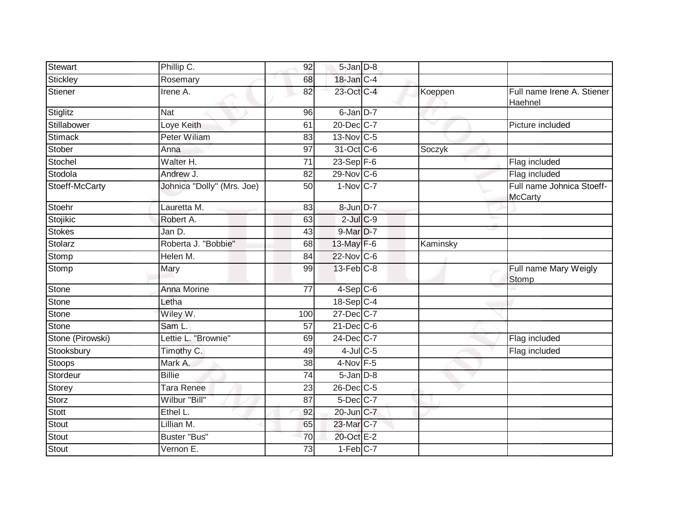| Stewart          | Phillip C.                 | 92              | 5-Jan D-8              |          |                                             |
|------------------|----------------------------|-----------------|------------------------|----------|---------------------------------------------|
| Stickley         | Rosemary                   | 68              | 18-Jan C-4             |          |                                             |
| Stiener          | Irene A.                   | 82              | 23-Oct C-4             | Koeppen  | Full name Irene A. Stiener<br>Haehnel       |
| Stiglitz         | <b>Nat</b>                 | 96              | $6$ -Jan $D-7$         |          |                                             |
| Stillabower      | Loye Keith                 | 61              | 20-Dec C-7             | v        | Picture included                            |
| <b>Stimack</b>   | Peter Wiliam               | 83              | 13-Nov C-5             |          |                                             |
| Stober           | Anna                       | $\overline{97}$ | 31-Oct C-6             | Soczyk   |                                             |
| Stochel          | Walter H.                  | $\overline{71}$ | $23-Sep$ F-6           |          | Flag included                               |
| Stodola          | Andrew J.                  | 82              | 29-Nov C-6             |          | Flag included                               |
| Stoeff-McCarty   | Johnica "Dolly" (Mrs. Joe) | 50              | $1-Nov$ C-7            |          | Full name Johnica Stoeff-<br><b>McCarty</b> |
| Stoehr           | Lauretta M.                | 83              | 8-Jun D-7              |          |                                             |
| Stojikic         | Robert A.                  | 63              | $2$ -Jul $C$ -9        |          |                                             |
| <b>Stokes</b>    | Jan D.                     | 43              | 9-Mar D-7              |          |                                             |
| Stolarz          | Roberta J. "Bobbie"        | 68              | 13-May F-6             | Kaminsky |                                             |
| Stomp            | Helen M.                   | 84              | 22-Nov C-6             |          |                                             |
| Stomp            | Mary                       | 99              | $13$ -Feb $C-8$        |          | Full name Mary Weigly<br><b>Stomp</b>       |
| Stone            | <b>Anna Morine</b>         | 77              | $4-Sep$ $C-6$          |          |                                             |
| Stone            | Letha                      |                 | 18-Sep C-4             |          |                                             |
| Stone            | Wiley W.                   | 100             | 27-Dec C-7             |          |                                             |
| Stone            | Sam L.                     | 57              | $21$ -Dec $C-6$        |          |                                             |
| Stone (Pirowski) | Lettie L. "Brownie"        | 69              | 24-Dec C-7             |          | Flag included                               |
| Stooksbury       | Timothy C.                 | 49              | $4$ -Jul $C$ -5        |          | Flag included                               |
| <b>Stoops</b>    | Mark A.                    | $\overline{38}$ | 4-Nov F-5              |          |                                             |
| Stordeur         | <b>Billie</b>              | 74              | $5 - Jan$ $D-8$        |          |                                             |
| <b>Storey</b>    | Tara Renee                 | 23              | 26-Dec C-5             |          |                                             |
| Storz            | Wilbur "Bill"              | 87              | 5-Dec C-7              |          |                                             |
| Stott            | Ethel L.                   | 92              | 20-Jun C-7             |          |                                             |
| <b>Stout</b>     | Lillian M.                 | 65              | 23-Mar C-7             |          |                                             |
| Stout            | <b>Buster "Bus"</b>        | 70              | 20-Oct E-2             |          |                                             |
| <b>Stout</b>     | Vernon E.                  | 73              | $1-Feb$ <sub>C-7</sub> |          |                                             |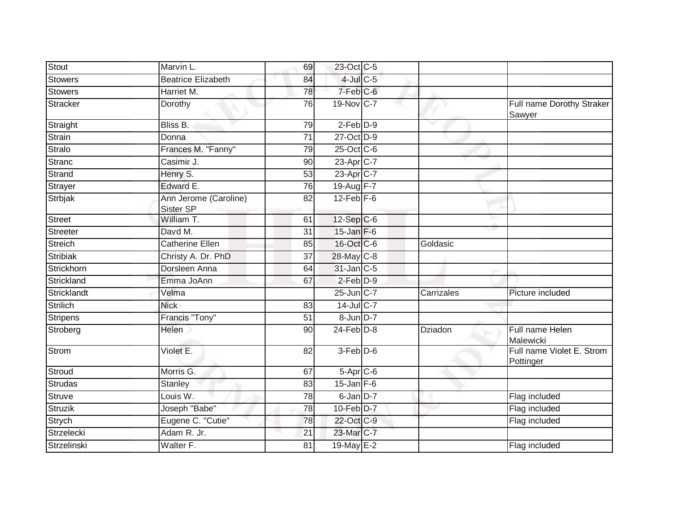| Stout              | Marvin L.                          | 69              | 23-Oct C-5      |            |                                        |
|--------------------|------------------------------------|-----------------|-----------------|------------|----------------------------------------|
| <b>Stowers</b>     | <b>Beatrice Elizabeth</b>          | 84              | $4$ -Jul $C$ -5 |            |                                        |
| <b>Stowers</b>     | Harriet M.                         | 78              | $7-Feb$ $C-6$   |            |                                        |
| <b>Stracker</b>    | Dorothy                            | 76              | 19-Nov C-7      |            | Full name Dorothy Straker<br>Sawyer    |
| Straight           | Bliss B.                           | 79              | $2$ -Feb $D-9$  | $\sim$     |                                        |
| <b>Strain</b>      | Donna                              | 71              | 27-Oct D-9      |            |                                        |
| <b>Stralo</b>      | Frances M. "Fanny"                 | 79              | 25-Oct C-6      |            |                                        |
| <b>Stranc</b>      | Casimir J.                         | 90              | 23-Apr C-7      |            |                                        |
| Strand             | Henry S.                           | 53              | 23-Apr C-7      |            |                                        |
| Strayer            | Edward E.                          | 76              | 19-Aug F-7      |            |                                        |
| Strbjak            | Ann Jerome (Caroline)<br>Sister SP | 82              | $12$ -Feb $F-6$ |            |                                        |
| <b>Street</b>      | William T.                         | 61              | 12-Sep C-6      |            |                                        |
| <b>Streeter</b>    | Davd M.                            | 31              | $15$ -Jan $F-6$ |            |                                        |
| <b>Streich</b>     | <b>Catherine Ellen</b>             | 85              | 16-Oct C-6      | Goldasic   |                                        |
| <b>Stribiak</b>    | Christy A. Dr. PhD                 | 37              | 28-May C-8      |            |                                        |
| Strickhorn         | Dorsleen Anna                      | 64              | $31$ -Jan $C-5$ |            |                                        |
| Strickland         | Emma JoAnn                         | 67              | $2$ -Feb $D-9$  |            |                                        |
| Stricklandt        | Velma                              |                 | $25$ -Jun $C-7$ | Carrizales | Picture included                       |
| <b>Strilich</b>    | <b>Nick</b>                        | 83              | $14$ -Jul C-7   |            |                                        |
| <b>Stripens</b>    | Francis "Tony"                     | 51              | 8-Jun D-7       |            |                                        |
| Stroberg           | Helen                              | 90              | $24$ -Feb $D-8$ | Dziadon    | Full name Helen<br>Malewicki           |
| <b>Strom</b>       | Violet E.                          | 82              | $3-Feb$ $D-6$   |            | Full name Violet E. Strom<br>Pottinger |
| Stroud             | Morris G.                          | 67              | $5-Apr$ $C-6$   |            |                                        |
| <b>Strudas</b>     | Stanley                            | 83              | $15$ -Jan F-6   |            |                                        |
| <b>Struve</b>      | Louis W.                           | 78              | 6-Jan D-7       |            | Flag included                          |
| <b>Struzik</b>     | Joseph "Babe"                      | 78              | $10$ -Feb $D-7$ |            | Flag included                          |
| Strych             | Eugene C. "Cutie"                  | 78              | 22-Oct C-9      |            | Flag included                          |
| Strzelecki         | Adam R. Jr.                        | $\overline{21}$ | 23-Mar C-7      |            |                                        |
| <b>Strzelinski</b> | Walter F.                          | 81              | 19-May E-2      |            | Flag included                          |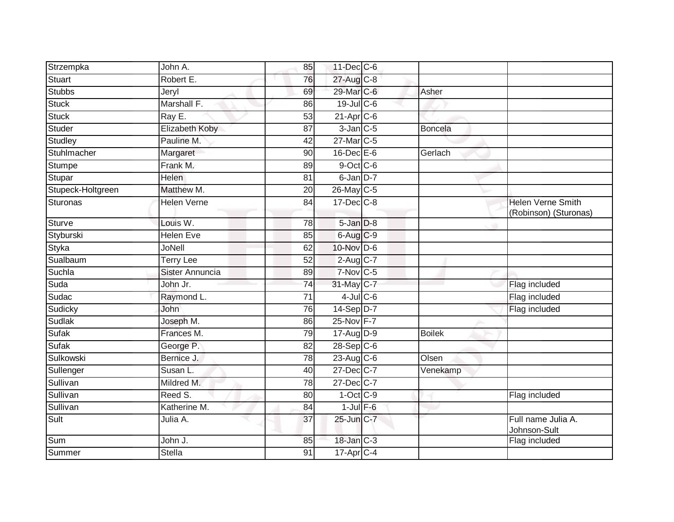| Strzempka         | John A.            | 85              | $11$ -Dec $C$ -6        |                |                                                   |
|-------------------|--------------------|-----------------|-------------------------|----------------|---------------------------------------------------|
| Stuart            | Robert E.          | 76              | 27-Aug C-8              |                |                                                   |
| <b>Stubbs</b>     | Jeryl              | 69              | 29-Mar C-6              | Asher          |                                                   |
| Stuck             | Marshall F.        | 86              | $19$ -Jul C-6           |                |                                                   |
| <b>Stuck</b>      | Ray E.             | $\overline{53}$ | $21-Apr$ <sub>C-6</sub> |                |                                                   |
| Studer            | Elizabeth Koby     | 87              | $3$ -Jan $C$ -5         | <b>Boncela</b> |                                                   |
| Studley           | Pauline M.         | 42              | 27-Mar C-5              |                |                                                   |
| Stuhlmacher       | Margaret           | 90              | $16$ -Dec $E$ -6        | Gerlach        |                                                   |
| Stumpe            | Frank M.           | 89              | $9$ -Oct C-6            |                |                                                   |
| Stupar            | <b>Helen</b>       | 81              | $6$ -Jan $D-7$          |                |                                                   |
| Stupeck-Holtgreen | Matthew M.         | 20              | 26-May C-5              |                |                                                   |
| Sturonas          | <b>Helen Verne</b> | 84              | $17 - Dec$ $C-8$        |                | <b>Helen Verne Smith</b><br>(Robinson) (Sturonas) |
| Sturve            | Louis W.           | 78              | $5 - Jan$ $D-8$         |                |                                                   |
| Styburski         | <b>Helen Eve</b>   | 85              | 6-Aug C-9               |                |                                                   |
| Styka             | <b>JoNell</b>      | 62              | 10-Nov D-6              |                |                                                   |
| Sualbaum          | <b>Terry Lee</b>   | $\overline{52}$ | $2$ -Aug C-7            |                |                                                   |
| Suchla            | Sister Annuncia    | 89              | $7-Nov$ C-5             |                |                                                   |
| Suda              | John Jr.           | 74              | 31-May C-7              |                | Flag included                                     |
| Sudac             | Raymond L.         | $\overline{71}$ | $4$ -Jul $C$ -6         |                | Flag included                                     |
| Sudicky           | John               | 76              | $14-Sep$ D-7            |                | Flag included                                     |
| Sudlak            | Joseph M.          | 86              | 25-Nov F-7              |                |                                                   |
| Sufak             | Frances M.         | 79              | $17$ -Aug $D-9$         | <b>Boilek</b>  |                                                   |
| <b>Sufak</b>      | George P.          | 82              | $28-Sep C-6$            |                |                                                   |
| Sulkowski         | Bernice J.         | 78              | $23$ -Aug C-6           | Olsen          |                                                   |
| Sullenger         | Susan L.           | 40              | 27-Dec C-7              | Venekamp       |                                                   |
| Sullivan          | Mildred M.         | 78              | 27-Dec C-7              |                |                                                   |
| Sullivan          | Reed S.            | 80              | $1-Oct$ $C-9$           |                | Flag included                                     |
| Sullivan          | Katherine M.       | 84              | $1$ -Jul $F-6$          |                |                                                   |
| Sult              | Julia A.           | 37              | 25-Jun C-7              |                | Full name Julia A.<br>Johnson-Sult                |
| Sum               | John J.            | 85              | 18-Jan C-3              |                | Flag included                                     |
| Summer            | <b>Stella</b>      | 91              | 17-Apr C-4              |                |                                                   |
|                   |                    |                 |                         |                |                                                   |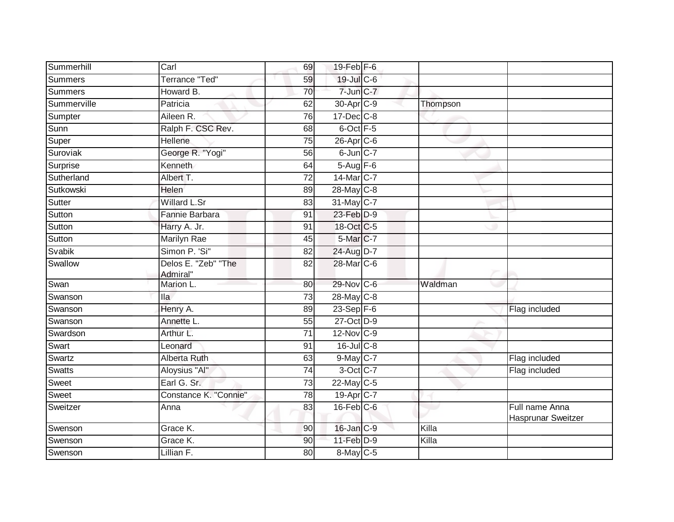| Summerhill     | Carl                            | 69              | 19-Feb F-6            |          |                                      |
|----------------|---------------------------------|-----------------|-----------------------|----------|--------------------------------------|
| <b>Summers</b> | Terrance "Ted"                  | 59              | 19-Jul C-6            |          |                                      |
| <b>Summers</b> | Howard B.                       | 70              | 7-Jun C-7             |          |                                      |
| Summerville    | Patricia                        | 62              | 30-Apr <sub>C-9</sub> | Thompson |                                      |
| Sumpter        | Aileen R.                       | 76              | $17 - Dec$ $C-8$      |          |                                      |
| Sunn           | Ralph F. CSC Rev.               | 68              | 6-Oct F-5             |          |                                      |
| Super          | Hellene                         | 75              | 26-Apr C-6            |          |                                      |
| Suroviak       | George R. "Yogi"                | 56              | $6$ -Jun $C$ -7       |          |                                      |
| Surprise       | Kenneth                         | 64              | 5-Aug F-6             |          |                                      |
| Sutherland     | Albert T.                       | 72              | 14-Mar C-7            |          |                                      |
| Sutkowski      | <b>Helen</b>                    | 89              | 28-May C-8            |          |                                      |
| Sutter         | <b>Willard L.Sr</b>             | 83              | 31-May C-7            |          |                                      |
| Sutton         | Fannie Barbara                  | 91              | 23-Feb D-9            |          |                                      |
| Sutton         | Harry A. Jr.                    | 91              | 18-Oct C-5            |          |                                      |
| Sutton         | <b>Marilyn Rae</b>              | 45              | 5-Mar C-7             |          |                                      |
| Svabik         | Simon P. 'Si"                   | 82              | 24-Aug D-7            |          |                                      |
| Swallow        | Delos E. "Zeb" "The<br>Admiral" | $\overline{82}$ | 28-Mar C-6            |          |                                      |
| Swan           | Marion L.                       | 80              | 29-Nov C-6            | Waldman  |                                      |
| Swanson        | <b>Ila</b>                      | 73              | $28$ -May C-8         |          |                                      |
| Swanson        | Henry A.                        | 89              | $23-Sep$ F-6          |          | Flag included                        |
| Swanson        | Annette L.                      | 55              | 27-Oct D-9            |          |                                      |
| Swardson       | Arthur L.                       | 71              | 12-Nov C-9            |          |                                      |
| Swart          | Leonard                         | 91              | $16$ -Jul C-8         |          |                                      |
| Swartz         | <b>Alberta Ruth</b>             | 63              | 9-May C-7             |          | Flag included                        |
| <b>Swatts</b>  | Aloysius "Al"                   | 74              | 3-Oct C-7             |          | Flag included                        |
| Sweet          | Earl G. Sr.                     | $\overline{73}$ | 22-May C-5            |          |                                      |
| Sweet          | Constance K. "Connie"           | $\overline{78}$ | 19-Apr C-7            |          |                                      |
| Sweitzer       | Anna                            | 83              | 16-Feb C-6            |          | Full name Anna<br>Hasprunar Sweitzer |
| Swenson        | Grace K.                        | 90              | 16-Jan C-9            | Killa    |                                      |
| Swenson        | Grace K.                        | 90              | $11-Feb$ D-9          | Killa    |                                      |
| Swenson        | Lillian F.                      | 80              | $8$ -May C-5          |          |                                      |
|                |                                 |                 |                       |          |                                      |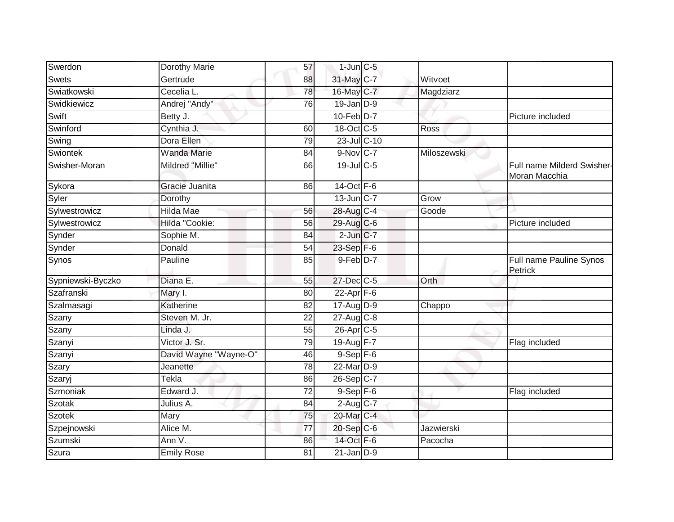| Swerdon           | Dorothy Marie           | 57              | $1$ -Jun $C$ -5        |             |                                             |
|-------------------|-------------------------|-----------------|------------------------|-------------|---------------------------------------------|
| <b>Swets</b>      | Gertrude                | 88              | 31-May C-7             | Witvoet     |                                             |
| Swiatkowski       | Cecelia L.              | $\overline{78}$ | 16-May C-7             | Magdziarz   |                                             |
| Swidkiewicz       | Andrej "Andy"           | 76              | $19$ -Jan $D-9$        |             |                                             |
| Swift             | Betty J.                |                 | $10$ -Feb $D-7$        |             | Picture included                            |
| Swinford          | Cynthia J.              | 60              | 18-Oct C-5             | <b>Ross</b> |                                             |
| Swing             | Dora Ellen              | 79              | 23-Jul C-10            |             |                                             |
| Swiontek          | <b>Wanda Marie</b>      | 84              | $9-Nov$ C-7            | Miloszewski |                                             |
| Swisher-Moran     | <b>Mildred "Millie"</b> | 66              | 19-Jul C-5             |             | Full name Milderd Swisher-<br>Moran Macchia |
| Sykora            | Gracie Juanita          | 86              | 14-Oct F-6             |             |                                             |
| Syler             | Dorothy                 |                 | $13$ -Jun $C-7$        | Grow        |                                             |
| Sylwestrowicz     | Hilda Mae               | 56              | 28-Aug C-4             | Goode       |                                             |
| Sylwestrowicz     | Hilda "Cookie:          | $\overline{56}$ | 29-Aug C-6             |             | Picture included                            |
| Synder            | Sophie M.               | 84              | $2$ -Jun $C-7$         |             |                                             |
| Synder            | Donald                  | 54              | 23-Sep F-6             |             |                                             |
| Synos             | Pauline                 | 85              | $9-Feb$ D-7            |             | Full name Pauline Synos<br>Petrick          |
| Sypniewski-Byczko | Diana E.                | 55              | 27-Dec C-5             | Orth        |                                             |
| Szafranski        | Mary I.                 | 80              | $22$ -Apr $F-6$        |             |                                             |
| Szalmasagi        | Katherine               | 82              | $17 - Aug$ $D-9$       | Chappo      |                                             |
| Szany             | Steven M. Jr.           | $\overline{22}$ | 27-Aug C-8             |             |                                             |
| Szany             | Linda J.                | 55              | 26-Apr <sub>C-5</sub>  |             |                                             |
| Szanyi            | Victor J. Sr.           | 79              | 19-Aug F-7             |             | Flag included                               |
| Szanyi            | David Wayne "Wayne-O"   | 46              | $9-$ Sep $F-6$         |             |                                             |
| Szary             | Jeanette                | 78              | 22-Mar <sub>D-9</sub>  |             |                                             |
| Szaryj            | Tekla                   | 86              | 26-Sep C-7             |             |                                             |
| Szmoniak          | Edward J.               | 72              | $9-$ Sep $F-6$         |             | Flag included                               |
| <b>Szotak</b>     | Julius A.               | 84              | $2-Aug$ <sub>C-7</sub> |             |                                             |
| <b>Szotek</b>     | Mary                    | 75              | 20-Mar C-4             |             |                                             |
| Szpejnowski       | Alice M.                | 77              | 20-Sep C-6             | Jazwierski  |                                             |
| Szumski           | Ann V.                  | 86              | 14-Oct F-6             | Pacocha     |                                             |
| Szura             | <b>Emily Rose</b>       | 81              | $21$ -Jan $D-9$        |             |                                             |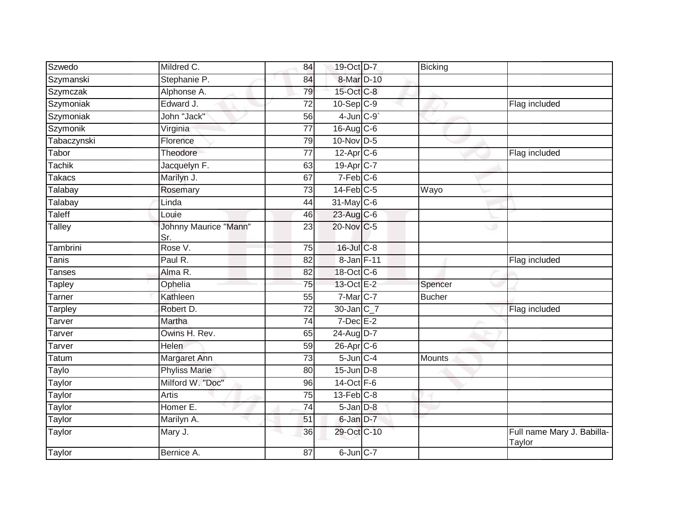| Mildred C.                   | 84              |  | Bicking                                                                                                                                                                                                                                                                                                                                                                                                                                                                                                        |                                      |
|------------------------------|-----------------|--|----------------------------------------------------------------------------------------------------------------------------------------------------------------------------------------------------------------------------------------------------------------------------------------------------------------------------------------------------------------------------------------------------------------------------------------------------------------------------------------------------------------|--------------------------------------|
| Stephanie P.                 | 84              |  |                                                                                                                                                                                                                                                                                                                                                                                                                                                                                                                |                                      |
| Alphonse A.                  | 79              |  |                                                                                                                                                                                                                                                                                                                                                                                                                                                                                                                |                                      |
| Edward J.                    | 72              |  |                                                                                                                                                                                                                                                                                                                                                                                                                                                                                                                | Flag included                        |
| John "Jack"                  | 56              |  |                                                                                                                                                                                                                                                                                                                                                                                                                                                                                                                |                                      |
| Virginia                     | $\overline{77}$ |  |                                                                                                                                                                                                                                                                                                                                                                                                                                                                                                                |                                      |
| Florence                     | 79              |  |                                                                                                                                                                                                                                                                                                                                                                                                                                                                                                                |                                      |
| Theodore                     | 77              |  |                                                                                                                                                                                                                                                                                                                                                                                                                                                                                                                | Flag included                        |
| Jacquelyn F.                 | 63              |  |                                                                                                                                                                                                                                                                                                                                                                                                                                                                                                                |                                      |
| Marilyn J.                   | 67              |  |                                                                                                                                                                                                                                                                                                                                                                                                                                                                                                                |                                      |
| Rosemary                     | $\overline{73}$ |  | Wayo                                                                                                                                                                                                                                                                                                                                                                                                                                                                                                           |                                      |
| Linda                        | 44              |  |                                                                                                                                                                                                                                                                                                                                                                                                                                                                                                                |                                      |
| Louie                        | 46              |  |                                                                                                                                                                                                                                                                                                                                                                                                                                                                                                                |                                      |
| <b>Johnny Maurice "Mann"</b> | 23              |  |                                                                                                                                                                                                                                                                                                                                                                                                                                                                                                                |                                      |
| Rose V.                      | $\overline{75}$ |  |                                                                                                                                                                                                                                                                                                                                                                                                                                                                                                                |                                      |
| Paul R.                      | 82              |  |                                                                                                                                                                                                                                                                                                                                                                                                                                                                                                                | Flag included                        |
| Alma R.                      | 82              |  |                                                                                                                                                                                                                                                                                                                                                                                                                                                                                                                |                                      |
| Ophelia                      | 75              |  | Spencer                                                                                                                                                                                                                                                                                                                                                                                                                                                                                                        |                                      |
| Kathleen                     | 55              |  | <b>Bucher</b>                                                                                                                                                                                                                                                                                                                                                                                                                                                                                                  |                                      |
| Robert D.                    | 72              |  |                                                                                                                                                                                                                                                                                                                                                                                                                                                                                                                | Flag included                        |
| Martha                       | 74              |  |                                                                                                                                                                                                                                                                                                                                                                                                                                                                                                                |                                      |
| Owins H. Rev.                | 65              |  |                                                                                                                                                                                                                                                                                                                                                                                                                                                                                                                |                                      |
| <b>Helen</b>                 | 59              |  |                                                                                                                                                                                                                                                                                                                                                                                                                                                                                                                |                                      |
| Margaret Ann                 | 73              |  | Mounts                                                                                                                                                                                                                                                                                                                                                                                                                                                                                                         |                                      |
| <b>Phyliss Marie</b>         | 80              |  |                                                                                                                                                                                                                                                                                                                                                                                                                                                                                                                |                                      |
| Milford W. "Doc"             | 96              |  |                                                                                                                                                                                                                                                                                                                                                                                                                                                                                                                |                                      |
| Artis                        | $\overline{75}$ |  |                                                                                                                                                                                                                                                                                                                                                                                                                                                                                                                |                                      |
| Homer E.                     | 74              |  |                                                                                                                                                                                                                                                                                                                                                                                                                                                                                                                |                                      |
| Marilyn A.                   | 51              |  |                                                                                                                                                                                                                                                                                                                                                                                                                                                                                                                |                                      |
| Mary J.                      | 36              |  |                                                                                                                                                                                                                                                                                                                                                                                                                                                                                                                | Full name Mary J. Babilla-<br>Taylor |
| Bernice A.                   | 87              |  |                                                                                                                                                                                                                                                                                                                                                                                                                                                                                                                |                                      |
|                              | Sr.             |  | 19-Oct D-7<br>8-Mar D-10<br>15-Oct C-8<br>$10 - Sep$ $C-9$<br>$4$ -Jun $C-9$<br>$16$ -Aug $C$ -6<br>$10$ -Nov D-5<br>$12$ -Apr $C$ -6<br>19-Apr C-7<br>$7-Feb$ $C-6$<br>$14$ -Feb $C-5$<br>$31$ -May C-6<br>23-Aug C-6<br>20-Nov C-5<br>16-Jul C-8<br>8-Jan F-11<br>18-Oct C-6<br>13-Oct E-2<br>7-Mar C-7<br>$30$ -Jan $C_7$<br>$7$ -Dec $E-2$<br>24-Aug D-7<br>$26$ -Apr $C$ -6<br>$5$ -Jun $C-4$<br>$15$ -Jun $D-8$<br>$14-Oct$ F-6<br>$13$ -Feb $C-8$<br>5-Jan D-8<br>6-Jan D-7<br>29-Oct C-10<br>6-Jun C-7 |                                      |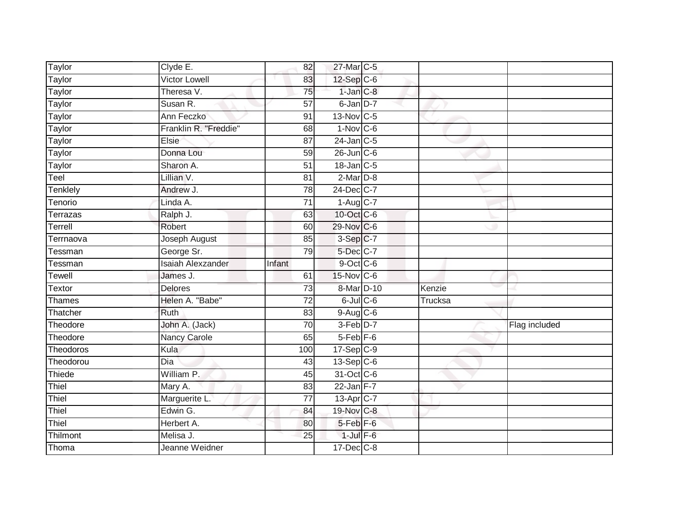| Taylor            | Clyde E.                    | 82              | 27-Mar C-5                         |         |               |
|-------------------|-----------------------------|-----------------|------------------------------------|---------|---------------|
| <b>Taylor</b>     | <b>Victor Lowell</b>        | 83              | $12$ -Sep $C-6$                    |         |               |
| Taylor            | Theresa V.                  | 75              | $1$ -Jan $C-8$                     |         |               |
| Taylor            | Susan R.                    | 57              | 6-Jan D-7                          |         |               |
| <b>Taylor</b>     | Ann Feczko                  | $\overline{91}$ | 13-Nov C-5                         |         |               |
| Taylor            | Franklin R. "Freddie"       | 68              | $1-Nov$ C-6                        |         |               |
| Taylor            | Elsie                       | 87              | 24-Jan C-5                         |         |               |
| Taylor            | Donna Lou                   | 59              | $26$ -Jun $C$ -6                   |         |               |
| Taylor            | Sharon A.                   | $\overline{51}$ | 18-Jan C-5                         |         |               |
| Teel              | Lillian V.                  | 81              | $2-Mar$ D-8                        |         |               |
| Tenklely          | Andrew J.                   | 78              | 24-Dec C-7                         |         |               |
| Tenorio           | Linda A.                    | 71              | $1-Aug$ $C-7$                      |         |               |
| Terrazas          | Ralph J.                    | 63              | 10-Oct C-6                         |         |               |
| Terrell           | Robert                      | 60              | 29-Nov C-6                         |         |               |
| Terrnaova         | Joseph August               | 85              | 3-Sep C-7                          |         |               |
| Tessman           | George Sr.                  | 79              | 5-Dec C-7                          |         |               |
|                   |                             |                 |                                    |         |               |
| Tessman           | <b>Isaiah Alexzander</b>    | Infant          | $9$ -Oct C-6                       |         |               |
| Tewell            | James J.                    | 61              | $15$ -Nov $ C-6 $                  |         |               |
| Textor            | <b>Delores</b>              | 73              | 8-Mar D-10                         | Kenzie  |               |
| Thames            | Helen A. "Babe"             | $\overline{72}$ | $6$ -Jul $C$ -6                    | Trucksa |               |
| Thatcher          | Ruth                        | 83              | $9-Aug$ $C-6$                      |         |               |
| Theodore          | John A. (Jack)              | $\overline{70}$ | $3-Feb$ D-7                        |         | Flag included |
| Theodore          | Nancy Carole                | 65              | $5-Feb$ $F-6$                      |         |               |
| Theodoros         | Kula                        | 100             | $17 - Sep$ $C-9$                   |         |               |
| Theodorou         | Dia                         | 43              | $13-Sep C-6$                       |         |               |
| Thiede            | William P.                  | 45              | 31-Oct C-6                         |         |               |
| Thiel             | Mary A.                     | 83              | $22$ -Jan F-7                      |         |               |
| Thiel             | Marguerite L.               | $\overline{77}$ | 13-Apr <sub>C-7</sub>              |         |               |
| Thiel             | Edwin G.                    | 84              | 19-Nov C-8                         |         |               |
| Thiel             | Herbert A.                  | 80              | 5-Feb <sup>F-6</sup>               |         |               |
| Thilmont<br>Thoma | Melisa J.<br>Jeanne Weidner | 25              | $1$ -Jul $F-6$<br>$17 - Dec$ $C-8$ |         |               |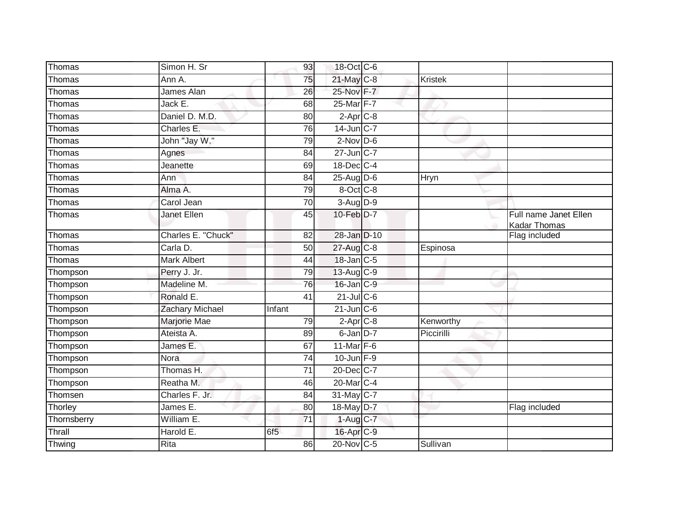| Thomas      | Simon H. Sr            | 93              | 18-Oct C-6             |                |                                              |
|-------------|------------------------|-----------------|------------------------|----------------|----------------------------------------------|
| Thomas      | Ann A.                 | 75              | 21-May C-8             | <b>Kristek</b> |                                              |
| Thomas      | James Alan             | 26              | 25-Nov F-7             |                |                                              |
| Thomas      | Jack E.                | 68              | 25-Mar F-7             |                |                                              |
| Thomas      | Daniel D. M.D.         | 80              | $2-Apr$ <sub>C-8</sub> |                |                                              |
| Thomas      | Charles <sub>E.</sub>  | 76              | 14-Jun C-7             |                |                                              |
| Thomas      | John "Jay W."          | 79              | $2$ -Nov D-6           |                |                                              |
| Thomas      | Agnes                  | 84              | 27-Jun C-7             |                |                                              |
| Thomas      | Jeanette               | 69              | 18-Dec C-4             |                |                                              |
| Thomas      | Ann                    | 84              | $25$ -Aug D-6          | Hryn           |                                              |
| Thomas      | Alma A.                | 79              | 8-Oct C-8              |                |                                              |
| Thomas      | Carol Jean             | 70              | 3-Aug D-9              |                |                                              |
| Thomas      | <b>Janet Ellen</b>     | 45              | 10-Feb D-7             |                | Full name Janet Ellen<br><b>Kadar Thomas</b> |
| Thomas      | Charles E. "Chuck"     | 82              | 28-Jan D-10            |                | Flag included                                |
| Thomas      | Carla D.               | $\overline{50}$ | 27-Aug C-8             | Espinosa       |                                              |
| Thomas      | <b>Mark Albert</b>     | 44              | $18$ -Jan $ C-5 $      |                |                                              |
| Thompson    | Perry J. Jr.           | 79              | $13$ -Aug C-9          |                |                                              |
| Thompson    | Madeline M.            | 76              | $16$ -Jan $C-9$        |                |                                              |
| Thompson    | Ronald E.              | 41              | $21$ -Jul C-6          |                |                                              |
| Thompson    | <b>Zachary Michael</b> | Infant          | $21$ -Jun $C-6$        |                |                                              |
| Thompson    | Marjorie Mae           | 79              | $2-AprC-8$             | Kenworthy      |                                              |
| Thompson    | Ateista A.             | 89              | $6$ -Jan $D-7$         | Piccirilli     |                                              |
| Thompson    | James <sub>E.</sub>    | 67              | 11-Mar F-6             |                |                                              |
| Thompson    | <b>Nora</b>            | 74              | $10$ -Jun $F-9$        |                |                                              |
| Thompson    | Thomas H.              | $\overline{71}$ | 20-Dec C-7             |                |                                              |
| Thompson    | Reatha M.              | 46              | 20-Mar <sub>C-4</sub>  |                |                                              |
| Thomsen     | Charles F. Jr.         | 84              | 31-May C-7             |                |                                              |
| Thorley     | James E.               | 80              | 18-May D-7             |                | Flag included                                |
| Thornsberry | William E.             | $\overline{71}$ | $1-Aug$ <sub>C-7</sub> |                |                                              |
| Thrall      | Harold E.              | 6f <sub>5</sub> | 16-Apr <sub>C-9</sub>  |                |                                              |
| Thwing      | Rita                   | 86              | 20-Nov C-5             | Sullivan       |                                              |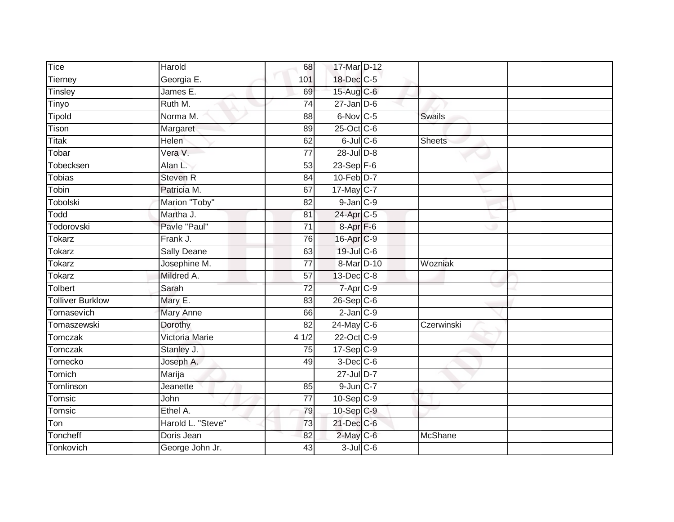| Tice                    | Harold            | 68              | 17-Mar D-12             |                |
|-------------------------|-------------------|-----------------|-------------------------|----------------|
| Tierney                 | Georgia E.        | 101             | 18-Dec C-5              |                |
| Tinsley                 | James E.          | 69              | 15-Aug C-6              |                |
| Tinyo                   | Ruth M.           | 74              | $27 - Jan$ $D-6$        |                |
| <b>Tipold</b>           | Norma M.          | $\overline{88}$ | 6-Nov C-5               | <b>Swails</b>  |
| Tison                   | Margaret          | 89              | 25-Oct C-6              |                |
| Titak                   | Helen             | 62              | $6$ -Jul $C$ -6         | <b>Sheets</b>  |
| Tobar                   | Vera V.           | 77              | 28-Jul D-8              |                |
| Tobecksen               | Alan L.           | 53              | $23-Sep$ $F-6$          |                |
| <b>Tobias</b>           | <b>Steven R</b>   | 84              | $10-Feb$ D-7            |                |
| Tobin                   | Patricia M.       | 67              | 17-May C-7              |                |
| Tobolski                | Marion "Toby"     | 82              | $9$ -Jan $C-9$          |                |
| Todd                    | Martha J.         | 81              | 24-Apr <sub>IC-5</sub>  |                |
| Todorovski              | Pavle "Paul"      | 71              | 8-Apr <sub>F-6</sub>    |                |
| Tokarz                  | Frank J.          | 76              | 16-Apr C-9              |                |
| Tokarz                  | Sally Deane       | 63              | 19-Jul C-6              |                |
| Tokarz                  | Josephine M.      | $\overline{77}$ | 8-Mar D-10              | Wozniak        |
| <b>Tokarz</b>           | Mildred A.        | $\overline{57}$ | 13-Dec C-8              |                |
| Tolbert                 | Sarah             | $\overline{72}$ | $7$ -Apr $C-9$          |                |
| <b>Tolliver Burklow</b> | Mary E.           | 83              | $26-Sep C-6$            |                |
| Tomasevich              | <b>Mary Anne</b>  | 66              | $2$ -Jan $C-9$          |                |
| Tomaszewski             | Dorothy           | $\overline{82}$ | $24$ -May C-6           | Czerwinski     |
| Tomczak                 | Victoria Marie    | 41/2            | 22-Oct C-9              |                |
| Tomczak                 | Stanley J.        | 75              | $17-Sep$ C-9            |                |
| Tomecko                 | Joseph A.         | 49              | $3$ -Dec $C$ -6         |                |
| Tomich                  | Marija            |                 | $27$ -Jul D-7           |                |
| Tomlinson               | Jeanette          | 85              | $9$ -Jun $C-7$          |                |
| Tomsic                  | John              | 77              | $10-Sep$ <sub>C-9</sub> |                |
| Tomsic                  | $E$ thel A.       | 79              | $10-Sep$ C-9            |                |
| Ton                     | Harold L. "Steve" | 73              | 21-Dec C-6              |                |
| Toncheff                | Doris Jean        | 82              | $2$ -May $C$ -6         | <b>McShane</b> |
| Tonkovich               | George John Jr.   | 43              | $3$ -Jul $C$ -6         |                |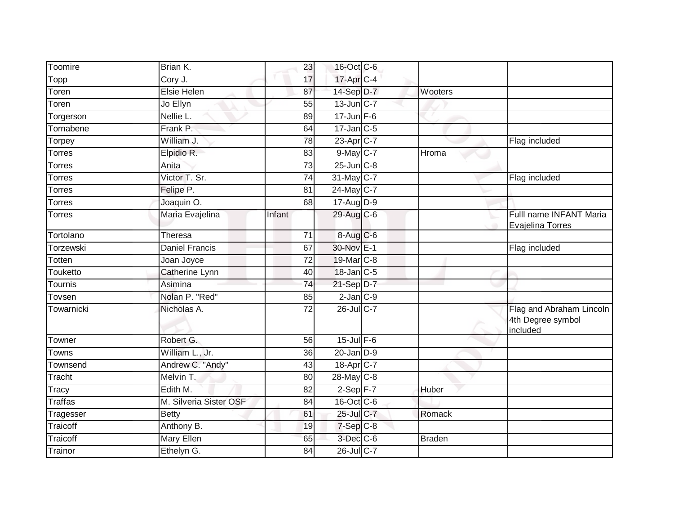| Toomire        | Brian K.               | 23              | 16-Oct C-6            |               |                                                           |
|----------------|------------------------|-----------------|-----------------------|---------------|-----------------------------------------------------------|
| Topp           | Cory J.                | 17              | 17-Apr C-4            |               |                                                           |
| Toren          | <b>Elsie Helen</b>     | 87              | 14-Sep D-7            | Wooters       |                                                           |
| Toren          | Jo Ellyn               | 55              | 13-Jun C-7            |               |                                                           |
| Torgerson      | Nellie L.              | 89              | $17 - Jun$ F-6        |               |                                                           |
| Tornabene      | Frank P.               | 64              | $17$ -Jan C-5         |               |                                                           |
| Torpey         | William J.             | 78              | 23-Apr C-7            |               | Flag included                                             |
| Torres         | Elpidio R.             | 83              | 9-May C-7             | Hroma         |                                                           |
| <b>Torres</b>  | Anita                  | 73              | $25$ -Jun $C-8$       |               |                                                           |
| Torres         | Victor T. Sr.          | 74              | 31-May C-7            |               | Flag included                                             |
| Torres         | Felipe P.              | 81              | 24-May C-7            |               |                                                           |
| <b>Torres</b>  | Joaquin O.             | 68              | 17-Aug D-9            |               |                                                           |
| Torres         | Maria Evajelina        | Infant          | 29-Aug C-6            |               | Fulll name INFANT Maria<br>Evajelina Torres               |
| Tortolano      | <b>Theresa</b>         | $\overline{71}$ | $8-Aug$ $C-6$         |               |                                                           |
| Torzewski      | <b>Daniel Francis</b>  | 67              | 30-Nov E-1            |               | Flag included                                             |
| Totten         | Joan Joyce             | 72              | 19-Mar C-8            |               |                                                           |
| Touketto       | Catherine Lynn         | 40              | 18-Jan C-5            |               |                                                           |
| Tournis        | Asimina                | $\overline{74}$ | $21-SepD-7$           |               |                                                           |
| Tovsen         | Nolan P. "Red"         | 85              | $2$ -Jan $ C-9 $      |               |                                                           |
| Towarnicki     | Nicholas A.            | $\overline{72}$ | 26-Jul C-7            |               | Flag and Abraham Lincoln<br>4th Degree symbol<br>included |
| Towner         | Robert G.              | 56              | $15$ -Jul $F-6$       |               |                                                           |
| Towns          | William L., Jr.        | 36              | $20$ -Jan $D-9$       |               |                                                           |
| Townsend       | Andrew C. "Andy"       | 43              | 18-Apr <sub>C-7</sub> |               |                                                           |
| Tracht         | Melvin T.              | 80              | 28-May C-8            |               |                                                           |
| Tracy          | Edith M.               | 82              | $2-Sep$ F-7           | <b>Huber</b>  |                                                           |
| <b>Traffas</b> | M. Silveria Sister OSF | 84              | 16-Oct C-6            |               |                                                           |
| Tragesser      | <b>Betty</b>           | 61              | 25-Jul C-7            | Romack        |                                                           |
| Traicoff       | Anthony B.             | 19              | $7-Sep$ $C-8$         |               |                                                           |
| Traicoff       | Mary Ellen             | 65              | 3-Dec <sub>C-6</sub>  | <b>Braden</b> |                                                           |
| Trainor        | Ethelyn G.             | 84              | 26-Jul C-7            |               |                                                           |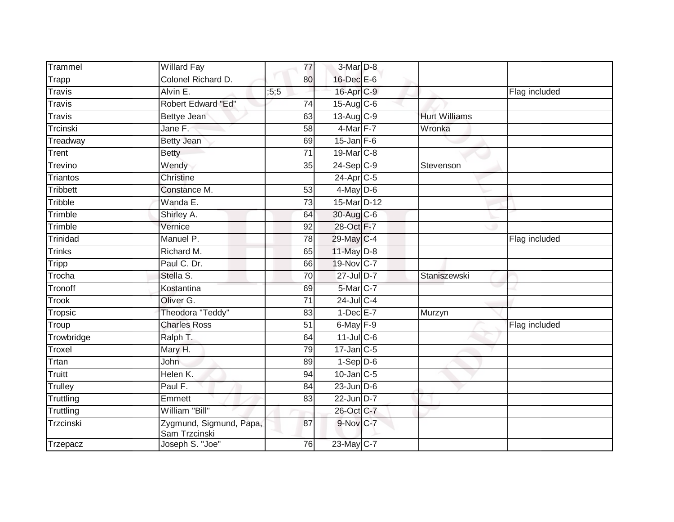| Trammel       | <b>Willard Fay</b>                       | 77              | $3-Mar$ D-8            |                      |               |
|---------------|------------------------------------------|-----------------|------------------------|----------------------|---------------|
| Trapp         | Colonel Richard D.                       | 80              | 16-Dec E-6             |                      |               |
| <b>Travis</b> | Alvin E.                                 | ; 5; 5          | 16-Apr C-9             |                      | Flag included |
| <b>Travis</b> | Robert Edward "Ed"                       | 74              | $15$ -Aug C-6          |                      |               |
| <b>Travis</b> | Bettye Jean                              | 63              | 13-Aug C-9             | <b>Hurt Williams</b> |               |
| Trcinski      | Jane F.                                  | 58              | $4$ -Mar $F-7$         | Wronka               |               |
| Treadway      | <b>Betty Jean</b>                        | 69              | $15$ -Jan F-6          |                      |               |
| Trent         | <b>Betty</b>                             | 71              | 19-Mar C-8             |                      |               |
| Trevino       | Wendy                                    | 35              | 24-Sep C-9             | Stevenson            |               |
| Triantos      | <b>Christine</b>                         |                 | $24$ -Apr $C-5$        |                      |               |
| Tribbett      | Constance M.                             | 53              | $4$ -May D-6           |                      |               |
| Tribble       | Wanda E.                                 | 73              | 15-Mar <sub>D-12</sub> |                      |               |
| Trimble       | Shirley A.                               | 64              | 30-Aug C-6             |                      |               |
| Trimble       | Vernice                                  | 92              | 28-Oct F-7             |                      |               |
| Trinidad      | Manuel P.                                | 78              | 29-May C-4             |                      | Flag included |
| <b>Trinks</b> | Richard M.                               | 65              | $11$ -May $D-8$        |                      |               |
| <b>Tripp</b>  | Paul C. Dr.                              | 66              | 19-Nov C-7             |                      |               |
| Trocha        | Stella S.                                | 70              | 27-Jul D-7             | Staniszewski         |               |
| Tronoff       | Kostantina                               | 69              | 5-Mar C-7              |                      |               |
| <b>Trook</b>  | Oliver G.                                | $\overline{71}$ | 24-Jul C-4             |                      |               |
| Tropsic       | Theodora "Teddy"                         | 83              | $1-Dec$ E-7            | Murzyn               |               |
| Troup         | <b>Charles Ross</b>                      | $\overline{51}$ | $6$ -May $F-9$         |                      | Flag included |
| Trowbridge    | Ralph T.                                 | 64              | $11$ -JulC-6           |                      |               |
| Troxel        | Mary H.                                  | 79              | $17$ -Jan $C$ -5       |                      |               |
| Trtan         | John                                     | 89              | $1-Sep$ D-6            |                      |               |
| Truitt        | Helen K.                                 | 94              | $10$ -Jan $ C-5 $      |                      |               |
| Trulley       | Paul F.                                  | $\overline{84}$ | $23$ -Jun $D-6$        |                      |               |
| Truttling     | Emmett                                   | 83              | 22-Jun D-7             |                      |               |
| Truttling     | William "Bill"                           |                 | 26-Oct C-7             |                      |               |
| Trzcinski     | Zygmund, Sigmund, Papa,<br>Sam Trzcinski | 87              | 9-Nov C-7              |                      |               |
| Trzepacz      | Joseph S. "Joe"                          | 76              | 23-May C-7             |                      |               |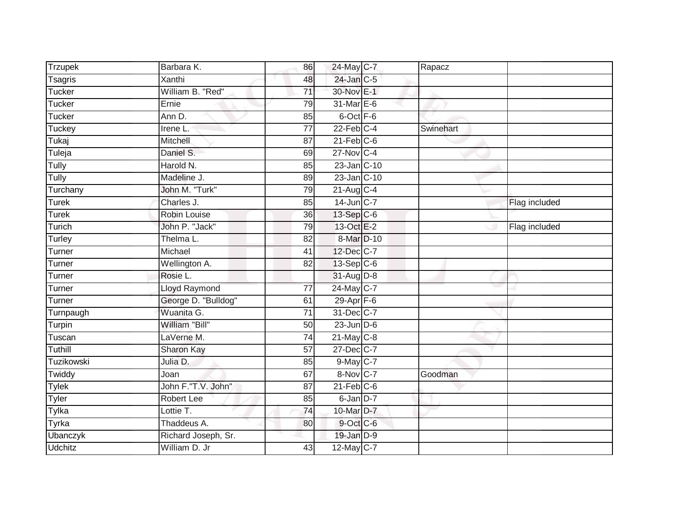| Trzupek        | Barbara K.           | 86              | 24-May C-7        | Rapacz    |               |
|----------------|----------------------|-----------------|-------------------|-----------|---------------|
| <b>Tsagris</b> | Xanthi               | 48              | $24$ -Jan $C-5$   |           |               |
| Tucker         | William B. "Red"     | $\overline{71}$ | 30-Nov E-1        |           |               |
| Tucker         | Ernie                | 79              | 31-Mar E-6        |           |               |
| Tucker         | Ann D.               | 85              | 6-Oct F-6         |           |               |
| Tuckey         | Irene L.             | $\overline{77}$ | $22$ -Feb $C-4$   | Swinehart |               |
| Tukaj          | Mitchell             | 87              | $21$ -Feb $C-6$   |           |               |
| Tuleja         | Daniel S.            | 69              | $27$ -Nov $ C-4 $ |           |               |
| Tully          | Harold N.            | 85              | 23-Jan C-10       |           |               |
| Tully          | Madeline J.          | 89              | 23-Jan C-10       |           |               |
| Turchany       | John M. "Turk"       | 79              | 21-Aug C-4        |           |               |
| Turek          | Charles J.           | 85              | $14$ -Jun $C-7$   |           | Flag included |
| <b>Turek</b>   | Robin Louise         | 36              | $13-Sep$ C-6      |           |               |
| Turich         | John P. "Jack"       | 79              | 13-Oct E-2        |           | Flag included |
| Turley         | Thelma L.            | 82              | 8-Mar D-10        |           |               |
| Turner         | Michael              | 41              | 12-Dec C-7        |           |               |
| Turner         | Wellington A.        | 82              | 13-Sep C-6        |           |               |
| Turner         | Rosie L.             |                 | $31$ -Aug D-8     |           |               |
| Turner         | <b>Lloyd Raymond</b> | $\overline{77}$ | 24-May C-7        |           |               |
| Turner         | George D. "Bulldog"  | 61              | $29-Apr$ F-6      |           |               |
| Turnpaugh      | Wuanita G.           | 71              | 31-Dec C-7        |           |               |
| Turpin         | William "Bill"       | 50              | $23$ -Jun $D-6$   |           |               |
| Tuscan         | LaVerne M.           | 74              | $21$ -May C-8     |           |               |
| Tuthill        | <b>Sharon Kay</b>    | 57              | 27-Dec C-7        |           |               |
| Tuzikowski     | Julia D.             | 85              | 9-May C-7         |           |               |
| Twiddy         | Joan                 | 67              | 8-Nov C-7         | Goodman   |               |
| <b>Tylek</b>   | John F."T.V. John"   | $\overline{87}$ | $21$ -Feb $C$ -6  |           |               |
| Tyler          | <b>Robert Lee</b>    | 85              | 6-Jan D-7         |           |               |
| <b>Tylka</b>   | Lottie T.            | $\overline{74}$ | 10-Mar D-7        |           |               |
| Tyrka          | Thaddeus A.          | 80              | 9-Oct C-6         |           |               |
| Ubanczyk       | Richard Joseph, Sr.  |                 | $19$ -Jan $D-9$   |           |               |
| <b>Udchitz</b> | William D. Jr        | 43              | 12-May C-7        |           |               |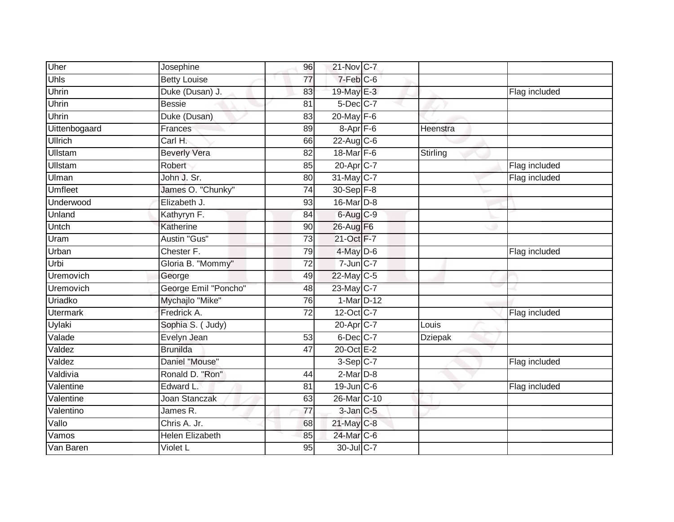| Uher             | Josephine              | 96              | 21-Nov C-7        |                |               |
|------------------|------------------------|-----------------|-------------------|----------------|---------------|
| Uhls             | <b>Betty Louise</b>    | 77              | $7-Feb$ $C-6$     |                |               |
| Uhrin            | Duke (Dusan) J.        | 83              | 19-May E-3        |                | Flag included |
| Uhrin            | <b>Bessie</b>          | 81              | $5$ -Dec $C$ -7   |                |               |
| Uhrin            | Duke (Dusan)           | 83              | 20-May F-6        |                |               |
| Uittenbogaard    | Frances                | 89              | $8 - Apr$ $F - 6$ | Heenstra       |               |
| Ullrich          | Carl H.                | 66              | 22-Aug C-6        |                |               |
| <b>Ullstam</b>   | <b>Beverly Vera</b>    | 82              | 18-Mar F-6        | Stirling       |               |
| <b>Ullstam</b>   | Robert                 | 85              | 20-Apr C-7        |                | Flag included |
| Ulman            | John J. Sr.            | 80              | 31-May C-7        |                | Flag included |
| <b>Umfleet</b>   | James O. "Chunky"      | 74              | 30-Sep F-8        |                |               |
| Underwood        | Elizabeth J.           | $\overline{93}$ | 16-Mar D-8        |                |               |
| Unland           | Kathyryn F.            | 84              | $6$ -Aug $C-9$    |                |               |
| Untch            | Katherine              | 90              | 26-Aug F6         |                |               |
| Uram             | Austin "Gus"           | $\overline{73}$ | 21-Oct F-7        |                |               |
| Urban            | Chester F.             | 79              | $4$ -May $D-6$    |                | Flag included |
| Urbi             | Gloria B. "Mommy"      | $\overline{72}$ | 7-Jun C-7         |                |               |
| Uremovich        | George                 | 49              | 22-May C-5        |                |               |
| <b>Uremovich</b> | George Emil "Poncho"   | 48              | 23-May C-7        |                |               |
| Uriadko          | Mychajlo "Mike"        | 76              | 1-Mar D-12        |                |               |
| <b>Utermark</b>  | Fredrick A.            | $\overline{72}$ | 12-Oct C-7        |                | Flag included |
| Uylaki           | Sophia S. (Judy)       |                 | 20-Apr C-7        | Louis          |               |
| Valade           | Evelyn Jean            | 53              | $6$ -Dec $C$ -7   | <b>Dziepak</b> |               |
| Valdez           | <b>Brunilda</b>        | 47              | 20-Oct E-2        |                |               |
| Valdez           | Daniel "Mouse"         |                 | 3-Sep C-7         |                | Flag included |
| Valdivia         | Ronald D. "Ron"        | 44              | $2-MarD-8$        |                |               |
| Valentine        | Edward L.              | $\overline{81}$ | $19$ -Jun $C$ -6  |                | Flag included |
| Valentine        | <b>Joan Stanczak</b>   | 63              | 26-Mar C-10       |                |               |
| Valentino        | James R.               | $\overline{77}$ | $3$ -Jan $C$ -5   |                |               |
| Vallo            | Chris A. Jr.           | 68              | $21$ -May C-8     |                |               |
| Vamos            | <b>Helen Elizabeth</b> | 85              | 24-Mar C-6        |                |               |
| Van Baren        | Violet L               | 95              | 30-Jul C-7        |                |               |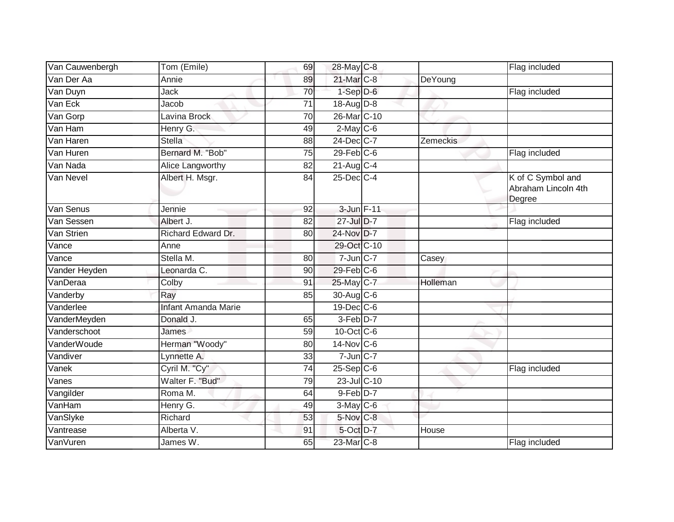| Van Cauwenbergh | Tom (Emile)                | 69              | 28-May C-8            |          | Flag included                                      |
|-----------------|----------------------------|-----------------|-----------------------|----------|----------------------------------------------------|
| Van Der Aa      | Annie                      | 89              | 21-Mar C-8            | DeYoung  |                                                    |
| Van Duyn        | Jack                       | 70              | $1-Sep$ D-6           |          | Flag included                                      |
| Van Eck         | Jacob                      | 71              | $18$ -Aug $D-8$       |          |                                                    |
| Van Gorp        | Lavina Brock               | $\overline{70}$ | 26-Mar C-10           |          |                                                    |
| Van Ham         | Henry G.                   | 49              | $2$ -May C-6          |          |                                                    |
| Van Haren       | <b>Stella</b>              | 88              | 24-Dec C-7            | Zemeckis |                                                    |
| Van Huren       | Bernard M. "Bob"           | 75              | $29$ -Feb $C$ -6      |          | Flag included                                      |
| Van Nada        | Alice Langworthy           | 82              | $21$ -Aug $C-4$       |          |                                                    |
| Van Nevel       | Albert H. Msgr.            | 84              | 25-Dec C-4            |          | K of C Symbol and<br>Abraham Lincoln 4th<br>Degree |
| Van Senus       | Jennie                     | 92              | 3-Jun F-11            |          |                                                    |
| Van Sessen      | Albert J.                  | 82              | 27-Jul D-7            |          | Flag included                                      |
| Van Strien      | Richard Edward Dr.         | 80              | 24-Nov D-7            |          |                                                    |
| Vance           | Anne                       |                 | 29-Oct C-10           |          |                                                    |
| Vance           | Stella M.                  | 80              | $7$ -Jun $C-7$        | Casey    |                                                    |
| Vander Heyden   | Leonarda C.                | 90              | $29$ -Feb $C$ -6      |          |                                                    |
| VanDeraa        | Colby                      | 91              | 25-May C-7            | Holleman |                                                    |
| Vanderby        | Ray                        | 85              | 30-Aug C-6            |          |                                                    |
| Vanderlee       | <b>Infant Amanda Marie</b> |                 | 19-Dec C-6            |          |                                                    |
| VanderMeyden    | Donald J.                  | 65              | $3-Feb$ D-7           |          |                                                    |
| Vanderschoot    | James                      | 59              | 10-Oct C-6            |          |                                                    |
| VanderWoude     | Herman "Woody"             | 80              | $14$ -Nov $ C-6$      |          |                                                    |
| Vandiver        | Lynnette A.                | $\overline{33}$ | $7$ -Jun $C-7$        |          |                                                    |
| Vanek           | Cyril M. "Cy"              | 74              | $25-Sep$ C-6          |          | Flag included                                      |
| Vanes           | Walter F. "Bud"            | 79              | 23-Jul C-10           |          |                                                    |
| Vangilder       | Roma M.                    | 64              | 9-Feb D-7             |          |                                                    |
| VanHam          | Henry G.                   | 49              | $3-May$ C-6           |          |                                                    |
| VanSlyke        | Richard                    | 53              | 5-Nov C-8             |          |                                                    |
| Vantrease       | Alberta V.                 | 91              | 5-Oct D-7             | House    |                                                    |
| VanVuren        | James W.                   | 65              | 23-Mar <sub>C-8</sub> |          | Flag included                                      |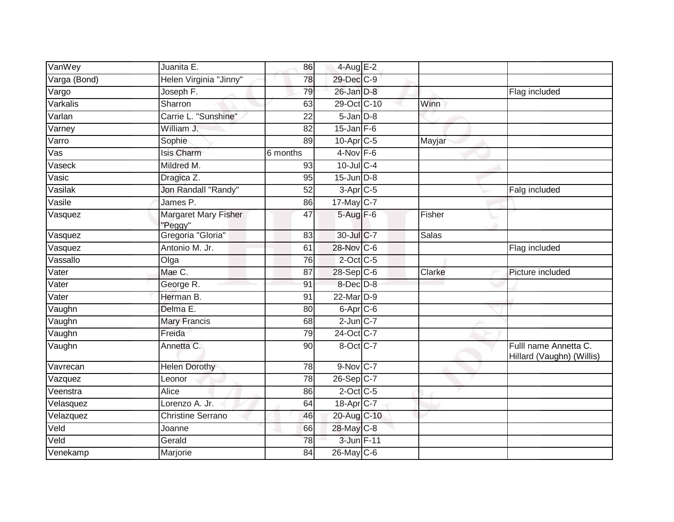| VanWey       | Juanita E.                      | 86              | $4$ -Aug E-2           |              |                                                    |
|--------------|---------------------------------|-----------------|------------------------|--------------|----------------------------------------------------|
| Varga (Bond) | Helen Virginia "Jinny"          | 78              | 29-Dec C-9             |              |                                                    |
| Vargo        | Joseph F.                       | 79              | 26-Jan D-8             |              | Flag included                                      |
| Varkalis     | Sharron                         | 63              | 29-Oct C-10            | Winn         |                                                    |
| Varlan       | Carrie L. "Sunshine"            | 22              | $5 - Jan$ $D-8$        |              |                                                    |
| Varney       | William J.                      | 82              | $15$ -Jan F-6          |              |                                                    |
| Varro        | Sophie                          | 89              | 10-Apr <sub>C-5</sub>  | Mayjar       |                                                    |
| Vas          | Isis Charm                      | 6 months        | $4-Nov$ F-6            |              |                                                    |
| Vaseck       | Mildred M.                      | 93              | 10-Jul C-4             |              |                                                    |
| Vasic        | Dragica Z.                      | $\overline{95}$ | $15$ -Jun $D-8$        |              |                                                    |
| Vasilak      | Jon Randall "Randy"             | 52              | $3-AprC-5$             |              | Falg included                                      |
| Vasile       | James P.                        | 86              | $17 - May \boxed{C-7}$ |              |                                                    |
| Vasquez      | Margaret Mary Fisher<br>'Peggy" | 47              | 5-Aug F-6              | Fisher       |                                                    |
| Vasquez      | Gregoria "Gloria"               | 83              | 30-Jul C-7             | <b>Salas</b> |                                                    |
| Vasquez      | Antonio M. Jr.                  | 61              | 28-Nov C-6             |              | Flag included                                      |
| Vassallo     | Olga                            | 76              | $2$ -Oct C-5           |              |                                                    |
| Vater        | Mae C.                          | 87              | 28-Sep C-6             | Clarke       | Picture included                                   |
| Vater        | George R.                       | 91              | 8-Dec D-8              |              |                                                    |
| Vater        | Herman B.                       | 91              | 22-Mar <sub>D-9</sub>  |              |                                                    |
| Vaughn       | Delma E.                        | 80              | 6-Apr <sub>C-6</sub>   |              |                                                    |
| Vaughn       | <b>Mary Francis</b>             | 68              | $2$ -Jun $C-7$         |              |                                                    |
| Vaughn       | Freida                          | 79              | 24-Oct C-7             |              |                                                    |
| Vaughn       | Annetta C.                      | 90              | 8-Oct C-7              |              | Fulll name Annetta C.<br>Hillard (Vaughn) (Willis) |
| Vavrecan     | <b>Helen Dorothy</b>            | 78              | $9-Nov$ C-7            |              |                                                    |
| Vazquez      | Leonor                          | 78              | 26-Sep C-7             |              |                                                    |
| Veenstra     | Alice                           | 86              | $2$ -Oct C-5           |              |                                                    |
| Velasquez    | Lorenzo A. Jr.                  | 64              | 18-Apr <sub>C-7</sub>  |              |                                                    |
| Velazquez    | <b>Christine Serrano</b>        | 46              | 20-Aug C-10            |              |                                                    |
| Veld         | Joanne                          | 66              | 28-May C-8             |              |                                                    |
| Veld         | Gerald                          | 78              | 3-Jun F-11             |              |                                                    |
| Venekamp     | Marjorie                        | 84              | $26$ -May C-6          |              |                                                    |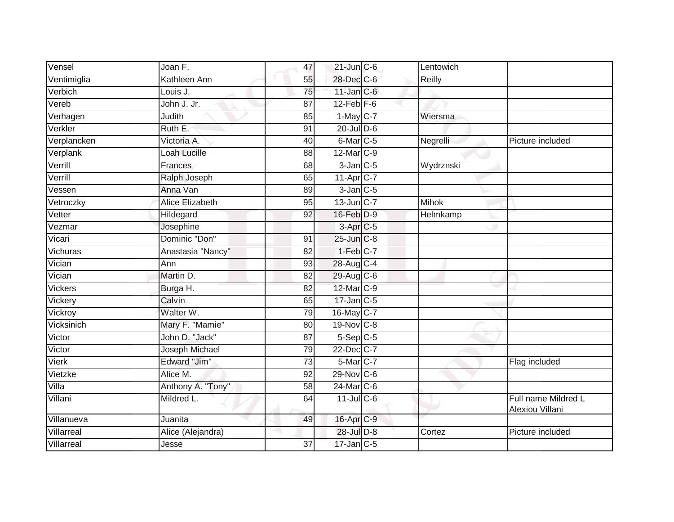| Vensel      | Joan F.                | 47              | $21$ -Jun $C - 6$    | Lentowich    |                                        |
|-------------|------------------------|-----------------|----------------------|--------------|----------------------------------------|
| Ventimiglia | Kathleen Ann           | 55              | 28-Dec C-6           | Reilly       |                                        |
| Verbich     | Louis J.               | 75              | $11$ -Jan $C$ -6     |              |                                        |
| Vereb       | John J. Jr.            | $\overline{87}$ | $12$ -Feb $F-6$      |              |                                        |
| Verhagen    | Judith                 | 85              | $1-May$ C-7          | Wiersma      |                                        |
| Verkler     | Ruth E.                | 91              | $20$ -Jul $D-6$      |              |                                        |
| Verplancken | Victoria A.            | 40              | 6-Mar <sub>C-5</sub> | Negrelli     | Picture included                       |
| Verplank    | Loah Lucille           | 88              | 12-Mar C-9           |              |                                        |
| Verrill     | Frances                | 68              | $3$ -Jan $C$ -5      | Wydrznski    |                                        |
| Verrill     | Ralph Joseph           | 65              | 11-Apr C-7           |              |                                        |
| Vessen      | Anna Van               | 89              | $3$ -Jan $C$ -5      |              |                                        |
| Vetroczky   | <b>Alice Elizabeth</b> | 95              | $13$ -Jun $C-7$      | <b>Mihok</b> |                                        |
| Vetter      | Hildegard              | 92              | 16-Feb D-9           | Helmkamp     |                                        |
| Vezmar      | Josephine              |                 | $3-Apr$ C-5          |              |                                        |
| Vicari      | Dominic "Don"          | 91              | 25-Jun C-8           |              |                                        |
| Vichuras    | Anastasia "Nancy"      | 82              | 1-Feb C-7            |              |                                        |
| Vician      | Ann                    | 93              | 28-Aug C-4           |              |                                        |
| Vician      | Martin D.              | 82              | 29-Aug C-6           |              |                                        |
| Vickers     | Burga H.               | 82              | 12-Mar C-9           |              |                                        |
| Vickery     | Calvin                 | 65              | $17$ -Jan $C$ -5     |              |                                        |
| Vickroy     | Walter W.              | 79              | $16$ -May C-7        |              |                                        |
| Vicksinich  | Mary F. "Mamie"        | $\overline{80}$ | 19-Nov C-8           |              |                                        |
| Victor      | John D. "Jack"         | 87              | $5-$ Sep $C-5$       |              |                                        |
| Victor      | Joseph Michael         | 79              | 22-Dec C-7           |              |                                        |
| Vierk       | Edward "Jim"           | 73              | 5-Mar C-7            |              | Flag included                          |
| Vietzke     | Alice M.               | 92              | $29-Nov$ C-6         |              |                                        |
| Villa       | Anthony A. "Tony"      | $\overline{58}$ | 24-Mar C-6           |              |                                        |
| Villani     | Mildred L.             | 64              | $11$ -Jul C-6        |              | Full name Mildred L<br>Alexiou Villani |
| Villanueva  | Juanita                | 49              | 16-Apr C-9           |              |                                        |
| Villarreal  | Alice (Alejandra)      |                 | 28-Jul D-8           | Cortez       | Picture included                       |
| Villarreal  | Jesse                  | 37              | $17$ -Jan $C$ -5     |              |                                        |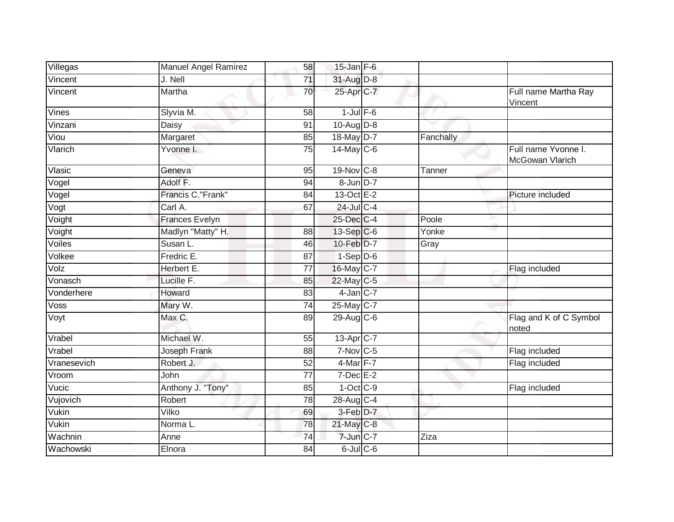| Villegas    | Manuel Angel Ramirez  | 58              | $15$ -Jan F-6           |           |                                        |
|-------------|-----------------------|-----------------|-------------------------|-----------|----------------------------------------|
| Vincent     | J. Nell               | 71              | 31-Aug D-8              |           |                                        |
| Vincent     | <b>Martha</b>         | 70              | 25-Apr C-7              |           | Full name Martha Ray<br>Vincent        |
| Vines       | Slyvia M.             | 58              | $1$ -Jul $F-6$          |           |                                        |
| Vinzani     | Daisy                 | 91              | $10-Aug$ $D-8$          |           |                                        |
| Viou        | Margaret              | 85              | 18-May D-7              | Fanchally |                                        |
| Vlarich     | Yvonne I.             | $\overline{75}$ | $14$ -May C-6           |           | Full name Yvonne I.<br>McGowan Vlarich |
| Vlasic      | Geneva                | 95              | 19-Nov C-8              | Tanner    |                                        |
| Vogel       | Adolf F.              | 94              | 8-Jun D-7               |           |                                        |
| Vogel       | Francis C."Frank"     | 84              | 13-Oct E-2              |           | Picture included                       |
| Vogt        | Carl A.               | 67              | 24-Jul C-4              |           |                                        |
| Voight      | <b>Frances Evelyn</b> |                 | 25-Dec C-4              | Poole     |                                        |
| Voight      | Madlyn "Matty" H.     | 88              | 13-Sep C-6              | Yonke     |                                        |
| Voiles      | Susan L.              | 46              | 10-Feb D-7              | Gray      |                                        |
| Volkee      | Fredric E.            | 87              | $1-Sep$ D-6             |           |                                        |
| Volz        | Herbert E.            | 77              | 16-May C-7              |           | Flag included                          |
| Vonasch     | Lucille F.            | 85              | 22-May C-5              |           |                                        |
| Vonderhere  | Howard                | 83              | $4$ -Jan $C-7$          |           |                                        |
| Voss        | Mary W.               | 74              | 25-May C-7              |           |                                        |
| Voyt        | Max C.                | 89              | $29$ -Aug C-6           |           | Flag and K of C Symbol<br>noted        |
| Vrabel      | Michael W.            | 55              | $13-Apr$ <sub>C-7</sub> |           |                                        |
| Vrabel      | Joseph Frank          | 88              | 7-Nov C-5               |           | Flag included                          |
| Vranesevich | Robert J.             | $\overline{52}$ | 4-Mar F-7               |           | Flag included                          |
| Vroom       | <b>John</b>           | $\overline{77}$ | $7$ -Dec $E-2$          |           |                                        |
| Vucic       | Anthony J. "Tony"     | 85              | $1-Oct$ $C-9$           |           | Flag included                          |
| Vujovich    | Robert                | $\overline{78}$ | 28-Aug C-4              |           |                                        |
| Vukin       | Vilko                 | 69              | 3-Feb D-7               |           |                                        |
| Vukin       | Norma L.              | 78              | 21-May C-8              |           |                                        |
| Wachnin     | Anne                  | 74              | 7-Jun C-7               | Ziza      |                                        |
| Wachowski   | Elnora                | $\overline{84}$ | $6$ -Jul $C$ -6         |           |                                        |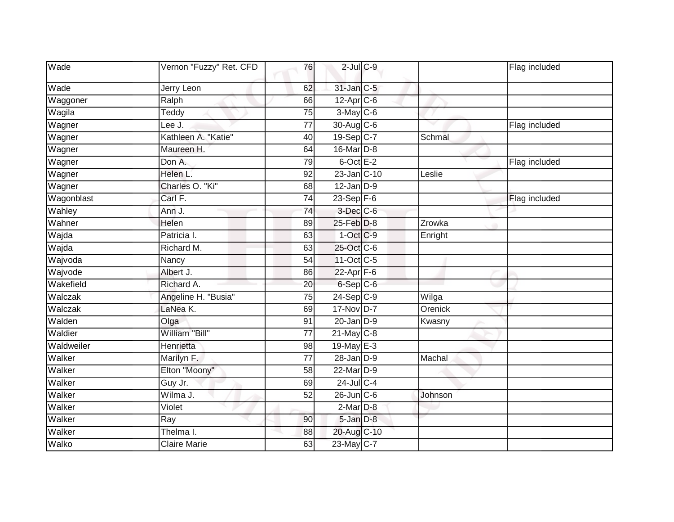| Wade       | Vernon "Fuzzy" Ret. CFD | 76              | $2$ -Jul $C$ -9      |         | Flag included |
|------------|-------------------------|-----------------|----------------------|---------|---------------|
| Wade       | Jerry Leon              | 62              | 31-Jan C-5           |         |               |
| Waggoner   | Ralph                   | 66              | 12-Apr C-6           |         |               |
| Wagila     | Teddy                   | 75              | $3-May$ $C-6$        |         |               |
| Wagner     | Lee J.                  | $\overline{77}$ | 30-Aug C-6           |         | Flag included |
| Wagner     | Kathleen A. "Katie"     | 40              | 19-Sep C-7           | Schmal  |               |
| Wagner     | Maureen H.              | 64              | 16-Mar D-8           |         |               |
| Wagner     | Don A.                  | 79              | $6$ -Oct $E-2$       |         | Flag included |
| Wagner     | Helen L.                | 92              | 23-Jan C-10          | Leslie  |               |
| Wagner     | Charles O. "Ki"         | 68              | $12$ -Jan $D-9$      |         |               |
| Wagonblast | Carl F.                 | 74              | 23-Sep $F-6$         |         | Flag included |
| Wahley     | Ann J.                  | $\overline{74}$ | 3-Dec C-6            |         |               |
| Wahner     | Helen                   | 89              | 25-Feb D-8           | Zrowka  |               |
| Wajda      | Patricia I.             | 63              | $1-OctC-9$           | Enright |               |
| Wajda      | Richard M.              | 63              | 25-Oct C-6           |         |               |
| Wajvoda    | Nancy                   | 54              | 11-Oct C-5           |         |               |
| Wajvode    | Albert J.               | 86              | $22-Apr$ F-6         |         |               |
| Wakefield  | Richard A.              | 20              | 6-Sep <sub>C-6</sub> |         |               |
| Walczak    | Angeline H. "Busia"     | 75              | $24-Sep$ C-9         | Wilga   |               |
| Walczak    | LaNea K.                | 69              | 17-Nov D-7           | Orenick |               |
| Walden     | Olga                    | 91              | $20$ -Jan $D-9$      | Kwasny  |               |
| Waldier    | William "Bill"          | $\overline{77}$ | $21$ -May C-8        |         |               |
| Waldweiler | Henrietta               | 98              | 19-May E-3           |         |               |
| Walker     | Marilyn F.              | $\overline{77}$ | $28 - Jan$ $D-9$     | Machal  |               |
| Walker     | Elton "Moony"           | $\overline{58}$ | 22-Mar D-9           |         |               |
| Walker     | Guy Jr.                 | 69              | $24$ -Jul C-4        |         |               |
| Walker     | Wilma J.                | 52              | $26$ -Jun $C$ -6     | Johnson |               |
| Walker     | Violet                  |                 | $2$ -Mar $D-8$       |         |               |
| Walker     | Ray                     | 90              | 5-Jan D-8            |         |               |
| Walker     | Thelma I.               | 88              | 20-Aug C-10          |         |               |
| Walko      | <b>Claire Marie</b>     | 63              | 23-May C-7           |         |               |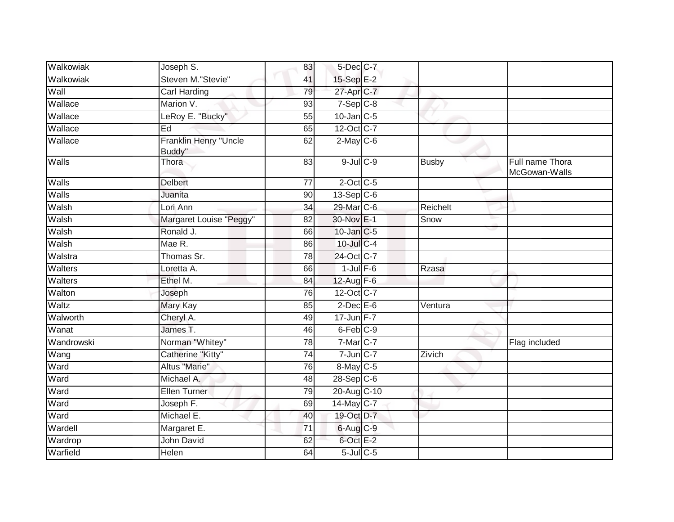| Walkowiak    | Joseph S.                       | 83              | 5-Dec C-7          |              |                                  |
|--------------|---------------------------------|-----------------|--------------------|--------------|----------------------------------|
| Walkowiak    | Steven M."Stevie"               | 41              | 15-Sep E-2         |              |                                  |
| Wall         | <b>Carl Harding</b>             | 79              | $27$ -Apr $C$ -7   |              |                                  |
| Wallace      | Marion V.                       | 93              | $7-Sep$ $C-8$      |              |                                  |
| Wallace      | LeRoy E. "Bucky"                | $\overline{55}$ | $10$ -Jan $C-5$    |              |                                  |
| Wallace      | Ed                              | 65              | 12-Oct C-7         |              |                                  |
| Wallace      | Franklin Henry "Uncle<br>Buddy" | 62              | $2$ -May C-6       |              |                                  |
| <b>Walls</b> | Thora                           | 83              | $9$ -Jul $C$ -9    | <b>Busby</b> | Full name Thora<br>McGowan-Walls |
| Walls        | <b>Delbert</b>                  | $\overline{77}$ | $2$ -Oct C-5       |              |                                  |
| Walls        | Juanita                         | 90              | $13-Sep C-6$       |              |                                  |
| Walsh        | Lori Ann                        | 34              | 29-Mar C-6         | Reichelt     |                                  |
| Walsh        | Margaret Louise "Peggy"         | 82              | 30-Nov E-1         | Snow         |                                  |
| Walsh        | Ronald J.                       | 66              | 10-Jan C-5         |              |                                  |
| Walsh        | Mae R.                          | 86              | 10-Jul C-4         |              |                                  |
| Walstra      | Thomas Sr.                      | $\overline{78}$ | 24-Oct C-7         |              |                                  |
| Walters      | Loretta A.                      | 66              | $1$ -Jul $F-6$     | Rzasa        |                                  |
| Walters      | Ethel M.                        | 84              | 12-Aug F-6         |              |                                  |
| Walton       | Joseph                          | 76              | 12-Oct C-7         |              |                                  |
| Waltz        | Mary Kay                        | 85              | $2$ -Dec $E$ -6    | Ventura      |                                  |
| Walworth     | Cheryl A.                       | 49              | $17 - Jun$ $F - 7$ |              |                                  |
| Wanat        | James T.                        | 46              | 6-Feb C-9          |              |                                  |
| Wandrowski   | Norman "Whitey"                 | 78              | 7-Mar C-7          |              | Flag included                    |
| Wang         | <b>Catherine "Kitty"</b>        | 74              | $7$ -Jun $C$ -7    | Zivich       |                                  |
| Ward         | Altus "Marie"                   | 76              | 8-May C-5          |              |                                  |
| Ward         | Michael A.                      | 48              | $28-Sep C-6$       |              |                                  |
| Ward         | Ellen Turner                    | 79              | 20-Aug C-10        |              |                                  |
| Ward         | Joseph $\overline{F}$ .         | 69              | $14$ -May C-7      |              |                                  |
| Ward         | Michael E.                      | 40              | 19-Oct D-7         |              |                                  |
| Wardell      | Margaret E.                     | 71              | 6-Aug C-9          |              |                                  |
| Wardrop      | John David                      | 62              | 6-Oct E-2          |              |                                  |
| Warfield     | Helen                           | 64              | $5$ -Jul $C$ -5    |              |                                  |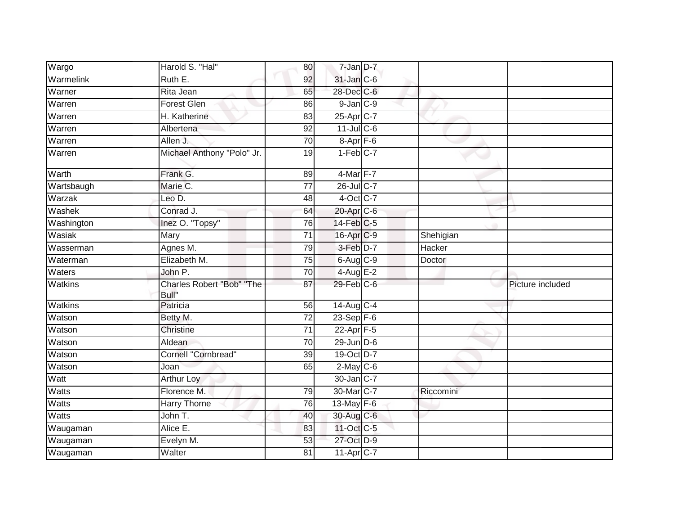| Wargo          | Harold S. "Hal"                    | 80              | 7-Jan D-7              |               |                  |
|----------------|------------------------------------|-----------------|------------------------|---------------|------------------|
| Warmelink      | Ruth E.                            | 92              | 31-Jan C-6             |               |                  |
| Warner         | Rita Jean                          | 65              | 28-Dec C-6             |               |                  |
| Warren         | Forest Glen                        | 86              | $9$ -Jan $C-9$         |               |                  |
| Warren         | H. Katherine                       | 83              | 25-Apr <sub>C-7</sub>  |               |                  |
| Warren         | Albertena                          | 92              | $11$ -Jul C-6          |               |                  |
| Warren         | Allen J.                           | 70              | 8-Apr <sub>F-6</sub>   |               |                  |
| Warren         | Michael Anthony "Polo" Jr.         | 19              | $1-Feb$ <sub>C-7</sub> |               |                  |
| Warth          | Frank G.                           | 89              | 4-Mar F-7              |               |                  |
| Wartsbaugh     | Marie C.                           | 77              | $26$ -Jul C-7          |               |                  |
| Warzak         | Leo D.                             | 48              | 4-Oct C-7              |               |                  |
| Washek         | Conrad J.                          | 64              | 20-Apr C-6             |               |                  |
| Washington     | Inez O. "Topsy"                    | $\overline{76}$ | $14$ -Feb $C-5$        |               |                  |
| Wasiak         | Mary                               | $\overline{71}$ | 16-Apr C-9             | Shehigian     |                  |
| Wasserman      | Agnes M.                           | 79              | 3-Feb D-7              | <b>Hacker</b> |                  |
| Waterman       | Elizabeth M.                       | 75              | $6-Aug$ $C-9$          | Doctor        |                  |
| Waters         | John P.                            | 70              | 4-Aug E-2              |               |                  |
| <b>Watkins</b> | Charles Robert "Bob" "The<br>Bull" | 87              | $29$ -Feb $C$ -6       |               | Picture included |
| <b>Watkins</b> | Patricia                           | 56              | 14-Aug C-4             |               |                  |
| Watson         | Betty M.                           | $\overline{72}$ | $23-Sep$ F-6           |               |                  |
| Watson         | Christine                          | 71              | $22$ -Apr $F-5$        |               |                  |
| Watson         | Aldean                             | $\overline{70}$ | $29$ -Jun $D-6$        |               |                  |
| Watson         | <b>Cornell "Cornbread"</b>         | 39              | 19-Oct D-7             |               |                  |
| Watson         | Joan                               | 65              | $2$ -May C-6           |               |                  |
| Watt           | <b>Arthur Loy</b>                  |                 | 30-Jan C-7             |               |                  |
| Watts          | Florence M.                        | 79              | 30-Mar C-7             | Riccomini     |                  |
| <b>Watts</b>   | Harry Thorne                       | 76              | $13$ -May $F-6$        |               |                  |
| Watts          | John T.                            | 40              | 30-Aug C-6             |               |                  |
| Waugaman       | Alice E.                           | 83              | 11-Oct C-5             |               |                  |
| Waugaman       | Evelyn M.                          | 53              | 27-Oct D-9             |               |                  |
| Waugaman       | Walter                             | 81              | $11-Apr$ $C-7$         |               |                  |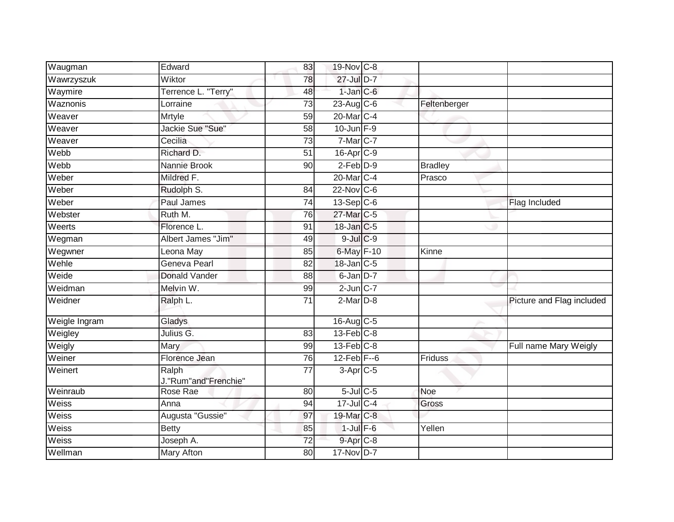| Waugman       | Edward                        | 83              | 19-Nov C-8            |                |                           |
|---------------|-------------------------------|-----------------|-----------------------|----------------|---------------------------|
| Wawrzyszuk    | Wiktor                        | 78              | 27-Jul D-7            |                |                           |
| Waymire       | Terrence L. "Terry"           | 48              | $1$ -Jan $ C$ -6      |                |                           |
| Waznonis      | Lorraine                      | 73              | $23$ -Aug C-6         | Feltenberger   |                           |
| Weaver        | Mrtyle                        | 59              | 20-Mar C-4            |                |                           |
| Weaver        | Jackie Sue "Sue"              | 58              | $10$ -Jun $F-9$       |                |                           |
| Weaver        | Cecilia                       | 73              | $7-Mar$ $C-7$         |                |                           |
| Webb          | Richard D.                    | $\overline{51}$ | 16-Apr <sub>C-9</sub> |                |                           |
| Webb          | Nannie Brook                  | 90              | $2$ -Feb $D-9$        | <b>Bradley</b> |                           |
| Weber         | Mildred F.                    |                 | 20-Mar C-4            | Prasco         |                           |
| Weber         | Rudolph S.                    | 84              | 22-Nov C-6            |                |                           |
| Weber         | Paul James                    | 74              | $13-Sep C-6$          |                | Flag Included             |
| Webster       | Ruth M.                       | 76              | 27-Mar C-5            |                |                           |
| Weerts        | Florence L.                   | 91              | 18-Jan C-5            |                |                           |
| Wegman        | Albert James "Jim"            | 49              | $9$ -Jul $C$ -9       |                |                           |
| Wegwner       | Leona May                     | 85              | 6-May F-10            | Kinne          |                           |
| Wehle         | Geneva Pearl                  | 82              | 18-Jan C-5            |                |                           |
| Weide         | <b>Donald Vander</b>          | 88              | 6-Jan D-7             |                |                           |
| Weidman       | Melvin W.                     | 99              | $2$ -Jun $C-7$        |                |                           |
| Weidner       | Ralph L.                      | $\overline{71}$ | $2$ -Mar $D-8$        |                | Picture and Flag included |
| Weigle Ingram | Gladys                        |                 | 16-Aug C-5            |                |                           |
| Weigley       | Julius G.                     | 83              | $13$ -Feb $C-8$       |                |                           |
| Weigly        | Mary                          | 99              | $13$ -Feb $C-8$       |                | Full name Mary Weigly     |
| Weiner        | Florence Jean                 | 76              | $12$ -Feb $F-6$       | Friduss        |                           |
| Weinert       | Ralph<br>J."Rum"and"Frenchie" | $\overline{77}$ | $3-Apr$ C-5           |                |                           |
| Weinraub      | Rose Rae                      | 80              | $5$ -Jul $C$ -5       | Noe            |                           |
| Weiss         | Anna                          | 94              | 17-Jul C-4            | Gross          |                           |
| Weiss         | Augusta "Gussie"              | 97              | 19-Mar C-8            |                |                           |
| Weiss         | Betty                         | 85              | $1$ -Jul $F-6$        | Yellen         |                           |
| Weiss         | Joseph A.                     | $\overline{72}$ | 9-Apr C-8             |                |                           |
| Wellman       | Mary Afton                    | 80              | 17-Nov D-7            |                |                           |
|               |                               |                 |                       |                |                           |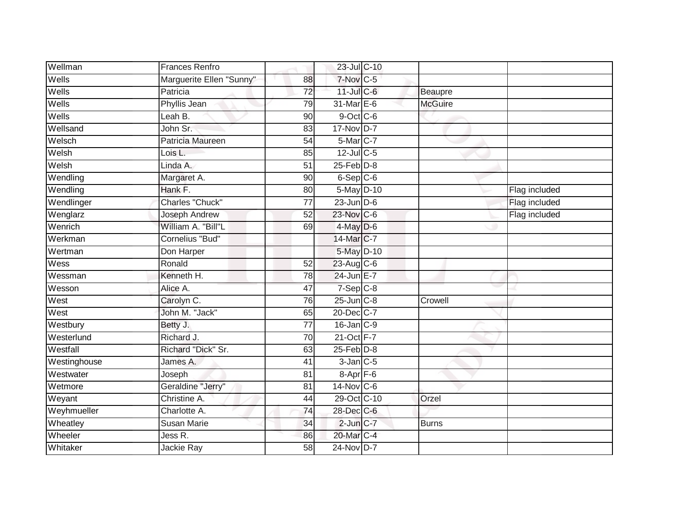| Wellman      | <b>Frances Renfro</b>    |                 | 23-Jul C-10          |                |               |
|--------------|--------------------------|-----------------|----------------------|----------------|---------------|
| Wells        | Marguerite Ellen "Sunny" | 88              | $7-Nov$ C-5          |                |               |
| Wells        | Patricia                 | $\overline{72}$ | $11$ -Jul C-6        | Beaupre        |               |
| Wells        | Phyllis Jean             | 79              | 31-Mar E-6           | <b>McGuire</b> |               |
| Wells        | Leah B.                  | 90              | $9$ -Oct $C$ -6      |                |               |
| Wellsand     | John Sr.                 | 83              | 17-Nov D-7           |                |               |
| Welsch       | Patricia Maureen         | 54              | $5$ -Mar $ C-7 $     |                |               |
| Welsh        | Lois L.                  | 85              | $12$ -Jul C-5        |                |               |
| Welsh        | Linda A.                 | 51              | $25$ -Feb $D-8$      |                |               |
| Wendling     | Margaret A.              | 90              | $6-Sep C-6$          |                |               |
| Wendling     | Hank F.                  | 80              | 5-May D-10           |                | Flag included |
| Wendlinger   | Charles "Chuck"          | $\overline{77}$ | $23$ -Jun $D-6$      |                | Flag included |
| Wenglarz     | Joseph Andrew            | 52              | 23-Nov C-6           |                | Flag included |
| Wenrich      | William A. "Bill"L       | 69              | $4$ -May D-6         |                |               |
| Werkman      | <b>Cornelius "Bud"</b>   |                 | 14-Mar C-7           |                |               |
| Wertman      | Don Harper               |                 | 5-May D-10           |                |               |
| Wess         | Ronald                   | 52              | 23-Aug C-6           |                |               |
| Wessman      | Kenneth H.               | 78              | 24-Jun E-7           |                |               |
| Wesson       | Alice A.                 | 47              | $7-Sep$ $C-8$        |                |               |
| West         | Carolyn C.               | 76              | $25$ -Jun $C-8$      | Crowell        |               |
| West         | John M. "Jack"           | 65              | 20-Dec C-7           |                |               |
| Westbury     | Betty J.                 | $\overline{77}$ | 16-Jan C-9           |                |               |
| Westerlund   | Richard J.               | 70              | 21-Oct F-7           |                |               |
| Westfall     | Richard "Dick" Sr.       | 63              | $25$ -Feb $D-8$      |                |               |
| Westinghouse | James A.                 | 41              | $3$ -Jan $C$ -5      |                |               |
| Westwater    | Joseph                   | 81              | 8-Apr <sub>F-6</sub> |                |               |
| Wetmore      | Geraldine "Jerry"        | 81              | 14-Nov C-6           |                |               |
| Weyant       | Christine A.             | 44              | 29-Oct C-10          | Orzel          |               |
| Weyhmueller  | Charlotte A.             | 74              | 28-Dec C-6           |                |               |
| Wheatley     | <b>Susan Marie</b>       | 34              | $2$ -Jun $C-7$       | <b>Burns</b>   |               |
| Wheeler      | Jess R.                  | 86              | 20-Mar C-4           |                |               |
| Whitaker     | Jackie Ray               | $\overline{58}$ | 24-Nov D-7           |                |               |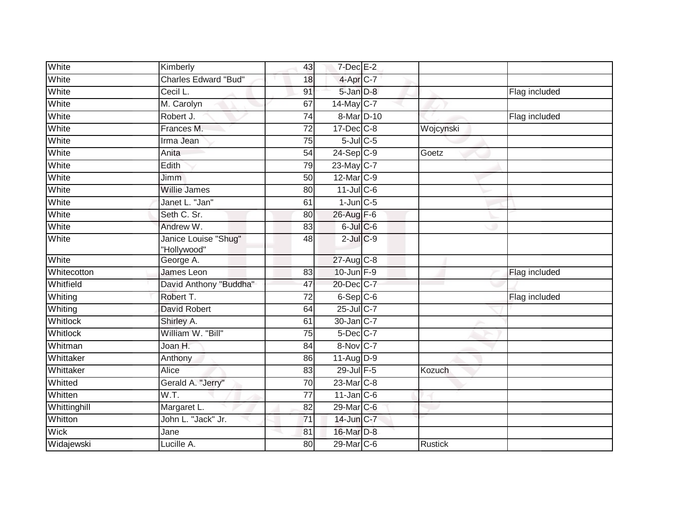| White           | Kimberly                            | 43              | $7$ -Dec $E-2$        |                |               |
|-----------------|-------------------------------------|-----------------|-----------------------|----------------|---------------|
| White           | <b>Charles Edward "Bud"</b>         | 18              | 4-Apr C-7             |                |               |
| White           | Cecil L.                            | 91              | 5-Jan D-8             |                | Flag included |
| White           | M. Carolyn                          | 67              | 14-May C-7            |                |               |
| White           | Robert J.                           | $\overline{74}$ | 8-Mar D-10            |                | Flag included |
| White           | Frances M.                          | 72              | 17-Dec C-8            | Wojcynski      |               |
| White           | Irma Jean                           | 75              | $5$ -Jul $C$ -5       |                |               |
| White           | Anita                               | 54              | $24-Sep$ C-9          | Goetz          |               |
| White           | Edith                               | 79              | $23$ -May C-7         |                |               |
| White           | <b>Jimm</b>                         | 50              | 12-Mar <sub>C-9</sub> |                |               |
| White           | <b>Willie James</b>                 | 80              | $11$ -Jul C-6         |                |               |
| White           | Janet L. "Jan"                      | 61              | $1$ -Jun $C$ -5       |                |               |
| White           | Seth C. Sr.                         | 80              | 26-Aug F-6            |                |               |
| White           | Andrew W.                           | 83              | $6$ -Jul $C$ -6       |                |               |
| White           | Janice Louise "Shug"<br>"Hollywood" | 48              | $2$ -Jul $C$ -9       |                |               |
| White           | George A.                           |                 | $27$ -Aug $C-8$       |                |               |
| Whitecotton     | <b>James Leon</b>                   | 83              | $10$ -Jun $F-9$       |                | Flag included |
| Whitfield       | David Anthony "Buddha"              | 47              | 20-Dec C-7            |                |               |
| Whiting         | Robert T.                           | 72              | $6-Sep$ $C-6$         |                | Flag included |
| Whiting         | <b>David Robert</b>                 | 64              | 25-Jul C-7            |                |               |
| <b>Whitlock</b> | Shirley A.                          | 61              | 30-Jan C-7            |                |               |
| Whitlock        | William W. "Bill"                   | 75              | $5$ -Dec $C$ -7       |                |               |
| Whitman         | Joan H.                             | 84              | 8-Nov C-7             |                |               |
| Whittaker       | Anthony                             | 86              | 11-Aug D-9            |                |               |
| Whittaker       | Alice                               | 83              | 29-Jul F-5            | Kozuch         |               |
| Whitted         | Gerald A. "Jerry"                   | 70              | 23-Mar C-8            |                |               |
| Whitten         | W.T.                                | 77              | $11$ -Jan C-6         |                |               |
| Whittinghill    | Margaret L.                         | 82              | 29-Mar C-6            |                |               |
| Whitton         | John L. "Jack" Jr.                  | 71              | 14-Jun C-7            |                |               |
| Wick            | Jane                                | 81              | 16-Mar D-8            |                |               |
| Widajewski      | Lucille A.                          | 80              | 29-Mar C-6            | <b>Rustick</b> |               |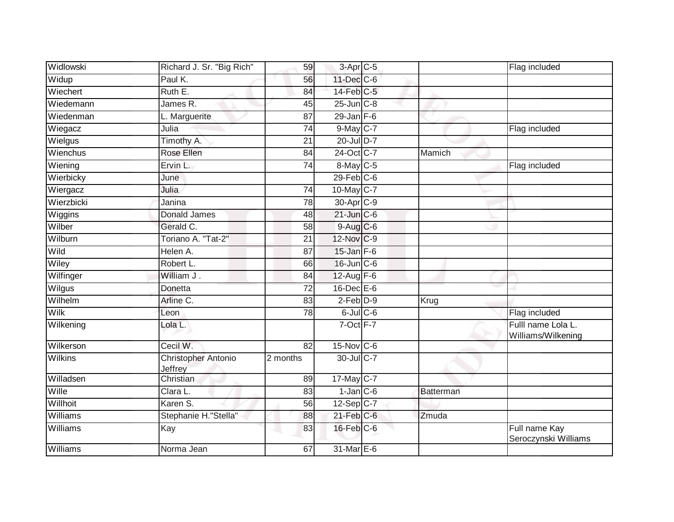| Widlowski       | Richard J. Sr. "Big Rich"      | 59              | $3-Apr$ $C-5$     |           | Flag included                            |
|-----------------|--------------------------------|-----------------|-------------------|-----------|------------------------------------------|
| Widup           | Paul K.                        | 56              | 11-Dec C-6        |           |                                          |
| Wiechert        | Ruth E.                        | 84              | $14$ -Feb $C-5$   |           |                                          |
| Wiedemann       | James R.                       | 45              | $25$ -Jun $C-8$   |           |                                          |
| Wiedenman       | L. Marguerite                  | $\overline{87}$ | $29$ -Jan F-6     |           |                                          |
| Wiegacz         | Julia                          | 74              | 9-May C-7         |           | Flag included                            |
| Wielgus         | Timothy A.                     | 21              | 20-Jul D-7        |           |                                          |
| Wienchus        | Rose Ellen                     | 84              | 24-Oct C-7        | Mamich    |                                          |
| Wiening         | Ervin L.                       | 74              | 8-May C-5         |           | Flag included                            |
| Wierbicky       | June                           |                 | $29$ -Feb $C$ -6  |           |                                          |
| Wiergacz        | Julia                          | $\overline{74}$ | $10$ -May C-7     |           |                                          |
| Wierzbicki      | Janina                         | 78              | 30-Apr C-9        |           |                                          |
| Wiggins         | Donald James                   | 48              | $21$ -Jun $C-6$   |           |                                          |
| Wilber          | Gerald C.                      | 58              | 9-Aug C-6         |           |                                          |
| Wilburn         | Toriano A. "Tat-2"             | $\overline{21}$ | 12-Nov C-9        |           |                                          |
| Wild            | Helen A.                       | 87              | $15$ -Jan $F-6$   |           |                                          |
| Wiley           | Robert L.                      | 66              | 16-Jun C-6        |           |                                          |
| Wilfinger       | William J.                     | 84              | $12-Aug$ F-6      |           |                                          |
| Wilgus          | Donetta                        | 72              | 16-Dec E-6        |           |                                          |
| Wilhelm         | Arline C.                      | 83              | $2$ -Feb $D-9$    | Krug      |                                          |
| Wilk            | Leon                           | 78              | 6-Jul C-6         |           | Flag included                            |
| Wilkening       | Lola L.                        |                 | 7-Oct F-7         |           | Fulll name Lola L.<br>Williams/Wilkening |
| Wilkerson       | Cecil W.                       | 82              | $15$ -Nov $ C-6 $ |           |                                          |
| <b>Wilkins</b>  | Christopher Antonio<br>Jeffrey | 2 months        | 30-Jul C-7        |           |                                          |
| Willadsen       | Christian                      | 89              | 17-May C-7        |           |                                          |
| Wille           | Clara L.                       | 83              | $1$ -Jan $C$ -6   | Batterman |                                          |
| Willhoit        | Karen S.                       | 56              | $12-Sep$ C-7      |           |                                          |
| Williams        | Stephanie H."Stella"           | 88              | $21$ -Feb $C$ -6  | Zmuda     |                                          |
| <b>Williams</b> | Kay                            | 83              | $16$ -Feb $C$ -6  |           | Full name Kay<br>Seroczynski Williams    |
| <b>Williams</b> | Norma Jean                     | 67              | 31-Mar E-6        |           |                                          |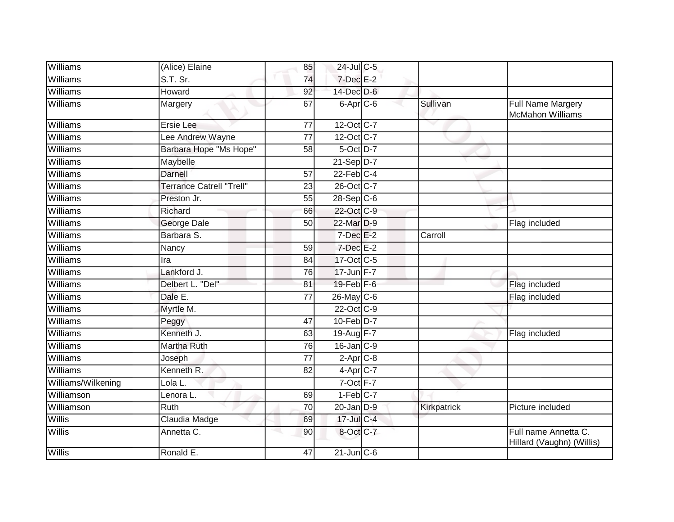| Williams           | (Alice) Elaine                  | 85              | 24-Jul C-5             |              |                                                   |
|--------------------|---------------------------------|-----------------|------------------------|--------------|---------------------------------------------------|
| Williams           | $S.T.$ Sr.                      | 74              | $7$ -Dec $E-2$         |              |                                                   |
| <b>Williams</b>    | Howard                          | 92              | 14-Dec D-6             |              |                                                   |
| Williams           | Margery                         | 67              | 6-Apr <sub>C-6</sub>   | Sullivan     | Full Name Margery<br><b>McMahon Williams</b>      |
| Williams           | <b>Ersie Lee</b>                | $\overline{77}$ | 12-Oct C-7             | $\checkmark$ |                                                   |
| Williams           | Lee Andrew Wayne                | 77              | 12-Oct C-7             |              |                                                   |
| Williams           | Barbara Hope "Ms Hope"          | 58              | 5-Oct D-7              |              |                                                   |
| Williams           | Maybelle                        |                 | $21-Sep$ D-7           |              |                                                   |
| <b>Williams</b>    | Darnell                         | 57              | $22$ -Feb $C-4$        |              |                                                   |
| Williams           | <b>Terrance Catrell "Trell"</b> | 23              | 26-Oct C-7             |              |                                                   |
| Williams           | Preston Jr.                     | 55              | $28 - Sep$ C-6         |              |                                                   |
| Williams           | Richard                         | 66              | 22-Oct C-9             |              |                                                   |
| Williams           | George Dale                     | 50              | 22-Mar D-9             |              | Flag included                                     |
| Williams           | Barbara S.                      |                 | $7$ -Dec $E-2$         | Carroll      |                                                   |
| Williams           | Nancy                           | 59              | 7-Dec E-2              |              |                                                   |
| <b>Williams</b>    | Ira                             | 84              | 17-Oct C-5             |              |                                                   |
| Williams           | Lankford J.                     | 76              | 17-Jun F-7             |              |                                                   |
| Williams           | Delbert L. "Del"                | 81              | 19-Feb F-6             |              | Flag included                                     |
| <b>Williams</b>    | Dale E.                         | 77              | $26$ -May C-6          |              | Flag included                                     |
| Williams           | Myrtle M.                       |                 | 22-Oct C-9             |              |                                                   |
| Williams           | Peggy                           | 47              | $10$ -Feb $D-7$        |              |                                                   |
| <b>Williams</b>    | Kenneth J.                      | 63              | 19-Aug F-7             |              | Flag included                                     |
| Williams           | Martha Ruth                     | 76              | $16$ -Jan $C-9$        |              |                                                   |
| Williams           | Joseph                          | 77              | $2-AprC-8$             |              |                                                   |
| Williams           | Kenneth R.                      | 82              | $4-Apr$ <sub>C-7</sub> |              |                                                   |
| Williams/Wilkening | Lola L.                         |                 | 7-Oct F-7              |              |                                                   |
| Williamson         | Lenora L.                       | 69              | $1-Feb$ <sub>C-7</sub> |              |                                                   |
| Williamson         | Ruth                            | 70              | $20$ -Jan $D-9$        | Kirkpatrick  | Picture included                                  |
| Willis             | Claudia Madge                   | 69              | 17-Jul C-4             |              |                                                   |
| <b>Willis</b>      | Annetta C.                      | 90              | 8-Oct C-7              |              | Full name Annetta C.<br>Hillard (Vaughn) (Willis) |
| Willis             | Ronald E.                       | 47              | $21$ -Jun $C-6$        |              |                                                   |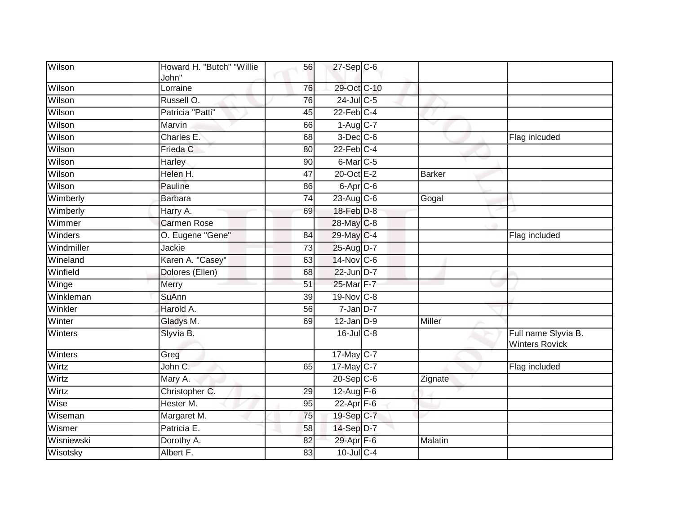| Wilson     | Howard H. "Butch" "Willie<br>John" | 56              | $27-Sep$ <sub>C-6</sub>   |               |                                              |
|------------|------------------------------------|-----------------|---------------------------|---------------|----------------------------------------------|
| Wilson     | Lorraine                           | 76              | 29-Oct C-10               |               |                                              |
| Wilson     | Russell O.                         | $\overline{76}$ | $24$ -Jul C-5             |               |                                              |
| Wilson     | Patricia "Patti"                   | 45              | $22$ -Feb $C-4$           |               |                                              |
| Wilson     | Marvin                             | 66              | $1-Aug$ $C-7$             |               |                                              |
| Wilson     | Charles E.                         | 68              | $3-Dec$ <sub>C-6</sub>    |               | Flag inlcuded                                |
| Wilson     | Frieda C                           | 80              | $22$ -Feb $C-4$           |               |                                              |
| Wilson     | Harley                             | 90              | 6-Mar <sub>C-5</sub>      |               |                                              |
| Wilson     | Helen H.                           | 47              | 20-Oct E-2                | <b>Barker</b> |                                              |
| Wilson     | Pauline                            | 86              | 6-Apr <sub>C-6</sub>      |               |                                              |
| Wimberly   | <b>Barbara</b>                     | 74              | $23$ -Aug C-6             | Gogal         |                                              |
| Wimberly   | Harry A.                           | 69              | $18$ -Feb $D-8$           |               |                                              |
| Wimmer     | <b>Carmen Rose</b>                 |                 | 28-May C-8                |               |                                              |
| Winders    | O. Eugene "Gene"                   | 84              | 29-May C-4                |               | Flag included                                |
| Windmiller | Jackie                             | 73              | 25-Aug D-7                |               |                                              |
| Wineland   | Karen A. "Casey"                   | 63              | 14-Nov C-6                |               |                                              |
| Winfield   | Dolores (Ellen)                    | 68              | 22-Jun D-7                |               |                                              |
| Winge      | Merry                              | 51              | 25-Mar F-7                |               |                                              |
| Winkleman  | <b>SuAnn</b>                       | 39              | $19-Nov$ <sub>C-8</sub>   |               |                                              |
| Winkler    | Harold A.                          | $\overline{56}$ | $7 - Jan$ $D-7$           |               |                                              |
| Winter     | Gladys M.                          | 69              | $12$ -Jan $D-9$           | Miller        |                                              |
| Winters    | Slyvia B.                          |                 | $16$ -Jul $C-8$           |               | Full name Slyvia B.<br><b>Winters Rovick</b> |
| Winters    | Greg                               |                 | $17 - \overline{May}$ C-7 |               |                                              |
| Wirtz      | John C.                            | 65              | 17-May C-7                |               | Flag included                                |
| Wirtz      | Mary A.                            |                 | $20 - Sep$ C-6            | Zignate       |                                              |
| Wirtz      | Christopher C.                     | 29              | 12-Aug F-6                |               |                                              |
| Wise       | Hester M.                          | 95              | 22-Apr F-6                |               |                                              |
| Wiseman    | Margaret M.                        | 75              | 19-Sep C-7                |               |                                              |
| Wismer     | Patricia E.                        | 58              | 14-Sep D-7                |               |                                              |
| Wisniewski | Dorothy A.                         | 82              | 29-Apr F-6                | Malatin       |                                              |
| Wisotsky   | Albert F.                          | 83              | 10-Jul C-4                |               |                                              |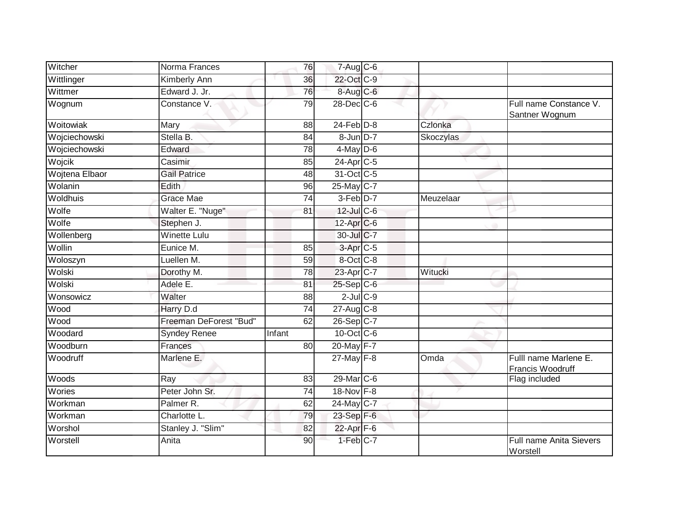| Witcher        | Norma Frances          | 76            | $7 - Aug$ $C - 6$       |           |                                            |
|----------------|------------------------|---------------|-------------------------|-----------|--------------------------------------------|
| Wittlinger     | Kimberly Ann           | 36            | 22-Oct C-9              |           |                                            |
| Wittmer        | Edward J. Jr.          | 76            | 8-Aug C-6               |           |                                            |
| Wognum         | Constance V.           | 79            | $28$ -Dec $C$ -6        |           | Full name Constance V.<br>Santner Wognum   |
| Woitowiak      | Mary                   | 88            | $24$ -Feb $D-8$         | Czlonka   |                                            |
| Wojciechowski  | Stella B.              | 84            | 8-Jun D-7               | Skoczylas |                                            |
| Wojciechowski  | Edward                 | 78            | $4$ -May $D$ -6         |           |                                            |
| Wojcik         | Casimir                | 85            | 24-Apr C-5              |           |                                            |
| Wojtena Elbaor | <b>Gail Patrice</b>    | 48            | 31-Oct C-5              |           |                                            |
| Wolanin        | Edith                  | 96            | 25-May C-7              |           |                                            |
| Woldhuis       | Grace Mae              | 74            | $3-Feb$ D-7             | Meuzelaar |                                            |
| Wolfe          | Walter E. "Nuge"       | 81            | 12-Jul C-6              |           |                                            |
| Wolfe          | Stephen J.             |               | 12-Apr C-6              |           |                                            |
| Wollenberg     | <b>Winette Lulu</b>    |               | 30-Jul C-7              |           |                                            |
| Wollin         | Eunice M.              | 85            | 3-Apr C-5               |           |                                            |
| Woloszyn       | Luellen M.             | 59            | 8-Oct C-8               |           |                                            |
| Wolski         | Dorothy M.             | 78            | 23-Apr C-7              | Witucki   |                                            |
| Wolski         | Adele E.               | 81            | $25-Sep$ <sub>C-6</sub> |           |                                            |
| Wonsowicz      | Walter                 | 88            | $2$ -Jul $C$ -9         |           |                                            |
| Wood           | Harry D.d              | 74            | 27-Aug C-8              |           |                                            |
| Wood           | Freeman DeForest "Bud" | 62            | 26-Sep C-7              |           |                                            |
| Woodard        | <b>Syndey Renee</b>    | <b>Infant</b> | 10-Oct C-6              |           |                                            |
| Woodburn       | Frances                | 80            | 20-May F-7              |           |                                            |
| Woodruff       | Marlene E.             |               | $27$ -May $F-8$         | Omda      | Fulll name Marlene E.<br>Francis Woodruff  |
| Woods          | Ray                    | 83            | 29-Mar C-6              |           | Flag included                              |
| Wories         | Peter John Sr.         | 74            | 18-Nov F-8              |           |                                            |
| Workman        | Palmer R.              | 62            | $24$ -May C-7           |           |                                            |
| Workman        | Charlotte L.           | 79            | 23-Sep F-6              |           |                                            |
| Worshol        | Stanley J. "Slim"      | 82            | 22-Apr <sub>F-6</sub>   |           |                                            |
| Worstell       | Anita                  | 90            | $1-Feb$ C-7             |           | <b>Full name Anita Sievers</b><br>Worstell |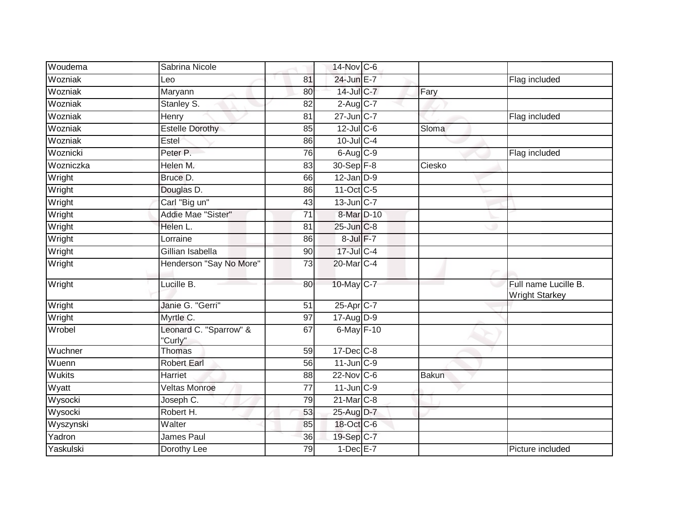| Woudema       | Sabrina Nicole                    |                 | 14-Nov C-6             |        |                                               |
|---------------|-----------------------------------|-----------------|------------------------|--------|-----------------------------------------------|
| Wozniak       | Leo                               | 81              | 24-Jun E-7             |        | Flag included                                 |
| Wozniak       | Maryann                           | 80              | $14$ -Jul $C-7$        | Fary   |                                               |
| Wozniak       | Stanley S.                        | 82              | $2-Aug$ <sub>C-7</sub> |        |                                               |
| Wozniak       | Henry                             | 81              | 27-Jun C-7             |        | Flag included                                 |
| Wozniak       | <b>Estelle Dorothy</b>            | 85              | $12$ -Jul C-6          | Sloma  |                                               |
| Wozniak       | Estel                             | 86              | $10$ -Jul C-4          |        |                                               |
| Woznicki      | Peter P.                          | 76              | $6$ -Aug $C$ -9        |        | Flag included                                 |
| Wozniczka     | Helen M.                          | 83              | 30-Sep F-8             | Ciesko |                                               |
| Wright        | Bruce D.                          | 66              | $12$ -Jan $D-9$        |        |                                               |
| Wright        | Douglas D.                        | 86              | 11-Oct C-5             |        |                                               |
| Wright        | Carl "Big un"                     | 43              | 13-Jun C-7             |        |                                               |
| Wright        | Addie Mae "Sister"                | 71              | 8-Mar D-10             |        |                                               |
| Wright        | Helen L.                          | 81              | 25-Jun C-8             |        |                                               |
| Wright        | Lorraine                          | 86              | $8$ -Jul $F-7$         |        |                                               |
| Wright        | Gillian Isabella                  | 90              | 17-Jul C-4             |        |                                               |
| Wright        | Henderson "Say No More"           | 73              | 20-Mar C-4             |        |                                               |
| Wright        | Lucille B.                        | 80              | 10-May C-7             |        | Full name Lucille B.<br><b>Wright Starkey</b> |
| Wright        | Janie G. "Gerri"                  | 51              | 25-Apr <sub>C-7</sub>  |        |                                               |
| Wright        | Myrtle C.                         | $\overline{97}$ | 17-Aug D-9             |        |                                               |
| Wrobel        | Leonard C. "Sparrow" &<br>"Curly" | 67              | $6$ -May $F-10$        |        |                                               |
| Wuchner       | <b>Thomas</b>                     | 59              | 17-Dec C-8             |        |                                               |
| Wuenn         | <b>Robert Earl</b>                | $\overline{56}$ | $11$ -Jun $C-9$        |        |                                               |
| <b>Wukits</b> | Harriet                           | 88              | $22$ -Nov C-6          | Bakun  |                                               |
| Wyatt         | <b>Veltas Monroe</b>              | 77              | $11$ -Jun $C-9$        |        |                                               |
| Wysocki       | Joseph C.                         | 79              | $21$ -Mar $C-8$        |        |                                               |
| Wysocki       | Robert H.                         | 53              | 25-Aug D-7             |        |                                               |
| Wyszynski     | Walter                            | 85              | 18-Oct C-6             |        |                                               |
| Yadron        | James Paul                        | 36              | 19-Sep C-7             |        |                                               |
| Yaskulski     | Dorothy Lee                       | 79              | $1-DecE-7$             |        | Picture included                              |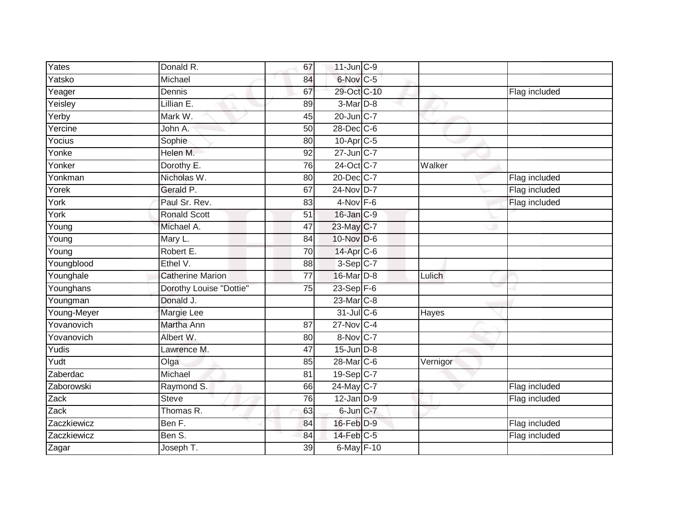| Yates       | Donald R.               | 67              | $11$ -Jun $C-9$        |          |               |
|-------------|-------------------------|-----------------|------------------------|----------|---------------|
| Yatsko      | Michael                 | 84              | 6-Nov C-5              |          |               |
| Yeager      | Dennis                  | 67              | 29-Oct C-10            |          | Flag included |
| Yeisley     | Lillian E.              | 89              | 3-Mar <sub>D-8</sub>   |          |               |
| Yerby       | Mark W.                 | $\overline{45}$ | 20-Jun C-7             |          |               |
| Yercine     | John A.                 | 50              | 28-Dec C-6             |          |               |
| Yocius      | Sophie                  | 80              | $10$ -Apr $C$ -5       |          |               |
| Yonke       | Helen M.                | 92              | 27-Jun C-7             |          |               |
| Yonker      | Dorothy E.              | 76              | 24-Oct C-7             | Walker   |               |
| Yonkman     | Nicholas W.             | 80              | 20-Dec C-7             |          | Flag included |
| Yorek       | Gerald P.               | 67              | 24-Nov D-7             |          | Flag included |
| York        | Paul Sr. Rev.           | 83              | $4-Nov$ F-6            |          | Flag included |
| York        | <b>Ronald Scott</b>     | 51              | $16$ -Jan $C-9$        |          |               |
| Young       | Michael A.              | 47              | 23-May C-7             |          |               |
| Young       | Mary L.                 | 84              | 10-Nov D-6             |          |               |
| Young       | Robert E.               | 70              | 14-Apr <sub>C-6</sub>  |          |               |
| Youngblood  | Ethel V.                | 88              | $3-Sep$ C-7            |          |               |
| Younghale   | <b>Catherine Marion</b> | 77              | 16-Mar D-8             | Lulich   |               |
| Younghans   | Dorothy Louise "Dottie" | $\overline{75}$ | $23-Sep$ F-6           |          |               |
| Youngman    | Donald J.               |                 | 23-Mar C-8             |          |               |
| Young-Meyer | Margie Lee              |                 | 31-Jul C-6             | Hayes    |               |
| Yovanovich  | Martha Ann              | 87              | 27-Nov C-4             |          |               |
| Yovanovich  | Albert W.               | 80              | 8-Nov C-7              |          |               |
| $Y$ udis    | Lawrence M.             | 47              | $15$ -Jun $D-8$        |          |               |
| Yudt        | Olga                    | 85              | 28-Mar <sub>IC-6</sub> | Vernigor |               |
| Zaberdac    | Michael                 | 81              | 19-Sep C-7             |          |               |
| Zaborowski  | Raymond S.              | 66              | 24-May C-7             |          | Flag included |
| Zack        | <b>Steve</b>            | 76              | $12$ -Jan $D-9$        |          | Flag included |
| Zack        | Thomas R.               | 63              | 6-Jun C-7              |          |               |
| Zaczkiewicz | Ben F.                  | 84              | 16-Feb D-9             |          | Flag included |
| Zaczkiewicz | Ben S.                  | 84              | 14-Feb C-5             |          | Flag included |
| Zagar       | Joseph T.               | $\overline{39}$ | 6-May F-10             |          |               |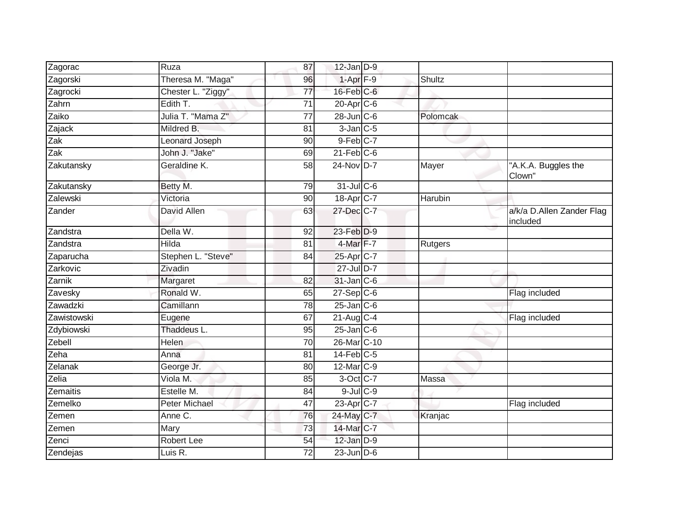| Zagorac             | Ruza               | 87              | $12$ -Jan $D-9$         |                |                                       |
|---------------------|--------------------|-----------------|-------------------------|----------------|---------------------------------------|
| Zagorski            | Theresa M. "Maga"  | 96              | $1-Apr$ $F-9$           | Shultz         |                                       |
| Zagrocki            | Chester L. "Ziggy" | $\overline{77}$ | 16-Feb <sup>C-6</sup>   |                |                                       |
| Zahrn               | Edith T.           | 71              | $20$ -Apr $C$ -6        |                |                                       |
| Zaiko               | Julia T. "Mama Z"  | $\overline{77}$ | $28$ -Jun $C$ -6        | Polomcak       |                                       |
| $\overline{Zajack}$ | Mildred B.         | 81              | $3$ -Jan $C$ -5         |                |                                       |
| Zak                 | Leonard Joseph     | 90              | $9$ -Feb $C$ -7         |                |                                       |
| $\overline{Zak}$    | John J. "Jake"     | 69              | $21$ -Feb $C$ -6        |                |                                       |
| Zakutansky          | Geraldine K.       | 58              | 24-Nov D-7              | Mayer          | "A.K.A. Buggles the<br>Clown"         |
| Zakutansky          | Betty M.           | 79              | $31$ -Jul C-6           |                |                                       |
| Zalewski            | Victoria           | 90              | 18-Apr C-7              | Harubin        |                                       |
| Zander              | David Allen        | 63              | 27-Dec C-7              |                | a/k/a D.Allen Zander Flag<br>included |
| Zandstra            | Della W.           | 92              | 23-Feb D-9              |                |                                       |
| Zandstra            | Hilda              | 81              | 4-Mar F-7               | <b>Rutgers</b> |                                       |
| Zaparucha           | Stephen L. "Steve" | 84              | 25-Apr C-7              |                |                                       |
| Zarkovic            | Zivadin            |                 | 27-Jul D-7              |                |                                       |
| Zarnik              | Margaret           | 82              | 31-Jan C-6              |                |                                       |
| Zavesky             | Ronald W.          | 65              | $27-Sep$ <sub>C-6</sub> |                | Flag included                         |
| Zawadzki            | Camillann          | 78              | $25$ -Jan $C$ -6        |                |                                       |
| Zawistowski         | Eugene             | 67              | $21$ -Aug C-4           |                | Flag included                         |
| Zdybiowski          | Thaddeus L.        | 95              | $25$ -Jan $ C$ -6       |                |                                       |
| Zebell              | Helen              | $\overline{70}$ | 26-Mar C-10             |                |                                       |
| Zeha                | Anna               | 81              | $14$ -Feb $C-5$         |                |                                       |
| Zelanak             | George Jr.         | 80              | 12-Mar C-9              |                |                                       |
| Zelia               | Viola M.           | 85              | 3-Oct C-7               | Massa          |                                       |
| Zemaitis            | Estelle M.         | 84              | $9$ -Jul $C$ -9         |                |                                       |
| Zemelko             | Peter Michael      | 47              | 23-Apr C-7              |                | Flag included                         |
| Zemen               | Anne C.            | 76              | 24-May C-7              | Kranjac        |                                       |
| Zemen               | Mary               | 73              | 14-Mar C-7              |                |                                       |
| Zenci               | <b>Robert Lee</b>  | 54              | 12-Jan D-9              |                |                                       |
| Zendejas            | Luis R.            | 72              | $23$ -Jun $D-6$         |                |                                       |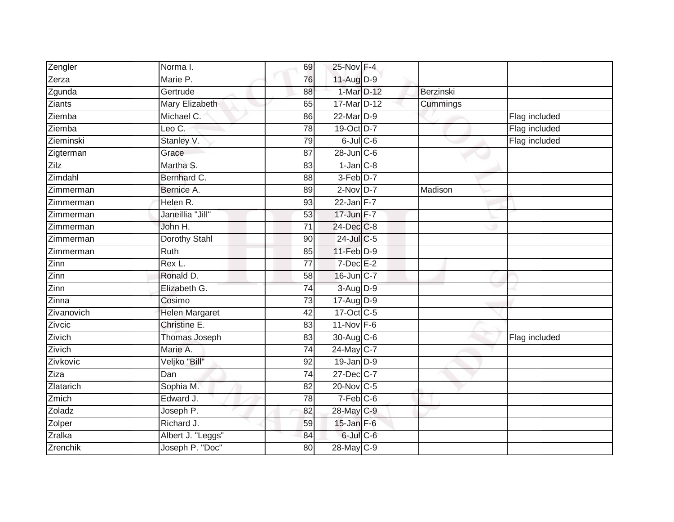| Zengler    | Norma I.              | 69              | 25-Nov F-4             |           |               |
|------------|-----------------------|-----------------|------------------------|-----------|---------------|
| Zerza      | Marie P.              | 76              | $11-Aug$ D-9           |           |               |
| Zgunda     | Gertrude              | $\overline{88}$ | 1-Mar D-12             | Berzinski |               |
| Ziants     | Mary Elizabeth        | 65              | 17-Mar D-12            | Cummings  |               |
| Ziemba     | Michael C.            | 86              | 22-Mar D-9             |           | Flag included |
| Ziemba     | Leo C.                | 78              | 19-Oct D-7             |           | Flag included |
| Zieminski  | Stanley V.            | 79              | $6$ -Jul $C$ -6        |           | Flag included |
| Zigterman  | Grace                 | 87              | $28$ -Jun $C$ -6       |           |               |
| Zilz       | Martha S.             | 83              | $1$ -Jan $C-8$         |           |               |
| Zimdahl    | Bernhard C.           | $\overline{88}$ | 3-Feb <sup>D-7</sup>   |           |               |
| Zimmerman  | Bernice A.            | 89              | $2-Nov$ D-7            | Madison   |               |
| Zimmerman  | Helen R.              | 93              | 22-Jan F-7             |           |               |
| Zimmerman  | Janeillia "Jill"      | 53              | 17-Jun F-7             |           |               |
| Zimmerman  | John H.               | $\overline{71}$ | 24-Dec C-8             |           |               |
| Zimmerman  | <b>Dorothy Stahl</b>  | 90              | 24-Jul C-5             |           |               |
| Zimmerman  | Ruth                  | 85              | $11-Feb$ D-9           |           |               |
| Zinn       | Rex L.                | $\overline{77}$ | $7$ -Dec $E-2$         |           |               |
| Zinn       | Ronald D.             | 58              | 16-Jun C-7             |           |               |
| Zinn       | Elizabeth G.          | $\overline{74}$ | 3-Aug D-9              |           |               |
| Zinna      | Cosimo                | $\overline{73}$ | 17-Aug D-9             |           |               |
| Zivanovich | <b>Helen Margaret</b> | 42              | 17-Oct C-5             |           |               |
| Zivcic     | Christine E.          | 83              | $11-Nov$ F-6           |           |               |
| Zivich     | <b>Thomas Joseph</b>  | 83              | 30-Aug C-6             |           | Flag included |
| Zivich     | Marie A.              | $\overline{74}$ | 24-May C-7             |           |               |
| Zivkovic   | Veljko "Bill"         | 92              | $19$ -Jan $D-9$        |           |               |
| Ziza       | Dan                   | $\overline{74}$ | 27-Dec C-7             |           |               |
| Zlatarich  | Sophia M.             | $\overline{82}$ | 20-Nov C-5             |           |               |
| Zmich      | Edward J.             | 78              | $7-Feb$ <sub>C-6</sub> |           |               |
| Zoladz     | Joseph P.             | 82              | 28-May C-9             |           |               |
| Zolper     | Richard J.            | 59              | $15$ -Jan F-6          |           |               |
| Zralka     | Albert J. "Leggs"     | 84              | $6$ -Jul $C$ -6        |           |               |
| Zrenchik   | Joseph P. "Doc"       | 80              | 28-May C-9             |           |               |